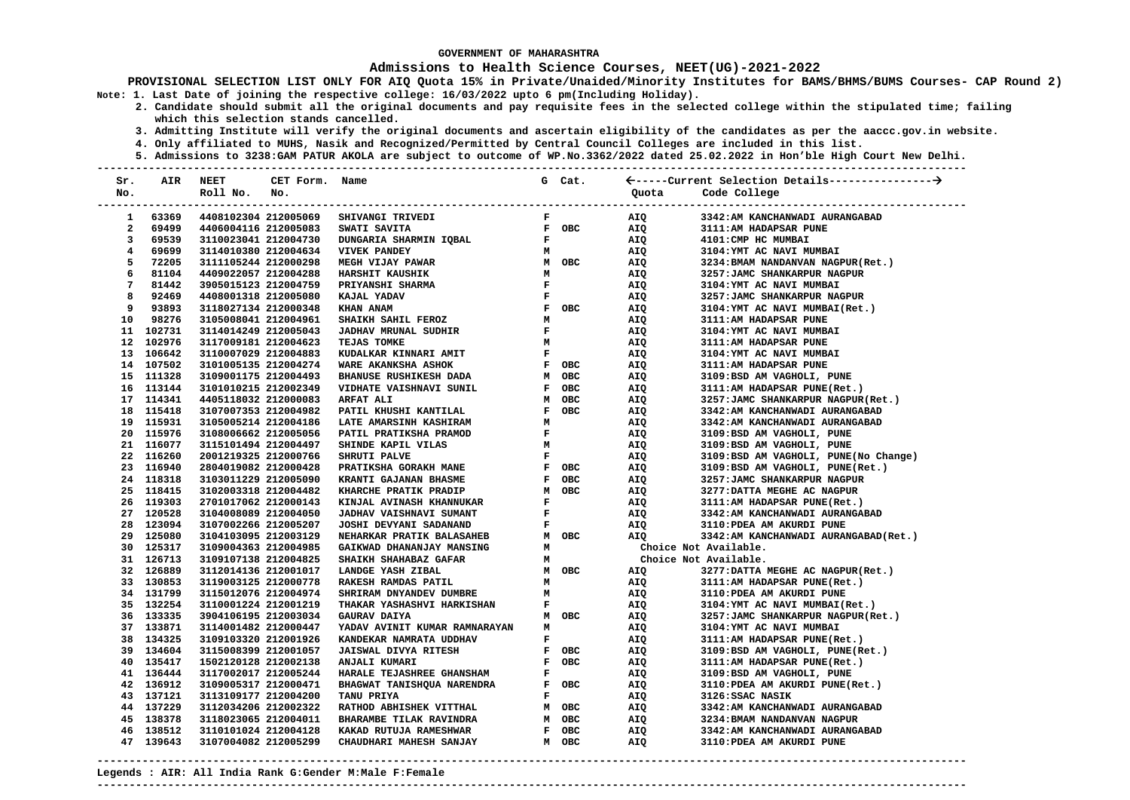### **Admissions to Health Science Courses, NEET(UG)-2021-2022**

**PROVISIONAL SELECTION LIST ONLY FOR AIQ Quota 15% in Private/Unaided/Minority Institutes for BAMS/BHMS/BUMS Courses- CAP Round 2) Note: 1. Last Date of joining the respective college: 16/03/2022 upto 6 pm(Including Holiday).** 

 **2. Candidate should submit all the original documents and pay requisite fees in the selected college within the stipulated time; failing which this selection stands cancelled.** 

- **3. Admitting Institute will verify the original documents and ascertain eligibility of the candidates as per the aaccc.gov.in website.**
- **4. Only affiliated to MUHS, Nasik and Recognized/Permitted by Central Council Colleges are included in this list.**
- **5. Admissions to 3238:GAM PATUR AKOLA are subject to outcome of WP.No.3362/2022 dated 25.02.2022 in Hon'ble High Court New Delhi. ---------------------------------------------------------------------------------------------------------------------------------------**

| Sr.            | AIR       | <b>NEET</b>                | CET Form. Name       |                                                                                                                                                                                          |                               | G Cat.                                    |                       |                                       |
|----------------|-----------|----------------------------|----------------------|------------------------------------------------------------------------------------------------------------------------------------------------------------------------------------------|-------------------------------|-------------------------------------------|-----------------------|---------------------------------------|
| No.            |           | Roll No. No.               |                      |                                                                                                                                                                                          |                               |                                           | Quota                 | Code College                          |
|                |           | -------------------------- |                      |                                                                                                                                                                                          |                               |                                           |                       |                                       |
| 1              | 63369     |                            | 4408102304 212005069 | <b>SHIVANGI TRIVEDI</b>                                                                                                                                                                  | $\mathbf{F}$ and $\mathbf{F}$ |                                           | AIQ                   | 3342:AM KANCHANWADI AURANGABAD        |
| $\overline{a}$ | 69499     |                            | 4406004116 212005083 | <b>SWATI SAVITA</b>                                                                                                                                                                      |                               | F OBC                                     | AIQ                   | 3111:AM HADAPSAR PUNE                 |
| 3              | 69539     | 3110023041 212004730       |                      | DUNGARIA SHARMIN IQBAL                                                                                                                                                                   | $\mathbf{F}$ and $\mathbf{F}$ |                                           | AIQ                   | 4101: CMP HC MUMBAI                   |
| 4              | 69699     | 3114010380 212004634       |                      | <b>VIVEK PANDEY</b>                                                                                                                                                                      |                               | M                                         | AIQ<br>AIQ            | 3104: YMT AC NAVI MUMBAI              |
| 5              | 72205     | 3111105244 212000298       |                      | M OBC<br><b>MEGH VIJAY PAWAR</b>                                                                                                                                                         |                               |                                           |                       | 3234: BMAM NANDANVAN NAGPUR (Ret.)    |
| 6              | 81104     | 4409022057 212004288       |                      | <b>HARSHIT KAUSHIK</b>                                                                                                                                                                   |                               |                                           | AIQ                   | 3257: JAMC SHANKARPUR NAGPUR          |
| 7              | 81442     | 3905015123 212004759       |                      | PRIYANSHI SHARMA                                                                                                                                                                         |                               |                                           | AIQ                   | 3104: YMT AC NAVI MUMBAI              |
| 8              | 92469     | 4408001318 212005080       |                      | $\begin{array}{ccc} & & & & \\ & \mathbb{N} & \\ & \mathbb{F} & \\ & \mathbb{F} & \\ & \mathbb{F} & \\ & \mathbb{F} & \\ & \mathbb{N} & \\ & \mathbb{M} & \\ \end{array}$<br>KAJAL YADAV |                               |                                           | AIQ                   | 3257: JAMC SHANKARPUR NAGPUR          |
| 9              | 93893     | 3118027134 212000348       |                      | KHAN ANAM                                                                                                                                                                                |                               |                                           | <b>AIQ</b>            | 3104: YMT AC NAVI MUMBAI(Ret.)        |
| 10             | 98276     | 3105008041 212004961       |                      | SHAIKH SAHIL FEROZ                                                                                                                                                                       |                               |                                           | AIQ                   | 3111:AM HADAPSAR PUNE                 |
|                | 11 102731 | 3114014249 212005043       |                      | $\mathbf{F}$ and $\mathbf{F}$ and $\mathbf{F}$<br><b>JADHAV MRUNAL SUDHIR</b>                                                                                                            |                               |                                           | AIQ                   | 3104: YMT AC NAVI MUMBAI              |
|                | 12 102976 | 3117009181 212004623       |                      | TEJAS TOMKE                                                                                                                                                                              | M                             |                                           | AIQ                   | 3111:AM HADAPSAR PUNE                 |
|                | 13 106642 | 3110007029 212004883       |                      |                                                                                                                                                                                          |                               |                                           | AIQ                   | 3104: YMT AC NAVI MUMBAI              |
|                | 14 107502 | 3101005135 212004274       |                      |                                                                                                                                                                                          |                               |                                           | AIQ                   | 3111:AM HADAPSAR PUNE                 |
|                | 15 111328 | 3109001175 212004493       |                      | BHANUSE RUSHIKESH DADA<br>VIDHATE VAISHNAVI SUNIL                                                                                                                                        |                               | M OBC                                     | AIQ                   | 3109:BSD AM VAGHOLI, PUNE             |
|                | 16 113144 | 3101010215 212002349       |                      | VIDHATE VAISHNAVI SUNIL                                                                                                                                                                  |                               | F OBC                                     | AIQ                   | 3111:AM HADAPSAR PUNE(Ret.)           |
|                | 17 114341 | 4405118032 212000083       |                      | ARFAT ALI                                                                                                                                                                                |                               | M OBC                                     | AIQ                   | 3257: JAMC SHANKARPUR NAGPUR (Ret.)   |
|                | 18 115418 | 3107007353 212004982       |                      | PATIL KHUSHI KANTILAL                                                                                                                                                                    |                               | F OBC                                     | AIQ                   | 3342:AM KANCHANWADI AURANGABAD        |
|                | 19 115931 | 3105005214 212004186       |                      | LATE AMARSINH KASHIRAM<br>$\begin{array}{c}\n \mathbf{M} \\  \mathbf{F}\n \end{array}$                                                                                                   |                               |                                           | AIQ                   | 3342:AM KANCHANWADI AURANGABAD        |
|                | 20 115976 | 3108006662 212005056       |                      | PATIL PRATIKSHA PRAMOD                                                                                                                                                                   |                               |                                           | AIQ                   | 3109:BSD AM VAGHOLI, PUNE             |
|                | 21 116077 | 3115101494 212004497       |                      | SHINDE KAPIL VILAS                                                                                                                                                                       | M                             |                                           | AIQ                   | 3109:BSD AM VAGHOLI, PUNE             |
|                | 22 116260 | 2001219325 212000766       |                      | SHRUTI PALVE                                                                                                                                                                             |                               | $\mathbf{F}$ and $\mathbf{F}$             | nng<br>AIQ<br>AIQ     | 3109:BSD AM VAGHOLI, PUNE(No Change)  |
|                | 23 116940 | 2804019082 212000428       |                      | F OBC<br><b>PRATIKSHA GORAKH MANE</b>                                                                                                                                                    |                               |                                           | AIQ                   | 3109:BSD AM VAGHOLI, PUNE(Ret.)       |
|                | 24 118318 | 3103011229 212005090       |                      | KRANTI GAJANAN BHASME                                                                                                                                                                    |                               | F OBC                                     | AIQ                   | 3257: JAMC SHANKARPUR NAGPUR          |
|                | 25 118415 | 3102003318 212004482       |                      | KHARCHE PRATIK PRADIP                                                                                                                                                                    |                               | M OBC                                     | AIQ                   | 3277: DATTA MEGHE AC NAGPUR           |
|                | 26 119303 | 2701017062 212000143       |                      | KINJAL AVINASH KHANNUKAR                                                                                                                                                                 | $\mathbf{F}$                  |                                           | AIQ                   | 3111:AM HADAPSAR PUNE(Ret.)           |
|                | 27 120528 | 3104008089 212004050       |                      | JADHAV VAISHNAVI SUMANT                                                                                                                                                                  |                               | $\mathbf{F}^{(1)}$ and $\mathbf{F}^{(2)}$ | <b>AIQ</b>            | 3342:AM KANCHANWADI AURANGABAD        |
|                | 28 123094 | 3107002266 212005207       |                      | <b>JOSHI DEVYANI SADANAND</b>                                                                                                                                                            | $\mathbf{F}$ and $\mathbf{F}$ |                                           | AIQ                   | 3110: PDEA AM AKURDI PUNE             |
|                | 29 125080 | 3104103095 212003129       |                      | <b>NEHARKAR PRATIK BALASAHEB</b>                                                                                                                                                         |                               | M OBC                                     | AIQ                   | 3342:AM KANCHANWADI AURANGABAD (Ret.) |
|                | 30 125317 | 3109004363 212004985       |                      | GAIKWAD DHANANJAY MANSING                                                                                                                                                                |                               | $\begin{array}{c}\nM \\ M\n\end{array}$   | Choice Not Available. |                                       |
|                | 31 126713 | 3109107138 212004825       |                      | SHAIKH SHAHABAZ GAFAR                                                                                                                                                                    |                               |                                           | Choice Not Available. |                                       |
|                | 32 126889 | 3112014136 212001017       |                      | LANDGE YASH ZIBAL                                                                                                                                                                        |                               | M OBC                                     | AIQ                   | 3277: DATTA MEGHE AC NAGPUR (Ret.)    |
|                | 33 130853 | 3119003125 212000778       |                      | <b>RAKESH RAMDAS PATIL</b>                                                                                                                                                               | м                             |                                           | AIQ                   | 3111:AM HADAPSAR PUNE(Ret.)           |
|                | 34 131799 | 3115012076 212004974       |                      | SHRIRAM DNYANDEV DUMBRE                                                                                                                                                                  | $M$ and $M$                   |                                           | AIQ                   | 3110: PDEA AM AKURDI PUNE             |
|                | 35 132254 | 3110001224 212001219       |                      | <b>THAKAR YASHASHVI HARKISHAN</b>                                                                                                                                                        |                               | $\mathbf{F}$ and $\mathbf{F}$             | AIQ<br>AIQ            | 3104: YMT AC NAVI MUMBAI(Ret.)        |
|                | 36 133335 | 3904106195 212003034       |                      | <b>GAURAV DAIYA</b>                                                                                                                                                                      |                               | M OBC                                     |                       | 3257: JAMC SHANKARPUR NAGPUR (Ret.)   |
|                | 37 133871 | 3114001482 212000447       |                      | YADAV AVINIT KUMAR RAMNARAYAN                                                                                                                                                            | M                             |                                           | AIQ                   | 3104: YMT AC NAVI MUMBAI              |
|                | 38 134325 | 3109103320 212001926       |                      | KANDEKAR NAMRATA UDDHAV                                                                                                                                                                  |                               | $\mathbf{F}^{(n)}$ and $\mathbf{F}^{(n)}$ | AIQ                   | 3111:AM HADAPSAR PUNE(Ret.)           |
|                | 39 134604 | 3115008399 212001057       |                      | <b>JAISWAL DIVYA RITESH</b>                                                                                                                                                              |                               | F OBC                                     | AIQ                   | 3109:BSD AM VAGHOLI, PUNE(Ret.)       |
|                | 40 135417 | 1502120128 212002138       |                      | ANJALI KUMARI                                                                                                                                                                            |                               | F OBC                                     | AIQ                   | 3111:AM HADAPSAR PUNE(Ret.)           |
|                | 41 136444 | 3117002017 212005244       |                      | <b>HARALE TEJASHREE GHANSHAM</b>                                                                                                                                                         |                               | $\mathbf{F}$ and $\mathbf{F}$             | AIQ                   | 3109:BSD AM VAGHOLI, PUNE             |
|                | 42 136912 | 3109005317 212000471       |                      | BHAGWAT TANISHQUA NARENDRA                                                                                                                                                               |                               | F OBC                                     | AIQ                   | 3110: PDEA AM AKURDI PUNE(Ret.)       |
|                | 43 137121 | 3113109177 212004200       |                      | TANU PRIYA                                                                                                                                                                               | $\mathbf{F}$                  |                                           | AIQ                   | 3126:SSAC NASIK                       |
|                | 44 137229 | 3112034206 212002322       |                      |                                                                                                                                                                                          |                               | M OBC                                     | AIQ                   | 3342:AM KANCHANWADI AURANGABAD        |
|                | 45 138378 | 3118023065 212004011       |                      | RATHOD ABHISHEK VITTHAL<br>BHARAMBE TILAK RAVINDRA<br>KAKAD RUTUJA RAMESHWAR<br>CHAUDHARI MAHESH SANJAY                                                                                  |                               | M OBC                                     | AIQ                   | 3234: BMAM NANDANVAN NAGPUR           |
|                | 46 138512 | 3110101024 212004128       |                      |                                                                                                                                                                                          |                               | F OBC                                     | AIQ                   | 3342:AM KANCHANWADI AURANGABAD        |
|                | 47 139643 | 3107004082 212005299       |                      |                                                                                                                                                                                          |                               | M OBC                                     | AIQ                   | 3110: PDEA AM AKURDI PUNE             |
|                |           |                            |                      |                                                                                                                                                                                          |                               |                                           |                       |                                       |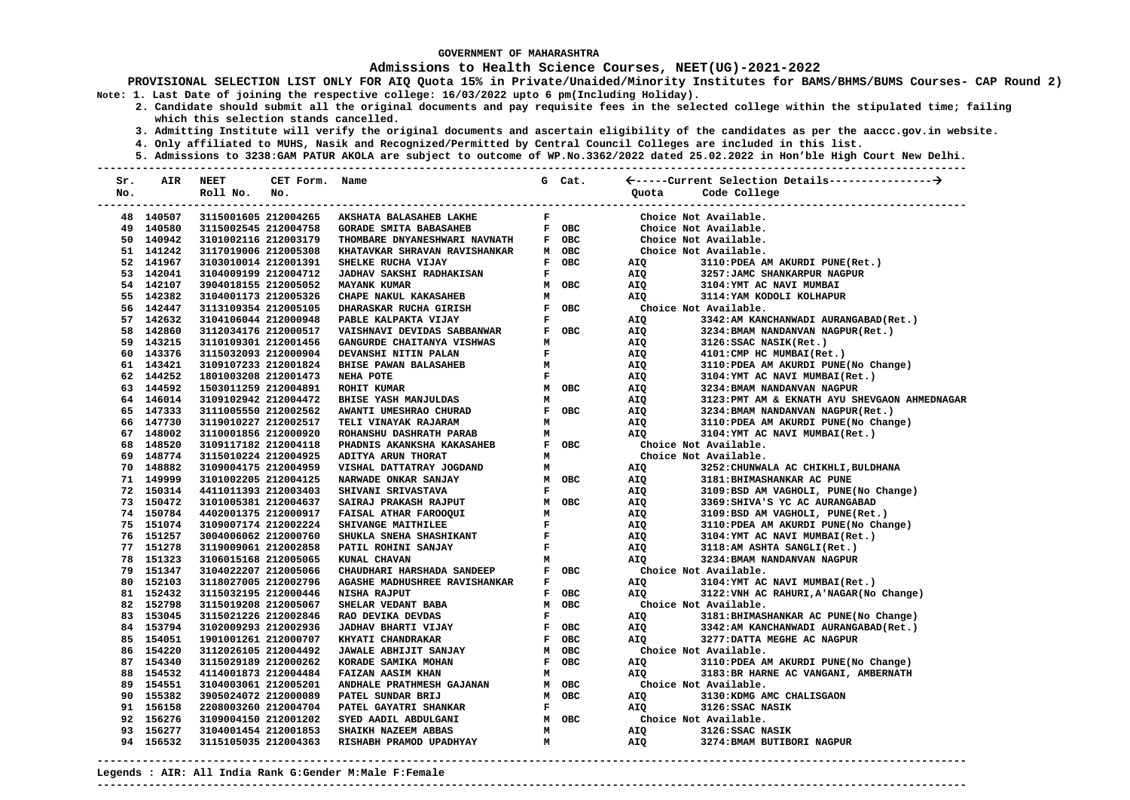### **Admissions to Health Science Courses, NEET(UG)-2021-2022**

- **2. Candidate should submit all the original documents and pay requisite fees in the selected college within the stipulated time; failing which this selection stands cancelled.** 
	- **3. Admitting Institute will verify the original documents and ascertain eligibility of the candidates as per the aaccc.gov.in website.**
	- **4. Only affiliated to MUHS, Nasik and Recognized/Permitted by Central Council Colleges are included in this list.**
	- **5. Admissions to 3238:GAM PATUR AKOLA are subject to outcome of WP.No.3362/2022 dated 25.02.2022 in Hon'ble High Court New Delhi.**

| Sr. | AIR       | <b>NEET</b>          | CET Form. Name |                               |              | G Cat. |            |                                               |
|-----|-----------|----------------------|----------------|-------------------------------|--------------|--------|------------|-----------------------------------------------|
| No. |           | Roll No.             | No.            |                               |              |        | Quota      | Code College                                  |
|     |           |                      |                |                               |              |        |            |                                               |
|     | 48 140507 | 3115001605 212004265 |                | AKSHATA BALASAHEB LAKHE       | $\mathbf F$  |        |            | Choice Not Available.                         |
|     | 49 140580 | 3115002545 212004758 |                | <b>GORADE SMITA BABASAHEB</b> |              | F OBC  |            | Choice Not Available.                         |
|     | 50 140942 | 3101002116 212003179 |                | THOMBARE DNYANESHWARI NAVNATH |              | F OBC  |            | Choice Not Available.                         |
|     | 51 141242 | 3117019006 212005308 |                | KHATAVKAR SHRAVAN RAVISHANKAR |              | M OBC  |            | Choice Not Available.                         |
|     | 52 141967 | 3103010014 212001391 |                | SHELKE RUCHA VIJAY            |              | F OBC  | AIQ        | 3110: PDEA AM AKURDI PUNE(Ret.)               |
|     | 53 142041 | 3104009199 212004712 |                | JADHAV SAKSHI RADHAKISAN      | F            |        | AIQ        | 3257: JAMC SHANKARPUR NAGPUR                  |
|     | 54 142107 | 3904018155 212005052 |                | <b>MAYANK KUMAR</b>           |              | M OBC  | AIQ        | 3104: YMT AC NAVI MUMBAI                      |
|     | 55 142382 | 3104001173 212005326 |                | CHAPE NAKUL KAKASAHEB         | М            |        | AIQ        | 3114: YAM KODOLI KOLHAPUR                     |
|     | 56 142447 | 3113109354 212005105 |                | DHARASKAR RUCHA GIRISH        | F            | OBC    |            | Choice Not Available.                         |
|     | 57 142632 | 3104106044 212000948 |                | PABLE KALPAKTA VIJAY          | F            |        | AIQ        | 3342:AM KANCHANWADI AURANGABAD (Ret.)         |
|     | 58 142860 | 3112034176 212000517 |                | VAISHNAVI DEVIDAS SABBANWAR   |              | F OBC  | AIQ        | 3234: BMAM NANDANVAN NAGPUR (Ret.)            |
|     | 59 143215 | 3110109301 212001456 |                | GANGURDE CHAITANYA VISHWAS    | м            |        | AIQ        | 3126:SSAC NASIK(Ret.)                         |
|     | 60 143376 | 3115032093 212000904 |                | DEVANSHI NITIN PALAN          | $\mathbf{F}$ |        | AIQ        | 4101: CMP HC MUMBAI(Ret.)                     |
|     | 61 143421 | 3109107233 212001824 |                | BHISE PAWAN BALASAHEB         | M            |        | AIQ        | 3110: PDEA AM AKURDI PUNE(No Change)          |
|     | 62 144252 | 1801003208 212001473 |                | NEHA POTE                     | $\mathbf{F}$ |        | AIQ        | 3104: YMT AC NAVI MUMBAI(Ret.)                |
|     | 63 144592 | 1503011259 212004891 |                | ROHIT KUMAR                   |              | M OBC  | AIQ        | 3234: BMAM NANDANVAN NAGPUR                   |
|     | 64 146014 | 3109102942 212004472 |                | <b>BHISE YASH MANJULDAS</b>   | М            |        | AIQ        | 3123: PMT AM & EKNATH AYU SHEVGAON AHMEDNAGAR |
|     | 65 147333 | 3111005550 212002562 |                | AWANTI UMESHRAO CHURAD        |              | F OBC  | AIQ        | 3234: BMAM NANDANVAN NAGPUR (Ret.)            |
|     | 66 147730 | 3119010227 212002517 |                | TELI VINAYAK RAJARAM          | м            |        | AIQ        | 3110:PDEA AM AKURDI PUNE(No Change)           |
|     | 67 148002 | 3110001856 212000920 |                | ROHANSHU DASHRATH PARAB       | м            |        | AIQ        | 3104: YMT AC NAVI MUMBAI(Ret.)                |
|     | 68 148520 | 3109117182 212004118 |                | PHADNIS AKANKSHA KAKASAHEB    |              | F OBC  |            | Choice Not Available.                         |
|     | 69 148774 | 3115010224 212004925 |                | ADITYA ARUN THORAT            | м            |        |            | Choice Not Available.                         |
|     | 70 148882 | 3109004175 212004959 |                | VISHAL DATTATRAY JOGDAND      | М            |        | AIQ        | 3252: CHUNWALA AC CHIKHLI, BULDHANA           |
|     | 71 149999 | 3101002205 212004125 |                | NARWADE ONKAR SANJAY          |              | M OBC  | AIQ        | 3181: BHIMASHANKAR AC PUNE                    |
|     | 72 150314 | 4411011393 212003403 |                | SHIVANI SRIVASTAVA            | $\mathbf F$  |        | AIQ        | 3109:BSD AM VAGHOLI, PUNE(No Change)          |
|     | 73 150472 | 3101005381 212004637 |                | SAIRAJ PRAKASH RAJPUT         |              | M OBC  | AIQ        | 3369: SHIVA'S YC AC AURANGABAD                |
|     | 74 150784 | 4402001375 212000917 |                | FAISAL ATHAR FAROOQUI         | м            |        | AIQ        | 3109:BSD AM VAGHOLI, PUNE(Ret.)               |
|     | 75 151074 | 3109007174 212002224 |                | SHIVANGE MAITHILEE            | $\mathbf F$  |        | AIQ        | 3110:PDEA AM AKURDI PUNE(No Change)           |
|     | 76 151257 | 3004006062 212000760 |                | SHUKLA SNEHA SHASHIKANT       | F            |        | AIQ        | 3104: YMT AC NAVI MUMBAI(Ret.)                |
|     | 77 151278 | 3119009061 212002858 |                | PATIL ROHINI SANJAY           | $\mathbf F$  |        | AIQ        | 3118:AM ASHTA SANGLI(Ret.)                    |
|     | 78 151323 | 3106015168 212005065 |                | KUNAL CHAVAN                  | м            |        | AIQ        | 3234: BMAM NANDANVAN NAGPUR                   |
|     | 79 151347 | 3104022207 212005066 |                | CHAUDHARI HARSHADA SANDEEP    |              | F OBC  |            | Choice Not Available.                         |
|     | 80 152103 | 3118027005 212002796 |                | AGASHE MADHUSHREE RAVISHANKAR | F            |        | AIQ        | 3104: YMT AC NAVI MUMBAI(Ret.)                |
|     | 81 152432 | 3115032195 212000446 |                | NISHA RAJPUT                  |              | F OBC  | <b>AIQ</b> | 3122: VNH AC RAHURI, A'NAGAR (No Change)      |
|     | 82 152798 | 3115019208 212005067 |                | SHELAR VEDANT BABA            |              | M OBC  |            | Choice Not Available.                         |
|     | 83 153045 | 3115021226 212002846 |                | RAO DEVIKA DEVDAS             | $\mathbf F$  |        | AIQ        | 3181: BHIMASHANKAR AC PUNE(No Change)         |
|     | 84 153794 | 3102009293 212002936 |                | <b>JADHAV BHARTI VIJAY</b>    |              | F OBC  | AIQ        | 3342:AM KANCHANWADI AURANGABAD (Ret.)         |
|     | 85 154051 | 1901001261 212000707 |                | KHYATI CHANDRAKAR             |              | F OBC  | <b>AIO</b> | 3277: DATTA MEGHE AC NAGPUR                   |
|     | 86 154220 | 3112026105 212004492 |                | JAWALE ABHIJIT SANJAY         |              | M OBC  |            | Choice Not Available.                         |
|     | 87 154340 | 3115029189 212000262 |                | KORADE SAMIKA MOHAN           |              | F OBC  | AIQ        | 3110: PDEA AM AKURDI PUNE (No Change)         |
|     | 88 154532 | 4114001873 212004484 |                | FAIZAN AASIM KHAN             | м            |        | AIQ        | 3183: BR HARNE AC VANGANI, AMBERNATH          |
|     | 89 154551 | 3104003061 212005201 |                | ANDHALE PRATHMESH GAJANAN     |              | M OBC  |            | Choice Not Available.                         |
|     | 90 155382 | 3905024072 212000089 |                | PATEL SUNDAR BRIJ             |              | M OBC  | AIO        | 3130: KDMG AMC CHALISGAON                     |
|     | 91 156158 | 2208003260 212004704 |                | PATEL GAYATRI SHANKAR         | $\mathbf F$  |        | AIQ        | 3126:SSAC NASIK                               |
|     | 92 156276 | 3109004150 212001202 |                | SYED AADIL ABDULGANI          |              | M OBC  |            | Choice Not Available.                         |
|     | 93 156277 | 3104001454 212001853 |                | SHAIKH NAZEEM ABBAS           | м            |        | AIQ        | 3126:SSAC NASIK                               |
|     | 94 156532 | 3115105035 212004363 |                | RISHABH PRAMOD UPADHYAY       | M            |        | AIQ        | 3274: BMAM BUTIBORI NAGPUR                    |
|     |           |                      |                |                               |              |        |            |                                               |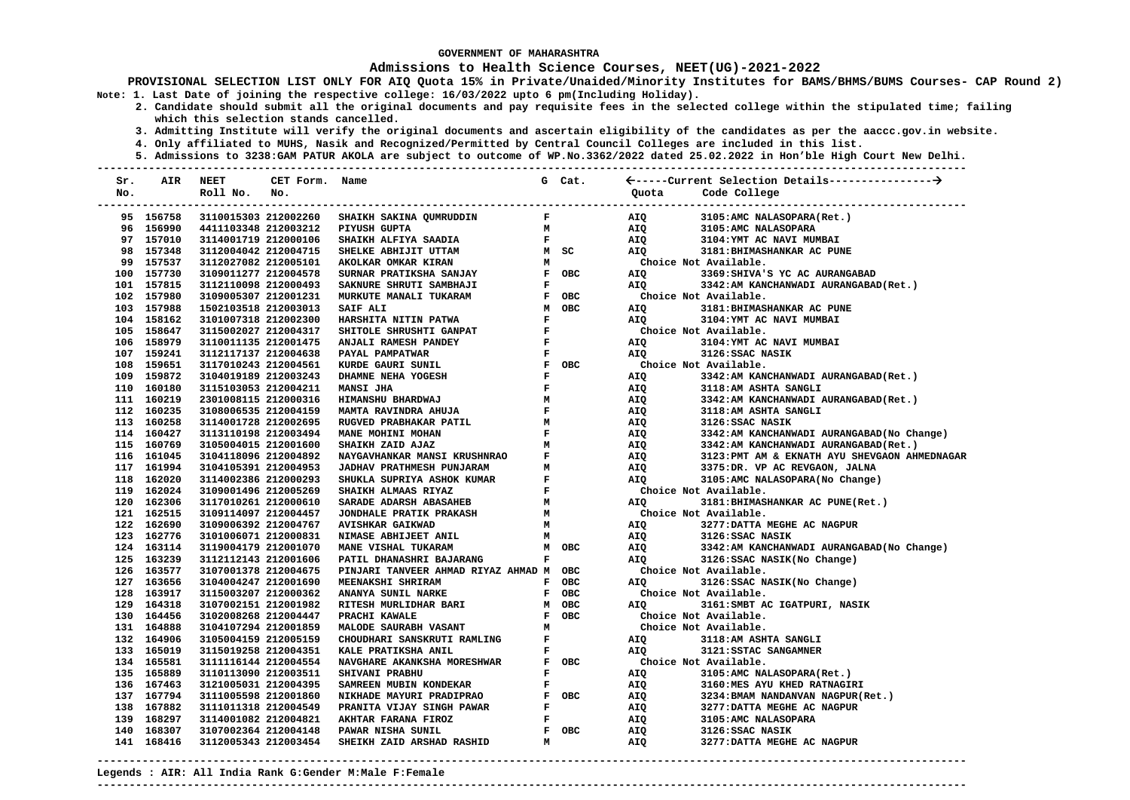### **Admissions to Health Science Courses, NEET(UG)-2021-2022**

**PROVISIONAL SELECTION LIST ONLY FOR AIQ Quota 15% in Private/Unaided/Minority Institutes for BAMS/BHMS/BUMS Courses- CAP Round 2) Note: 1. Last Date of joining the respective college: 16/03/2022 upto 6 pm(Including Holiday).** 

 **2. Candidate should submit all the original documents and pay requisite fees in the selected college within the stipulated time; failing which this selection stands cancelled.** 

 **3. Admitting Institute will verify the original documents and ascertain eligibility of the candidates as per the aaccc.gov.in website.** 

 **4. Only affiliated to MUHS, Nasik and Recognized/Permitted by Central Council Colleges are included in this list.** 

 **5. Admissions to 3238:GAM PATUR AKOLA are subject to outcome of WP.No.3362/2022 dated 25.02.2022 in Hon'ble High Court New Delhi. ---------------------------------------------------------------------------------------------------------------------------------------** 

| Sr. | AIR        | <b>NEET</b>          | CET Form. Name |                                            |              | G Cat. |                       |                                               |
|-----|------------|----------------------|----------------|--------------------------------------------|--------------|--------|-----------------------|-----------------------------------------------|
| No. |            | Roll No.             | No.            |                                            |              |        | Quota                 | Code College                                  |
|     | 95 156758  | 3110015303 212002260 |                | SHAIKH SAKINA QUMRUDDIN                    | $\mathbf{F}$ |        | AIQ                   | 3105:AMC NALASOPARA(Ret.)                     |
|     | 96 156990  | 4411103348 212003212 |                | PIYUSH GUPTA                               | м            |        | AIQ                   | 3105:AMC NALASOPARA                           |
|     | 97 157010  | 3114001719 212000106 |                | SHAIKH ALFIYA SAADIA                       | $\mathbf{F}$ |        | AIQ                   | 3104: YMT AC NAVI MUMBAI                      |
|     | 98 157348  | 3112004042 212004715 |                | SHELKE ABHIJIT UTTAM                       |              | M SC   | AIO                   | 3181: BHIMASHANKAR AC PUNE                    |
|     | 99 157537  | 3112027082 212005101 |                | AKOLKAR OMKAR KIRAN                        | M            |        | Choice Not Available. |                                               |
|     | 100 157730 | 3109011277 212004578 |                | SURNAR PRATIKSHA SANJAY                    |              | F OBC  | AIQ                   | 3369: SHIVA'S YC AC AURANGABAD                |
|     | 101 157815 | 3112110098 212000493 |                | SAKNURE SHRUTI SAMBHAJI                    | $\mathbf F$  |        | AIQ                   | 3342:AM KANCHANWADI AURANGABAD (Ret.)         |
|     | 102 157980 | 3109005307 212001231 |                | MURKUTE MANALI TUKARAM                     |              | F OBC  |                       | Choice Not Available.                         |
|     | 103 157988 | 1502103518 212003013 |                | SAIF ALI                                   |              |        | AIQ                   | 3181: BHIMASHANKAR AC PUNE                    |
|     | 104 158162 | 3101007318 212002300 |                | HARSHITA NITIN PATWA                       |              |        | AIO                   | 3104: YMT AC NAVI MUMBAI                      |
|     | 105 158647 | 3115002027 212004317 |                | SHITOLE SHRUSHTI GANPAT                    |              |        |                       | Choice Not Available.                         |
|     | 106 158979 | 3110011135 212001475 |                | ANJALI RAMESH PANDEY                       |              |        | AIQ                   | 3104: YMT AC NAVI MUMBAI                      |
|     | 107 159241 | 3112117137 212004638 |                | PAYAL PAMPATWAR                            |              |        | AIO                   | 3126:SSAC NASIK                               |
|     | 108 159651 | 3117010243 212004561 |                | KURDE GAURI SUNIL                          |              |        | Choice Not Available. |                                               |
|     | 109 159872 | 3104019189 212003243 |                | DHAMNE NEHA YOGESH                         |              |        | AIQ                   | 3342:AM KANCHANWADI AURANGABAD (Ret.)         |
|     | 110 160180 | 3115103053 212004211 |                | <b>MANSI JHA</b>                           | $\mathbf F$  |        | AIQ                   | 3118:AM ASHTA SANGLI                          |
|     | 111 160219 | 2301008115 212000316 |                | HIMANSHU BHARDWAJ                          | M            |        | AIQ                   | 3342:AM KANCHANWADI AURANGABAD(Ret.)          |
|     | 112 160235 | 3108006535 212004159 |                | <b>MAMTA RAVINDRA AHUJA</b>                | $\mathbf{F}$ |        | AIQ                   | 3118:AM ASHTA SANGLI                          |
|     | 113 160258 | 3114001728 212002695 |                | RUGVED PRABHAKAR PATIL                     | м            |        | AIQ                   | 3126:SSAC NASIK                               |
|     | 114 160427 | 3113110198 212003494 |                | MANE MOHINI MOHAN                          | $\mathbf F$  |        | AIQ                   | 3342:AM KANCHANWADI AURANGABAD (No Change)    |
|     | 115 160769 | 3105004015 212001600 |                | SHAIKH ZAID AJAZ                           | м            |        | AIQ                   | 3342:AM KANCHANWADI AURANGABAD (Ret.)         |
|     | 116 161045 | 3104118096 212004892 |                | NAYGAVHANKAR MANSI KRUSHNRAO               | $\mathbf{F}$ |        | AIQ                   | 3123: PMT AM & EKNATH AYU SHEVGAON AHMEDNAGAR |
|     | 117 161994 | 3104105391 212004953 |                | <b>JADHAV PRATHMESH PUNJARAM</b>           | M            |        | AIQ                   | 3375:DR. VP AC REVGAON, JALNA                 |
|     | 118 162020 | 3114002386 212000293 |                | SHUKLA SUPRIYA ASHOK KUMAR                 | $\mathbf{F}$ |        | AIO                   | 3105:AMC NALASOPARA(No Change)                |
|     | 119 162024 | 3109001496 212005269 |                | SHAIKH ALMAAS RIYAZ                        | $\mathbf F$  |        | Choice Not Available. |                                               |
|     | 120 162306 | 3117010261 212000610 |                | M<br><b>SARADE ADARSH ABASAHEB</b>         |              |        | AIO                   | 3181: BHIMASHANKAR AC PUNE(Ret.)              |
|     | 121 162515 | 3109114097 212004457 |                | <b>M</b><br><b>JONDHALE PRATIK PRAKASH</b> |              |        | Choice Not Available. |                                               |
|     | 122 162690 | 3109006392 212004767 |                | <b>AVISHKAR GAIKWAD</b>                    | M            |        | AIQ                   | 3277: DATTA MEGHE AC NAGPUR                   |
|     | 123 162776 | 3101006071 212000831 |                | NIMASE ABHIJEET ANIL                       | M            |        | AIQ                   | 3126:SSAC NASIK                               |
|     | 124 163114 | 3119004179 212001070 |                | MANE VISHAL TUKARAM                        |              | M OBC  | AIQ                   | 3342:AM KANCHANWADI AURANGABAD (No Change)    |
|     | 125 163239 | 3112112143 212001606 |                | PATIL DHANASHRI BAJARANG                   | $\mathbf{F}$ |        | AIQ Q                 | 3126:SSAC NASIK(No Change)                    |
|     | 126 163577 | 3107001378 212004675 |                | PINJARI TANVEER AHMAD RIYAZ AHMAD M OBC    |              |        | Choice Not Available. |                                               |
|     | 127 163656 | 3104004247 212001690 |                | MEENAKSHI SHRIRAM                          |              | F OBC  | AIQ                   | 3126: SSAC NASIK (No Change)                  |
|     | 128 163917 | 3115003207 212000362 |                | ANANYA SUNIL NARKE                         |              | F OBC  |                       | Choice Not Available.                         |
|     | 129 164318 | 3107002151 212001982 |                | RITESH MURLIDHAR BARI                      |              | M OBC  | AIQ                   | 3161: SMBT AC IGATPURI, NASIK                 |
|     | 130 164456 | 3102008268 212004447 |                | PRACHI KAWALE                              |              | F OBC  |                       | Choice Not Available.                         |
|     | 131 164888 | 3104107294 212001859 |                | MALODE SAURABH VASANT                      | М            |        |                       | Choice Not Available.                         |
|     | 132 164906 | 3105004159 212005159 |                | CHOUDHARI SANSKRUTI RAMLING                | $\mathbf{F}$ |        | AIQ                   | 3118:AM ASHTA SANGLI                          |
|     | 133 165019 | 3115019258 212004351 |                | KALE PRATIKSHA ANIL                        | $\mathbf F$  |        | AIQ                   | 3121:SSTAC SANGAMNER                          |
|     | 134 165581 | 3111116144 212004554 |                | NAVGHARE AKANKSHA MORESHWAR                |              | F OBC  | Choice Not Available. |                                               |
|     | 135 165889 | 3110113090 212003511 |                | SHIVANI PRABHU                             | $\mathbf{F}$ |        | AIQ                   | 3105:AMC NALASOPARA(Ret.)                     |
|     | 136 167463 | 3121005031 212004395 |                | SAMREEN MUBIN KONDEKAR                     | $\mathbf F$  |        | AIQ                   | 3160:MES AYU KHED RATNAGIRI                   |
|     | 137 167794 | 3111005598 212001860 |                | NIKHADE MAYURI PRADIPRAO                   |              | F OBC  | AIQ                   | 3234: BMAM NANDANVAN NAGPUR (Ret.)            |
|     | 138 167882 | 3111011318 212004549 |                | $\mathbf{F}$<br>PRANITA VIJAY SINGH PAWAR  |              |        | AIQ                   | 3277: DATTA MEGHE AC NAGPUR                   |
|     | 139 168297 | 3114001082 212004821 |                | AKHTAR FARANA FIROZ                        | $\mathbf{F}$ |        | AIQ                   | 3105:AMC NALASOPARA                           |
|     | 140 168307 | 3107002364 212004148 |                | PAWAR NISHA SUNIL                          |              | F OBC  | AIQ                   | 3126:SSAC NASIK                               |
|     | 141 168416 | 3112005343 212003454 |                | SHEIKH ZAID ARSHAD RASHID                  | м            |        | AIQ                   | 3277: DATTA MEGHE AC NAGPUR                   |

**Legends : AIR: All India Rank G:Gender M:Male F:Female** 

**---------------------------------------------------------------------------------------------------------------------------------------**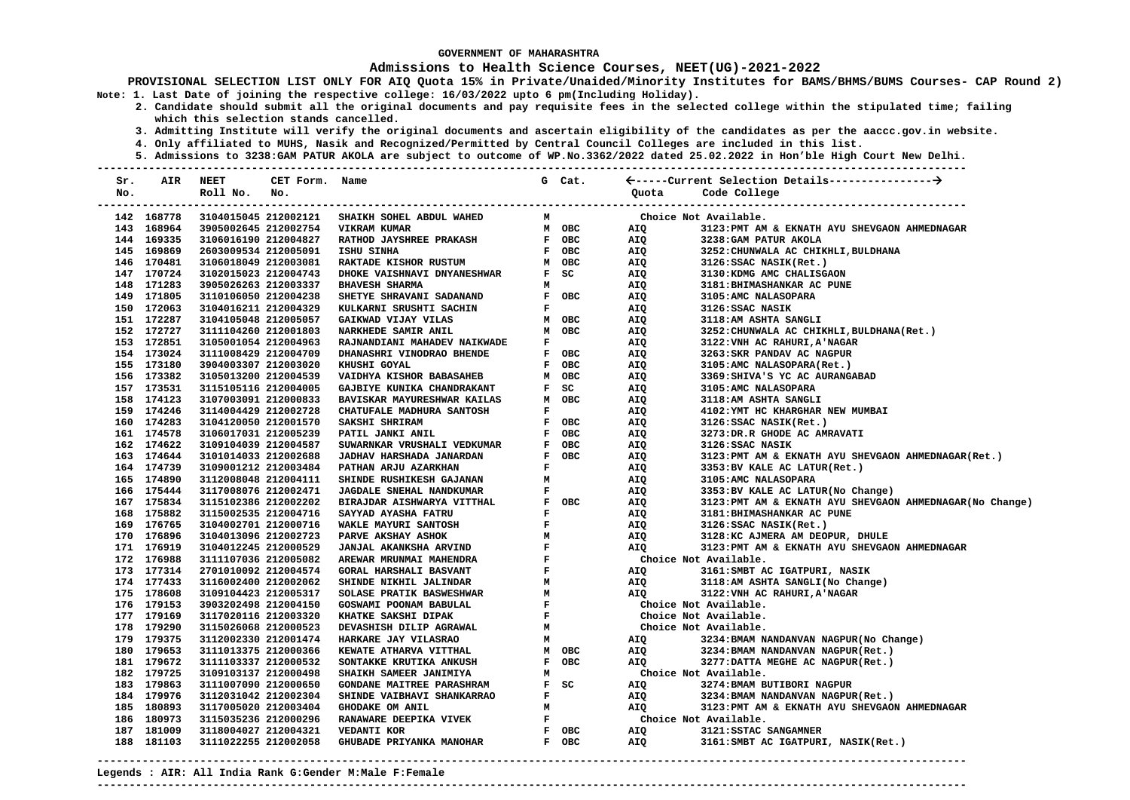### **Admissions to Health Science Courses, NEET(UG)-2021-2022**

**PROVISIONAL SELECTION LIST ONLY FOR AIQ Quota 15% in Private/Unaided/Minority Institutes for BAMS/BHMS/BUMS Courses- CAP Round 2) Note: 1. Last Date of joining the respective college: 16/03/2022 upto 6 pm(Including Holiday).** 

 **2. Candidate should submit all the original documents and pay requisite fees in the selected college within the stipulated time; failing which this selection stands cancelled.** 

- **3. Admitting Institute will verify the original documents and ascertain eligibility of the candidates as per the aaccc.gov.in website.**
- **4. Only affiliated to MUHS, Nasik and Recognized/Permitted by Central Council Colleges are included in this list.**
- **5. Admissions to 3238:GAM PATUR AKOLA are subject to outcome of WP.No.3362/2022 dated 25.02.2022 in Hon'ble High Court New Delhi.**

| Sr. | AIR        | <b>NEET</b>          | CET Form. Name |                                                                                                                                      |              | G Cat. |       |                                                           |
|-----|------------|----------------------|----------------|--------------------------------------------------------------------------------------------------------------------------------------|--------------|--------|-------|-----------------------------------------------------------|
| No. |            | Roll No. No.         |                |                                                                                                                                      |              |        | Ouota | Code College                                              |
|     |            |                      |                |                                                                                                                                      |              |        |       | -------------------------------                           |
|     | 142 168778 | 3104015045 212002121 |                | SHAIKH SOHEL ABDUL WAHED                                                                                                             | M            |        |       | Choice Not Available.                                     |
|     | 143 168964 | 3905002645 212002754 |                | VIKRAM KUMAR                                                                                                                         |              | M OBC  | AIQ   | 3123: PMT AM & EKNATH AYU SHEVGAON AHMEDNAGAR             |
|     | 144 169335 | 3106016190 212004827 |                |                                                                                                                                      |              |        | AIQ   | 3238: GAM PATUR AKOLA                                     |
|     | 145 169869 | 2603009534 212005091 |                |                                                                                                                                      |              |        | AIQ   | 3252: CHUNWALA AC CHIKHLI, BULDHANA                       |
|     | 146 170481 | 3106018049 212003081 |                |                                                                                                                                      |              |        | AIQ   | 3126:SSAC NASIK(Ret.)                                     |
|     | 147 170724 | 3102015023 212004743 |                |                                                                                                                                      |              |        | AIQ   | 3130: KDMG AMC CHALISGAON                                 |
|     | 148 171283 | 3905026263 212003337 |                | RATHOD JAYSHREE PRAKASH FOBC<br>ISHU SINHA FOBC<br>RAKTADE KISHOR RUSTUM MOBC<br>DHOKE VAISHNAVI DNYANESHWAR FSC<br>BHAVESH SHARMA M |              |        | AIQ   | 3181: BHIMASHANKAR AC PUNE                                |
|     | 149 171805 | 3110106050 212004238 |                | SHETYE SHRAVANI SADANAND                                                                                                             |              | F OBC  | AIQ   | 3105:AMC NALASOPARA                                       |
|     | 150 172063 | 3104016211 212004329 |                | KULKARNI SRUSHTI SACHIN                                                                                                              | $\mathbf F$  |        | AIQ   | 3126:SSAC NASIK                                           |
|     | 151 172287 | 3104105048 212005057 |                | GAIKWAD VIJAY VILAS                                                                                                                  |              | M OBC  | AIQ   | 3118:AM ASHTA SANGLI                                      |
|     | 152 172727 | 3111104260 212001803 |                | NARKHEDE SAMIR ANIL                                                                                                                  |              | M OBC  | AIQ   | 3252: CHUNWALA AC CHIKHLI, BULDHANA (Ret.)                |
|     | 153 172851 | 3105001054 212004963 |                | RAJNANDIANI MAHADEV NAIKWADE                                                                                                         | $\mathbf F$  |        | AIQ   | 3122: VNH AC RAHURI, A'NAGAR                              |
|     | 154 173024 | 3111008429 212004709 |                | DHANASHRI VINODRAO BHENDE                                                                                                            |              | F OBC  | AIQ   | 3263: SKR PANDAV AC NAGPUR                                |
|     | 155 173180 | 3904003307 212003020 |                | KHUSHI GOYAL                                                                                                                         | $\mathbf{F}$ | OBC    | AIQ   | 3105:AMC NALASOPARA(Ret.)                                 |
|     | 156 173382 | 3105013200 212004539 |                | VAIDHYA KISHOR BABASAHEB                                                                                                             | M            | OBC    | AIQ   | 3369: SHIVA'S YC AC AURANGABAD                            |
|     | 157 173531 | 3115105116 212004005 |                | GAJBIYE KUNIKA CHANDRAKANT                                                                                                           | $\mathbf{F}$ | SC     | AIQ   | 3105:AMC NALASOPARA                                       |
|     | 158 174123 | 3107003091 212000833 |                | BAVISKAR MAYURESHWAR KAILAS                                                                                                          | M            | OBC    | AIQ   | 3118:AM ASHTA SANGLI                                      |
|     | 159 174246 | 3114004429 212002728 |                | CHATUFALE MADHURA SANTOSH                                                                                                            | $\mathbf F$  |        | AIQ   | 4102: YMT HC KHARGHAR NEW MUMBAI                          |
|     | 160 174283 | 3104120050 212001570 |                | SAKSHI SHRIRAM                                                                                                                       |              | F OBC  | AIQ   | 3126: SSAC NASIK(Ret.)                                    |
|     | 161 174578 | 3106017031 212005239 |                | PATIL JANKI ANIL                                                                                                                     |              | F OBC  | AIQ   | 3273:DR.R GHODE AC AMRAVATI                               |
|     | 162 174622 | 3109104039 212004587 |                | SUWARNKAR VRUSHALI VEDKUMAR                                                                                                          |              | F OBC  | AIQ   | 3126:SSAC NASIK                                           |
|     | 163 174644 | 3101014033 212002688 |                | <b>JADHAV HARSHADA JANARDAN</b>                                                                                                      | $\mathbf{F}$ | OBC    | AIQ   | 3123: PMT AM & EKNATH AYU SHEVGAON AHMEDNAGAR (Ret.)      |
|     | 164 174739 | 3109001212 212003484 |                | PATHAN ARJU AZARKHAN                                                                                                                 | $\mathbf F$  |        | AIQ   | 3353: BV KALE AC LATUR(Ret.)                              |
|     | 165 174890 | 3112008048 212004111 |                | SHINDE RUSHIKESH GAJANAN                                                                                                             | M            |        | AIQ   | 3105:AMC NALASOPARA                                       |
|     | 166 175444 | 3117008076 212002471 |                | <b>JAGDALE SNEHAL NANDKUMAR</b>                                                                                                      | $\mathbf F$  |        | AIQ   | 3353: BV KALE AC LATUR(No Change)                         |
|     | 167 175834 | 3115102386 212002202 |                | BIRAJDAR AISHWARYA VITTHAL                                                                                                           | $\mathbf{F}$ | OBC    | AIQ   | 3123: PMT AM & EKNATH AYU SHEVGAON AHMEDNAGAR (No Change) |
|     | 168 175882 | 3115002535 212004716 |                | SAYYAD AYASHA FATRU                                                                                                                  | $\mathbf F$  |        | AIQ   | 3181: BHIMASHANKAR AC PUNE                                |
|     | 169 176765 | 3104002701 212000716 |                | WAKLE MAYURI SANTOSH                                                                                                                 | $\mathbf F$  |        | AIQ   | 3126: SSAC NASIK(Ret.)                                    |
|     | 170 176896 | 3104013096 212002723 |                | PARVE AKSHAY ASHOK                                                                                                                   | М            |        | AIQ   | 3128:KC AJMERA AM DEOPUR, DHULE                           |
|     | 171 176919 | 3104012245 212000529 |                | <b>JANJAL AKANKSHA ARVIND</b>                                                                                                        | $\mathbf F$  |        | AIQ   | 3123: PMT AM & EKNATH AYU SHEVGAON AHMEDNAGAR             |
|     | 172 176988 | 3111107036 212005082 |                | AREWAR MRUNMAI MAHENDRA                                                                                                              | $\mathbf F$  |        |       | Choice Not Available.                                     |
|     | 173 177314 | 2701010092 212004574 |                | <b>GORAL HARSHALI BASVANT</b>                                                                                                        | $\mathbf F$  |        | AIQ   | 3161: SMBT AC IGATPURI, NASIK                             |
|     | 174 177433 | 3116002400 212002062 |                | SHINDE NIKHIL JALINDAR                                                                                                               | М            |        | AIQ   | 3118:AM ASHTA SANGLI(No Change)                           |
|     | 175 178608 | 3109104423 212005317 |                | <b>SOLASE PRATIK BASWESHWAR</b>                                                                                                      | М            |        | AIQ   | 3122: VNH AC RAHURI, A'NAGAR                              |
|     | 176 179153 | 3903202498 212004150 |                | GOSWAMI POONAM BABULAL                                                                                                               | $\mathbf{F}$ |        |       | Choice Not Available.                                     |
|     | 177 179169 | 3117020116 212003320 |                | KHATKE SAKSHI DIPAK                                                                                                                  | $\mathbf{F}$ |        |       | Choice Not Available.                                     |
|     | 178 179290 | 3115026068 212000523 |                | DEVASHISH DILIP AGRAWAL                                                                                                              | M            |        |       | Choice Not Available.                                     |
|     | 179 179375 | 3112002330 212001474 |                | HARKARE JAY VILASRAO                                                                                                                 | M            |        | AIQ   | 3234: BMAM NANDANVAN NAGPUR (No Change)                   |
|     | 180 179653 | 3111013375 212000366 |                | KEWATE ATHARVA VITTHAL                                                                                                               |              | M OBC  | AIQ   | 3234: BMAM NANDANVAN NAGPUR (Ret.)                        |
|     | 181 179672 | 3111103337 212000532 |                | SONTAKKE KRUTIKA ANKUSH                                                                                                              | $\mathbf{F}$ | OBC    | AIQ   | 3277: DATTA MEGHE AC NAGPUR (Ret.)                        |
|     | 182 179725 | 3109103137 212000498 |                | SHAIKH SAMEER JANIMIYA                                                                                                               | M            |        |       | Choice Not Available.                                     |
|     | 183 179863 | 3111007090 212000650 |                | <b>GONDANE MAITREE PARASHRAM</b>                                                                                                     |              | F SC   | AIQ   | 3274: BMAM BUTIBORI NAGPUR                                |
|     | 184 179976 | 3112031042 212002304 |                | SHINDE VAIBHAVI SHANKARRAO                                                                                                           | $\mathbf F$  |        | AIQ   | 3234: BMAM NANDANVAN NAGPUR (Ret.)                        |
|     | 185 180893 | 3117005020 212003404 |                | GHODAKE OM ANIL                                                                                                                      | M            |        | AIQ   | 3123: PMT AM & EKNATH AYU SHEVGAON AHMEDNAGAR             |
|     | 186 180973 | 3115035236 212000296 |                | RANAWARE DEEPIKA VIVEK                                                                                                               | $\mathbf F$  |        |       | Choice Not Available.                                     |
|     | 187 181009 | 3118004027 212004321 |                | <b>VEDANTI KOR</b>                                                                                                                   |              | F OBC  | AIQ   | 3121: SSTAC SANGAMNER                                     |
|     | 188 181103 | 3111022255 212002058 |                | GHUBADE PRIYANKA MANOHAR                                                                                                             |              | F OBC  | AIQ   | 3161: SMBT AC IGATPURI, NASIK(Ret.)                       |
|     |            |                      |                |                                                                                                                                      |              |        |       |                                                           |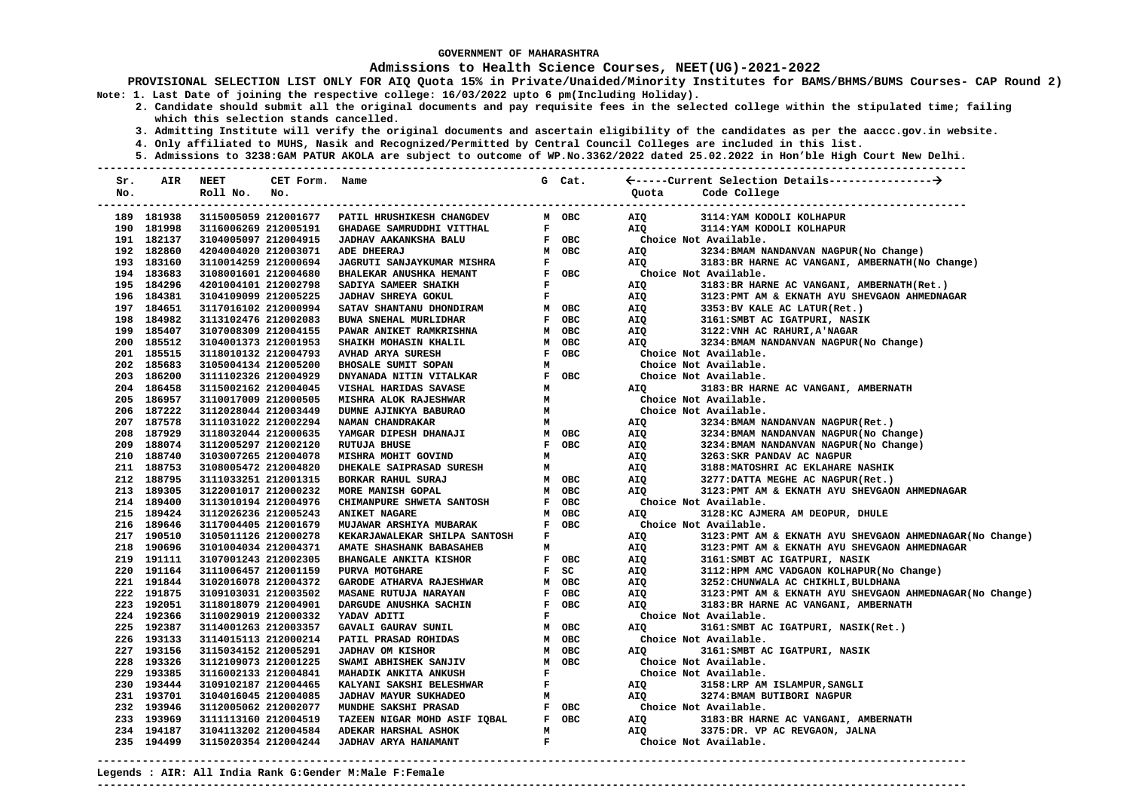### **Admissions to Health Science Courses, NEET(UG)-2021-2022**

- **2. Candidate should submit all the original documents and pay requisite fees in the selected college within the stipulated time; failing which this selection stands cancelled.** 
	- **3. Admitting Institute will verify the original documents and ascertain eligibility of the candidates as per the aaccc.gov.in website.**
	- **4. Only affiliated to MUHS, Nasik and Recognized/Permitted by Central Council Colleges are included in this list.**
	- **5. Admissions to 3238:GAM PATUR AKOLA are subject to outcome of WP.No.3362/2022 dated 25.02.2022 in Hon'ble High Court New Delhi.**

| Sr. | AIR        | <b>NEET</b>          | CET Form. Name |                                              |              | G Cat.    |                       |                                                           |
|-----|------------|----------------------|----------------|----------------------------------------------|--------------|-----------|-----------------------|-----------------------------------------------------------|
| No. |            | Roll No.             | No.            |                                              |              |           | Quota                 | Code College                                              |
|     |            |                      |                |                                              |              |           |                       |                                                           |
|     | 189 181938 | 3115005059 212001677 |                | PATIL HRUSHIKESH CHANGDEV                    |              | M OBC     | AIQ                   | 3114: YAM KODOLI KOLHAPUR                                 |
|     | 190 181998 | 3116006269 212005191 |                | GHADAGE SAMRUDDHI VITTHAL                    | ${\bf F}$    |           | AIO                   | 3114: YAM KODOLI KOLHAPUR                                 |
|     | 191 182137 | 3104005097 212004915 |                | JADHAV AAKANKSHA BALU                        |              | F OBC     |                       | Choice Not Available.                                     |
|     | 192 182860 | 4204004020 212003071 |                | ADE DHEERAJ                                  |              | M OBC     | AIQ                   | 3234: BMAM NANDANVAN NAGPUR (No Change)                   |
|     | 193 183160 | 3110014259 212000694 |                | <b>JAGRUTI SANJAYKUMAR MISHRA</b>            | $\mathbf F$  |           | AIQ                   | 3183: BR HARNE AC VANGANI, AMBERNATH (No Change)          |
|     | 194 183683 | 3108001601 212004680 |                | BHALEKAR ANUSHKA HEMANT                      | $\mathbf{F}$ | OBC       |                       | Choice Not Available.                                     |
|     | 195 184296 | 4201004101 212002798 |                | SADIYA SAMEER SHAIKH                         | $\mathbf F$  |           | AIQ                   | 3183: BR HARNE AC VANGANI, AMBERNATH (Ret.)               |
|     | 196 184381 | 3104109099 212005225 |                | JADHAV SHREYA GOKUL                          | $\mathbf F$  |           | AIQ                   | 3123: PMT AM & EKNATH AYU SHEVGAON AHMEDNAGAR             |
|     | 197 184651 | 3117016102 212000994 |                | SATAV SHANTANU DHONDIRAM                     | M            | OBC       | AIQ                   | 3353: BV KALE AC LATUR(Ret.)                              |
|     | 198 184982 | 3113102476 212002083 |                | BUWA SNEHAL MURLIDHAR                        |              | F OBC     | AIQ                   | 3161: SMBT AC IGATPURI, NASIK                             |
|     | 199 185407 | 3107008309 212004155 |                | <b>PAWAR ANIKET RAMKRISHNA</b>               |              | M OBC     | AIQ                   | 3122: VNH AC RAHURI, A'NAGAR                              |
|     | 200 185512 | 3104001373 212001953 |                | SHAIKH MOHASIN KHALIL                        | $\,$ M       | OBC       | AIQ                   | 3234: BMAM NANDANVAN NAGPUR (No Change)                   |
|     | 201 185515 | 3118010132 212004793 |                | AVHAD ARYA SURESH                            |              | F OBC     |                       | Choice Not Available.                                     |
|     | 202 185683 | 3105004134 212005200 |                | BHOSALE SUMIT SOPAN                          | M            |           |                       | Choice Not Available.                                     |
|     | 203 186200 | 3111102326 212004929 |                | DNYANADA NITIN VITALKAR                      |              | F OBC     |                       | Choice Not Available.                                     |
|     | 204 186458 | 3115002162 212004045 |                | VISHAL HARIDAS SAVASE                        | М            |           | AIQ                   | 3183: BR HARNE AC VANGANI, AMBERNATH                      |
|     | 205 186957 | 3110017009 212000505 |                | MISHRA ALOK RAJESHWAR                        | М            |           |                       | Choice Not Available.                                     |
|     | 206 187222 | 3112028044 212003449 |                | DUMNE AJINKYA BABURAO                        | М            |           |                       | Choice Not Available.                                     |
|     | 207 187578 | 3111031022 212002294 |                | NAMAN CHANDRAKAR                             | M            |           | AIQ                   | 3234: BMAM NANDANVAN NAGPUR (Ret.)                        |
|     | 208 187929 | 3118032044 212000635 |                | YAMGAR DIPESH DHANAJI                        |              | M OBC     | AIQ                   | 3234: BMAM NANDANVAN NAGPUR (No Change)                   |
|     | 209 188074 | 3112005297 212002120 |                | <b>RUTUJA BHUSE</b>                          | $\mathbf{F}$ | OBC       | AIQ                   | 3234: BMAM NANDANVAN NAGPUR (No Change)                   |
|     | 210 188740 | 3103007265 212004078 |                | MISHRA MOHIT GOVIND                          | M            |           | AIQ                   | 3263: SKR PANDAV AC NAGPUR                                |
|     | 211 188753 | 3108005472 212004820 |                | DHEKALE SAIPRASAD SURESH                     | M            |           | AIQ                   | 3188: MATOSHRI AC EKLAHARE NASHIK                         |
|     | 212 188795 | 3111033251 212001315 |                | BORKAR RAHUL SURAJ                           |              | M OBC     | AIQ                   | 3277: DATTA MEGHE AC NAGPUR (Ret.)                        |
|     | 213 189305 | 3122001017 212000232 |                | MORE MANISH GOPAL                            | M            | OBC       | AIO                   | 3123: PMT AM & EKNATH AYU SHEVGAON AHMEDNAGAR             |
|     | 214 189400 | 3113010194 212004976 |                | CHIMANPURE SHWETA SANTOSH                    | $F$ OBC      |           |                       | Choice Not Available.                                     |
|     | 215 189424 | 3112026236 212005243 |                | <b>ANIKET NAGARE</b>                         |              | M OBC     | <b>AIQ</b>            | 3128:KC AJMERA AM DEOPUR, DHULE                           |
|     | 216 189646 | 3117004405 212001679 |                | MUJAWAR ARSHIYA MUBARAK                      |              | F OBC     |                       | Choice Not Available.                                     |
|     | 217 190510 | 3105011126 212000278 |                | KEKARJAWALEKAR SHILPA SANTOSH                | F            |           | AIQ                   | 3123: PMT AM & EKNATH AYU SHEVGAON AHMEDNAGAR (No Change) |
|     | 218 190696 | 3101004034 212004371 |                | AMATE SHASHANK BABASAHEB                     | M            |           | AIQ                   | 3123: PMT AM & EKNATH AYU SHEVGAON AHMEDNAGAR             |
|     | 219 191111 | 3107001243 212002305 |                | <b>BHANGALE ANKITA KISHOR</b>                | $\mathbf{F}$ | OBC       | AIQ                   | 3161: SMBT AC IGATPURI, NASIK                             |
|     | 220 191164 | 3111006457 212001159 |                | PURVA MOTGHARE                               | $\mathbf{F}$ | <b>SC</b> | AIQ                   | 3112: HPM AMC VADGAON KOLHAPUR (No Change)                |
|     | 221 191844 | 3102016078 212004372 |                | <b>GARODE ATHARVA RAJESHWAR</b>              |              | M OBC     | AIQ                   | 3252: CHUNWALA AC CHIKHLI, BULDHANA                       |
|     | 222 191875 | 3109103031 212003502 |                | <b>MASANE RUTUJA NARAYAN</b>                 |              | F OBC     | AIQ                   | 3123: PMT AM & EKNATH AYU SHEVGAON AHMEDNAGAR (No Change) |
|     | 223 192051 | 3118018079 212004901 |                | DARGUDE ANUSHKA SACHIN                       | $\mathbf{F}$ | OBC       | AIO                   | 3183: BR HARNE AC VANGANI, AMBERNATH                      |
|     | 224 192366 | 3110029019 212000332 |                | YADAV ADITI                                  | $\mathbf F$  |           |                       | Choice Not Available.                                     |
|     | 225 192387 | 3114001263 212003357 |                | GAVALI GAURAV SUNIL                          | M            | OBC       | AIQ                   | 3161: SMBT AC IGATPURI, NASIK(Ret.)                       |
|     | 226 193133 | 3114015113 212000214 |                | PATIL PRASAD ROHIDAS                         | M            | OBC       |                       | Choice Not Available.                                     |
|     | 227 193156 | 3115034152 212005291 |                | <b>JADHAV OM KISHOR</b>                      | M            | OBC       | AIO                   | 3161: SMBT AC IGATPURI, NASIK                             |
|     | 228 193326 | 3112109073 212001225 |                | SWAMI ABHISHEK SANJIV                        | М            | OBC       |                       | Choice Not Available.                                     |
|     | 229 193385 | 3116002133 212004841 |                | MAHADIK ANKITA ANKUSH                        | $\mathbf F$  |           |                       | Choice Not Available.                                     |
|     | 230 193444 | 3109102187 212004465 |                | KALYANI SAKSHI BELESHWAR                     | $\mathbf F$  |           | AIQ                   | 3158:LRP AM ISLAMPUR, SANGLI                              |
|     | 231 193701 | 3104016045 212004085 |                | JADHAV MAYUR SUKHADEO                        | M            |           | AIO                   | 3274: BMAM BUTIBORI NAGPUR                                |
|     | 232 193946 | 3112005062 212002077 |                | MUNDHE SAKSHI PRASAD                         |              | F OBC     | Choice Not Available. |                                                           |
|     | 233 193969 | 3111113160 212004519 |                | <b>IQBAL</b><br>TAZEEN NIGAR MOHD ASIF IQBAL |              | F OBC     | AIQ                   | 3183: BR HARNE AC VANGANI, AMBERNATH                      |
|     | 234 194187 | 3104113202 212004584 |                | ADEKAR HARSHAL ASHOK                         | M            |           | AIO                   | 3375:DR. VP AC REVGAON, JALNA                             |
|     | 235 194499 | 3115020354 212004244 |                | JADHAV ARYA HANAMANT                         | $\mathbf{F}$ |           |                       | Choice Not Available.                                     |
|     |            |                      |                |                                              |              |           |                       |                                                           |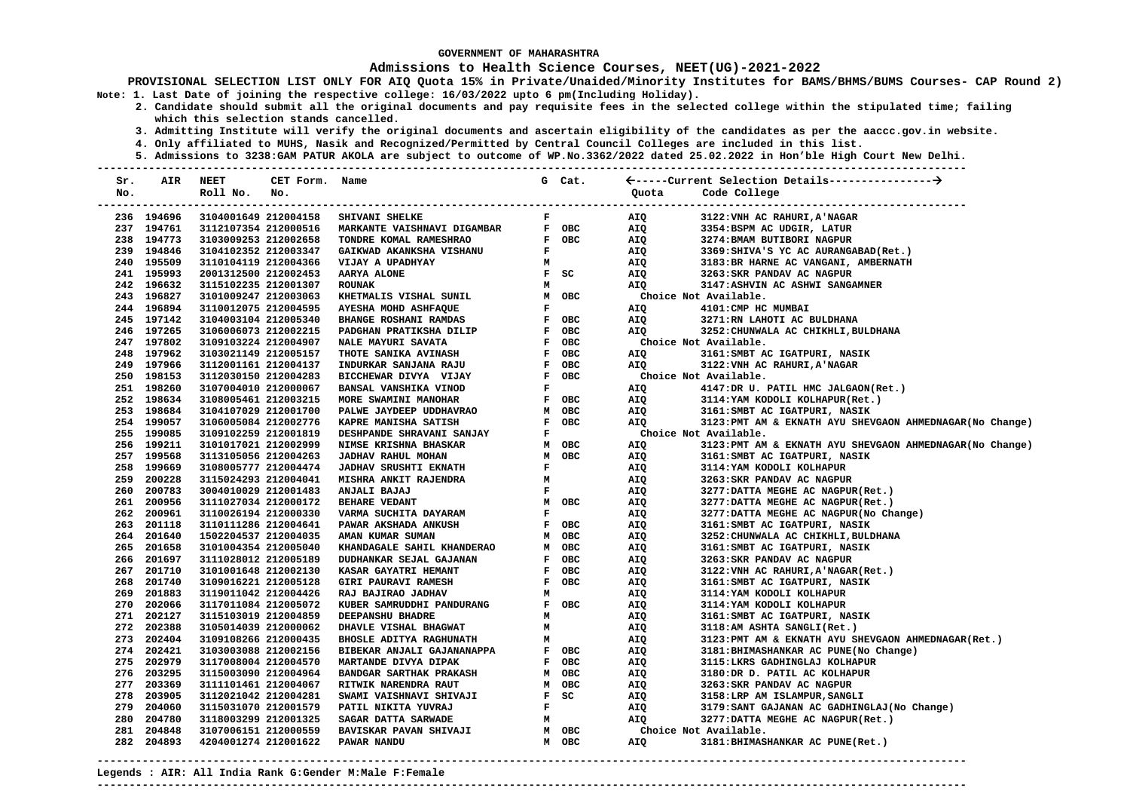# **Admissions to Health Science Courses, NEET(UG)-2021-2022**

- **2. Candidate should submit all the original documents and pay requisite fees in the selected college within the stipulated time; failing which this selection stands cancelled.** 
	- **3. Admitting Institute will verify the original documents and ascertain eligibility of the candidates as per the aaccc.gov.in website.**
	- **4. Only affiliated to MUHS, Nasik and Recognized/Permitted by Central Council Colleges are included in this list.**
	- **5. Admissions to 3238:GAM PATUR AKOLA are subject to outcome of WP.No.3362/2022 dated 25.02.2022 in Hon'ble High Court New Delhi.**

| Sr. | AIR        | <b>NEET</b>                                  | CET Form. Name |                                                                                                                                                                                                                                                                                                                                                                                                                                                                   |              | G Cat. |            |                                                             |
|-----|------------|----------------------------------------------|----------------|-------------------------------------------------------------------------------------------------------------------------------------------------------------------------------------------------------------------------------------------------------------------------------------------------------------------------------------------------------------------------------------------------------------------------------------------------------------------|--------------|--------|------------|-------------------------------------------------------------|
| No. |            | Roll No.                                     | No.            |                                                                                                                                                                                                                                                                                                                                                                                                                                                                   |              |        | Quota      | Code College                                                |
|     |            |                                              |                | SHIVANI SHELKE<br>MARKANTE VAISHNAVI DIGAMBAR<br>ARKANTE VAISHNAVI DIGAMBAR                                                                                                                                                                                                                                                                                                                                                                                       |              |        |            |                                                             |
|     | 236 194696 | 3104001649 212004158                         |                |                                                                                                                                                                                                                                                                                                                                                                                                                                                                   | $\mathbf{F}$ |        | AIQ        | 3122: VNH AC RAHURI, A'NAGAR                                |
|     | 237 194761 | 3112107354 212000516                         |                |                                                                                                                                                                                                                                                                                                                                                                                                                                                                   |              | F OBC  | AIQ        | 3354:BSPM AC UDGIR, LATUR                                   |
|     | 238 194773 | 3103009253 212002658                         |                |                                                                                                                                                                                                                                                                                                                                                                                                                                                                   |              | F OBC  | AIQ        | 3274: BMAM BUTIBORI NAGPUR                                  |
|     | 239 194846 | 3104102352 212003347                         |                |                                                                                                                                                                                                                                                                                                                                                                                                                                                                   | $\mathbf{F}$ |        | AIQ        | 3369: SHIVA'S YC AC AURANGABAD (Ret.)                       |
|     | 240 195509 | 3110104119 212004366                         |                | VIJAY A UPADHYAY                                                                                                                                                                                                                                                                                                                                                                                                                                                  | M            |        | AIQ        | 3183: BR HARNE AC VANGANI, AMBERNATH                        |
|     | 241 195993 | 2001312500 212002453                         |                | AARYA ALONE                                                                                                                                                                                                                                                                                                                                                                                                                                                       |              | F SC   | AIQ        | 3263: SKR PANDAV AC NAGPUR                                  |
|     | 242 196632 | 3115102235 212001307                         |                | <b>ROUNAK</b>                                                                                                                                                                                                                                                                                                                                                                                                                                                     | М            |        | AIQ        | 3147: ASHVIN AC ASHWI SANGAMNER                             |
|     | 243 196827 | 3101009247 212003063                         |                | KHETMALIS VISHAL SUNIL                                                                                                                                                                                                                                                                                                                                                                                                                                            |              |        |            | Choice Not Available.                                       |
|     | 244 196894 | 3110012075 212004595                         |                | AYESHA MOHD ASHFAQUE                                                                                                                                                                                                                                                                                                                                                                                                                                              |              |        | AIQ        | 4101: CMP HC MUMBAI                                         |
|     | 245 197142 | 3104003104 212005340                         |                | <b>BHANGE ROSHANI RAMDAS</b>                                                                                                                                                                                                                                                                                                                                                                                                                                      |              |        | AIQ        | 3271:RN LAHOTI AC BULDHANA                                  |
|     | 246 197265 | 3106006073 212002215                         |                | PADGHAN PRATIKSHA DILIP                                                                                                                                                                                                                                                                                                                                                                                                                                           |              |        | AIO        | 3252: CHUNWALA AC CHIKHLI, BULDHANA                         |
|     | 247 197802 | 3109103224 212004907                         |                | NALE MAYURI SAVATA                                                                                                                                                                                                                                                                                                                                                                                                                                                |              |        |            | Choice Not Available.                                       |
|     | 248 197962 | 3103021149 212005157                         |                | THOTE SANIKA AVINASH                                                                                                                                                                                                                                                                                                                                                                                                                                              |              |        | AIQ        | 3161: SMBT AC IGATPURI, NASIK                               |
|     | 249 197966 | 3112001161 212004137                         |                | INDURKAR SANJANA RAJU                                                                                                                                                                                                                                                                                                                                                                                                                                             |              |        | AIO        | 3122: VNH AC RAHURI, A'NAGAR                                |
|     | 250 198153 | 3112030150 212004283                         |                | M OBC<br>F OBC<br>F OBC<br>F OBC<br>F OBC<br>F OBC<br>F OBC<br>F OBC<br>BICCHEWAR DIVYA VIJAY                                                                                                                                                                                                                                                                                                                                                                     |              |        |            | Choice Not Available.                                       |
|     | 251 198260 | 3107004010 212000067                         |                | BANSAL VANSHIKA VINOD                                                                                                                                                                                                                                                                                                                                                                                                                                             |              |        | AIQ        | 4147:DR U. PATIL HMC JALGAON(Ret.)                          |
|     | 252 198634 | 3108005461 212003215                         |                | MORE SWAMINI MANOHAR                                                                                                                                                                                                                                                                                                                                                                                                                                              | $\mathbf{F}$ | OBC    | AIQ        | 3114: YAM KODOLI KOLHAPUR (Ret.)                            |
|     | 253 198684 | 3104107029 212001700                         |                | PALWE JAYDEEP UDDHAVRAO                                                                                                                                                                                                                                                                                                                                                                                                                                           |              | M OBC  | AIQ        | 3161: SMBT AC IGATPURI, NASIK                               |
|     | 254 199057 | 3106005084 212002776                         |                | KAPRE MANISHA SATISH                                                                                                                                                                                                                                                                                                                                                                                                                                              |              | F OBC  | AIQ        | 3123: PMT AM & EKNATH AYU SHEVGAON AHMEDNAGAR (No Change)   |
|     | 255 199085 | 3109102259 212001819                         |                | <b>DESHPANDE SHRAVANI SANJAY</b>                                                                                                                                                                                                                                                                                                                                                                                                                                  | $\mathbf F$  |        |            | Choice Not Available.                                       |
|     | 256 199211 | 3101017021 212002999                         |                | NIMSE KRISHNA BHASKAR                                                                                                                                                                                                                                                                                                                                                                                                                                             |              | M OBC  | AIQ        | 3123: PMT AM & EKNATH AYU SHEVGAON AHMEDNAGAR (No Change)   |
|     | 257 199568 | 3113105056 212004263                         |                | JADHAV RAHUL MOHAN                                                                                                                                                                                                                                                                                                                                                                                                                                                |              | M OBC  | AIQ        | 3161: SMBT AC IGATPURI, NASIK                               |
|     | 258 199669 | 3108005777 212004474                         |                | <b>JADHAV SRUSHTI EKNATH</b>                                                                                                                                                                                                                                                                                                                                                                                                                                      | $\mathbf F$  |        | AIQ        | 3114: YAM KODOLI KOLHAPUR                                   |
|     | 259 200228 | 3115024293 212004041                         |                | MISHRA ANKIT RAJENDRA                                                                                                                                                                                                                                                                                                                                                                                                                                             | м            |        | AIQ        | 3263: SKR PANDAV AC NAGPUR                                  |
|     | 260 200783 | 3004010029 212001483                         |                | ANJALI BAJAJ                                                                                                                                                                                                                                                                                                                                                                                                                                                      | $\mathbf F$  |        | AIQ        | 3277: DATTA MEGHE AC NAGPUR (Ret.)                          |
|     | 261 200956 | 3111027034 212000172                         |                | <b>BEHARE VEDANT</b>                                                                                                                                                                                                                                                                                                                                                                                                                                              |              | M OBC  | AIQ        | 3277: DATTA MEGHE AC NAGPUR (Ret.)                          |
|     | 262 200961 | 3110026194 212000330                         |                | VARMA SUCHITA DAYARAM                                                                                                                                                                                                                                                                                                                                                                                                                                             | $\mathbf F$  |        | AIQ        | 3277: DATTA MEGHE AC NAGPUR (No Change)                     |
|     | 263 201118 | 3110111286 212004641                         |                |                                                                                                                                                                                                                                                                                                                                                                                                                                                                   |              |        | AIQ        | 3161: SMBT AC IGATPURI, NASIK                               |
| 264 | 201640     | 1502204537 212004035                         |                |                                                                                                                                                                                                                                                                                                                                                                                                                                                                   |              |        | AIQ        | 3252: CHUNWALA AC CHIKHLI, BULDHANA                         |
| 265 | 201658     | 3101004354 212005040                         |                |                                                                                                                                                                                                                                                                                                                                                                                                                                                                   |              |        | AIQ        | 3161: SMBT AC IGATPURI, NASIK                               |
|     | 266 201697 | 3111028012 212005189                         |                |                                                                                                                                                                                                                                                                                                                                                                                                                                                                   |              |        | AIQ        | 3263: SKR PANDAV AC NAGPUR                                  |
| 267 | 201710     | 3101001648 212002130                         |                |                                                                                                                                                                                                                                                                                                                                                                                                                                                                   |              |        | AIQ        | 3122: VNH AC RAHURI, A'NAGAR (Ret.)                         |
|     | 268 201740 | 3109016221 212005128                         |                | GIRI PAURAVI RAMESH                                                                                                                                                                                                                                                                                                                                                                                                                                               | $\mathbf F$  | OBC    | AIQ        | 3161: SMBT AC IGATPURI, NASIK                               |
|     | 269 201883 | 3119011042 212004426                         |                | RAJ BAJIRAO JADHAV                                                                                                                                                                                                                                                                                                                                                                                                                                                | M            |        | AIQ        | 3114: YAM KODOLI KOLHAPUR                                   |
|     | 270 202066 | 3117011084 212005072                         |                | KUBER SAMRUDDHI PANDURANG                                                                                                                                                                                                                                                                                                                                                                                                                                         |              | F OBC  | AIQ        | 3114: YAM KODOLI KOLHAPUR                                   |
|     | 271 202127 | 3115103019 212004859                         |                | DEEPANSHU BHADRE                                                                                                                                                                                                                                                                                                                                                                                                                                                  | М            |        | <b>AIQ</b> | 3161: SMBT AC IGATPURI, NASIK                               |
| 272 | 202388     | 3105014039 212000062                         |                | DHAVLE VISHAL BHAGWAT                                                                                                                                                                                                                                                                                                                                                                                                                                             | M            |        | AIQ        | 3118:AM ASHTA SANGLI(Ret.)                                  |
| 273 | 202404     | 3109108266 212000435                         |                | <b>BHOSLE ADITYA RAGHUNATH</b>                                                                                                                                                                                                                                                                                                                                                                                                                                    | м            |        | AIQ        | 3123: PMT AM & EKNATH AYU SHEVGAON AHMEDNAGAR (Ret.)        |
|     | 274 202421 | 3103003088 212002156                         |                |                                                                                                                                                                                                                                                                                                                                                                                                                                                                   |              |        | AIQ        | 3181: BHIMASHANKAR AC PUNE (No Change)                      |
|     | 275 202979 | 3117008004 212004570                         |                |                                                                                                                                                                                                                                                                                                                                                                                                                                                                   |              |        | AIQ        | 3115:LKRS GADHINGLAJ KOLHAPUR                               |
|     | 276 203295 | 3115003090 212004964                         |                |                                                                                                                                                                                                                                                                                                                                                                                                                                                                   |              |        | AIQ        | 3180:DR D. PATIL AC KOLHAPUR                                |
|     | 277 203369 | 3111101461 212004067                         |                |                                                                                                                                                                                                                                                                                                                                                                                                                                                                   |              |        |            |                                                             |
| 278 | 203905     | 3112021042 212004281                         |                |                                                                                                                                                                                                                                                                                                                                                                                                                                                                   |              |        | AIQ<br>AIQ | 3263: SKR PANDAV AC NAGPUR<br>3158:LRP AM ISLAMPUR, SANGLI  |
|     | 279 204060 | 3115031070 212001579                         |                |                                                                                                                                                                                                                                                                                                                                                                                                                                                                   |              |        | AIQ        |                                                             |
|     | 204780     |                                              |                |                                                                                                                                                                                                                                                                                                                                                                                                                                                                   |              |        |            | 3179: SANT GAJANAN AC GADHINGLAJ (No Change)                |
| 280 | 281 204848 | 3118003299 212001325<br>3107006151 212000559 |                | $\begin{tabular}{ccccc} & $\cdots$ and APPA & & P\\ & & $\cdots$ & & P\\ & & & $\cdots$ & & P\\ \hline \end{tabular}$<br>$\begin{tabular}{ccccc} \multicolumn{3}{c}{\textbf{N}N}\multicolumn{3}{c}{\textbf{N}N}\multicolumn{3}{c}{\textbf{N}N}\multicolumn{3}{c}{\textbf{N}N}\multicolumn{3}{c}{\textbf{N}N}\multicolumn{3}{c}{\textbf{N}N}\multicolumn{3}{c}{\textbf{N}N}\multicolumn{3}{c}{\textbf{N}N}\multicolumn{3}{c}{\textbf{N}N}\multicolumn{3}{c}{\text$ |              |        | AIQ        | 3277: DATTA MEGHE AC NAGPUR (Ret.)<br>Choice Not Available. |
|     | 282 204893 | 4204001274 212001622                         |                |                                                                                                                                                                                                                                                                                                                                                                                                                                                                   |              |        |            |                                                             |
|     |            |                                              |                |                                                                                                                                                                                                                                                                                                                                                                                                                                                                   |              |        | AIQ        | 3181: BHIMASHANKAR AC PUNE(Ret.)                            |
|     |            |                                              |                |                                                                                                                                                                                                                                                                                                                                                                                                                                                                   |              |        |            |                                                             |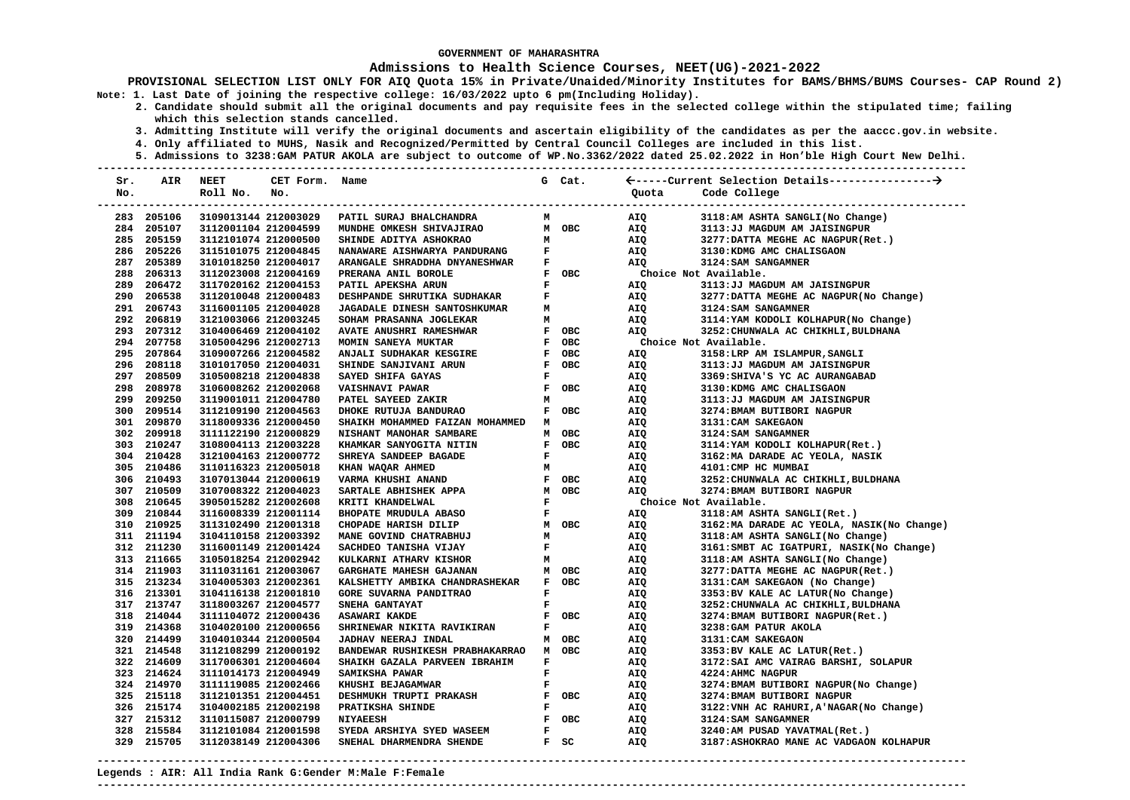### **Admissions to Health Science Courses, NEET(UG)-2021-2022**

**PROVISIONAL SELECTION LIST ONLY FOR AIQ Quota 15% in Private/Unaided/Minority Institutes for BAMS/BHMS/BUMS Courses- CAP Round 2) Note: 1. Last Date of joining the respective college: 16/03/2022 upto 6 pm(Including Holiday).** 

- **2. Candidate should submit all the original documents and pay requisite fees in the selected college within the stipulated time; failing which this selection stands cancelled.** 
	- **3. Admitting Institute will verify the original documents and ascertain eligibility of the candidates as per the aaccc.gov.in website.**
	- **4. Only affiliated to MUHS, Nasik and Recognized/Permitted by Central Council Colleges are included in this list.**
- **5. Admissions to 3238:GAM PATUR AKOLA are subject to outcome of WP.No.3362/2022 dated 25.02.2022 in Hon'ble High Court New Delhi. ---------------------------------------------------------------------------------------------------------------------------------------**

| Sr. | AIR        | <b>NEET</b>            | CET Form. | Name                                  |              | G Cat.       |                       |                                            |
|-----|------------|------------------------|-----------|---------------------------------------|--------------|--------------|-----------------------|--------------------------------------------|
| No. |            | Roll No.               | No.       |                                       |              |              | Quota                 | Code College                               |
|     |            | ---------------------- |           |                                       |              |              |                       |                                            |
|     | 283 205106 | 3109013144 212003029   |           | PATIL SURAJ BHALCHANDRA               | м            |              | AIQ                   | 3118:AM ASHTA SANGLI(No Change)            |
|     | 284 205107 | 3112001104 212004599   |           | MUNDHE OMKESH SHIVAJIRAO              |              | M OBC        | AIQ                   | 3113:JJ MAGDUM AM JAISINGPUR               |
|     | 285 205159 | 3112101074 212000500   |           | SHINDE ADITYA ASHOKRAO                | M            |              | AIO                   | 3277: DATTA MEGHE AC NAGPUR (Ret.)         |
|     | 286 205226 | 3115101075 212004845   |           | NANAWARE AISHWARYA PANDURANG          | $\mathbf{F}$ |              | AIQ                   | 3130: KDMG AMC CHALISGAON                  |
|     | 287 205389 | 3101018250 212004017   |           | ARANGALE SHRADDHA DNYANESHWAR         | $\mathbf{F}$ |              | AIO                   | 3124: SAM SANGAMNER                        |
|     | 288 206313 | 3112023008 212004169   |           | PRERANA ANIL BOROLE                   |              | F OBC        | Choice Not Available. |                                            |
|     | 289 206472 | 3117020162 212004153   |           | PATIL APEKSHA ARUN                    | $\mathbf{F}$ |              | AIO                   | 3113: JJ MAGDUM AM JAISINGPUR              |
|     | 290 206538 | 3112010048 212000483   |           | DESHPANDE SHRUTIKA SUDHAKAR           | $\mathbf{F}$ |              | AIQ                   | 3277: DATTA MEGHE AC NAGPUR (No Change)    |
|     | 291 206743 | 3116001105 212004028   |           | <b>JAGADALE DINESH SANTOSHKUMAR</b>   | м            |              | AIQ                   | 3124: SAM SANGAMNER                        |
|     | 292 206819 | 3121003066 212003245   |           | SOHAM PRASANNA JOGLEKAR               | м            |              | AIQ                   | 3114: YAM KODOLI KOLHAPUR (No Change)      |
|     | 293 207312 | 3104006469 212004102   |           | <b>AVATE ANUSHRI RAMESHWAR</b>        |              | F OBC        | AIQ                   | 3252: CHUNWALA AC CHIKHLI, BULDHANA        |
|     | 294 207758 | 3105004296 212002713   |           | MOMIN SANEYA MUKTAR                   |              | F OBC        | Choice Not Available. |                                            |
|     | 295 207864 | 3109007266 212004582   |           | ANJALI SUDHAKAR KESGIRE               |              | F OBC        | AIQ                   | 3158:LRP AM ISLAMPUR, SANGLI               |
|     | 296 208118 | 3101017050 212004031   |           | SHINDE SANJIVANI ARUN                 |              | F OBC        | AIQ                   | 3113:JJ MAGDUM AM JAISINGPUR               |
|     | 297 208509 | 3105008218 212004838   |           | SAYED SHIFA GAYAS                     | $\mathbf{F}$ |              | AIQ                   | 3369: SHIVA'S YC AC AURANGABAD             |
|     | 298 208978 | 3106008262 212002068   |           | VAISHNAVI PAWAR                       |              | F OBC        | AIQ                   | 3130:KDMG AMC CHALISGAON                   |
|     | 299 209250 | 3119001011 212004780   |           | PATEL SAYEED ZAKIR                    | м            |              | AIQ                   | 3113:JJ MAGDUM AM JAISINGPUR               |
|     | 300 209514 | 3112109190 212004563   |           | DHOKE RUTUJA BANDURAO                 |              | F OBC        | AIQ                   | 3274: BMAM BUTIBORI NAGPUR                 |
|     | 301 209870 | 3118009336 212000450   |           | SHAIKH MOHAMMED FAIZAN MOHAMMED M     |              |              | AIQ                   | 3131: CAM SAKEGAON                         |
|     | 302 209918 | 3111122190 212000829   |           | NISHANT MANOHAR SAMBARE               |              | M OBC        | AIQ                   | 3124: SAM SANGAMNER                        |
|     | 303 210247 | 3108004113 212003228   |           | KHAMKAR SANYOGITA NITIN               |              | F OBC        | AIQ                   | 3114: YAM KODOLI KOLHAPUR (Ret.)           |
|     | 304 210428 | 3121004163 212000772   |           | SHREYA SANDEEP BAGADE                 | $\mathbf{F}$ |              | AIQ                   | 3162: MA DARADE AC YEOLA, NASIK            |
|     | 305 210486 | 3110116323 212005018   |           | KHAN WAQAR AHMED                      | м            |              | AIQ                   | 4101: CMP HC MUMBAI                        |
|     | 306 210493 | 3107013044 212000619   |           | VARMA KHUSHI ANAND                    |              | F OBC        | AIQ                   | 3252: CHUNWALA AC CHIKHLI, BULDHANA        |
|     | 307 210509 | 3107008322 212004023   |           | SARTALE ABHISHEK APPA                 |              | M OBC        | AIQ                   | 3274: BMAM BUTIBORI NAGPUR                 |
|     | 308 210645 | 3905015282 212002608   |           | KRITI KHANDELWAL                      | $\mathbf{F}$ |              | Choice Not Available. |                                            |
|     | 309 210844 | 3116008339 212001114   |           | BHOPATE MRUDULA ABASO                 |              | $\mathbf{F}$ | AIQ                   | 3118:AM ASHTA SANGLI(Ret.)                 |
|     | 310 210925 | 3113102490 212001318   |           | CHOPADE HARISH DILIP                  |              | M OBC        | AIQ                   | 3162: MA DARADE AC YEOLA, NASIK(No Change) |
|     | 311 211194 | 3104110158 212003392   |           | MANE GOVIND CHATRABHUJ                | M            |              | AIQ                   | 3118:AM ASHTA SANGLI(No Change)            |
|     | 312 211230 | 3116001149 212001424   |           | SACHDEO TANISHA VIJAY                 | $\mathbf{F}$ |              | AIQ                   | 3161: SMBT AC IGATPURI, NASIK(No Change)   |
|     | 313 211665 | 3105018254 212002942   |           | KULKARNI ATHARV KISHOR                | M            |              | AIQ                   | 3118:AM ASHTA SANGLI(No Change)            |
|     | 314 211903 | 3111031161 212003067   |           | <b>GARGHATE MAHESH GAJANAN</b>        |              | M OBC        | AIQ                   | 3277: DATTA MEGHE AC NAGPUR (Ret.)         |
|     | 315 213234 | 3104005303 212002361   |           | KALSHETTY AMBIKA CHANDRASHEKAR        |              | F OBC        | AIQ                   | 3131: CAM SAKEGAON (No Change)             |
|     | 316 213301 | 3104116138 212001810   |           | GORE SUVARNA PANDITRAO                | $\mathbf{F}$ |              | AIQ                   | 3353: BV KALE AC LATUR (No Change)         |
|     | 317 213747 | 3118003267 212004577   |           | SNEHA GANTAYAT                        | $\mathbf{F}$ |              | AIQ                   | 3252: CHUNWALA AC CHIKHLI, BULDHANA        |
|     | 318 214044 | 3111104072 212000436   |           | <b>ASAWARI KAKDE</b>                  |              | F OBC        | AIQ                   | 3274: BMAM BUTIBORI NAGPUR (Ret.)          |
|     | 319 214368 | 3104020100 212000656   |           | SHRINEWAR NIKITA RAVIKIRAN            | $\mathbf{F}$ |              | AIQ                   | 3238: GAM PATUR AKOLA                      |
|     | 320 214499 | 3104010344 212000504   |           | <b>JADHAV NEERAJ INDAL</b>            |              | M OBC        | AIQ                   | 3131: CAM SAKEGAON                         |
|     | 321 214548 | 3112108299 212000192   |           | BANDEWAR RUSHIKESH PRABHAKARRAO M OBC |              |              | AIQ                   | 3353:BV KALE AC LATUR(Ret.)                |
|     | 322 214609 | 3117006301 212004604   |           | SHAIKH GAZALA PARVEEN IBRAHIM         | $\mathbf{F}$ |              | AIQ                   | 3172: SAI AMC VAIRAG BARSHI, SOLAPUR       |
|     | 323 214624 | 3111014173 212004949   |           | SAMIKSHA PAWAR                        | $\mathbf F$  |              | AIQ                   | 4224: AHMC NAGPUR                          |
|     | 324 214970 | 3111119085 212002466   |           | KHUSHI BEJAGAMWAR                     | F            |              | AIQ                   | 3274: BMAM BUTIBORI NAGPUR (No Change)     |
|     | 325 215118 | 3112101351 212004451   |           | <b>DESHMUKH TRUPTI PRAKASH</b>        |              | F OBC        | AIQ                   | 3274: BMAM BUTIBORI NAGPUR                 |
|     | 326 215174 | 3104002185 212002198   |           | PRATIKSHA SHINDE                      | $\mathbf{F}$ |              | AIQ                   | 3122: VNH AC RAHURI, A'NAGAR (No Change)   |
|     | 327 215312 | 3110115087 212000799   |           | <b>NIYAEESH</b>                       |              | F OBC        | AIQ                   | 3124: SAM SANGAMNER                        |
|     | 328 215584 | 3112101084 212001598   |           | SYEDA ARSHIYA SYED WASEEM             | $\mathbf{F}$ |              | AIQ                   | 3240:AM PUSAD YAVATMAL(Ret.)               |
|     | 329 215705 | 3112038149 212004306   |           | SNEHAL DHARMENDRA SHENDE              |              | $F$ SC       | AIQ                   | 3187: ASHOKRAO MANE AC VADGAON KOLHAPUR    |
|     |            |                        |           |                                       |              |              |                       |                                            |

**Legends : AIR: All India Rank G:Gender M:Male F:Female**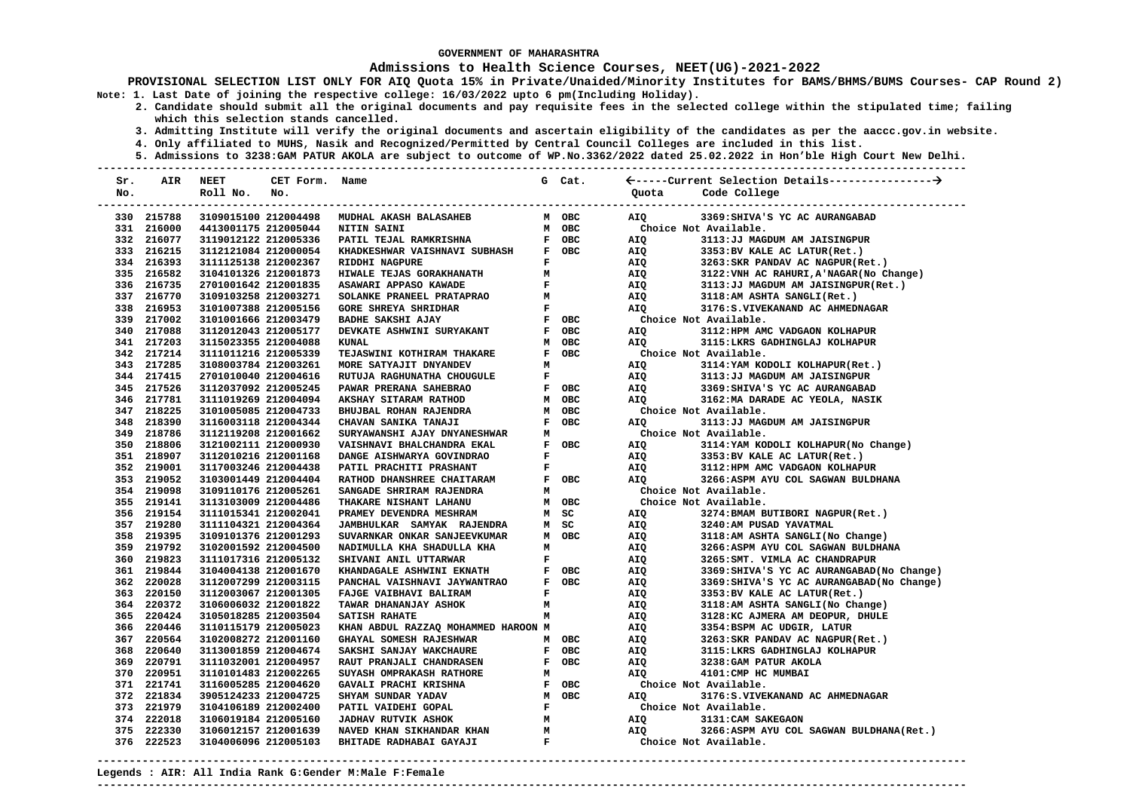### **Admissions to Health Science Courses, NEET(UG)-2021-2022**

**PROVISIONAL SELECTION LIST ONLY FOR AIQ Quota 15% in Private/Unaided/Minority Institutes for BAMS/BHMS/BUMS Courses- CAP Round 2) Note: 1. Last Date of joining the respective college: 16/03/2022 upto 6 pm(Including Holiday).** 

- **2. Candidate should submit all the original documents and pay requisite fees in the selected college within the stipulated time; failing which this selection stands cancelled.** 
	- **3. Admitting Institute will verify the original documents and ascertain eligibility of the candidates as per the aaccc.gov.in website.**
	- **4. Only affiliated to MUHS, Nasik and Recognized/Permitted by Central Council Colleges are included in this list.**
- **5. Admissions to 3238:GAM PATUR AKOLA are subject to outcome of WP.No.3362/2022 dated 25.02.2022 in Hon'ble High Court New Delhi. ---------------------------------------------------------------------------------------------------------------------------------------**

| Sr. | AIR        | <b>NEET</b>          | CET Form. Name       |                                                            |                               | G Cat.                                                       |                       |                                            |
|-----|------------|----------------------|----------------------|------------------------------------------------------------|-------------------------------|--------------------------------------------------------------|-----------------------|--------------------------------------------|
| No. |            | Roll No.             | No.                  |                                                            |                               |                                                              | Ouota                 | Code College                               |
|     |            |                      |                      |                                                            |                               |                                                              |                       |                                            |
|     | 330 215788 |                      |                      | 3109015100 212004498 MUDHAL AKASH BALASAHEB                |                               | M OBC                                                        | AIO                   | 3369: SHIVA'S YC AC AURANGABAD             |
|     | 331 216000 |                      | 4413001175 212005044 | NITIN SAINI                                                |                               | M OBC                                                        | Choice Not Available. |                                            |
|     | 332 216077 | 3119012122 212005336 |                      | PATIL TEJAL RAMKRISHNA                                     |                               | F OBC                                                        | AIQ                   | 3113:JJ MAGDUM AM JAISINGPUR               |
|     | 333 216215 | 3112121084 212000054 |                      | KHADKESHWAR VAISHNAVI SUBHASH                              |                               | F OBC                                                        | AIQ                   | 3353: BV KALE AC LATUR(Ret.)               |
|     | 334 216393 | 3111125138 212002367 |                      | RIDDHI NAGPURE                                             | $\mathbf{F}$ and $\mathbf{F}$ |                                                              | AIQ                   | 3263: SKR PANDAV AC NAGPUR(Ret.)           |
|     | 335 216582 | 3104101326 212001873 |                      | HIWALE TEJAS GORAKHANATH                                   |                               | $\begin{array}{ll} \mathbf{M} & \\ \mathbf{F} & \end{array}$ | AIQ                   | 3122: VNH AC RAHURI, A'NAGAR (No Change)   |
|     | 336 216735 | 2701001642 212001835 |                      | ASAWARI APPASO KAWADE                                      |                               |                                                              | AIQ                   | 3113:JJ MAGDUM AM JAISINGPUR(Ret.)         |
|     | 337 216770 | 3109103258 212003271 |                      | SOLANKE PRANEEL PRATAPRAO                                  |                               | $M$                                                          | AIQ                   | 3118:AM ASHTA SANGLI(Ret.)                 |
|     | 338 216953 | 3101007388 212005156 |                      | <b>GORE SHREYA SHRIDHAR</b>                                |                               | $\mathbf{F}$ and $\mathbf{F}$                                | AIQ                   | 3176: S. VIVEKANAND AC AHMEDNAGAR          |
|     | 339 217002 | 3101001666 212003479 |                      | <b>BADHE SAKSHI AJAY</b>                                   |                               | F OBC                                                        | Choice Not Available. |                                            |
|     | 340 217088 | 3112012043 212005177 |                      | DEVKATE ASHWINI SURYAKANT                                  |                               | F OBC                                                        | AIO                   | 3112: HPM AMC VADGAON KOLHAPUR             |
|     | 341 217203 | 3115023355 212004088 |                      | <b>KUNAL</b>                                               |                               | M OBC                                                        | AIO                   | 3115:LKRS GADHINGLAJ KOLHAPUR              |
|     | 342 217214 | 3111011216 212005339 |                      | TEJASWINI KOTHIRAM THAKARE                                 |                               | F OBC                                                        | Choice Not Available. |                                            |
|     | 343 217285 | 3108003784 212003261 |                      | MORE SATYAJIT DNYANDEV                                     | M                             |                                                              | AIQ                   | 3114: YAM KODOLI KOLHAPUR (Ret.)           |
|     | 344 217415 | 2701010040 212004616 |                      | RUTUJA RAGHUNATHA CHOUGULE                                 |                               | $\mathbf{F}$ and $\mathbf{F}$                                | AIQ                   | 3113:JJ MAGDUM AM JAISINGPUR               |
|     | 345 217526 | 3112037092 212005245 |                      | PAWAR PRERANA SAHEBRAO                                     |                               | F OBC                                                        | AIQ                   | 3369: SHIVA'S YC AC AURANGABAD             |
|     | 346 217781 | 3111019269 212004094 |                      | AKSHAY SITARAM RATHOD                                      |                               | M OBC                                                        | AIO                   | 3162: MA DARADE AC YEOLA, NASIK            |
|     | 347 218225 | 3101005085 212004733 |                      | BHUJBAL ROHAN RAJENDRA                                     |                               | M OBC                                                        |                       | Choice Not Available.                      |
|     | 348 218390 | 3116003118 212004344 |                      | CHAVAN SANIKA TANAJI                                       |                               | F OBC                                                        | AIQ                   | 3113: JJ MAGDUM AM JAISINGPUR              |
|     | 349 218786 | 3112119208 212001662 |                      | SURYAWANSHI AJAY DNYANESHWAR                               |                               | M                                                            | Choice Not Available. |                                            |
|     | 350 218806 | 3121002111 212000930 |                      | VAISHNAVI BHALCHANDRA EKAL                                 |                               | F OBC                                                        | AIO                   | 3114: YAM KODOLI KOLHAPUR (No Change)      |
|     | 351 218907 | 3112010216 212001168 |                      | DANGE AISHWARYA GOVINDRAO                                  |                               | $\mathbf{F}$ and $\mathbf{F}$                                | AIQ                   | 3353:BV KALE AC LATUR(Ret.)                |
|     | 352 219001 | 3117003246 212004438 |                      | PATIL PRACHITI PRASHANT                                    |                               | $\mathbf{F}$ and $\mathbf{F}$                                | AIQ                   | 3112: HPM AMC VADGAON KOLHAPUR             |
|     | 353 219052 | 3103001449 212004404 |                      | RATHOD DHANSHREE CHAITARAM                                 |                               | F OBC                                                        | AIO                   | 3266:ASPM AYU COL SAGWAN BULDHANA          |
|     | 354 219098 | 3109110176 212005261 |                      | SANGADE SHRIRAM RAJENDRA                                   |                               | M                                                            | Choice Not Available. |                                            |
|     | 355 219141 | 3113103009 212004486 |                      | THAKARE NISHANT LAHANU                                     |                               | M OBC                                                        | Choice Not Available. |                                            |
|     | 356 219154 | 3111015341 212002041 |                      | PRAMEY DEVENDRA MESHRAM                                    |                               | M SC                                                         | AIQ                   | 3274: BMAM BUTIBORI NAGPUR (Ret.)          |
|     | 357 219280 | 3111104321 212004364 |                      | JAMBHULKAR SAMYAK RAJENDRA                                 |                               | M SC                                                         | AIQ                   | 3240:AM PUSAD YAVATMAL                     |
|     | 358 219395 | 3109101376 212001293 |                      | SUVARNKAR ONKAR SANJEEVKUMAR                               |                               | M OBC                                                        | AIQ                   | 3118:AM ASHTA SANGLI(No Change)            |
|     | 359 219792 | 3102001592 212004500 |                      | NADIMULLA KHA SHADULLA KHA                                 | M                             |                                                              | AIQ                   | 3266:ASPM AYU COL SAGWAN BULDHANA          |
|     | 360 219823 | 3111017316 212005132 |                      | SHIVANI ANIL UTTARWAR                                      |                               | $\mathbf{F}$ and $\mathbf{F}$                                |                       | 3265: SMT. VIMLA AC CHANDRAPUR             |
|     | 361 219844 | 3104004138 212001670 |                      | KHANDAGALE ASHWINI EKNATH                                  |                               | F OBC                                                        | AIQ<br>AIQ            | 3369: SHIVA'S YC AC AURANGABAD (No Change) |
|     | 362 220028 | 3112007299 212003115 |                      | PANCHAL VAISHNAVI JAYWANTRAO                               |                               | F OBC                                                        | AIQ<br>ATO            | 3369: SHIVA'S YC AC AURANGABAD (No Change) |
|     | 363 220150 | 3112003067 212001305 |                      | FAJGE VAIBHAVI BALIRAM                                     |                               | $\mathbf{F}$ and $\mathbf{F}$                                | AIQ                   | 3353: BV KALE AC LATUR(Ret.)               |
|     | 364 220372 | 3106006032 212001822 |                      | <b>TAWAR DHANANJAY ASHOK</b>                               |                               |                                                              | AIQ                   | 3118:AM ASHTA SANGLI(No Change)            |
|     | 365 220424 | 3105018285 212003504 |                      | $\begin{array}{ccc} & M \\ M \end{array}$<br>SATISH RAHATE |                               |                                                              | AIQ                   | 3128:KC AJMERA AM DEOPUR, DHULE            |
|     | 366 220446 | 3110115179 212005023 |                      | KHAN ABDUL RAZZAQ MOHAMMED HAROON M                        |                               |                                                              | AIQ                   | 3354:BSPM AC UDGIR, LATUR                  |
|     | 367 220564 | 3102008272 212001160 |                      | GHAYAL SOMESH RAJESHWAR                                    |                               | M OBC                                                        | AIQ                   | 3263: SKR PANDAV AC NAGPUR(Ret.)           |
|     | 368 220640 | 3113001859 212004674 |                      | SAKSHI SANJAY WAKCHAURE                                    |                               | F OBC                                                        | AIQ                   | 3115: LKRS GADHINGLAJ KOLHAPUR             |
|     | 369 220791 | 3111032001 212004957 |                      | RAUT PRANJALI CHANDRASEN                                   |                               | F OBC                                                        | AIQ                   | 3238: GAM PATUR AKOLA                      |
|     | 370 220951 | 3110101483 212002265 |                      | SUYASH OMPRAKASH RATHORE                                   | M                             |                                                              | AIO                   | 4101: CMP HC MUMBAI                        |
|     | 371 221741 | 3116005285 212004620 |                      | GAVALI PRACHI KRISHNA                                      |                               | F OBC                                                        | Choice Not Available. |                                            |
|     | 372 221834 | 3905124233 212004725 |                      |                                                            |                               | M OBC                                                        | AIO                   | 3176: S. VIVEKANAND AC AHMEDNAGAR          |
|     | 373 221979 | 3104106189 212002400 |                      |                                                            |                               | $\mathbf{F}$ and $\mathbf{F}$                                | Choice Not Available. |                                            |
|     | 374 222018 | 3106019184 212005160 |                      |                                                            |                               |                                                              | AIQ                   | 3131: CAM SAKEGAON                         |
|     | 375 222330 | 3106012157 212001639 |                      |                                                            |                               |                                                              | AIQ                   | 3266:ASPM AYU COL SAGWAN BULDHANA(Ret.)    |
|     | 376 222523 | 3104006096 212005103 |                      |                                                            |                               |                                                              |                       | Choice Not Available.                      |
|     |            |                      |                      |                                                            |                               |                                                              |                       |                                            |

**---------------------------------------------------------------------------------------------------------------------------------------**

**Legends : AIR: All India Rank G:Gender M:Male F:Female**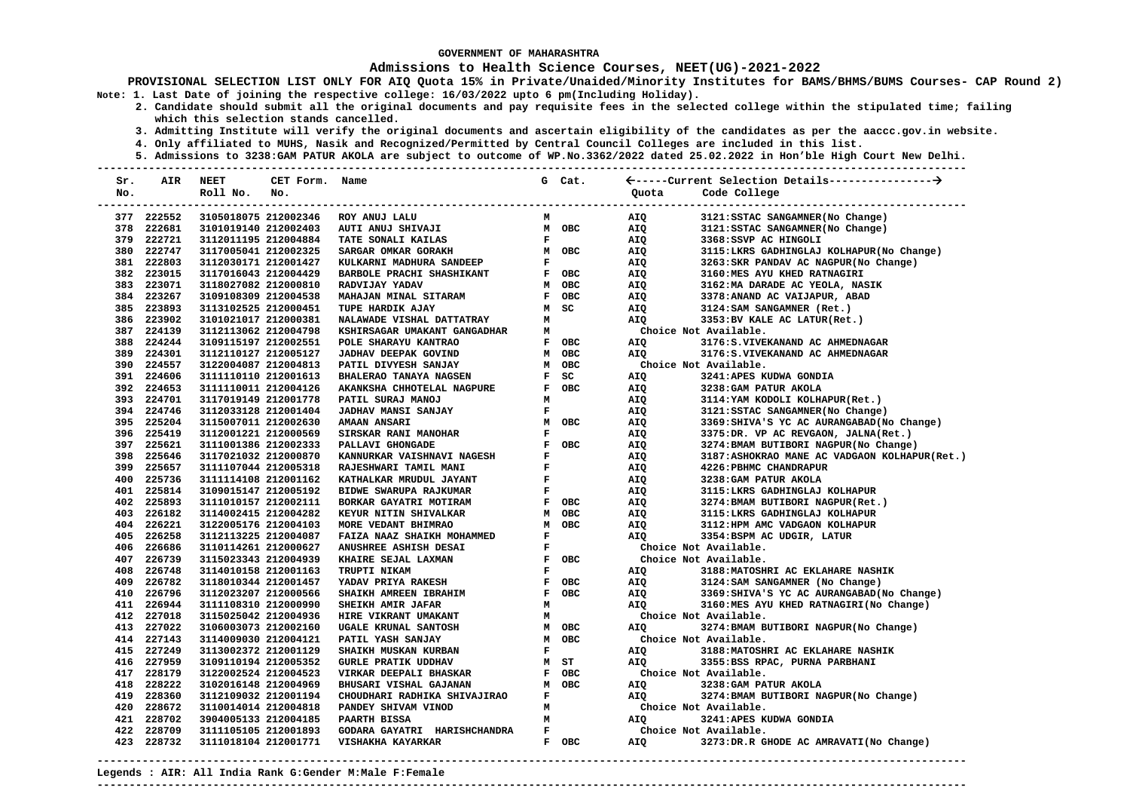### **Admissions to Health Science Courses, NEET(UG)-2021-2022**

**PROVISIONAL SELECTION LIST ONLY FOR AIQ Quota 15% in Private/Unaided/Minority Institutes for BAMS/BHMS/BUMS Courses- CAP Round 2) Note: 1. Last Date of joining the respective college: 16/03/2022 upto 6 pm(Including Holiday).** 

 **2. Candidate should submit all the original documents and pay requisite fees in the selected college within the stipulated time; failing which this selection stands cancelled.** 

- **3. Admitting Institute will verify the original documents and ascertain eligibility of the candidates as per the aaccc.gov.in website.**
- **4. Only affiliated to MUHS, Nasik and Recognized/Permitted by Central Council Colleges are included in this list.**
- **5. Admissions to 3238:GAM PATUR AKOLA are subject to outcome of WP.No.3362/2022 dated 25.02.2022 in Hon'ble High Court New Delhi.**

| Sr. | AIR        | <b>NEET</b>          | CET Form. Name |                               |                    | G Cat.     |                       |                                              |
|-----|------------|----------------------|----------------|-------------------------------|--------------------|------------|-----------------------|----------------------------------------------|
| No. |            | Roll No.             | No.            |                               |                    |            | Ouota                 | Code College                                 |
|     |            |                      |                |                               |                    |            |                       |                                              |
|     | 377 222552 | 3105018075 212002346 |                | ROY ANUJ LALU                 | м                  |            | AIQ                   | 3121: SSTAC SANGAMNER (No Change)            |
|     | 378 222681 | 3101019140 212002403 |                | AUTI ANUJ SHIVAJI             |                    | M OBC      | AIQ                   | 3121: SSTAC SANGAMNER (No Change)            |
|     | 379 222721 | 3112011195 212004884 |                | TATE SONALI KAILAS            | $\mathbf{F}$       |            | AIQ                   | 3368:SSVP AC HINGOLI                         |
|     | 380 222747 | 3117005041 212002325 |                | SARGAR OMKAR GORAKH           |                    | M OBC      | AIQ                   | 3115:LKRS GADHINGLAJ KOLHAPUR(No Change)     |
|     | 381 222803 | 3112030171 212001427 |                | KULKARNI MADHURA SANDEEP      | $\mathbf F$        |            | AIQ                   | 3263: SKR PANDAV AC NAGPUR(No Change)        |
|     | 382 223015 | 3117016043 212004429 |                | BARBOLE PRACHI SHASHIKANT     |                    | F OBC      | AIQ                   | 3160:MES AYU KHED RATNAGIRI                  |
|     | 383 223071 | 3118027082 212000810 |                | RADVIJAY YADAV                |                    | M OBC      | AIQ                   | 3162: MA DARADE AC YEOLA, NASIK              |
|     | 384 223267 | 3109108309 212004538 |                | MAHAJAN MINAL SITARAM         |                    | F OBC      | AIQ                   | 3378: ANAND AC VAIJAPUR, ABAD                |
|     | 385 223893 | 3113102525 212000451 |                | TUPE HARDIK AJAY              |                    | M SC       | AIQ                   | 3124: SAM SANGAMNER (Ret.)                   |
|     | 386 223902 | 3101021017 212000381 |                | NALAWADE VISHAL DATTATRAY     | M                  |            | AIQ                   | 3353:BV KALE AC LATUR(Ret.)                  |
|     | 387 224139 | 3112113062 212004798 |                | KSHIRSAGAR UMAKANT GANGADHAR  | М                  |            |                       | Choice Not Available.                        |
|     | 388 224244 | 3109115197 212002551 |                | POLE SHARAYU KANTRAO          |                    | F OBC      | AIQ                   | 3176: S. VIVEKANAND AC AHMEDNAGAR            |
|     | 389 224301 | 3112110127 212005127 |                | JADHAV DEEPAK GOVIND          |                    | M OBC      | AIQ                   | 3176: S. VIVEKANAND AC AHMEDNAGAR            |
|     | 390 224557 | 3122004087 212004813 |                | PATIL DIVYESH SANJAY          |                    | M OBC      |                       | Choice Not Available.                        |
|     | 391 224606 | 3111110110 212001613 |                | <b>BHALERAO TANAYA NAGSEN</b> | $\mathbf{F}$       | SC         | AIQ                   | 3241:APES KUDWA GONDIA                       |
|     | 392 224653 | 3111110011 212004126 |                | AKANKSHA CHHOTELAL NAGPURE    | F                  | OBC        | AIQ                   | 3238: GAM PATUR AKOLA                        |
|     | 393 224701 | 3117019149 212001778 |                | PATIL SURAJ MANOJ             | м                  |            | AIQ                   | 3114: YAM KODOLI KOLHAPUR (Ret.)             |
|     | 394 224746 | 3112033128 212001404 |                | <b>JADHAV MANSI SANJAY</b>    | $\mathbf F$        |            | AIQ                   | 3121: SSTAC SANGAMNER (No Change)            |
|     | 395 225204 | 3115007011 212002630 |                | <b>AMAAN ANSARI</b>           |                    | M OBC      | AIQ                   | 3369: SHIVA'S YC AC AURANGABAD (No Change)   |
|     | 396 225419 | 3112001221 212000569 |                | SIRSKAR RANI MANOHAR          | $\mathbf F$        |            | AIQ                   | 3375:DR. VP AC REVGAON, JALNA(Ret.)          |
|     | 397 225621 | 3111001386 212002333 |                | PALLAVI GHONGADE              |                    | F OBC      | AIQ                   | 3274: BMAM BUTIBORI NAGPUR (No Change)       |
|     | 398 225646 | 3117021032 212000870 |                | KANNURKAR VAISHNAVI NAGESH    | $\mathbf F$        |            | AIQ                   | 3187:ASHOKRAO MANE AC VADGAON KOLHAPUR(Ret.) |
|     | 399 225657 | 3111107044 212005318 |                | RAJESHWARI TAMIL MANI         | $\mathbf F$        |            | AIQ                   | 4226: PBHMC CHANDRAPUR                       |
|     | 400 225736 | 3111114108 212001162 |                | KATHALKAR MRUDUL JAYANT       | $\mathbf F$        |            | AIQ                   | 3238: GAM PATUR AKOLA                        |
|     | 401 225814 | 3109015147 212005192 |                | BIDWE SWARUPA RAJKUMAR        | $\mathbf F$        |            | AIQ                   | 3115:LKRS GADHINGLAJ KOLHAPUR                |
|     | 402 225893 | 3111010157 212002111 |                | BORKAR GAYATRI MOTIRAM        |                    | F OBC      | AIQ                   | 3274: BMAM BUTIBORI NAGPUR(Ret.)             |
|     | 403 226182 | 3114002415 212004282 |                | KEYUR NITIN SHIVALKAR         |                    | M OBC      | AIQ                   | 3115: LKRS GADHINGLAJ KOLHAPUR               |
|     | 404 226221 | 3122005176 212004103 |                | MORE VEDANT BHIMRAO           |                    | M OBC      | AIQ                   | 3112: HPM AMC VADGAON KOLHAPUR               |
|     | 405 226258 | 3112113225 212004087 |                | FAIZA NAAZ SHAIKH MOHAMMED    | $\mathbf F$        |            | AIO                   | 3354:BSPM AC UDGIR, LATUR                    |
|     | 406 226686 | 3110114261 212000627 |                | ANUSHREE ASHISH DESAI         | $\mathbf F$        |            |                       | Choice Not Available.                        |
|     | 407 226739 | 3115023343 212004939 |                | KHAIRE SEJAL LAXMAN           | F                  | OBC        |                       | Choice Not Available.                        |
|     | 408 226748 | 3114010158 212001163 |                | TRUPTI NIKAM                  | $\mathbf{F}% _{0}$ |            | AIQ                   | 3188: MATOSHRI AC EKLAHARE NASHIK            |
|     | 409 226782 | 3118010344 212001457 |                | YADAV PRIYA RAKESH            | F                  | OBC        | AIQ                   | 3124: SAM SANGAMNER (No Change)              |
|     | 410 226796 | 3112023207 212000566 |                | SHAIKH AMREEN IBRAHIM         | F                  | OBC        | AIQ                   | 3369: SHIVA'S YC AC AURANGABAD (No Change)   |
|     | 411 226944 | 3111108310 212000990 |                | SHEIKH AMIR JAFAR             | M                  |            | AIQ                   | 3160:MES AYU KHED RATNAGIRI(No Change)       |
|     | 412 227018 | 3115025042 212004936 |                | HIRE VIKRANT UMAKANT          | M                  |            |                       | Choice Not Available.                        |
|     | 413 227022 | 3106003073 212002160 |                | UGALE KRUNAL SANTOSH          |                    | M OBC      | AIO                   | 3274: BMAM BUTIBORI NAGPUR(No Change)        |
|     | 414 227143 | 3114009030 212004121 |                | PATIL YASH SANJAY             | M                  | <b>OBC</b> |                       | Choice Not Available.                        |
|     | 415 227249 | 3113002372 212001129 |                | SHAIKH MUSKAN KURBAN          | $\mathbf F$        |            | AIQ                   | 3188: MATOSHRI AC EKLAHARE NASHIK            |
|     | 416 227959 | 3109110194 212005352 |                | <b>GURLE PRATIK UDDHAV</b>    |                    | M ST       | AIO                   | 3355:BSS RPAC, PURNA PARBHANI                |
|     | 417 228179 | 3122002524 212004523 |                | VIRKAR DEEPALI BHASKAR        | $\mathbf{F}$       | <b>OBC</b> |                       | Choice Not Available.                        |
|     | 418 228222 | 3102016148 212004969 |                | BHUSARI VISHAL GAJANAN        |                    | M OBC      | AIQ                   | 3238: GAM PATUR AKOLA                        |
|     | 419 228360 | 3112109032 212001194 |                | CHOUDHARI RADHIKA SHIVAJIRAO  | F                  |            | AIQ                   | 3274: BMAM BUTIBORI NAGPUR (No Change)       |
|     | 420 228672 | 3110014014 212004818 |                | PANDEY SHIVAM VINOD           | м                  |            |                       | Choice Not Available.                        |
|     | 421 228702 | 3904005133 212004185 |                | PAARTH BISSA                  | M                  |            | AIQ                   | 3241: APES KUDWA GONDIA                      |
|     | 422 228709 | 3111105105 212001893 |                | GODARA GAYATRI HARISHCHANDRA  | $\mathbf{F}$       |            | Choice Not Available. |                                              |
|     | 423 228732 | 3111018104 212001771 |                | VISHAKHA KAYARKAR             |                    | F OBC      | AIQ                   | 3273:DR.R GHODE AC AMRAVATI(No Change)       |
|     |            |                      |                |                               |                    |            |                       |                                              |

**Legends : AIR: All India Rank G:Gender M:Male F:Female ---------------------------------------------------------------------------------------------------------------------------------------**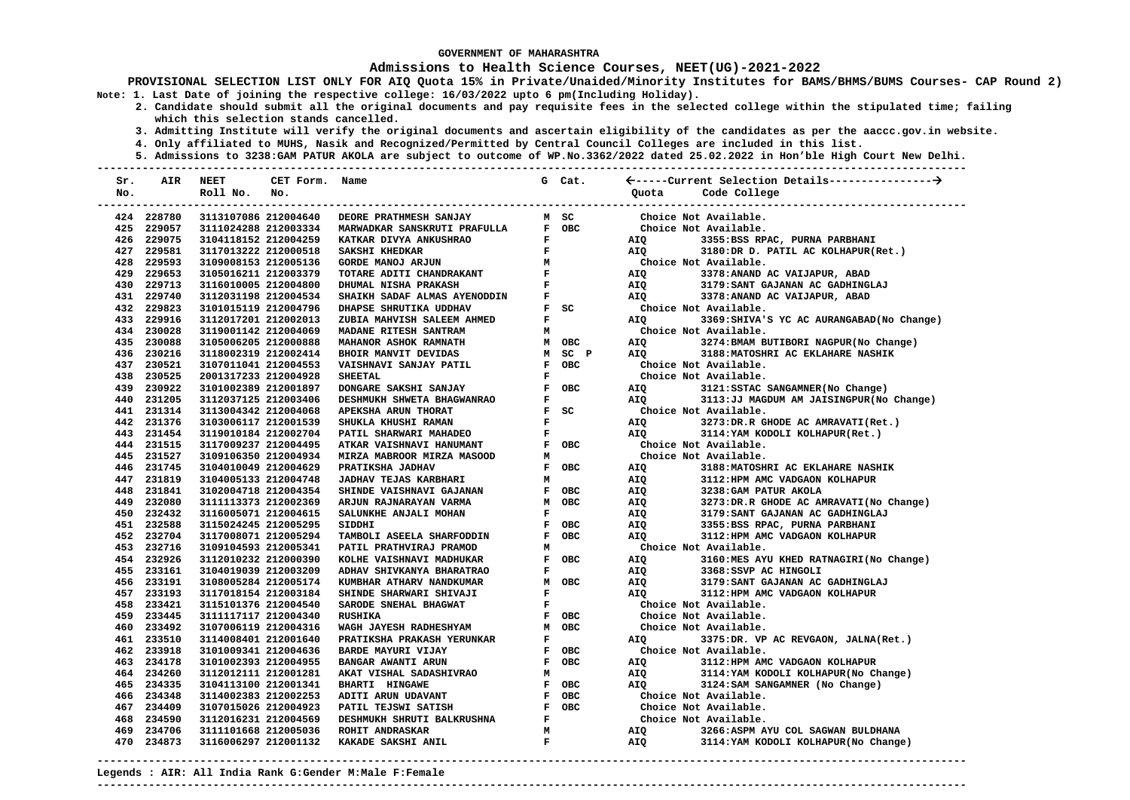### **Admissions to Health Science Courses, NEET(UG)-2021-2022**

**PROVISIONAL SELECTION LIST ONLY FOR AIQ Quota 15% in Private/Unaided/Minority Institutes for BAMS/BHMS/BUMS Courses- CAP Round 2) Note: 1. Last Date of joining the respective college: 16/03/2022 upto 6 pm(Including Holiday).** 

- **2. Candidate should submit all the original documents and pay requisite fees in the selected college within the stipulated time; failing which this selection stands cancelled.** 
	- **3. Admitting Institute will verify the original documents and ascertain eligibility of the candidates as per the aaccc.gov.in website.**
	- **4. Only affiliated to MUHS, Nasik and Recognized/Permitted by Central Council Colleges are included in this list.**
- **5. Admissions to 3238:GAM PATUR AKOLA are subject to outcome of WP.No.3362/2022 dated 25.02.2022 in Hon'ble High Court New Delhi. ---------------------------------------------------------------------------------------------------------------------------------------**

| Sr. | AIR                      | <b>NEET</b>                                  | CET Form. Name       |                                                      |              | G Cat.                                  |                       |                                                                          |
|-----|--------------------------|----------------------------------------------|----------------------|------------------------------------------------------|--------------|-----------------------------------------|-----------------------|--------------------------------------------------------------------------|
| No. |                          | Roll No.                                     | No.                  |                                                      |              |                                         | Ouota                 | Code College                                                             |
|     |                          |                                              |                      |                                                      |              |                                         |                       | -------------------------                                                |
|     | 424 228780               |                                              | 3113107086 212004640 | <b>DEORE PRATHMESH SANJAY</b>                        |              | M SC                                    |                       | Choice Not Available.                                                    |
|     | 425 229057               | 3111024288 212003334                         |                      | MARWADKAR SANSKRUTI PRAFULLA                         |              | F OBC                                   |                       | Choice Not Available.                                                    |
|     | 426 229075               | 3104118152 212004259                         |                      | KATKAR DIVYA ANKUSHRAO                               | $\mathbf{F}$ |                                         | AIQ <b>AIR</b>        | 3355:BSS RPAC, PURNA PARBHANI                                            |
|     | 427 229581               | 3117013222 212000518                         |                      | SAKSHI KHEDKAR                                       | $\mathbf{F}$ |                                         | AIQ                   | 3180:DR D. PATIL AC KOLHAPUR(Ret.)                                       |
|     | 428 229593               | 3109008153 212005136                         |                      | <b>GORDE MANOJ ARJUN</b>                             |              |                                         |                       | Choice Not Available.                                                    |
|     | 429 229653               | 3105016211 212003379                         |                      | TOTARE ADITI CHANDRAKANT                             |              | $\begin{array}{c}\nM \\ F\n\end{array}$ | AIQ                   | 3378: ANAND AC VAIJAPUR, ABAD                                            |
|     | 430 229713               | 3116010005 212004800                         |                      | DHUMAL NISHA PRAKASH                                 |              | $\mathbf{F}$ and $\mathbf{F}$           | AIQ                   | 3179: SANT GAJANAN AC GADHINGLAJ                                         |
|     | 431 229740               | 3112031198 212004534                         |                      | SHAIKH SADAF ALMAS AYENODDIN                         |              | $\frac{\mathbf{F}}{\mathbf{F}}$ set     | AIO                   | 3378: ANAND AC VAIJAPUR, ABAD                                            |
|     | 432 229823               | 3101015119 212004796                         |                      | DHAPSE SHRUTIKA UDDHAV                               |              | $F$ SC                                  | Choice Not Available. |                                                                          |
|     | 433 229916               | 3112017201 212002013                         |                      | ZUBIA MAHVISH SALEEM AHMED                           | $\mathbf{F}$ |                                         | AIO                   | 3369: SHIVA'S YC AC AURANGABAD (No Change)                               |
|     | 434 230028               | 3119001142 212004069                         |                      | MADANE RITESH SANTRAM                                | м            |                                         |                       | Choice Not Available.                                                    |
|     | 435 230088               | 3105006205 212000888                         |                      | MAHANOR ASHOK RAMNATH                                |              | M OBC                                   | AIQ                   | 3274: BMAM BUTIBORI NAGPUR(No Change)                                    |
|     | 436 230216               | 3118002319 212002414                         |                      | BHOIR MANVIT DEVIDAS                                 |              | M SC P                                  | AIO                   | 3188: MATOSHRI AC EKLAHARE NASHIK                                        |
|     | 437 230521               | 3107011041 212004553                         |                      | VAISHNAVI SANJAY PATIL                               |              | F OBC                                   |                       | Choice Not Available.                                                    |
|     | 438 230525               | 2001317233 212004928                         |                      | <b>SHEETAL</b>                                       | F            |                                         |                       | Choice Not Available.                                                    |
|     | 439 230922               | 3101002389 212001897                         |                      | DONGARE SAKSHI SANJAY                                |              | F OBC                                   | AIO                   | 3121: SSTAC SANGAMNER (No Change)                                        |
|     | 440 231205               | 3112037125 212003406                         |                      | DESHMUKH SHWETA BHAGWANRAO                           | $\mathbf{F}$ |                                         | AIO                   | 3113:JJ MAGDUM AM JAISINGPUR(No Change)                                  |
|     | 441 231314               | 3113004342 212004068                         |                      | APEKSHA ARUN THORAT                                  |              | $F$ SC                                  |                       | Choice Not Available.                                                    |
|     | 442 231376               | 3103006117 212001539                         |                      | SHUKLA KHUSHI RAMAN                                  | $\mathbf{F}$ |                                         | AIQ                   | 3273:DR.R GHODE AC AMRAVATI(Ret.)                                        |
|     | 443 231454               | 3119010184 212002704                         |                      | PATIL SHARWARI MAHADEO                               | $\mathbf{F}$ |                                         | AIQ                   | 3114: YAM KODOLI KOLHAPUR (Ret.)                                         |
|     | 444 231515               | 3117009237 212004495                         |                      | ATKAR VAISHNAVI HANUMANT                             |              | F OBC                                   |                       | Choice Not Available.                                                    |
|     | 445 231527               | 3109106350 212004934                         |                      | MIRZA MABROOR MIRZA MASOOD                           | м            |                                         |                       | Choice Not Available.                                                    |
|     | 446 231745               | 3104010049 212004629                         |                      | PRATIKSHA JADHAV                                     |              | F OBC                                   | AIQ                   | 3188: MATOSHRI AC EKLAHARE NASHIK                                        |
|     | 447 231819               | 3104005133 212004748                         |                      | JADHAV TEJAS KARBHARI                                | М            |                                         | AIQ                   | 3112: HPM AMC VADGAON KOLHAPUR                                           |
|     | 448 231841               | 3102004718 212004354                         |                      | SHINDE VAISHNAVI GAJANAN                             |              | F OBC                                   | AIQ                   | 3238: GAM PATUR AKOLA                                                    |
|     | 449 232080               | 3111113373 212002369                         |                      | ARJUN RAJNARAYAN VARMA                               |              | M OBC                                   | AIQ                   | 3273:DR.R GHODE AC AMRAVATI(No Change)                                   |
|     | 450 232432               | 3116005071 212004615                         |                      | SALUNKHE ANJALI MOHAN                                | F            |                                         | AIO                   | 3179: SANT GAJANAN AC GADHINGLAJ                                         |
|     | 451 232588               | 3115024245 212005295                         |                      | SIDDHI                                               |              | F OBC                                   | AIQ                   | 3355:BSS RPAC, PURNA PARBHANI                                            |
|     | 452 232704               | 3117008071 212005294                         |                      | TAMBOLI ASEELA SHARFODDIN                            |              | F OBC                                   | AIO                   | 3112: HPM AMC VADGAON KOLHAPUR                                           |
|     | 453 232716               | 3109104593 212005341                         |                      | PATIL PRATHVIRAJ PRAMOD                              | M            |                                         |                       | Choice Not Available.                                                    |
|     | 454 232926               | 3112010232 212000390                         |                      | KOLHE VAISHNAVI MADHUKAR                             |              | F OBC                                   | AIQ                   | 3160:MES AYU KHED RATNAGIRI(No Change)                                   |
|     | 455 233161               | 3104019039 212003209                         |                      | ADHAV SHIVKANYA BHARATRAO                            | F            |                                         | AIQ                   | 3368:SSVP AC HINGOLI                                                     |
|     | 456 233191               | 3108005284 212005174                         |                      | KUMBHAR ATHARV NANDKUMAR                             |              | M OBC                                   | AIQ                   | 3179: SANT GAJANAN AC GADHINGLAJ                                         |
|     | 457 233193               | 3117018154 212003184                         |                      | SHINDE SHARWARI SHIVAJI                              | $\mathbf{F}$ |                                         | AIO                   | 3112: HPM AMC VADGAON KOLHAPUR                                           |
|     | 458 233421               | 3115101376 212004540                         |                      | SARODE SNEHAL BHAGWAT                                | F            |                                         |                       | Choice Not Available.                                                    |
|     | 459 233445               | 3111117117 212004340                         |                      | <b>RUSHIKA</b>                                       |              | F OBC<br>M OBC                          |                       | Choice Not Available.                                                    |
|     | 460 233492<br>461 233510 | 3107006119 212004316                         |                      | WAGH JAYESH RADHESHYAM                               |              |                                         |                       | Choice Not Available.                                                    |
|     | 462 233918               | 3114008401 212001640                         |                      | PRATIKSHA PRAKASH YERUNKAR                           | F            |                                         | AIQ                   | 3375:DR. VP AC REVGAON, JALNA(Ret.)                                      |
|     | 463 234178               | 3101009341 212004636                         |                      | BARDE MAYURI VIJAY                                   |              | F OBC<br>F OBC                          |                       | Choice Not Available.<br>3112: HPM AMC VADGAON KOLHAPUR                  |
|     | 464 234260               | 3101002393 212004955<br>3112012111 212001281 |                      | <b>BANGAR AWANTI ARUN</b><br>AKAT VISHAL SADASHIVRAO | М            |                                         | AIO<br>AIQ            |                                                                          |
|     | 465 234335               | 3104113100 212001341                         |                      | BHARTI HINGAWE                                       |              | F OBC                                   | AIO                   | 3114: YAM KODOLI KOLHAPUR (No Change)<br>3124: SAM SANGAMNER (No Change) |
|     | 466 234348               | 3114002383 212002253                         |                      | ADITI ARUN UDAVANT                                   |              | F OBC                                   | Choice Not Available. |                                                                          |
|     | 467 234409               | 3107015026 212004923                         |                      | PATIL TEJSWI SATISH                                  |              | F OBC                                   | Choice Not Available. |                                                                          |
|     | 468 234590               | 3112016231 212004569                         |                      | DESHMUKH SHRUTI BALKRUSHNA                           |              | $\mathbf{F}$ and $\mathbf{F}$           |                       | Choice Not Available.                                                    |
|     | 469 234706               | 3111101668 212005036                         |                      | <b>ROHIT ANDRASKAR</b>                               | M            |                                         | AIQ                   | 3266:ASPM AYU COL SAGWAN BULDHANA                                        |
|     | 470 234873               | 3116006297 212001132                         |                      | KAKADE SAKSHI ANIL                                   | $\mathbf{F}$ |                                         | AIQ                   | 3114: YAM KODOLI KOLHAPUR (No Change)                                    |
|     |                          |                                              |                      |                                                      |              |                                         |                       |                                                                          |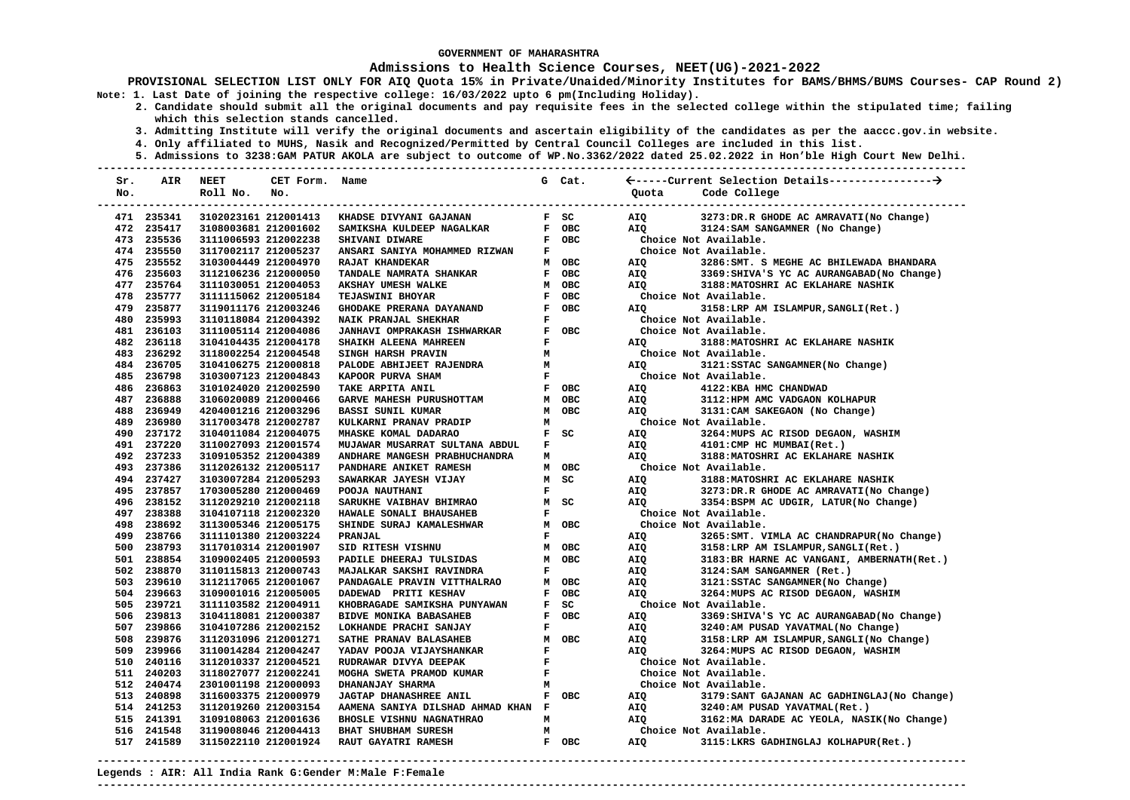### **Admissions to Health Science Courses, NEET(UG)-2021-2022**

**PROVISIONAL SELECTION LIST ONLY FOR AIQ Quota 15% in Private/Unaided/Minority Institutes for BAMS/BHMS/BUMS Courses- CAP Round 2) Note: 1. Last Date of joining the respective college: 16/03/2022 upto 6 pm(Including Holiday).** 

- **2. Candidate should submit all the original documents and pay requisite fees in the selected college within the stipulated time; failing which this selection stands cancelled.** 
	- **3. Admitting Institute will verify the original documents and ascertain eligibility of the candidates as per the aaccc.gov.in website.**
	- **4. Only affiliated to MUHS, Nasik and Recognized/Permitted by Central Council Colleges are included in this list.**
	- **5. Admissions to 3238:GAM PATUR AKOLA are subject to outcome of WP.No.3362/2022 dated 25.02.2022 in Hon'ble High Court New Delhi.**

| Sr. | <b>AIR</b> | <b>NEET</b>          | CET Form. Name |                                    |              | G Cat.     |            |                                              |
|-----|------------|----------------------|----------------|------------------------------------|--------------|------------|------------|----------------------------------------------|
| No. |            | Roll No.             | No.            |                                    |              |            | Ouota      | Code College                                 |
|     |            |                      |                |                                    |              |            |            |                                              |
|     | 471 235341 | 3102023161 212001413 |                | KHADSE DIVYANI GAJANAN             |              | F SC       | AIQ        | 3273:DR.R GHODE AC AMRAVATI(No Change)       |
|     | 472 235417 | 3108003681 212001602 |                | SAMIKSHA KULDEEP NAGALKAR          |              | F OBC      | <b>AIO</b> | 3124: SAM SANGAMNER (No Change)              |
|     | 473 235536 | 3111006593 212002238 |                | SHIVANI DIWARE                     |              | F OBC      |            | Choice Not Available.                        |
|     | 474 235550 | 3117002117 212005237 |                | ANSARI SANIYA MOHAMMED RIZWAN      | F            |            |            | Choice Not Available.                        |
|     | 475 235552 | 3103004449 212004970 |                | RAJAT KHANDEKAR                    |              | M OBC      | AIO        | 3286: SMT. S MEGHE AC BHILEWADA BHANDARA     |
|     | 476 235603 | 3112106236 212000050 |                | TANDALE NAMRATA SHANKAR            |              | F OBC      | AIQ        | 3369: SHIVA'S YC AC AURANGABAD (No Change)   |
|     | 477 235764 | 3111030051 212004053 |                | AKSHAY UMESH WALKE                 |              | M OBC      | AIO        | 3188: MATOSHRI AC EKLAHARE NASHIK            |
|     | 478 235777 | 3111115062 212005184 |                | TEJASWINI BHOYAR                   |              | F OBC      |            | Choice Not Available.                        |
|     | 479 235877 | 3119011176 212003246 |                | GHODAKE PRERANA DAYANAND           | $\mathbf{F}$ | <b>OBC</b> | AIO        | 3158:LRP AM ISLAMPUR, SANGLI(Ret.)           |
|     | 480 235993 | 3110118084 212004392 |                | NAIK PRANJAL SHEKHAR               | F            |            |            | Choice Not Available.                        |
|     | 481 236103 | 3111005114 212004086 |                | <b>JANHAVI OMPRAKASH ISHWARKAR</b> |              | F OBC      |            | Choice Not Available.                        |
|     | 482 236118 | 3104104435 212004178 |                | SHAIKH ALEENA MAHREEN              | F            |            | AIQ        | 3188: MATOSHRI AC EKLAHARE NASHIK            |
|     | 483 236292 | 3118002254 212004548 |                | SINGH HARSH PRAVIN                 | M            |            |            | Choice Not Available.                        |
|     | 484 236705 | 3104106275 212000818 |                | PALODE ABHIJEET RAJENDRA           | M            |            | AIO        | 3121: SSTAC SANGAMNER (No Change)            |
|     | 485 236798 | 3103007123 212004843 |                | KAPOOR PURVA SHAM                  | $\mathbf{F}$ |            |            | Choice Not Available.                        |
|     | 486 236863 | 3101024020 212002590 |                | TAKE ARPITA ANIL                   |              | F OBC      | AIQ        | 4122: KBA HMC CHANDWAD                       |
|     | 487 236888 | 3106020089 212000466 |                | GARVE MAHESH PURUSHOTTAM           |              | M OBC      | AIQ        | 3112: HPM AMC VADGAON KOLHAPUR               |
|     | 488 236949 | 4204001216 212003296 |                | <b>BASSI SUNIL KUMAR</b>           | M            | <b>OBC</b> | AIO        | 3131: CAM SAKEGAON (No Change)               |
|     | 489 236980 | 3117003478 212002787 |                | KULKARNI PRANAV PRADIP             | М            |            |            | Choice Not Available.                        |
|     | 490 237172 | 3104011084 212004075 |                | MHASKE KOMAL DADARAO               | $\mathbf{F}$ | SC         | AIQ        | 3264: MUPS AC RISOD DEGAON, WASHIM           |
|     | 491 237220 | 3110027093 212001574 |                | MUJAWAR MUSARRAT SULTANA ABDUL     | F            |            | AIQ        | 4101: CMP HC MUMBAI(Ret.)                    |
|     | 492 237233 | 3109105352 212004389 |                | ANDHARE MANGESH PRABHUCHANDRA      | м            |            | <b>AIO</b> | 3188: MATOSHRI AC EKLAHARE NASHIK            |
|     | 493 237386 | 3112026132 212005117 |                | PANDHARE ANIKET RAMESH             |              | M OBC      |            | Choice Not Available.                        |
|     | 494 237427 | 3103007284 212005293 |                | SAWARKAR JAYESH VIJAY              | M            | SC         | AIO        | 3188: MATOSHRI AC EKLAHARE NASHIK            |
|     | 495 237857 | 1703005280 212000469 |                | POOJA NAUTHANI                     | $\mathbf F$  |            | AIQ        | 3273:DR.R GHODE AC AMRAVATI(No Change)       |
|     | 496 238152 | 3112029210 212002118 |                | SARUKHE VAIBHAV BHIMRAO            |              | M SC       | AIQ        | 3354:BSPM AC UDGIR, LATUR(No Change)         |
|     | 497 238388 | 3104107118 212002320 |                | HAWALE SONALI BHAUSAHEB            | F            |            |            | Choice Not Available.                        |
|     | 498 238692 | 3113005346 212005175 |                | SHINDE SURAJ KAMALESHWAR           |              | M OBC      |            | Choice Not Available.                        |
|     | 499 238766 | 3111101380 212003224 |                | <b>PRANJAL</b>                     | F            |            | AIQ        | 3265: SMT. VIMLA AC CHANDRAPUR (No Change)   |
|     | 500 238793 | 3117010314 212001907 |                | SID RITESH VISHNU                  |              | M OBC      | AIQ        | 3158:LRP AM ISLAMPUR, SANGLI(Ret.)           |
|     | 501 238854 | 3109002405 212000593 |                | PADILE DHEERAJ TULSIDAS            | M            | <b>OBC</b> | AIQ        | 3183: BR HARNE AC VANGANI, AMBERNATH (Ret.)  |
|     | 502 238870 | 3110115813 212000743 |                | MAJALKAR SAKSHI RAVINDRA           | $\mathbf F$  |            | AIQ        | 3124: SAM SANGAMNER (Ret.)                   |
|     | 503 239610 | 3112117065 212001067 |                | PANDAGALE PRAVIN VITTHALRAO        |              | M OBC      | AIQ        | 3121: SSTAC SANGAMNER (No Change)            |
|     | 504 239663 | 3109001016 212005005 |                | DADEWAD PRITI KESHAV               |              | F OBC      | <b>AIO</b> | 3264: MUPS AC RISOD DEGAON, WASHIM           |
|     | 505 239721 | 3111103582 212004911 |                | KHOBRAGADE SAMIKSHA PUNYAWAN       | $\mathbf{F}$ | SC         |            | Choice Not Available.                        |
|     | 506 239813 | 3104118081 212000387 |                | BIDVE MONIKA BABASAHEB             | $\mathbf{F}$ | <b>OBC</b> | AIO        | 3369: SHIVA'S YC AC AURANGABAD (No Change)   |
|     | 507 239866 | 3104107286 212002152 |                | LOKHANDE PRACHI SANJAY             | F            |            | AIQ        | 3240:AM PUSAD YAVATMAL(No Change)            |
|     | 508 239876 | 3112031096 212001271 |                | SATHE PRANAV BALASAHEB             | M            | <b>OBC</b> | AIQ        | 3158:LRP AM ISLAMPUR, SANGLI (No Change)     |
|     | 509 239966 | 3110014284 212004247 |                | YADAV POOJA VIJAYSHANKAR           | F            |            | AIO        | 3264: MUPS AC RISOD DEGAON, WASHIM           |
|     | 510 240116 | 3112010337 212004521 |                | RUDRAWAR DIVYA DEEPAK              | $\mathbf F$  |            |            | Choice Not Available.                        |
|     | 511 240203 | 3118027077 212002241 |                | MOGHA SWETA PRAMOD KUMAR           | $\mathbf F$  |            |            | Choice Not Available.                        |
|     | 512 240474 | 2301001198 212000093 |                | DHANANJAY SHARMA                   | M            |            |            | Choice Not Available.                        |
|     | 513 240898 | 3116003375 212000979 |                | <b>JAGTAP DHANASHREE ANIL</b>      |              | F OBC      | AIQ        | 3179: SANT GAJANAN AC GADHINGLAJ (No Change) |
|     | 514 241253 | 3112019260 212003154 |                | AAMENA SANIYA DILSHAD AHMAD KHAN F |              |            | AIQ        | 3240:AM PUSAD YAVATMAL(Ret.)                 |
|     | 515 241391 | 3109108063 212001636 |                | BHOSLE VISHNU NAGNATHRAO           | M            |            | AIQ        | 3162: MA DARADE AC YEOLA, NASIK(No Change)   |
|     | 516 241548 | 3119008046 212004413 |                | BHAT SHUBHAM SURESH                | M            |            |            | Choice Not Available.                        |
|     | 517 241589 | 3115022110 212001924 |                | RAUT GAYATRI RAMESH                |              | F OBC      | AIQ        | 3115:LKRS GADHINGLAJ KOLHAPUR(Ret.)          |
|     |            |                      |                |                                    |              |            |            |                                              |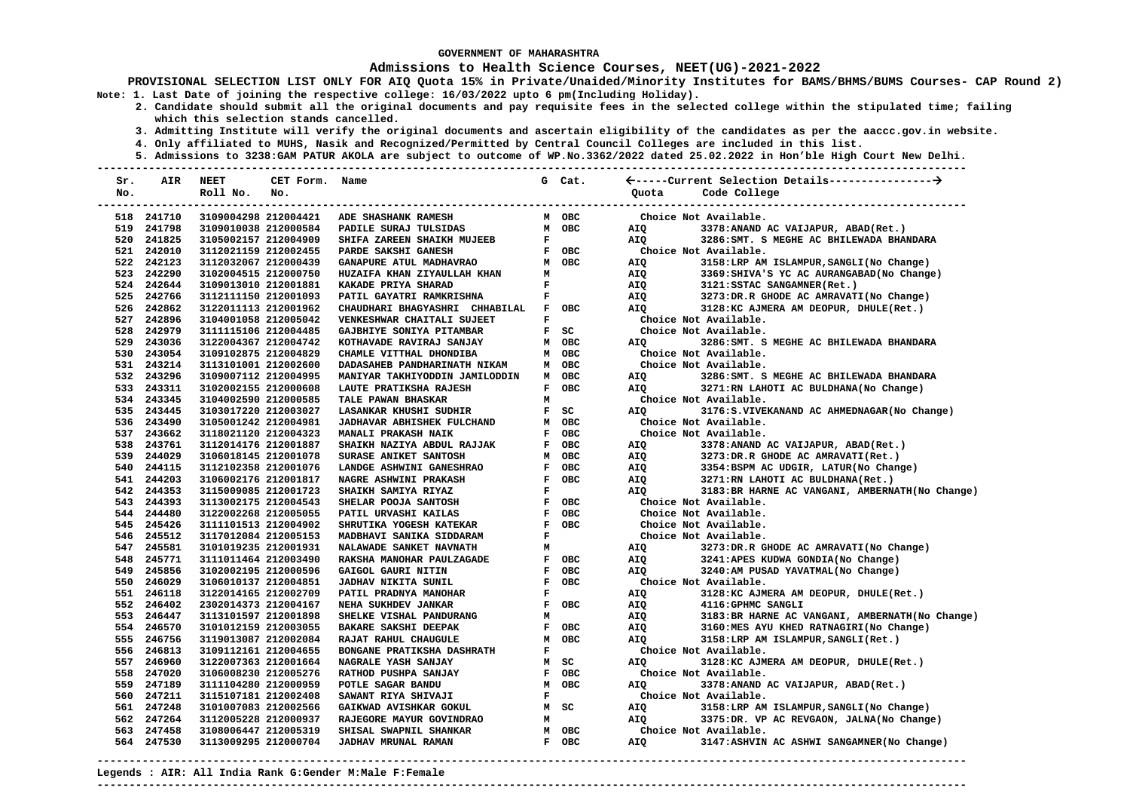### **Admissions to Health Science Courses, NEET(UG)-2021-2022**

**PROVISIONAL SELECTION LIST ONLY FOR AIQ Quota 15% in Private/Unaided/Minority Institutes for BAMS/BHMS/BUMS Courses- CAP Round 2) Note: 1. Last Date of joining the respective college: 16/03/2022 upto 6 pm(Including Holiday).** 

- **2. Candidate should submit all the original documents and pay requisite fees in the selected college within the stipulated time; failing which this selection stands cancelled.** 
	- **3. Admitting Institute will verify the original documents and ascertain eligibility of the candidates as per the aaccc.gov.in website.**
	- **4. Only affiliated to MUHS, Nasik and Recognized/Permitted by Central Council Colleges are included in this list.**
	- **5. Admissions to 3238:GAM PATUR AKOLA are subject to outcome of WP.No.3362/2022 dated 25.02.2022 in Hon'ble High Court New Delhi.**

| Sr. | AIR        | <b>NEET</b>          | CET Form. Name |                                |              | G Cat.     |                |                                                  |
|-----|------------|----------------------|----------------|--------------------------------|--------------|------------|----------------|--------------------------------------------------|
| No. |            | Roll No.             | No.            |                                |              |            | Ouota          | Code College                                     |
|     |            |                      |                |                                |              |            | -------------- | ---------------------------                      |
|     | 518 241710 | 3109004298 212004421 |                | ADE SHASHANK RAMESH            |              | M OBC      |                | Choice Not Available.                            |
|     | 519 241798 | 3109010038 212000584 |                | PADILE SURAJ TULSIDAS          |              | M OBC      | AIO            | 3378: ANAND AC VAIJAPUR, ABAD(Ret.)              |
|     | 520 241825 | 3105002157 212004909 |                | SHIFA ZAREEN SHAIKH MUJEEB     | $\mathbf F$  |            | <b>AIQ</b>     | 3286: SMT. S MEGHE AC BHILEWADA BHANDARA         |
|     | 521 242010 | 3112021159 212002455 |                | PARDE SAKSHI GANESH            |              | F OBC      |                | Choice Not Available.                            |
|     | 522 242123 | 3112032067 212000439 |                | GANAPURE ATUL MADHAVRAO        |              | M OBC      | AIO            | 3158:LRP AM ISLAMPUR, SANGLI (No Change)         |
|     | 523 242290 | 3102004515 212000750 |                | HUZAIFA KHAN ZIYAULLAH KHAN    | M            |            | AIQ            | 3369: SHIVA'S YC AC AURANGABAD (No Change)       |
|     | 524 242644 | 3109013010 212001881 |                | KAKADE PRIYA SHARAD            | $\mathbf F$  |            | AIQ            | 3121:SSTAC SANGAMNER(Ret.)                       |
|     | 525 242766 | 3112111150 212001093 |                | PATIL GAYATRI RAMKRISHNA       | F            |            | AIQ            | 3273:DR.R GHODE AC AMRAVATI(No Change)           |
|     | 526 242862 | 3122011113 212001962 |                | CHAUDHARI BHAGYASHRI CHHABILAL | F            | <b>OBC</b> | AIQ            | 3128:KC AJMERA AM DEOPUR, DHULE(Ret.)            |
|     | 527 242896 | 3104001058 212005042 |                | VENKESHWAR CHAITALI SUJEET     | $\mathbf F$  |            |                | Choice Not Available.                            |
|     | 528 242979 | 3111115106 212004485 |                | GAJBHIYE SONIYA PITAMBAR       |              | $F$ SC     |                | Choice Not Available.                            |
|     | 529 243036 | 3122004367 212004742 |                | KOTHAVADE RAVIRAJ SANJAY       |              | M OBC      | AIQ            | 3286: SMT. S MEGHE AC BHILEWADA BHANDARA         |
|     | 530 243054 | 3109102875 212004829 |                | CHAMLE VITTHAL DHONDIBA        |              | M OBC      |                | Choice Not Available.                            |
|     | 531 243214 | 3113101001 212002600 |                | DADASAHEB PANDHARINATH NIKAM   |              | M OBC      |                | Choice Not Available.                            |
|     | 532 243296 | 3109007112 212004995 |                | MANIYAR TAKHIYODDIN JAMILODDIN |              | M OBC      | AIQ            | 3286: SMT. S MEGHE AC BHILEWADA BHANDARA         |
|     | 533 243311 | 3102002155 212000608 |                | LAUTE PRATIKSHA RAJESH         | F            | <b>OBC</b> | AIQ            | 3271:RN LAHOTI AC BULDHANA(No Change)            |
|     | 534 243345 | 3104002590 212000585 |                | TALE PAWAN BHASKAR             | M            |            |                | Choice Not Available.                            |
|     | 535 243445 | 3103017220 212003027 |                | LASANKAR KHUSHI SUDHIR         | $\mathbf{F}$ | SC         | AIQ            | 3176:S.VIVEKANAND AC AHMEDNAGAR(No Change)       |
|     | 536 243490 | 3105001242 212004981 |                | JADHAVAR ABHISHEK FULCHAND     |              | M OBC      |                | Choice Not Available.                            |
|     | 537 243662 | 3118021120 212004323 |                | MANALI PRAKASH NAIK            | $\mathbf F$  | <b>OBC</b> |                | Choice Not Available.                            |
|     | 538 243761 | 3112014176 212001887 |                | SHAIKH NAZIYA ABDUL RAJJAK     | $\mathbf{F}$ | <b>OBC</b> | AIQ            | 3378:ANAND AC VAIJAPUR, ABAD(Ret.)               |
|     | 539 244029 | 3106018145 212001078 |                | SURASE ANIKET SANTOSH          | M            | <b>OBC</b> | AIQ            | 3273:DR.R GHODE AC AMRAVATI(Ret.)                |
|     | 540 244115 | 3112102358 212001076 |                | LANDGE ASHWINI GANESHRAO       | $\mathbf F$  | OBC        | AIQ            | 3354:BSPM AC UDGIR, LATUR(No Change)             |
|     | 541 244203 | 3106002176 212001817 |                | NAGRE ASHWINI PRAKASH          | $\mathbf{F}$ | <b>OBC</b> | AIQ            | 3271:RN LAHOTI AC BULDHANA(Ret.)                 |
|     | 542 244353 | 3115009085 212001723 |                | SHAIKH SAMIYA RIYAZ            | $\mathbf F$  |            | <b>AIO</b>     | 3183: BR HARNE AC VANGANI, AMBERNATH (No Change) |
|     | 543 244393 | 3113002175 212004543 |                | SHELAR POOJA SANTOSH           | $\mathbf F$  | OBC        |                | Choice Not Available.                            |
|     | 544 244480 | 3122002268 212005055 |                | PATIL URVASHI KAILAS           | $\mathbf F$  | <b>OBC</b> |                | Choice Not Available.                            |
|     | 545 245426 | 3111101513 212004902 |                | SHRUTIKA YOGESH KATEKAR        | $\mathbf F$  | <b>OBC</b> |                | Choice Not Available.                            |
|     | 546 245512 | 3117012084 212005153 |                | MADBHAVI SANIKA SIDDARAM       | $\mathbf F$  |            |                | Choice Not Available.                            |
|     | 547 245581 | 3101019235 212001931 |                | NALAWADE SANKET NAVNATH        | M            |            | AIQ            | 3273:DR.R GHODE AC AMRAVATI(No Change)           |
|     | 548 245771 | 3111011464 212003490 |                | RAKSHA MANOHAR PAULZAGADE      | $\mathbf F$  | <b>OBC</b> | AIQ            | 3241:APES KUDWA GONDIA(No Change)                |
|     | 549 245856 | 3102002195 212000596 |                | GAIGOL GAURI NITIN             | F            | OBC        | AIQ            | 3240:AM PUSAD YAVATMAL(No Change)                |
|     | 550 246029 | 3106010137 212004851 |                | JADHAV NIKITA SUNIL            | $\mathbf F$  | <b>OBC</b> |                | Choice Not Available.                            |
|     | 551 246118 | 3122014165 212002709 |                | PATIL PRADNYA MANOHAR          | $\mathbf F$  |            | AIQ            | 3128:KC AJMERA AM DEOPUR, DHULE(Ret.)            |
|     | 552 246402 | 2302014373 212004167 |                | NEHA SUKHDEV JANKAR            | $\mathbf F$  | <b>OBC</b> | AIQ            | 4116:GPHMC SANGLI                                |
|     | 553 246447 | 3113101597 212001898 |                | SHELKE VISHAL PANDURANG        | M            |            | AIQ            | 3183: BR HARNE AC VANGANI, AMBERNATH (No Change) |
|     | 554 246570 | 3101012159 212003055 |                | BAKARE SAKSHI DEEPAK           | $\mathbf F$  | OBC        | AIQ            | 3160:MES AYU KHED RATNAGIRI(No Change)           |
|     | 555 246756 | 3119013087 212002084 |                | RAJAT RAHUL CHAUGULE           |              | M OBC      | AIO            | 3158:LRP AM ISLAMPUR, SANGLI(Ret.)               |
|     | 556 246813 | 3109112161 212004655 |                | BONGANE PRATIKSHA DASHRATH     | $\mathbf F$  |            |                | Choice Not Available.                            |
|     | 557 246960 | 3122007363 212001664 |                | NAGRALE YASH SANJAY            |              | M SC       | AIQ            | 3128:KC AJMERA AM DEOPUR, DHULE(Ret.)            |
|     | 558 247020 | 3106008230 212005276 |                | RATHOD PUSHPA SANJAY           | $\mathbf F$  | OBC        |                | Choice Not Available.                            |
|     | 559 247189 | 3111104280 212000959 |                | POTLE SAGAR BANDU              | M            | <b>OBC</b> | AIQ            | 3378: ANAND AC VAIJAPUR, ABAD(Ret.)              |
|     | 560 247211 | 3115107181 212002408 |                | SAWANT RIYA SHIVAJI            | $\mathbf F$  |            |                | Choice Not Available.                            |
|     | 561 247248 | 3101007083 212002566 |                | GAIKWAD AVISHKAR GOKUL         |              | M SC       | AIQ            | 3158:LRP AM ISLAMPUR, SANGLI (No Change)         |
|     | 562 247264 | 3112005228 212000937 |                | RAJEGORE MAYUR GOVINDRAO       | M            |            | <b>AIQ</b>     | 3375:DR. VP AC REVGAON, JALNA(No Change)         |
|     | 563 247458 | 3108006447 212005319 |                | SHISAL SWAPNIL SHANKAR         |              | M OBC      |                | Choice Not Available.                            |
|     | 564 247530 | 3113009295 212000704 |                | JADHAV MRUNAL RAMAN            |              | F OBC      | <b>AIO</b>     | 3147:ASHVIN AC ASHWI SANGAMNER (No Change)       |
|     |            |                      |                |                                |              |            |                |                                                  |

**Legends : AIR: All India Rank G:Gender M:Male F:Female ---------------------------------------------------------------------------------------------------------------------------------------**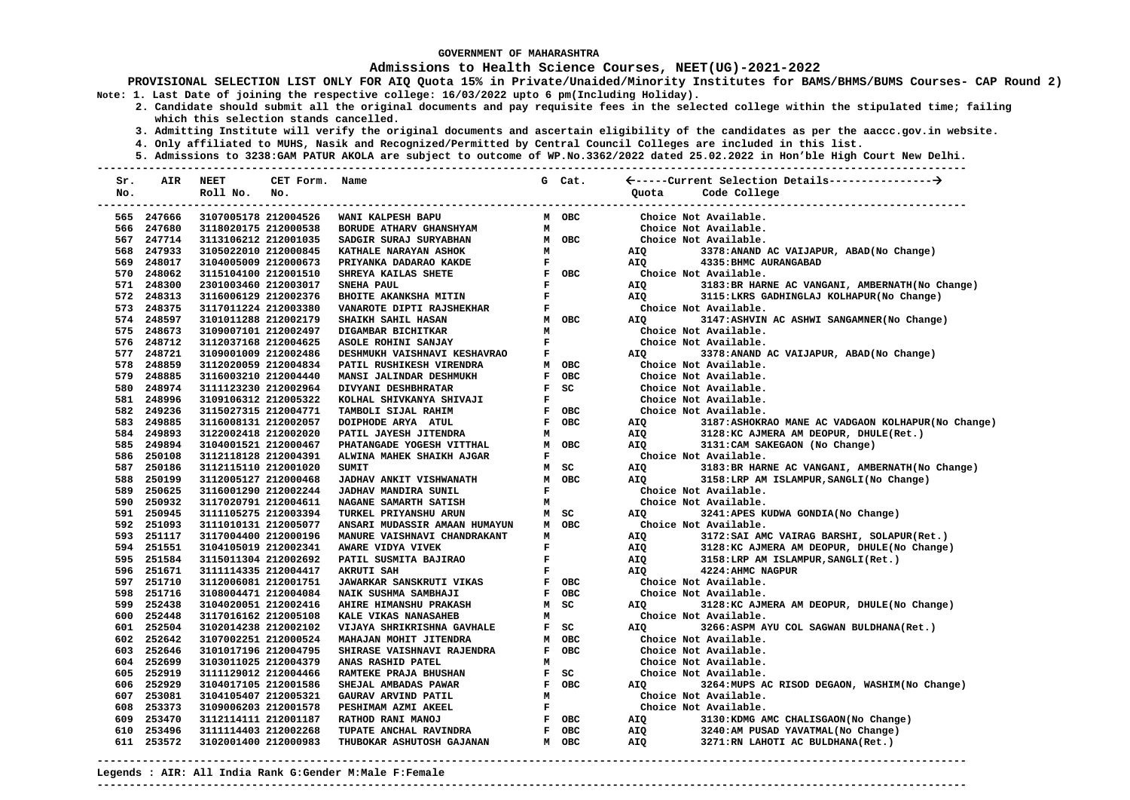### **Admissions to Health Science Courses, NEET(UG)-2021-2022**

**PROVISIONAL SELECTION LIST ONLY FOR AIQ Quota 15% in Private/Unaided/Minority Institutes for BAMS/BHMS/BUMS Courses- CAP Round 2) Note: 1. Last Date of joining the respective college: 16/03/2022 upto 6 pm(Including Holiday).** 

- **2. Candidate should submit all the original documents and pay requisite fees in the selected college within the stipulated time; failing which this selection stands cancelled.** 
	- **3. Admitting Institute will verify the original documents and ascertain eligibility of the candidates as per the aaccc.gov.in website.**
	- **4. Only affiliated to MUHS, Nasik and Recognized/Permitted by Central Council Colleges are included in this list.**
	- **5. Admissions to 3238:GAM PATUR AKOLA are subject to outcome of WP.No.3362/2022 dated 25.02.2022 in Hon'ble High Court New Delhi.**

| Sr. | AIR        | <b>NEET</b>          | CET Form. Name |                                 |              | G Cat.     |            |                                                   |
|-----|------------|----------------------|----------------|---------------------------------|--------------|------------|------------|---------------------------------------------------|
| No. |            | Roll No.             | No.            |                                 |              |            | Ouota      | Code College                                      |
|     |            |                      |                |                                 |              |            |            | --------------------                              |
|     | 565 247666 | 3107005178 212004526 |                | WANI KALPESH BAPU               |              | M OBC      |            | Choice Not Available.                             |
|     | 566 247680 | 3118020175 212000538 |                | BORUDE ATHARV GHANSHYAM         | M            |            |            | Choice Not Available.                             |
|     | 567 247714 | 3113106212 212001035 |                | SADGIR SURAJ SURYABHAN          |              | M OBC      |            | Choice Not Available.                             |
|     | 568 247933 | 3105022010 212000845 |                | KATHALE NARAYAN ASHOK           | м            |            | AIQ        | 3378: ANAND AC VAIJAPUR, ABAD (No Change)         |
|     | 569 248017 | 3104005009 212000673 |                | PRIYANKA DADARAO KAKDE          | $\mathbf{F}$ |            | AIQ        | 4335: BHMC AURANGABAD                             |
|     | 570 248062 | 3115104100 212001510 |                | SHREYA KAILAS SHETE             |              | F OBC      |            | Choice Not Available.                             |
|     | 571 248300 | 2301003460 212003017 |                | SNEHA PAUL                      | $\mathbf{F}$ |            | AIO        | 3183: BR HARNE AC VANGANI, AMBERNATH (No Change)  |
|     | 572 248313 | 3116006129 212002376 |                | BHOITE AKANKSHA MITIN           | $\mathbf{F}$ |            | AIQ        | 3115:LKRS GADHINGLAJ KOLHAPUR(No Change)          |
|     | 573 248375 | 3117011224 212003380 |                | VANAROTE DIPTI RAJSHEKHAR       | $\mathbf F$  |            |            | Choice Not Available.                             |
|     | 574 248597 | 3101011288 212002179 |                | SHAIKH SAHIL HASAN              |              | M OBC      | <b>AIO</b> | 3147:ASHVIN AC ASHWI SANGAMNER(No Change)         |
|     | 575 248673 | 3109007101 212002497 |                | DIGAMBAR BICHITKAR              | М            |            |            | Choice Not Available.                             |
|     | 576 248712 | 3112037168 212004625 |                | ASOLE ROHINI SANJAY             | $\mathbf{F}$ |            |            | Choice Not Available.                             |
|     | 577 248721 | 3109001009 212002486 |                | DESHMUKH VAISHNAVI KESHAVRAO    | F            |            | AIQ        | 3378: ANAND AC VAIJAPUR, ABAD (No Change)         |
|     | 578 248859 | 3112020059 212004834 |                | PATIL RUSHIKESH VIRENDRA        |              | M OBC      |            | Choice Not Available.                             |
|     | 579 248885 | 3116003210 212004440 |                | MANSI JALINDAR DESHMUKH         | $\mathbf{F}$ | <b>OBC</b> |            | Choice Not Available.                             |
|     | 580 248974 | 3111123230 212002964 |                | DIVYANI DESHBHRATAR             |              | F SC       |            | Choice Not Available.                             |
|     | 581 248996 | 3109106312 212005322 |                | KOLHAL SHIVKANYA SHIVAJI        | $\mathbf{F}$ |            |            | Choice Not Available.                             |
|     | 582 249236 | 3115027315 212004771 |                | TAMBOLI SIJAL RAHIM             |              | F OBC      |            | Choice Not Available.                             |
|     | 583 249885 | 3116008131 212002057 |                | DOIPHODE ARYA ATUL              |              | F OBC      | AIQ        | 3187:ASHOKRAO MANE AC VADGAON KOLHAPUR(No Change) |
|     | 584 249893 | 3122002418 212002020 |                | PATIL JAYESH JITENDRA           | M            |            | AIQ        | 3128: KC AJMERA AM DEOPUR, DHULE(Ret.)            |
|     | 585 249894 | 3104001521 212000467 |                | PHATANGADE YOGESH VITTHAL       |              | M OBC      | AIQ        | 3131: CAM SAKEGAON (No Change)                    |
|     | 586 250108 | 3112118128 212004391 |                | ALWINA MAHEK SHAIKH AJGAR       | $\mathbf F$  |            |            | Choice Not Available.                             |
|     | 587 250186 | 3112115110 212001020 |                | SUMIT                           |              | M SC       | AIQ        | 3183: BR HARNE AC VANGANI, AMBERNATH (No Change)  |
|     | 588 250199 | 3112005127 212000468 |                | JADHAV ANKIT VISHWANATH         |              | M OBC      | AIO        | 3158:LRP AM ISLAMPUR, SANGLI (No Change)          |
|     | 589 250625 | 3116001290 212002244 |                | <b>JADHAV MANDIRA SUNIL</b>     | $\mathbf F$  |            |            | Choice Not Available.                             |
|     | 590 250932 | 3117020791 212004611 |                | NAGANE SAMARTH SATISH           | М            |            |            | Choice Not Available.                             |
|     | 591 250945 | 3111105275 212003394 |                | TURKEL PRIYANSHU ARUN           |              | M SC       | <b>AIO</b> | 3241:APES KUDWA GONDIA(No Change)                 |
|     | 592 251093 | 3111010131 212005077 |                | ANSARI MUDASSIR AMAAN HUMAYUN   |              | M OBC      |            | Choice Not Available.                             |
|     | 593 251117 | 3117004400 212000196 |                | MANURE VAISHNAVI CHANDRAKANT    | м            |            | AIQ        | 3172: SAI AMC VAIRAG BARSHI, SOLAPUR (Ret.)       |
|     | 594 251551 | 3104105019 212002341 |                | AWARE VIDYA VIVEK               | F            |            | AIQ        | 3128:KC AJMERA AM DEOPUR, DHULE(No Change)        |
|     | 595 251584 | 3115011304 212002692 |                | PATIL SUSMITA BAJIRAO           | F            |            | AIQ        | 3158:LRP AM ISLAMPUR, SANGLI(Ret.)                |
|     | 596 251671 | 3111114335 212004417 |                | <b>AKRUTI SAH</b>               | $\mathbf F$  |            | AIO        | 4224: AHMC NAGPUR                                 |
|     | 597 251710 | 3112006081 212001751 |                | <b>JAWARKAR SANSKRUTI VIKAS</b> |              | F OBC      |            | Choice Not Available.                             |
|     | 598 251716 | 3108004471 212004084 |                | NAIK SUSHMA SAMBHAJI            |              | F OBC      |            | Choice Not Available.                             |
|     | 599 252438 | 3104020051 212002416 |                | <b>AHIRE HIMANSHU PRAKASH</b>   |              | M SC       | AIQ        | 3128:KC AJMERA AM DEOPUR, DHULE(No Change)        |
|     | 600 252448 | 3117016162 212005108 |                | KALE VIKAS NANASAHEB            | м            |            |            | Choice Not Available.                             |
|     | 601 252504 | 3102014238 212002102 |                | VIJAYA SHRIKRISHNA GAVHALE      |              | F SC       | AIQ        | 3266:ASPM AYU COL SAGWAN BULDHANA(Ret.)           |
|     | 602 252642 | 3107002251 212000524 |                | MAHAJAN MOHIT JITENDRA          |              | M OBC      |            | Choice Not Available.                             |
|     | 603 252646 | 3101017196 212004795 |                | SHIRASE VAISHNAVI RAJENDRA      |              | F OBC      |            | Choice Not Available.                             |
|     | 604 252699 | 3103011025 212004379 |                | ANAS RASHID PATEL               | M            |            |            | Choice Not Available.                             |
|     | 605 252919 | 3111129012 212004466 |                | RAMTEKE PRAJA BHUSHAN           |              | $F$ SC     |            | Choice Not Available.                             |
|     | 606 252929 | 3104017105 212001586 |                | SHEJAL AMBADAS PAWAR            |              | F OBC      | AIQ        | 3264: MUPS AC RISOD DEGAON, WASHIM (No Change)    |
|     | 607 253081 | 3104105407 212005321 |                | GAURAV ARVIND PATIL             | M            |            |            | Choice Not Available.                             |
|     | 608 253373 | 3109006203 212001578 |                | PESHIMAM AZMI AKEEL             | $\mathbf{F}$ |            |            | Choice Not Available.                             |
|     | 609 253470 | 3112114111 212001187 |                | RATHOD RANI MANOJ               |              | F OBC      | AIQ        | 3130: KDMG AMC CHALISGAON (No Change)             |
|     | 610 253496 | 3111114403 212002268 |                | TUPATE ANCHAL RAVINDRA          | $\mathbf{F}$ | <b>OBC</b> | AIQ        | 3240:AM PUSAD YAVATMAL(No Change)                 |
|     | 611 253572 | 3102001400 212000983 |                | THUBOKAR ASHUTOSH GAJANAN       |              | M OBC      | AIQ        | 3271:RN LAHOTI AC BULDHANA(Ret.)                  |
|     |            |                      |                |                                 |              |            |            |                                                   |

**---------------------------------------------------------------------------------------------------------------------------------------**

**Legends : AIR: All India Rank G:Gender M:Male F:Female**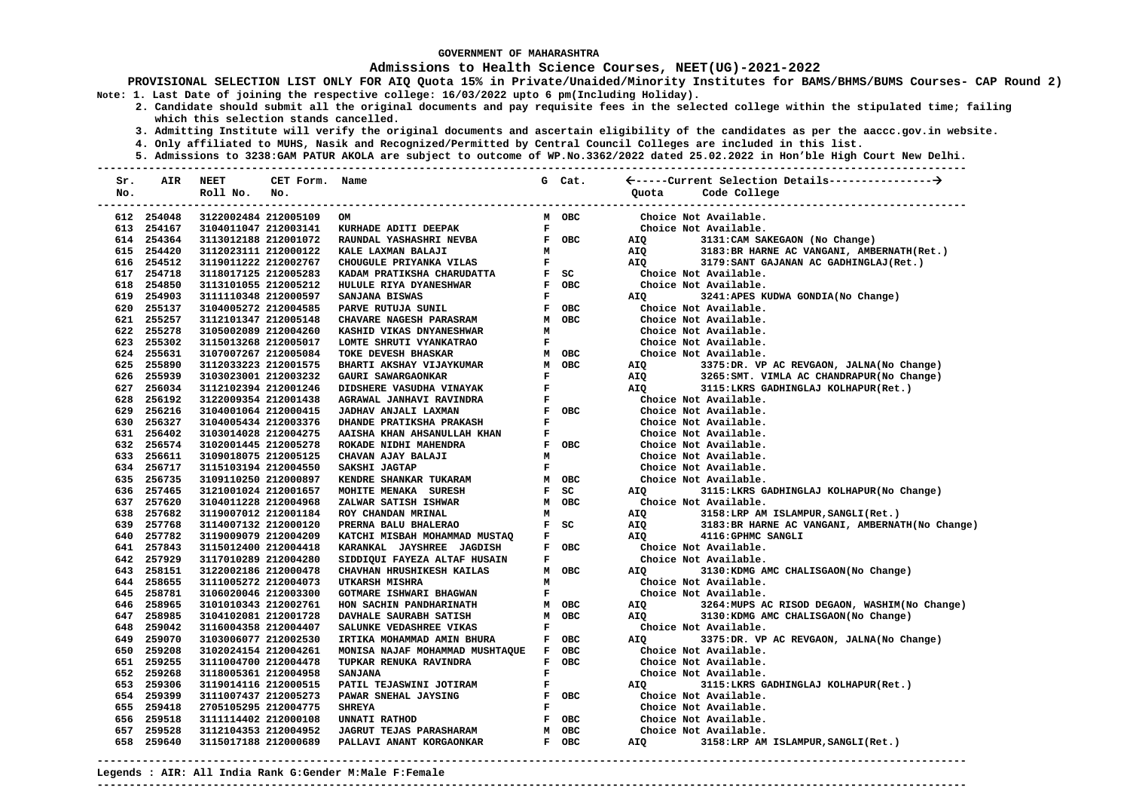### **Admissions to Health Science Courses, NEET(UG)-2021-2022**

**PROVISIONAL SELECTION LIST ONLY FOR AIQ Quota 15% in Private/Unaided/Minority Institutes for BAMS/BHMS/BUMS Courses- CAP Round 2) Note: 1. Last Date of joining the respective college: 16/03/2022 upto 6 pm(Including Holiday).** 

- **2. Candidate should submit all the original documents and pay requisite fees in the selected college within the stipulated time; failing which this selection stands cancelled.** 
	- **3. Admitting Institute will verify the original documents and ascertain eligibility of the candidates as per the aaccc.gov.in website.**
	- **4. Only affiliated to MUHS, Nasik and Recognized/Permitted by Central Council Colleges are included in this list.**
- **5. Admissions to 3238:GAM PATUR AKOLA are subject to outcome of WP.No.3362/2022 dated 25.02.2022 in Hon'ble High Court New Delhi. ---------------------------------------------------------------------------------------------------------------------------------------**

| Sr. | AIR                      | <b>NEET</b>                                  | CET Form. | Name                                                      |              | G Cat. |                       |                                                                                         |
|-----|--------------------------|----------------------------------------------|-----------|-----------------------------------------------------------|--------------|--------|-----------------------|-----------------------------------------------------------------------------------------|
| No. |                          | Roll No.                                     | No.       |                                                           |              |        | Quota                 | Code College                                                                            |
|     |                          |                                              |           |                                                           |              |        |                       |                                                                                         |
|     | 612 254048               | 3122002484 212005109                         |           | OM                                                        |              | M OBC  |                       | Choice Not Available.                                                                   |
|     | 613 254167               | 3104011047 212003141                         |           | KURHADE ADITI DEEPAK                                      | $\mathbf{F}$ |        |                       | Choice Not Available.                                                                   |
|     | 614 254364               | 3113012188 212001072                         |           | RAUNDAL YASHASHRI NEVBA                                   |              | F OBC  |                       | AIQ 3131:CAM SAKEGAON (No Change)                                                       |
|     | 615 254420               | 3112023111 212000122                         |           | KALE LAXMAN BALAJI                                        | M            |        |                       | AIQ 3183: BR HARNE AC VANGANI, AMBERNATH(Ret.)                                          |
|     | 616 254512               | 3119011222 212002767                         |           | CHOUGULE PRIYANKA VILAS                                   | $\mathbf F$  |        | <b>AIO</b>            | 3179:SANT GAJANAN AC GADHINGLAJ(Ret.)                                                   |
|     | 617 254718               | 3118017125 212005283                         |           | KADAM PRATIKSHA CHARUDATTA                                |              | $F$ SC | Choice Not Available. |                                                                                         |
|     | 618 254850               | 3113101055 212005212                         |           | HULULE RIYA DYANESHWAR                                    |              | F OBC  | Choice Not Available. |                                                                                         |
|     | 619 254903               | 3111110348 212000597                         |           | SANJANA BISWAS                                            | $\mathbf{F}$ |        | <b>AIQ</b>            | 3241:APES KUDWA GONDIA(No Change)                                                       |
|     | 620 255137               | 3104005272 212004585                         |           | PARVE RUTUJA SUNIL                                        |              | F OBC  |                       | Choice Not Available.                                                                   |
|     | 621 255257               | 3112101347 212005148                         |           | <b>CHAVARE NAGESH PARASRAM</b>                            |              | M OBC  |                       | Choice Not Available.                                                                   |
|     | 622 255278               | 3105002089 212004260                         |           | KASHID VIKAS DNYANESHWAR                                  | M            |        |                       | Choice Not Available.                                                                   |
|     | 623 255302               | 3115013268 212005017                         |           | LOMTE SHRUTI VYANKATRAO                                   | $\mathbf{F}$ |        |                       | Choice Not Available.                                                                   |
|     | 624 255631               | 3107007267 212005084                         |           | TOKE DEVESH BHASKAR                                       |              | M OBC  |                       | Choice Not Available.                                                                   |
|     | 625 255890               | 3112033223 212001575                         |           | BHARTI AKSHAY VIJAYKUMAR                                  |              | M OBC  | AIQ Q                 | 3375:DR. VP AC REVGAON, JALNA(No Change)                                                |
|     | 626 255939               | 3103023001 212003232                         |           | GAURI SAWARGAONKAR                                        | $\mathbf F$  |        |                       | AIQ 3265:SMT. VIMLA AC CHANDRAPUR(No Change)<br>AIQ 3115:LKRS GADHINGLAJ KOLHAPUR(Ret.) |
|     | 627 256034               | 3112102394 212001246                         |           | DIDSHERE VASUDHA VINAYAK                                  | $\mathbf{F}$ |        |                       |                                                                                         |
|     | 628 256192               | 3122009354 212001438                         |           | AGRAWAL JANHAVI RAVINDRA                                  | $\mathbf F$  |        |                       | Choice Not Available.                                                                   |
|     | 629 256216               | 3104001064 212000415                         |           | JADHAV ANJALI LAXMAN                                      |              | F OBC  |                       | Choice Not Available.                                                                   |
|     | 630 256327               | 3104005434 212003376                         |           | DHANDE PRATIKSHA PRAKASH                                  | F            |        |                       | Choice Not Available.                                                                   |
|     | 631 256402               | 3103014028 212004275                         |           | AAISHA KHAN AHSANULLAH KHAN                               | $\mathbf F$  |        |                       | Choice Not Available.                                                                   |
|     | 632 256574               | 3102001445 212005278                         |           | ROKADE NIDHI MAHENDRA                                     |              | F OBC  |                       | Choice Not Available.                                                                   |
|     | 633 256611               | 3109018075 212005125                         |           | CHAVAN AJAY BALAJI                                        | м            |        |                       | Choice Not Available.                                                                   |
|     | 634 256717               | 3115103194 212004550                         |           | SAKSHI JAGTAP                                             | $\mathbf F$  |        |                       | Choice Not Available.                                                                   |
|     | 635 256735               | 3109110250 212000897                         |           | KENDRE SHANKAR TUKARAM                                    |              | M OBC  |                       | Choice Not Available.                                                                   |
|     | 636 257465               | 3121001024 212001657                         |           | MOHITE MENAKA SURESH                                      | $\mathbf{F}$ | SC     | <b>AIO</b>            | 3115:LKRS GADHINGLAJ KOLHAPUR(No Change)                                                |
|     | 637 257620               | 3104011228 212004968                         |           | ZALWAR SATISH ISHWAR                                      |              | M OBC  | Choice Not Available. |                                                                                         |
|     | 638 257682               | 3119007012 212001184                         |           | ROY CHANDAN MRINAL                                        | М            |        |                       | AIQ 3158:LRP AM ISLAMPUR, SANGLI(Ret.)                                                  |
|     | 639 257768<br>640 257782 | 3114007132 212000120                         |           | PRERNA BALU BHALERAO                                      | $\mathbf F$  | F SC   | AIQ<br>AIO            | 3183: BR HARNE AC VANGANI, AMBERNATH (No Change)<br>4116: GPHMC SANGLI                  |
|     | 641 257843               | 3119009079 212004209                         |           | KATCHI MISBAH MOHAMMAD MUSTAQ                             |              | F OBC  | Choice Not Available. |                                                                                         |
|     | 642 257929               | 3115012400 212004418<br>3117010289 212004280 |           | KARANKAL JAYSHREE JAGDISH<br>SIDDIQUI FAYEZA ALTAF HUSAIN | $\mathbf{F}$ |        |                       | Choice Not Available.                                                                   |
|     | 643 258151               | 3122002186 212000478                         |           | CHAVHAN HRUSHIKESH KAILAS                                 |              | M OBC  | AIO                   | 3130: KDMG AMC CHALISGAON (No Change)                                                   |
|     | 644 258655               | 3111005272 212004073                         |           | UTKARSH MISHRA                                            | M            |        |                       | Choice Not Available.                                                                   |
|     | 645 258781               | 3106020046 212003300                         |           | GOTMARE ISHWARI BHAGWAN                                   | F            |        |                       | Choice Not Available.                                                                   |
|     | 646 258965               | 3101010343 212002761                         |           | HON SACHIN PANDHARINATH                                   |              | M OBC  | AIQ                   | 3264: MUPS AC RISOD DEGAON, WASHIM (No Change)                                          |
|     | 647 258985               | 3104102081 212001728                         |           | DAVHALE SAURABH SATISH                                    |              | M OBC  | AIQ                   | 3130: KDMG AMC CHALISGAON (No Change)                                                   |
|     | 648 259042               | 3116004358 212004407                         |           | SALUNKE VEDASHREE VIKAS                                   | $\mathbf F$  |        |                       | Choice Not Available.                                                                   |
|     | 649 259070               | 3103006077 212002530                         |           | IRTIKA MOHAMMAD AMIN BHURA                                |              | F OBC  | AIQ <b>AID</b>        | 3375:DR. VP AC REVGAON, JALNA(No Change)                                                |
|     | 650 259208               | 3102024154 212004261                         |           | MONISA NAJAF MOHAMMAD MUSHTAQUE F OBC                     |              |        |                       | Choice Not Available.                                                                   |
|     | 651 259255               | 3111004700 212004478                         |           | TUPKAR RENUKA RAVINDRA                                    |              | F OBC  |                       | Choice Not Available.                                                                   |
|     | 652 259268               | 3118005361 212004958                         |           | <b>SANJANA</b>                                            | $\mathbf{F}$ |        |                       | Choice Not Available.                                                                   |
|     | 653 259306               | 3119014116 212000515                         |           | PATIL TEJASWINI JOTIRAM                                   | $\mathbf{F}$ |        | AIQ                   | 3115:LKRS GADHINGLAJ KOLHAPUR(Ret.)                                                     |
|     | 654 259399               | 3111007437 212005273                         |           | PAWAR SNEHAL JAYSING                                      |              | F OBC  |                       | Choice Not Available.                                                                   |
|     | 655 259418               | 2705105295 212004775                         |           | <b>SHREYA</b>                                             | $\mathbf F$  |        |                       | Choice Not Available.                                                                   |
|     | 656 259518               | 3111114402 212000108                         |           | UNNATI RATHOD                                             |              | F OBC  |                       | Choice Not Available.                                                                   |
|     | 657 259528               | 3112104353 212004952                         |           | <b>JAGRUT TEJAS PARASHARAM</b>                            |              | M OBC  |                       | Choice Not Available.                                                                   |
|     | 658 259640               | 3115017188 212000689                         |           | PALLAVI ANANT KORGAONKAR                                  |              | F OBC  | AIQ                   | 3158:LRP AM ISLAMPUR, SANGLI(Ret.)                                                      |
|     |                          |                                              |           |                                                           |              |        |                       |                                                                                         |

**Legends : AIR: All India Rank G:Gender M:Male F:Female ---------------------------------------------------------------------------------------------------------------------------------------**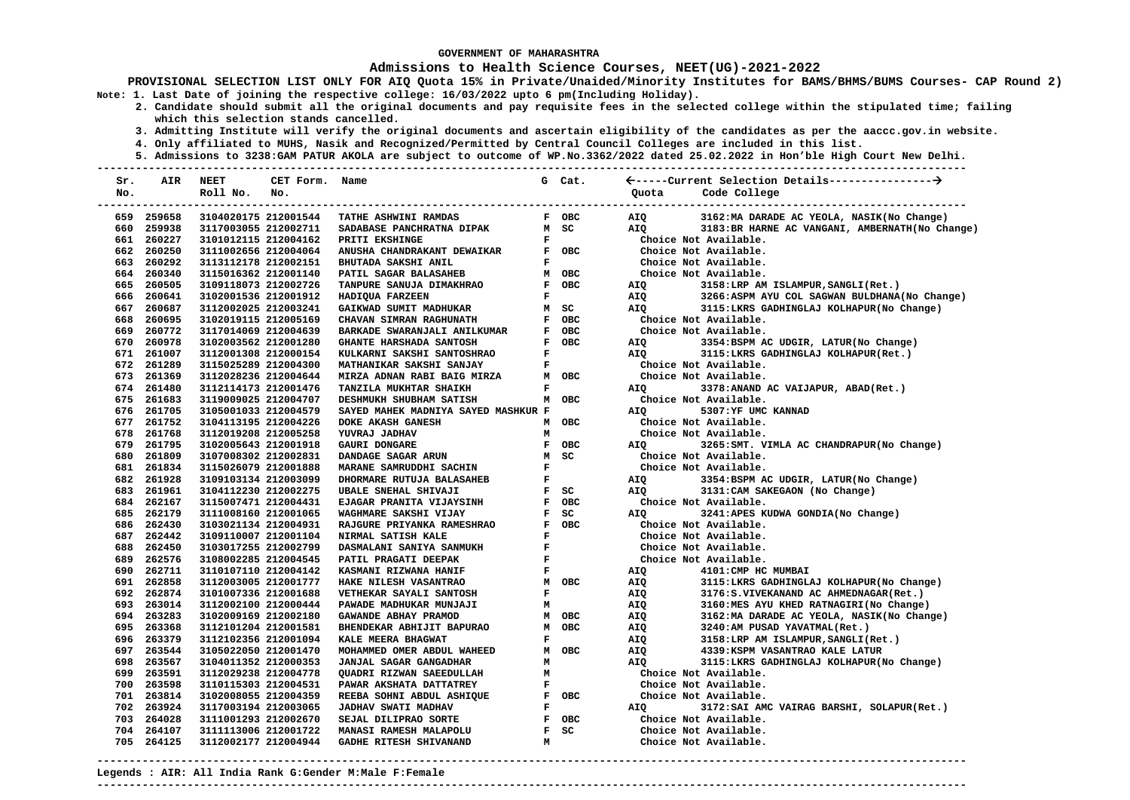### **Admissions to Health Science Courses, NEET(UG)-2021-2022**

- **2. Candidate should submit all the original documents and pay requisite fees in the selected college within the stipulated time; failing which this selection stands cancelled.** 
	- **3. Admitting Institute will verify the original documents and ascertain eligibility of the candidates as per the aaccc.gov.in website.**
	- **4. Only affiliated to MUHS, Nasik and Recognized/Permitted by Central Council Colleges are included in this list.**
- **5. Admissions to 3238:GAM PATUR AKOLA are subject to outcome of WP.No.3362/2022 dated 25.02.2022 in Hon'ble High Court New Delhi. ---------------------------------------------------------------------------------------------------------------------------------------**

| Sr. | AIR        | NEET                 | CET Form. Name |                                     |              | G Cat. |                       |                                                  |
|-----|------------|----------------------|----------------|-------------------------------------|--------------|--------|-----------------------|--------------------------------------------------|
| No. |            | Roll No.             | No.            |                                     |              |        | Ouota                 | Code College                                     |
|     |            |                      |                |                                     |              |        |                       |                                                  |
|     | 659 259658 | 3104020175 212001544 |                | TATHE ASHWINI RAMDAS                |              | F OBC  | AIO                   | 3162: MA DARADE AC YEOLA, NASIK (No Change)      |
|     | 660 259938 | 3117003055 212002711 |                | SADABASE PANCHRATNA DIPAK           |              | M SC   | AIO                   | 3183: BR HARNE AC VANGANI, AMBERNATH (No Change) |
|     | 661 260227 | 3101012115 212004162 |                | PRITI EKSHINGE                      | $\mathbf{F}$ |        |                       | Choice Not Available.                            |
|     | 662 260250 | 3111002656 212004064 |                | ANUSHA CHANDRAKANT DEWAIKAR         |              | F OBC  |                       | Choice Not Available.                            |
|     | 663 260292 | 3113112178 212002151 |                | BHUTADA SAKSHI ANIL                 | $\mathbf F$  |        |                       | Choice Not Available.                            |
|     | 664 260340 | 3115016362 212001140 |                | PATIL SAGAR BALASAHEB               |              | M OBC  |                       | Choice Not Available.                            |
|     | 665 260505 | 3109118073 212002726 |                | TANPURE SANUJA DIMAKHRAO            |              | F OBC  | AIQ                   | 3158:LRP AM ISLAMPUR, SANGLI(Ret.)               |
|     | 666 260641 | 3102001536 212001912 |                | HADIQUA FARZEEN                     | $\mathbf{F}$ |        | AIO                   | 3266:ASPM AYU COL SAGWAN BULDHANA(No Change)     |
|     | 667 260687 | 3112002025 212003241 |                | GAIKWAD SUMIT MADHUKAR              |              | M SC   | AIQ                   |                                                  |
|     | 668 260695 | 3102019115 212005169 |                | CHAVAN SIMRAN RAGHUNATH             |              | F OBC  | Choice Not Available. |                                                  |
|     | 669 260772 | 3117014069 212004639 |                | BARKADE SWARANJALI ANILKUMAR        |              | F OBC  |                       | Choice Not Available.                            |
|     | 670 260978 | 3102003562 212001280 |                | GHANTE HARSHADA SANTOSH             |              | F OBC  | AIQ                   | 3354:BSPM AC UDGIR, LATUR(No Change)             |
|     | 671 261007 | 3112001308 212000154 |                | KULKARNI SAKSHI SANTOSHRAO          | $\mathbf F$  |        | AIQ                   | 3115:LKRS GADHINGLAJ KOLHAPUR(Ret.)              |
|     | 672 261289 | 3115025289 212004300 |                | MATHANIKAR SAKSHI SANJAY            | $\mathbf F$  |        |                       | Choice Not Available.                            |
|     | 673 261369 | 3112028236 212004644 |                | MIRZA ADNAN RABI BAIG MIRZA         |              | M OBC  |                       | Choice Not Available.                            |
|     | 674 261480 | 3112114173 212001476 |                | TANZILA MUKHTAR SHAIKH              | $\mathbf{F}$ |        | <b>AIO</b>            | 3378:ANAND AC VAIJAPUR, ABAD(Ret.)               |
|     | 675 261683 | 3119009025 212004707 |                | DESHMUKH SHUBHAM SATISH             |              | M OBC  | Choice Not Available. |                                                  |
|     | 676 261705 | 3105001033 212004579 |                | SAYED MAHEK MADNIYA SAYED MASHKUR F |              |        | AIQ                   | 5307:YF UMC KANNAD                               |
|     | 677 261752 | 3104113195 212004226 |                | DOKE AKASH GANESH                   |              | M OBC  |                       | Choice Not Available.                            |
|     | 678 261768 | 3112019208 212005258 |                | YUVRAJ JADHAV                       | M            |        |                       | Choice Not Available.                            |
|     | 679 261795 | 3102005643 212001918 |                | GAURI DONGARE                       |              | F OBC  | AIO                   | 3265: SMT. VIMLA AC CHANDRAPUR (No Change)       |
|     | 680 261809 | 3107008302 212002831 |                | DANDAGE SAGAR ARUN                  |              | M SC   |                       | Choice Not Available.                            |
|     | 681 261834 | 3115026079 212001888 |                | MARANE SAMRUDDHI SACHIN             | $\mathbf F$  |        |                       | Choice Not Available.                            |
|     | 682 261928 | 3109103134 212003099 |                | DHORMARE RUTUJA BALASAHEB           | $\mathbf F$  |        | AIQ                   | 3354:BSPM AC UDGIR, LATUR(No Change)             |
|     | 683 261961 | 3104112230 212002275 |                | UBALE SNEHAL SHIVAJI                |              | $F$ SC | AIO                   | 3131: CAM SAKEGAON (No Change)                   |
|     | 684 262167 | 3115007471 212004431 |                | <b>EJAGAR PRANITA VIJAYSINH</b>     |              | F OBC  |                       | Choice Not Available.                            |
|     | 685 262179 | 3111008160 212001065 |                | WAGHMARE SAKSHI VIJAY               |              | $F$ SC | AIO                   | 3241:APES KUDWA GONDIA(No Change)                |
|     | 686 262430 | 3103021134 212004931 |                | RAJGURE PRIYANKA RAMESHRAO          |              | F OBC  |                       | Choice Not Available.                            |
|     | 687 262442 | 3109110007 212001104 |                | NIRMAL SATISH KALE                  | $\mathbf{F}$ |        |                       | Choice Not Available.                            |
|     | 688 262450 | 3103017255 212002799 |                | DASMALANI SANIYA SANMUKH            | $\mathbf{F}$ |        |                       | Choice Not Available.                            |
|     | 689 262576 | 3108002285 212004545 |                | PATIL PRAGATI DEEPAK                | $\mathbf F$  |        |                       | Choice Not Available.                            |
|     | 690 262711 | 3110107110 212004142 |                | KASMANI RIZWANA HANIF               | $\mathbf{F}$ |        | AIQ                   | 4101: CMP HC MUMBAI                              |
|     | 691 262858 | 3112003005 212001777 |                | HAKE NILESH VASANTRAO               |              | M OBC  | AIQ                   | 3115:LKRS GADHINGLAJ KOLHAPUR(No Change)         |
|     | 692 262874 | 3101007336 212001688 |                | VETHEKAR SAYALI SANTOSH             | $\mathbf{F}$ |        | AIQ                   | 3176:S.VIVEKANAND AC AHMEDNAGAR(Ret.)            |
|     | 693 263014 | 3112002100 212000444 |                | PAWADE MADHUKAR MUNJAJI             | м            |        | AIQ                   | 3160:MES AYU KHED RATNAGIRI(No Change)           |
|     | 694 263283 | 3102009169 212002180 |                | GAWANDE ABHAY PRAMOD                |              | M OBC  | AIQ                   | 3162: MA DARADE AC YEOLA, NASIK(No Change)       |
|     | 695 263368 | 3112101204 212001581 |                | BHENDEKAR ABHIJIT BAPURAO           |              | M OBC  | AIQ                   | 3240:AM PUSAD YAVATMAL(Ret.)                     |
|     | 696 263379 | 3112102356 212001094 |                | KALE MEERA BHAGWAT                  | F            |        | AIQ                   | 3158:LRP AM ISLAMPUR, SANGLI(Ret.)               |
|     | 697 263544 | 3105022050 212001470 |                | MOHAMMED OMER ABDUL WAHEED          |              | M OBC  | AIQ                   | 4339: KSPM VASANTRAO KALE LATUR                  |
|     | 698 263567 | 3104011352 212000353 |                | <b>JANJAL SAGAR GANGADHAR</b>       | M            |        | AIO                   | 3115: LKRS GADHINGLAJ KOLHAPUR (No Change)       |
|     | 699 263591 | 3112029238 212004778 |                | QUADRI RIZWAN SAEEDULLAH            | M            |        |                       | Choice Not Available.                            |
|     | 700 263598 | 3110115303 212004531 |                | PAWAR AKSHATA DATTATREY             | $\mathbf{F}$ |        |                       | Choice Not Available.                            |
|     | 701 263814 | 3102008055 212004359 |                | REEBA SOHNI ABDUL ASHIQUE           |              | F OBC  |                       | Choice Not Available.                            |
|     | 702 263924 | 3117003194 212003065 |                | <b>JADHAV SWATI MADHAV</b>          | $\mathbf{F}$ |        | AIQ                   | 3172: SAI AMC VAIRAG BARSHI, SOLAPUR(Ret.)       |
|     | 703 264028 | 3111001293 212002670 |                | SEJAL DILIPRAO SORTE                |              | F OBC  |                       | Choice Not Available.                            |
|     | 704 264107 | 3111113006 212001722 |                | MANASI RAMESH MALAPOLU              |              | F SC   |                       | Choice Not Available.                            |
|     | 705 264125 | 3112002177 212004944 |                | <b>GADHE RITESH SHIVANAND</b>       | M            |        |                       | Choice Not Available.                            |
|     |            |                      |                |                                     |              |        |                       |                                                  |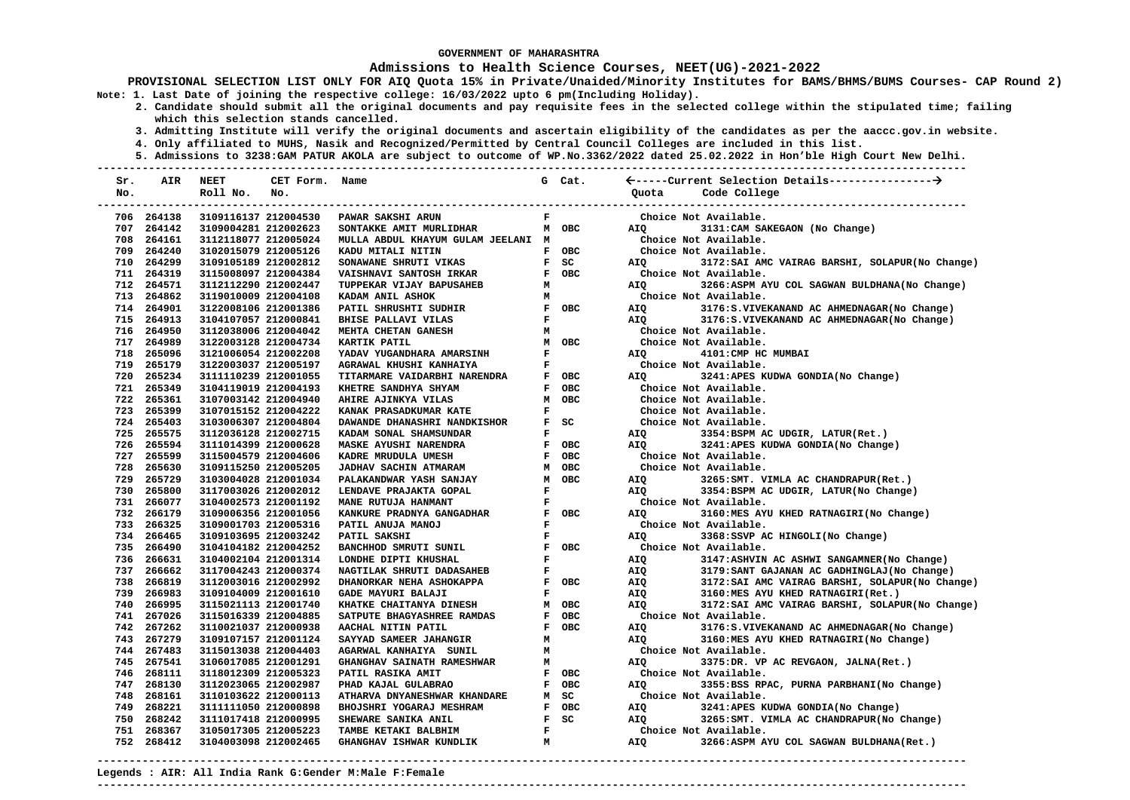### **Admissions to Health Science Courses, NEET(UG)-2021-2022**

- **2. Candidate should submit all the original documents and pay requisite fees in the selected college within the stipulated time; failing which this selection stands cancelled.** 
	- **3. Admitting Institute will verify the original documents and ascertain eligibility of the candidates as per the aaccc.gov.in website.**
	- **4. Only affiliated to MUHS, Nasik and Recognized/Permitted by Central Council Colleges are included in this list.**
	- **5. Admissions to 3238:GAM PATUR AKOLA are subject to outcome of WP.No.3362/2022 dated 25.02.2022 in Hon'ble High Court New Delhi.**

| Sr. | AIR        | <b>NEET</b>          | CET Form. Name |                                    |              | G Cat. |            |                                                  |
|-----|------------|----------------------|----------------|------------------------------------|--------------|--------|------------|--------------------------------------------------|
| No. |            | Roll No.             | No.            |                                    |              |        |            | Quota Code College                               |
|     |            |                      |                |                                    |              |        |            | -----------------                                |
|     | 706 264138 | 3109116137 212004530 |                | PAWAR SAKSHI ARUN                  | $\mathbf F$  |        |            | Choice Not Available.                            |
|     | 707 264142 | 3109004281 212002623 |                | SONTAKKE AMIT MURLIDHAR            |              | M OBC  | AIO        | 3131: CAM SAKEGAON (No Change)                   |
|     | 708 264161 | 3112118077 212005024 |                | MULLA ABDUL KHAYUM GULAM JEELANI M |              |        |            | Choice Not Available.                            |
|     | 709 264240 | 3102015079 212005126 |                | KADU MITALI NITIN                  |              | F OBC  |            | Choice Not Available.                            |
|     | 710 264299 | 3109105189 212002812 |                | SONAWANE SHRUTI VIKAS              |              | $F$ SC | AIQ        | 3172: SAI AMC VAIRAG BARSHI, SOLAPUR (No Change) |
|     | 711 264319 | 3115008097 212004384 |                | VAISHNAVI SANTOSH IRKAR            |              | F OBC  |            | Choice Not Available.                            |
|     | 712 264571 | 3112112290 212002447 |                | TUPPEKAR VIJAY BAPUSAHEB           | M            |        | AIO        | 3266:ASPM AYU COL SAGWAN BULDHANA(No Change)     |
|     | 713 264862 | 3119010009 212004108 |                | KADAM ANIL ASHOK                   | M            |        |            | Choice Not Available.                            |
|     | 714 264901 | 3122008106 212001386 |                | PATIL SHRUSHTI SUDHIR              |              | F OBC  | AIO        | 3176: S. VIVEKANAND AC AHMEDNAGAR (No Change)    |
|     | 715 264913 | 3104107057 212000841 |                | <b>BHISE PALLAVI VILAS</b>         | $\mathbf F$  |        | AIO        | 3176:S.VIVEKANAND AC AHMEDNAGAR(No Change)       |
|     | 716 264950 | 3112038006 212004042 |                | MEHTA CHETAN GANESH                | M            |        |            | Choice Not Available.                            |
|     | 717 264989 | 3122003128 212004734 |                | KARTIK PATIL                       |              | M OBC  |            | Choice Not Available.                            |
|     | 718 265096 | 3121006054 212002208 |                | YADAV YUGANDHARA AMARSINH          | $\mathbf{F}$ |        | AIQ        | 4101: CMP HC MUMBAI                              |
|     | 719 265179 | 3122003037 212005197 |                | AGRAWAL KHUSHI KANHAIYA            | $\mathbf F$  |        |            | Choice Not Available.                            |
|     | 720 265234 | 3111110239 212001055 |                | TITARMARE VAIDARBHI NARENDRA       |              | F OBC  | AIO        | 3241:APES KUDWA GONDIA(No Change)                |
|     | 721 265349 | 3104119019 212004193 |                | KHETRE SANDHYA SHYAM               |              | F OBC  |            | Choice Not Available.                            |
|     | 722 265361 | 3107003142 212004940 |                | AHIRE AJINKYA VILAS                |              | M OBC  |            | Choice Not Available.                            |
|     | 723 265399 | 3107015152 212004222 |                | KANAK PRASADKUMAR KATE             | $\mathbf F$  |        |            | Choice Not Available.                            |
|     | 724 265403 | 3103006307 212004804 |                | DAWANDE DHANASHRI NANDKISHOR       |              | $F$ SC |            | Choice Not Available.                            |
|     | 725 265575 | 3112036128 212002715 |                | KADAM SONAL SHAMSUNDAR             | $\mathbf F$  |        | AIQ        | 3354:BSPM AC UDGIR, LATUR(Ret.)                  |
|     | 726 265594 | 3111014399 212000628 |                | <b>MASKE AYUSHI NARENDRA</b>       |              | F OBC  | AIQ        | 3241:APES KUDWA GONDIA(No Change)                |
|     | 727 265599 | 3115004579 212004606 |                | KADRE MRUDULA UMESH                |              | F OBC  |            | Choice Not Available.                            |
|     | 728 265630 | 3109115250 212005205 |                | JADHAV SACHIN ATMARAM              |              | M OBC  |            | Choice Not Available.                            |
|     | 729 265729 | 3103004028 212001034 |                | PALAKANDWAR YASH SANJAY            |              | M OBC  | AIO        | 3265: SMT. VIMLA AC CHANDRAPUR (Ret.)            |
|     | 730 265800 | 3117003026 212002012 |                | LENDAVE PRAJAKTA GOPAL             | $\mathbf F$  |        | AIQ        | 3354:BSPM AC UDGIR, LATUR(No Change)             |
|     | 731 266077 | 3104002573 212001192 |                | MANE RUTUJA HANMANT                | F            |        |            | Choice Not Available.                            |
|     | 732 266179 | 3109006356 212001056 |                | KANKURE PRADNYA GANGADHAR          | $\mathbf F$  | OBC    | AIO        | 3160:MES AYU KHED RATNAGIRI(No Change)           |
|     | 733 266325 | 3109001703 212005316 |                | PATIL ANUJA MANOJ                  | $\mathbf F$  |        |            | Choice Not Available.                            |
|     | 734 266465 | 3109103695 212003242 |                | PATIL SAKSHI                       | $\mathbf{F}$ |        | AIO        | 3368:SSVP AC HINGOLI(No Change)                  |
|     | 735 266490 | 3104104182 212004252 |                | BANCHHOD SMRUTI SUNIL              | $\mathbf{F}$ | OBC    |            | Choice Not Available.                            |
|     | 736 266631 | 3104002104 212001314 |                | LONDHE DIPTI KHUSHAL               | $\mathbf{F}$ |        | AIQ        | 3147:ASHVIN AC ASHWI SANGAMNER(No Change)        |
|     | 737 266662 | 3117004243 212000374 |                | NAGTILAK SHRUTI DADASAHEB          | $\mathbf F$  |        | AIQ        | 3179: SANT GAJANAN AC GADHINGLAJ (No Change)     |
|     | 738 266819 | 3112003016 212002992 |                | DHANORKAR NEHA ASHOKAPPA           |              | F OBC  | AIQ        | 3172: SAI AMC VAIRAG BARSHI, SOLAPUR (No Change) |
|     | 739 266983 | 3109104009 212001610 |                | GADE MAYURI BALAJI                 | $\mathbf F$  |        | AIQ        | 3160:MES AYU KHED RATNAGIRI(Ret.)                |
|     | 740 266995 | 3115021113 212001740 |                | KHATKE CHAITANYA DINESH            |              | M OBC  | AIO        | 3172: SAI AMC VAIRAG BARSHI, SOLAPUR(No Change)  |
|     | 741 267026 | 3115016339 212004885 |                | SATPUTE BHAGYASHREE RAMDAS         |              | F OBC  |            | Choice Not Available.                            |
|     | 742 267262 | 3110021037 212000938 |                | AACHAL NITIN PATIL                 |              | F OBC  | AIQ        | 3176:S.VIVEKANAND AC AHMEDNAGAR(No Change)       |
|     | 743 267279 | 3109107157 212001124 |                | SAYYAD SAMEER JAHANGIR             | M            |        | AIQ        | 3160:MES AYU KHED RATNAGIRI(No Change)           |
|     | 744 267483 | 3115013038 212004403 |                | AGARWAL KANHAIYA SUNIL             | м            |        |            | Choice Not Available.                            |
|     | 745 267541 | 3106017085 212001291 |                | GHANGHAV SAINATH RAMESHWAR         | M            |        | AIO        | 3375:DR. VP AC REVGAON, JALNA(Ret.)              |
|     | 746 268111 | 3118012309 212005323 |                | PATIL RASIKA AMIT                  |              | F OBC  |            | Choice Not Available.                            |
|     | 747 268130 | 3112023065 212002987 |                | PHAD KAJAL GULABRAO                |              | F OBC  | <b>AIO</b> | 3355:BSS RPAC, PURNA PARBHANI(No Change)         |
|     | 748 268161 | 3110103622 212000113 |                | ATHARVA DNYANESHWAR KHANDARE       |              | M SC   |            | Choice Not Available.                            |
|     | 749 268221 | 3111111050 212000898 |                | BHOJSHRI YOGARAJ MESHRAM           |              | F OBC  | AIQ        | 3241:APES KUDWA GONDIA(No Change)                |
|     | 750 268242 | 3111017418 212000995 |                | SHEWARE SANIKA ANIL                |              | $F$ SC | AIQ        | 3265: SMT. VIMLA AC CHANDRAPUR (No Change)       |
|     | 751 268367 | 3105017305 212005223 |                | TAMBE KETAKI BALBHIM               | $\mathbf F$  |        |            | Choice Not Available.                            |
|     | 752 268412 | 3104003098 212002465 |                | GHANGHAV ISHWAR KUNDLIK            | M            |        | <b>AIO</b> | 3266:ASPM AYU COL SAGWAN BULDHANA(Ret.)          |
|     |            |                      |                |                                    |              |        |            |                                                  |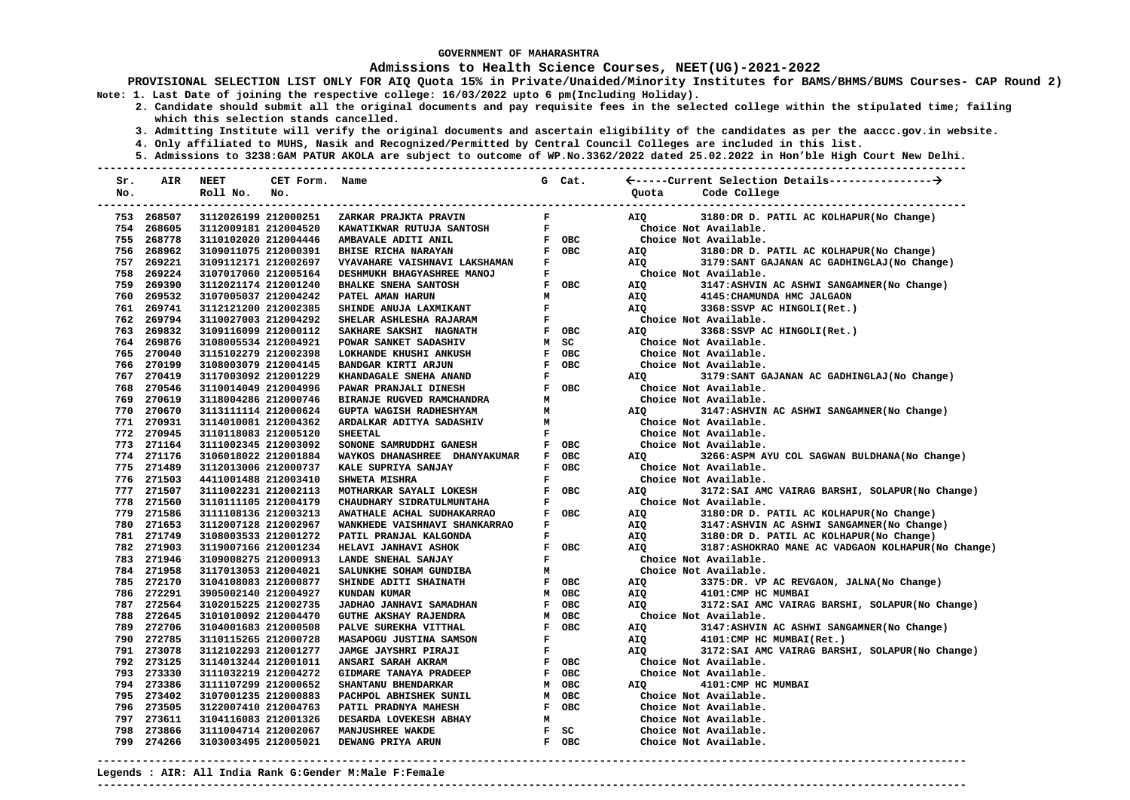### **Admissions to Health Science Courses, NEET(UG)-2021-2022**

**PROVISIONAL SELECTION LIST ONLY FOR AIQ Quota 15% in Private/Unaided/Minority Institutes for BAMS/BHMS/BUMS Courses- CAP Round 2) Note: 1. Last Date of joining the respective college: 16/03/2022 upto 6 pm(Including Holiday).** 

- **2. Candidate should submit all the original documents and pay requisite fees in the selected college within the stipulated time; failing which this selection stands cancelled.** 
	- **3. Admitting Institute will verify the original documents and ascertain eligibility of the candidates as per the aaccc.gov.in website.**
	- **4. Only affiliated to MUHS, Nasik and Recognized/Permitted by Central Council Colleges are included in this list.**
- **5. Admissions to 3238:GAM PATUR AKOLA are subject to outcome of WP.No.3362/2022 dated 25.02.2022 in Hon'ble High Court New Delhi. ---------------------------------------------------------------------------------------------------------------------------------------**

| Sr. | AIR                      | <b>NEET</b>                                  | CET Form. Name |                                         |              | G Cat.         |                                                                                       |
|-----|--------------------------|----------------------------------------------|----------------|-----------------------------------------|--------------|----------------|---------------------------------------------------------------------------------------|
| No. |                          | Roll No.                                     | No.            |                                         |              |                | Code College<br>Ouota                                                                 |
|     | 753 268507               | 3112026199 212000251                         |                | ZARKAR PRAJKTA PRAVIN                   | F            |                | 3180:DR D. PATIL AC KOLHAPUR(No Change)<br>AIO                                        |
|     | 754 268605               | 3112009181 212004520                         |                | KAWATIKWAR RUTUJA SANTOSH               | F            |                | Choice Not Available.                                                                 |
|     | 755 268778               | 3110102020 212004446                         |                | AMBAVALE ADITI ANIL                     |              | F OBC          | Choice Not Available.                                                                 |
|     | 756 268962               | 3109011075 212000391                         |                | <b>BHISE RICHA NARAYAN</b>              |              | F OBC          | AIQ<br>3180:DR D. PATIL AC KOLHAPUR(No Change)                                        |
|     | 757 269221               | 3109112171 212002697                         |                | <b>VYAVAHARE VAISHNAVI LAKSHAMAN</b>    | F            |                | AIQ<br>3179: SANT GAJANAN AC GADHINGLAJ (No Change)                                   |
|     | 758 269224               | 3107017060 212005164                         |                | DESHMUKH BHAGYASHREE MANOJ              | ${\bf F}$    |                | Choice Not Available.                                                                 |
|     | 759 269390               | 3112021174 212001240                         |                | <b>BHALKE SNEHA SANTOSH</b>             |              | F OBC          | AIO<br>3147: ASHVIN AC ASHWI SANGAMNER (No Change)                                    |
|     | 760 269532               | 3107005037 212004242                         |                | PATEL AMAN HARUN                        | м            |                | AIQ<br>4145: CHAMUNDA HMC JALGAON                                                     |
|     | 761 269741               | 3112121200 212002385                         |                | SHINDE ANUJA LAXMIKANT                  | F            |                | AIO<br>3368: SSVP AC HINGOLI (Ret.)                                                   |
|     | 762 269794               | 3110027003 212004292                         |                | SHELAR ASHLESHA RAJARAM                 | $\mathbf F$  |                | Choice Not Available.                                                                 |
|     | 763 269832               | 3109116099 212000112                         |                | SAKHARE SAKSHI NAGNATH                  |              | F OBC          | 3368: SSVP AC HINGOLI (Ret.)<br>AIO                                                   |
|     | 764 269876               | 3108005534 212004921                         |                | POWAR SANKET SADASHIV                   |              | M SC           | Choice Not Available.                                                                 |
|     | 765 270040               | 3115102279 212002398                         |                | LOKHANDE KHUSHI ANKUSH                  |              | F OBC          | Choice Not Available.                                                                 |
|     | 766 270199               | 3108003079 212004145                         |                | BANDGAR KIRTI ARJUN                     |              | F OBC          | Choice Not Available.                                                                 |
|     | 767 270419               | 3117003092 212001229                         |                | KHANDAGALE SNEHA ANAND                  | $\mathbf{F}$ |                | 3179: SANT GAJANAN AC GADHINGLAJ (No Change)<br>AIQ                                   |
|     | 768 270546               | 3110014049 212004996                         |                | PAWAR PRANJALI DINESH                   |              | F OBC          | Choice Not Available.                                                                 |
|     | 769 270619               | 3118004286 212000746                         |                | BIRANJE RUGVED RAMCHANDRA               | м            |                | Choice Not Available.                                                                 |
|     | 770 270670               | 3113111114 212000624                         |                | GUPTA WAGISH RADHESHYAM                 | м            |                | 3147: ASHVIN AC ASHWI SANGAMNER (No Change)<br>AIQ                                    |
|     | 771 270931               | 3114010081 212004362                         |                | ARDALKAR ADITYA SADASHIV                | м            |                | Choice Not Available.                                                                 |
|     | 772 270945               | 3110118083 212005120                         |                | <b>SHEETAL</b>                          | F            |                | Choice Not Available.                                                                 |
|     | 773 271164               | 3111002345 212003092                         |                | SONONE SAMRUDDHI GANESH                 |              | F OBC          | Choice Not Available.                                                                 |
|     | 774 271176               | 3106018022 212001884                         |                | WAYKOS DHANASHREE DHANYAKUMAR           |              | F OBC          | 3266:ASPM AYU COL SAGWAN BULDHANA(No Change)<br>AIQ                                   |
|     | 775 271489               | 3112013006 212000737                         |                | KALE SUPRIYA SANJAY                     |              | F OBC          | Choice Not Available.                                                                 |
|     | 776 271503               | 4411001488 212003410                         |                | SHWETA MISHRA                           | $\mathbf F$  |                | Choice Not Available.                                                                 |
|     | 777 271507               | 3111002231 212002113                         |                | MOTHARKAR SAYALI LOKESH                 |              | F OBC          | 3172: SAI AMC VAIRAG BARSHI, SOLAPUR (No Change)<br>AIO                               |
|     | 778 271560               | 3110111105 212004179                         |                | CHAUDHARY SIDRATULMUNTAHA               | F            |                | Choice Not Available.                                                                 |
|     | 779 271586               | 3111108136 212003213                         |                | AWATHALE ACHAL SUDHAKARRAO              |              | F OBC          | AIQ<br>3180:DR D. PATIL AC KOLHAPUR(No Change)                                        |
|     | 780 271653               | 3112007128 212002967                         |                | WANKHEDE VAISHNAVI SHANKARRAO           | F            |                | 3147:ASHVIN AC ASHWI SANGAMNER(No Change)<br>AIQ                                      |
|     | 781 271749               | 3108003533 212001272                         |                | PATIL PRANJAL KALGONDA                  | F            |                | 3180:DR D. PATIL AC KOLHAPUR(No Change)<br>AIQ                                        |
|     | 782 271903               | 3119007166 212001234                         |                | HELAVI JANHAVI ASHOK                    |              | F OBC          | 3187:ASHOKRAO MANE AC VADGAON KOLHAPUR(No Change)<br>AIQ                              |
|     | 783 271946               | 3109008275 212000913                         |                | LANDE SNEHAL SANJAY                     | $\mathbf{F}$ |                | Choice Not Available.                                                                 |
|     | 784 271958               | 3117013053 212004021                         |                | SALUNKHE SOHAM GUNDIBA                  | M            |                | Choice Not Available.                                                                 |
|     | 785 272170<br>786 272291 | 3104108083 212000877                         |                | SHINDE ADITI SHAINATH                   |              | F OBC<br>M OBC | AIQ<br>3375:DR. VP AC REVGAON, JALNA(No Change)                                       |
|     | 787 272564               | 3905002140 212004927<br>3102015225 212002735 |                | KUNDAN KUMAR<br>JADHAO JANHAVI SAMADHAN |              | F OBC          | AIQ<br>4101: CMP HC MUMBAI<br>3172: SAI AMC VAIRAG BARSHI, SOLAPUR (No Change)<br>AIO |
|     | 788 272645               | 3101010092 212004470                         |                | GUTHE AKSHAY RAJENDRA                   |              | M OBC          | Choice Not Available.                                                                 |
|     | 789 272706               | 3104001683 212000508                         |                | PALVE SUREKHA VITTHAL                   | F            | OBC            | 3147:ASHVIN AC ASHWI SANGAMNER (No Change)<br>AIQ                                     |
|     | 790 272785               | 3110115265 212000728                         |                | MASAPOGU JUSTINA SAMSON                 | $\mathbf F$  |                | 4101: CMP HC MUMBAI(Ret.)<br>AIQ                                                      |
|     | 791 273078               | 3112102293 212001277                         |                | JAMGE JAYSHRI PIRAJI                    | $\mathbf F$  |                | 3172: SAI AMC VAIRAG BARSHI, SOLAPUR (No Change)<br>AIO                               |
|     | 792 273125               | 3114013244 212001011                         |                | ANSARI SARAH AKRAM                      |              | F OBC          | Choice Not Available.                                                                 |
|     | 793 273330               | 3111032219 212004272                         |                | GIDMARE TANAYA PRADEEP                  |              | F OBC          | Choice Not Available.                                                                 |
|     | 794 273386               | 3111107299 212000652                         |                | SHANTANU BHENDARKAR                     |              | M OBC          | 4101: CMP HC MUMBAI<br>AIQ                                                            |
|     | 795 273402               | 3107001235 212000883                         |                | PACHPOL ABHISHEK SUNIL                  |              | M OBC          | Choice Not Available.                                                                 |
|     | 796 273505               | 3122007410 212004763                         |                | PATIL PRADNYA MAHESH                    |              | F OBC          | Choice Not Available.                                                                 |
|     | 797 273611               | 3104116083 212001326                         |                | DESARDA LOVEKESH ABHAY                  | M            |                | Choice Not Available.                                                                 |
|     | 798 273866               | 3111004714 212002067                         |                | MANJUSHREE WAKDE                        |              | F SC           | Choice Not Available.                                                                 |
|     | 799 274266               | 3103003495 212005021                         |                | DEWANG PRIYA ARUN                       |              | F OBC          | Choice Not Available.                                                                 |
|     |                          |                                              |                |                                         |              |                |                                                                                       |

**Legends : AIR: All India Rank G:Gender M:Male F:Female ---------------------------------------------------------------------------------------------------------------------------------------**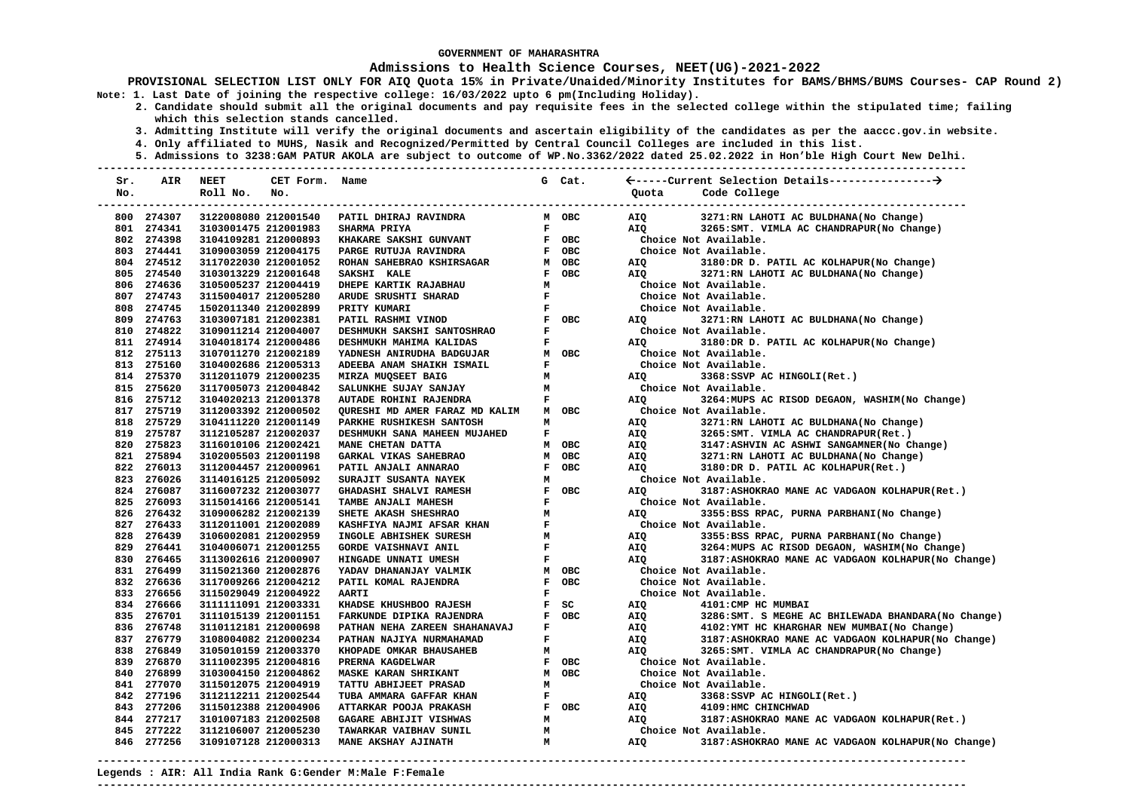### **Admissions to Health Science Courses, NEET(UG)-2021-2022**

**PROVISIONAL SELECTION LIST ONLY FOR AIQ Quota 15% in Private/Unaided/Minority Institutes for BAMS/BHMS/BUMS Courses- CAP Round 2) Note: 1. Last Date of joining the respective college: 16/03/2022 upto 6 pm(Including Holiday).** 

- **2. Candidate should submit all the original documents and pay requisite fees in the selected college within the stipulated time; failing which this selection stands cancelled.** 
	- **3. Admitting Institute will verify the original documents and ascertain eligibility of the candidates as per the aaccc.gov.in website.**
	- **4. Only affiliated to MUHS, Nasik and Recognized/Permitted by Central Council Colleges are included in this list.**
	- **5. Admissions to 3238:GAM PATUR AKOLA are subject to outcome of WP.No.3362/2022 dated 25.02.2022 in Hon'ble High Court New Delhi.**

| Sr. | AIR        | <b>NEET</b>          | CET Form. Name |                                |              | G Cat.     |            |                                                      |
|-----|------------|----------------------|----------------|--------------------------------|--------------|------------|------------|------------------------------------------------------|
| No. |            | Roll No.             | No.            |                                |              |            | Quota      | Code College                                         |
|     |            |                      |                |                                |              |            |            |                                                      |
|     | 800 274307 | 3122008080 212001540 |                | PATIL DHIRAJ RAVINDRA          |              | M OBC      | AIQ        | 3271:RN LAHOTI AC BULDHANA(No Change)                |
|     | 801 274341 | 3103001475 212001983 |                | SHARMA PRIYA                   | $\mathbf{F}$ |            | AIO        | 3265: SMT. VIMLA AC CHANDRAPUR (No Change)           |
|     | 802 274398 | 3104109281 212000893 |                | KHAKARE SAKSHI GUNVANT         |              | F OBC      |            | Choice Not Available.                                |
|     | 803 274441 | 3109003059 212004175 |                | PARGE RUTUJA RAVINDRA          |              | F OBC      |            | Choice Not Available.                                |
|     | 804 274512 | 3117022030 212001052 |                | ROHAN SAHEBRAO KSHIRSAGAR      |              | M OBC      | AIQ        | 3180:DR D. PATIL AC KOLHAPUR(No Change)              |
|     | 805 274540 | 3103013229 212001648 |                | SAKSHI KALE                    |              | F OBC      | AIO        | 3271:RN LAHOTI AC BULDHANA(No Change)                |
|     | 806 274636 | 3105005237 212004419 |                | DHEPE KARTIK RAJABHAU          | M            |            |            | Choice Not Available.                                |
|     | 807 274743 | 3115004017 212005280 |                | ARUDE SRUSHTI SHARAD           | $\mathbf{F}$ |            |            | Choice Not Available.                                |
|     | 808 274745 | 1502011340 212002899 |                | PRITY KUMARI                   | $\mathbf F$  |            |            | Choice Not Available.                                |
|     | 809 274763 | 3103007181 212002381 |                | PATIL RASHMI VINOD             |              | F OBC      | AIQ        | 3271:RN LAHOTI AC BULDHANA(No Change)                |
|     | 810 274822 | 3109011214 212004007 |                | DESHMUKH SAKSHI SANTOSHRAO     | F            |            |            | Choice Not Available.                                |
|     | 811 274914 | 3104018174 212000486 |                | DESHMUKH MAHIMA KALIDAS        | $\mathbf F$  |            | AIQ        | 3180:DR D. PATIL AC KOLHAPUR(No Change)              |
|     | 812 275113 | 3107011270 212002189 |                | YADNESH ANIRUDHA BADGUJAR      |              | M OBC      |            | Choice Not Available.                                |
|     | 813 275160 | 3104002686 212005313 |                | ADEEBA ANAM SHAIKH ISMAIL      | $\mathbf{F}$ |            |            | Choice Not Available.                                |
|     | 814 275370 | 3112011079 212000235 |                | MIRZA MUQSEET BAIG             | M            |            | AIQ        | 3368:SSVP AC HINGOLI(Ret.)                           |
|     | 815 275620 | 3117005073 212004842 |                | SALUNKHE SUJAY SANJAY          | М            |            |            | Choice Not Available.                                |
|     | 816 275712 | 3104020213 212001378 |                | AUTADE ROHINI RAJENDRA         | $\mathbf{F}$ |            | AIQ        | 3264: MUPS AC RISOD DEGAON, WASHIM (No Change)       |
|     | 817 275719 | 3112003392 212000502 |                | QURESHI MD AMER FARAZ MD KALIM |              | M OBC      |            | Choice Not Available.                                |
|     | 818 275729 | 3104111220 212001149 |                | PARKHE RUSHIKESH SANTOSH       | M            |            | AIQ        | 3271:RN LAHOTI AC BULDHANA(No Change)                |
|     | 819 275787 | 3112105287 212002037 |                | DESHMUKH SANA MAHEEN MUJAHED   | F            |            | AIQ        | 3265: SMT. VIMLA AC CHANDRAPUR (Ret.)                |
|     | 820 275823 | 3116010106 212002421 |                | MANE CHETAN DATTA              |              | M OBC      | AIQ        | 3147:ASHVIN AC ASHWI SANGAMNER (No Change)           |
|     | 821 275894 | 3102005503 212001198 |                | GARKAL VIKAS SAHEBRAO          | M            | <b>OBC</b> | AIQ        | 3271:RN LAHOTI AC BULDHANA(No Change)                |
|     | 822 276013 | 3112004457 212000961 |                | PATIL ANJALI ANNARAO           |              | F OBC      | AIQ        | 3180:DR D. PATIL AC KOLHAPUR(Ret.)                   |
|     | 823 276026 | 3114016125 212005092 |                | SURAJIT SUSANTA NAYEK          | м            |            |            | Choice Not Available.                                |
|     | 824 276087 | 3116007232 212003077 |                | <b>GHADASHI SHALVI RAMESH</b>  |              | F OBC      | AIO        | 3187:ASHOKRAO MANE AC VADGAON KOLHAPUR(Ret.)         |
|     | 825 276093 | 3115014166 212005141 |                | TAMBE ANJALI MAHESH            | $\mathbf{F}$ |            |            | Choice Not Available.                                |
|     | 826 276432 | 3109006282 212002139 |                | SHETE AKASH SHESHRAO           | M            |            | AIO        | 3355:BSS RPAC, PURNA PARBHANI(No Change)             |
|     | 827 276433 | 3112011001 212002089 |                | KASHFIYA NAJMI AFSAR KHAN      | $\mathbf{F}$ |            |            | Choice Not Available.                                |
|     | 828 276439 | 3106002081 212002959 |                | INGOLE ABHISHEK SURESH         | M            |            | <b>AIQ</b> | 3355:BSS RPAC, PURNA PARBHANI(No Change)             |
|     | 829 276441 | 3104006071 212001255 |                | <b>GORDE VAISHNAVI ANIL</b>    | $\mathbf{F}$ |            | AIQ        | 3264: MUPS AC RISOD DEGAON, WASHIM (No Change)       |
|     | 830 276465 | 3113002616 212000907 |                | HINGADE UNNATI UMESH           | F            |            | AIQ        | 3187:ASHOKRAO MANE AC VADGAON KOLHAPUR(No Change)    |
|     | 831 276499 | 3115021360 212002876 |                | YADAV DHANANJAY VALMIK         |              | M OBC      |            | Choice Not Available.                                |
|     | 832 276636 | 3117009266 212004212 |                | PATIL KOMAL RAJENDRA           |              | F OBC      |            | Choice Not Available.                                |
|     | 833 276656 | 3115029049 212004922 |                | <b>AARTI</b>                   | F            |            |            | Choice Not Available.                                |
|     | 834 276666 | 3111111091 212003331 |                | KHADSE KHUSHBOO RAJESH         |              | $F$ SC     | AIQ        | 4101: CMP HC MUMBAI                                  |
|     | 835 276701 | 3111015139 212001151 |                | FARKUNDE DIPIKA RAJENDRA       |              | F OBC      | AIQ        | 3286: SMT. S MEGHE AC BHILEWADA BHANDARA (No Change) |
|     | 836 276748 | 3110112181 212000698 |                | PATHAN NEHA ZAREEN SHAHANAVAJ  | F            |            | AIQ        | 4102: YMT HC KHARGHAR NEW MUMBAI (No Change)         |
|     | 837 276779 | 3108004082 212000234 |                | PATHAN NAJIYA NURMAHAMAD       | $\mathbf{F}$ |            | AIQ        | 3187:ASHOKRAO MANE AC VADGAON KOLHAPUR (No Change)   |
|     | 838 276849 | 3105010159 212003370 |                | KHOPADE OMKAR BHAUSAHEB        | M            |            | AIQ        | 3265: SMT. VIMLA AC CHANDRAPUR (No Change)           |
|     | 839 276870 | 3111002395 212004816 |                | PRERNA KAGDELWAR               |              | F OBC      |            | Choice Not Available.                                |
|     | 840 276899 | 3103004150 212004862 |                | <b>MASKE KARAN SHRIKANT</b>    |              | M OBC      |            | Choice Not Available.                                |
|     | 841 277070 | 3115012075 212004919 |                | TATTU ABHIJEET PRASAD          | М            |            |            | Choice Not Available.                                |
|     | 842 277196 | 3112112211 212002544 |                | TUBA AMMARA GAFFAR KHAN        | F            |            | AIQ        | 3368: SSVP AC HINGOLI (Ret.)                         |
|     | 843 277206 | 3115012388 212004906 |                | ATTARKAR POOJA PRAKASH         |              | F OBC      | AIQ        | 4109: HMC CHINCHWAD                                  |
|     | 844 277217 | 3101007183 212002508 |                | GAGARE ABHIJIT VISHWAS         | M            |            | AIQ        | 3187:ASHOKRAO MANE AC VADGAON KOLHAPUR(Ret.)         |
|     | 845 277222 | 3112106007 212005230 |                | TAWARKAR VAIBHAV SUNIL         | M            |            |            | Choice Not Available.                                |
|     | 846 277256 | 3109107128 212000313 |                | MANE AKSHAY AJINATH            | M            |            | AIO        | 3187:ASHOKRAO MANE AC VADGAON KOLHAPUR(No Change)    |
|     |            |                      |                |                                |              |            |            |                                                      |

**Legends : AIR: All India Rank G:Gender M:Male F:Female ---------------------------------------------------------------------------------------------------------------------------------------**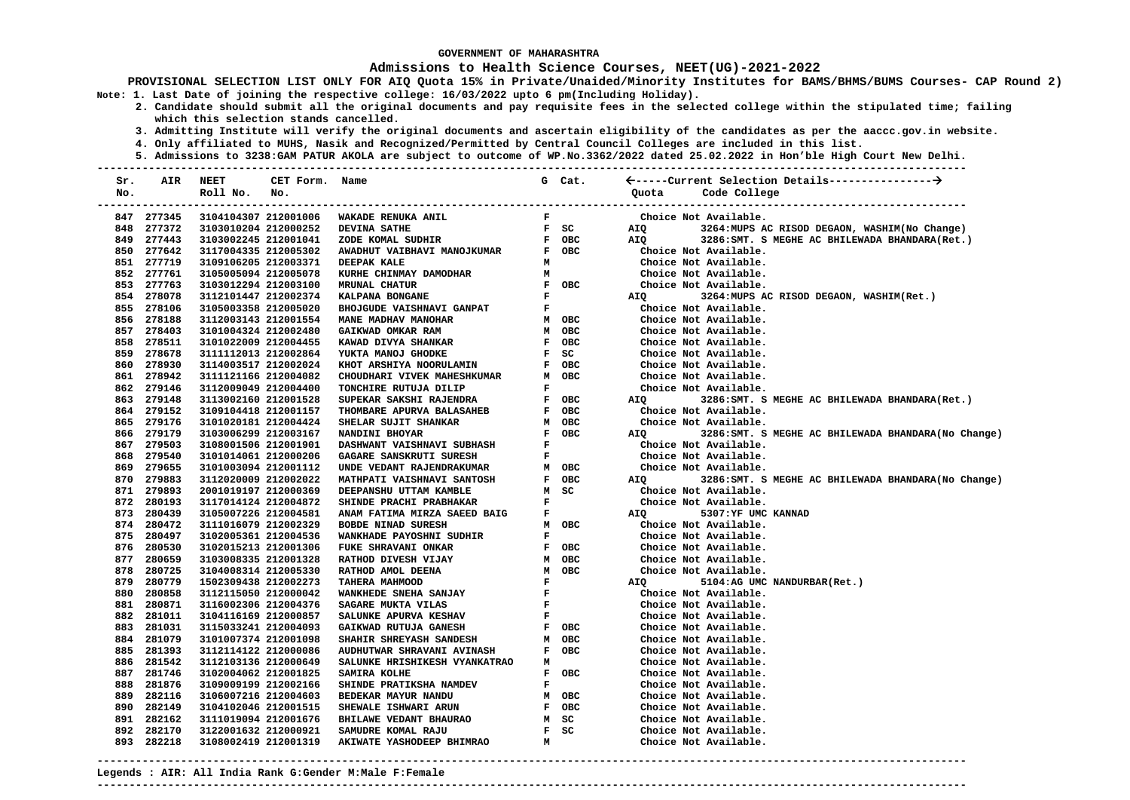### **Admissions to Health Science Courses, NEET(UG)-2021-2022**

- **2. Candidate should submit all the original documents and pay requisite fees in the selected college within the stipulated time; failing which this selection stands cancelled.** 
	- **3. Admitting Institute will verify the original documents and ascertain eligibility of the candidates as per the aaccc.gov.in website.**
	- **4. Only affiliated to MUHS, Nasik and Recognized/Permitted by Central Council Colleges are included in this list.**
	- **5. Admissions to 3238:GAM PATUR AKOLA are subject to outcome of WP.No.3362/2022 dated 25.02.2022 in Hon'ble High Court New Delhi.**

| Sr. | AIR        | <b>NEET</b>          | CET Form. Name |                                 |              |                               | G Cat. |                           |                                                      |
|-----|------------|----------------------|----------------|---------------------------------|--------------|-------------------------------|--------|---------------------------|------------------------------------------------------|
| No. |            | Roll No.             | No.            |                                 |              |                               |        | Quota                     | Code College                                         |
|     |            |                      |                |                                 |              |                               |        |                           | ------------------------------                       |
|     | 847 277345 | 3104104307 212001006 |                | WAKADE RENUKA ANIL              | $\mathbf{F}$ |                               |        |                           | Choice Not Available.                                |
|     | 848 277372 | 3103010204 212000252 |                | <b>DEVINA SATHE</b>             |              | F SC                          |        | AIQ                       | 3264: MUPS AC RISOD DEGAON, WASHIM (No Change)       |
|     | 849 277443 | 3103002245 212001041 |                | ZODE KOMAL SUDHIR               |              | F OBC                         |        | AIQ                       | 3286: SMT. S MEGHE AC BHILEWADA BHANDARA (Ret.)      |
|     | 850 277642 | 3117004335 212005302 |                | AWADHUT VAIBHAVI MANOJKUMAR     |              | F OBC                         |        |                           | Choice Not Available.                                |
|     | 851 277719 | 3109106205 212003371 |                | DEEPAK KALE                     | м            |                               |        |                           | Choice Not Available.                                |
|     | 852 277761 | 3105005094 212005078 |                | KURHE CHINMAY DAMODHAR          | M            |                               |        |                           | Choice Not Available.                                |
|     | 853 277763 | 3103012294 212003100 |                | <b>MRUNAL CHATUR</b>            |              |                               | F OBC  |                           | Choice Not Available.                                |
|     | 854 278078 | 3112101447 212002374 |                | KALPANA BONGANE                 |              | $\mathbf{F}$ and $\mathbf{F}$ |        | AIQ                       | 3264: MUPS AC RISOD DEGAON, WASHIM (Ret.)            |
|     | 855 278106 | 3105003358 212005020 |                | BHOJGUDE VAISHNAVI GANPAT       | $\mathbf{F}$ |                               |        |                           | Choice Not Available.                                |
|     | 856 278188 | 3112003143 212001554 |                | MANE MADHAV MANOHAR             |              | M OBC                         |        |                           | Choice Not Available.                                |
|     | 857 278403 | 3101004324 212002480 |                | GAIKWAD OMKAR RAM               |              | M OBC                         |        |                           | Choice Not Available.                                |
|     | 858 278511 | 3101022009 212004455 |                | KAWAD DIVYA SHANKAR             |              | F OBC                         |        |                           | Choice Not Available.                                |
|     | 859 278678 | 3111112013 212002864 |                | YUKTA MANOJ GHODKE              | F SC         |                               |        |                           | Choice Not Available.                                |
|     | 860 278930 | 3114003517 212002024 |                | KHOT ARSHIYA NOORULAMIN         |              | F OBC                         |        |                           | Choice Not Available.                                |
|     | 861 278942 | 3111121166 212004082 |                | CHOUDHARI VIVEK MAHESHKUMAR     | M OBC        |                               |        |                           | Choice Not Available.                                |
|     | 862 279146 | 3112009049 212004400 |                | TONCHIRE RUTUJA DILIP           | F            |                               |        |                           | Choice Not Available.                                |
|     | 863 279148 | 3113002160 212001528 |                | SUPEKAR SAKSHI RAJENDRA         |              | F OBC                         |        | AIQ                       | 3286: SMT. S MEGHE AC BHILEWADA BHANDARA (Ret.)      |
|     | 864 279152 | 3109104418 212001157 |                | THOMBARE APURVA BALASAHEB       |              | F OBC                         |        |                           | Choice Not Available.                                |
|     | 865 279176 | 3101020181 212004424 |                | SHELAR SUJIT SHANKAR            | $M$ OBC      |                               |        |                           | Choice Not Available.                                |
|     | 866 279179 | 3103006299 212003167 |                | NANDINI BHOYAR                  |              | F OBC                         |        | AIQ                       | 3286:SMT. S MEGHE AC BHILEWADA BHANDARA(No Change)   |
|     | 867 279503 | 3108001506 212001901 |                | DASHWANT VAISHNAVI SUBHASH      | $\mathbf{F}$ |                               |        |                           | Choice Not Available.                                |
|     | 868 279540 | 3101014061 212000206 |                | GAGARE SANSKRUTI SURESH         | $\mathbf{F}$ |                               |        |                           | Choice Not Available.                                |
|     | 869 279655 | 3101003094 212001112 |                | UNDE VEDANT RAJENDRAKUMAR       |              | M OBC                         |        |                           | Choice Not Available.                                |
|     | 870 279883 | 3112020009 212002022 |                | MATHPATI VAISHNAVI SANTOSH      |              | F OBC                         |        | AIQ DESCRIPTION OF A STR. | 3286: SMT. S MEGHE AC BHILEWADA BHANDARA (No Change) |
|     | 871 279893 | 2001019197 212000369 |                | DEEPANSHU UTTAM KAMBLE          |              | M SC                          |        |                           | Choice Not Available.                                |
|     | 872 280193 | 3117014124 212004872 |                | SHINDE PRACHI PRABHAKAR         | $\mathbf{F}$ |                               |        |                           | Choice Not Available.                                |
|     | 873 280439 | 3105007226 212004581 |                | ANAM FATIMA MIRZA SAEED BAIG    | $\mathbf{F}$ |                               |        | <b>AIQ</b>                | 5307:YF UMC KANNAD                                   |
|     | 874 280472 | 3111016079 212002329 |                | <b>BOBDE NINAD SURESH</b>       |              | M OBC                         |        |                           | Choice Not Available.                                |
|     | 875 280497 | 3102005361 212004536 |                | <b>WANKHADE PAYOSHNI SUDHIR</b> | F            |                               |        |                           | Choice Not Available.                                |
|     | 876 280530 | 3102015213 212001306 |                | FUKE SHRAVANI ONKAR             |              | F OBC                         |        |                           | Choice Not Available.                                |
|     | 877 280659 | 3103008335 212001328 |                | RATHOD DIVESH VIJAY             |              | M OBC                         |        |                           | Choice Not Available.                                |
|     | 878 280725 | 3104008314 212005330 |                | RATHOD AMOL DEENA               |              | M OBC                         |        |                           | Choice Not Available.                                |
|     | 879 280779 | 1502309438 212002273 |                | TAHERA MAHMOOD                  |              |                               |        | AIQ                       | 5104:AG UMC NANDURBAR(Ret.)                          |
|     | 880 280858 | 3112115050 212000042 |                | <b>WANKHEDE SNEHA SANJAY</b>    |              |                               |        |                           | Choice Not Available.                                |
|     | 881 280871 | 3116002306 212004376 |                | SAGARE MUKTA VILAS              | $\mathbf{F}$ |                               |        |                           | Choice Not Available.                                |
|     | 882 281011 | 3104116169 212000857 |                | SALUNKE APURVA KESHAV           | $\mathbf{F}$ |                               |        |                           | Choice Not Available.                                |
|     | 883 281031 | 3115033241 212004093 |                | GAIKWAD RUTUJA GANESH           |              | F OBC                         |        |                           | Choice Not Available.                                |
|     | 884 281079 | 3101007374 212001098 |                | SHAHIR SHREYASH SANDESH         |              | м овс                         |        |                           | Choice Not Available.                                |
|     | 885 281393 | 3112114122 212000086 |                | AUDHUTWAR SHRAVANI AVINASH      |              | F OBC                         |        |                           | Choice Not Available.                                |
|     | 886 281542 | 3112103136 212000649 |                | SALUNKE HRISHIKESH VYANKATRAO   | м            |                               |        |                           | Choice Not Available.                                |
|     | 887 281746 | 3102004062 212001825 |                | SAMIRA KOLHE                    |              | F OBC                         |        |                           | Choice Not Available.                                |
|     | 888 281876 | 3109009199 212002166 |                | SHINDE PRATIKSHA NAMDEV         | $\mathbf{F}$ |                               |        |                           | Choice Not Available.                                |
|     | 889 282116 | 3106007216 212004603 |                | BEDEKAR MAYUR NANDU             |              | M OBC                         |        |                           | Choice Not Available.                                |
|     | 890 282149 | 3104102046 212001515 |                | SHEWALE ISHWARI ARUN            |              | F OBC                         |        |                           | Choice Not Available.                                |
|     | 891 282162 | 3111019094 212001676 |                | BHILAWE VEDANT BHAURAO          |              | M SC                          |        |                           | Choice Not Available.                                |
|     | 892 282170 | 3122001632 212000921 |                | SAMUDRE KOMAL RAJU              |              | $F$ SC                        |        |                           | Choice Not Available.                                |
|     | 893 282218 | 3108002419 212001319 |                | AKIWATE YASHODEEP BHIMRAO       | м            |                               |        |                           | Choice Not Available.                                |
|     |            |                      |                |                                 |              |                               |        |                           |                                                      |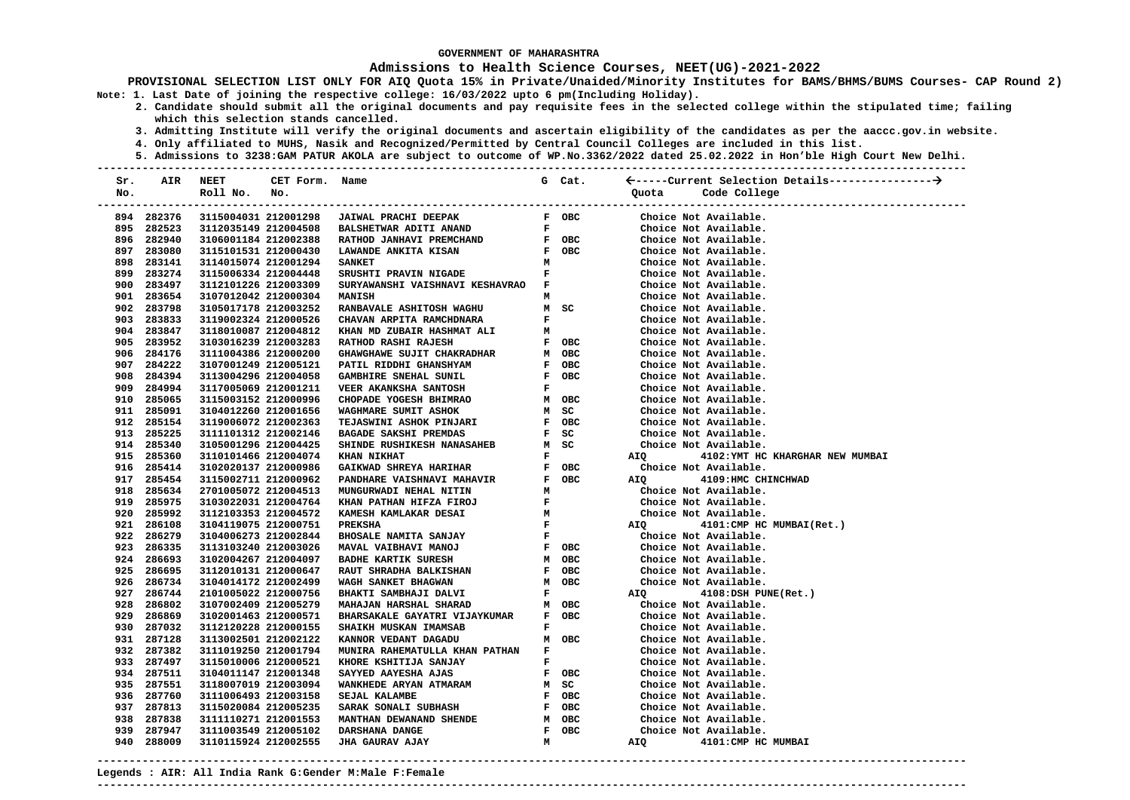### **Admissions to Health Science Courses, NEET(UG)-2021-2022**

**PROVISIONAL SELECTION LIST ONLY FOR AIQ Quota 15% in Private/Unaided/Minority Institutes for BAMS/BHMS/BUMS Courses- CAP Round 2) Note: 1. Last Date of joining the respective college: 16/03/2022 upto 6 pm(Including Holiday).** 

- **2. Candidate should submit all the original documents and pay requisite fees in the selected college within the stipulated time; failing which this selection stands cancelled.** 
	- **3. Admitting Institute will verify the original documents and ascertain eligibility of the candidates as per the aaccc.gov.in website.**
	- **4. Only affiliated to MUHS, Nasik and Recognized/Permitted by Central Council Colleges are included in this list.**
- **5. Admissions to 3238:GAM PATUR AKOLA are subject to outcome of WP.No.3362/2022 dated 25.02.2022 in Hon'ble High Court New Delhi. ---------------------------------------------------------------------------------------------------------------------------------------**

| Sr. | AIR        | NEET                 | CET Form.            | Name                              |                               | G Cat.                        |                   |                                  |
|-----|------------|----------------------|----------------------|-----------------------------------|-------------------------------|-------------------------------|-------------------|----------------------------------|
| No. |            | Roll No.             | No.                  |                                   |                               |                               | Quota             | Code College                     |
|     |            |                      |                      |                                   |                               |                               |                   | ----------------------------     |
|     | 894 282376 |                      | 3115004031 212001298 | JAIWAL PRACHI DEEPAK              |                               | F OBC                         |                   | Choice Not Available.            |
|     | 895 282523 | 3112035149 212004508 |                      | <b>BALSHETWAR ADITI ANAND</b>     |                               | $\mathbf{F}$ and $\mathbf{F}$ |                   | Choice Not Available.            |
|     | 896 282940 | 3106001184 212002388 |                      | RATHOD JANHAVI PREMCHAND          |                               | <b>F</b> OBC                  |                   | Choice Not Available.            |
|     | 897 283080 | 3115101531 212000430 |                      | LAWANDE ANKITA KISAN              |                               | F OBC                         |                   | Choice Not Available.            |
|     | 898 283141 | 3114015074 212001294 |                      | <b>SANKET</b>                     | м                             |                               |                   | Choice Not Available.            |
|     | 899 283274 | 3115006334 212004448 |                      | SRUSHTI PRAVIN NIGADE             | $\mathbf F$                   |                               |                   | Choice Not Available.            |
|     | 900 283497 | 3112101226 212003309 |                      | SURYAWANSHI VAISHNAVI KESHAVRAO F |                               |                               |                   | Choice Not Available.            |
|     | 901 283654 | 3107012042 212000304 |                      | MANISH                            | м                             |                               |                   | Choice Not Available.            |
|     | 902 283798 | 3105017178 212003252 |                      | RANBAVALE ASHITOSH WAGHU          |                               | M SC                          |                   | Choice Not Available.            |
|     | 903 283833 | 3119002324 212000526 |                      | CHAVAN ARPITA RAMCHDNARA          | F                             |                               |                   | Choice Not Available.            |
|     | 904 283847 | 3118010087 212004812 |                      | KHAN MD ZUBAIR HASHMAT ALI        | м                             |                               |                   | Choice Not Available.            |
|     | 905 283952 | 3103016239 212003283 |                      | <b>RATHOD RASHI RAJESH</b>        |                               | F OBC                         |                   | Choice Not Available.            |
|     | 906 284176 | 3111004386 212000200 |                      | GHAWGHAWE SUJIT CHAKRADHAR        |                               | M OBC                         |                   | Choice Not Available.            |
|     | 907 284222 | 3107001249 212005121 |                      | PATIL RIDDHI GHANSHYAM            |                               | F OBC                         |                   | Choice Not Available.            |
|     | 908 284394 | 3113004296 212004058 |                      | GAMBHIRE SNEHAL SUNIL             |                               | F OBC                         |                   | Choice Not Available.            |
|     | 909 284994 | 3117005069 212001211 |                      | VEER AKANKSHA SANTOSH             | F                             |                               |                   | Choice Not Available.            |
|     | 910 285065 | 3115003152 212000996 |                      | CHOPADE YOGESH BHIMRAO            |                               | M OBC                         |                   | Choice Not Available.            |
|     | 911 285091 | 3104012260 212001656 |                      | WAGHMARE SUMIT ASHOK              |                               | M SC                          |                   | Choice Not Available.            |
|     | 912 285154 | 3119006072 212002363 |                      | <b>TEJASWINI ASHOK PINJARI</b>    |                               | F OBC                         |                   | Choice Not Available.            |
|     | 913 285225 | 3111101312 212002146 |                      | <b>BAGADE SAKSHI PREMDAS</b>      |                               | F SC                          |                   | Choice Not Available.            |
|     | 914 285340 | 3105001296 212004425 |                      | SHINDE RUSHIKESH NANASAHEB        |                               | M SC                          |                   | Choice Not Available.            |
|     | 915 285360 | 3110101466 212004074 |                      | <b>KHAN NIKHAT</b>                | $\mathbf{F}$                  |                               | <b>AIO</b>        | 4102: YMT HC KHARGHAR NEW MUMBAI |
|     | 916 285414 | 3102020137 212000986 |                      |                                   |                               | F OBC                         |                   | Choice Not Available.            |
|     | 917 285454 | 3115002711 212000962 |                      |                                   |                               | F OBC                         | <b>AIO</b>        | 4109: HMC CHINCHWAD              |
|     | 918 285634 | 2701005072 212004513 |                      |                                   |                               |                               |                   | Choice Not Available.            |
|     | 919 285975 | 3103022031 212004764 |                      |                                   |                               |                               |                   | Choice Not Available.            |
|     | 920 285992 | 3112103353 212004572 |                      |                                   |                               | $\frac{M}{F}$                 |                   | Choice Not Available.            |
|     | 921 286108 | 3104119075 212000751 |                      | <b>PREKSHA</b>                    |                               |                               |                   | AIQ 4101: CMP HC MUMBAI(Ret.)    |
|     | 922 286279 | 3104006273 212002844 |                      | BHOSALE NAMITA SANJAY             | $\mathbf{F}$ and $\mathbf{F}$ |                               |                   | Choice Not Available.            |
|     | 923 286335 | 3113103240 212003026 |                      | MAVAL VAIBHAVI MANOJ              |                               | F OBC                         |                   | Choice Not Available.            |
|     | 924 286693 | 3102004267 212004097 |                      | <b>BADHE KARTIK SURESH</b>        |                               | M OBC                         |                   | Choice Not Available.            |
|     | 925 286695 | 3112010131 212000647 |                      | <b>RAUT SHRADHA BALKISHAN</b>     |                               | F OBC                         |                   | Choice Not Available.            |
|     | 926 286734 | 3104014172 212002499 |                      | WAGH SANKET BHAGWAN               |                               | M OBC                         |                   | Choice Not Available.            |
|     | 927 286744 | 2101005022 212000756 |                      | BHAKTI SAMBHAJI DALVI             |                               | $\mathbf{F}$ and $\mathbf{F}$ | AIQ               | 4108:DSH PUNE(Ret.)              |
|     | 928 286802 | 3107002409 212005279 |                      | MAHAJAN HARSHAL SHARAD            |                               | м овс                         |                   | Choice Not Available.            |
|     | 929 286869 | 3102001463 212000571 |                      | BHARSAKALE GAYATRI VIJAYKUMAR     |                               | F OBC                         |                   | Choice Not Available.            |
|     | 930 287032 | 3112120228 212000155 |                      | SHAIKH MUSKAN IMAMSAB             | $\mathbf{F}$                  |                               |                   | Choice Not Available.            |
|     | 931 287128 | 3113002501 212002122 |                      | KANNOR VEDANT DAGADU              |                               | M OBC                         |                   | Choice Not Available.            |
|     | 932 287382 | 3111019250 212001794 |                      | MUNIRA RAHEMATULLA KHAN PATHAN    | $\mathbf{F}$                  |                               |                   | Choice Not Available.            |
|     | 933 287497 | 3115010006 212000521 |                      | KHORE KSHITIJA SANJAY             |                               | $\mathbf{F}$ and $\mathbf{F}$ |                   | Choice Not Available.            |
|     | 934 287511 | 3104011147 212001348 |                      | SAYYED AAYESHA AJAS               |                               | F OBC                         |                   | Choice Not Available.            |
|     | 935 287551 | 3118007019 212003094 |                      | WANKHEDE ARYAN ATMARAM            |                               | M SC                          |                   | Choice Not Available.            |
|     | 936 287760 | 3111006493 212003158 |                      | SEJAL KALAMBE                     |                               | F OBC                         |                   | Choice Not Available.            |
|     | 937 287813 | 3115020084 212005235 |                      | SARAK SONALI SUBHASH              |                               | F OBC                         |                   | Choice Not Available.            |
|     | 938 287838 | 3111110271 212001553 |                      | MANTHAN DEWANAND SHENDE           |                               | M OBC                         |                   | Choice Not Available.            |
|     | 939 287947 | 3111003549 212005102 |                      | DARSHANA DANGE                    |                               | F OBC                         |                   | Choice Not Available.            |
|     | 940 288009 | 3110115924 212002555 |                      | <b>JHA GAURAV AJAY</b>            | м                             |                               | AIQ <b>Airmon</b> | 4101:CMP HC MUMBAI               |

**---------------------------------------------------------------------------------------------------------------------------------------** 

**---------------------------------------------------------------------------------------------------------------------------------------**

**Legends : AIR: All India Rank G:Gender M:Male F:Female**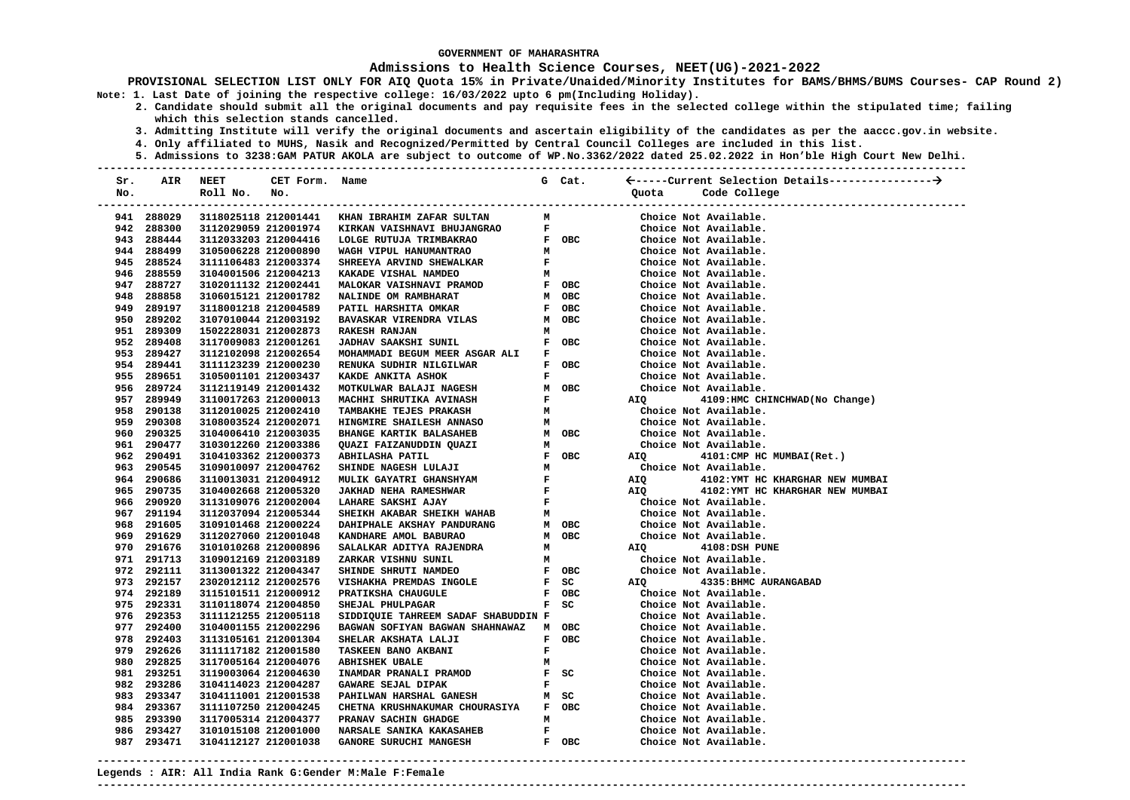### **Admissions to Health Science Courses, NEET(UG)-2021-2022**

**PROVISIONAL SELECTION LIST ONLY FOR AIQ Quota 15% in Private/Unaided/Minority Institutes for BAMS/BHMS/BUMS Courses- CAP Round 2) Note: 1. Last Date of joining the respective college: 16/03/2022 upto 6 pm(Including Holiday).** 

- **2. Candidate should submit all the original documents and pay requisite fees in the selected college within the stipulated time; failing which this selection stands cancelled.** 
	- **3. Admitting Institute will verify the original documents and ascertain eligibility of the candidates as per the aaccc.gov.in website.**
	- **4. Only affiliated to MUHS, Nasik and Recognized/Permitted by Central Council Colleges are included in this list.**
- **5. Admissions to 3238:GAM PATUR AKOLA are subject to outcome of WP.No.3362/2022 dated 25.02.2022 in Hon'ble High Court New Delhi. ---------------------------------------------------------------------------------------------------------------------------------------**

| Sr. | AIR        | <b>NEET</b>                    | CET Form. Name       |                                                                                                                                                                                                                                                |              | G Cat. |                |                           |                                  |  |
|-----|------------|--------------------------------|----------------------|------------------------------------------------------------------------------------------------------------------------------------------------------------------------------------------------------------------------------------------------|--------------|--------|----------------|---------------------------|----------------------------------|--|
| No. |            | Roll No.                       | No.                  |                                                                                                                                                                                                                                                |              |        | Quota          | Code College              |                                  |  |
|     |            | ------------------------------ |                      |                                                                                                                                                                                                                                                |              |        |                |                           | ----------------------------     |  |
|     | 941 288029 |                                | 3118025118 212001441 | KHAN IBRAHIM ZAFAR SULTAN                                                                                                                                                                                                                      | M            |        |                | Choice Not Available.     |                                  |  |
|     | 942 288300 | 3112029059 212001974           |                      | KIRKAN VAISHNAVI BHUJANGRAO                                                                                                                                                                                                                    | $\mathbf{F}$ |        |                | Choice Not Available.     |                                  |  |
|     | 943 288444 | 3112033203 212004416           |                      | LOLGE RUTUJA TRIMBAKRAO                                                                                                                                                                                                                        |              | F OBC  |                | Choice Not Available.     |                                  |  |
|     | 944 288499 | 3105006228 212000890           |                      | WAGH VIPUL HANUMANTRAO                                                                                                                                                                                                                         | м            |        |                | Choice Not Available.     |                                  |  |
|     | 945 288524 | 3111106483 212003374           |                      | SHREEYA ARVIND SHEWALKAR                                                                                                                                                                                                                       | $\mathbf F$  |        |                | Choice Not Available.     |                                  |  |
|     | 946 288559 | 3104001506 212004213           |                      | KAKADE VISHAL NAMDEO                                                                                                                                                                                                                           | м            |        |                | Choice Not Available.     |                                  |  |
|     | 947 288727 | 3102011132 212002441           |                      | MALOKAR VAISHNAVI PRAMOD                                                                                                                                                                                                                       |              | F OBC  |                | Choice Not Available.     |                                  |  |
|     | 948 288858 | 3106015121 212001782           |                      | NALINDE OM RAMBHARAT                                                                                                                                                                                                                           |              | M OBC  |                | Choice Not Available.     |                                  |  |
|     | 949 289197 | 3118001218 212004589           |                      | PATIL HARSHITA OMKAR                                                                                                                                                                                                                           |              | F OBC  |                | Choice Not Available.     |                                  |  |
|     | 950 289202 | 3107010044 212003192           |                      | BAVASKAR VIRENDRA VILAS                                                                                                                                                                                                                        |              | M OBC  |                | Choice Not Available.     |                                  |  |
|     | 951 289309 | 1502228031 212002873           |                      | <b>RAKESH RANJAN</b>                                                                                                                                                                                                                           | $\mathbf{M}$ |        |                | Choice Not Available.     |                                  |  |
|     | 952 289408 | 3117009083 212001261           |                      | <b>EXECUTE: OBC</b><br><b>JADHAV SAAKSHI SUNIL</b>                                                                                                                                                                                             |              |        |                | Choice Not Available.     |                                  |  |
|     | 953 289427 | 3112102098 212002654           |                      | MOHAMMADI BEGUM MEER ASGAR ALI F                                                                                                                                                                                                               |              |        |                | Choice Not Available.     |                                  |  |
|     | 954 289441 | 3111123239 212000230           |                      | $\begin{array}{cc}\n\texttt{F} & \texttt{OBC} \\ \texttt{F}\n\end{array}$<br>RENUKA SUDHIR NILGILWAR                                                                                                                                           |              |        |                | Choice Not Available.     |                                  |  |
|     | 955 289651 | 3105001101 212003437           |                      | KAKDE ANKITA ASHOK                                                                                                                                                                                                                             |              |        |                | Choice Not Available.     |                                  |  |
|     | 956 289724 | 3112119149 212001432           |                      | M OBC<br>F<br>MOTKULWAR BALAJI NAGESH                                                                                                                                                                                                          |              |        |                | Choice Not Available.     |                                  |  |
|     | 957 289949 | 3110017263 212000013           |                      | MACHHI SHRUTIKA AVINASH                                                                                                                                                                                                                        |              |        | <b>AIQ</b>     |                           | 4109:HMC CHINCHWAD (No Change)   |  |
|     | 958 290138 | 3112010025 212002410           |                      |                                                                                                                                                                                                                                                |              |        |                | Choice Not Available.     |                                  |  |
|     | 959 290308 | 3108003524 212002071           |                      |                                                                                                                                                                                                                                                |              |        |                | Choice Not Available.     |                                  |  |
|     | 960 290325 | 3104006410 212003035           |                      |                                                                                                                                                                                                                                                |              |        |                | Choice Not Available.     |                                  |  |
|     | 961 290477 | 3103012260 212003386           |                      | MACHHI SHRUTIKA AVINASH F<br>TAMBAKHE TEJES PRAKASH M<br>HINGMIRE SHAILESH ANNASO M<br>BHANGE KARTIK BALASAHEB M OBC<br>QUAZI FAIZANUDDIN QUAZI M<br>ABHILASHA PATIL F OBC<br>SHINDE NAGESH LULAJI M<br>MULIK GAYATRI GHANSHYAM F<br>JAKHAD NE |              |        |                | Choice Not Available.     |                                  |  |
|     | 962 290491 | 3104103362 212000373           |                      |                                                                                                                                                                                                                                                |              |        | <b>AIQ</b>     | 4101: CMP HC MUMBAI(Ret.) |                                  |  |
|     | 963 290545 | 3109010097 212004762           |                      |                                                                                                                                                                                                                                                |              |        |                | Choice Not Available.     |                                  |  |
|     | 964 290686 | 3110013031 212004912           |                      |                                                                                                                                                                                                                                                |              |        | AIQ            |                           | 4102: YMT HC KHARGHAR NEW MUMBAI |  |
|     | 965 290735 | 3104002668 212005320           |                      |                                                                                                                                                                                                                                                |              |        | AIQ            |                           | 4102: YMT HC KHARGHAR NEW MUMBAI |  |
|     | 966 290920 | 3113109076 212002004           |                      |                                                                                                                                                                                                                                                |              |        |                | Choice Not Available.     |                                  |  |
|     | 967 291194 | 3112037094 212005344           |                      |                                                                                                                                                                                                                                                |              |        |                | Choice Not Available.     |                                  |  |
|     | 968 291605 | 3109101468 212000224           |                      |                                                                                                                                                                                                                                                |              |        |                | Choice Not Available.     |                                  |  |
|     | 969 291629 | 3112027060 212001048           |                      | KANDHARE AMOL BABURAO<br>M OBC<br>M                                                                                                                                                                                                            |              | M OBC  |                | Choice Not Available.     |                                  |  |
|     | 970 291676 | 3101010268 212000896           |                      | SALALKAR ADITYA RAJENDRA                                                                                                                                                                                                                       |              |        | AIQ            | 4108:DSH PUNE             |                                  |  |
|     | 971 291713 | 3109012169 212003189           |                      | ZARKAR VISHNU SUNIL                                                                                                                                                                                                                            |              | M      |                | Choice Not Available.     |                                  |  |
|     | 972 292111 | 3113001322 212004347           |                      | <b>EXECUTE:</b><br>SHINDE SHRUTI NAMDEO                                                                                                                                                                                                        |              |        |                | Choice Not Available.     |                                  |  |
|     | 973 292157 | 2302012112 212002576           |                      | VISHAKHA PREMDAS INGOLE                                                                                                                                                                                                                        |              | $F$ SC | AIQ <b>AIR</b> | 4335: BHMC AURANGABAD     |                                  |  |
|     | 974 292189 | 3115101511 212000912           |                      | PRATIKSHA CHAUGULE                                                                                                                                                                                                                             |              | F OBC  |                | Choice Not Available.     |                                  |  |
|     | 975 292331 | 3110118074 212004850           |                      | SHEJAL PHULPAGAR                                                                                                                                                                                                                               |              | $F$ SC |                | Choice Not Available.     |                                  |  |
|     | 976 292353 | 3111121255 212005118           |                      | SIDDIQUIE TAHREEM SADAF SHABUDDIN F                                                                                                                                                                                                            |              |        |                | Choice Not Available.     |                                  |  |
|     | 977 292400 | 3104001155 212002296           |                      | BAGWAN SOFIYAN BAGWAN SHAHNAWAZ M OBC                                                                                                                                                                                                          |              |        |                | Choice Not Available.     |                                  |  |
|     | 978 292403 | 3113105161 212001304           |                      | SHELAR AKSHATA LALJI                                                                                                                                                                                                                           |              | F OBC  |                | Choice Not Available.     |                                  |  |
|     | 979 292626 | 3111117182 212001580           |                      | <b>TASKEEN BANO AKBANI</b>                                                                                                                                                                                                                     | $\mathbf{F}$ |        |                | Choice Not Available.     |                                  |  |
|     | 980 292825 | 3117005164 212004076           |                      | <b>ABHISHEK UBALE</b>                                                                                                                                                                                                                          | м            |        |                | Choice Not Available.     |                                  |  |
|     | 981 293251 | 3119003064 212004630           |                      | TNAMDAR PRANALI PRAMOD THE SC<br>GAWARE SEJAL DIPAK THE F                                                                                                                                                                                      |              |        |                | Choice Not Available.     |                                  |  |
|     | 982 293286 | 3104114023 212004287           |                      |                                                                                                                                                                                                                                                |              |        |                | Choice Not Available.     |                                  |  |
|     | 983 293347 | 3104111001 212001538           |                      | $M$ SC<br><b>PAHILWAN HARSHAL GANESH</b>                                                                                                                                                                                                       |              |        |                | Choice Not Available.     |                                  |  |
|     | 984 293367 | 3111107250 212004245           |                      | CHETNA KRUSHNAKUMAR CHOURASIYA F OBC                                                                                                                                                                                                           |              |        |                | Choice Not Available.     |                                  |  |
|     | 985 293390 | 3117005314 212004377           |                      | PRANAV SACHIN GHADGE                                                                                                                                                                                                                           | м            |        |                | Choice Not Available.     |                                  |  |
|     | 986 293427 | 3101015108 212001000           |                      | <b>NARSALE SANIKA KAKASAHEB</b>                                                                                                                                                                                                                | F            |        |                | Choice Not Available.     |                                  |  |
|     | 987 293471 | 3104112127 212001038           |                      | GANORE SURUCHI MANGESH                                                                                                                                                                                                                         |              | F OBC  |                | Choice Not Available.     |                                  |  |
|     |            |                                |                      |                                                                                                                                                                                                                                                |              |        |                |                           |                                  |  |

**---------------------------------------------------------------------------------------------------------------------------------------**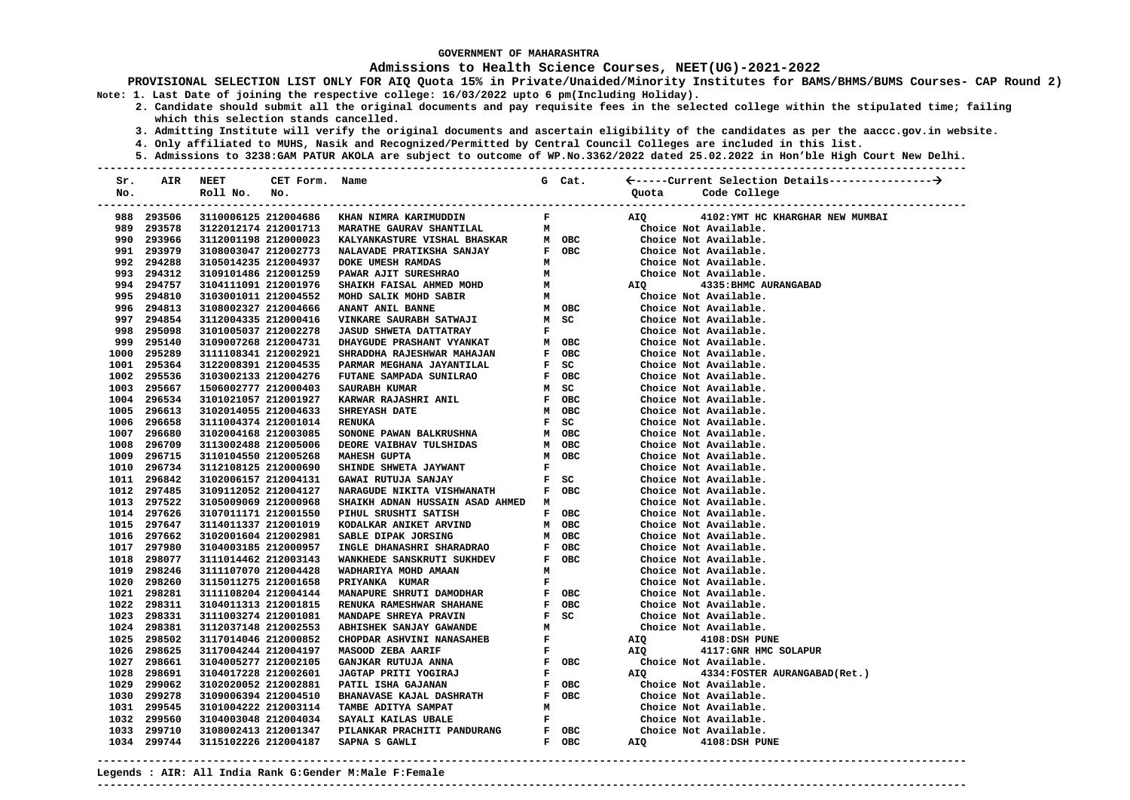### **Admissions to Health Science Courses, NEET(UG)-2021-2022**

**PROVISIONAL SELECTION LIST ONLY FOR AIQ Quota 15% in Private/Unaided/Minority Institutes for BAMS/BHMS/BUMS Courses- CAP Round 2) Note: 1. Last Date of joining the respective college: 16/03/2022 upto 6 pm(Including Holiday).** 

- **2. Candidate should submit all the original documents and pay requisite fees in the selected college within the stipulated time; failing which this selection stands cancelled.** 
	- **3. Admitting Institute will verify the original documents and ascertain eligibility of the candidates as per the aaccc.gov.in website.**
	- **4. Only affiliated to MUHS, Nasik and Recognized/Permitted by Central Council Colleges are included in this list.**
- **5. Admissions to 3238:GAM PATUR AKOLA are subject to outcome of WP.No.3362/2022 dated 25.02.2022 in Hon'ble High Court New Delhi. ---------------------------------------------------------------------------------------------------------------------------------------**

| Sr. | AIR         | NEET                 | CET Form. | Name                                                                                             |                               | G Cat. |            |                                                         |
|-----|-------------|----------------------|-----------|--------------------------------------------------------------------------------------------------|-------------------------------|--------|------------|---------------------------------------------------------|
| No. |             | Roll No.             | No.       |                                                                                                  |                               |        | Quota      | Code College                                            |
|     |             |                      |           |                                                                                                  |                               |        |            |                                                         |
|     | 988 293506  |                      |           | 3110006125 212004686 KHAN NIMRA KARIMUDDIN                                                       | $\mathbf{F}$ and $\mathbf{F}$ |        | AIQ        | 4102: YMT HC KHARGHAR NEW MUMBAI                        |
|     | 989 293578  |                      |           | 3122012174 212001713 MARATHE GAURAV SHANTILAL M                                                  |                               |        |            | Choice Not Available.                                   |
|     | 990 293966  | 3112001198 212000023 |           | KALYANKASTURE VISHAL BHASKAR M OBC                                                               |                               |        |            | Choice Not Available.                                   |
|     | 991 293979  | 3108003047 212002773 |           | NALAVADE PRATIKSHA SANJAY F OBC                                                                  |                               |        |            | Choice Not Available.                                   |
|     | 992 294288  | 3105014235 212004937 |           | DOKE UMESH RAMDAS                                                                                |                               |        |            | Choice Not Available.                                   |
|     | 993 294312  | 3109101486 212001259 |           | $\begin{array}{ccc} & & M \\ & M \\ & M \\ & M \end{array}$ HD<br>PAWAR AJIT SURESHRAO           |                               |        |            | Choice Not Available.<br>AIQ                4335:BHMC A |
|     | 994 294757  | 3104111091 212001976 |           |                                                                                                  |                               |        |            | 4335: BHMC AURANGABAD                                   |
|     | 995 294810  | 3103001011 212004552 |           | SHAIKH FAISAL AHMED MOHD M<br>MOHD SALIK MOHD SABIR M<br>1911 MIT AND MULL MARIE MARIA MARIA     |                               |        |            | Choice Not Available.                                   |
|     | 996 294813  | 3108002327 212004666 |           | ANANT ANIL BANNE                                                                                 |                               | M OBC  |            | Choice Not Available.                                   |
|     | 997 294854  | 3112004335 212000416 |           | VINKARE SAURABH SATWAJI<br>JASUD SHWETA DATTATRAY                                                |                               | M SC   |            | Choice Not Available.                                   |
|     | 998 295098  | 3101005037 212002278 |           |                                                                                                  | $\mathbf{F}$                  |        |            | Choice Not Available.                                   |
|     | 999 295140  | 3109007268 212004731 |           | DHAYGUDE PRASHANT VYANKAT<br>SHRADDHA RAJESHWAR MAHAJAN                                          |                               | м овс  |            | Choice Not Available.                                   |
|     | 1000 295289 | 3111108341 212002921 |           |                                                                                                  |                               | F OBC  |            | Choice Not Available.                                   |
|     | 1001 295364 | 3122008391 212004535 |           | PARMAR MEGHANA JAYANTILAL                                                                        |                               | F SC   |            | Choice Not Available.                                   |
|     | 1002 295536 | 3103002133 212004276 |           | FUTANE SAMPADA SUNILRAO                                                                          |                               | F OBC  |            | Choice Not Available.                                   |
|     | 1003 295667 | 1506002777 212000403 |           | <b>SAURABH KUMAR</b>                                                                             |                               | M SC   |            | Choice Not Available.                                   |
|     | 1004 296534 | 3101021057 212001927 |           | <b>KARWAR RAJASHRI ANIL</b>                                                                      |                               | F OBC  |            | Choice Not Available.                                   |
|     | 1005 296613 | 3102014055 212004633 |           | <b>SHREYASH DATE</b>                                                                             |                               | M OBC  |            | Choice Not Available.                                   |
|     | 1006 296658 | 3111004374 212001014 |           | <b>RENUKA</b>                                                                                    |                               | F SC   |            | Choice Not Available.                                   |
|     | 1007 296680 | 3102004168 212003085 |           | SONONE PAWAN BALKRUSHNA                                                                          |                               | M OBC  |            | Choice Not Available.                                   |
|     | 1008 296709 | 3113002488 212005006 |           | DEORE VAIBHAV TULSHIDAS                                                                          |                               | м овс  |            | Choice Not Available.                                   |
|     | 1009 296715 | 3110104550 212005268 |           | <b>MAHESH GUPTA</b>                                                                              |                               | M OBC  |            | Choice Not Available.                                   |
|     | 1010 296734 | 3112108125 212000690 |           | $F$<br>$F$ SC<br><b>SHINDE SHWETA JAYWANT</b>                                                    |                               |        |            | Choice Not Available.                                   |
|     | 1011 296842 | 3102006157 212004131 |           | GAWAI RUTUJA SANJAY                                                                              |                               | $F$ SC |            | Choice Not Available.                                   |
|     | 1012 297485 | 3109112052 212004127 |           | NARAGUDE NIKITA VISHWANATH                                                                       |                               | F OBC  |            | Choice Not Available.                                   |
|     | 1013 297522 | 3105009069 212000968 |           | SHAIKH ADNAN HUSSAIN ASAD AHMED M                                                                |                               |        |            | Choice Not Available.                                   |
|     | 1014 297626 | 3107011171 212001550 |           | PIHUL SRUSHTI SATISH                                                                             |                               | F OBC  |            | Choice Not Available.                                   |
|     | 1015 297647 | 3114011337 212001019 |           | KODALKAR ANIKET ARVIND                                                                           |                               | M OBC  |            | Choice Not Available.                                   |
|     | 1016 297662 | 3102001604 212002981 |           | SABLE DIPAK JORSING<br>INGLE DHANASHRI SHARADRAO                                                 |                               | M OBC  |            | Choice Not Available.                                   |
|     | 1017 297980 | 3104003185 212000957 |           |                                                                                                  |                               | F OBC  |            | Choice Not Available.                                   |
|     | 1018 298077 | 3111014462 212003143 |           | SABLE DIPAR<br>INGLE DHANASHRI SHARADRAO<br>WANKHEDE SANSKRUTI SUKHDEV<br>ANAN TILLER MOHD AMAAN |                               | F OBC  |            | Choice Not Available.                                   |
|     | 1019 298246 | 3111107070 212004428 |           |                                                                                                  | M                             |        |            | Choice Not Available.                                   |
|     | 1020 298260 | 3115011275 212001658 |           |                                                                                                  | $\mathbf{F}$                  |        |            | Choice Not Available.                                   |
|     | 1021 298281 | 3111108204 212004144 |           | MANAPURE SHRUTI DAMODHAR                                                                         |                               | F OBC  |            | Choice Not Available.                                   |
|     | 1022 298311 | 3104011313 212001815 |           |                                                                                                  |                               | F OBC  |            | Choice Not Available.                                   |
|     | 1023 298331 | 3111003274 212001081 |           |                                                                                                  |                               |        |            | Choice Not Available.                                   |
|     | 1024 298381 | 3112037148 212002553 |           |                                                                                                  |                               |        |            | Choice Not Available.                                   |
|     | 1025 298502 | 3117014046 212000852 |           |                                                                                                  |                               |        | AIQ        | 4108:DSH PUNE                                           |
|     | 1026 298625 | 3117004244 212004197 |           |                                                                                                  |                               |        | <b>AIO</b> | 4117: GNR HMC SOLAPUR                                   |
|     | 1027 298661 | 3104005277 212002105 |           | $\begin{array}{cc} \textbf{F} & \textbf{OBC} \\ \textbf{F} & \end{array}$                        |                               |        |            | Choice Not Available.                                   |
|     | 1028 298691 | 3104017228 212002601 |           |                                                                                                  |                               |        | AIQ        | 4334: FOSTER AURANGABAD (Ret.)                          |
|     | 1029 299062 | 3102020052 212002881 |           |                                                                                                  |                               |        |            | Choice Not Available.                                   |
|     | 1030 299278 | 3109006394 212004510 |           |                                                                                                  |                               |        |            | Choice Not Available.                                   |
|     | 1031 299545 | 3101004222 212003114 |           | TAMBE ADITYA SAMPAT                                                                              |                               |        |            | Choice Not Available.                                   |
|     | 1032 299560 | 3104003048 212004034 |           | M<br>F OBC<br>IDURANG F OBC<br>F OBC<br>SAYALI KAILAS UBALE                                      |                               |        |            | Choice Not Available.                                   |
|     | 1033 299710 | 3108002413 212001347 |           | PILANKAR PRACHITI PANDURANG                                                                      |                               |        |            | Choice Not Available.                                   |
|     | 1034 299744 | 3115102226 212004187 |           | SAPNA S GAWLI                                                                                    |                               |        | AIQ        | 4108:DSH PUNE                                           |

**---------------------------------------------------------------------------------------------------------------------------------------**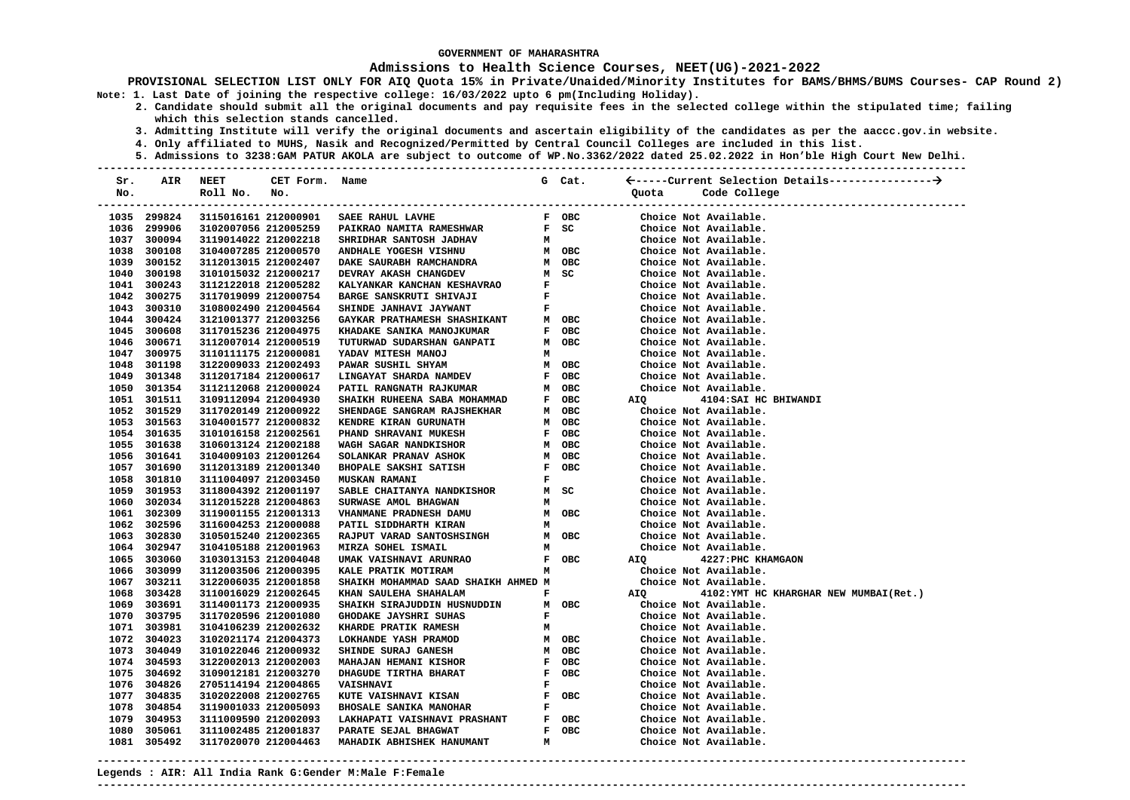### **Admissions to Health Science Courses, NEET(UG)-2021-2022**

**PROVISIONAL SELECTION LIST ONLY FOR AIQ Quota 15% in Private/Unaided/Minority Institutes for BAMS/BHMS/BUMS Courses- CAP Round 2) Note: 1. Last Date of joining the respective college: 16/03/2022 upto 6 pm(Including Holiday).** 

- **2. Candidate should submit all the original documents and pay requisite fees in the selected college within the stipulated time; failing which this selection stands cancelled.** 
	- **3. Admitting Institute will verify the original documents and ascertain eligibility of the candidates as per the aaccc.gov.in website.**
	- **4. Only affiliated to MUHS, Nasik and Recognized/Permitted by Central Council Colleges are included in this list.**
- **5. Admissions to 3238:GAM PATUR AKOLA are subject to outcome of WP.No.3362/2022 dated 25.02.2022 in Hon'ble High Court New Delhi. ---------------------------------------------------------------------------------------------------------------------------------------**

| Sr. | AIR                        | <b>NEET</b>                                  | CET Form. | Name                                                 |              | G Cat. |                                                                        |
|-----|----------------------------|----------------------------------------------|-----------|------------------------------------------------------|--------------|--------|------------------------------------------------------------------------|
| No. |                            | Roll No.<br>-----------------------------    | No.       |                                                      |              |        | Code College<br>Quota<br>----------------------------                  |
|     | 1035 299824                | 3115016161 212000901                         |           | SAEE RAHUL LAVHE                                     |              | F OBC  | Choice Not Available.                                                  |
|     | 1036 299906                | 3102007056 212005259                         |           | <b>PAIKRAO NAMITA RAMESHWAR</b>                      |              | $F$ SC | Choice Not Available.                                                  |
|     | 1037 300094                | 3119014022 212002218                         |           | SHRIDHAR SANTOSH JADHAV                              | м            |        | Choice Not Available.                                                  |
|     | 1038 300108                | 3104007285 212000570                         |           | ANDHALE YOGESH VISHNU                                |              | м овс  | Choice Not Available.                                                  |
|     | 1039 300152                | 3112013015 212002407                         |           | DAKE SAURABH RAMCHANDRA                              |              | M OBC  | Choice Not Available.                                                  |
|     | 1040 300198                | 3101015032 212000217                         |           | DEVRAY AKASH CHANGDEV                                |              | M SC   | Choice Not Available.                                                  |
|     | 1041 300243                | 3112122018 212005282                         |           | KALYANKAR KANCHAN KESHAVRAO                          | F            |        | Choice Not Available.                                                  |
|     | 1042 300275                | 3117019099 212000754                         |           | BARGE SANSKRUTI SHIVAJI                              | F            |        | Choice Not Available.                                                  |
|     | 1043 300310                | 3108002490 212004564                         |           | SHINDE JANHAVI JAYWANT                               | F.           |        | Choice Not Available.                                                  |
|     | 1044 300424                | 3121001377 212003256                         |           | <b>GAYKAR PRATHAMESH SHASHIKANT</b>                  |              | м овс  | Choice Not Available.                                                  |
|     | 1045 300608                | 3117015236 212004975                         |           | KHADAKE SANIKA MANOJKUMAR                            |              | F OBC  | Choice Not Available.                                                  |
|     | 1046 300671                | 3112007014 212000519                         |           | TUTURWAD SUDARSHAN GANPATI                           |              | M OBC  | Choice Not Available.                                                  |
|     | 1047 300975                | 3110111175 212000081                         |           | YADAV MITESH MANOJ                                   | м            |        | Choice Not Available.                                                  |
|     | 1048 301198                | 3122009033 212002493                         |           | PAWAR SUSHIL SHYAM                                   |              | M OBC  | Choice Not Available.                                                  |
|     | 1049 301348                | 3112017184 212000617                         |           | LINGAYAT SHARDA NAMDEV                               |              | F OBC  | Choice Not Available.                                                  |
|     | 1050 301354                | 3112112068 212000024                         |           | PATIL RANGNATH RAJKUMAR                              |              | м овс  | Choice Not Available.                                                  |
|     | 1051 301511                | 3109112094 212004930                         |           | SHAIKH RUHEENA SABA MOHAMMAD                         |              | F OBC  | 4104: SAI HC BHIWANDI<br>AIQ                                           |
|     | 1052 301529                | 3117020149 212000922                         |           | SHENDAGE SANGRAM RAJSHEKHAR                          |              | M OBC  | Choice Not Available.                                                  |
|     | 1053 301563                | 3104001577 212000832                         |           | KENDRE KIRAN GURUNATH                                |              | м овс  | Choice Not Available.                                                  |
|     | 1054 301635                | 3101016158 212002561                         |           | PHAND SHRAVANI MUKESH                                |              | F OBC  | Choice Not Available.                                                  |
|     | 1055 301638                | 3106013124 212002188                         |           | WAGH SAGAR NANDKISHOR                                |              | M OBC  | Choice Not Available.                                                  |
|     | 1056 301641                | 3104009103 212001264                         |           | SOLANKAR PRANAV ASHOK                                |              | м овс  | Choice Not Available.                                                  |
|     | 1057 301690                | 3112013189 212001340                         |           | <b>BHOPALE SAKSHI SATISH</b>                         |              | F OBC  | Choice Not Available.                                                  |
|     | 1058 301810                | 3111004097 212003450                         |           | <b>MUSKAN RAMANI</b>                                 | $\mathbf{F}$ |        | Choice Not Available.                                                  |
|     | 1059 301953                | 3118004392 212001197                         |           | SABLE CHAITANYA NANDKISHOR                           |              | M SC   | Choice Not Available.                                                  |
|     | 1060 302034                | 3112015228 212004863                         |           | SURWASE AMOL BHAGWAN                                 | M            |        | Choice Not Available.                                                  |
|     | 1061 302309                | 3119001155 212001313                         |           | VHANMANE PRADNESH DAMU                               |              | M OBC  | Choice Not Available.                                                  |
|     | 1062 302596                | 3116004253 212000088                         |           | PATIL SIDDHARTH KIRAN                                | м            |        | Choice Not Available.                                                  |
|     | 1063 302830                | 3105015240 212002365                         |           | RAJPUT VARAD SANTOSHSINGH                            |              | M OBC  | Choice Not Available.                                                  |
|     | 1064 302947                | 3104105188 212001963                         |           | MIRZA SOHEL ISMAIL                                   | м            |        | Choice Not Available.                                                  |
|     | 1065 303060                | 3103013153 212004048                         |           | UMAK VAISHNAVI ARUNRAO                               |              | F OBC  | AIQ 4227: PHC KHAMGAON                                                 |
|     | 1066 303099                | 3112003506 212000395                         |           | KALE PRATIK MOTIRAM                                  | м            |        | Choice Not Available.                                                  |
|     | 1067 303211                | 3122006035 212001858                         |           | SHAIKH MOHAMMAD SAAD SHAIKH AHMED M                  |              |        | Choice Not Available.                                                  |
|     | 1068 303428<br>1069 303691 | 3110016029 212002645<br>3114001173 212000935 |           | KHAN SAULEHA SHAHALAM                                | F            | M OBC  | AIQ<br>4102: YMT HC KHARGHAR NEW MUMBAI(Ret.)<br>Choice Not Available. |
|     | 1070 303795                | 3117020596 212001080                         |           | SHAIKH SIRAJUDDIN HUSNUDDIN<br>GHODAKE JAYSHRI SUHAS | F            |        | Choice Not Available.                                                  |
|     | 1071 303981                | 3104106239 212002632                         |           | KHARDE PRATIK RAMESH                                 | м            |        | Choice Not Available.                                                  |
|     | 1072 304023                | 3102021174 212004373                         |           | LOKHANDE YASH PRAMOD                                 |              | M OBC  | Choice Not Available.                                                  |
|     | 1073 304049                | 3101022046 212000932                         |           | SHINDE SURAJ GANESH                                  |              | M OBC  | Choice Not Available.                                                  |
|     | 1074 304593                | 3122002013 212002003                         |           | MAHAJAN HEMANI KISHOR                                |              | F OBC  | Choice Not Available.                                                  |
|     | 1075 304692                | 3109012181 212003270                         |           | DHAGUDE TIRTHA BHARAT<br>F OBC                       |              |        | Choice Not Available.                                                  |
|     | 1076 304826                | 2705114194 212004865                         |           | <b>VAISHNAVI</b>                                     | F            |        | Choice Not Available.                                                  |
|     | 1077 304835                | 3102022008 212002765                         |           | <b>KUTE VAISHNAVI KISAN</b>                          |              | F OBC  | Choice Not Available.                                                  |
|     | 1078 304854                | 3119001033 212005093                         |           | <b>BHOSALE SANIKA MANOHAR</b>                        | F            |        | Choice Not Available.                                                  |
|     | 1079 304953                | 3111009590 212002093                         |           | LAKHAPATI VAISHNAVI PRASHANT                         |              | F OBC  | Choice Not Available.                                                  |
|     | 1080 305061                | 3111002485 212001837                         |           | PARATE SEJAL BHAGWAT                                 |              | F OBC  | Choice Not Available.                                                  |
|     | 1081 305492                | 3117020070 212004463                         |           | MAHADIK ABHISHEK HANUMANT                            | м            |        | Choice Not Available.                                                  |
|     |                            |                                              |           |                                                      |              |        |                                                                        |

**---------------------------------------------------------------------------------------------------------------------------------------**

**---------------------------------------------------------------------------------------------------------------------------------------** 

**Legends : AIR: All India Rank G:Gender M:Male F:Female**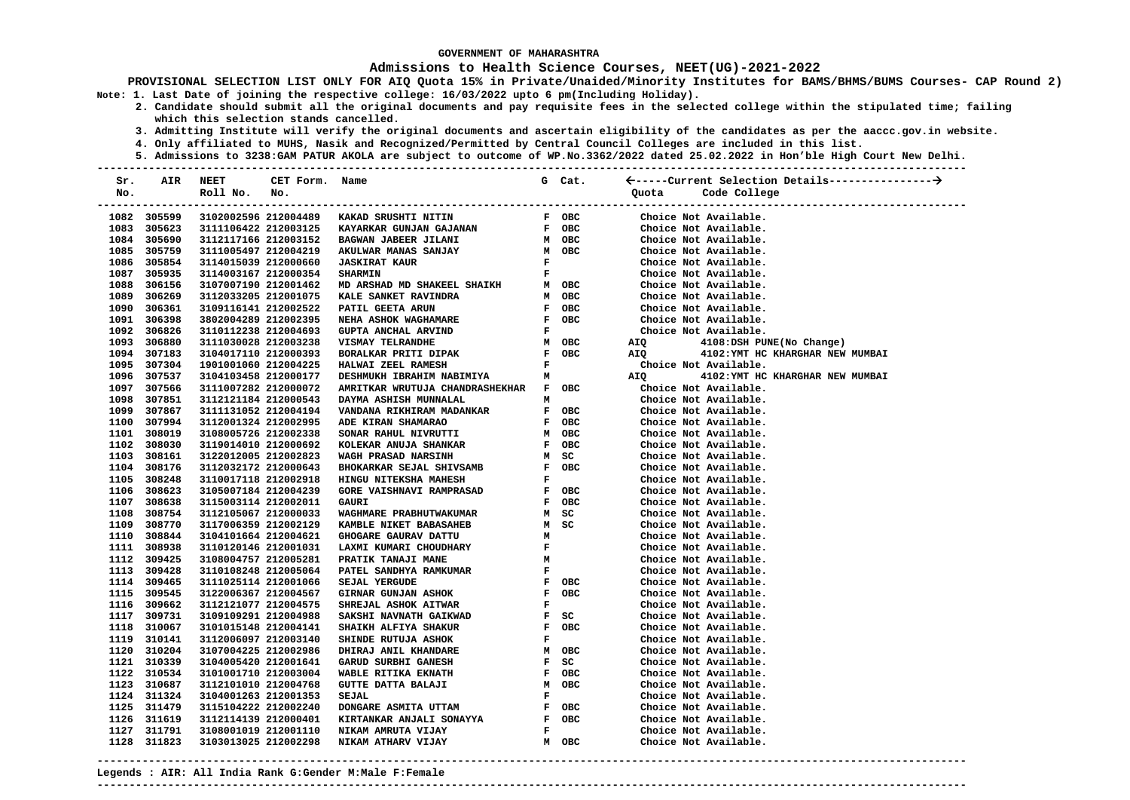### **Admissions to Health Science Courses, NEET(UG)-2021-2022**

- **2. Candidate should submit all the original documents and pay requisite fees in the selected college within the stipulated time; failing which this selection stands cancelled.** 
	- **3. Admitting Institute will verify the original documents and ascertain eligibility of the candidates as per the aaccc.gov.in website.**
	- **4. Only affiliated to MUHS, Nasik and Recognized/Permitted by Central Council Colleges are included in this list.**
- **5. Admissions to 3238:GAM PATUR AKOLA are subject to outcome of WP.No.3362/2022 dated 25.02.2022 in Hon'ble High Court New Delhi. ---------------------------------------------------------------------------------------------------------------------------------------**

| Sr. | AIR         | NEET                 | CET Form.            | Name                                                                                                                                 |              | G Cat. |                                                                          |
|-----|-------------|----------------------|----------------------|--------------------------------------------------------------------------------------------------------------------------------------|--------------|--------|--------------------------------------------------------------------------|
| No. |             | Roll No.             | No.                  |                                                                                                                                      |              |        | Code College<br>Ouota                                                    |
|     |             |                      |                      |                                                                                                                                      |              |        | -----------------------------                                            |
|     | 1082 305599 |                      |                      | 3102002596 212004489 KAKAD SRUSHTI NITIN                                                                                             |              | F OBC  | Choice Not Available.                                                    |
|     | 1083 305623 |                      | 3111106422 212003125 | EXAMPLE THE THE CONTRACT SUNDAN GAJANAN HE OBC<br>BAGWAN JABEER JILANI MOBC<br>AKULWAR MANAS SANJAY MOBC<br>JASKIRAT KAUR HE SHARMIN |              |        | Choice Not Available.                                                    |
|     | 1084 305690 | 3112117166 212003152 |                      |                                                                                                                                      |              |        | Choice Not Available.                                                    |
|     | 1085 305759 | 3111005497 212004219 |                      |                                                                                                                                      |              |        | Choice Not Available.                                                    |
|     | 1086 305854 | 3114015039 212000660 |                      |                                                                                                                                      |              |        | Choice Not Available.                                                    |
|     | 1087 305935 | 3114003167 212000354 |                      |                                                                                                                                      |              |        | Choice Not Available.                                                    |
|     | 1088 306156 | 3107007190 212001462 |                      | $\texttt{MD}$ ARSHAD $\texttt{MD}$ SHAKEEL SHAIKH $\texttt{M}$ OBC                                                                   |              |        | Choice Not Available.                                                    |
|     | 1089 306269 | 3112033205 212001075 |                      | KALE SANKET RAVINDRA                                                                                                                 |              | M OBC  | Choice Not Available.                                                    |
|     | 1090 306361 | 3109116141 212002522 |                      | PATIL GEETA ARUN                                                                                                                     |              | F OBC  | Available<br>Choice Not Available.<br>Choice Not Available.<br>AIQ 4108. |
|     | 1091 306398 | 3802004289 212002395 |                      | NEHA ASHOK WAGHAMARE<br>F OBC<br>F<br>M OBC<br>F OBC<br>F                                                                            |              |        |                                                                          |
|     | 1092 306826 | 3110112238 212004693 |                      | GUPTA ANCHAL ARVIND                                                                                                                  |              |        |                                                                          |
|     | 1093 306880 | 3111030028 212003238 |                      | <b>VISMAY TELRANDHE</b>                                                                                                              |              |        | 4108:DSH PUNE(No Change)                                                 |
|     | 1094 307183 | 3104017110 212000393 |                      | BORALKAR PRITI DIPAK                                                                                                                 |              |        | AIQ 4102: YMT HC KHARGHAR NEW MUMBAI                                     |
|     | 1095 307304 | 1901001060 212004225 |                      | HALWAI ZEEL RAMESH                                                                                                                   |              |        | Choice Not Available.                                                    |
|     | 1096 307537 | 3104103458 212000177 |                      | DESHMUKH IBRAHIM NABIMIYA M                                                                                                          |              |        | 4102: YMT HC KHARGHAR NEW MUMBAI<br>AIQ                                  |
|     | 1097 307566 | 3111007282 212000072 |                      | AMRITKAR WRUTUJA CHANDRASHEKHAR F OBC                                                                                                |              |        | Choice Not Available.                                                    |
|     | 1098 307851 | 3112121184 212000543 |                      | DAYMA ASHISH MUNNALAL                                                                                                                | м            |        | Choice Not Available.                                                    |
|     | 1099 307867 | 3111131052 212004194 |                      | VANDANA RIKHIRAM MADANKAR                                                                                                            |              | F OBC  | Choice Not Available.                                                    |
|     | 1100 307994 | 3112001324 212002995 |                      | ADE KIRAN SHAMARAO                                                                                                                   |              | F OBC  | Choice Not Available.                                                    |
|     | 1101 308019 | 3108005726 212002338 |                      | SONAR RAHUL NIVRUTTI                                                                                                                 |              | M OBC  | Choice Not Available.                                                    |
|     | 1102 308030 | 3119014010 212000692 |                      | KOLEKAR ANUJA SHANKAR                                                                                                                |              | F OBC  | Choice Not Available.                                                    |
|     | 1103 308161 | 3122012005 212002823 |                      | <b>WAGH PRASAD NARSINH</b>                                                                                                           |              | M SC   | Choice Not Available.                                                    |
|     | 1104 308176 | 3112032172 212000643 |                      | BHOKARKAR SEJAL SHIVSAMB                                                                                                             |              | F OBC  | Choice Not Available.                                                    |
|     | 1105 308248 | 3110017118 212002918 |                      | HINGU NITEKSHA MAHESH                                                                                                                | $\mathbf{F}$ |        | Choice Not Available.                                                    |
|     | 1106 308623 | 3105007184 212004239 |                      | <b>GORE VAISHNAVI RAMPRASAD</b>                                                                                                      |              | F OBC  | Choice Not Available.                                                    |
|     | 1107 308638 | 3115003114 212002011 |                      | GAURI                                                                                                                                |              | F OBC  | Choice Not Available.                                                    |
|     | 1108 308754 | 3112105067 212000033 |                      | WAGHMARE PRABHUTWAKUMAR                                                                                                              |              | M SC   | Choice Not Available.                                                    |
|     | 1109 308770 | 3117006359 212002129 |                      | MANGLI BABASAHEB MANGLI MANGLI BADASAHEB M<br>GHOGARE GAURAV DATTU MANGLI MANGLI F<br>PRATIK TANAJI MANE MATEL SANDHYA RAMKUMAD      |              | M SC   | Choice Not Available.                                                    |
|     | 1110 308844 | 3104101664 212004621 |                      |                                                                                                                                      |              |        | Choice Not Available.                                                    |
|     | 1111 308938 | 3110120146 212001031 |                      |                                                                                                                                      |              |        | Choice Not Available.                                                    |
|     | 1112 309425 | 3108004757 212005281 |                      |                                                                                                                                      |              |        | Choice Not Available.                                                    |
|     | 1113 309428 | 3110108248 212005064 |                      |                                                                                                                                      |              |        | Choice Not Available.                                                    |
|     | 1114 309465 | 3111025114 212001066 |                      | SEJAL YERGUDE<br>F OBC<br>F OBC                                                                                                      |              |        | Choice Not Available.                                                    |
|     | 1115 309545 | 3122006367 212004567 |                      | <b>GIRNAR GUNJAN ASHOK</b>                                                                                                           |              |        | Choice Not Available.                                                    |
|     | 1116 309662 | 3112121077 212004575 |                      | SHREJAL ASHOK AITWAR<br>$F$<br>$F$ SC                                                                                                |              |        | Choice Not Available.                                                    |
|     | 1117 309731 | 3109109291 212004988 |                      | SAKSHI NAVNATH GAIKWAD                                                                                                               |              |        | Choice Not Available.                                                    |
|     | 1118 310067 | 3101015148 212004141 |                      | SHAIKH ALFIYA SHAKUR                                                                                                                 |              | F OBC  | Choice Not Available.                                                    |
|     | 1119 310141 | 3112006097 212003140 |                      | SHINDE RUTUJA ASHOK                                                                                                                  | $\mathbf{F}$ |        | Choice Not Available.                                                    |
|     | 1120 310204 | 3107004225 212002986 |                      | DHIRAJ ANIL KHANDARE                                                                                                                 |              | M OBC  | Choice Not Available.                                                    |
|     | 1121 310339 | 3104005420 212001641 |                      | GARUD SURBHI GANESH                                                                                                                  |              | F SC   | Choice Not Available.                                                    |
|     | 1122 310534 | 3101001710 212003004 |                      | WABLE RITIKA EKNATH                                                                                                                  |              | F OBC  | Choice Not Available.                                                    |
|     | 1123 310687 | 3112101010 212004768 |                      | GUTTE DATTA BALAJI                                                                                                                   |              | M OBC  | Choice Not Available.                                                    |
|     | 1124 311324 | 3104001263 212001353 |                      | SEJAL                                                                                                                                | $\mathbf{F}$ |        | Choice Not Available.                                                    |
|     | 1125 311479 | 3115104222 212002240 |                      |                                                                                                                                      |              |        | Choice Not Available.                                                    |
|     | 1126 311619 | 3112114139 212000401 |                      |                                                                                                                                      |              |        | Choice Not Available.                                                    |
|     | 1127 311791 | 3108001019 212001110 |                      |                                                                                                                                      |              |        | Choice Not Available.                                                    |
|     | 1128 311823 | 3103013025 212002298 |                      |                                                                                                                                      |              |        | Choice Not Available.                                                    |
|     |             |                      |                      |                                                                                                                                      |              |        |                                                                          |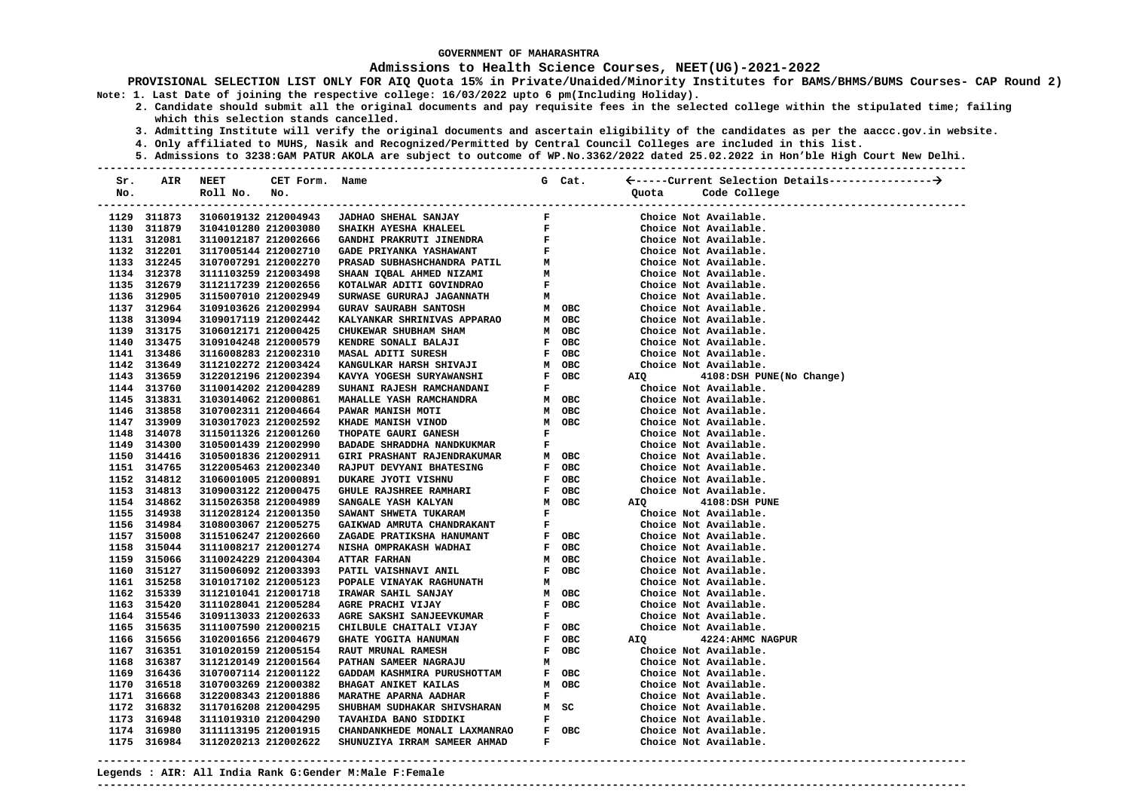### **Admissions to Health Science Courses, NEET(UG)-2021-2022**

**PROVISIONAL SELECTION LIST ONLY FOR AIQ Quota 15% in Private/Unaided/Minority Institutes for BAMS/BHMS/BUMS Courses- CAP Round 2) Note: 1. Last Date of joining the respective college: 16/03/2022 upto 6 pm(Including Holiday).** 

- **2. Candidate should submit all the original documents and pay requisite fees in the selected college within the stipulated time; failing which this selection stands cancelled.** 
	- **3. Admitting Institute will verify the original documents and ascertain eligibility of the candidates as per the aaccc.gov.in website.**
	- **4. Only affiliated to MUHS, Nasik and Recognized/Permitted by Central Council Colleges are included in this list.**
- **5. Admissions to 3238:GAM PATUR AKOLA are subject to outcome of WP.No.3362/2022 dated 25.02.2022 in Hon'ble High Court New Delhi. ---------------------------------------------------------------------------------------------------------------------------------------**

| Sr. | AIR                | NEET                 | CET Form. Name |                                                                         |              | G Cat.                          |       |                              |
|-----|--------------------|----------------------|----------------|-------------------------------------------------------------------------|--------------|---------------------------------|-------|------------------------------|
| No. |                    | Roll No.             | No.            |                                                                         |              |                                 | Quota | Code College                 |
|     | ------------------ | ----------           |                |                                                                         |              |                                 |       | ---------------------------- |
|     | 1129 311873        | 3106019132 212004943 |                | <b>JADHAO SHEHAL SANJAY</b>                                             | $\mathbf{F}$ |                                 |       | Choice Not Available.        |
|     | 1130 311879        | 3104101280 212003080 |                | SHAIKH AYESHA KHALEEL                                                   | $\mathbf{F}$ |                                 |       | Choice Not Available.        |
|     | 1131 312081        | 3110012187 212002666 |                |                                                                         |              | $\frac{\mathbf{F}}{\mathbf{F}}$ |       | Choice Not Available.        |
|     | 1132 312201        | 3117005144 212002710 |                | GANDHI PRAKRUTI JINENDRA<br>GADE PRIYANKA YASHAWANT                     |              |                                 |       | Choice Not Available.        |
|     | 1133 312245        | 3107007291 212002270 |                | PRASAD SUBHASHCHANDRA PATIL<br>SHAAN IQBAL AHMED NIZAMI                 | м            |                                 |       | Choice Not Available.        |
|     | 1134 312378        | 3111103259 212003498 |                |                                                                         | M            |                                 |       | Choice Not Available.        |
|     | 1135 312679        | 3112117239 212002656 |                | KOTALWAR ADITI GOVINDRAO                                                | $\mathbf{F}$ |                                 |       | Choice Not Available.        |
|     | 1136 312905        | 3115007010 212002949 |                | SURWASE GURURAJ JAGANNATH                                               | м            |                                 |       | Choice Not Available.        |
|     | 1137 312964        | 3109103626 212002994 |                | <b>GURAV SAURABH SANTOSH</b>                                            |              | M OBC                           |       | Choice Not Available.        |
|     | 1138 313094        | 3109017119 212002442 |                | KALYANKAR SHRINIVAS APPARAO<br>CHUKEWAR SHUBHAM SHAM                    |              | м овс                           |       | Choice Not Available.        |
|     | 1139 313175        | 3106012171 212000425 |                |                                                                         |              | M OBC                           |       | Choice Not Available.        |
|     | 1140 313475        | 3109104248 212000579 |                | KENDRE SONALI BALAJI                                                    |              | F OBC                           |       | Choice Not Available.        |
|     | 1141 313486        | 3116008283 212002310 |                | MASAL ADITI SURESH                                                      |              | F OBC                           |       | Choice Not Available.        |
|     | 1142 313649        | 3112102272 212003424 |                | MASAL ADIII DULLE<br>KANGULKAR HARSH SHIVAJI<br>ANGLI MATAH SHDVAWANSHI |              | м овс                           |       | Choice Not Available.        |
|     | 1143 313659        | 3122012196 212002394 |                |                                                                         |              | F OBC                           | AIQ   | 4108:DSH PUNE(No Change)     |
|     | 1144 313760        | 3110014202 212004289 |                | SUHANI RAJESH RAMCHANDANI                                               | F            |                                 |       | Choice Not Available.        |
|     | 1145 313831        | 3103014062 212000861 |                | MAHALLE YASH RAMCHANDRA                                                 |              | M OBC                           |       | Choice Not Available.        |
|     | 1146 313858        | 3107002311 212004664 |                | PAWAR MANISH MOTI                                                       |              | м овс                           |       | Choice Not Available.        |
|     | 1147 313909        | 3103017023 212002592 |                | KHADE MANISH VINOD                                                      |              | M OBC                           |       | Choice Not Available.        |
|     | 1148 314078        | 3115011326 212001260 |                | THOPATE GAURI GANESH                                                    | $\mathbf F$  |                                 |       | Choice Not Available.        |
|     | 1149 314300        | 3105001439 212002990 |                | BADADE SHRADDHA NANDKUKMAR                                              | $\mathbf{F}$ |                                 |       | Choice Not Available.        |
|     | 1150 314416        | 3105001836 212002911 |                | GIRI PRASHANT RAJENDRAKUMAR                                             |              | м овс                           |       | Choice Not Available.        |
|     | 1151 314765        | 3122005463 212002340 |                | RAJPUT DEVYANI BHATESING                                                |              | F OBC                           |       | Choice Not Available.        |
|     | 1152 314812        | 3106001005 212000891 |                | DUKARE JYOTI VISHNU                                                     |              | F OBC                           |       | Choice Not Available.        |
|     | 1153 314813        | 3109003122 212000475 |                | GHULE RAJSHREE RAMHARI                                                  |              | F OBC                           |       | Choice Not Available.        |
|     | 1154 314862        | 3115026358 212004989 |                | SANGALE YASH KALYAN                                                     |              | M OBC                           | AIQ   | 4108:DSH PUNE                |
|     | 1155 314938        | 3112028124 212001350 |                | SAWANT SHWETA TUKARAM                                                   | $\mathbf{F}$ |                                 |       | Choice Not Available.        |
|     | 1156 314984        | 3108003067 212005275 |                | GAIKWAD AMRUTA CHANDRAKANT                                              | F            |                                 |       | Choice Not Available.        |
|     | 1157 315008        | 3115106247 212002660 |                | ZAGADE PRATIKSHA HANUMANT                                               |              | F OBC                           |       | Choice Not Available.        |
|     | 1158 315044        | 3111008217 212001274 |                | NISHA OMPRAKASH WADHAI                                                  |              | F OBC                           |       | Choice Not Available.        |
|     | 1159 315066        | 3110024229 212004304 |                | <b>ATTAR FARHAN</b>                                                     |              | M OBC                           |       | Choice Not Available.        |
|     | 1160 315127        | 3115006092 212003393 |                | PATIL VAISHNAVI ANIL                                                    |              | F OBC                           |       | Choice Not Available.        |
|     | 1161 315258        | 3101017102 212005123 |                | POPALE VINAYAK RAGHUNATH                                                | м            |                                 |       | Choice Not Available.        |
|     | 1162 315339        | 3112101041 212001718 |                | IRAWAR SAHIL SANJAY                                                     |              | м овс                           |       | Choice Not Available.        |
|     | 1163 315420        | 3111028041 212005284 |                | AGRE PRACHI VIJAY                                                       |              | F OBC                           |       | Choice Not Available.        |
|     | 1164 315546        | 3109113033 212002633 |                | AGRE SAKSHI SANJEEVKUMAR                                                | F            |                                 |       | Choice Not Available.        |
|     | 1165 315635        | 3111007590 212000215 |                | CHILBULE CHAITALI VIJAY                                                 |              | F OBC                           |       | Choice Not Available.        |
|     | 1166 315656        | 3102001656 212004679 |                | GHATE YOGITA HANUMAN                                                    |              | F OBC                           | AIQ   | 4224: AHMC NAGPUR            |
|     | 1167 316351        | 3101020159 212005154 |                | RAUT MRUNAL RAMESH                                                      |              | F OBC                           |       | Choice Not Available.        |
|     | 1168 316387        | 3112120149 212001564 |                | PATHAN SAMEER NAGRAJU                                                   | м            |                                 |       | Choice Not Available.        |
|     | 1169 316436        | 3107007114 212001122 |                |                                                                         |              | F OBC                           |       | Choice Not Available.        |
|     | 1170 316518        | 3107003269 212000382 |                |                                                                         |              | M OBC                           |       | Choice Not Available.        |
|     | 1171 316668        | 3122008343 212001886 |                | <b>MARATHE APARNA AADHAR</b>                                            | F            |                                 |       | Choice Not Available.        |
|     | 1172 316832        | 3117016208 212004295 |                | SHUBHAM SUDHAKAR SHIVSHARAN<br>---------- ----- --------                |              | M SC                            |       | Choice Not Available.        |
|     | 1173 316948        | 3111019310 212004290 |                | TAVAHIDA BANO SIDDIKI                                                   | F            |                                 |       | Choice Not Available.        |
|     | 1174 316980        | 3111113195 212001915 |                | CHANDANKHEDE MONALI LAXMANRAO                                           |              | F OBC                           |       | Choice Not Available.        |
|     | 1175 316984        | 3112020213 212002622 |                | SHUNUZIYA IRRAM SAMEER AHMAD                                            | F            |                                 |       | Choice Not Available.        |

**---------------------------------------------------------------------------------------------------------------------------------------**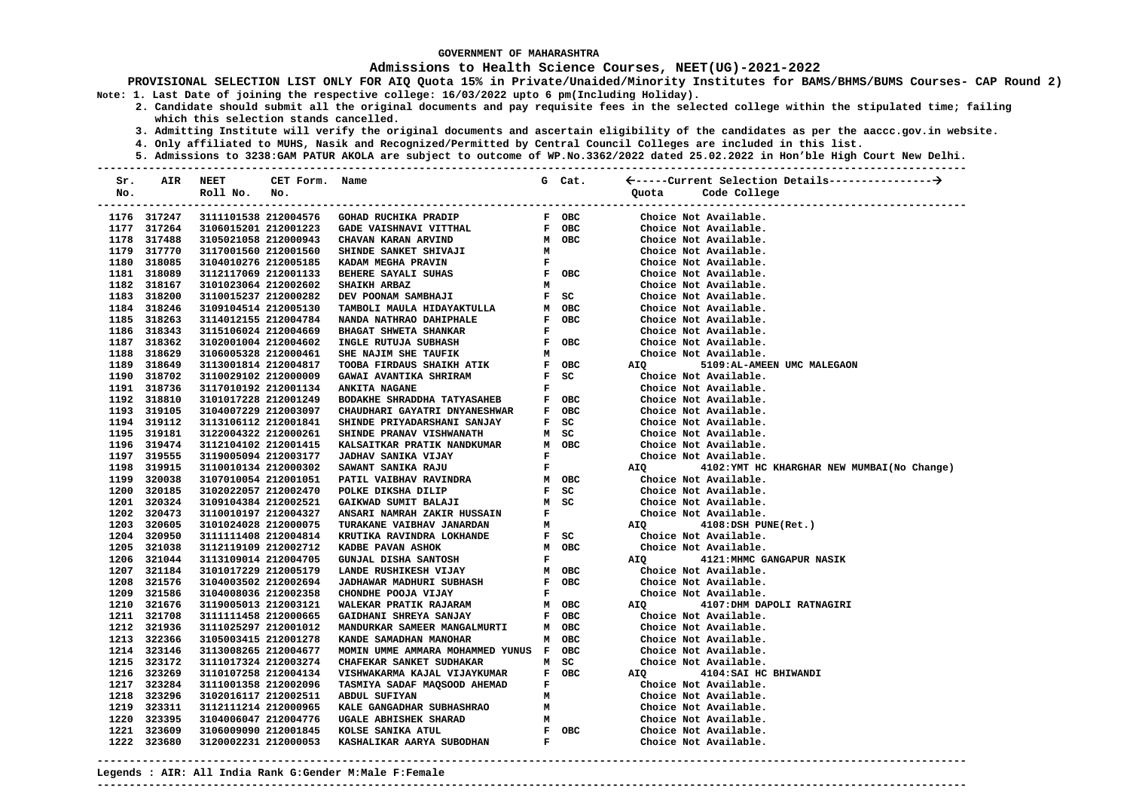### **Admissions to Health Science Courses, NEET(UG)-2021-2022**

**PROVISIONAL SELECTION LIST ONLY FOR AIQ Quota 15% in Private/Unaided/Minority Institutes for BAMS/BHMS/BUMS Courses- CAP Round 2) Note: 1. Last Date of joining the respective college: 16/03/2022 upto 6 pm(Including Holiday).** 

- **2. Candidate should submit all the original documents and pay requisite fees in the selected college within the stipulated time; failing which this selection stands cancelled.** 
	- **3. Admitting Institute will verify the original documents and ascertain eligibility of the candidates as per the aaccc.gov.in website.**
	- **4. Only affiliated to MUHS, Nasik and Recognized/Permitted by Central Council Colleges are included in this list.**
	- **5. Admissions to 3238:GAM PATUR AKOLA are subject to outcome of WP.No.3362/2022 dated 25.02.2022 in Hon'ble High Court New Delhi.**

| Sr.  | AIR         | NEET                                               | CET Form. Name |                                                                      |              | G Cat. |       |                                             |
|------|-------------|----------------------------------------------------|----------------|----------------------------------------------------------------------|--------------|--------|-------|---------------------------------------------|
| No.  |             | Roll No.                                           | No.            |                                                                      |              |        | Quota | Code College<br>------------------------    |
|      | 1176 317247 | --------------------------<br>3111101538 212004576 |                | -------------------------------------<br><b>GOHAD RUCHIKA PRADIP</b> |              | F OBC  |       | ------------------<br>Choice Not Available. |
|      | 1177 317264 | 3106015201 212001223                               |                | GADE VAISHNAVI VITTHAL                                               |              | F OBC  |       | Choice Not Available.                       |
|      | 1178 317488 | 3105021058 212000943                               |                | CHAVAN KARAN ARVIND                                                  |              | M OBC  |       | Choice Not Available.                       |
|      | 1179 317770 | 3117001560 212001560                               |                | SHINDE SANKET SHIVAJI                                                | м            |        |       | Choice Not Available.                       |
|      | 1180 318085 | 3104010276 212005185                               |                | KADAM MEGHA PRAVIN                                                   | F            |        |       | Choice Not Available.                       |
|      | 1181 318089 | 3112117069 212001133                               |                | BEHERE SAYALI SUHAS                                                  |              | F OBC  |       | Choice Not Available.                       |
|      | 1182 318167 | 3101023064 212002602                               |                | <b>SHAIKH ARBAZ</b>                                                  | М            |        |       | Choice Not Available.                       |
|      | 1183 318200 | 3110015237 212000282                               |                | DEV POONAM SAMBHAJI                                                  |              | $F$ SC |       | Choice Not Available.                       |
|      | 1184 318246 | 3109104514 212005130                               |                | TAMBOLI MAULA HIDAYAKTULLA                                           |              | M OBC  |       | Choice Not Available.                       |
|      | 1185 318263 | 3114012155 212004784                               |                | NANDA NATHRAO DAHIPHALE                                              |              | F OBC  |       | Choice Not Available.                       |
|      | 1186 318343 | 3115106024 212004669                               |                | BHAGAT SHWETA SHANKAR                                                | F            |        |       | Choice Not Available.                       |
|      | 1187 318362 | 3102001004 212004602                               |                | INGLE RUTUJA SUBHASH                                                 |              | F OBC  |       | Choice Not Available.                       |
|      | 1188 318629 | 3106005328 212000461                               |                | SHE NAJIM SHE TAUFIK                                                 | М            |        |       | Choice Not Available.                       |
|      | 1189 318649 | 3113001814 212004817                               |                | TOOBA FIRDAUS SHAIKH ATIK                                            |              | F OBC  | AIQ   | 5109:AL-AMEEN UMC MALEGAON                  |
|      | 1190 318702 | 3110029102 212000009                               |                | GAWAI AVANTIKA SHRIRAM                                               |              | $F$ SC |       | Choice Not Available.                       |
|      | 1191 318736 | 3117010192 212001134                               |                | <b>ANKITA NAGANE</b>                                                 | F            |        |       | Choice Not Available.                       |
|      | 1192 318810 | 3101017228 212001249                               |                | BODAKHE SHRADDHA TATYASAHEB                                          |              | F OBC  |       | Choice Not Available.                       |
|      | 1193 319105 | 3104007229 212003097                               |                | CHAUDHARI GAYATRI DNYANESHWAR                                        |              | F OBC  |       | Choice Not Available.                       |
|      | 1194 319112 | 3113106112 212001841                               |                | SHINDE PRIYADARSHANI SANJAY                                          |              | F SC   |       | Choice Not Available.                       |
|      | 1195 319181 | 3122004322 212000261                               |                | SHINDE PRANAV VISHWANATH                                             |              | M SC   |       | Choice Not Available.                       |
|      | 1196 319474 | 3112104102 212001415                               |                | KALSAITKAR PRATIK NANDKUMAR                                          |              | M OBC  |       | Choice Not Available.                       |
|      | 1197 319555 | 3119005094 212003177                               |                | <b>JADHAV SANIKA VIJAY</b>                                           | F            |        |       | Choice Not Available.                       |
|      | 1198 319915 | 3110010134 212000302                               |                | SAWANT SANIKA RAJU                                                   | $\mathbf F$  |        | AIQ   | 4102:YMT HC KHARGHAR NEW MUMBAI(No Change)  |
|      | 1199 320038 | 3107010054 212001051                               |                | PATIL VAIBHAV RAVINDRA                                               |              | M OBC  |       | Choice Not Available.                       |
|      | 1200 320185 | 3102022057 212002470                               |                | POLKE DIKSHA DILIP                                                   |              | $F$ SC |       | Choice Not Available.                       |
|      | 1201 320324 | 3109104384 212002521                               |                | GAIKWAD SUMIT BALAJI                                                 |              | M SC   |       | Choice Not Available.                       |
|      | 1202 320473 | 3110010197 212004327                               |                | ANSARI NAMRAH ZAKIR HUSSAIN                                          | $\mathbf{F}$ |        |       | Choice Not Available.                       |
|      | 1203 320605 | 3101024028 212000075                               |                | TURAKANE VAIBHAV JANARDAN                                            | м            |        | AIQ   | 4108:DSH PUNE(Ret.)                         |
|      | 1204 320950 | 3111111408 212004814                               |                | KRUTIKA RAVINDRA LOKHANDE                                            |              | F SC   |       | Choice Not Available.                       |
|      | 1205 321038 | 3112119109 212002712                               |                | KADBE PAVAN ASHOK                                                    |              | M OBC  |       | Choice Not Available.                       |
|      | 1206 321044 | 3113109014 212004705                               |                | <b>GUNJAL DISHA SANTOSH</b>                                          | F            |        | AIQ   | 4121: MHMC GANGAPUR NASIK                   |
|      | 1207 321184 | 3101017229 212005179                               |                | LANDE RUSHIKESH VIJAY                                                |              | M OBC  |       | Choice Not Available.                       |
|      | 1208 321576 | 3104003502 212002694                               |                | <b>JADHAWAR MADHURI SUBHASH</b>                                      |              | F OBC  |       | Choice Not Available.                       |
|      | 1209 321586 | 3104008036 212002358                               |                | CHONDHE POOJA VIJAY                                                  | F            |        |       | Choice Not Available.                       |
|      | 1210 321676 | 3119005013 212003121                               |                | WALEKAR PRATIK RAJARAM                                               |              | м овс  | AIQ   | 4107:DHM DAPOLI RATNAGIRI                   |
|      | 1211 321708 | 3111111458 212000665                               |                | GAIDHANI SHREYA SANJAY                                               |              | F OBC  |       | Choice Not Available.                       |
|      | 1212 321936 | 3111025297 212001012                               |                | MANDURKAR SAMEER MANGALMURTI                                         |              | M OBC  |       | Choice Not Available.                       |
|      | 1213 322366 | 3105003415 212001278                               |                | KANDE SAMADHAN MANOHAR                                               |              | м овс  |       | Choice Not Available.                       |
|      | 1214 323146 | 3113008265 212004677                               |                | MOMIN UMME AMMARA MOHAMMED YUNUS F OBC                               |              |        |       | Choice Not Available.                       |
|      | 1215 323172 | 3111017324 212003274                               |                | CHAFEKAR SANKET SUDHAKAR                                             |              | M SC   |       | Choice Not Available.                       |
|      | 1216 323269 | 3110107258 212004134                               |                | VISHWAKARMA KAJAL VIJAYKUMAR                                         |              | F OBC  | AIQ   | 4104: SAI HC BHIWANDI                       |
|      | 1217 323284 | 3111001358 212002096                               |                | TASMIYA SADAF MAQSOOD AHEMAD                                         | F            |        |       | Choice Not Available.                       |
|      | 1218 323296 | 3102016117 212002511                               |                | ABDUL SUFIYAN                                                        | М            |        |       | Choice Not Available.                       |
|      | 1219 323311 | 3112111214 212000965                               |                | KALE GANGADHAR SUBHASHRAO                                            | м            |        |       | Choice Not Available.                       |
|      | 1220 323395 | 3104006047 212004776                               |                | UGALE ABHISHEK SHARAD                                                | м            |        |       | Choice Not Available.                       |
| 1221 | 323609      | 3106009090 212001845                               |                | KOLSE SANIKA ATUL                                                    |              | F OBC  |       | Choice Not Available.                       |
|      | 1222 323680 | 3120002231 212000053                               |                | KASHALIKAR AARYA SUBODHAN                                            | $\mathbf{F}$ |        |       | Choice Not Available.                       |

**---------------------------------------------------------------------------------------------------------------------------------------**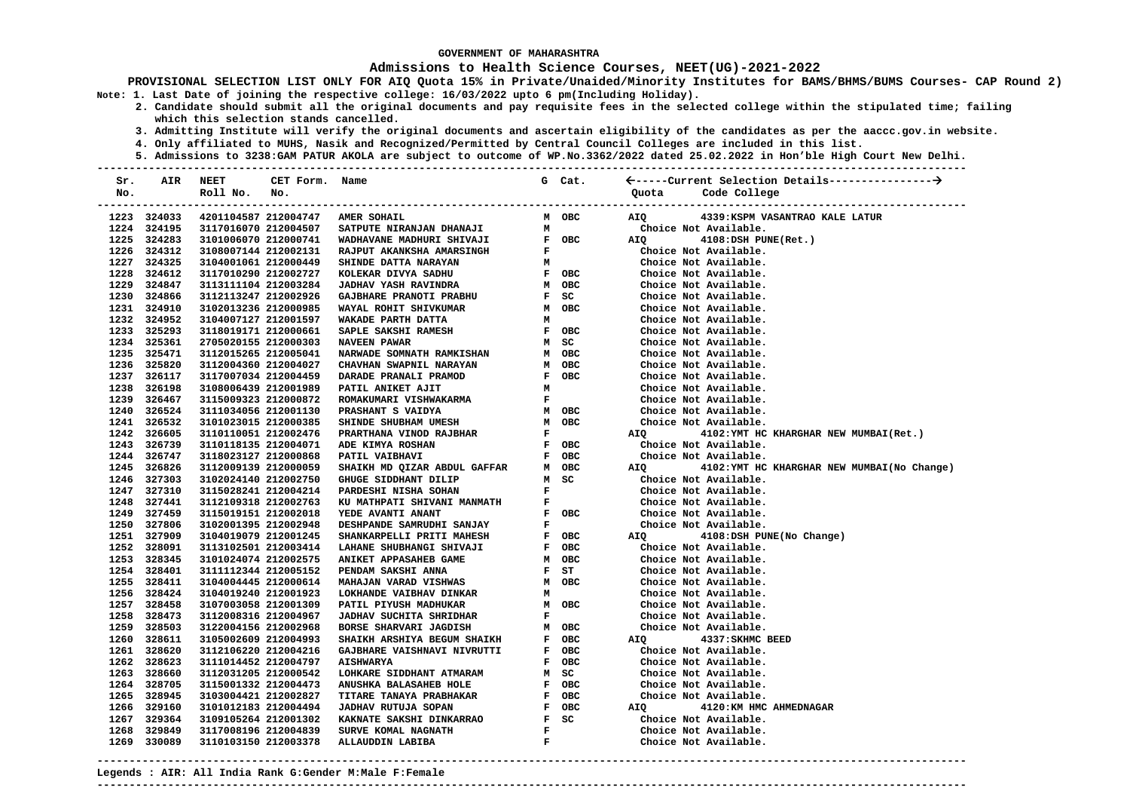### **Admissions to Health Science Courses, NEET(UG)-2021-2022**

- **2. Candidate should submit all the original documents and pay requisite fees in the selected college within the stipulated time; failing which this selection stands cancelled.** 
	- **3. Admitting Institute will verify the original documents and ascertain eligibility of the candidates as per the aaccc.gov.in website.**
	- **4. Only affiliated to MUHS, Nasik and Recognized/Permitted by Central Council Colleges are included in this list.**
- **5. Admissions to 3238:GAM PATUR AKOLA are subject to outcome of WP.No.3362/2022 dated 25.02.2022 in Hon'ble High Court New Delhi. ---------------------------------------------------------------------------------------------------------------------------------------**

| Sr. | AIR         | <b>NEET</b>          | CET Form. Name |                                                                                                                                                                                                                                                                                                                                                                                                                                                                   |              | G Cat.                        |            |                                            |
|-----|-------------|----------------------|----------------|-------------------------------------------------------------------------------------------------------------------------------------------------------------------------------------------------------------------------------------------------------------------------------------------------------------------------------------------------------------------------------------------------------------------------------------------------------------------|--------------|-------------------------------|------------|--------------------------------------------|
| No. |             | Roll No.             | No.            |                                                                                                                                                                                                                                                                                                                                                                                                                                                                   |              |                               | Quota      | Code College                               |
|     |             |                      |                |                                                                                                                                                                                                                                                                                                                                                                                                                                                                   |              |                               |            |                                            |
|     | 1223 324033 |                      |                | 4201104587 212004747 AMER SOHAIL                                                                                                                                                                                                                                                                                                                                                                                                                                  |              | M OBC                         | AIQ        | 4339: KSPM VASANTRAO KALE LATUR            |
|     | 1224 324195 | 3117016070 212004507 |                |                                                                                                                                                                                                                                                                                                                                                                                                                                                                   |              |                               |            | Choice Not Available.                      |
|     | 1225 324283 | 3101006070 212000741 |                |                                                                                                                                                                                                                                                                                                                                                                                                                                                                   |              |                               | <b>AIO</b> | 4108:DSH PUNE(Ret.)                        |
|     | 1226 324312 | 3108007144 212002131 |                |                                                                                                                                                                                                                                                                                                                                                                                                                                                                   |              |                               |            | Choice Not Available.                      |
|     | 1227 324325 | 3104001061 212000449 |                |                                                                                                                                                                                                                                                                                                                                                                                                                                                                   |              |                               |            | Choice Not Available.                      |
|     | 1228 324612 | 3117010290 212002727 |                | KOLEKAR DIVYA SADHU<br>F OBC<br>M OBC                                                                                                                                                                                                                                                                                                                                                                                                                             |              |                               |            | Choice Not Available.                      |
|     | 1229 324847 | 3113111104 212003284 |                | <b>JADHAV YASH RAVINDRA</b>                                                                                                                                                                                                                                                                                                                                                                                                                                       |              |                               |            | Choice Not Available.                      |
|     | 1230 324866 | 3112113247 212002926 |                |                                                                                                                                                                                                                                                                                                                                                                                                                                                                   |              | $F$ SC                        |            | Choice Not Available.                      |
|     | 1231 324910 | 3102013236 212000985 |                | GAJBHARE PRANOTI PRABHU<br>WAYAL ROHIT SHIVKUMAR                                                                                                                                                                                                                                                                                                                                                                                                                  |              | M OBC                         |            | Choice Not Available.                      |
|     | 1232 324952 | 3104007127 212001597 |                | WAKADE PARTH DATTA                                                                                                                                                                                                                                                                                                                                                                                                                                                | M            |                               |            | Choice Not Available.                      |
|     | 1233 325293 | 3118019171 212000661 |                | SAPLE SAKSHI RAMESH                                                                                                                                                                                                                                                                                                                                                                                                                                               |              | F OBC                         |            | Choice Not Available.                      |
|     | 1234 325361 | 2705020155 212000303 |                | <b>NAVEEN PAWAR<br/>NARWADE SOMNATH RAMKISHAN<br/>ARAYAN</b>                                                                                                                                                                                                                                                                                                                                                                                                      |              | M SC                          |            | Choice Not Available.                      |
|     | 1235 325471 | 3112015265 212005041 |                |                                                                                                                                                                                                                                                                                                                                                                                                                                                                   |              | M OBC                         |            | Choice Not Available.                      |
|     | 1236 325820 | 3112004360 212004027 |                |                                                                                                                                                                                                                                                                                                                                                                                                                                                                   |              | M OBC                         |            | Choice Not Available.                      |
|     | 1237 326117 | 3117007034 212004459 |                | DARADE PRANALI PRAMOD                                                                                                                                                                                                                                                                                                                                                                                                                                             |              | F OBC                         |            | Choice Not Available.                      |
|     | 1238 326198 | 3108006439 212001989 |                | PATIL ANIKET AJIT                                                                                                                                                                                                                                                                                                                                                                                                                                                 | M            |                               |            | Choice Not Available.                      |
|     | 1239 326467 | 3115009323 212000872 |                |                                                                                                                                                                                                                                                                                                                                                                                                                                                                   |              |                               |            | Choice Not Available.                      |
|     | 1240 326524 | 3111034056 212001130 |                |                                                                                                                                                                                                                                                                                                                                                                                                                                                                   |              |                               |            | Choice Not Available.                      |
|     | 1241 326532 | 3101023015 212000385 |                |                                                                                                                                                                                                                                                                                                                                                                                                                                                                   |              |                               |            | Choice Not Available.                      |
|     | 1242 326605 | 3110110051 212002476 |                |                                                                                                                                                                                                                                                                                                                                                                                                                                                                   |              |                               | AIQ        | 4102: YMT HC KHARGHAR NEW MUMBAI (Ret.)    |
|     | 1243 326739 | 3110118135 212004071 |                | ADE KIMYA ROSHAN                                                                                                                                                                                                                                                                                                                                                                                                                                                  |              | F OBC                         |            | Choice Not Available.                      |
|     | 1244 326747 | 3118023127 212000868 |                | PATIL VAIBHAVI                                                                                                                                                                                                                                                                                                                                                                                                                                                    |              | F OBC                         |            | Choice Not Available.                      |
|     | 1245 326826 | 3112009139 212000059 |                | SHAIKH MD QIZAR ABDUL GAFFAR                                                                                                                                                                                                                                                                                                                                                                                                                                      |              | м овс                         | <b>AIO</b> | 4102:YMT HC KHARGHAR NEW MUMBAI(No Change) |
|     | 1246 327303 | 3102024140 212002750 |                | GHUGE SIDDHANT DILIP                                                                                                                                                                                                                                                                                                                                                                                                                                              |              | M SC                          |            | Choice Not Available.                      |
|     | 1247 327310 | 3115028241 212004214 |                | PARDESHI NISHA SOHAN                                                                                                                                                                                                                                                                                                                                                                                                                                              |              | $\mathbf{F}$ and $\mathbf{F}$ |            | Choice Not Available.                      |
|     | 1248 327441 | 3112109318 212002763 |                | E THE SHIVANI MANMATH F THE PRESSURE OF THE SAND SAMELE AND THE SHAKE SHARING F OBC                                                                                                                                                                                                                                                                                                                                                                               |              |                               |            | Choice Not Available.                      |
|     | 1249 327459 | 3115019151 212002018 |                |                                                                                                                                                                                                                                                                                                                                                                                                                                                                   |              |                               |            | Choice Not Available.                      |
|     | 1250 327806 | 3102001395 212002948 |                |                                                                                                                                                                                                                                                                                                                                                                                                                                                                   |              |                               |            | Choice Not Available.                      |
|     | 1251 327909 | 3104019079 212001245 |                |                                                                                                                                                                                                                                                                                                                                                                                                                                                                   |              |                               | AIQ        | 4108:DSH PUNE(No Change)                   |
|     | 1252 328091 | 3113102501 212003414 |                | LAHANE SHUBHANGI SHIVAJI                                                                                                                                                                                                                                                                                                                                                                                                                                          |              | F OBC                         |            | Choice Not Available.                      |
|     | 1253 328345 | 3101024074 212002575 |                | ANIKET APPASAHEB GAME                                                                                                                                                                                                                                                                                                                                                                                                                                             |              | M OBC                         |            | Choice Not Available.                      |
|     | 1254 328401 | 3111112344 212005152 |                | PENDAM SAKSHI ANNA                                                                                                                                                                                                                                                                                                                                                                                                                                                |              | F ST                          |            | Choice Not Available.                      |
|     | 1255 328411 | 3104004445 212000614 |                | <b>MAHAJAN VARAD VISHWAS</b>                                                                                                                                                                                                                                                                                                                                                                                                                                      |              | M OBC                         |            | Choice Not Available.                      |
|     | 1256 328424 | 3104019240 212001923 |                | LOKHANDE VAIBHAV DINKAR                                                                                                                                                                                                                                                                                                                                                                                                                                           | M            |                               |            | Choice Not Available.                      |
|     | 1257 328458 | 3107003058 212001309 |                | PATIL PIYUSH MADHUKAR                                                                                                                                                                                                                                                                                                                                                                                                                                             |              | M OBC                         |            | Choice Not Available.                      |
|     | 1258 328473 | 3112008316 212004967 |                | <b>JADHAV SUCHITA SHRIDHAR</b>                                                                                                                                                                                                                                                                                                                                                                                                                                    |              | $\mathbf{F}$ and $\mathbf{F}$ |            | Choice Not Available.                      |
|     | 1259 328503 | 3122004156 212002968 |                | $\begin{tabular}{lllllllllll} \multicolumn{2}{l}{{\small\tt BORSE} & \multicolumn{2}{l}{\small\tt SHARKH} & \multicolumn{2}{l}{\small\tt JAGDISH} & \multicolumn{2}{l}{\small\tt M} & \multicolumn{2}{l}{\small\tt OBC} \\ \multicolumn{2}{l}{\small\tt SHAIKH} & \multicolumn{2}{l}{\small\tt M} & \multicolumn{2}{l}{\small\tt OBC} & \multicolumn{2}{l}{\small\tt SHAIKH} & \multicolumn{2}{l}{\small\tt F} & \multicolumn{2}{l}{\small\tt OBC} \end{tabular}$ |              |                               |            | Choice Not Available.                      |
|     | 1260 328611 | 3105002609 212004993 |                |                                                                                                                                                                                                                                                                                                                                                                                                                                                                   |              |                               | AIQ        | 4337: SKHMC BEED                           |
|     | 1261 328620 | 3112106220 212004216 |                | GAJBHARE VAISHNAVI NIVRUTTI                                                                                                                                                                                                                                                                                                                                                                                                                                       |              | F OBC                         |            | Choice Not Available.                      |
|     | 1262 328623 | 3111014452 212004797 |                | <b>AISHWARYA</b>                                                                                                                                                                                                                                                                                                                                                                                                                                                  |              | F OBC                         |            | Choice Not Available.                      |
|     | 1263 328660 | 3112031205 212000542 |                | LOHKARE SIDDHANT ATMARAM                                                                                                                                                                                                                                                                                                                                                                                                                                          |              | M SC                          |            | Choice Not Available.                      |
|     | 1264 328705 | 3115001332 212004473 |                |                                                                                                                                                                                                                                                                                                                                                                                                                                                                   |              | F OBC                         |            | Choice Not Available.                      |
|     | 1265 328945 | 3103004421 212002827 |                | ANUSHKA BALASAHEB HOLE<br>TITARE TANAYA PRABHAKAR<br>JADHAV RUTUJA SOPAN<br>KAKNATE SAKSHI DINKARRAO                                                                                                                                                                                                                                                                                                                                                              |              | F OBC                         |            | Choice Not Available.                      |
|     | 1266 329160 | 3101012183 212004494 |                |                                                                                                                                                                                                                                                                                                                                                                                                                                                                   |              | F OBC                         | AIQ        | 4120:KM HMC AHMEDNAGAR                     |
|     | 1267 329364 | 3109105264 212001302 |                |                                                                                                                                                                                                                                                                                                                                                                                                                                                                   |              | $F$ SC                        |            | Choice Not Available.                      |
|     | 1268 329849 | 3117008196 212004839 |                | SURVE KOMAL NAGNATH                                                                                                                                                                                                                                                                                                                                                                                                                                               | $\mathbf{F}$ |                               |            | Choice Not Available.                      |
|     | 1269 330089 | 3110103150 212003378 |                | ALLAUDDIN LABIBA                                                                                                                                                                                                                                                                                                                                                                                                                                                  | $\mathbf{F}$ |                               |            | Choice Not Available.                      |
|     |             |                      |                |                                                                                                                                                                                                                                                                                                                                                                                                                                                                   |              |                               |            |                                            |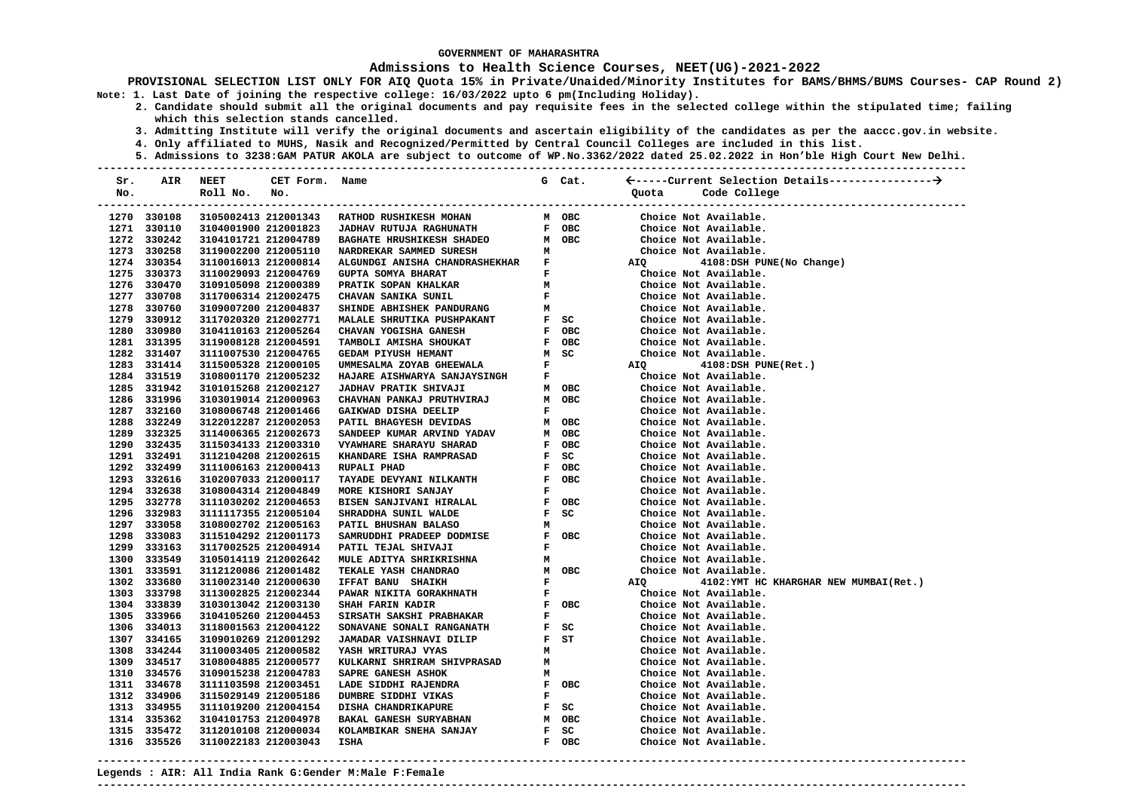### **Admissions to Health Science Courses, NEET(UG)-2021-2022**

**PROVISIONAL SELECTION LIST ONLY FOR AIQ Quota 15% in Private/Unaided/Minority Institutes for BAMS/BHMS/BUMS Courses- CAP Round 2) Note: 1. Last Date of joining the respective college: 16/03/2022 upto 6 pm(Including Holiday).** 

- **2. Candidate should submit all the original documents and pay requisite fees in the selected college within the stipulated time; failing which this selection stands cancelled.** 
	- **3. Admitting Institute will verify the original documents and ascertain eligibility of the candidates as per the aaccc.gov.in website.**
	- **4. Only affiliated to MUHS, Nasik and Recognized/Permitted by Central Council Colleges are included in this list.**
	- **5. Admissions to 3238:GAM PATUR AKOLA are subject to outcome of WP.No.3362/2022 dated 25.02.2022 in Hon'ble High Court New Delhi.**

| Sr. | AIR                        | <b>NEET</b>                                  | CET Form. Name |                                                   |                               | G Cat.                        |       |                                                                        |
|-----|----------------------------|----------------------------------------------|----------------|---------------------------------------------------|-------------------------------|-------------------------------|-------|------------------------------------------------------------------------|
| No. |                            | Roll No.                                     | No.            |                                                   |                               |                               | Ouota | Code College<br>------------------------------<br>-------------------- |
|     | 1270 330108                | 3105002413 212001343                         |                | <b>RATHOD RUSHIKESH MOHAN</b>                     |                               | M OBC                         |       | Choice Not Available.                                                  |
|     | 1271 330110                | 3104001900 212001823                         |                | <b>JADHAV RUTUJA RAGHUNATH</b>                    |                               | F OBC                         |       | Choice Not Available.                                                  |
|     | 1272 330242                | 3104101721 212004789                         |                | <b>BAGHATE HRUSHIKESH SHADEO</b>                  |                               | M OBC                         |       | Choice Not Available.                                                  |
|     | 1273 330258                | 3119002200 212005110                         |                | NARDREKAR SAMMED SURESH                           | м                             |                               |       | Choice Not Available.                                                  |
|     | 1274 330354                | 3110016013 212000814                         |                | ALGUNDGI ANISHA CHANDRASHEKHAR F                  |                               |                               |       |                                                                        |
|     | 1275 330373                | 3110029093 212004769                         |                |                                                   | $\mathbf{F}$ and $\mathbf{F}$ |                               | AIQ   | 4108:DSH PUNE(No Change)<br>Choice Not Available.                      |
|     | 1276 330470                | 3109105098 212000389                         |                | GUPTA SOMYA BHARAT<br>PRATIK SOPAN KHALKAR        | M                             |                               |       | Choice Not Available.                                                  |
|     | 1277 330708                | 3117006314 212002475                         |                | CHAVAN SANIKA SUNIL                               |                               | $\mathbf{F}$ and $\mathbf{F}$ |       | Choice Not Available.                                                  |
|     | 1278 330760                | 3109007200 212004837                         |                | SHINDE ABHISHEK PANDURANG                         |                               | $M$ and $M$                   |       | Choice Not Available.                                                  |
|     | 1279 330912                | 3117020320 212002771                         |                | MALALE SHRUTIKA PUSHPAKANT                        |                               | $F$ SC                        |       | Choice Not Available.                                                  |
|     | 1280 330980                | 3104110163 212005264                         |                | CHAVAN YOGISHA GANESH                             |                               | F OBC                         |       | Choice Not Available.                                                  |
|     | 1281 331395                | 3119008128 212004591                         |                | TAMBOLI AMISHA SHOUKAT                            |                               | F OBC                         |       | Choice Not Available.                                                  |
|     | 1282 331407                | 3111007530 212004765                         |                | <b>GEDAM PIYUSH HEMANT</b>                        |                               | M SC                          |       | Choice Not Available.                                                  |
|     | 1283 331414                | 3115005328 212000105                         |                | UMMESALMA ZOYAB GHEEWALA                          | $\mathbf{F}$                  |                               | AIQ   | 4108:DSH PUNE(Ret.)                                                    |
|     | 1284 331519                | 3108001170 212005232                         |                | HAJARE AISHWARYA SANJAYSINGH                      | $\mathbf{F}$                  |                               |       | Choice Not Available.                                                  |
|     | 1285 331942                | 3101015268 212002127                         |                | <b>JADHAV PRATIK SHIVAJI</b>                      |                               | M OBC                         |       | Choice Not Available.                                                  |
|     | 1286 331996                | 3103019014 212000963                         |                | CHAVHAN PANKAJ PRUTHVIRAJ                         |                               | M OBC                         |       | Choice Not Available.                                                  |
|     | 1287 332160                | 3108006748 212001466                         |                | GAIKWAD DISHA DEELIP                              | F                             |                               |       | Choice Not Available.                                                  |
|     | 1288 332249                | 3122012287 212002053                         |                | PATIL BHAGYESH DEVIDAS                            |                               | M OBC                         |       | Choice Not Available.                                                  |
|     | 1289 332325                | 3114006365 212002673                         |                | SANDEEP KUMAR ARVIND YADAV                        |                               | M OBC                         |       | Choice Not Available.                                                  |
|     | 1290 332435                | 3115034133 212003310                         |                | VYAWHARE SHARAYU SHARAD                           |                               | F OBC                         |       | Choice Not Available.                                                  |
|     | 1291 332491                | 3112104208 212002615                         |                | KHANDARE ISHA RAMPRASAD                           |                               | F SC                          |       | Choice Not Available.                                                  |
|     | 1292 332499                | 3111006163 212000413                         |                | RUPALI PHAD                                       |                               | F OBC                         |       | Choice Not Available.                                                  |
|     | 1293 332616                | 3102007033 212000117                         |                |                                                   |                               | F OBC                         |       | Choice Not Available.                                                  |
|     | 1294 332638                | 3108004314 212004849                         |                | TAYADE DEVYANI NILKANTH<br>MORE KISHORI SANJAY    | F                             |                               |       | Choice Not Available.                                                  |
|     | 1295 332778                | 3111030202 212004653                         |                | BISEN SANJIVANI HIRALAL                           |                               | F OBC                         |       | Choice Not Available.                                                  |
|     | 1296 332983                |                                              |                |                                                   |                               | F SC                          |       | Choice Not Available.                                                  |
|     | 1297 333058                | 3111117355 212005104<br>3108002702 212005163 |                | SHRADDHA SUNIL WALDE<br>PATIL BHUSHAN BALASO      | м                             |                               |       | Choice Not Available.                                                  |
|     | 1298 333083                | 3115104292 212001173                         |                |                                                   |                               | F OBC                         |       | Choice Not Available.                                                  |
|     |                            |                                              |                | SAMRUDDHI PRADEEP DODMISE                         |                               |                               |       |                                                                        |
|     | 1299 333163<br>1300 333549 | 3117002525 212004914                         |                | PATIL TEJAL SHIVAJI                               | F                             |                               |       | Choice Not Available.                                                  |
|     | 1301 333591                | 3105014119 212002642<br>3112120086 212001482 |                | MULE ADITYA SHRIKRISHNA<br>TEKALE YASH CHANDRAO   | м                             | M OBC                         |       | Choice Not Available.<br>Choice Not Available.                         |
|     |                            |                                              |                |                                                   | $\mathbf F$                   |                               |       |                                                                        |
|     | 1302 333680<br>1303 333798 | 3110023140 212000630<br>3113002825 212002344 |                | IFFAT BANU SHAIKH<br>PAWAR NIKITA GORAKHNATH      | F                             |                               | AIQ   | 4102: YMT HC KHARGHAR NEW MUMBAI(Ret.)<br>Choice Not Available.        |
|     | 1304 333839                | 3103013042 212003130                         |                | SHAH FARIN KADIR                                  |                               | F OBC                         |       | Choice Not Available.                                                  |
|     | 1305 333966                | 3104105260 212004453                         |                | <b>SIRSATH SAKSHI PRABHAKAR</b>                   | F                             |                               |       | Choice Not Available.                                                  |
|     | 1306 334013                | 3118001563 212004122                         |                | SONAVANE SONALI RANGANATH                         |                               | F SC                          |       | Choice Not Available.                                                  |
|     | 1307 334165                | 3109010269 212001292                         |                | JAMADAR VAISHNAVI DILIP                           |                               | F ST                          |       | Choice Not Available.                                                  |
|     |                            | 3110003405 212000582                         |                |                                                   |                               |                               |       | Choice Not Available.                                                  |
|     | 1308 334244<br>1309 334517 | 3108004885 212000577                         |                | YASH WRITURAJ VYAS<br>KULKARNI SHRIRAM SHIVPRASAD | м<br>м                        |                               |       | Choice Not Available.                                                  |
|     | 1310 334576                | 3109015238 212004783                         |                | SAPRE GANESH ASHOK                                | м                             |                               |       | Choice Not Available.                                                  |
|     | 1311 334678                | 3111103598 212003451                         |                | LADE SIDDHI RAJENDRA                              |                               | F OBC                         |       | Choice Not Available.                                                  |
|     | 1312 334906                | 3115029149 212005186                         |                | DUMBRE SIDDHI VIKAS                               | F                             |                               |       | Choice Not Available.                                                  |
|     | 1313 334955                | 3111019200 212004154                         |                | DISHA CHANDRIKAPURE                               |                               | $F$ SC                        |       | Choice Not Available.                                                  |
|     | 1314 335362                | 3104101753 212004978                         |                | BAKAL GANESH SURYABHAN                            |                               | M OBC                         |       | Choice Not Available.                                                  |
|     | 1315 335472                | 3112010108 212000034                         |                | KOLAMBIKAR SNEHA SANJAY                           |                               | F SC                          |       | Choice Not Available.                                                  |
|     | 1316 335526                | 3110022183 212003043                         |                | <b>ISHA</b>                                       |                               | F OBC                         |       | Choice Not Available.                                                  |
|     |                            |                                              |                |                                                   |                               |                               |       |                                                                        |

**---------------------------------------------------------------------------------------------------------------------------------------**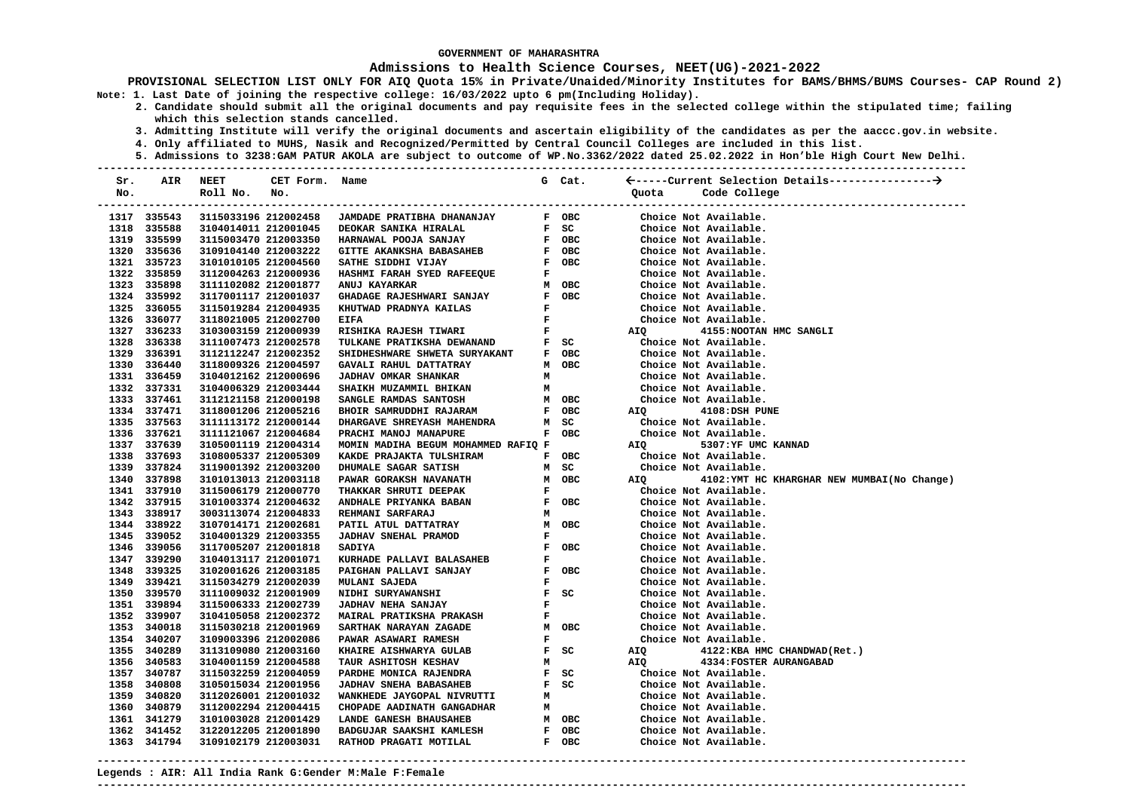### **Admissions to Health Science Courses, NEET(UG)-2021-2022**

**PROVISIONAL SELECTION LIST ONLY FOR AIQ Quota 15% in Private/Unaided/Minority Institutes for BAMS/BHMS/BUMS Courses- CAP Round 2) Note: 1. Last Date of joining the respective college: 16/03/2022 upto 6 pm(Including Holiday).** 

- **2. Candidate should submit all the original documents and pay requisite fees in the selected college within the stipulated time; failing which this selection stands cancelled.** 
	- **3. Admitting Institute will verify the original documents and ascertain eligibility of the candidates as per the aaccc.gov.in website.**
	- **4. Only affiliated to MUHS, Nasik and Recognized/Permitted by Central Council Colleges are included in this list.**
- **5. Admissions to 3238:GAM PATUR AKOLA are subject to outcome of WP.No.3362/2022 dated 25.02.2022 in Hon'ble High Court New Delhi. ---------------------------------------------------------------------------------------------------------------------------------------**

| Sr. | AIR         | NEET                 | CET Form. | Name                                |                               | G Cat.                          |                           |                                            |
|-----|-------------|----------------------|-----------|-------------------------------------|-------------------------------|---------------------------------|---------------------------|--------------------------------------------|
| No. |             | Roll No.             | No.       |                                     |                               |                                 | Quota                     | Code College                               |
|     |             |                      |           |                                     |                               |                                 |                           | -------------------------                  |
|     | 1317 335543 | 3115033196 212002458 |           | JAMDADE PRATIBHA DHANANJAY          |                               | F OBC                           |                           | Choice Not Available.                      |
|     | 1318 335588 | 3104014011 212001045 |           | DEOKAR SANIKA HIRALAL               |                               | F SC                            |                           | Choice Not Available.                      |
|     | 1319 335599 | 3115003470 212003350 |           | HARNAWAL POOJA SANJAY               |                               | F OBC                           |                           | Choice Not Available.                      |
|     | 1320 335636 | 3109104140 212003222 |           | GITTE AKANKSHA BABASAHEB            |                               | F OBC                           |                           | Choice Not Available.                      |
|     | 1321 335723 | 3101010105 212004560 |           | SATHE SIDDHI VIJAY                  |                               | F OBC                           |                           | Choice Not Available.                      |
|     | 1322 335859 | 3112004263 212000936 |           | HASHMI FARAH SYED RAFEEQUE          | F                             |                                 |                           | Choice Not Available.                      |
|     | 1323 335898 | 3111102082 212001877 |           | ANUJ KAYARKAR                       |                               | M OBC                           |                           | Choice Not Available.                      |
|     | 1324 335992 | 3117001117 212001037 |           | GHADAGE RAJESHWARI SANJAY           |                               | F OBC                           |                           | Choice Not Available.                      |
|     | 1325 336055 | 3115019284 212004935 |           | KHUTWAD PRADNYA KAILAS              | $\mathbf{F}$                  |                                 |                           | Choice Not Available.                      |
|     | 1326 336077 | 3118021005 212002700 |           | <b>EIFA</b>                         | $\mathbf{F}$ and $\mathbf{F}$ |                                 |                           | Choice Not Available.                      |
|     | 1327 336233 | 3103003159 212000939 |           | RISHIKA RAJESH TIWARI               | $\mathbf{F}$ and $\mathbf{F}$ |                                 | AIQ                       | 4155: NOOTAN HMC SANGLI                    |
|     | 1328 336338 | 3111007473 212002578 |           | TULKANE PRATIKSHA DEWANAND          |                               | $F$ SC                          |                           | Choice Not Available.                      |
|     | 1329 336391 | 3112112247 212002352 |           | SHIDHESHWARE SHWETA SURYAKANT       |                               | F OBC                           |                           | Choice Not Available.                      |
|     | 1330 336440 | 3118009326 212004597 |           | GAVALI RAHUL DATTATRAY              |                               | M OBC                           |                           | Choice Not Available.                      |
|     | 1331 336459 | 3104012162 212000696 |           | <b>JADHAV OMKAR SHANKAR</b>         | м                             |                                 |                           | Choice Not Available.                      |
|     | 1332 337331 | 3104006329 212003444 |           | SHAIKH MUZAMMIL BHIKAN              | м                             |                                 |                           | Choice Not Available.                      |
|     | 1333 337461 | 3112121158 212000198 |           | SANGLE RAMDAS SANTOSH               |                               | M OBC                           |                           | Choice Not Available.                      |
|     | 1334 337471 | 3118001206 212005216 |           | BHOIR SAMRUDDHI RAJARAM             |                               | F OBC                           | AIQ DIRECTION AND ALCOHOL | 4108:DSH PUNE                              |
|     | 1335 337563 | 3111113172 212000144 |           | DHARGAVE SHREYASH MAHENDRA          |                               | M SC                            |                           | Choice Not Available.                      |
|     | 1336 337621 | 3111121067 212004684 |           | PRACHI MANOJ MANAPURE               |                               | F OBC                           |                           | Choice Not Available.                      |
|     | 1337 337639 | 3105001119 212004314 |           | MOMIN MADIHA BEGUM MOHAMMED RAFIQ F |                               |                                 | AIO                       | 5307:YF UMC KANNAD                         |
|     | 1338 337693 | 3108005337 212005309 |           | KAKDE PRAJAKTA TULSHIRAM            |                               | F OBC                           |                           | Choice Not Available.                      |
|     | 1339 337824 | 3119001392 212003200 |           | DHUMALE SAGAR SATISH                |                               | M SC                            |                           | Choice Not Available.                      |
|     | 1340 337898 | 3101013013 212003118 |           | PAWAR GORAKSH NAVANATH              |                               | M OBC                           | AIQ <b>Airmont</b>        | 4102:YMT HC KHARGHAR NEW MUMBAI(No Change) |
|     | 1341 337910 | 3115006179 212000770 |           | THAKKAR SHRUTI DEEPAK<br>$F$ OBC    |                               |                                 |                           | Choice Not Available.                      |
|     | 1342 337915 | 3101003374 212004632 |           | ANDHALE PRIYANKA BABAN              |                               |                                 |                           | Choice Not Available.                      |
|     | 1343 338917 | 3003113074 212004833 |           | REHMANI SARFARAJ                    | м                             |                                 |                           | Choice Not Available.                      |
|     | 1344 338922 | 3107014171 212002681 |           | PATIL ATUL DATTATRAY                |                               | M OBC                           |                           | Choice Not Available.                      |
|     | 1345 339052 | 3104001329 212003355 |           | JADHAV SNEHAL PRAMOD                | F                             |                                 |                           | Choice Not Available.                      |
|     | 1346 339056 | 3117005207 212001818 |           | <b>SADIYA</b>                       |                               | F OBC                           |                           | Choice Not Available.                      |
|     | 1347 339290 | 3104013117 212001071 |           | KURHADE PALLAVI BALASAHEB           | F                             |                                 |                           | Choice Not Available.                      |
|     | 1348 339325 | 3102001626 212003185 |           | PAIGHAN PALLAVI SANJAY              |                               | F OBC                           |                           | Choice Not Available.                      |
|     | 1349 339421 | 3115034279 212002039 |           | MULANI SAJEDA                       | F                             |                                 |                           | Choice Not Available.                      |
|     | 1350 339570 | 3111009032 212001909 |           | NIDHI SURYAWANSHI                   |                               | $F$ SC                          |                           | Choice Not Available.                      |
|     | 1351 339894 | 3115006333 212002739 |           | <b>JADHAV NEHA SANJAY</b>           | $\mathbf{F}$                  |                                 |                           | Choice Not Available.                      |
|     | 1352 339907 | 3104105058 212002372 |           | MAIRAL PRATIKSHA PRAKASH            |                               | $\mathbf{F}$ and $\mathbf{F}$   |                           | Choice Not Available.                      |
|     | 1353 340018 | 3115030218 212001969 |           | SARTHAK NARAYAN ZAGADE              |                               | M OBC                           |                           | Choice Not Available.                      |
|     | 1354 340207 | 3109003396 212002086 |           | <b>PAWAR ASAWARI RAMESH</b>         |                               | $\mathbf{F}$ , and $\mathbf{F}$ |                           | Choice Not Available.                      |
|     | 1355 340289 | 3113109080 212003160 |           | KHAIRE AISHWARYA GULAB              |                               | $F$ SC                          | AIQ                       | 4122:KBA HMC CHANDWAD(Ret.)                |
|     | 1356 340583 | 3104001159 212004588 |           | TAUR ASHITOSH KESHAV                | м                             |                                 | AIQ                       | 4334: FOSTER AURANGABAD                    |
|     | 1357 340787 | 3115032259 212004059 |           | PARDHE MONICA RAJENDRA              |                               | F SC                            |                           | Choice Not Available.                      |
|     | 1358 340808 | 3105015034 212001956 |           | <b>JADHAV SNEHA BABASAHEB</b>       |                               | F SC                            |                           | Choice Not Available.                      |
|     | 1359 340820 | 3112026001 212001032 |           | WANKHEDE JAYGOPAL NIVRUTTI          | м                             |                                 |                           | Choice Not Available.                      |
|     | 1360 340879 | 3112002294 212004415 |           | CHOPADE AADINATH GANGADHAR          | м                             |                                 |                           | Choice Not Available.                      |
|     | 1361 341279 | 3101003028 212001429 |           | LANDE GANESH BHAUSAHEB              |                               | M OBC                           |                           | Choice Not Available.                      |
|     | 1362 341452 | 3122012205 212001890 |           | BADGUJAR SAAKSHI KAMLESH            |                               | F OBC                           |                           | Choice Not Available.                      |
|     | 1363 341794 | 3109102179 212003031 |           | RATHOD PRAGATI MOTILAL              |                               | F OBC                           |                           | Choice Not Available.                      |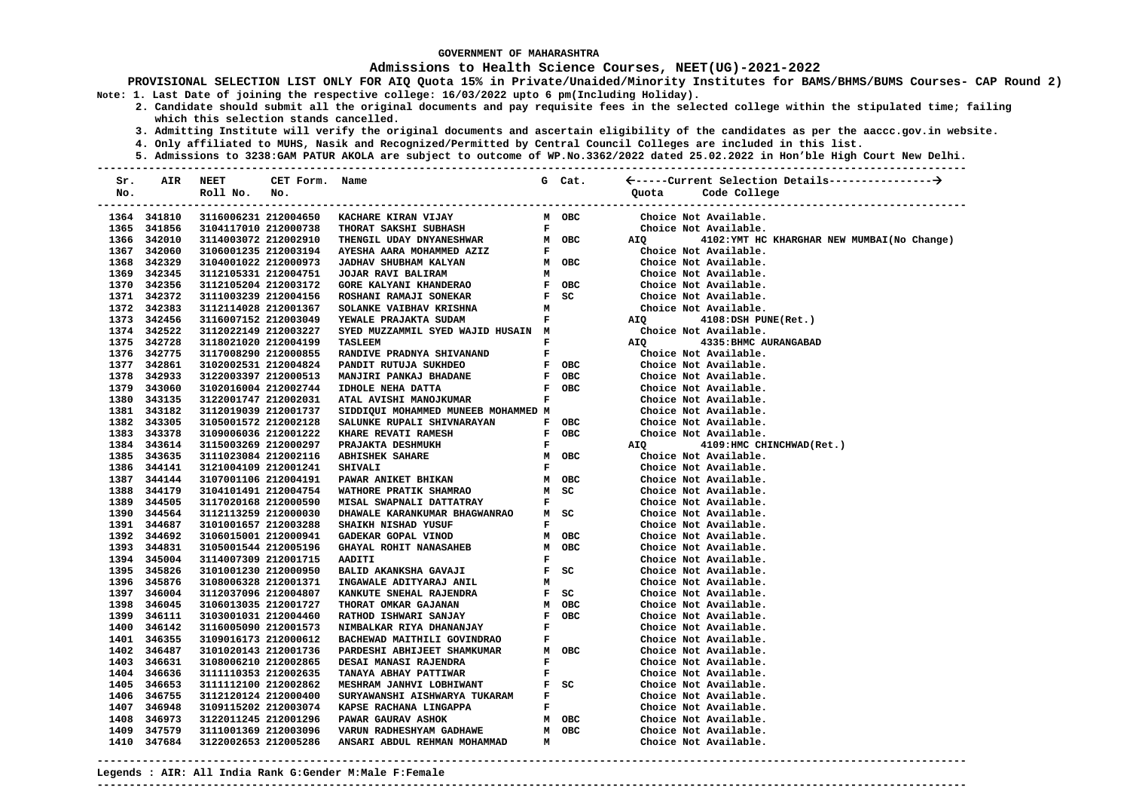### **Admissions to Health Science Courses, NEET(UG)-2021-2022**

**PROVISIONAL SELECTION LIST ONLY FOR AIQ Quota 15% in Private/Unaided/Minority Institutes for BAMS/BHMS/BUMS Courses- CAP Round 2) Note: 1. Last Date of joining the respective college: 16/03/2022 upto 6 pm(Including Holiday).** 

- **2. Candidate should submit all the original documents and pay requisite fees in the selected college within the stipulated time; failing which this selection stands cancelled.** 
	- **3. Admitting Institute will verify the original documents and ascertain eligibility of the candidates as per the aaccc.gov.in website.**
	- **4. Only affiliated to MUHS, Nasik and Recognized/Permitted by Central Council Colleges are included in this list.**
	- **5. Admissions to 3238:GAM PATUR AKOLA are subject to outcome of WP.No.3362/2022 dated 25.02.2022 in Hon'ble High Court New Delhi.**

| Sr. | AIR         | <b>NEET</b>          | CET Form. Name |                                     |              | G Cat.                        |                  |                                                      |
|-----|-------------|----------------------|----------------|-------------------------------------|--------------|-------------------------------|------------------|------------------------------------------------------|
| No. |             | Roll No.             | No.            |                                     |              |                               | Quota            | Code College                                         |
|     |             |                      |                |                                     |              |                               |                  | -------------------------<br>----------------------- |
|     | 1364 341810 | 3116006231 212004650 |                | KACHARE KIRAN VIJAY                 |              | м овс                         |                  | Choice Not Available.                                |
|     | 1365 341856 | 3104117010 212000738 |                | THORAT SAKSHI SUBHASH               |              | $\mathbf{F}$ and $\mathbf{F}$ |                  | Choice Not Available.                                |
|     | 1366 342010 | 3114003072 212002910 |                | THENGIL UDAY DNYANESHWAR            |              | M OBC                         |                  | AIQ 4102: YMT HC KHARGHAR NEW MUMBAI (No Change)     |
|     | 1367 342060 | 3106001235 212003194 |                | AYESHA AARA MOHAMMED AZIZ           |              | $\mathbf{F}$ and $\mathbf{F}$ |                  | Choice Not Available.                                |
|     | 1368 342329 | 3104001022 212000973 |                | JADHAV SHUBHAM KALYAN               |              | M OBC                         |                  | Choice Not Available.                                |
|     | 1369 342345 | 3112105331 212004751 |                | JOJAR RAVI BALIRAM                  | м            |                               |                  | Choice Not Available.                                |
|     | 1370 342356 | 3112105204 212003172 |                | GORE KALYANI KHANDERAO              |              | F OBC                         |                  | Choice Not Available.                                |
|     | 1371 342372 | 3111003239 212004156 |                | ROSHANI RAMAJI SONEKAR              |              | $F$ SC                        |                  | Choice Not Available.                                |
|     | 1372 342383 | 3112114028 212001367 |                | SOLANKE VAIBHAV KRISHNA             | M            |                               |                  | Choice Not Available.                                |
|     | 1373 342456 | 3116007152 212003049 |                | YEWALE PRAJAKTA SUDAM               | $\mathbf{F}$ |                               | AIQ              | 4108:DSH PUNE(Ret.)                                  |
|     | 1374 342522 | 3112022149 212003227 |                | SYED MUZZAMMIL SYED WAJID HUSAIN M  |              |                               |                  | Choice Not Available.                                |
|     | 1375 342728 | 3118021020 212004199 |                | <b>TASLEEM</b>                      | F            |                               | AIQ<br>Choice No | 4335: BHMC AURANGABAD                                |
|     | 1376 342775 | 3117008290 212000855 |                | RANDIVE PRADNYA SHIVANAND           |              | $\mathbf{F}$ and $\mathbf{F}$ |                  | Choice Not Available.                                |
|     | 1377 342861 | 3102002531 212004824 |                | PANDIT RUTUJA SUKHDEO               |              | F OBC                         |                  | Choice Not Available.                                |
|     | 1378 342933 | 3122003397 212000513 |                | MANJIRI PANKAJ BHADANE              |              | F OBC                         |                  | Choice Not Available.                                |
|     | 1379 343060 | 3102016004 212002744 |                | IDHOLE NEHA DATTA                   |              | F OBC                         |                  | Choice Not Available.                                |
|     | 1380 343135 | 3122001747 212002031 |                | ATAL AVISHI MANOJKUMAR              | $\mathbf{F}$ |                               |                  | Choice Not Available.                                |
|     | 1381 343182 | 3112019039 212001737 |                | SIDDIQUI MOHAMMED MUNEEB MOHAMMED M |              |                               |                  | Choice Not Available.                                |
|     | 1382 343305 | 3105001572 212002128 |                | SALUNKE RUPALI SHIVNARAYAN          |              | F OBC                         |                  | Choice Not Available.                                |
|     | 1383 343378 | 3109006036 212001222 |                | KHARE REVATI RAMESH                 |              | F OBC                         |                  | Choice Not Available.                                |
|     | 1384 343614 | 3115003269 212000297 |                | PRAJAKTA DESHMUKH                   |              | $\mathbf{F}$ and $\mathbf{F}$ | AIQ <b>AIR</b>   | 4109:HMC CHINCHWAD(Ret.)                             |
|     | 1385 343635 | 3111023084 212002116 |                | <b>ABHISHEK SAHARE</b>              |              | M OBC                         |                  | Choice Not Available.                                |
|     | 1386 344141 | 3121004109 212001241 |                | <b>SHIVALI</b>                      | $\mathbf{F}$ |                               |                  | Choice Not Available.                                |
|     | 1387 344144 | 3107001106 212004191 |                | PAWAR ANIKET BHIKAN                 |              | M OBC                         |                  | Choice Not Available.                                |
|     | 1388 344179 | 3104101491 212004754 |                | WATHORE PRATIK SHAMRAO              |              | M SC                          |                  | Choice Not Available.                                |
|     | 1389 344505 | 3117020168 212000590 |                | MISAL SWAPNALI DATTATRAY            | $\mathbf{F}$ |                               |                  | Choice Not Available.                                |
|     | 1390 344564 | 3112113259 212000030 |                | DHAWALE KARANKUMAR BHAGWANRAO       |              | M SC                          |                  | Choice Not Available.                                |
|     | 1391 344687 | 3101001657 212003288 |                | SHAIKH NISHAD YUSUF                 |              | $\mathbf{F}$ and $\mathbf{F}$ |                  | Choice Not Available.                                |
|     | 1392 344692 | 3106015001 212000941 |                | GADEKAR GOPAL VINOD                 |              | м овс                         |                  | Choice Not Available.                                |
|     | 1393 344831 | 3105001544 212005196 |                | <b>GHAYAL ROHIT NANASAHEB</b>       |              | M OBC                         |                  | Choice Not Available.                                |
|     | 1394 345004 | 3114007309 212001715 |                | AADITI                              | F            |                               |                  | Choice Not Available.                                |
|     | 1395 345826 | 3101001230 212000950 |                | BALID AKANKSHA GAVAJI               |              | F SC                          |                  | Choice Not Available.                                |
|     | 1396 345876 | 3108006328 212001371 |                | INGAWALE ADITYARAJ ANIL             | м            |                               |                  | Choice Not Available.                                |
|     | 1397 346004 | 3112037096 212004807 |                | KANKUTE SNEHAL RAJENDRA             |              | F SC                          |                  | Choice Not Available.                                |
|     | 1398 346045 | 3106013035 212001727 |                | THORAT OMKAR GAJANAN                |              | M OBC                         |                  | Choice Not Available.                                |
|     | 1399 346111 | 3103001031 212004460 |                | RATHOD ISHWARI SANJAY               |              | F OBC                         |                  | Choice Not Available.                                |
|     | 1400 346142 | 3116005090 212001573 |                | NIMBALKAR RIYA DHANANJAY            | $\mathbf{F}$ |                               |                  | Choice Not Available.                                |
|     | 1401 346355 | 3109016173 212000612 |                | BACHEWAD MAITHILI GOVINDRAO         | F            |                               |                  | Choice Not Available.                                |
|     | 1402 346487 | 3101020143 212001736 |                | PARDESHI ABHIJEET SHAMKUMAR         |              | M OBC                         |                  | Choice Not Available.                                |
|     | 1403 346631 | 3108006210 212002865 |                | DESAI MANASI RAJENDRA               | F            |                               |                  | Choice Not Available.                                |
|     | 1404 346636 | 3111110353 212002635 |                | TANAYA ABHAY PATTIWAR               | F            |                               |                  | Choice Not Available.                                |
|     | 1405 346653 | 3111112100 212002862 |                | MESHRAM JANHVI LOBHIWANT            |              | F SC                          |                  | Choice Not Available.                                |
|     | 1406 346755 | 3112120124 212000400 |                | SURYAWANSHI AISHWARYA TUKARAM       | $\mathbf{F}$ |                               |                  | Choice Not Available.                                |
|     | 1407 346948 | 3109115202 212003074 |                | KAPSE RACHANA LINGAPPA              | F.           |                               |                  | Choice Not Available.                                |
|     | 1408 346973 | 3122011245 212001296 |                | PAWAR GAURAV ASHOK                  |              | M OBC                         |                  | Choice Not Available.                                |
|     | 1409 347579 | 3111001369 212003096 |                | VARUN RADHESHYAM GADHAWE            |              | M OBC                         |                  | Choice Not Available.                                |
|     | 1410 347684 | 3122002653 212005286 |                | ANSARI ABDUL REHMAN MOHAMMAD        | M            |                               |                  | Choice Not Available.                                |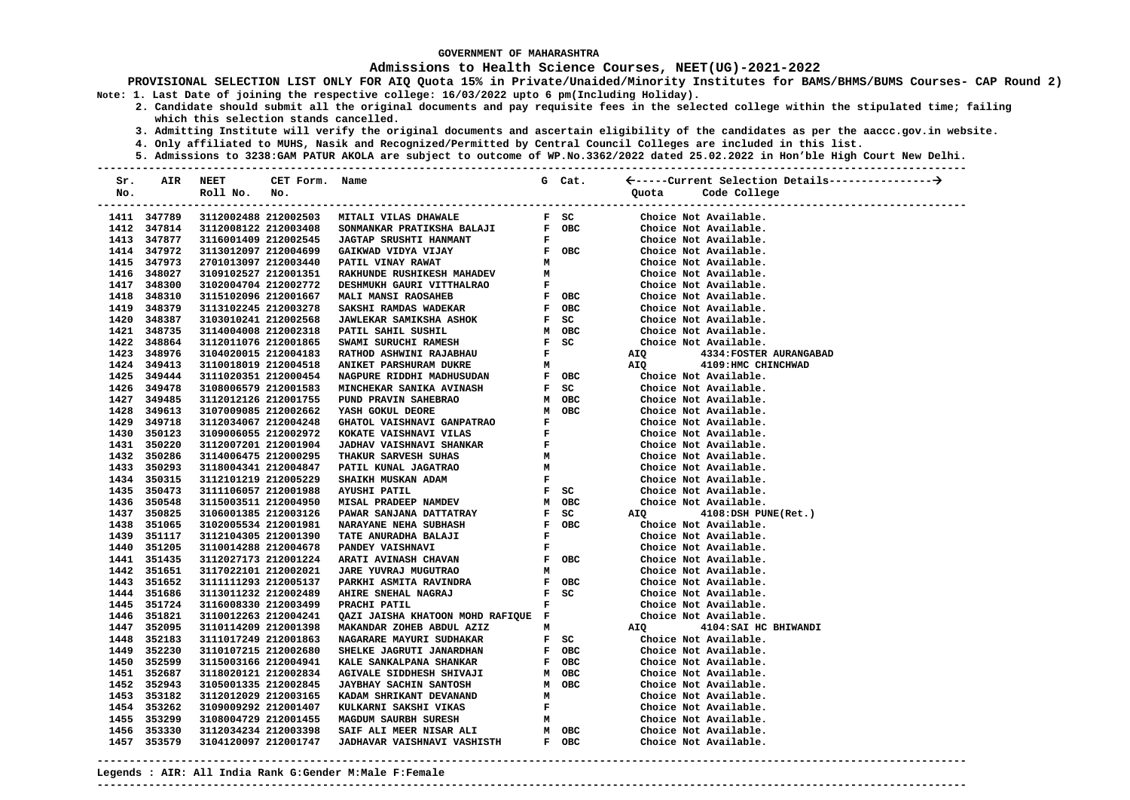### **Admissions to Health Science Courses, NEET(UG)-2021-2022**

**PROVISIONAL SELECTION LIST ONLY FOR AIQ Quota 15% in Private/Unaided/Minority Institutes for BAMS/BHMS/BUMS Courses- CAP Round 2) Note: 1. Last Date of joining the respective college: 16/03/2022 upto 6 pm(Including Holiday).** 

- **2. Candidate should submit all the original documents and pay requisite fees in the selected college within the stipulated time; failing which this selection stands cancelled.** 
	- **3. Admitting Institute will verify the original documents and ascertain eligibility of the candidates as per the aaccc.gov.in website.**
	- **4. Only affiliated to MUHS, Nasik and Recognized/Permitted by Central Council Colleges are included in this list.**
- **5. Admissions to 3238:GAM PATUR AKOLA are subject to outcome of WP.No.3362/2022 dated 25.02.2022 in Hon'ble High Court New Delhi. ---------------------------------------------------------------------------------------------------------------------------------------**

| Sr. | AIR                        | NEET                                         | CET Form. | Name                                      |                               | G Cat.                        |                   |                                                |                             |
|-----|----------------------------|----------------------------------------------|-----------|-------------------------------------------|-------------------------------|-------------------------------|-------------------|------------------------------------------------|-----------------------------|
| No. |                            | Roll No.                                     | No.       |                                           |                               |                               | Quota             | Code College                                   |                             |
|     |                            |                                              |           |                                           |                               |                               |                   |                                                | --------------------------- |
|     | 1411 347789                |                                              |           | 3112002488 212002503 MITALI VILAS DHAWALE |                               | F SC                          |                   | Choice Not Available.                          |                             |
|     | 1412 347814                | 3112008122 212003408                         |           | SONMANKAR PRATIKSHA BALAJI                |                               | F OBC                         |                   | Choice Not Available.                          |                             |
|     | 1413 347877                | 3116001409 212002545                         |           | <b>JAGTAP SRUSHTI HANMANT</b>             | $\mathbf{F}$                  |                               |                   | Choice Not Available.                          |                             |
|     | 1414 347972                | 3113012097 212004699                         |           | GAIKWAD VIDYA VIJAY                       |                               | F OBC                         |                   | Choice Not Available.                          |                             |
|     | 1415 347973                | 2701013097 212003440                         |           | PATIL VINAY RAWAT                         | м                             |                               |                   | Choice Not Available.                          |                             |
|     | 1416 348027                | 3109102527 212001351                         |           | RAKHUNDE RUSHIKESH MAHADEV                | M                             |                               |                   | Choice Not Available.                          |                             |
|     | 1417 348300                | 3102004704 212002772                         |           | DESHMUKH GAURI VITTHALRAO                 | F                             |                               |                   | Choice Not Available.                          |                             |
|     | 1418 348310                | 3115102096 212001667                         |           | MALI MANSI RAOSAHEB                       |                               | F OBC                         |                   | Choice Not Available.                          |                             |
|     | 1419 348379                | 3113102245 212003278                         |           | <b>SAKSHI RAMDAS WADEKAR</b>              |                               | F OBC                         |                   | Choice Not Available.                          |                             |
|     | 1420 348387                | 3103010241 212002568                         |           | <b>JAWLEKAR SAMIKSHA ASHOK</b>            |                               | F SC                          |                   | Choice Not Available.                          |                             |
|     | 1421 348735                | 3114004008 212002318                         |           | PATIL SAHIL SUSHIL                        |                               | м овс                         |                   | Choice Not Available.                          |                             |
|     | 1422 348864                | 3112011076 212001865                         |           | SWAMI SURUCHI RAMESH                      |                               | $F$ SC                        |                   | Choice Not Available.                          |                             |
|     | 1423 348976                | 3104020015 212004183                         |           | RATHOD ASHWINI RAJABHAU                   |                               | $\mathbf{F}$ and $\mathbf{F}$ | AIQ               | 4334: FOSTER AURANGABAD                        |                             |
|     | 1424 349413                | 3110018019 212004518                         |           | ANIKET PARSHURAM DUKRE                    |                               | M                             | AIQ               | 4109: HMC CHINCHWAD                            |                             |
|     | 1425 349444                | 3111020351 212000454                         |           | NAGPURE RIDDHI MADHUSUDAN F OBC           |                               |                               |                   | Choice Not Available.                          |                             |
|     | 1426 349478                | 3108006579 212001583                         |           | <b>MINCHEKAR SANIKA AVINASH</b>           |                               | $F$ SC                        |                   | Choice Not Available.                          |                             |
|     | 1427 349485                | 3112012126 212001755                         |           | PUND PRAVIN SAHEBRAO                      |                               | M OBC                         |                   | Choice Not Available.                          |                             |
|     | 1428 349613                | 3107009085 212002662                         |           | YASH GOKUL DEORE                          |                               | M OBC                         |                   | Choice Not Available.                          |                             |
|     | 1429 349718                | 3112034067 212004248                         |           | GHATOL VAISHNAVI GANPATRAO                | $\mathbf F$                   |                               |                   | Choice Not Available.                          |                             |
|     | 1430 350123                | 3109006055 212002972                         |           | KOKATE VAISHNAVI VILAS                    | $\mathbf{F}$                  |                               |                   | Choice Not Available.                          |                             |
|     | 1431 350220                | 3112007201 212001904                         |           | <b>JADHAV VAISHNAVI SHANKAR</b>           | $\mathbf{F}$ .                |                               |                   | Choice Not Available.                          |                             |
|     | 1432 350286                | 3114006475 212000295                         |           | THAKUR SARVESH SUHAS                      | M                             |                               |                   | Choice Not Available.                          |                             |
|     | 1433 350293                | 3118004341 212004847                         |           | PATIL KUNAL JAGATRAO                      | M                             |                               |                   | Choice Not Available.                          |                             |
|     | 1434 350315                | 3112101219 212005229                         |           | SHAIKH MUSKAN ADAM                        | $\mathbf{F}$ and $\mathbf{F}$ |                               |                   | Choice Not Available.                          |                             |
|     | 1435 350473                | 3111106057 212001988                         |           | <b>AYUSHI PATIL</b>                       |                               | $F$ SC                        |                   | Choice Not Available.                          |                             |
|     | 1436 350548                | 3115003511 212004950                         |           | M OBC<br><b>MISAL PRADEEP NAMDEV</b>      |                               |                               |                   | Choice Not Available.                          |                             |
|     | 1437 350825                | 3106001385 212003126                         |           | PAWAR SANJANA DATTATRAY                   |                               | F SC<br>F OBC                 | AIQ               | $4108:$ DSH PUNE(Ret.)                         |                             |
|     | 1438 351065                | 3102005534 212001981                         |           | <b>NARAYANE NEHA SUBHASH</b>              |                               |                               |                   | Choice Not Available.                          |                             |
|     | 1439 351117                | 3112104305 212001390                         |           | TATE ANURADHA BALAJI                      |                               |                               |                   | Choice Not Available.                          |                             |
|     | 1440 351205                | 3110014288 212004678                         |           | F<br>F<br>F OBC<br>M<br>PANDEY VAISHNAVI  |                               |                               |                   | Choice Not Available.                          |                             |
|     | 1441 351435                | 3112027173 212001224                         |           | ARATI AVINASH CHAVAN                      |                               |                               |                   | Choice Not Available.                          |                             |
|     | 1442 351651                | 3117022101 212002021                         |           | JARE YUVRAJ MUGUTRAO                      |                               |                               |                   | Choice Not Available.                          |                             |
|     | 1443 351652                | 3111111293 212005137                         |           | PARKHI ASMITA RAVINDRA                    |                               | F OBC<br>F SC                 |                   | Choice Not Available.                          |                             |
|     | 1444 351686                | 3113011232 212002489                         |           | AHIRE SNEHAL NAGRAJ                       |                               |                               |                   | Choice Not Available.                          |                             |
|     | 1445 351724                | 3116008330 212003499                         |           | PRACHI PATIL                              | $\mathbf{F}$                  |                               |                   | Choice Not Available.                          |                             |
|     | 1446 351821                | 3110012263 212004241                         |           | QAZI JAISHA KHATOON MOHD RAFIQUE F        |                               |                               | Cho<br>Cho<br>AIQ | Choice Not Available.                          |                             |
|     | 1447 352095                | 3110114209 212001398                         |           | MAKANDAR ZOHEB ABDUL AZIZ                 | м                             |                               |                   | 4104: SAI HC BHIWANDI                          |                             |
|     | 1448 352183                | 3111017249 212001863                         |           | NAGARARE MAYURI SUDHAKAR                  |                               | $F$ SC                        |                   | Choice Not Available.                          |                             |
|     | 1449 352230                | 3110107215 212002680                         |           | SHELKE JAGRUTI JANARDHAN                  |                               | F OBC                         |                   | Choice Not Available.                          |                             |
|     | 1450 352599                | 3115003166 212004941                         |           | KALE SANKALPANA SHANKAR                   |                               | F OBC                         |                   | Choice Not Available.                          |                             |
|     | 1451 352687                | 3118020121 212002834                         |           | <b>AGIVALE SIDDHESH SHIVAJI</b>           |                               | м овс                         |                   | Choice Not Available.                          |                             |
|     | 1452 352943                | 3105001335 212002845                         |           | <b>JAYBHAY SACHIN SANTOSH</b>             | м                             | м овс                         |                   | Choice Not Available.                          |                             |
|     | 1453 353182                | 3112012029 212003165                         |           | KADAM SHRIKANT DEVANAND                   |                               |                               |                   | Choice Not Available.                          |                             |
|     | 1454 353262<br>1455 353299 | 3109009292 212001407                         |           | KULKARNI SAKSHI VIKAS                     | $\mathbf F$                   |                               |                   | Choice Not Available.<br>Choice Not Available. |                             |
|     | 1456 353330                | 3108004729 212001455<br>3112034234 212003398 |           | MAGDUM SAURBH SURESH                      | M                             |                               |                   | Choice Not Available.                          |                             |
|     | 1457 353579                | 3104120097 212001747                         |           |                                           |                               |                               |                   | Choice Not Available.                          |                             |
|     |                            |                                              |           |                                           |                               |                               |                   |                                                |                             |

**---------------------------------------------------------------------------------------------------------------------------------------**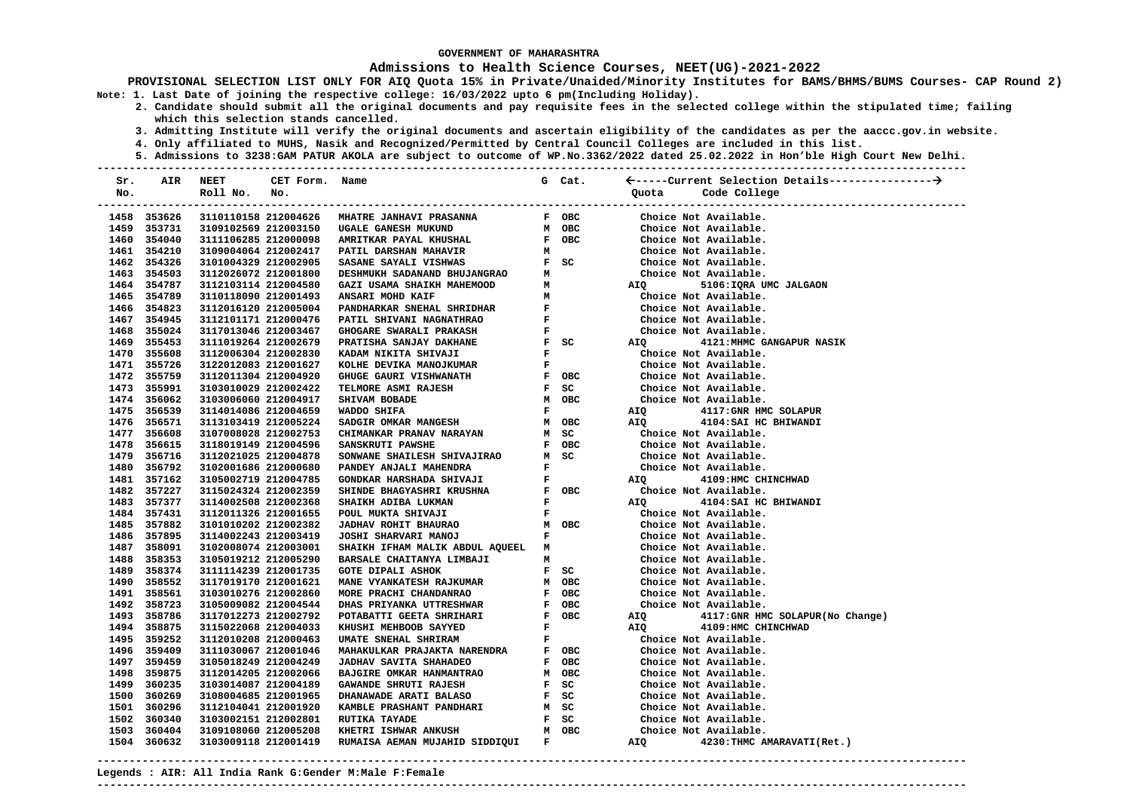### **Admissions to Health Science Courses, NEET(UG)-2021-2022**

**PROVISIONAL SELECTION LIST ONLY FOR AIQ Quota 15% in Private/Unaided/Minority Institutes for BAMS/BHMS/BUMS Courses- CAP Round 2) Note: 1. Last Date of joining the respective college: 16/03/2022 upto 6 pm(Including Holiday).** 

- **2. Candidate should submit all the original documents and pay requisite fees in the selected college within the stipulated time; failing which this selection stands cancelled.** 
	- **3. Admitting Institute will verify the original documents and ascertain eligibility of the candidates as per the aaccc.gov.in website.**
	- **4. Only affiliated to MUHS, Nasik and Recognized/Permitted by Central Council Colleges are included in this list.**
- **5. Admissions to 3238:GAM PATUR AKOLA are subject to outcome of WP.No.3362/2022 dated 25.02.2022 in Hon'ble High Court New Delhi. ---------------------------------------------------------------------------------------------------------------------------------------**

| Sr. | AIR         | NEET                          | CET Form. Name |                                                                                                                                                                                      |              | G Cat.                                                                       |            |                                   |
|-----|-------------|-------------------------------|----------------|--------------------------------------------------------------------------------------------------------------------------------------------------------------------------------------|--------------|------------------------------------------------------------------------------|------------|-----------------------------------|
| No. |             | Roll No.                      | No.            |                                                                                                                                                                                      |              |                                                                              | Quota      | Code College                      |
|     |             | ----------------------------- |                |                                                                                                                                                                                      |              |                                                                              |            |                                   |
|     | 1458 353626 | 3110110158 212004626          |                | <b>MHATRE JANHAVI PRASANNA</b>                                                                                                                                                       |              | F OBC                                                                        |            | Choice Not Available.             |
|     | 1459 353731 | 3109102569 212003150          |                | UGALE GANESH MUKUND                                                                                                                                                                  |              | M OBC                                                                        |            | Choice Not Available.             |
|     | 1460 354040 | 3111106285 212000098          |                | AMRITKAR PAYAL KHUSHAL                                                                                                                                                               |              | F OBC                                                                        |            | Choice Not Available.             |
|     | 1461 354210 | 3109004064 212002417          |                | PATIL DARSHAN MAHAVIR                                                                                                                                                                | M            |                                                                              |            | Choice Not Available.             |
|     | 1462 354326 | 3101004329 212002905          |                | SASANE SAYALI VISHWAS                                                                                                                                                                |              | $F$ SC                                                                       |            | Choice Not Available.             |
|     | 1463 354503 | 3112026072 212001800          |                | DESHMUKH SADANAND BHUJANGRAO                                                                                                                                                         | M            |                                                                              |            | Choice Not Available.             |
|     | 1464 354787 | 3112103114 212004580          |                | GAZI USAMA SHAIKH MAHEMOOD                                                                                                                                                           | M            |                                                                              | AIQ        | 5106: IQRA UMC JALGAON            |
|     | 1465 354789 | 3110118090 212001493          |                | ANSARI MOHD KAIF                                                                                                                                                                     |              |                                                                              |            | Choice Not Available.             |
|     | 1466 354823 | 3112016120 212005004          |                | PANDHARKAR SNEHAL SHRIDHAR                                                                                                                                                           |              | $\begin{array}{ll} \mathbf{M} & \\ \mathbf{F} & \\ \mathbf{F} & \end{array}$ |            | Choice Not Available.             |
|     | 1467 354945 | 3112101171 212000476          |                | PATIL SHIVANI NAGNATHRAO                                                                                                                                                             |              |                                                                              |            | Choice Not Available.             |
|     | 1468 355024 | 3117013046 212003467          |                | <b>GHOGARE SWARALI PRAKASH</b>                                                                                                                                                       |              | $\mathbf{F}^{(n)}$ and $\mathbf{F}^{(n)}$                                    |            | Choice Not Available.             |
|     | 1469 355453 | 3111019264 212002679          |                | PRATISHA SANJAY DAKHANE                                                                                                                                                              |              | F SC                                                                         | AIQ        | 4121: MHMC GANGAPUR NASIK         |
|     | 1470 355608 | 3112006304 212002830          |                | KADAM NIKITA SHIVAJI                                                                                                                                                                 | $\mathbf{F}$ |                                                                              |            | Choice Not Available.             |
|     | 1471 355726 | 3122012083 212001627          |                | KOLHE DEVIKA MANOJKUMAR                                                                                                                                                              | $\mathbf F$  |                                                                              |            | Choice Not Available.             |
|     | 1472 355759 | 3112011304 212004920          |                | GHUGE GAURI VISHWANATH                                                                                                                                                               |              | F OBC                                                                        |            | Choice Not Available.             |
|     | 1473 355991 | 3103010029 212002422          |                | <b>TELMORE ASMI RAJESH</b>                                                                                                                                                           |              | $F$ SC                                                                       |            | Choice Not Available.             |
|     | 1474 356062 | 3103006060 212004917          |                | SHIVAM BOBADE                                                                                                                                                                        |              | M OBC                                                                        |            | Choice Not Available.             |
|     | 1475 356539 | 3114014086 212004659          |                | WADDO SHIFA                                                                                                                                                                          | $\mathbf{F}$ |                                                                              | AIQ        | 4117: GNR HMC SOLAPUR             |
|     | 1476 356571 | 3113103419 212005224          |                | SADGIR OMKAR MANGESH                                                                                                                                                                 |              | M OBC                                                                        | AIQ        | 4104: SAI HC BHIWANDI             |
|     | 1477 356608 | 3107008028 212002753          |                | CHIMANKAR PRANAV NARAYAN                                                                                                                                                             |              | M SC                                                                         |            | Choice Not Available.             |
|     | 1478 356615 | 3118019149 212004596          |                | SANSKRUTI PAWSHE                                                                                                                                                                     |              | F OBC                                                                        |            | Choice Not Available.             |
|     | 1479 356716 | 3112021025 212004878          |                |                                                                                                                                                                                      |              |                                                                              |            | Choice Not Available.             |
|     | 1480 356792 | 3102001686 212000680          |                | SONNANE SHAILESH SHIVAJIRAO M SC<br>PANDEY ANJALI MAHENDRA F<br>F GONDKAR HARSHADA SHIVAJI F<br>SHINDE BHAGYASHRI KRUSHNA F OBC<br>SHAIKH ADIBA LUKMAN F OBC<br>POUL MUKTA SHIVAJI F |              |                                                                              |            | Choice Not Available.             |
|     | 1481 357162 | 3105002719 212004785          |                |                                                                                                                                                                                      |              |                                                                              | <b>AIQ</b> | 4109: HMC CHINCHWAD               |
|     | 1482 357227 | 3115024324 212002359          |                |                                                                                                                                                                                      |              |                                                                              |            | Choice Not Available.             |
|     | 1483 357377 | 3114002508 212002368          |                |                                                                                                                                                                                      |              |                                                                              | AIQ        | 4104: SAI HC BHIWANDI             |
|     | 1484 357431 | 3112011326 212001655          |                | POUL MUKTA SHIVAJI                                                                                                                                                                   |              | $\mathbf{F}$ and $\mathbf{F}$                                                |            | Choice Not Available.             |
|     | 1485 357882 | 3101010202 212002382          |                | M OBC<br>F<br>JADHAV ROHIT BHAURAO                                                                                                                                                   |              |                                                                              |            | Choice Not Available.             |
|     | 1486 357895 | 3114002243 212003419          |                | JOSHI SHARVARI MANOJ                                                                                                                                                                 |              |                                                                              |            | Choice Not Available.             |
|     | 1487 358091 | 3102008074 212003001          |                | SHAIKH IFHAM MALIK ABDUL AQUEEL M                                                                                                                                                    |              |                                                                              |            | Choice Not Available.             |
|     | 1488 358353 | 3105019212 212005290          |                | BARSALE CHAITANYA LIMBAJI                                                                                                                                                            | м            |                                                                              |            | Choice Not Available.             |
|     | 1489 358374 | 3111114239 212001735          |                | <b>GOTE DIPALI ASHOK</b>                                                                                                                                                             |              | F SC                                                                         |            | Choice Not Available.             |
|     | 1490 358552 | 3117019170 212001621          |                | <b>MANE VYANKATESH RAJKUMAR</b>                                                                                                                                                      |              | M OBC                                                                        |            | Choice Not Available.             |
|     | 1491 358561 | 3103010276 212002860          |                | MORE PRACHI CHANDANRAO                                                                                                                                                               |              | F OBC                                                                        |            | Choice Not Available.             |
|     | 1492 358723 | 3105009082 212004544          |                | DHAS PRIYANKA UTTRESHWAR                                                                                                                                                             |              | F OBC                                                                        |            | Choice Not Available.             |
|     | 1493 358786 | 3117012273 212002792          |                | POTABATTI GEETA SHRIHARI                                                                                                                                                             |              | F OBC                                                                        | AIQ        | 4117: GNR HMC SOLAPUR (No Change) |
|     | 1494 358875 | 3115022068 212004033          |                | KHUSHI MEHBOOB SAYYED                                                                                                                                                                | $\mathbf{F}$ |                                                                              | AIQ        | 4109:HMC CHINCHWAD                |
|     | 1495 359252 | 3112010208 212000463          |                | UMATE SNEHAL SHRIRAM                                                                                                                                                                 |              | $\mathbf{F}$ .<br><br><br><br><br><br><br><br><br><br><br><br><br><br>       |            | Choice Not Available.             |
|     | 1496 359409 | 3111030067 212001046          |                | MAHAKULKAR PRAJAKTA NARENDRA                                                                                                                                                         |              | F OBC                                                                        |            | Choice Not Available.             |
|     | 1497 359459 | 3105018249 212004249          |                | JADHAV SAVITA SHAHADEO                                                                                                                                                               |              | F OBC                                                                        |            | Choice Not Available.             |
|     | 1498 359875 | 3112014205 212002066          |                | BAJGIRE OMKAR HANMANTRAO                                                                                                                                                             |              | M OBC                                                                        |            | Choice Not Available.             |
|     | 1499 360235 | 3103014087 212004189          |                | GAWANDE SHRUTI RAJESH                                                                                                                                                                |              | F SC                                                                         |            | Choice Not Available.             |
|     | 1500 360269 | 3108004685 212001965          |                | <b>DHANAWADE ARATI BALASO</b>                                                                                                                                                        |              | F SC                                                                         |            | Choice Not Available.             |
|     | 1501 360296 | 3112104041 212001920          |                | KAMBLE PRASHANT PANDHARI                                                                                                                                                             |              | M SC                                                                         |            | Choice Not Available.             |
|     | 1502 360340 | 3103002151 212002801          |                | RUTIKA TAYADE                                                                                                                                                                        |              | $F$ SC                                                                       |            | Choice Not Available.             |
|     | 1503 360404 | 3109108060 212005208          |                | KHETRI ISHWAR ANKUSH                                                                                                                                                                 |              | M OBC                                                                        |            | Choice Not Available.             |
|     | 1504 360632 | 3103009118 212001419          |                | RUMAISA AEMAN MUJAHID SIDDIQUI                                                                                                                                                       |              | $\mathbf{F}$ and $\mathbf{F}$                                                | AIQ        | 4230: THMC AMARAVATI (Ret.)       |

**Legends : AIR: All India Rank G:Gender M:Male F:Female**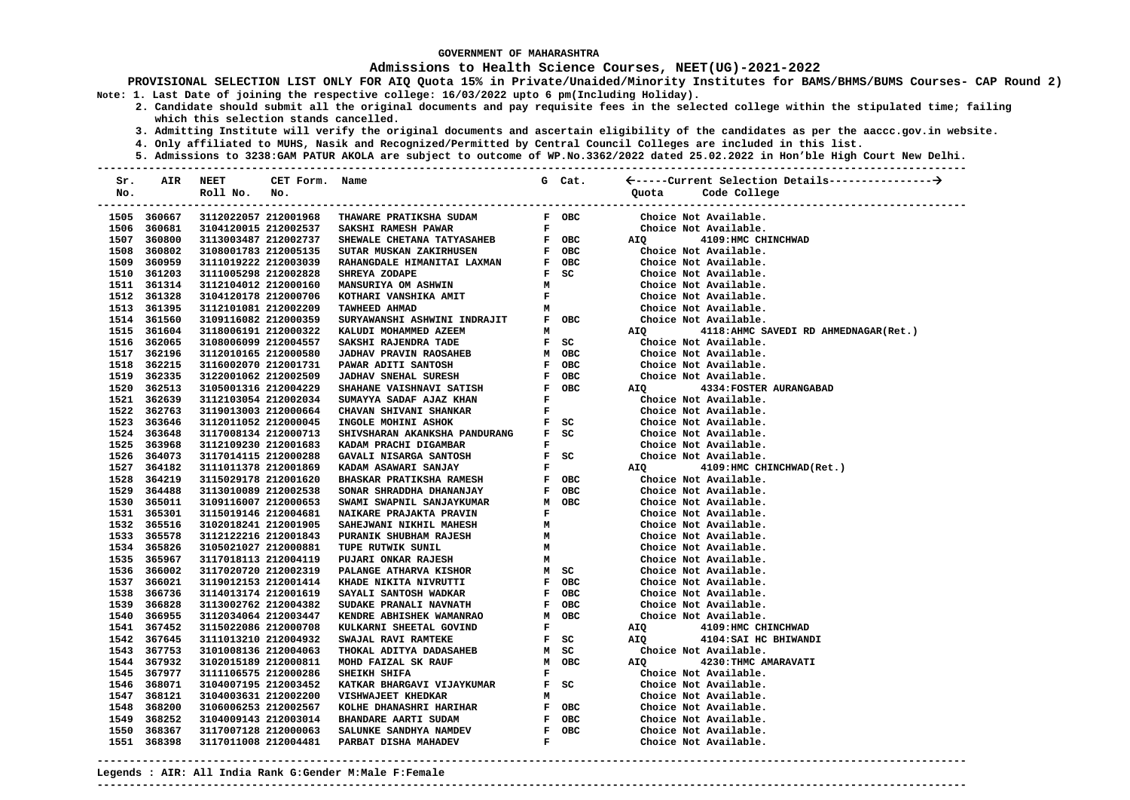### **Admissions to Health Science Courses, NEET(UG)-2021-2022**

**PROVISIONAL SELECTION LIST ONLY FOR AIQ Quota 15% in Private/Unaided/Minority Institutes for BAMS/BHMS/BUMS Courses- CAP Round 2) Note: 1. Last Date of joining the respective college: 16/03/2022 upto 6 pm(Including Holiday).** 

- **2. Candidate should submit all the original documents and pay requisite fees in the selected college within the stipulated time; failing which this selection stands cancelled.** 
	- **3. Admitting Institute will verify the original documents and ascertain eligibility of the candidates as per the aaccc.gov.in website.**
	- **4. Only affiliated to MUHS, Nasik and Recognized/Permitted by Central Council Colleges are included in this list.**
- **5. Admissions to 3238:GAM PATUR AKOLA are subject to outcome of WP.No.3362/2022 dated 25.02.2022 in Hon'ble High Court New Delhi. ---------------------------------------------------------------------------------------------------------------------------------------**

| Sr.<br>No. | AIR                        | <b>NEET</b><br>Roll No.                      | CET Form. Name<br>No. |                                                                                                                                                                                                                                                                                                                                                                                                                                                                                               |                               | G Cat.                        | Code College<br>Quota                           |
|------------|----------------------------|----------------------------------------------|-----------------------|-----------------------------------------------------------------------------------------------------------------------------------------------------------------------------------------------------------------------------------------------------------------------------------------------------------------------------------------------------------------------------------------------------------------------------------------------------------------------------------------------|-------------------------------|-------------------------------|-------------------------------------------------|
|            |                            |                                              |                       |                                                                                                                                                                                                                                                                                                                                                                                                                                                                                               |                               |                               | -------------------------<br>-----------------  |
|            | 1505 360667                | 3112022057 212001968                         |                       | THAWARE PRATIKSHA SUDAM                                                                                                                                                                                                                                                                                                                                                                                                                                                                       |                               | F OBC                         | Choice Not Available.                           |
|            | 1506 360681                |                                              | 3104120015 212002537  | <b>SAKSHI RAMESH PAWAR</b>                                                                                                                                                                                                                                                                                                                                                                                                                                                                    |                               | $\mathbf{F}$ and $\mathbf{F}$ | Choice Not Available.                           |
|            | 1507 360800<br>1508 360802 | 3113003487 212002737<br>3108001783 212005135 |                       | $\begin{array}{cccc}\n & \text{---}\n & \text{---}\n & \text{---}\n & \text{---}\n & \text{---}\n & \text{---}\n & \text{---}\n & \text{---}\n & \text{---}\n & \text{---}\n & \text{---}\n & \text{---}\n & \text{---}\n & \text{---}\n & \text{---}\n & \text{---}\n & \text{---}\n & \text{---}\n & \text{---}\n & \text{---}\n & \text{---}\n & \text{---}\n & \text{---}\n & \text{---}\n & \text{---}\n & \text{---}\n & \text{---}\n & \text{---}\n & \text{---}\n & \text{---}\n & \$ |                               |                               | AIQ 4109:HMC CHINCHWAD<br>Choice Not Available. |
|            | 1509 360959                |                                              |                       |                                                                                                                                                                                                                                                                                                                                                                                                                                                                                               |                               |                               | Choice Not Available.                           |
|            | 1510 361203                | 3111019222 212003039<br>3111005298 212002828 |                       | RAHANGDALE HIMANITAI LAXMAN<br>SHREYA ZODAPE                                                                                                                                                                                                                                                                                                                                                                                                                                                  |                               | F OBC<br>$F$ SC               | Choice Not Available.                           |
|            | 1511 361314                | 3112104012 212000160                         |                       | <b>MANSURIYA OM ASHWIN</b>                                                                                                                                                                                                                                                                                                                                                                                                                                                                    | м                             |                               | Choice Not Available.                           |
|            | 1512 361328                | 3104120178 212000706                         |                       | $\mathbf{F}$ and $\mathbf{F}$<br>KOTHARI VANSHIKA AMIT                                                                                                                                                                                                                                                                                                                                                                                                                                        |                               |                               | Choice Not Available.                           |
|            | 1513 361395                | 3112101081 212002209                         |                       | TAWHEED AHMAD                                                                                                                                                                                                                                                                                                                                                                                                                                                                                 | M                             |                               | Choice Not Available.                           |
|            | 1514 361560                | 3109116082 212000359                         |                       | SURYAWANSHI ASHWINI INDRAJIT                                                                                                                                                                                                                                                                                                                                                                                                                                                                  |                               | F OBC                         | Choice Not Available.                           |
|            | 1515 361604                | 3118006191 212000322                         |                       | KALUDI MOHAMMED AZEEM                                                                                                                                                                                                                                                                                                                                                                                                                                                                         |                               | M                             | AIQ 4118:AHMC SAVEDI RD AHMEDNAGAR(Ret.)        |
|            | 1516 362065                | 3108006099 212004557                         |                       | SAKSHI RAJENDRA TADE                                                                                                                                                                                                                                                                                                                                                                                                                                                                          |                               | $F$ SC                        | Choice Not Available.                           |
|            | 1517 362196                | 3112010165 212000580                         |                       | <b>JADHAV PRAVIN RAOSAHEB</b>                                                                                                                                                                                                                                                                                                                                                                                                                                                                 |                               | м овс                         | Choice Not Available.                           |
|            | 1518 362215                | 3116002070 212001731                         |                       | PAWAR ADITI SANTOSH                                                                                                                                                                                                                                                                                                                                                                                                                                                                           |                               | F OBC                         | Choice Not Available.                           |
|            | 1519 362335                | 3122001062 212002509                         |                       | <b>JADHAV SNEHAL SURESH</b>                                                                                                                                                                                                                                                                                                                                                                                                                                                                   |                               | F OBC                         | Choice Not Available.                           |
|            | 1520 362513                | 3105001316 212004229                         |                       | SHAHANE VAISHNAVI SATISH                                                                                                                                                                                                                                                                                                                                                                                                                                                                      |                               | F OBC                         | AIQ<br><b>4334: FOSTER AURANGABAD</b>           |
|            | 1521 362639                | 3112103054 212002034                         |                       | SUMAYYA SADAF AJAZ KHAN                                                                                                                                                                                                                                                                                                                                                                                                                                                                       |                               | $\mathbf{F}$ and $\mathbf{F}$ | Choice Not Available.                           |
|            | 1522 362763                | 3119013003 212000664                         |                       | CHAVAN SHIVANI SHANKAR                                                                                                                                                                                                                                                                                                                                                                                                                                                                        | $\mathbf{F}$ and $\mathbf{F}$ |                               | Choice Not Available.                           |
|            | 1523 363646                | 3112011052 212000045                         |                       | INGOLE MOHINI ASHOK                                                                                                                                                                                                                                                                                                                                                                                                                                                                           |                               | F SC                          | Choice Not Available.                           |
|            | 1524 363648                | 3117008134 212000713                         |                       | SHIVSHARAN AKANKSHA PANDURANG                                                                                                                                                                                                                                                                                                                                                                                                                                                                 |                               | $F$ SC                        | Choice Not Available.                           |
|            | 1525 363968                | 3112109230 212001683                         |                       | KADAM PRACHI DIGAMBAR                                                                                                                                                                                                                                                                                                                                                                                                                                                                         |                               | $\mathbf{F}$ and $\mathbf{F}$ | Choice Not Available.                           |
|            | 1526 364073                | 3117014115 212000288                         |                       | GAVALI NISARGA SANTOSH                                                                                                                                                                                                                                                                                                                                                                                                                                                                        |                               | F SC                          | Choice Not Available.                           |
|            | 1527 364182                | 3111011378 212001869                         |                       | KADAM ASAWARI SANJAY                                                                                                                                                                                                                                                                                                                                                                                                                                                                          |                               | $\mathbf{F}$ and $\mathbf{F}$ | AIQ 4109:HMC CHINCHWAD(Ret.)                    |
|            | 1528 364219                | 3115029178 212001620                         |                       | <b>BHASKAR PRATIKSHA RAMESH</b>                                                                                                                                                                                                                                                                                                                                                                                                                                                               |                               | F OBC                         | Choice Not Available.                           |
|            | 1529 364488                | 3113010089 212002538                         |                       | SONAR SHRADDHA DHANANJAY                                                                                                                                                                                                                                                                                                                                                                                                                                                                      |                               | F OBC                         | Choice Not Available.                           |
|            | 1530 365011                | 3109116007 212000653                         |                       | SWAMI SWAPNIL SANJAYKUMAR                                                                                                                                                                                                                                                                                                                                                                                                                                                                     |                               | M OBC                         | Choice Not Available.                           |
|            | 1531 365301                | 3115019146 212004681                         |                       | NAIKARE PRAJAKTA PRAVIN                                                                                                                                                                                                                                                                                                                                                                                                                                                                       | $\mathbf{F}$                  |                               | Choice Not Available.                           |
|            | 1532 365516                | 3102018241 212001905                         |                       | <b>SAHEJWANI NIKHIL MAHESH</b>                                                                                                                                                                                                                                                                                                                                                                                                                                                                | м                             |                               | Choice Not Available.                           |
|            | 1533 365578                | 3112122216 212001843                         |                       | PURANIK SHUBHAM RAJESH                                                                                                                                                                                                                                                                                                                                                                                                                                                                        | м                             |                               | Choice Not Available.                           |
|            | 1534 365826                | 3105021027 212000881                         |                       | TUPE RUTWIK SUNIL                                                                                                                                                                                                                                                                                                                                                                                                                                                                             | M                             |                               | Choice Not Available.                           |
|            | 1535 365967                | 3117018113 212004119                         |                       | <b>PUJARI ONKAR RAJESH</b>                                                                                                                                                                                                                                                                                                                                                                                                                                                                    |                               | <b>M</b>                      | Choice Not Available.                           |
|            | 1536 366002                | 3117020720 212002319                         |                       | PALANGE ATHARVA KISHOR                                                                                                                                                                                                                                                                                                                                                                                                                                                                        |                               | M SC                          | Choice Not Available.                           |
|            | 1537 366021                | 3119012153 212001414                         |                       | KHADE NIKITA NIVRUTTI                                                                                                                                                                                                                                                                                                                                                                                                                                                                         |                               | F OBC                         | Choice Not Available.                           |
|            | 1538 366736                | 3114013174 212001619                         |                       | SAYALI SANTOSH WADKAR                                                                                                                                                                                                                                                                                                                                                                                                                                                                         |                               | F OBC                         | Choice Not Available.                           |
|            | 1539 366828                | 3113002762 212004382                         |                       | SUDAKE PRANALI NAVNATH                                                                                                                                                                                                                                                                                                                                                                                                                                                                        |                               | F OBC                         | Choice Not Available.                           |
|            | 1540 366955                | 3112034064 212003447                         |                       | KENDRE ABHISHEK WAMANRAO                                                                                                                                                                                                                                                                                                                                                                                                                                                                      |                               | M OBC                         | Choice Not Available.                           |
|            | 1541 367452                | 3115022086 212000708                         |                       | KULKARNI SHEETAL GOVIND                                                                                                                                                                                                                                                                                                                                                                                                                                                                       | $\mathbf{F}$ and $\mathbf{F}$ |                               | 4109:HMC CHINCHWAD<br>AIQ                       |
|            | 1542 367645                | 3111013210 212004932                         |                       | SWAJAL RAVI RAMTEKE                                                                                                                                                                                                                                                                                                                                                                                                                                                                           |                               | $F$ SC and $T$                | AIQ 4104: SAI HC BHIWANDI                       |
|            | 1543 367753                | 3101008136 212004063                         |                       | THOKAL ADITYA DADASAHEB                                                                                                                                                                                                                                                                                                                                                                                                                                                                       |                               | M SC                          | Choice Not Available.                           |
|            | 1544 367932                | 3102015189 212000811                         |                       | MOHD FAIZAL SK RAUF                                                                                                                                                                                                                                                                                                                                                                                                                                                                           |                               | M OBC                         | 4230: THMC AMARAVATI<br>AIQ                     |
|            | 1545 367977                | 3111106575 212000286                         |                       | SHEIKH SHIFA                                                                                                                                                                                                                                                                                                                                                                                                                                                                                  | F                             |                               | Choice Not Available.                           |
|            | 1546 368071                | 3104007195 212003452                         |                       | KATKAR BHARGAVI VIJAYKUMAR                                                                                                                                                                                                                                                                                                                                                                                                                                                                    |                               | F SC                          | Choice Not Available.                           |
|            | 1547 368121                | 3104003631 212002200                         |                       | <b>VISHWAJEET KHEDKAR</b>                                                                                                                                                                                                                                                                                                                                                                                                                                                                     | м                             |                               | Choice Not Available.                           |
|            | 1548 368200                | 3106006253 212002567                         |                       | KOLHE DHANASHRI HARIHAR                                                                                                                                                                                                                                                                                                                                                                                                                                                                       |                               | F OBC                         | Choice Not Available.                           |
|            | 1549 368252                | 3104009143 212003014                         |                       | <b>BHANDARE AARTI SUDAM</b>                                                                                                                                                                                                                                                                                                                                                                                                                                                                   |                               | F OBC                         | Choice Not Available.                           |
|            | 1550 368367                | 3117007128 212000063                         |                       | SALUNKE SANDHYA NAMDEV                                                                                                                                                                                                                                                                                                                                                                                                                                                                        |                               | F OBC                         | Choice Not Available.                           |
|            | 1551 368398                | 3117011008 212004481                         |                       | PARBAT DISHA MAHADEV                                                                                                                                                                                                                                                                                                                                                                                                                                                                          | $\mathbf{F}$ .                |                               | Choice Not Available.                           |

**---------------------------------------------------------------------------------------------------------------------------------------**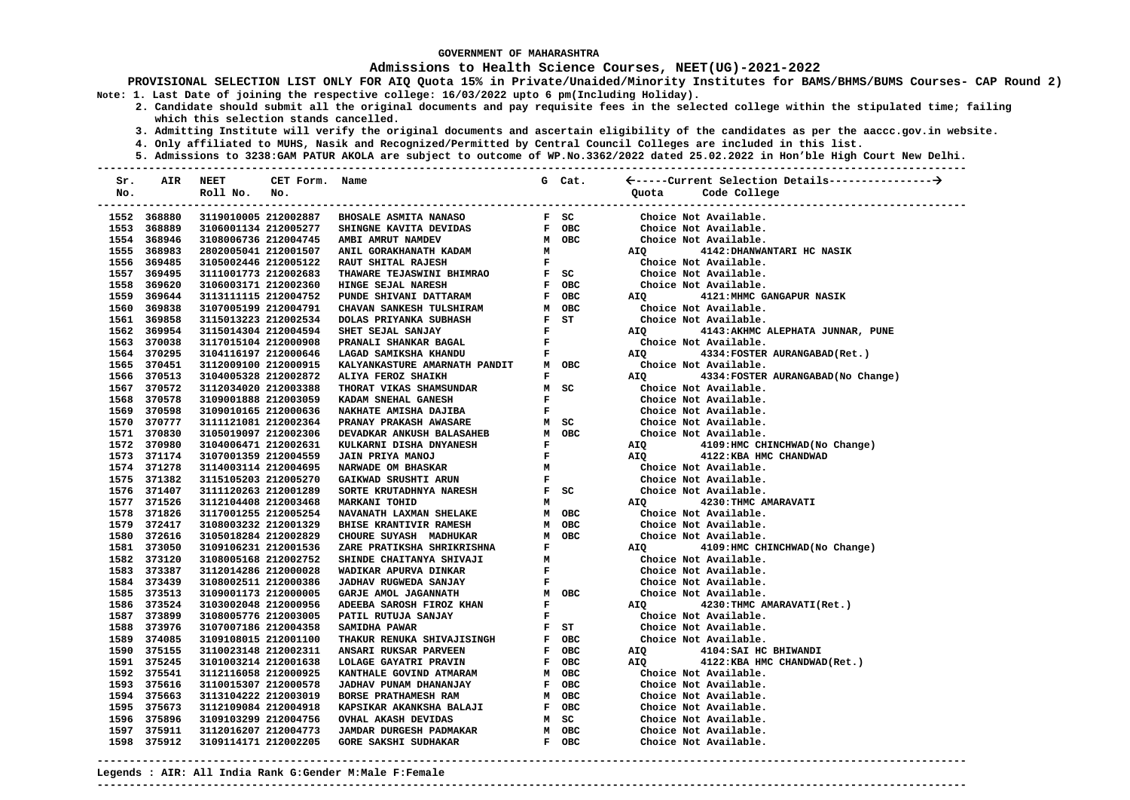### **Admissions to Health Science Courses, NEET(UG)-2021-2022**

**PROVISIONAL SELECTION LIST ONLY FOR AIQ Quota 15% in Private/Unaided/Minority Institutes for BAMS/BHMS/BUMS Courses- CAP Round 2) Note: 1. Last Date of joining the respective college: 16/03/2022 upto 6 pm(Including Holiday).** 

- **2. Candidate should submit all the original documents and pay requisite fees in the selected college within the stipulated time; failing which this selection stands cancelled.** 
	- **3. Admitting Institute will verify the original documents and ascertain eligibility of the candidates as per the aaccc.gov.in website.**
	- **4. Only affiliated to MUHS, Nasik and Recognized/Permitted by Central Council Colleges are included in this list.**
- **5. Admissions to 3238:GAM PATUR AKOLA are subject to outcome of WP.No.3362/2022 dated 25.02.2022 in Hon'ble High Court New Delhi. ---------------------------------------------------------------------------------------------------------------------------------------**

| Sr. | AIR                        | <b>NEET</b>                                  | CET Form.            | Name                                                                                                                                                                                                                                       |                               | G Cat.                        |                    |                                                |
|-----|----------------------------|----------------------------------------------|----------------------|--------------------------------------------------------------------------------------------------------------------------------------------------------------------------------------------------------------------------------------------|-------------------------------|-------------------------------|--------------------|------------------------------------------------|
| No. |                            | Roll No.                                     | No.                  |                                                                                                                                                                                                                                            |                               |                               | Quota              | Code College                                   |
|     |                            |                                              |                      |                                                                                                                                                                                                                                            |                               |                               |                    |                                                |
|     | 1552 368880                |                                              | 3119010005 212002887 | <b>BHOSALE ASMITA NANASO</b>                                                                                                                                                                                                               |                               | F SC                          |                    | Choice Not Available.                          |
|     | 1553 368889                | 3106001134 212005277                         |                      | F OBC<br>M OBC<br>M<br>SHINGNE KAVITA DEVIDAS                                                                                                                                                                                              |                               |                               |                    | Choice Not Available.                          |
|     | 1554 368946                | 3108006736 212004745                         |                      | AMBI AMRUT NAMDEV                                                                                                                                                                                                                          |                               |                               |                    | Choice Not Available.                          |
|     | 1555 368983                | 2802005041 212001507                         |                      | ANIL GORAKHANATH KADAM                                                                                                                                                                                                                     |                               |                               | AIQ                | 4142: DHANWANTARI HC NASIK                     |
|     | 1556 369485                | 3105002446 212005122                         |                      | RAUT SHITAL RAJESH                                                                                                                                                                                                                         | $\mathbf{F}$ and $\mathbf{F}$ |                               |                    | Choice Not Available.                          |
|     | 1557 369495                | 3111001773 212002683                         |                      | F SC<br>THAWARE TEJASWINI BHIMRAO                                                                                                                                                                                                          |                               |                               |                    | Choice Not Available.                          |
|     | 1558 369620                | 3106003171 212002360                         |                      | HINGE SEJAL NARESH                                                                                                                                                                                                                         |                               | F OBC                         |                    | Choice Not Available.                          |
|     | 1559 369644                | 3113111115 212004752                         |                      | PUNDE SHIVANI DATTARAM<br>F OBC<br>M OBC<br>F ST<br>F                                                                                                                                                                                      |                               | F OBC                         | AIQ                | 4121: MHMC GANGAPUR NASIK                      |
|     | 1560 369838                | 3107005199 212004791                         |                      | CHAVAN SANKESH TULSHIRAM                                                                                                                                                                                                                   |                               | M OBC                         |                    | Choice Not Available.                          |
|     | 1561 369858                | 3115013223 212002534                         |                      | DOLAS PRIYANKA SUBHASH                                                                                                                                                                                                                     |                               | $F$ $ST$                      |                    | Choice Not Available.                          |
|     | 1562 369954                | 3115014304 212004594                         |                      | SHET SEJAL SANJAY                                                                                                                                                                                                                          |                               |                               | AIQ <b>Airmond</b> | 4143: AKHMC ALEPHATA JUNNAR, PUNE              |
|     | 1563 370038                | 3117015104 212000908                         |                      | $\begin{array}{c}\n\mathbf{F} \\ \mathbf{F}\n\end{array}$<br>PRANALI SHANKAR BAGAL                                                                                                                                                         |                               |                               |                    | Choice Not Available.                          |
|     | 1564 370295                | 3104116197 212000646                         |                      | LAGAD SAMIKSHA KHANDU                                                                                                                                                                                                                      |                               |                               | AIQ <b>Airmond</b> | 4334: FOSTER AURANGABAD (Ret.)                 |
|     | 1565 370451                | 3112009100 212000915                         |                      | KALYANKASTURE AMARNATH PANDIT M OBC                                                                                                                                                                                                        |                               |                               |                    | Choice Not Available.                          |
|     | 1566 370513                | 3104005328 212002872                         |                      | ALIYA FEROZ SHAIKH                                                                                                                                                                                                                         |                               | $\mathbf{F}$ and $\mathbf{F}$ | AIQ <b>AIR</b>     | 4334: FOSTER AURANGABAD (No Change)            |
|     | 1567 370572                | 3112034020 212003388                         |                      | THORAT VIKAS SHAMSUNDAR                                                                                                                                                                                                                    |                               | M SC                          |                    | Choice Not Available.                          |
|     | 1568 370578                | 3109001888 212003059                         |                      | KADAM SNEHAL GANESH                                                                                                                                                                                                                        |                               | $\mathbf{F}$ and $\mathbf{F}$ |                    | Choice Not Available.                          |
|     | 1569 370598                | 3109010165 212000636                         |                      |                                                                                                                                                                                                                                            |                               |                               |                    | Choice Not Available.                          |
|     | 1570 370777                | 3111121081 212002364                         |                      |                                                                                                                                                                                                                                            |                               |                               |                    | Choice Not Available.<br>Choice Not Available. |
|     | 1571 370830                | 3105019097 212002306                         |                      |                                                                                                                                                                                                                                            |                               |                               |                    |                                                |
|     | 1572 370980                | 3104006471 212002631                         |                      |                                                                                                                                                                                                                                            |                               |                               | <b>AIQ</b>         | 4109:HMC CHINCHWAD(No Change)                  |
|     | 1573 371174                | 3107001359 212004559                         |                      |                                                                                                                                                                                                                                            |                               |                               | AIQ                | 4122:KBA HMC CHANDWAD                          |
|     | 1574 371278                | 3114003114 212004695                         |                      | MANAHE AMISHA DAJIBA KARAHE KANAY PRAKASH AWASARE KULKARNI DISHA DNYANESH MANAHE MANAHE KULKARNI DISHA DNYANESH F<br>JAIN PRIYA MANOJ F<br>JAIN PRIYA MANOJ KARWADE OM BHASKAR<br>GAIKWAD SRUSHTI ARUN KARKAR MANAHE KRUTADHNYA NARESH     |                               |                               |                    | Choice Not Available.                          |
|     | 1575 371382                | 3115105203 212005270                         |                      |                                                                                                                                                                                                                                            |                               |                               |                    | Choice Not Available.                          |
|     | 1576 371407<br>1577 371526 | 3111120263 212001289<br>3112104408 212003468 |                      | SORTE KRUTADHNYA NARESH $\qquad \qquad$ F $\qquad$ SC                                                                                                                                                                                      |                               | $M$ and $M$                   |                    | Choice Not Available.                          |
|     |                            |                                              |                      | MARKANI TOHID                                                                                                                                                                                                                              |                               |                               | <b>AIQ</b>         | 4230: THMC AMARAVATI<br>Choice Not Available.  |
|     | 1578 371826<br>1579 372417 | 3117001255 212005254<br>3108003232 212001329 |                      | NAVANATH LAXMAN SHELAKE<br><b>BHISE KRANTIVIR RAMESH</b>                                                                                                                                                                                   |                               | M OBC<br>M OBC                |                    | Choice Not Available.                          |
|     | 1580 372616                | 3105018284 212002829                         |                      |                                                                                                                                                                                                                                            |                               |                               |                    | Choice Not Available.                          |
|     | 1581 373050                | 3109106231 212001536                         |                      |                                                                                                                                                                                                                                            |                               |                               | AIQ <b>AIR</b>     | 4109:HMC CHINCHWAD (No Change)                 |
|     | 1582 373120                | 3108005168 212002752                         |                      |                                                                                                                                                                                                                                            |                               |                               |                    | Choice Not Available.                          |
|     | 1583 373387                | 3112014286 212000028                         |                      |                                                                                                                                                                                                                                            |                               |                               |                    | Choice Not Available.                          |
|     | 1584 373439                | 3108002511 212000386                         |                      |                                                                                                                                                                                                                                            |                               |                               |                    | Choice Not Available.                          |
|     | 1585 373513                | 3109001173 212000005                         |                      |                                                                                                                                                                                                                                            |                               |                               |                    | Choice Not Available.                          |
|     | 1586 373524                | 3103002048 212000956                         |                      | AN UNIVERSITY OF A CHAIN AND THAT A CONSIDER THAT A SHINDE CHAITANYA SHIVAJI F<br>M OBC CHAITANYA SHIVAJI F<br>MADIKAR APURVA DINKAR F<br>JADHAV RUGWEDA SANJAY F<br>GARJE AMOL JAGANNATH M OBC<br>MEEBA SAROSH FIROZ KHAN F<br>M OBC ARRO |                               |                               |                    | AIQ 4230: THMC AMARAVATI (Ret.)                |
|     | 1587 373899                | 3108005776 212003005                         |                      | PATIL RUTUJA SANJAY                                                                                                                                                                                                                        |                               | $\mathbf{F}$ and $\mathbf{F}$ |                    | Choice Not Available.                          |
|     | 1588 373976                | 3107007186 212004358                         |                      | <b>SAMIDHA PAWAR</b>                                                                                                                                                                                                                       |                               | $F$ ST                        |                    | Choice Not Available.                          |
|     | 1589 374085                | 3109108015 212001100                         |                      | THAKUR RENUKA SHIVAJISINGH                                                                                                                                                                                                                 |                               | F OBC                         |                    | Choice Not Available.                          |
|     | 1590 375155                | 3110023148 212002311                         |                      | ANSARI RUKSAR PARVEEN                                                                                                                                                                                                                      |                               | F OBC                         | AIQ                | 4104:SAI HC BHIWANDI                           |
|     | 1591 375245                | 3101003214 212001638                         |                      | LOLAGE GAYATRI PRAVIN                                                                                                                                                                                                                      |                               | F OBC                         | AIQ                | 4122:KBA HMC CHANDWAD (Ret.)                   |
|     | 1592 375541                | 3112116058 212000925                         |                      | KANTHALE GOVIND ATMARAM                                                                                                                                                                                                                    |                               | M OBC                         |                    | Choice Not Available.                          |
|     | 1593 375616                | 3110015307 212000578                         |                      | JADHAV PUNAM DHANANJAY                                                                                                                                                                                                                     |                               | F OBC                         |                    | Choice Not Available.                          |
|     | 1594 375663                | 3113104222 212003019                         |                      | BORSE PRATHAMESH RAM                                                                                                                                                                                                                       |                               | M OBC                         |                    | Choice Not Available.                          |
|     | 1595 375673                | 3112109084 212004918                         |                      | KAPSIKAR AKANKSHA BALAJI                                                                                                                                                                                                                   |                               | F OBC                         |                    | Choice Not Available.                          |
|     | 1596 375896                | 3109103299 212004756                         |                      | <b>OVHAL AKASH DEVIDAS</b>                                                                                                                                                                                                                 |                               | M SC                          |                    | Choice Not Available.                          |
|     | 1597 375911                | 3112016207 212004773                         |                      | <b>JAMDAR DURGESH PADMAKAR</b>                                                                                                                                                                                                             |                               | м овс                         |                    | Choice Not Available.                          |
|     | 1598 375912                | 3109114171 212002205                         |                      | <b>GORE SAKSHI SUDHAKAR</b>                                                                                                                                                                                                                |                               | F OBC                         |                    | Choice Not Available.                          |
|     |                            |                                              |                      |                                                                                                                                                                                                                                            |                               |                               |                    |                                                |

**---------------------------------------------------------------------------------------------------------------------------------------**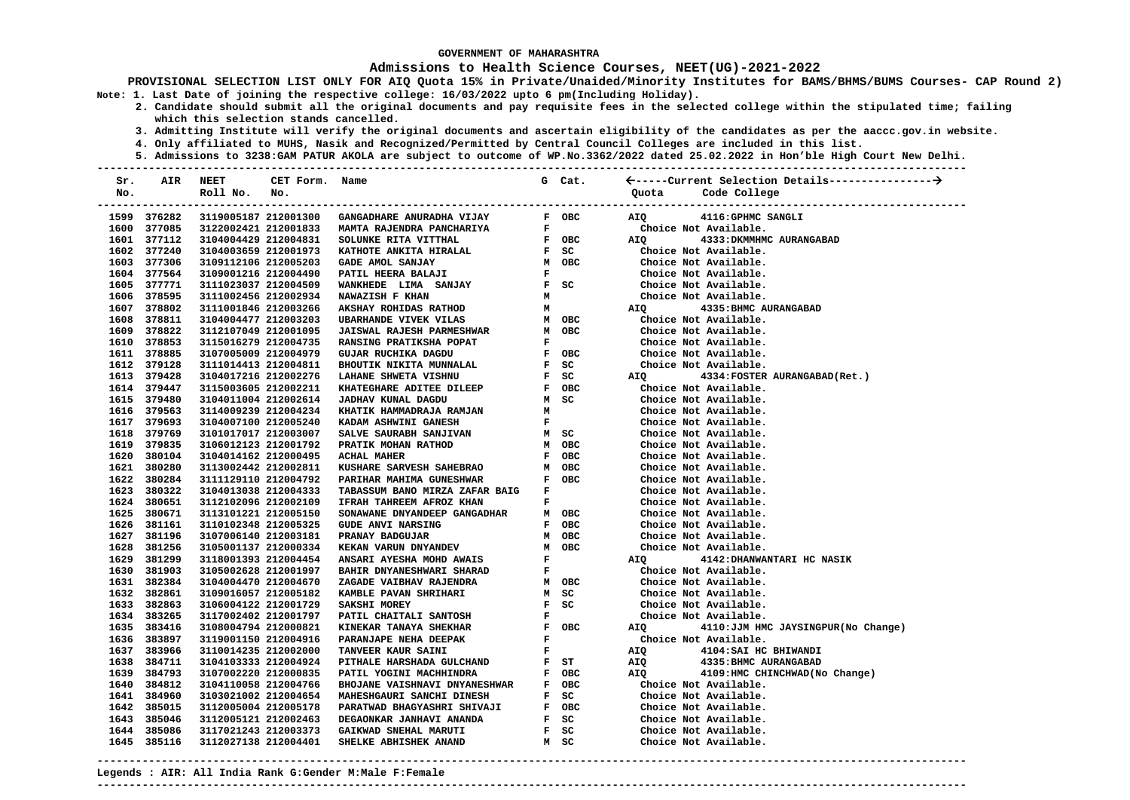### **Admissions to Health Science Courses, NEET(UG)-2021-2022**

**PROVISIONAL SELECTION LIST ONLY FOR AIQ Quota 15% in Private/Unaided/Minority Institutes for BAMS/BHMS/BUMS Courses- CAP Round 2) Note: 1. Last Date of joining the respective college: 16/03/2022 upto 6 pm(Including Holiday).** 

- **2. Candidate should submit all the original documents and pay requisite fees in the selected college within the stipulated time; failing which this selection stands cancelled.** 
	- **3. Admitting Institute will verify the original documents and ascertain eligibility of the candidates as per the aaccc.gov.in website.**
	- **4. Only affiliated to MUHS, Nasik and Recognized/Permitted by Central Council Colleges are included in this list.**
- **5. Admissions to 3238:GAM PATUR AKOLA are subject to outcome of WP.No.3362/2022 dated 25.02.2022 in Hon'ble High Court New Delhi. ---------------------------------------------------------------------------------------------------------------------------------------**

| Sr. | AIR                        | NEET                                         | CET Form. Name       |                                                                                                                                                                                          |                               | G Cat.                                                          |                |                                                         |
|-----|----------------------------|----------------------------------------------|----------------------|------------------------------------------------------------------------------------------------------------------------------------------------------------------------------------------|-------------------------------|-----------------------------------------------------------------|----------------|---------------------------------------------------------|
| No. |                            | Roll No.                                     | No.                  |                                                                                                                                                                                          |                               |                                                                 | Quota          | Code College                                            |
|     |                            |                                              |                      |                                                                                                                                                                                          |                               |                                                                 |                |                                                         |
|     | 1599 376282                |                                              | 3119005187 212001300 | GANGADHARE ANURADHA VIJAY                                                                                                                                                                |                               | F OBC                                                           | AIQ            | 4116: GPHMC SANGLI                                      |
|     | 1600 377085                |                                              |                      | 3122002421 212001833  MAMTA RAJENDRA PANCHARIYA                                                                                                                                          |                               | $\mathbf{F}$ and $\mathbf{F}$ . The set of $\mathbf{F}$         |                | Choice Not Available.                                   |
|     | 1601 377112                | 3104004429 212004831                         |                      |                                                                                                                                                                                          |                               |                                                                 | AIO <b>Aio</b> | 4333: DKMMHMC AURANGABAD                                |
|     | 1602 377240                | 3104003659 212001973                         |                      |                                                                                                                                                                                          |                               |                                                                 |                | Choice Not Available.                                   |
|     | 1603 377306                | 3109112106 212005203                         |                      |                                                                                                                                                                                          |                               |                                                                 |                | Choice Not Available.                                   |
|     | 1604 377564                | 3109001216 212004490                         |                      |                                                                                                                                                                                          |                               |                                                                 |                | Choice Not Available.                                   |
|     | 1605 377771                | 3111023037 212004509                         |                      | SOLUNKE RITA VITTHAL HE F OBC<br>KATHOTE ANKITA HIRALAL F SC<br>GADE AMOL SANJAY M OBC<br>PATIL HEERA BALAJI F WANKHEDE LIMA SANJAY F SC<br>WANKHEDE LIMA SANJAY F SC<br>NAWAZTCH F VUAN |                               |                                                                 |                | Choice Not Available.                                   |
|     | 1606 378595                | 3111002456 212002934                         |                      | NAWAZISH F KHAN                                                                                                                                                                          | M                             |                                                                 |                | Choice Not Available.                                   |
|     | 1607 378802                | 3111001846 212003266                         |                      | $\mathbf M$<br>AKSHAY ROHIDAS RATHOD                                                                                                                                                     |                               |                                                                 |                | AIO 4335: BHMC AURANGABAD                               |
|     | 1608 378811                | 3104004477 212003203                         |                      | <b>UBARHANDE VIVEK VILAS</b>                                                                                                                                                             |                               | M OBC                                                           |                | Choice Not Available.                                   |
|     | 1609 378822                | 3112107049 212001095                         |                      | <b>JAISWAL RAJESH PARMESHWAR</b>                                                                                                                                                         |                               | M OBC                                                           |                | Choice Not Available.                                   |
|     | 1610 378853                | 3115016279 212004735                         |                      | RANSING PRATIKSHA POPAT                                                                                                                                                                  |                               |                                                                 |                | Choice Not Available.                                   |
|     | 1611 378885                | 3107005009 212004979                         |                      | GUJAR RUCHIKA DAGDU                                                                                                                                                                      |                               |                                                                 |                | Choice Not Available.                                   |
|     | 1612 379128                | 3111014413 212004811                         |                      | BHOUTIK NIKITA MUNNALAL                                                                                                                                                                  |                               | F<br>F<br>F<br>F<br>F<br>F<br>F<br>F<br>F<br>F<br>C<br>F<br>OBC |                | Choice Not Available.                                   |
|     | 1613 379428                | 3104017216 212002276                         |                      | LAHANE SHWETA VISHNU                                                                                                                                                                     |                               |                                                                 | AIQ            | 4334: FOSTER AURANGABAD (Ret.)                          |
|     | 1614 379447                | 3115003605 212002211                         |                      | KHATEGHARE ADITEE DILEEP                                                                                                                                                                 |                               |                                                                 |                | Choice Not Available.                                   |
|     | 1615 379480                | 3104011004 212002614                         |                      | JADHAV KUNAL DAGDU<br>JADHAV KUNAL DAGDU<br>KHATIK HAMMADRAJA RAMJAN                                                                                                                     |                               | M SC                                                            |                | Choice Not Available.                                   |
|     | 1616 379563                | 3114009239 212004234                         |                      |                                                                                                                                                                                          | $M$ and $M$                   |                                                                 |                | Choice Not Available.                                   |
|     | 1617 379693                | 3104007100 212005240                         |                      | KADAM ASHWINI GANESH                                                                                                                                                                     | $\mathbf{F}$ and $\mathbf{F}$ |                                                                 |                | Choice Not Available.                                   |
|     | 1618 379769                | 3101017017 212003007                         |                      | M SC<br>SALVE SAURABH SANJIVAN                                                                                                                                                           |                               |                                                                 |                | Choice Not Available.                                   |
|     | 1619 379835                | 3106012123 212001792                         |                      | PRATIK MOHAN RATHOD                                                                                                                                                                      |                               | M OBC                                                           |                | Choice Not Available.                                   |
|     | 1620 380104                | 3104014162 212000495                         |                      | <b>ACHAL MAHER</b>                                                                                                                                                                       |                               | F OBC                                                           |                | Choice Not Available.                                   |
|     | 1621 380280                | 3113002442 212002811                         |                      | KUSHARE SARVESH SAHEBRAO                                                                                                                                                                 |                               | M OBC                                                           |                | Choice Not Available.                                   |
|     | 1622 380284                | 3111129110 212004792                         |                      | PARIHAR MAHIMA GUNESHWAR                                                                                                                                                                 |                               | F OBC                                                           |                | Choice Not Available.                                   |
|     | 1623 380322                | 3104013038 212004333                         |                      | TABASSUM BANO MIRZA ZAFAR BAIG                                                                                                                                                           | $\mathbf{F}$ and $\mathbf{F}$ |                                                                 |                | Choice Not Available.                                   |
|     | 1624 380651                | 3112102096 212002109                         |                      | IFRAH TAHREEM AFROZ KHAN                                                                                                                                                                 |                               | $\mathbf{F}$ and $\mathbf{F}$                                   |                | Choice Not Available.                                   |
|     | 1625 380671                | 3113101221 212005150                         |                      | SONAWANE DNYANDEEP GANGADHAR                                                                                                                                                             |                               | M OBC                                                           |                | Choice Not Available.                                   |
|     | 1626 381161                | 3110102348 212005325                         |                      | <b>GUDE ANVI NARSING</b>                                                                                                                                                                 |                               | F OBC                                                           |                | Choice Not Available.                                   |
|     | 1627 381196<br>1628 381256 | 3107006140 212003181                         |                      | PRANAY BADGUJAR<br>$\begin{array}{c}\mathbb{M}\\ \mathbb{F}\\ \mathbb{F}\\ \mathbb{M}\end{array}$                                                                                        |                               | M OBC<br>M OBC                                                  |                | Choice Not Available.                                   |
|     | 1629 381299                | 3105001137 212000334<br>3118001393 212004454 |                      | KEKAN VARUN DNYANDEV                                                                                                                                                                     |                               |                                                                 |                | Choice Not Available.<br>AIQ 4142: DHANWANTARI HC NASIK |
|     | 1630 381903                | 3105002628 212001997                         |                      | ANSARI AYESHA MOHD AWAIS<br>BAHIR DNYANESHWARI SHARAD                                                                                                                                    |                               |                                                                 |                | Choice Not Available.                                   |
|     | 1631 382384                | 3104004470 212004670                         |                      | ZAGADE VAIBHAV RAJENDRA                                                                                                                                                                  |                               |                                                                 |                | Choice Not Available.                                   |
|     | 1632 382861                | 3109016057 212005182                         |                      | KAMBLE PAVAN SHRIHARI                                                                                                                                                                    |                               |                                                                 |                | Choice Not Available.                                   |
|     | 1633 382863                | 3106004122 212001729                         |                      | )<br>M OBC<br>M SC<br>F SC<br>F OBC<br><b>SAKSHI MOREY</b>                                                                                                                               |                               |                                                                 |                | Choice Not Available.                                   |
|     | 1634 383265                | 3117002402 212001797                         |                      | PATIL CHAITALI SANTOSH                                                                                                                                                                   |                               |                                                                 |                | Choice Not Available.                                   |
|     | 1635 383416                | 3108004794 212000821                         |                      |                                                                                                                                                                                          |                               |                                                                 |                | AIQ 4110: JJM HMC JAYSINGPUR (No Change)                |
|     | 1636 383897                | 3119001150 212004916                         |                      |                                                                                                                                                                                          |                               |                                                                 |                | Choice Not Available.                                   |
|     | 1637 383966                | 3110014235 212002000                         |                      | TANVEER KAUR SAINI                                                                                                                                                                       | $\mathbf{F}$ and $\mathbf{F}$ |                                                                 | AIQ            | 4104: SAI HC BHIWANDI                                   |
|     | 1638 384711                | 3104103333 212004924                         |                      | PITHALE HARSHADA GULCHAND F ST                                                                                                                                                           |                               |                                                                 | AIQ            | 4335: BHMC AURANGABAD                                   |
|     | 1639 384793                | 3107002220 212000835                         |                      | PATIL YOGINI MACHHINDRA<br><b>F</b> OBC                                                                                                                                                  |                               |                                                                 | AIQ            | 4109:HMC CHINCHWAD(No Change)                           |
|     | 1640 384812                | 3104110058 212004766                         |                      |                                                                                                                                                                                          |                               |                                                                 |                |                                                         |
|     | 1641 384960                | 3103021002 212004654                         |                      | BHOJANE VAISHNAVI DNYANESHWAR F OBC<br>MAHESHGAURI SANCHI DINESH F SC                                                                                                                    |                               |                                                                 |                | Choice Not Available.<br>Choice Not Available.          |
|     | 1642 385015                | 3112005004 212005178                         |                      |                                                                                                                                                                                          |                               |                                                                 |                |                                                         |
|     | 1643 385046                | 3112005121 212002463                         |                      |                                                                                                                                                                                          |                               |                                                                 |                | Choice Not Available.<br>Choice Not Available.          |
|     | 1644 385086                | 3117021243 212003373                         |                      |                                                                                                                                                                                          |                               |                                                                 |                | Choice Not Available.                                   |
|     | 1645 385116                | 3112027138 212004401                         |                      | ARAIMAD BHAGYASHRI SHIVAJI     F OBC<br>DEGAONKAR JANHAVI ANANDA     F SC<br>GAIKWAD SNEHAL MARUTI     F SC<br>SHELKE ABHISHEK ANAND     M SC                                            |                               |                                                                 |                | Choice Not Available.                                   |
|     |                            |                                              |                      |                                                                                                                                                                                          |                               |                                                                 |                |                                                         |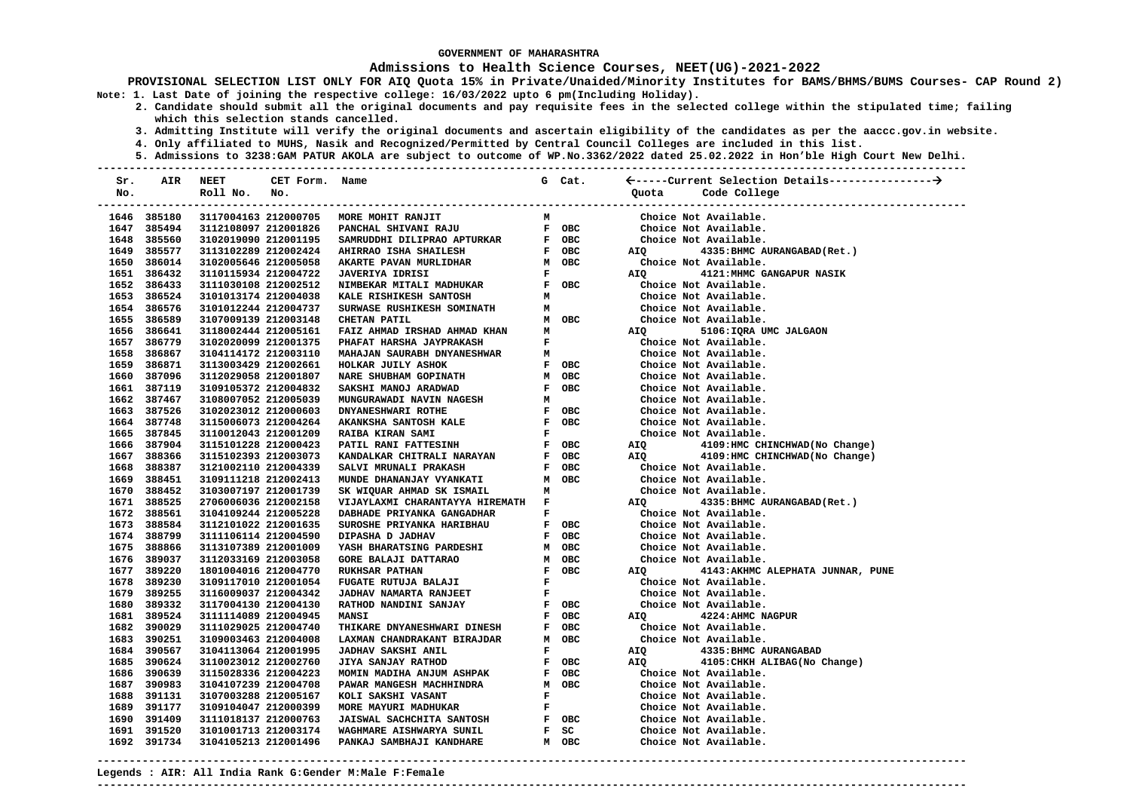### **Admissions to Health Science Courses, NEET(UG)-2021-2022**

**PROVISIONAL SELECTION LIST ONLY FOR AIQ Quota 15% in Private/Unaided/Minority Institutes for BAMS/BHMS/BUMS Courses- CAP Round 2) Note: 1. Last Date of joining the respective college: 16/03/2022 upto 6 pm(Including Holiday).** 

- **2. Candidate should submit all the original documents and pay requisite fees in the selected college within the stipulated time; failing which this selection stands cancelled.** 
	- **3. Admitting Institute will verify the original documents and ascertain eligibility of the candidates as per the aaccc.gov.in website.**
	- **4. Only affiliated to MUHS, Nasik and Recognized/Permitted by Central Council Colleges are included in this list.**
	- **5. Admissions to 3238:GAM PATUR AKOLA are subject to outcome of WP.No.3362/2022 dated 25.02.2022 in Hon'ble High Court New Delhi.**

| Sr. | <b>AIR</b>                 | <b>NEET</b>                                  | CET Form. Name |                                                       |              | G Cat.         |       |                                                |
|-----|----------------------------|----------------------------------------------|----------------|-------------------------------------------------------|--------------|----------------|-------|------------------------------------------------|
| No. |                            | Roll No.                                     | No.            |                                                       |              |                | Ouota | Code College                                   |
|     |                            |                                              |                | ------------------------------------                  |              |                |       |                                                |
|     | 1646 385180                | 3117004163 212000705                         |                | MORE MOHIT RANJIT                                     | м            |                |       | Choice Not Available.                          |
|     | 1647 385494                | 3112108097 212001826                         |                | PANCHAL SHIVANI RAJU                                  |              | F OBC          |       | Choice Not Available.                          |
|     | 1648 385560                | 3102019090 212001195                         |                | SAMRUDDHI DILIPRAO APTURKAR                           |              | F OBC          |       | Choice Not Available.                          |
|     | 1649 385577                | 3113102289 212002424                         |                | AHIRRAO ISHA SHAILESH                                 |              | F OBC          | AIQ   | 4335: BHMC AURANGABAD (Ret.)                   |
|     | 1650 386014                | 3102005646 212005058                         |                | AKARTE PAVAN MURLIDHAR                                |              | M OBC          |       | Choice Not Available.                          |
|     | 1651 386432                | 3110115934 212004722                         |                | <b>JAVERIYA IDRISI</b>                                | F            |                | AIQ   | 4121: MHMC GANGAPUR NASIK                      |
|     | 1652 386433                | 3111030108 212002512                         |                | NIMBEKAR MITALI MADHUKAR                              |              | F OBC          |       | Choice Not Available.                          |
|     | 1653 386524                | 3101013174 212004038                         |                | KALE RISHIKESH SANTOSH                                | М            |                |       | Choice Not Available.                          |
|     | 1654 386576                | 3101012244 212004737                         |                | SURWASE RUSHIKESH SOMINATH                            | м            |                |       | Choice Not Available.                          |
|     | 1655 386589                | 3107009139 212003148                         |                | CHETAN PATIL                                          |              | M OBC          |       | Choice Not Available.                          |
|     | 1656 386641                | 3118002444 212005161                         |                | FAIZ AHMAD IRSHAD AHMAD KHAN                          | М            |                | AIQ   | 5106: IQRA UMC JALGAON                         |
|     | 1657 386779                | 3102020099 212001375                         |                | PHAFAT HARSHA JAYPRAKASH                              | F            |                |       | Choice Not Available.                          |
|     | 1658 386867                | 3104114172 212003110                         |                | MAHAJAN SAURABH DNYANESHWAR                           | м            |                |       | Choice Not Available.                          |
|     | 1659 386871                | 3113003429 212002661                         |                | HOLKAR JUILY ASHOK                                    |              | F OBC          |       | Choice Not Available.                          |
|     | 1660 387096                | 3112029058 212001807                         |                | NARE SHUBHAM GOPINATH                                 |              | M OBC          |       | Choice Not Available.                          |
|     | 1661 387119                | 3109105372 212004832                         |                | SAKSHI MANOJ ARADWAD                                  |              | F OBC          |       | Choice Not Available.                          |
|     | 1662 387467                | 3108007052 212005039                         |                | MUNGURAWADI NAVIN NAGESH                              | м            |                |       | Choice Not Available.                          |
|     | 1663 387526                | 3102023012 212000603                         |                | DNYANESHWARI ROTHE                                    |              | F OBC          |       | Choice Not Available.                          |
|     | 1664 387748                | 3115006073 212004264                         |                | AKANKSHA SANTOSH KALE                                 |              | F OBC          |       | Choice Not Available.                          |
|     | 1665 387845                | 3110012043 212001209                         |                | RAIBA KIRAN SAMI                                      | F            |                |       | Choice Not Available.                          |
|     | 1666 387904                | 3115101228 212000423                         |                | PATIL RANI FATTESINH                                  |              | F OBC          | AIQ   | 4109:HMC CHINCHWAD (No Change)                 |
|     | 1667 388366                | 3115102393 212003073                         |                | KANDALKAR CHITRALI NARAYAN                            |              | F OBC          | AIQ   | 4109: HMC CHINCHWAD (No Change)                |
|     | 1668 388387                | 3121002110 212004339                         |                | SALVI MRUNALI PRAKASH                                 |              | F OBC          |       | Choice Not Available.                          |
|     | 1669 388451                | 3109111218 212002413                         |                | MUNDE DHANANJAY VYANKATI                              |              | M OBC          |       | Choice Not Available.                          |
|     | 1670 388452                | 3103007197 212001739                         |                | SK WIQUAR AHMAD SK ISMAIL                             | М            |                |       | Choice Not Available.                          |
|     | 1671 388525                | 2706006036 212002158                         |                | VIJAYLAXMI CHARANTAYYA HIREMATH                       | $\mathbf{F}$ |                | AIQ   | 4335:BHMC AURANGABAD(Ret.)                     |
|     | 1672 388561                | 3104109244 212005228                         |                | DABHADE PRIYANKA GANGADHAR                            | F            |                |       | Choice Not Available.                          |
|     | 1673 388584                | 3112101022 212001635                         |                | SUROSHE PRIYANKA HARIBHAU                             |              | F OBC          |       | Choice Not Available.                          |
|     | 1674 388799                | 3111106114 212004590                         |                | DIPASHA D JADHAV                                      |              | F OBC          |       | Choice Not Available.                          |
|     | 1675 388866                | 3113107389 212001009                         |                | YASH BHARATSING PARDESHI                              |              | M OBC          |       | Choice Not Available.                          |
|     | 1676 389037                | 3112033169 212003058                         |                | <b>GORE BALAJI DATTARAO</b>                           |              | M OBC          |       | Choice Not Available.                          |
|     | 1677 389220                | 1801004016 212004770                         |                | <b>RUKHSAR PATHAN</b>                                 |              | F OBC          | AIO   | 4143: AKHMC ALEPHATA JUNNAR, PUNE              |
|     | 1678 389230                | 3109117010 212001054                         |                | FUGATE RUTUJA BALAJI                                  | $\mathbf F$  |                |       | Choice Not Available.                          |
|     | 1679 389255                | 3116009037 212004342                         |                | <b>JADHAV NAMARTA RANJEET</b>                         | F            |                |       | Choice Not Available.                          |
|     | 1680 389332                | 3117004130 212004130                         |                | RATHOD NANDINI SANJAY                                 |              | F OBC          |       | Choice Not Available.                          |
|     | 1681 389524                | 3111114089 212004945                         |                | <b>MANSI</b>                                          |              | F OBC          | AIO   | 4224: AHMC NAGPUR                              |
|     | 1682 390029                | 3111029025 212004740                         |                | THIKARE DNYANESHWARI DINESH                           |              | F OBC          |       | Choice Not Available.                          |
|     | 1683 390251                | 3109003463 212004008                         |                | LAXMAN CHANDRAKANT BIRAJDAR                           |              | M OBC          |       | Choice Not Available.                          |
|     | 1684 390567<br>1685 390624 | 3104113064 212001995                         |                | <b>JADHAV SAKSHI ANIL</b>                             | F            |                | AIQ   | 4335: BHMC AURANGABAD                          |
|     | 1686 390639                | 3110023012 212002760                         |                | JIYA SANJAY RATHOD                                    |              | F OBC          | AIQ   | 4105: CHKH ALIBAG (No Change)                  |
|     | 1687 390983                | 3115028336 212004223<br>3104107239 212004708 |                | MOMIN MADIHA ANJUM ASHPAK<br>PAWAR MANGESH MACHHINDRA |              | F OBC<br>M OBC |       | Choice Not Available.<br>Choice Not Available. |
|     | 1688 391131                | 3107003288 212005167                         |                | KOLI SAKSHI VASANT                                    | F            |                |       | Choice Not Available.                          |
|     | 1689 391177                | 3109104047 212000399                         |                | MORE MAYURI MADHUKAR                                  | $\mathbf{F}$ |                |       | Choice Not Available.                          |
|     | 1690 391409                | 3111018137 212000763                         |                | JAISWAL SACHCHITA SANTOSH                             |              | F OBC          |       | Choice Not Available.                          |
|     | 1691 391520                | 3101001713 212003174                         |                | WAGHMARE AISHWARYA SUNIL                              |              | F SC           |       | Choice Not Available.                          |
|     | 1692 391734                | 3104105213 212001496                         |                | PANKAJ SAMBHAJI KANDHARE                              |              | M OBC          |       | Choice Not Available.                          |
|     |                            |                                              |                |                                                       |              |                |       |                                                |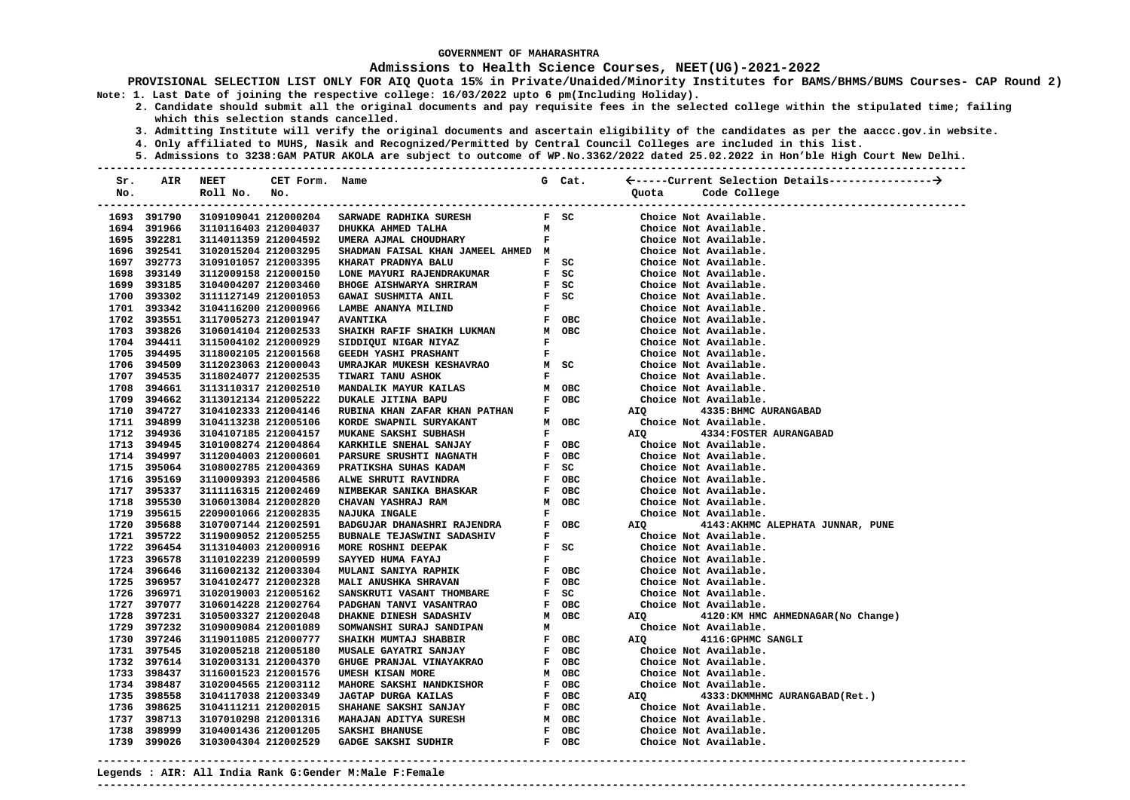### **Admissions to Health Science Courses, NEET(UG)-2021-2022**

- **2. Candidate should submit all the original documents and pay requisite fees in the selected college within the stipulated time; failing which this selection stands cancelled.** 
	- **3. Admitting Institute will verify the original documents and ascertain eligibility of the candidates as per the aaccc.gov.in website.**
	- **4. Only affiliated to MUHS, Nasik and Recognized/Permitted by Central Council Colleges are included in this list.**
- **5. Admissions to 3238:GAM PATUR AKOLA are subject to outcome of WP.No.3362/2022 dated 25.02.2022 in Hon'ble High Court New Delhi. ---------------------------------------------------------------------------------------------------------------------------------------**

| Sr. | AIR         | NEET                 | CET Form. Name       |                                               |                               | G Cat.                        |                   |                                   |
|-----|-------------|----------------------|----------------------|-----------------------------------------------|-------------------------------|-------------------------------|-------------------|-----------------------------------|
| No. |             | Roll No.             | No.                  |                                               |                               |                               | Quota             | Code College                      |
|     |             |                      |                      |                                               |                               |                               |                   | -----------------                 |
|     | 1693 391790 |                      | 3109109041 212000204 | SARWADE RADHIKA SURESH                        |                               | F SC                          |                   | Choice Not Available.             |
|     | 1694 391966 | 3110116403 212004037 |                      | DHUKKA AHMED TALHA                            | м                             |                               |                   | Choice Not Available.             |
|     | 1695 392281 | 3114011359 212004592 |                      | UMERA AJMAL CHOUDHARY                         | F                             |                               |                   | Choice Not Available.             |
|     | 1696 392541 | 3102015204 212003295 |                      | SHADMAN FAISAL KHAN JAMEEL AHMED M            |                               |                               |                   | Choice Not Available.             |
|     | 1697 392773 | 3109101057 212003395 |                      | KHARAT PRADNYA BALU                           |                               | F SC                          |                   | Choice Not Available.             |
|     | 1698 393149 | 3112009158 212000150 |                      | LONE MAYURI RAJENDRAKUMAR                     |                               | $F$ SC                        |                   | Choice Not Available.             |
|     | 1699 393185 | 3104004207 212003460 |                      | <b>BHOGE AISHWARYA SHRIRAM</b>                |                               | F SC                          |                   | Choice Not Available.             |
|     | 1700 393302 | 3111127149 212001053 |                      | GAWAI SUSHMITA ANIL                           |                               | F SC                          |                   | Choice Not Available.             |
|     | 1701 393342 | 3104116200 212000966 |                      | LAMBE ANANYA MILIND                           | $\mathbf{F}$                  |                               |                   | Choice Not Available.             |
|     | 1702 393551 | 3117005273 212001947 |                      | <b>AVANTIKA</b>                               |                               | F OBC                         |                   | Choice Not Available.             |
|     | 1703 393826 | 3106014104 212002533 |                      | SHAIKH RAFIF SHAIKH LUKMAN                    |                               | M OBC                         |                   | Choice Not Available.             |
|     | 1704 394411 | 3115004102 212000929 |                      | SIDDIQUI NIGAR NIYAZ                          | $\mathbf{F}$                  |                               |                   | Choice Not Available.             |
|     | 1705 394495 | 3118002105 212001568 |                      | GEEDH YASHI PRASHANT                          |                               | $\mathbf{F}$ and $\mathbf{F}$ |                   | Choice Not Available.             |
|     | 1706 394509 | 3112023063 212000043 |                      | UMRAJKAR MUKESH KESHAVRAO                     |                               | M SC                          |                   | Choice Not Available.             |
|     | 1707 394535 | 3118024077 212002535 |                      | <b>TIWARI TANU ASHOK</b>                      |                               | $\mathbf{F}$ and $\mathbf{F}$ |                   | Choice Not Available.             |
|     | 1708 394661 | 3113110317 212002510 |                      | MANDALIK MAYUR KAILAS                         |                               | M OBC                         |                   | Choice Not Available.             |
|     | 1709 394662 | 3113012134 212005222 |                      | <b>DUKALE JITINA BAPU</b>                     |                               | F OBC                         |                   | Choice Not Available.             |
|     | 1710 394727 | 3104102333 212004146 |                      | RUBINA KHAN ZAFAR KHAN PATHAN                 | $\mathbf{F}$                  |                               | AIQ               | 4335: BHMC AURANGABAD             |
|     | 1711 394899 | 3104113238 212005106 |                      | KORDE SWAPNIL SURYAKANT                       |                               | M OBC                         |                   | Choice Not Available.             |
|     | 1712 394936 | 3104107185 212004157 |                      | MUKANE SAKSHI SUBHASH                         |                               | $\mathbf{F}$ and $\mathbf{F}$ | AIO               | 4334: FOSTER AURANGABAD           |
|     | 1713 394945 | 3101008274 212004864 |                      | KARKHILE SNEHAL SANJAY                        |                               | F OBC                         |                   | Choice Not Available.             |
|     | 1714 394997 | 3112004003 212000601 |                      | PARSURE SRUSHTI NAGNATH                       |                               | F OBC                         |                   | Choice Not Available.             |
|     | 1715 395064 | 3108002785 212004369 |                      | PRATIKSHA SUHAS KADAM                         |                               | $F$ SC                        |                   | Choice Not Available.             |
|     | 1716 395169 | 3110009393 212004586 |                      | ALWE SHRUTI RAVINDRA                          |                               | F OBC                         |                   | Choice Not Available.             |
|     | 1717 395337 | 3111116315 212002469 |                      | <b>NIMBEKAR SANIKA BHASKAR</b>                |                               | F OBC                         |                   | Choice Not Available.             |
|     | 1718 395530 | 3106013084 212002820 |                      | CHAVAN YASHRAJ RAM                            |                               | M OBC                         |                   | Choice Not Available.             |
|     | 1719 395615 | 2209001066 212002835 |                      | NAJUKA INGALE                                 | $\mathbf{F}$                  |                               |                   | Choice Not Available.             |
|     | 1720 395688 | 3107007144 212002591 |                      | $F$ OBC<br>$F$<br>BADGUJAR DHANASHRI RAJENDRA |                               |                               | AIQ <b>Airman</b> | 4143:AKHMC ALEPHATA JUNNAR, PUNE  |
|     | 1721 395722 | 3119009052 212005255 |                      | BUBNALE TEJASWINI SADASHIV                    |                               |                               |                   | Choice Not Available.             |
|     | 1722 396454 | 3113104003 212000916 |                      | MORE ROSHNI DEEPAK                            |                               | $F$ SC                        |                   | Choice Not Available.             |
|     | 1723 396578 | 3110102239 212000599 |                      | SAYYED HUMA FAYAJ                             | $\mathbf{F}$ and $\mathbf{F}$ |                               |                   | Choice Not Available.             |
|     | 1724 396646 | 3116002132 212003304 |                      | MULANI SANIYA RAPHIK                          |                               | F OBC                         |                   | Choice Not Available.             |
|     | 1725 396957 | 3104102477 212002328 |                      | MALI ANUSHKA SHRAVAN                          |                               | F OBC                         |                   | Choice Not Available.             |
|     | 1726 396971 | 3102019003 212005162 |                      | SANSKRUTI VASANT THOMBARE                     |                               | $F$ SC                        |                   | Choice Not Available.             |
|     | 1727 397077 | 3106014228 212002764 |                      | PADGHAN TANVI VASANTRAO                       |                               | F OBC                         |                   | Choice Not Available.             |
|     | 1728 397231 | 3105003327 212002048 |                      | DHAKNE DINESH SADASHIV                        |                               | M OBC                         | AIQ               | 4120:KM HMC AHMEDNAGAR(No Change) |
|     | 1729 397232 | 3109009084 212001089 |                      | SOMWANSHI SURAJ SANDIPAN                      | м                             |                               |                   | Choice Not Available.             |
|     | 1730 397246 | 3119011085 212000777 |                      | SHAIKH MUMTAJ SHABBIR                         |                               | F OBC                         | AIQ               | 4116:GPHMC SANGLI                 |
|     | 1731 397545 | 3102005218 212005180 |                      | MUSALE GAYATRI SANJAY                         |                               | F OBC                         |                   | Choice Not Available.             |
|     | 1732 397614 | 3102003131 212004370 |                      | GHUGE PRANJAL VINAYAKRAO                      |                               | F OBC                         |                   | Choice Not Available.             |
|     | 1733 398437 | 3116001523 212001576 |                      | UMESH KISAN MORE                              |                               | M OBC                         |                   | Choice Not Available.             |
|     | 1734 398487 | 3102004565 212003112 |                      | MAHORE SAKSHI NANDKISHOR                      |                               | F OBC                         |                   | Choice Not Available.             |
|     | 1735 398558 | 3104117038 212003349 |                      | <b>JAGTAP DURGA KAILAS</b>                    |                               | F OBC                         | <b>AIO</b>        | 4333: DKMMHMC AURANGABAD (Ret.)   |
|     | 1736 398625 | 3104111211 212002015 |                      | SHAHANE SAKSHI SANJAY                         |                               | F OBC                         |                   | Choice Not Available.             |
|     | 1737 398713 | 3107010298 212001316 |                      | MAHAJAN ADITYA SURESH                         |                               | м овс                         |                   | Choice Not Available.             |
|     | 1738 398999 | 3104001436 212001205 |                      | <b>SAKSHI BHANUSE</b>                         |                               | F OBC                         |                   | Choice Not Available.             |
|     | 1739 399026 | 3103004304 212002529 |                      | <b>GADGE SAKSHI SUDHIR</b>                    |                               | F OBC                         |                   | Choice Not Available.             |
|     |             |                      |                      |                                               |                               |                               |                   |                                   |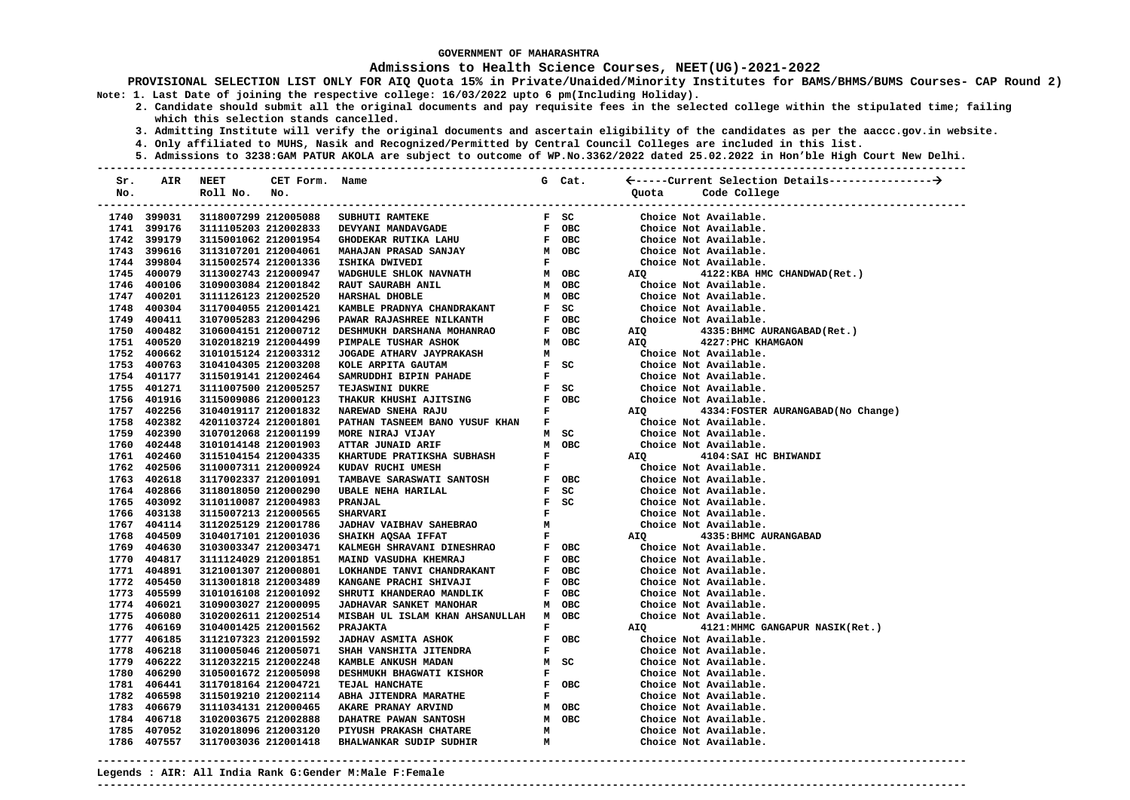### **Admissions to Health Science Courses, NEET(UG)-2021-2022**

**PROVISIONAL SELECTION LIST ONLY FOR AIQ Quota 15% in Private/Unaided/Minority Institutes for BAMS/BHMS/BUMS Courses- CAP Round 2) Note: 1. Last Date of joining the respective college: 16/03/2022 upto 6 pm(Including Holiday).** 

- **2. Candidate should submit all the original documents and pay requisite fees in the selected college within the stipulated time; failing which this selection stands cancelled.** 
	- **3. Admitting Institute will verify the original documents and ascertain eligibility of the candidates as per the aaccc.gov.in website.**
	- **4. Only affiliated to MUHS, Nasik and Recognized/Permitted by Central Council Colleges are included in this list.**
- **5. Admissions to 3238:GAM PATUR AKOLA are subject to outcome of WP.No.3362/2022 dated 25.02.2022 in Hon'ble High Court New Delhi. ---------------------------------------------------------------------------------------------------------------------------------------**

| Sr. | AIR                        | <b>NEET</b>                                  | CET Form. Name |                                                                                                   |                                | G Cat.                                    |                       |                                                |
|-----|----------------------------|----------------------------------------------|----------------|---------------------------------------------------------------------------------------------------|--------------------------------|-------------------------------------------|-----------------------|------------------------------------------------|
| No. |                            | Roll No.                                     | No.            |                                                                                                   |                                |                                           | Quota                 | Code College                                   |
|     |                            |                                              |                |                                                                                                   |                                |                                           |                       | -----------------------------                  |
|     | 1740 399031                | 3118007299 212005088                         |                | SUBHUTI RAMTEKE                                                                                   |                                | F SC                                      |                       | Choice Not Available.                          |
|     | 1741 399176                | 3111105203 212002833                         |                | DEVYANI MANDAVGADE                                                                                |                                | F OBC                                     |                       | Choice Not Available.                          |
|     | 1742 399179                | 3115001062 212001954                         |                | F OBC<br>M OBC<br>GHODEKAR RUTIKA LAHU                                                            |                                |                                           |                       | Choice Not Available.                          |
|     | 1743 399616                | 3113107201 212004061                         |                | <b>MAHAJAN PRASAD SANJAY</b>                                                                      |                                |                                           |                       | Choice Not Available.                          |
|     | 1744 399804                | 3115002574 212001336                         |                | ISHIKA DWIVEDI                                                                                    | $\mathbf{F}$                   |                                           |                       | Choice Not Available.                          |
|     | 1745 400079                | 3113002743 212000947                         |                | WADGHULE SHLOK NAVNATH                                                                            |                                | M OBC                                     |                       | AIQ 4122:KBA HMC CHANDWAD (Ret.)               |
|     | 1746 400106                | 3109003084 212001842                         |                | RAUT SAURABH ANIL                                                                                 |                                | M OBC                                     |                       | Choice Not Available.                          |
|     | 1747 400201                | 3111126123 212002520                         |                | HARSHAL DHOBLE                                                                                    |                                | M OBC                                     |                       | Choice Not Available.                          |
|     | 1748 400304                | 3117004055 212001421                         |                | KAMBLE PRADNYA CHANDRAKANT                                                                        |                                | $F$ SC                                    |                       | Choice Not Available.                          |
|     | 1749 400411                | 3107005283 212004296                         |                | <b>PAWAR RAJASHREE NILKANTH</b>                                                                   |                                | F OBC                                     |                       | Choice Not Available.                          |
|     | 1750 400482                | 3106004151 212000712                         |                | DESHMUKH DARSHANA MOHANRAO<br>$\begin{array}{cc} F & O. \\ M & OB \setminus \\ M & F \end{array}$ |                                | F OBC                                     | AIQ                   | 4335:BHMC AURANGABAD(Ret.)                     |
|     | 1751 400520                | 3102018219 212004499                         |                | PIMPALE TUSHAR ASHOK                                                                              |                                | M OBC                                     | AIQ                   | 4227: PHC KHAMGAON                             |
|     | 1752 400662                | 3101015124 212003312                         |                | <b>JOGADE ATHARV JAYPRAKASH</b>                                                                   |                                |                                           |                       | Choice Not Available.                          |
|     | 1753 400763                | 3104104305 212003208                         |                | KOLE ARPITA GAUTAM                                                                                |                                | $F$ SC                                    |                       | Choice Not Available.                          |
|     | 1754 401177                | 3115019141 212002464                         |                | SAMRUDDHI BIPIN PAHADE                                                                            |                                | $\mathbf{F}$ and $\mathbf{F}$             |                       | Choice Not Available.                          |
|     | 1755 401271                | 3111007500 212005257                         |                | TEJASWINI DUKRE                                                                                   |                                | $F$ SC                                    | Choice Not Available. |                                                |
|     | 1756 401916                | 3115009086 212000123                         |                | THAKUR KHUSHI AJITSING                                                                            |                                | F OBC                                     |                       | Choice Not Available.                          |
|     | 1757 402256                | 3104019117 212001832                         |                | NAREWAD SNEHA RAJU                                                                                |                                | $\mathbf{F}$ and $\mathbf{F}$             | AIQ                   | 4334: FOSTER AURANGABAD (No Change)            |
|     | 1758 402382                | 4201103724 212001801                         |                | PATHAN TASNEEM BANO YUSUF KHAN F                                                                  |                                |                                           |                       | Choice Not Available.                          |
|     | 1759 402390                | 3107012068 212001199                         |                | MORE NIRAJ VIJAY                                                                                  |                                | M SC                                      |                       | Choice Not Available.                          |
|     | 1760 402448                | 3101014148 212001903                         |                | ATTAR JUNAID ARIF                                                                                 |                                | M OBC                                     |                       | Choice Not Available.                          |
|     | 1761 402460                | 3115104154 212004335                         |                | KHARTUDE PRATIKSHA SUBHASH                                                                        | F                              |                                           | AIQ                   | 4104: SAI HC BHIWANDI                          |
|     | 1762 402506                | 3110007311 212000924                         |                | KUDAV RUCHI UMESH                                                                                 | F                              |                                           |                       | Choice Not Available.                          |
|     | 1763 402618                | 3117002337 212001091                         |                | F OBC<br>TAMBAVE SARASWATI SANTOSH                                                                |                                |                                           |                       | Choice Not Available.                          |
|     | 1764 402866                | 3118018050 212000290                         |                | UBALE NEHA HARILAL                                                                                |                                | $F$ SC                                    |                       | Choice Not Available.                          |
|     | 1765 403092                | 3110110087 212004983                         |                | PRANJAL                                                                                           |                                | $F$ SC                                    |                       | Choice Not Available.                          |
|     | 1766 403138                | 3115007213 212000565                         |                | <b>SHARVARI</b>                                                                                   | $\mathbf{F}$<br>M <sub>N</sub> |                                           |                       | Choice Not Available.                          |
|     | 1767 404114<br>1768 404509 | 3112025129 212001786                         |                | <b>JADHAV VAIBHAV SAHEBRAO</b>                                                                    |                                | $\mathbf{F}^{(n)}$ and $\mathbf{F}^{(n)}$ |                       | Choice Not Available.                          |
|     |                            | 3104017101 212001036                         |                | SHAIKH AQSAA IFFAT                                                                                |                                |                                           | AIQ                   | 4335: BHMC AURANGABAD<br>Choice Not Available. |
|     | 1769 404630<br>1770 404817 | 3103003347 212003471<br>3111124029 212001851 |                | KALMEGH SHRAVANI DINESHRAO                                                                        |                                | F OBC<br>F OBC                            |                       | Choice Not Available.                          |
|     | 1771 404891                | 3121001307 212000801                         |                | MAIND VASUDHA KHEMRAJ<br>LOKHANDE TANVI CHANDRAKANT                                               |                                | F OBC                                     |                       | Choice Not Available.                          |
|     | 1772 405450                | 3113001818 212003489                         |                | KANGANE PRACHI SHIVAJI                                                                            |                                | F OBC                                     |                       | Choice Not Available.                          |
|     | 1773 405599                | 3101016108 212001092                         |                | SHRUTI KHANDERAO MANDLIK                                                                          |                                | F OBC                                     |                       | Choice Not Available.                          |
|     | 1774 406021                | 3109003027 212000095                         |                | JADHAVAR SANKET MANOHAR                                                                           |                                | M OBC                                     |                       | Choice Not Available.                          |
|     | 1775 406080                | 3102002611 212002514                         |                | MISBAH UL ISLAM KHAN AHSANULLAH M OBC                                                             |                                |                                           |                       | Choice Not Available.                          |
|     | 1776 406169                | 3104001425 212001562                         |                | PRAJAKTA                                                                                          | F                              |                                           | AIQ                   | 4121:MHMC GANGAPUR NASIK(Ret.)                 |
|     | 1777 406185                | 3112107323 212001592                         |                | JADHAV ASMITA ASHOK                                                                               |                                | F OBC                                     |                       | Choice Not Available.                          |
|     | 1778 406218                | 3110005046 212005071                         |                | SHAH VANSHITA JITENDRA                                                                            | F                              |                                           |                       | Choice Not Available.                          |
|     | 1779 406222                | 3112032215 212002248                         |                | KAMBLE ANKUSH MADAN                                                                               |                                | M SC                                      |                       | Choice Not Available.                          |
|     | 1780 406290                | 3105001672 212005098                         |                | DESHMUKH BHAGWATI KISHOR                                                                          | $\mathbf F$                    |                                           |                       | Choice Not Available.                          |
|     | 1781 406441                | 3117018164 212004721                         |                | TEJAL HANCHATE                                                                                    |                                | F OBC                                     |                       | Choice Not Available.                          |
|     | 1782 406598                | 3115019210 212002114                         |                | ABHA JITENDRA MARATHE                                                                             | $\mathbf{F}$                   |                                           |                       | Choice Not Available.                          |
|     | 1783 406679                | 3111034131 212000465                         |                | AKARE PRANAY ARVIND                                                                               |                                | м овс                                     |                       | Choice Not Available.                          |
|     | 1784 406718                | 3102003675 212002888                         |                | DAHATRE PAWAN SANTOSH                                                                             |                                | M OBC                                     |                       | Choice Not Available.                          |
|     | 1785 407052                | 3102018096 212003120                         |                | PIYUSH PRAKASH CHATARE                                                                            | M                              |                                           |                       | Choice Not Available.                          |
|     | 1786 407557                | 3117003036 212001418                         |                | BHALWANKAR SUDIP SUDHIR                                                                           | м                              |                                           |                       | Choice Not Available.                          |
|     |                            |                                              |                |                                                                                                   |                                |                                           |                       |                                                |

**Legends : AIR: All India Rank G:Gender M:Male F:Female ---------------------------------------------------------------------------------------------------------------------------------------**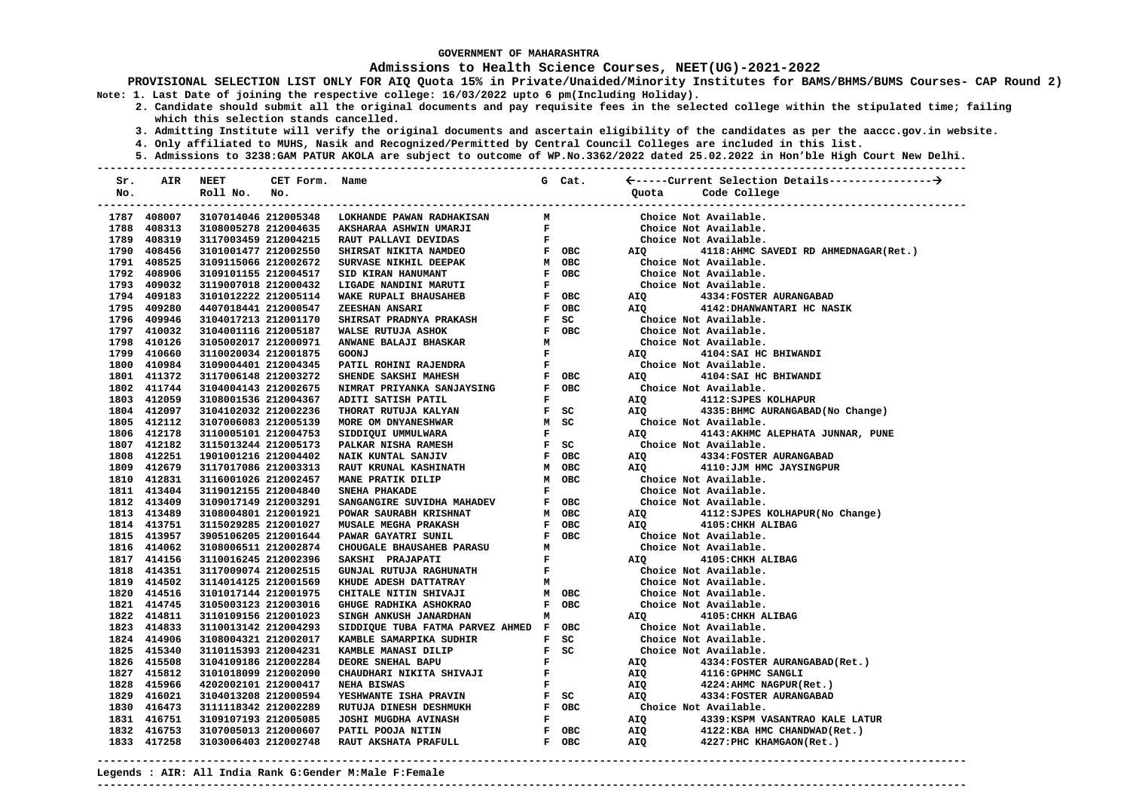### **Admissions to Health Science Courses, NEET(UG)-2021-2022**

- **2. Candidate should submit all the original documents and pay requisite fees in the selected college within the stipulated time; failing which this selection stands cancelled.** 
	- **3. Admitting Institute will verify the original documents and ascertain eligibility of the candidates as per the aaccc.gov.in website.**
	- **4. Only affiliated to MUHS, Nasik and Recognized/Permitted by Central Council Colleges are included in this list.**
	- **5. Admissions to 3238:GAM PATUR AKOLA are subject to outcome of WP.No.3362/2022 dated 25.02.2022 in Hon'ble High Court New Delhi.**

| Sr. | AIR                        | <b>NEET</b>                                  | CET Form. Name |                                          |              | G Cat.                                 |            |                                        |
|-----|----------------------------|----------------------------------------------|----------------|------------------------------------------|--------------|----------------------------------------|------------|----------------------------------------|
| No. |                            | Roll No.                                     | No.            |                                          |              |                                        |            | Quota Code College                     |
|     |                            |                                              |                | -------------------------------          |              |                                        |            |                                        |
|     | 1787 408007                | 3107014046 212005348                         |                | LOKHANDE PAWAN RADHAKISAN                | М            |                                        |            | Choice Not Available.                  |
|     | 1788 408313                | 3108005278 212004635                         |                | AKSHARAA ASHWIN UMARJI                   | $\mathbf{F}$ |                                        |            | Choice Not Available.                  |
|     | 1789 408319                | 3117003459 212004215                         |                | RAUT PALLAVI DEVIDAS                     | $\mathbf{F}$ |                                        |            | Choice Not Available.                  |
|     | 1790 408456                | 3101001477 212002550                         |                | SHIRSAT NIKITA NAMDEO                    |              | F OBC                                  | AIQ        | 4118: AHMC SAVEDI RD AHMEDNAGAR (Ret.) |
|     | 1791 408525                | 3109115066 212002672                         |                | SURVASE NIKHIL DEEPAK                    |              | M OBC                                  |            | Choice Not Available.                  |
|     | 1792 408906                | 3109101155 212004517                         |                | SID KIRAN HANUMANT                       |              | F OBC                                  |            | Choice Not Available.                  |
|     | 1793 409032                | 3119007018 212000432                         |                | LIGADE NANDINI MARUTI                    | $\mathbf{F}$ |                                        |            | Choice Not Available.                  |
|     | 1794 409183                | 3101012222 212005114                         |                | WAKE RUPALI BHAUSAHEB                    |              | F OBC                                  | AIQ        | 4334: FOSTER AURANGABAD                |
|     | 1795 409280                | 4407018441 212000547                         |                | <b>ZEESHAN ANSARI</b>                    |              | F OBC                                  | AIO        | 4142: DHANWANTARI HC NASIK             |
|     | 1796 409946                | 3104017213 212001170                         |                | SHIRSAT PRADNYA PRAKASH                  |              | $F$ SC                                 |            | Choice Not Available.                  |
|     | 1797 410032                | 3104001116 212005187                         |                | WALSE RUTUJA ASHOK                       |              | F OBC                                  |            | Choice Not Available.                  |
|     | 1798 410126                | 3105002017 212000971                         |                | ANWANE BALAJI BHASKAR                    | M            |                                        |            | Choice Not Available.                  |
|     | 1799 410660                | 3110020034 212001875                         |                | <b>GOONJ</b>                             | $\mathbf{F}$ |                                        | AIQ        | 4104: SAI HC BHIWANDI                  |
|     | 1800 410984                | 3109004401 212004345                         |                | PATIL ROHINI RAJENDRA                    | $\mathbf F$  |                                        |            | Choice Not Available.                  |
|     | 1801 411372                | 3117006148 212003272                         |                | SHENDE SAKSHI MAHESH                     |              | F OBC                                  | AIO        | 4104: SAI HC BHIWANDI                  |
|     | 1802 411744                | 3104004143 212002675                         |                | NIMRAT PRIYANKA SANJAYSING               |              | F OBC                                  |            | Choice Not Available.                  |
|     | 1803 412059                | 3108001536 212004367                         |                | ADITI SATISH PATIL                       | F            |                                        | AIQ        | 4112: SJPES KOLHAPUR                   |
|     | 1804 412097                | 3104102032 212002236                         |                | THORAT RUTUJA KALYAN                     |              | F SC                                   | <b>AIQ</b> | 4335: BHMC AURANGABAD (No Change)      |
|     | 1805 412112                | 3107006083 212005139                         |                | MORE OM DNYANESHWAR                      |              | M SC                                   |            | Choice Not Available.                  |
|     | 1806 412178                | 3110005101 212004753                         |                | SIDDIQUI UMMULWARA                       |              | $\mathbf{F}$ and $\mathbf{F}$          | AIO        | 4143: AKHMC ALEPHATA JUNNAR, PUNE      |
|     | 1807 412182                | 3115013244 212005173                         |                | PALKAR NISHA RAMESH                      |              | F SC                                   |            | Choice Not Available.                  |
|     | 1808 412251                | 1901001216 212004402                         |                | NAIK KUNTAL SANJIV                       |              | F OBC                                  | AIQ        | 4334: FOSTER AURANGABAD                |
|     | 1809 412679                | 3117017086 212003313                         |                | <b>RAUT KRUNAL KASHINATH</b>             |              | M OBC                                  | AIQ        | 4110: JJM HMC JAYSINGPUR               |
|     | 1810 412831                | 3116001026 212002457                         |                | MANE PRATIK DILIP                        |              | M OBC                                  |            | Choice Not Available.                  |
|     | 1811 413404                | 3119012155 212004840                         |                | SNEHA PHAKADE                            | F            |                                        |            | Choice Not Available.                  |
|     | 1812 413409                | 3109017149 212003291                         |                | SANGANGIRE SUVIDHA MAHADEV               |              | F OBC                                  |            | Choice Not Available.                  |
|     | 1813 413489                | 3108004801 212001921                         |                | POWAR SAURABH KRISHNAT                   |              | M OBC                                  | AIQ        | 4112: SJPES KOLHAPUR (No Change)       |
|     | 1814 413751                | 3115029285 212001027                         |                | <b>MUSALE MEGHA PRAKASH</b>              |              | F OBC                                  | AIQ        | 4105: CHKH ALIBAG                      |
|     | 1815 413957                | 3905106205 212001644                         |                | PAWAR GAYATRI SUNIL                      |              | F OBC                                  |            | Choice Not Available.                  |
|     | 1816 414062                | 3108006511 212002874                         |                | CHOUGALE BHAUSAHEB PARASU                | М            |                                        |            | Choice Not Available.                  |
|     | 1817 414156                | 3110016245 212002396                         |                | SAKSHI PRAJAPATI                         | $\mathbf{F}$ |                                        | AIQ        | 4105: CHKH ALIBAG                      |
|     | 1818 414351                | 3117009074 212002515                         |                | GUNJAL RUTUJA RAGHUNATH                  | $\mathbf{F}$ |                                        |            | Choice Not Available.                  |
|     | 1819 414502                | 3114014125 212001569                         |                | KHUDE ADESH DATTATRAY                    | M            |                                        |            | Choice Not Available.                  |
|     | 1820 414516                | 3101017144 212001975                         |                | CHITALE NITIN SHIVAJI                    |              | M OBC                                  |            | Choice Not Available.                  |
|     | 1821 414745                | 3105003123 212003016                         |                | GHUGE RADHIKA ASHOKRAO                   |              | F OBC                                  |            | Choice Not Available.                  |
|     | 1822 414811                | 3110109156 212001023                         |                | SINGH ANKUSH JANARDHAN                   | M            |                                        | AIO        | 4105: CHKH ALIBAG                      |
|     | 1823 414833                | 3110013142 212004293                         |                | SIDDIQUE TUBA FATMA PARVEZ AHMED F OBC   |              |                                        |            | Choice Not Available.                  |
|     | 1824 414906                | 3108004321 212002017                         |                |                                          |              | F SC                                   |            | Choice Not Available.                  |
|     |                            |                                              |                | KAMBLE SAMARPIKA SUDHIR                  |              | $F$ SC                                 |            |                                        |
|     | 1825 415340<br>1826 415508 | 3110115393 212004231<br>3104109186 212002284 |                | KAMBLE MANASI DILIP<br>DEORE SNEHAL BAPU | $\mathbf{F}$ |                                        |            | Choice Not Available.                  |
|     | 1827 415812                |                                              |                |                                          | $\mathbf{F}$ |                                        | AIQ        | 4334: FOSTER AURANGABAD (Ret.)         |
|     |                            | 3101018099 212002090                         |                | CHAUDHARI NIKITA SHIVAJI                 | $\mathbf{F}$ |                                        | AIQ        | 4116: GPHMC SANGLI                     |
|     | 1828 415966                | 4202002101 212000417                         |                | NEHA BISWAS                              |              |                                        | AIQ        | 4224: AHMC NAGPUR (Ret.)               |
|     | 1829 416021                | 3104013208 212000594                         |                | YESHWANTE ISHA PRAVIN                    |              | $F$ SC                                 | AIQ        | 4334: FOSTER AURANGABAD                |
|     | 1830 416473                | 3111118342 212002289                         |                | RUTUJA DINESH DESHMUKH                   |              | F OBC<br>$\mathbf{F}$ and $\mathbf{F}$ |            | Choice Not Available.                  |
|     | 1831 416751                | 3109107193 212005085                         |                | JOSHI MUGDHA AVINASH                     |              |                                        | AIQ        | 4339: KSPM VASANTRAO KALE LATUR        |
|     | 1832 416753                | 3107005013 212000607                         |                | PATIL POOJA NITIN                        |              | F OBC                                  | AIQ        | 4122:KBA HMC CHANDWAD (Ret.)           |
|     | 1833 417258                | 3103006403 212002748                         |                | RAUT AKSHATA PRAFULL                     |              | F OBC                                  | AIQ        | 4227: PHC KHAMGAON (Ret.)              |
|     |                            |                                              |                |                                          |              |                                        |            |                                        |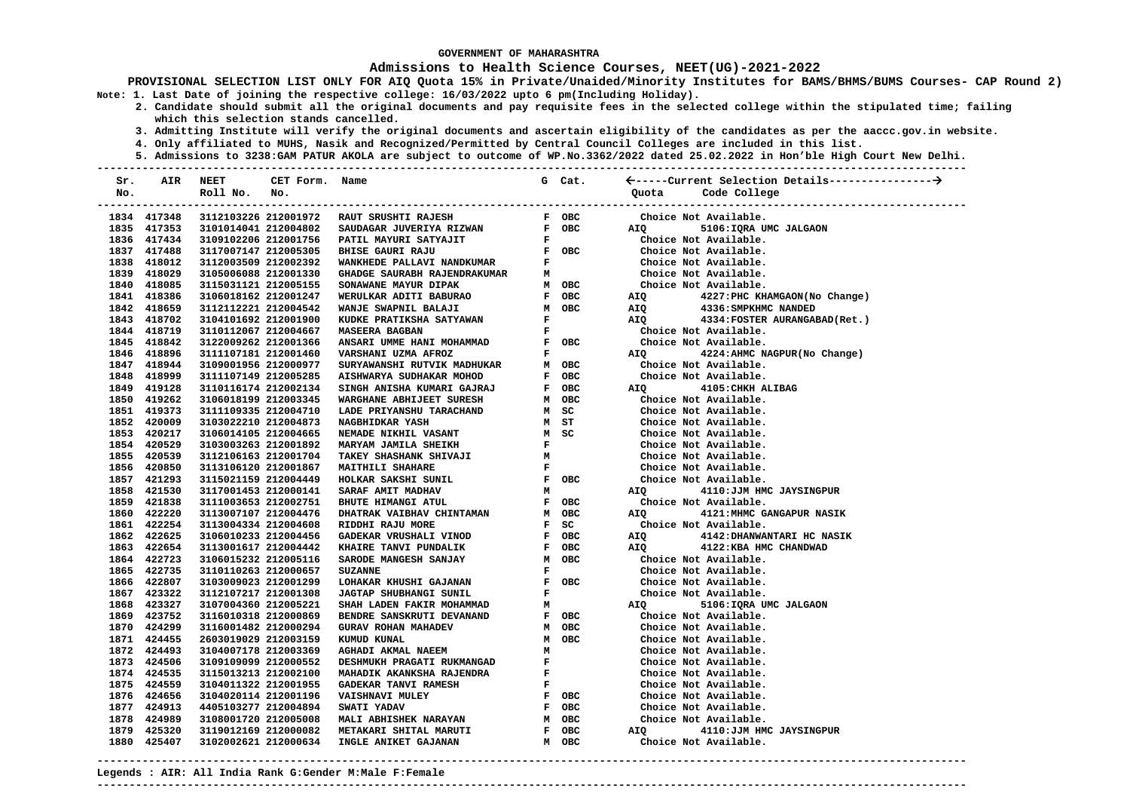### **Admissions to Health Science Courses, NEET(UG)-2021-2022**

**PROVISIONAL SELECTION LIST ONLY FOR AIQ Quota 15% in Private/Unaided/Minority Institutes for BAMS/BHMS/BUMS Courses- CAP Round 2) Note: 1. Last Date of joining the respective college: 16/03/2022 upto 6 pm(Including Holiday).** 

- **2. Candidate should submit all the original documents and pay requisite fees in the selected college within the stipulated time; failing which this selection stands cancelled.** 
	- **3. Admitting Institute will verify the original documents and ascertain eligibility of the candidates as per the aaccc.gov.in website.**
	- **4. Only affiliated to MUHS, Nasik and Recognized/Permitted by Central Council Colleges are included in this list.**
- **5. Admissions to 3238:GAM PATUR AKOLA are subject to outcome of WP.No.3362/2022 dated 25.02.2022 in Hon'ble High Court New Delhi. ---------------------------------------------------------------------------------------------------------------------------------------**

| Sr. | AIR                        | <b>NEET</b>                                  | CET Form. Name       |                                                                                                                                                   |                               | G Cat.                                    |                                                |                                                 |
|-----|----------------------------|----------------------------------------------|----------------------|---------------------------------------------------------------------------------------------------------------------------------------------------|-------------------------------|-------------------------------------------|------------------------------------------------|-------------------------------------------------|
| No. |                            | Roll No.                                     | No.                  |                                                                                                                                                   |                               |                                           | Quota                                          | Code College                                    |
|     |                            |                                              |                      |                                                                                                                                                   |                               |                                           |                                                |                                                 |
|     | 1834 417348                |                                              |                      | 3112103226 212001972 RAUT SRUSHTI RAJESH                                                                                                          |                               | F OBC                                     |                                                | Choice Not Available.                           |
|     | 1835 417353                |                                              | 3101014041 212004802 | SAUDAGAR JUVERIYA RIZWAN $F$ OBC                                                                                                                  |                               |                                           | AIQ <b>AIR</b>                                 | 5106: IQRA UMC JALGAON                          |
|     | 1836 417434                | 3109102206 212001756                         |                      | <b>PATIL MAYURI SATYAJIT F<br/>BHISE GAURI RAJU FOBC<br/>WANKHEDE PALLAVI NANDKUMAR F</b><br>GHADGE SAUDARU DI TELELIONE<br>PATIL MAYURI SATYAJIT |                               |                                           |                                                | Choice Not Available.                           |
|     | 1837 417488                | 3117007147 212005305                         |                      |                                                                                                                                                   |                               |                                           |                                                | Choice Not Available.                           |
|     | 1838 418012                | 3112003509 212002392                         |                      |                                                                                                                                                   |                               |                                           |                                                | Choice Not Available.                           |
|     | 1839 418029                | 3105006088 212001330                         |                      |                                                                                                                                                   |                               |                                           | Choice Not Available.<br>Choice Not Available. |                                                 |
|     | 1840 418085                | 3115031121 212005155                         |                      |                                                                                                                                                   |                               |                                           |                                                |                                                 |
|     | 1841 418386                | 3106018162 212001247                         |                      |                                                                                                                                                   |                               |                                           | AIQ                                            | 4227:PHC KHAMGAON(No Change)                    |
|     | 1842 418659                | 3112112221 212004542                         |                      |                                                                                                                                                   |                               |                                           | AIQ                                            | 4336: SMPKHMC NANDED                            |
|     | 1843 418702                | 3104101692 212001900                         |                      |                                                                                                                                                   |                               |                                           |                                                | AIQ 4334: FOSTER AURANGABAD (Ret.)              |
|     | 1844 418719                | 3110112067 212004667                         |                      |                                                                                                                                                   |                               |                                           |                                                | Choice Not Available.                           |
|     | 1845 418842                | 3122009262 212001366                         |                      | ${\tt ANSARI\text{\small{UMME HANI}}\text{\small{MOHAMMAD}\text{\normalsize}F\text{\normalsize}OC}}$                                              |                               |                                           |                                                | Choice Not Available.                           |
|     | 1846 418896                | 3111107181 212001460                         |                      | VARSHANI UZMA AFROZ                                                                                                                               |                               | $\mathbf{F}$ and $\mathbf{F}$             | <b>AIQ</b>                                     | 4224: AHMC NAGPUR (No Change)                   |
|     | 1847 418944                | 3109001956 212000977                         |                      | SURYAWANSHI RUTVIK MADHUKAR M OBC                                                                                                                 |                               |                                           |                                                | Choice Not Available.                           |
|     | 1848 418999                | 3111107149 212005285                         |                      | AISHWARYA SUDHAKAR MOHOD                                                                                                                          |                               | F OBC                                     |                                                | Choice Not Available.                           |
|     | 1849 419128                | 3110116174 212002134                         |                      | --<br>SINGH ANISHA KUMARI GAJRAJ<br>WARGHANE ABHIJEET SURESH                                                                                      |                               | F OBC                                     |                                                | AIQ 4105: CHKH ALIBAG                           |
|     | 1850 419262                | 3106018199 212003345                         |                      |                                                                                                                                                   |                               | M OBC                                     |                                                | Choice Not Available.                           |
|     | 1851 419373                | 3111109335 212004710                         |                      | LADE PRIYANSHU TARACHAND                                                                                                                          |                               |                                           |                                                | Choice Not Available.                           |
|     | 1852 420009                | 3103022210 212004873                         |                      | NAGBHIDKAR YASH                                                                                                                                   |                               |                                           |                                                | Choice Not Available.                           |
|     | 1853 420217                | 3106014105 212004665                         |                      | NEMADE NIKHIL VASANT                                                                                                                              |                               |                                           |                                                | Choice Not Available.                           |
|     | 1854 420529                | 3103003263 212001892                         |                      | MARYAM JAMILA SHEIKH                                                                                                                              |                               |                                           |                                                | Choice Not Available.                           |
|     | 1855 420539                | 3112106163 212001704                         |                      | <b>TAKEY SHASHANK SHIVAJI</b>                                                                                                                     |                               |                                           |                                                | Choice Not Available.                           |
|     | 1856 420850                | 3113106120 212001867                         |                      | HAND MSC<br>HAND MSC<br>MSC<br>MSC<br>MSC<br>F<br>F OBC<br>M<br>F OBC<br><b>MAITHILI SHAHARE</b>                                                  |                               |                                           |                                                | Choice Not Available.                           |
|     | 1857 421293                | 3115021159 212004449                         |                      | HOLKAR SAKSHI SUNIL                                                                                                                               |                               |                                           |                                                | Choice Not Available.                           |
|     | 1858 421530                | 3117001453 212000141                         |                      | SARAF AMIT MADHAV                                                                                                                                 |                               |                                           | <b>AIQ</b>                                     | 4110:JJM HMC JAYSINGPUR                         |
|     | 1859 421838                | 3111003653 212002751                         |                      | BHUTE HIMANGI ATUL                                                                                                                                |                               | F OBC                                     |                                                | Choice Not Available.                           |
|     | 1860 422220                | 3113007107 212004476                         |                      | DHATRAK VAIBHAV CHINTAMAN                                                                                                                         |                               | M OBC                                     | AIQ <b>AID</b>                                 | 4121: MHMC GANGAPUR NASIK                       |
|     | 1861 422254<br>1862 422625 | 3113004334 212004608                         |                      | RIDDHI RAJU MORE                                                                                                                                  |                               | $F$ SC                                    |                                                | Choice Not Available.                           |
|     | 1863 422654                | 3106010233 212004456                         |                      | GADEKAR VRUSHALI VINOD                                                                                                                            |                               | F OBC                                     | AIQ                                            | 4142: DHANWANTARI HC NASIK                      |
|     | 1864 422723                | 3113001617 212004442<br>3106015232 212005116 |                      | KHAIRE TANVI PUNDALIK<br>SARODE MANGESH SANJAY                                                                                                    |                               | F OBC<br>M OBC                            | AIQ                                            | 4122: KBA HMC CHANDWAD<br>Choice Not Available. |
|     | 1865 422735                | 3110110263 212000657                         |                      | <b>SUZANNE</b>                                                                                                                                    |                               | $\mathbf{F}$ and $\mathbf{F}$             |                                                | Choice Not Available.                           |
|     | 1866 422807                | 3103009023 212001299                         |                      | LOHAKAR KHUSHI GAJANAN                                                                                                                            |                               |                                           |                                                |                                                 |
|     | 1867 423322                | 3112107217 212001308                         |                      | $\begin{array}{cc} \textbf{F} & \textbf{OBC} \\ \textbf{F} & \end{array}$<br><b>JAGTAP SHUBHANGI SUNIL</b>                                        |                               | $\mathbf{F}$ and $\mathbf{F}$             |                                                | Choice Not Available.<br>Choice Not Available.  |
|     | 1868 423327                | 3107004360 212005221                         |                      | SHAH LADEN FAKIR MOHAMMAD                                                                                                                         |                               | M                                         |                                                | AIQ 5106:IQRA UMC JALGAON                       |
|     | 1869 423752                | 3116010318 212000869                         |                      | BENDRE SANSKRUTI DEVANAND                                                                                                                         |                               | F OBC                                     |                                                | Choice Not Available.                           |
|     | 1870 424299                | 3116001482 212000294                         |                      | GURAV ROHAN MAHADEV                                                                                                                               |                               | M OBC                                     |                                                | Choice Not Available.                           |
|     | 1871 424455                | 2603019029 212003159                         |                      | KUMUD KUNAL                                                                                                                                       |                               | M OBC                                     |                                                | Choice Not Available.                           |
|     | 1872 424493                | 3104007178 212003369                         |                      | AGHADI AKMAL NAEEM                                                                                                                                | м                             |                                           |                                                | Choice Not Available.                           |
|     | 1873 424506                | 3109109099 212000552                         |                      | DESHMUKH PRAGATI RUKMANGAD                                                                                                                        | $\mathbf{F}$                  |                                           |                                                | Choice Not Available.                           |
|     | 1874 424535                | 3115013213 212002100                         |                      | MAHADIK AKANKSHA RAJENDRA                                                                                                                         | $\mathbf{F}$ and $\mathbf{F}$ |                                           |                                                | Choice Not Available.                           |
|     | 1875 424559                | 3104011322 212001955                         |                      | GADEKAR TANVI RAMESH                                                                                                                              |                               | $\mathbf{F}^{(n)}$ and $\mathbf{F}^{(n)}$ |                                                | Choice Not Available.                           |
|     | 1876 424656                | 3104020114 212001196                         |                      | <b>VAISHNAVI MULEY</b>                                                                                                                            |                               | F OBC                                     |                                                | Choice Not Available.                           |
|     | 1877 424913                | 4405103277 212004894                         |                      | SWATI YADAV                                                                                                                                       |                               | F OBC                                     |                                                | Choice Not Available.                           |
|     | 1878 424989                | 3108001720 212005008                         |                      | <b>MALI ABHISHEK NARAYAN</b>                                                                                                                      |                               | M OBC                                     |                                                | Choice Not Available.                           |
|     | 1879 425320                | 3119012169 212000082                         |                      |                                                                                                                                                   |                               | F OBC                                     |                                                | AIQ 4110:JJM HMC JAYSINGPUR                     |
|     | 1880 425407                | 3102002621 212000634                         |                      | <b>MALI ABALISTAN MARUTI<br/>METAKARI SHITAL MARUTI<br/>INGLE ANIKET GAJANAN</b>                                                                  |                               | M OBC                                     |                                                | Choice Not Available.                           |
|     |                            |                                              |                      |                                                                                                                                                   |                               |                                           |                                                |                                                 |

**---------------------------------------------------------------------------------------------------------------------------------------**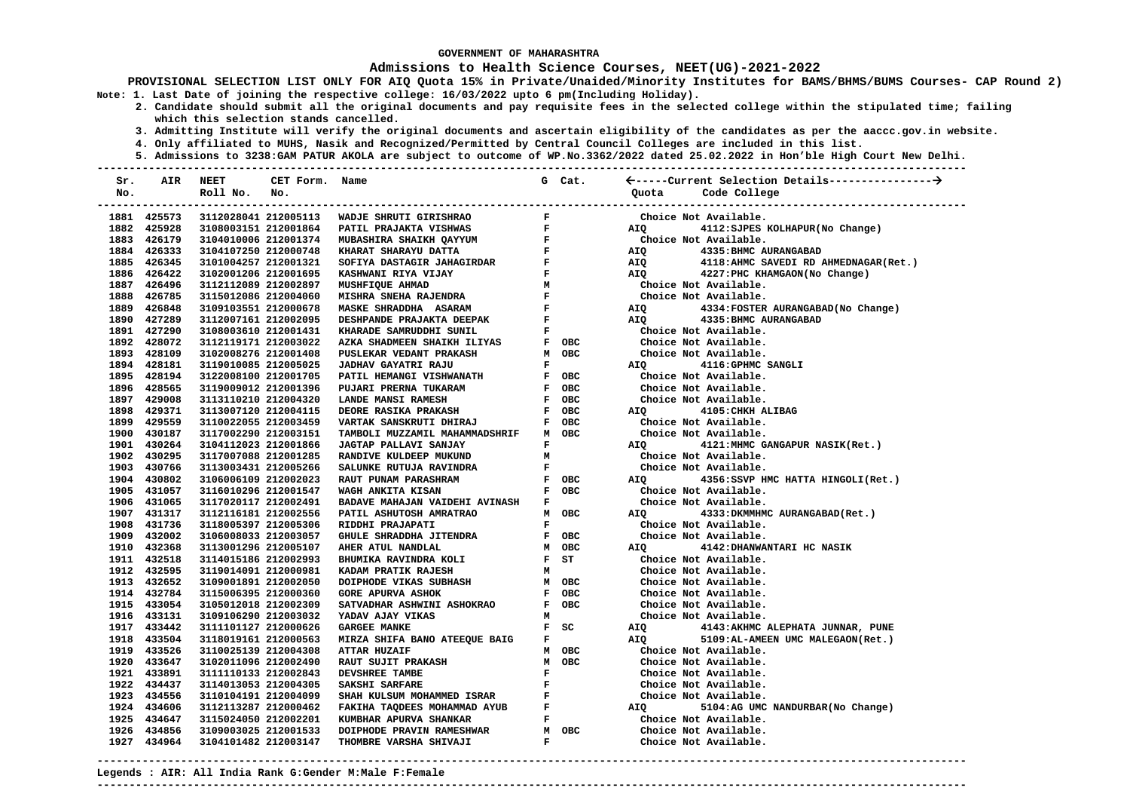### **Admissions to Health Science Courses, NEET(UG)-2021-2022**

- **2. Candidate should submit all the original documents and pay requisite fees in the selected college within the stipulated time; failing which this selection stands cancelled.** 
	- **3. Admitting Institute will verify the original documents and ascertain eligibility of the candidates as per the aaccc.gov.in website.**
	- **4. Only affiliated to MUHS, Nasik and Recognized/Permitted by Central Council Colleges are included in this list.**
- **5. Admissions to 3238:GAM PATUR AKOLA are subject to outcome of WP.No.3362/2022 dated 25.02.2022 in Hon'ble High Court New Delhi. ---------------------------------------------------------------------------------------------------------------------------------------**

| Sr. | AIR                        | <b>NEET</b>                                  | CET Form. Name       |                                                                                                                                   |              | G Cat.                                                             |                |                                                |
|-----|----------------------------|----------------------------------------------|----------------------|-----------------------------------------------------------------------------------------------------------------------------------|--------------|--------------------------------------------------------------------|----------------|------------------------------------------------|
| No. |                            | Roll No.                                     | No.                  |                                                                                                                                   |              |                                                                    | Ouota          | Code College                                   |
|     |                            |                                              |                      |                                                                                                                                   |              |                                                                    |                |                                                |
|     | 1881 425573                |                                              |                      | 3112028041 212005113 WADJE SHRUTI GIRISHRAO                                                                                       |              |                                                                    |                | Choice Not Available.                          |
|     | 1882 425928                |                                              | 3108003151 212001864 |                                                                                                                                   |              |                                                                    | AIQ            | 4112: SJPES KOLHAPUR (No Change)               |
|     | 1883 426179                | 3104010006 212001374                         |                      |                                                                                                                                   |              |                                                                    |                | Choice Not Available.                          |
|     | 1884 426333                | 3104107250 212000748                         |                      |                                                                                                                                   |              |                                                                    | AIQ            | 4335: BHMC AURANGABAD                          |
|     | 1885 426345                | 3101004257 212001321                         |                      |                                                                                                                                   |              |                                                                    | AIQ            | 4118: AHMC SAVEDI RD AHMEDNAGAR (Ret.)         |
|     | 1886 426422                | 3102001206 212001695                         |                      |                                                                                                                                   |              |                                                                    |                | AIQ 4227: PHC KHAMGAON (No Change)             |
|     | 1887 426496                | 3112112089 212002897                         |                      |                                                                                                                                   |              | F<br>M<br>M<br>Choice Not Available.<br>F<br>Choice Not Available. |                |                                                |
|     | 1888 426785                | 3115012086 212004060                         |                      |                                                                                                                                   |              |                                                                    | Choic<br>AIQ   |                                                |
|     | 1889 426848                | 3109103551 212000678                         |                      |                                                                                                                                   |              |                                                                    |                | 4334: FOSTER AURANGABAD (No Change)            |
|     | 1890 427289                | 3112007161 212002095                         |                      | DESHPANDE PRAJAKTA DEEPAK F<br>KHARADE SAMRUDDHI SUNIL F                                                                          |              |                                                                    | AIQ            | 4335: BHMC AURANGABAD                          |
|     | 1891 427290                | 3108003610 212001431                         |                      |                                                                                                                                   |              |                                                                    |                | Choice Not Available.                          |
|     | 1892 428072                | 3112119171 212003022                         |                      | ${\bf AZKA\,\,\, SHADMEEN\,\,\, SHAIKH\,\,\, ILIYAS\,\,\,} \qquad {\bf F\,\,\,OBC}$ PUSLEKAR VEDANT PRAKASH ${\bf M\,\,\,}$ OBC   |              |                                                                    |                | Choice Not Available.                          |
|     | 1893 428109                | 3102008276 212001408                         |                      |                                                                                                                                   |              |                                                                    |                | Choice Not Available.                          |
|     | 1894 428181                | 3119010085 212005025                         |                      | JADHAV GAYATRI RAJU                                                                                                               | $\mathbf{F}$ |                                                                    | AIO            | 4116:GPHMC SANGLI                              |
|     | 1895 428194                | 3122008100 212001705                         |                      |                                                                                                                                   |              | F OBC                                                              |                | Choice Not Available.                          |
|     | 1896 428565                | 3119009012 212001396                         |                      |                                                                                                                                   |              | F OBC                                                              |                | Choice Not Available.                          |
|     | 1897 429008                | 3113110210 212004320                         |                      | <b>JADIAN GAIAIRI KAJO<br/>PATIL HEMANGI VISHWANATH<br/>PUJARI PRERNA TUKARAM<br/>LANDE MANSI RAMESH<br/>DEORE RASIKA PRAKASH</b> |              | F OBC                                                              |                | Choice Not Available.                          |
|     | 1898 429371                | 3113007120 212004115                         |                      |                                                                                                                                   |              | F OBC                                                              | <b>AIQ</b>     | 4105: CHKH ALIBAG                              |
|     | 1899 429559                | 3110022055 212003459                         |                      | VARTAK SANSKRUTI DHIRAJ                                                                                                           |              | F OBC                                                              |                | Choice Not Available.                          |
|     | 1900 430187                | 3117002290 212003151                         |                      | TAMBOLI MUZZAMIL MAHAMMADSHRIF                                                                                                    |              | M OBC                                                              |                | Choice Not Available.                          |
|     | 1901 430264                | 3104112023 212001866                         |                      | JAGTAP PALLAVI SANJAY                                                                                                             | $\mathbf{F}$ |                                                                    | AIQ <b>AIR</b> | 4121: MHMC GANGAPUR NASIK (Ret.)               |
|     | 1902 430295                | 3117007088 212001285                         |                      | RANDIVE KULDEEP MUKUND                                                                                                            | M            |                                                                    |                | Choice Not Available.                          |
|     | 1903 430766                | 3113003431 212005266                         |                      | SALUNKE RUTUJA RAVINDRA                                                                                                           | $\mathbf{F}$ |                                                                    |                | Choice Not Available.                          |
|     | 1904 430802                | 3106006109 212002023                         |                      | RAUT PUNAM PARASHRAM                                                                                                              |              | F OBC                                                              | AIQ Q          | 4356:SSVP HMC HATTA HINGOLI(Ret.)              |
|     | 1905 431057                | 3116010296 212001547                         |                      | WAGH ANKITA KISAN                                                                                                                 |              | F OBC                                                              |                | Choice Not Available.                          |
|     | 1906 431065                | 3117020117 212002491                         |                      | BADAVE MAHAJAN VAIDEHI AVINASH F                                                                                                  |              |                                                                    |                | Choice Not Available.                          |
|     | 1907 431317                | 3112116181 212002556                         |                      | PATIL ASHUTOSH AMRATRAO                                                                                                           |              | M OBC                                                              | AIO <b>Aio</b> | 4333: DKMMHMC AURANGABAD (Ret.)                |
|     | 1908 431736                | 3118005397 212005306                         |                      | RIDDHI PRAJAPATI<br>GHULE SHRADDHA JITENDRA                                                                                       | $\mathbf{F}$ |                                                                    |                | Choice Not Available.                          |
|     | 1909 432002                | 3106008033 212003057                         |                      |                                                                                                                                   |              | F OBC                                                              |                | Choice Not Available.                          |
|     | 1910 432368                | 3113001296 212005107                         |                      |                                                                                                                                   |              |                                                                    | AIQ            | 4142:DHANWANTARI HC NASIK                      |
|     | 1911 432518                | 3114015186 212002993                         |                      |                                                                                                                                   |              |                                                                    |                | Choice Not Available.                          |
|     | 1912 432595                | 3119014091 212000981                         |                      | AHER ATUL NANDLAL MODE BHUMIKA RAVINDRA KOLI F ST KADAM PRATIK RAJESH M OBC COPPHODE VIKAS SUBHASH M OBC                          |              |                                                                    |                | Choice Not Available.                          |
|     | 1913 432652                | 3109001891 212002050                         |                      |                                                                                                                                   |              |                                                                    |                | Choice Not Available.                          |
|     | 1914 432784                | 3115006395 212000360                         |                      | <b>GORE APURVA ASHOK</b>                                                                                                          |              | F OBC                                                              |                | Choice Not Available.                          |
|     | 1915 433054                | 3105012018 212002309                         |                      | SATVADHAR ASHWINI ASHOKRAO                                                                                                        |              | F OBC                                                              |                | Choice Not Available.                          |
|     | 1916 433131                | 3109106290 212003032                         |                      | YADAV AJAY VIKAS                                                                                                                  | M            |                                                                    |                | Choice Not Available.                          |
|     | 1917 433442<br>1918 433504 | 3111101127 212000626                         |                      | <b>GARGEE MANKE</b>                                                                                                               |              | $F$ SC                                                             | AIQ<br>AIQ     | 4143:AKHMC ALEPHATA JUNNAR, PUNE               |
|     | 1919 433526                | 3118019161 212000563<br>3110025139 212004308 |                      | MIRZA SHIFA BANO ATEEQUE BAIG<br><b>ATTAR HUZAIF</b>                                                                              |              | $\mathbf{F}$ and $\mathbf{F}$<br>M OBC                             |                | 5109:AL-AMEEN UMC MALEGAON(Ret.)               |
|     | 1920 433647                | 3102011096 212002490                         |                      |                                                                                                                                   |              |                                                                    |                | Choice Not Available.<br>Choice Not Available. |
|     | 1921 433891                | 3111110133 212002843                         |                      |                                                                                                                                   |              |                                                                    |                |                                                |
|     | 1922 434437                | 3114013053 212004305                         |                      |                                                                                                                                   |              |                                                                    |                | Choice Not Available.<br>Choice Not Available. |
|     | 1923 434556                | 3110104191 212004099                         |                      |                                                                                                                                   |              |                                                                    |                | Choice Not Available.                          |
|     | 1924 434606                | 3112113287 212000462                         |                      |                                                                                                                                   |              |                                                                    | AIQ<br>AIQ     | 5104:AG UMC NANDURBAR (No Change)              |
|     | 1925 434647                | 3115024050 212002201                         |                      |                                                                                                                                   |              |                                                                    |                | Choice Not Available.                          |
|     | 1926 434856                | 3109003025 212001533                         |                      | DOIPHODE PRAVIN RAMESHWAR                                                                                                         |              | M OBC                                                              |                | Choice Not Available.                          |
|     | 1927 434964                | 3104101482 212003147                         |                      | THOMBRE VARSHA SHIVAJI                                                                                                            | $\mathbf F$  |                                                                    |                | Choice Not Available.                          |
|     |                            |                                              |                      |                                                                                                                                   |              |                                                                    |                |                                                |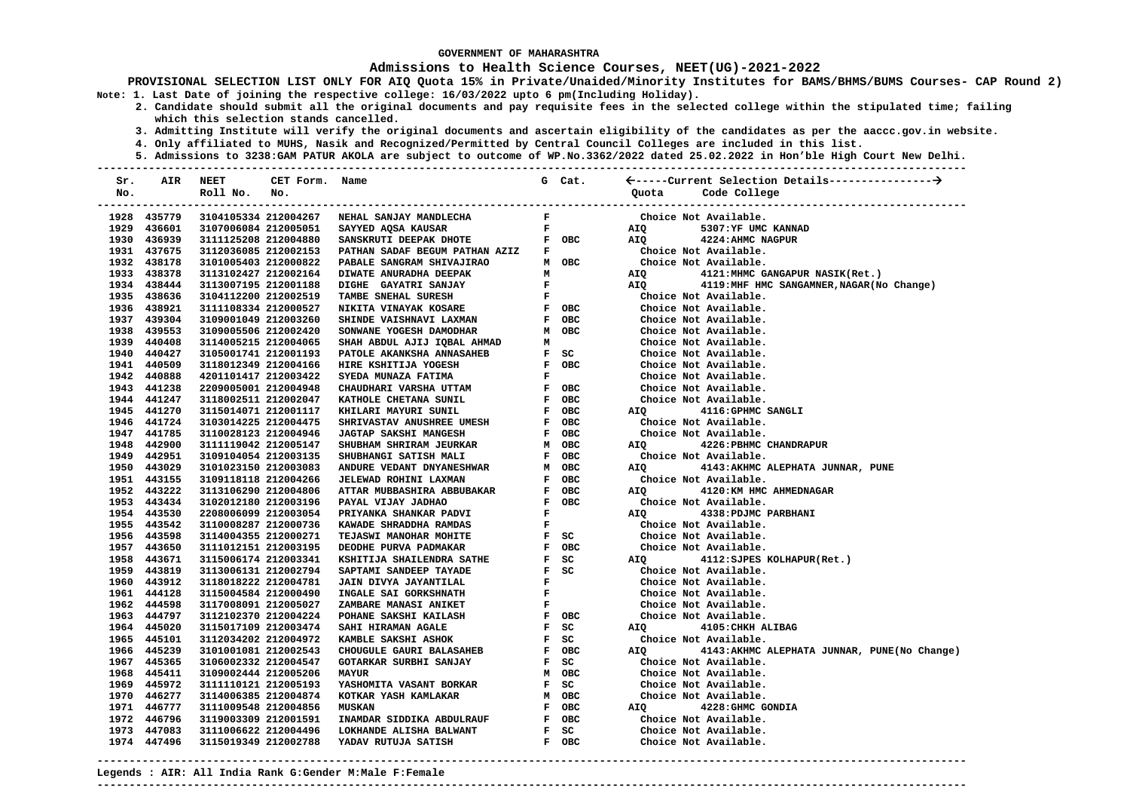### **Admissions to Health Science Courses, NEET(UG)-2021-2022**

**PROVISIONAL SELECTION LIST ONLY FOR AIQ Quota 15% in Private/Unaided/Minority Institutes for BAMS/BHMS/BUMS Courses- CAP Round 2) Note: 1. Last Date of joining the respective college: 16/03/2022 upto 6 pm(Including Holiday).** 

- **2. Candidate should submit all the original documents and pay requisite fees in the selected college within the stipulated time; failing which this selection stands cancelled.** 
	- **3. Admitting Institute will verify the original documents and ascertain eligibility of the candidates as per the aaccc.gov.in website.**
	- **4. Only affiliated to MUHS, Nasik and Recognized/Permitted by Central Council Colleges are included in this list.**
- **5. Admissions to 3238:GAM PATUR AKOLA are subject to outcome of WP.No.3362/2022 dated 25.02.2022 in Hon'ble High Court New Delhi. ---------------------------------------------------------------------------------------------------------------------------------------**

| Sr. | AIR         | <b>NEET</b>          | CET Form. Name |                                                                                                                                                                                                                                              |                               | G Cat. |                                                       |
|-----|-------------|----------------------|----------------|----------------------------------------------------------------------------------------------------------------------------------------------------------------------------------------------------------------------------------------------|-------------------------------|--------|-------------------------------------------------------|
| No. |             | Roll No.             | No.            |                                                                                                                                                                                                                                              |                               |        | Quota Code College                                    |
|     |             |                      |                |                                                                                                                                                                                                                                              |                               |        |                                                       |
|     | 1928 435779 |                      |                | 3104105334 212004267 NEHAL SANJAY MANDLECHA                                                                                                                                                                                                  | $\mathbf{F}$ and $\mathbf{F}$ |        | Choice Not Available.                                 |
|     | 1929 436601 | 3107006084 212005051 |                | $\mathbf{F}$<br>SAYYED AQSA KAUSAR                                                                                                                                                                                                           |                               |        | AIQ Q<br>5307:YF UMC KANNAD                           |
|     | 1930 436939 | 3111125208 212004880 |                | SANSKRUTI DEEPAK DHOTE F OBC                                                                                                                                                                                                                 |                               |        | AIO<br>4224:AHMC NAGPUR                               |
|     | 1931 437675 | 3112036085 212002153 |                | PATHAN SADAF BEGUM PATHAN AZIZ F                                                                                                                                                                                                             |                               |        |                                                       |
|     | 1932 438178 | 3101005403 212000822 |                | PABALE SANGRAM SHIVAJIRAO MARINE ANGRAM SHIVAJIRAO MOBC<br>DIWATE ANGRAM SHIVAJIRAO MOBC<br>DIGHE GAYATRI SANJAY F<br>TAMBE SNEHAL SURESH F OBC<br>NILITA VINAYAK KOSARE F OBC<br>SUINTA VINAYAK KOSARE F OBC                                |                               |        | Choice Not Available.<br>Choice Not Available.        |
|     | 1933 438378 | 3113102427 212002164 |                |                                                                                                                                                                                                                                              |                               |        | AIQ 4121: MHMC GANGAPUR NASIK (Ret.)                  |
|     | 1934 438444 | 3113007195 212001188 |                |                                                                                                                                                                                                                                              |                               |        | AIQ 4119: MHF HMC SANGAMNER, NAGAR (No Change)        |
|     | 1935 438636 | 3104112200 212002519 |                |                                                                                                                                                                                                                                              |                               |        | Choice Not Available.                                 |
|     | 1936 438921 | 3111108334 212000527 |                |                                                                                                                                                                                                                                              |                               |        | Choice Not Available.                                 |
|     | 1937 439304 | 3109001049 212003260 |                |                                                                                                                                                                                                                                              |                               | F OBC  | Choice Not Available.                                 |
|     | 1938 439553 | 3109005506 212002420 |                | SHINDE VAISHNAVI LAXMAN<br>SONWANE YOGESH DAMODHAR                                                                                                                                                                                           |                               | M OBC  | Choice Not Available.                                 |
|     | 1939 440408 | 3114005215 212004065 |                |                                                                                                                                                                                                                                              |                               |        | Choice Not Available.                                 |
|     | 1940 440427 | 3105001741 212001193 |                | SHAH ABDUL AJIJ IQBAL AHMAD M<br>PATOLE AKANKSHA ANNASAHEB F SC                                                                                                                                                                              |                               |        | Choice Not Available.                                 |
|     | 1941 440509 | 3118012349 212004166 |                |                                                                                                                                                                                                                                              |                               |        | Choice Not Available.                                 |
|     | 1942 440888 | 4201101417 212003422 |                |                                                                                                                                                                                                                                              |                               |        | Choice Not Available.                                 |
|     | 1943 441238 | 2209005001 212004948 |                |                                                                                                                                                                                                                                              |                               |        | Choice Not Available.                                 |
|     | 1944 441247 | 3118002511 212002047 |                |                                                                                                                                                                                                                                              |                               |        | Choice Not Available.                                 |
|     | 1945 441270 | 3115014071 212001117 |                |                                                                                                                                                                                                                                              |                               |        | 4116: GPHMC SANGLI<br>AIQ DIRECTION AND ATTACK AND A  |
|     | 1946 441724 | 3103014225 212004475 |                |                                                                                                                                                                                                                                              |                               |        | Choice Not Available.                                 |
|     | 1947 441785 | 3110028123 212004946 |                |                                                                                                                                                                                                                                              |                               |        | Choice Not Available.                                 |
|     | 1948 442900 | 3111119042 212005147 |                |                                                                                                                                                                                                                                              |                               |        | AIQ<br>4226:PBHMC CHANDRAPUR                          |
|     | 1949 442951 | 3109104054 212003135 |                |                                                                                                                                                                                                                                              |                               |        | Choice Not Available.                                 |
|     | 1950 443029 | 3101023150 212003083 |                | SHUBHAN SHRIRAM JEURKAR MOBC<br>SHUBHANGI SATISH MALI MOBC<br>SHUBHANGI SATISH MALI FOBC<br>ANDURE VEDANT DNYANESHWAR MOBC<br>JELEWAD ROHINI LAXMAN FOBC<br>ATTAR MUBBASHIRA ABBUBAKAR FOBC<br>PAYAL VIJAY JADHAO FOBC<br>PRYAL VIJAY JADHAO |                               |        | AIQ 4143:AKHMC ALEPHATA JUNNAR, PUNE                  |
|     | 1951 443155 | 3109118118 212004266 |                |                                                                                                                                                                                                                                              |                               |        | Choice Not Available.                                 |
|     | 1952 443222 | 3113106290 212004806 |                |                                                                                                                                                                                                                                              |                               |        | AIQ<br>4120:KM HMC AHMEDNAGAR                         |
|     | 1953 443434 | 3102012180 212003196 |                |                                                                                                                                                                                                                                              |                               |        | Choice Not Available.                                 |
|     | 1954 443530 | 2208006099 212003054 |                |                                                                                                                                                                                                                                              |                               |        | AIQ DESCRIPTION OF A STR.<br>4338: PDJMC PARBHANI     |
|     | 1955 443542 | 3110008287 212000736 |                | KAWADE SHRADDHA RAMDAS<br>$\begin{array}{cc} \mathbf{F} \\ \mathbf{F} \end{array}$ SC                                                                                                                                                        |                               |        | Choice Not Available.                                 |
|     | 1956 443598 | 3114004355 212000271 |                | TEJASWI MANOHAR MOHITE                                                                                                                                                                                                                       |                               |        | Choice Not Available.<br>Choice Not Available.        |
|     | 1957 443650 | 3111012151 212003195 |                |                                                                                                                                                                                                                                              |                               |        |                                                       |
|     | 1958 443671 | 3115006174 212003341 |                |                                                                                                                                                                                                                                              |                               |        | AIQ 4112: SJPES KOLHAPUR (Ret.)                       |
|     | 1959 443819 | 3113006131 212002794 |                |                                                                                                                                                                                                                                              |                               |        | Choice Not Available.                                 |
|     | 1960 443912 | 3118018222 212004781 |                |                                                                                                                                                                                                                                              |                               |        | Choice Not Available.                                 |
|     | 1961 444128 | 3115004584 212000490 |                |                                                                                                                                                                                                                                              |                               |        | Choice Not Available.                                 |
|     | 1962 444598 | 3117008091 212005027 |                | ENGINEE PURVA PADMAKAR (FRAMER) FOR SESPECTION SHAFTLESS ARTHER FRAME RATE SAPERATION CONTRACT SAMPLES AND DUTE SAMPLES AND THE SAMPLES OF SAMPLES AND SAMPLES AND SAMPLES AND SAMPLES AND SAMPLES AND SAMPLES AND SAMPLES AND               |                               |        | Choice Not Available.                                 |
|     | 1963 444797 | 3112102370 212004224 |                |                                                                                                                                                                                                                                              |                               |        | Choice Not Available.                                 |
|     | 1964 445020 | 3115017109 212003474 |                |                                                                                                                                                                                                                                              |                               |        | AIQ 4105: CHKH ALIBAG                                 |
|     | 1965 445101 | 3112034202 212004972 |                |                                                                                                                                                                                                                                              |                               |        | Choice Not Available.                                 |
|     | 1966 445239 | 3101001081 212002543 |                | CHOUGULE GAURI BALASAHEB                                                                                                                                                                                                                     |                               | F OBC  | AIQ Q<br>4143: AKHMC ALEPHATA JUNNAR, PUNE(No Change) |
|     | 1967 445365 | 3106002332 212004547 |                | GOTARKAR SURBHI SANJAY                                                                                                                                                                                                                       |                               | F SC   | Choice Not Available.                                 |
|     | 1968 445411 | 3109002444 212005206 |                | <b>MAYUR</b>                                                                                                                                                                                                                                 |                               | M OBC  | Choice Not Available.                                 |
|     | 1969 445972 | 3111110121 212005193 |                | YASHOMITA VASANT BORKAR                                                                                                                                                                                                                      |                               | F SC   | Choice Not Available.                                 |
|     | 1970 446277 | 3114006385 212004874 |                | KOTKAR YASH KAMLAKAR                                                                                                                                                                                                                         |                               | M OBC  | Choice Not Available.                                 |
|     | 1971 446777 | 3111009548 212004856 |                | <b>MUSKAN</b>                                                                                                                                                                                                                                |                               | F OBC  | AIQ 4228: GHMC GONDIA                                 |
|     | 1972 446796 | 3119003309 212001591 |                | INAMDAR SIDDIKA ABDULRAUF F OBC                                                                                                                                                                                                              |                               |        | Choice Not Available.                                 |
|     | 1973 447083 | 3111006622 212004496 |                |                                                                                                                                                                                                                                              |                               |        | Choice Not Available.                                 |
|     | 1974 447496 | 3115019349 212002788 |                | YADAV RUTUJA SATISH                                                                                                                                                                                                                          |                               |        | Choice Not Available.                                 |
|     |             |                      |                |                                                                                                                                                                                                                                              |                               |        |                                                       |

**Legends : AIR: All India Rank G:Gender M:Male F:Female ---------------------------------------------------------------------------------------------------------------------------------------**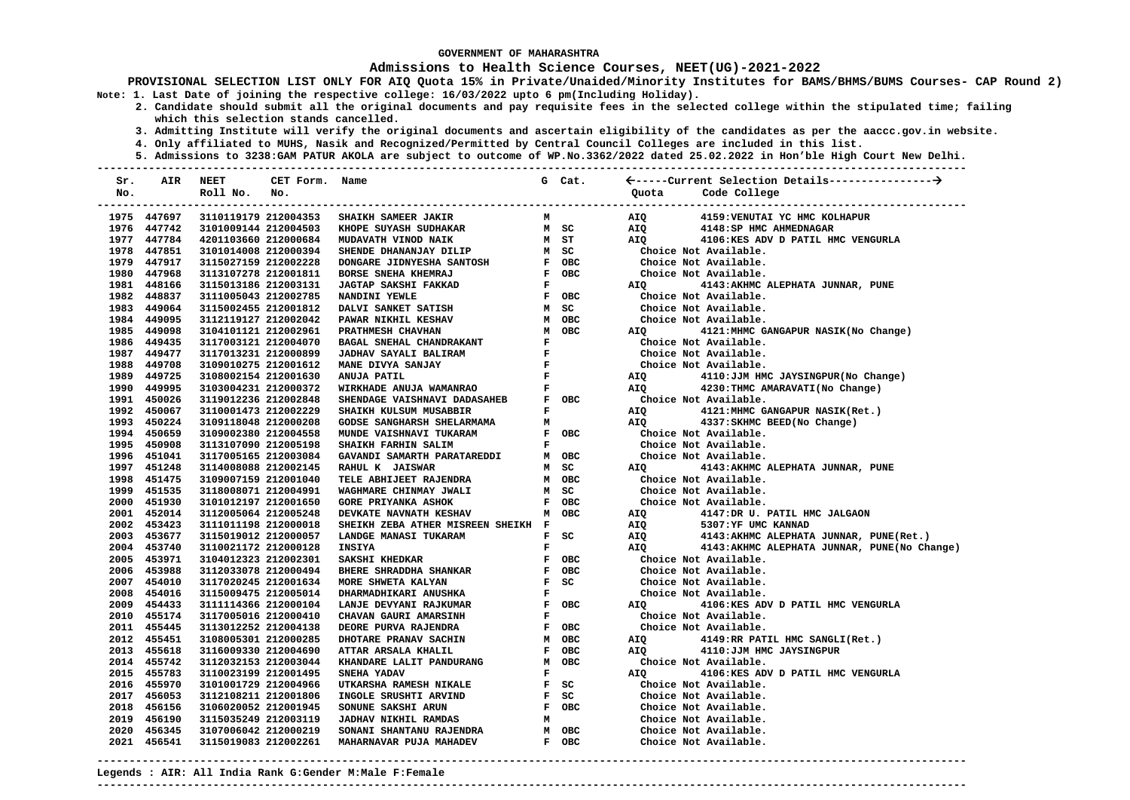### **Admissions to Health Science Courses, NEET(UG)-2021-2022**

**PROVISIONAL SELECTION LIST ONLY FOR AIQ Quota 15% in Private/Unaided/Minority Institutes for BAMS/BHMS/BUMS Courses- CAP Round 2) Note: 1. Last Date of joining the respective college: 16/03/2022 upto 6 pm(Including Holiday).** 

- **2. Candidate should submit all the original documents and pay requisite fees in the selected college within the stipulated time; failing which this selection stands cancelled.** 
	- **3. Admitting Institute will verify the original documents and ascertain eligibility of the candidates as per the aaccc.gov.in website.**
	- **4. Only affiliated to MUHS, Nasik and Recognized/Permitted by Central Council Colleges are included in this list.**
	- **5. Admissions to 3238:GAM PATUR AKOLA are subject to outcome of WP.No.3362/2022 dated 25.02.2022 in Hon'ble High Court New Delhi.**

| Sr. | AIR         | <b>NEET</b>          | CET Form. Name |                                    |              | G Cat.                        |       |                                              |
|-----|-------------|----------------------|----------------|------------------------------------|--------------|-------------------------------|-------|----------------------------------------------|
| No. |             | Roll No.             | No.            |                                    |              |                               | Ouota | Code College                                 |
|     |             |                      |                |                                    |              |                               |       |                                              |
|     | 1975 447697 | 3110119179 212004353 |                | SHAIKH SAMEER JAKIR                | м            |                               | AIQ   | 4159: VENUTAI YC HMC KOLHAPUR                |
|     | 1976 447742 | 3101009144 212004503 |                | KHOPE SUYASH SUDHAKAR              |              | M SC                          | AIQ   | 4148: SP HMC AHMEDNAGAR                      |
|     | 1977 447784 | 4201103660 212000684 |                | MUDAVATH VINOD NAIK                |              | M ST                          | AIQ   | 4106:KES ADV D PATIL HMC VENGURLA            |
|     | 1978 447851 | 3101014008 212000394 |                | SHENDE DHANANJAY DILIP             |              | M SC                          |       | Choice Not Available.                        |
|     | 1979 447917 | 3115027159 212002228 |                | DONGARE JIDNYESHA SANTOSH          |              | F OBC                         |       | Choice Not Available.                        |
|     | 1980 447968 | 3113107278 212001811 |                | BORSE SNEHA KHEMRAJ                |              | F OBC                         |       | Choice Not Available.                        |
|     | 1981 448166 | 3115013186 212003131 |                | JAGTAP SAKSHI FAKKAD               | $\mathbf{F}$ |                               | AIQ   | 4143: AKHMC ALEPHATA JUNNAR, PUNE            |
|     | 1982 448837 | 3111005043 212002785 |                | NANDINI YEWLE                      |              | F OBC                         |       | Choice Not Available.                        |
|     | 1983 449064 | 3115002455 212001812 |                | DALVI SANKET SATISH                |              | M SC                          |       | Choice Not Available.                        |
|     | 1984 449095 | 3112119127 212002042 |                | PAWAR NIKHIL KESHAV                |              | M OBC                         |       | Choice Not Available.                        |
|     | 1985 449098 | 3104101121 212002961 |                | PRATHMESH CHAVHAN                  |              | M OBC                         | AIQ   | 4121: MHMC GANGAPUR NASIK (No Change)        |
|     | 1986 449435 | 3117003121 212004070 |                | BAGAL SNEHAL CHANDRAKANT           | $\mathbf{F}$ |                               |       | Choice Not Available.                        |
|     | 1987 449477 | 3117013231 212000899 |                | JADHAV SAYALI BALIRAM              | $\mathbf{F}$ |                               |       | Choice Not Available.                        |
|     | 1988 449708 | 3109010275 212001612 |                | MANE DIVYA SANJAY                  | $\mathbf{F}$ |                               |       | Choice Not Available.                        |
|     | 1989 449725 | 3108002154 212001630 |                | ANUJA PATIL                        | $\mathbf{F}$ |                               | AIQ   | 4110:JJM HMC JAYSINGPUR(No Change)           |
|     | 1990 449995 | 3103004231 212000372 |                | WIRKHADE ANUJA WAMANRAO            | $\mathbf{F}$ |                               | AIQ   | 4230: THMC AMARAVATI (No Change)             |
|     | 1991 450026 | 3119012236 212002848 |                | SHENDAGE VAISHNAVI DADASAHEB       |              | F OBC                         |       | Choice Not Available.                        |
|     | 1992 450067 | 3110001473 212002229 |                | SHAIKH KULSUM MUSABBIR             | F            |                               | AIQ   | 4121: MHMC GANGAPUR NASIK (Ret.)             |
|     | 1993 450224 | 3109118048 212000208 |                | GODSE SANGHARSH SHELARMAMA         | м            |                               | AIO   | 4337: SKHMC BEED (No Change)                 |
|     | 1994 450659 | 3109002380 212004558 |                | MUNDE VAISHNAVI TUKARAM            |              | F OBC                         |       | Choice Not Available.                        |
|     | 1995 450908 | 3113107090 212005198 |                | SHAIKH FARHIN SALIM                |              | $\mathbf{F}$ and $\mathbf{F}$ |       | Choice Not Available.                        |
|     | 1996 451041 | 3117005165 212003084 |                | GAVANDI SAMARTH PARATAREDDI        |              | M OBC                         |       | Choice Not Available.                        |
|     | 1997 451248 | 3114008088 212002145 |                | RAHUL K JAISWAR                    |              | M SC                          | AIQ   | 4143: AKHMC ALEPHATA JUNNAR, PUNE            |
|     | 1998 451475 | 3109007159 212001040 |                | TELE ABHIJEET RAJENDRA             |              | M OBC                         |       | Choice Not Available.                        |
|     | 1999 451535 | 3118008071 212004991 |                | WAGHMARE CHINMAY JWALI             |              | M SC                          |       | Choice Not Available.                        |
|     | 2000 451930 | 3101012197 212001650 |                | <b>GORE PRIYANKA ASHOK</b>         |              | F OBC                         |       | Choice Not Available.                        |
|     | 2001 452014 | 3112005064 212005248 |                | DEVKATE NAVNATH KESHAV             |              | M OBC                         | AIQ   | 4147:DR U. PATIL HMC JALGAON                 |
|     | 2002 453423 | 3111011198 212000018 |                | SHEIKH ZEBA ATHER MISREEN SHEIKH F |              |                               | AIQ   | 5307:YF UMC KANNAD                           |
|     | 2003 453677 | 3115019012 212000057 |                | LANDGE MANASI TUKARAM              |              | F SC                          | AIQ   | 4143:AKHMC ALEPHATA JUNNAR, PUNE(Ret.)       |
|     | 2004 453740 | 3110021172 212000128 |                | <b>INSIYA</b>                      | F            |                               | AIQ   | 4143: AKHMC ALEPHATA JUNNAR, PUNE(No Change) |
|     | 2005 453971 | 3104012323 212002301 |                | SAKSHI KHEDKAR                     |              | F OBC                         |       | Choice Not Available.                        |
|     | 2006 453988 | 3112033078 212000494 |                | BHERE SHRADDHA SHANKAR             |              | F OBC                         |       | Choice Not Available.                        |
|     | 2007 454010 | 3117020245 212001634 |                | MORE SHWETA KALYAN                 |              | $F$ SC                        |       | Choice Not Available.                        |
|     | 2008 454016 | 3115009475 212005014 |                | DHARMADHIKARI ANUSHKA              | $\mathbf{F}$ |                               |       | Choice Not Available.                        |
|     | 2009 454433 | 3111114366 212000104 |                | LANJE DEVYANI RAJKUMAR             |              | F OBC                         | AIQ   | 4106:KES ADV D PATIL HMC VENGURLA            |
|     | 2010 455174 | 3117005016 212000410 |                | CHAVAN GAURI AMARSINH              | $\mathbf{F}$ |                               |       | Choice Not Available.                        |
|     | 2011 455445 | 3113012252 212004138 |                | DEORE PURVA RAJENDRA               |              | F OBC                         |       | Choice Not Available.                        |
|     | 2012 455451 | 3108005301 212000285 |                | DHOTARE PRANAV SACHIN              |              | M OBC                         | AIQ   | 4149:RR PATIL HMC SANGLI(Ret.)               |
|     | 2013 455618 | 3116009330 212004690 |                | ATTAR ARSALA KHALIL                |              | F OBC                         | AIO   | 4110:JJM HMC JAYSINGPUR                      |
|     | 2014 455742 | 3112032153 212003044 |                | KHANDARE LALIT PANDURANG           |              | M OBC                         |       | Choice Not Available.                        |
|     | 2015 455783 | 3110023199 212001495 |                | SNEHA YADAV                        | ${\bf F}$    |                               | AIO   | 4106:KES ADV D PATIL HMC VENGURLA            |
|     | 2016 455970 | 3101001729 212004966 |                | UTKARSHA RAMESH NIKALE             |              | F SC                          |       | Choice Not Available.                        |
|     | 2017 456053 | 3112108211 212001806 |                | INGOLE SRUSHTI ARVIND              |              | F SC                          |       | Choice Not Available.                        |
|     | 2018 456156 | 3106020052 212001945 |                | SONUNE SAKSHI ARUN                 |              | F OBC                         |       | Choice Not Available.                        |
|     | 2019 456190 | 3115035249 212003119 |                | JADHAV NIKHIL RAMDAS               | M            |                               |       | Choice Not Available.                        |
|     | 2020 456345 | 3107006042 212000219 |                | SONANI SHANTANU RAJENDRA           |              | M OBC                         |       | Choice Not Available.                        |
|     | 2021 456541 | 3115019083 212002261 |                | MAHARNAVAR PUJA MAHADEV            |              | F OBC                         |       | Choice Not Available.                        |
|     |             |                      |                |                                    |              |                               |       |                                              |

**---------------------------------------------------------------------------------------------------------------------------------------**

**Legends : AIR: All India Rank G:Gender M:Male F:Female**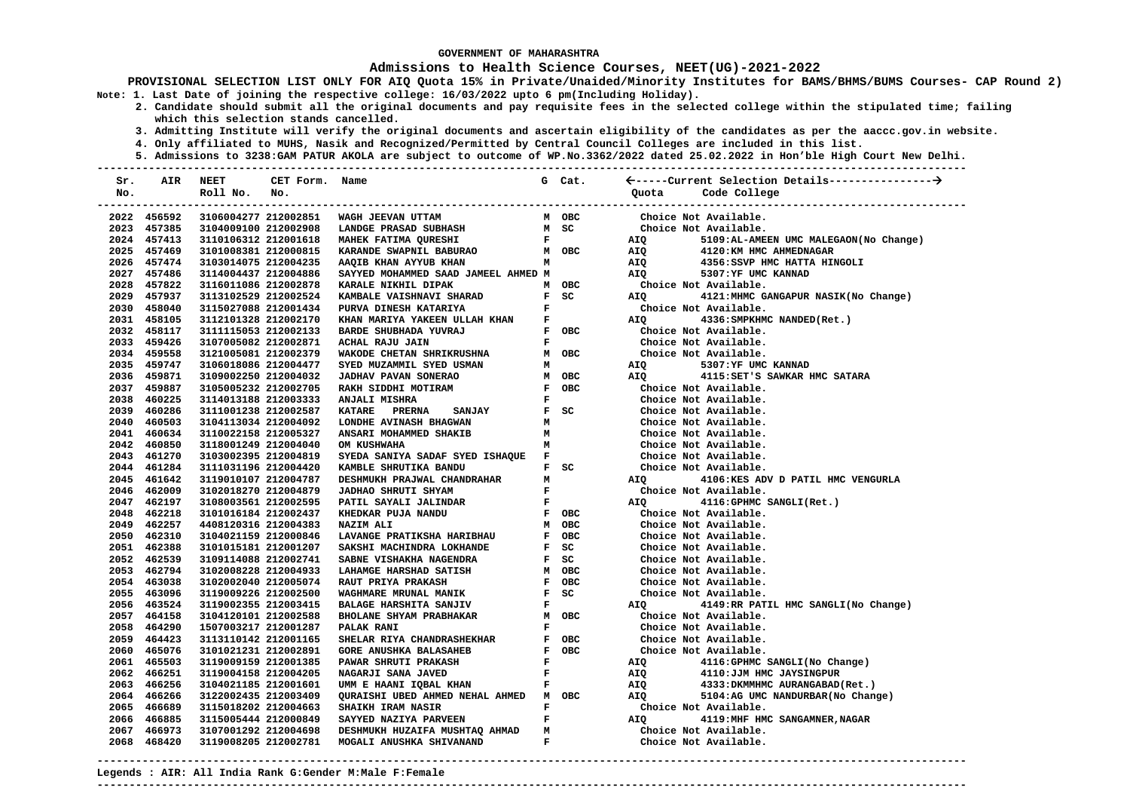#### **Admissions to Health Science Courses, NEET(UG)-2021-2022**

**PROVISIONAL SELECTION LIST ONLY FOR AIQ Quota 15% in Private/Unaided/Minority Institutes for BAMS/BHMS/BUMS Courses- CAP Round 2) Note: 1. Last Date of joining the respective college: 16/03/2022 upto 6 pm(Including Holiday).** 

- **2. Candidate should submit all the original documents and pay requisite fees in the selected college within the stipulated time; failing which this selection stands cancelled.** 
	- **3. Admitting Institute will verify the original documents and ascertain eligibility of the candidates as per the aaccc.gov.in website.**
	- **4. Only affiliated to MUHS, Nasik and Recognized/Permitted by Central Council Colleges are included in this list.**
- **5. Admissions to 3238:GAM PATUR AKOLA are subject to outcome of WP.No.3362/2022 dated 25.02.2022 in Hon'ble High Court New Delhi. ---------------------------------------------------------------------------------------------------------------------------------------**

| Sr. | AIR                        | <b>NEET</b>                                  | CET Form. Name |                                                                               |              | G Cat.                                                                 |                                                                                                                |                                                                      |
|-----|----------------------------|----------------------------------------------|----------------|-------------------------------------------------------------------------------|--------------|------------------------------------------------------------------------|----------------------------------------------------------------------------------------------------------------|----------------------------------------------------------------------|
| No. |                            | Roll No.                                     | No.            |                                                                               |              |                                                                        | Quota                                                                                                          | Code College                                                         |
|     |                            |                                              |                |                                                                               |              |                                                                        |                                                                                                                | ---------------------------                                          |
|     | 2022 456592                |                                              |                | 3106004277 212002851 WAGH JEEVAN UTTAM                                        |              | M OBC                                                                  |                                                                                                                | Choice Not Available.                                                |
|     | 2023 457385                | 3104009100 212002908                         |                | <b>LANDGE PRASAD SUBHASH</b>                                                  |              | M SC                                                                   |                                                                                                                | Choice Not Available.                                                |
|     | 2024 457413                | 3110106312 212001618                         |                | <b>MAHEK FATIMA QURESHI</b><br>$\mathbf{F}$ and $\mathbf{F}$ and $\mathbf{F}$ |              |                                                                        | AIQ                                                                                                            | 5109:AL-AMEEN UMC MALEGAON(No Change)                                |
|     | 2025 457469                | 3101008381 212000815                         |                | KARANDE SWAPNIL BABURAO MOBC                                                  |              |                                                                        | <b>AIQ</b>                                                                                                     | 4120:KM HMC AHMEDNAGAR                                               |
|     | 2026 457474                | 3103014075 212004235                         |                | AAQIB KHAN AYYUB KHAN                                                         | M            |                                                                        | AIQ                                                                                                            | 4356:SSVP HMC HATTA HINGOLI                                          |
|     | 2027 457486                | 3114004437 212004886                         |                | SAYYED MOHAMMED SAAD JAMEEL AHMED M                                           |              |                                                                        |                                                                                                                | 5307:YF UMC KANNAD                                                   |
|     | 2028 457822                | 3116011086 212002878                         |                | KARALE NIKHIL DIPAK                                                           |              | M OBC                                                                  |                                                                                                                | Choice Not Available.                                                |
|     | 2029 457937                | 3113102529 212002524                         |                | KAMBALE VAISHNAVI SHARAD<br>PURVA DINESH KATARIYA                             |              | $F$ SC                                                                 | AIQ DESCRIPTION AND THE STATE OF THE STATE OF THE STATE OF THE STATE OF THE STATE OF THE STATE OF THE STATE OF | 4121: MHMC GANGAPUR NASIK (No Change)                                |
|     | 2030 458040                | 3115027088 212001434                         |                | PURVA DINESH KATARIYA                                                         |              | $\mathbf{F}$ and $\mathbf{F}$                                          |                                                                                                                | Choice Not Available.                                                |
|     | 2031 458105                | 3112101328 212002170                         |                | KHAN MARIYA YAKEEN ULLAH KHAN F                                               |              |                                                                        | AIQ DIRE                                                                                                       | 4336: SMPKHMC NANDED (Ret.)                                          |
|     | 2032 458117                | 3111115053 212002133                         |                | BARDE SHUBHADA YUVRAJ                                                         |              | F OBC                                                                  |                                                                                                                | Choice Not Available.                                                |
|     | 2033 459426                | 3107005082 212002871                         |                | ACHAL RAJU JAIN                                                               |              | $\mathbf{F}$ and $\mathbf{F}$                                          |                                                                                                                | Choice Not Available.                                                |
|     | 2034 459558                | 3121005081 212002379                         |                | WAKODE CHETAN SHRIKRUSHNA                                                     |              | M OBC                                                                  |                                                                                                                | Choice Not Available.                                                |
|     | 2035 459747                | 3106018086 212004477                         |                | SYED MUZAMMIL SYED USMAN                                                      | м            |                                                                        |                                                                                                                | AIQ 5307:YF UMC KANNAD                                               |
|     | 2036 459871                | 3109002250 212004032                         |                | JADHAV PAVAN SONERAO                                                          |              | M OBC                                                                  |                                                                                                                | AIQ 4115: SET'S SAWKAR HMC SATARA                                    |
|     | 2037 459887                | 3105005232 212002705                         |                | RAKH SIDDHI MOTIRAM                                                           |              | F OBC                                                                  |                                                                                                                | Choice Not Available.                                                |
|     | 2038 460225                | 3114013188 212003333                         |                | ANJALI MISHRA                                                                 |              | $\mathbf{F}$ and $\mathbf{F}$                                          |                                                                                                                | Choice Not Available.                                                |
|     | 2039 460286                | 3111001238 212002587                         |                | <b>SANJAY</b><br>KATARE PRERNA                                                |              | $F$ SC                                                                 |                                                                                                                | Choice Not Available.                                                |
|     | 2040 460503                | 3104113034 212004092                         |                | LONDHE AVINASH BHAGWAN                                                        |              |                                                                        |                                                                                                                | Choice Not Available.                                                |
|     | 2041 460634                | 3110022158 212005327                         |                | ANSARI MOHAMMED SHAKIB                                                        |              | $\begin{array}{ll} \mathbf{M} \\ \mathbf{M} \\ \mathbf{M} \end{array}$ |                                                                                                                | Choice Not Available.                                                |
|     | 2042 460850                | 3118001249 212004040                         |                | OM KUSHWAHA                                                                   |              |                                                                        |                                                                                                                | Choice Not Available.                                                |
|     | 2043 461270                | 3103002395 212004819                         |                | SYEDA SANIYA SADAF SYED ISHAQUE F                                             |              |                                                                        |                                                                                                                | Choice Not Available.                                                |
|     | 2044 461284                | 3111031196 212004420                         |                | KAMBLE SHRUTIKA BANDU                                                         |              | $F$ SC                                                                 |                                                                                                                | Choice Not Available.                                                |
|     | 2045 461642                | 3119010107 212004787                         |                | DESHMUKH PRAJWAL CHANDRAHAR                                                   |              | $\mathbf M$                                                            | AIQ <b>AIR</b>                                                                                                 | 4106:KES ADV D PATIL HMC VENGURLA                                    |
|     | 2046 462009                | 3102018270 212004879                         |                | <b>JADHAO SHRUTI SHYAM</b>                                                    |              | $\mathbf{F}$ and $\mathbf{F}$                                          |                                                                                                                | Choice Not Available.                                                |
|     | 2047 462197                | 3108003561 212002595                         |                | PATIL SAYALI JALINDAR<br>KHEDKAR PUJA NANDU                                   |              | $\mathbf{F}^{(n)}$ and $\mathbf{F}^{(n)}$                              |                                                                                                                | AIQ 4116:GPHMC SANGLI(Ret.)                                          |
|     | 2048 462218                | 3101016184 212002437                         |                |                                                                               |              | F OBC                                                                  |                                                                                                                | Choice Not Available.                                                |
|     | 2049 462257                | 4408120316 212004383                         |                | NAZIM ALI                                                                     |              | M OBC                                                                  |                                                                                                                | Choice Not Available.                                                |
|     | 2050 462310                | 3104021159 212000846                         |                | LAVANGE PRATIKSHA HARIBHAU                                                    |              | F OBC                                                                  |                                                                                                                | Choice Not Available.                                                |
|     | 2051 462388                | 3101015181 212001207                         |                | SAKSHI MACHINDRA LOKHANDE                                                     |              | $F$ SC                                                                 |                                                                                                                | Choice Not Available.                                                |
|     | 2052 462539                | 3109114088 212002741                         |                | SABNE VISHAKHA NAGENDRA                                                       |              | F SC                                                                   |                                                                                                                | Choice Not Available.                                                |
|     | 2053 462794                | 3102008228 212004933                         |                | LAHAMGE HARSHAD SATISH                                                        |              | M OBC                                                                  |                                                                                                                | Choice Not Available.                                                |
|     | 2054 463038                | 3102002040 212005074                         |                | <b>RAUT PRIYA PRAKASH</b>                                                     |              | F OBC                                                                  |                                                                                                                | Choice Not Available.                                                |
|     | 2055 463096                | 3119009226 212002500                         |                | WAGHMARE MRUNAL MANIK                                                         |              | $F$ SC                                                                 |                                                                                                                | Choice Not Available.                                                |
|     | 2056 463524                | 3119002355 212003415                         |                | <b>BALAGE HARSHITA SANJIV</b>                                                 |              | $\mathbf{F}$ and $\mathbf{F}$                                          |                                                                                                                | AIQ 4149:RR PATIL HMC SANGLI(No Change)                              |
|     | 2057 464158                | 3104120101 212002588                         |                | <b>BHOLANE SHYAM PRABHAKAR</b>                                                |              | M OBC                                                                  |                                                                                                                | Choice Not Available.                                                |
|     | 2058 464290                | 1507003217 212001287                         |                | <b>PALAK RANI</b>                                                             | $\mathbf{F}$ |                                                                        |                                                                                                                | Choice Not Available.                                                |
|     | 2059 464423                | 3113110142 212001165                         |                | SHELAR RIYA CHANDRASHEKHAR                                                    |              | F OBC                                                                  |                                                                                                                | Choice Not Available.                                                |
|     | 2060 465076<br>2061 465503 | 3101021231 212002891                         |                | <b>GORE ANUSHKA BALASAHEB</b>                                                 | $\mathbf{F}$ | F OBC                                                                  |                                                                                                                | Choice Not Available.                                                |
|     |                            | 3119009159 212001385                         |                | <b>PAWAR SHRUTI PRAKASH</b>                                                   |              |                                                                        | AIQ                                                                                                            | 4116: GPHMC SANGLI (No Change)                                       |
|     | 2062 466251<br>2063 466256 | 3119004158 212004205                         |                |                                                                               |              |                                                                        | AIQ                                                                                                            | 4110: JJM HMC JAYSINGPUR                                             |
|     | 2064 466266                | 3104021185 212001601<br>3122002435 212003409 |                | QURAISHI UBED AHMED NEHAL AHMED M OBC                                         |              |                                                                        | AIQ<br>AIO<br><b>AIO</b>                                                                                       | 4333: DKMMHMC AURANGABAD (Ret.)<br>5104:AG UMC NANDURBAR (No Change) |
|     | 2065 466689                | 3115018202 212004663                         |                | <b>SHAIKH IRAM NASIR</b>                                                      |              | $\mathbf{F}$ and $\mathbf{F}$                                          |                                                                                                                | Choice Not Available.                                                |
|     | 2066 466885                | 3115005444 212000849                         |                | SAYYED NAZIYA PARVEEN                                                         |              | $\mathbf{F}$ and $\mathbf{F}$                                          | AIQ <b>AIR</b>                                                                                                 | 4119: MHF HMC SANGAMNER, NAGAR                                       |
|     | 2067 466973                | 3107001292 212004698                         |                | DESHMUKH HUZAIFA MUSHTAQ AHMAD                                                |              |                                                                        |                                                                                                                | Choice Not Available.                                                |
|     | 2068 468420                | 3119008205 212002781                         |                | MOGALI ANUSHKA SHIVANAND                                                      |              | $\frac{M}{F}$                                                          |                                                                                                                | Choice Not Available.                                                |
|     |                            |                                              |                |                                                                               |              |                                                                        |                                                                                                                |                                                                      |

**Legends : AIR: All India Rank G:Gender M:Male F:Female ---------------------------------------------------------------------------------------------------------------------------------------**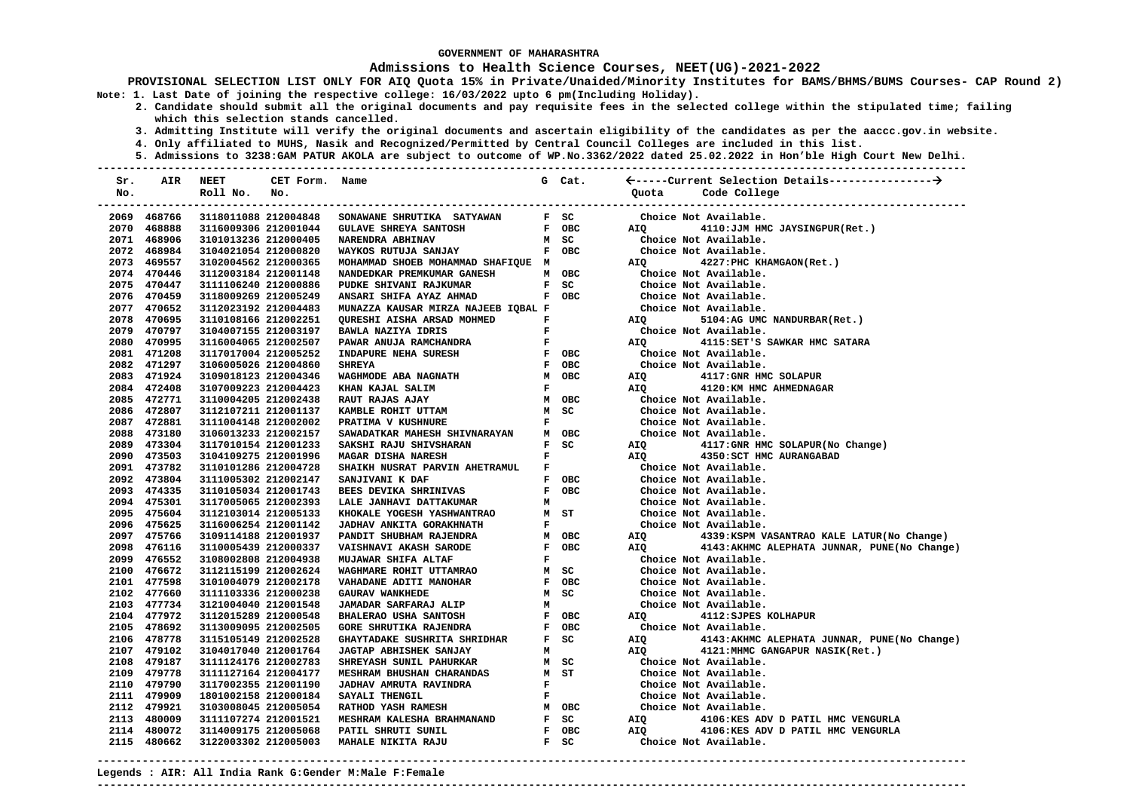#### **Admissions to Health Science Courses, NEET(UG)-2021-2022**

**PROVISIONAL SELECTION LIST ONLY FOR AIQ Quota 15% in Private/Unaided/Minority Institutes for BAMS/BHMS/BUMS Courses- CAP Round 2) Note: 1. Last Date of joining the respective college: 16/03/2022 upto 6 pm(Including Holiday).** 

- **2. Candidate should submit all the original documents and pay requisite fees in the selected college within the stipulated time; failing which this selection stands cancelled.** 
	- **3. Admitting Institute will verify the original documents and ascertain eligibility of the candidates as per the aaccc.gov.in website.**
	- **4. Only affiliated to MUHS, Nasik and Recognized/Permitted by Central Council Colleges are included in this list.**
	- **5. Admissions to 3238:GAM PATUR AKOLA are subject to outcome of WP.No.3362/2022 dated 25.02.2022 in Hon'ble High Court New Delhi.**

| Sr. | AIR         | <b>NEET</b>                                  | CET Form. Name |                                     |              | G Cat. |            |                                               |
|-----|-------------|----------------------------------------------|----------------|-------------------------------------|--------------|--------|------------|-----------------------------------------------|
| No. |             | Roll No.                                     | No.            |                                     |              |        | Ouota      | Code College                                  |
|     |             |                                              |                |                                     |              |        |            | --------------------------                    |
|     | 2069 468766 | 3118011088 212004848                         |                | SONAWANE SHRUTIKA SATYAWAN          |              | F SC   |            | Choice Not Available.                         |
|     | 2070 468888 | 3116009306 212001044                         |                | <b>GULAVE SHREYA SANTOSH</b>        |              | F OBC  | AIO        | 4110:JJM HMC JAYSINGPUR(Ret.)                 |
|     | 2071 468906 | 3101013236 212000405                         |                | NARENDRA ABHINAV                    |              | M SC   |            | Choice Not Available.                         |
|     | 2072 468984 | 3104021054 212000820                         |                | WAYKOS RUTUJA SANJAY                |              | F OBC  |            | Choice Not Available.                         |
|     | 2073 469557 | 3102004562 212000365                         |                | MOHAMMAD SHOEB MOHAMMAD SHAFIQUE M  |              |        | AIO        | 4227: PHC KHAMGAON (Ret.)                     |
|     | 2074 470446 | 3112003184 212001148                         |                | NANDEDKAR PREMKUMAR GANESH          |              | M OBC  |            | Choice Not Available.                         |
|     | 2075 470447 | 3111106240 212000886                         |                | PUDKE SHIVANI RAJKUMAR              |              | F SC   |            | Choice Not Available.                         |
|     | 2076 470459 | 3118009269 212005249                         |                | ANSARI SHIFA AYAZ AHMAD             |              | F OBC  |            | Choice Not Available.                         |
|     | 2077 470652 | 3112023192 212004483                         |                | MUNAZZA KAUSAR MIRZA NAJEEB IQBAL F |              |        |            | Choice Not Available.                         |
|     | 2078 470695 | 3110108166 212002251                         |                | QURESHI AISHA ARSAD MOHMED          | $\mathbf F$  |        | <b>AIO</b> | 5104:AG UMC NANDURBAR(Ret.)                   |
|     | 2079 470797 | 3104007155 212003197                         |                | BAWLA NAZIYA IDRIS                  | F            |        |            | Choice Not Available.                         |
|     | 2080 470995 | 3116004065 212002507                         |                | PAWAR ANUJA RAMCHANDRA              | ${\bf F}$    |        | AIO        | 4115: SET'S SAWKAR HMC SATARA                 |
|     | 2081 471208 | 3117017004 212005252                         |                | INDAPURE NEHA SURESH                |              | F OBC  |            | Choice Not Available.                         |
|     | 2082 471297 | 3106005026 212004860                         |                | <b>SHREYA</b>                       |              | F OBC  |            | Choice Not Available.                         |
|     | 2083 471924 | 3109018123 212004346                         |                | WAGHMODE ABA NAGNATH                |              | M OBC  | AIO        | 4117: GNR HMC SOLAPUR                         |
|     | 2084 472408 | 3107009223 212004423                         |                | KHAN KAJAL SALIM                    | $\mathbf F$  |        | AIQ        | 4120:KM HMC AHMEDNAGAR                        |
|     | 2085 472771 | 3110004205 212002438                         |                | RAUT RAJAS AJAY                     |              | M OBC  |            | Choice Not Available.                         |
|     | 2086 472807 | 3112107211 212001137                         |                | KAMBLE ROHIT UTTAM                  |              | M SC   |            | Choice Not Available.                         |
|     | 2087 472881 | 3111004148 212002002                         |                | PRATIMA V KUSHNURE                  | $\mathbf{F}$ |        |            | Choice Not Available.                         |
|     | 2088 473180 | 3106013233 212002157                         |                | SAWADATKAR MAHESH SHIVNARAYAN       |              | M OBC  |            | Choice Not Available.                         |
|     | 2089 473304 | 3117010154 212001233                         |                | SAKSHI RAJU SHIVSHARAN              |              | F SC   | AIQ        | 4117:GNR HMC SOLAPUR(No Change)               |
|     | 2090 473503 | 3104109275 212001996                         |                | MAGAR DISHA NARESH                  | $\mathbf{F}$ |        | <b>AIO</b> | 4350: SCT HMC AURANGABAD                      |
|     | 2091 473782 | 3110101286 212004728                         |                | SHAIKH NUSRAT PARVIN AHETRAMUL      | $\mathbf{F}$ |        |            | Choice Not Available.                         |
|     | 2092 473804 | 3111005302 212002147                         |                | SANJIVANI K DAF                     |              | F OBC  |            | Choice Not Available.                         |
|     | 2093 474335 | 3110105034 212001743                         |                | BEES DEVIKA SHRINIVAS               |              | F OBC  |            | Choice Not Available.                         |
|     | 2094 475301 |                                              |                | LALE JANHAVI DATTAKUMAR             |              |        |            | Choice Not Available.                         |
|     | 2095 475604 | 3117005065 212002393                         |                | KHOKALE YOGESH YASHWANTRAO          | м            | M ST   |            | Choice Not Available.                         |
|     | 2096 475625 | 3112103014 212005133<br>3116006254 212001142 |                | JADHAV ANKITA GORAKHNATH            | F            |        |            | Choice Not Available.                         |
|     | 2097 475766 |                                              |                |                                     |              |        |            |                                               |
|     |             | 3109114188 212001937                         |                | PANDIT SHUBHAM RAJENDRA             |              | M OBC  | AIQ        | 4339: KSPM VASANTRAO KALE LATUR (No Change)   |
|     | 2098 476116 | 3110005439 212000337                         |                | VAISHNAVI AKASH SARODE              |              | F OBC  | AIQ        | 4143: AKHMC ALEPHATA JUNNAR, PUNE(No Change)  |
|     | 2099 476552 | 3108002808 212004938                         |                | MUJAWAR SHIFA ALTAF                 | F            |        |            | Choice Not Available.                         |
|     | 2100 476672 | 3112115199 212002624                         |                | WAGHMARE ROHIT UTTAMRAO             |              | M SC   |            | Choice Not Available.                         |
|     | 2101 477598 | 3101004079 212002178                         |                | VAHADANE ADITI MANOHAR              |              | F OBC  |            | Choice Not Available.                         |
|     | 2102 477660 | 3111103336 212000238                         |                | <b>GAURAV WANKHEDE</b>              |              | M SC   |            | Choice Not Available.                         |
|     | 2103 477734 | 3121004040 212001548                         |                | JAMADAR SARFARAJ ALIP               | м            |        |            | Choice Not Available.                         |
|     | 2104 477972 | 3112015289 212000548                         |                | <b>BHALERAO USHA SANTOSH</b>        |              | F OBC  | AIO        | 4112: SJPES KOLHAPUR                          |
|     | 2105 478692 | 3113009095 212002505                         |                | <b>GORE SHRUTIKA RAJENDRA</b>       |              | F OBC  |            | Choice Not Available.                         |
|     | 2106 478778 | 3115105149 212002528                         |                | GHAYTADAKE SUSHRITA SHRIDHAR        |              | F SC   | AIQ        | 4143: AKHMC ALEPHATA JUNNAR, PUNE (No Change) |
|     | 2107 479102 | 3104017040 212001764                         |                | JAGTAP ABHISHEK SANJAY              | м            |        | AIO        | 4121: MHMC GANGAPUR NASIK (Ret.)              |
|     | 2108 479187 | 3111124176 212002783                         |                | SHREYASH SUNIL PAHURKAR             |              | M SC   |            | Choice Not Available.                         |
|     | 2109 479778 | 3111127164 212004177                         |                | MESHRAM BHUSHAN CHARANDAS           |              | $M$ ST |            | Choice Not Available.                         |
|     | 2110 479790 | 3117002355 212001190                         |                | JADHAV AMRUTA RAVINDRA              | $\mathbf F$  |        |            | Choice Not Available.                         |
|     | 2111 479909 | 1801002158 212000184                         |                | SAYALI THENGIL                      | F            |        |            | Choice Not Available.                         |
|     | 2112 479921 | 3103008045 212005054                         |                | <b>RATHOD YASH RAMESH</b>           |              | M OBC  |            | Choice Not Available.                         |
|     | 2113 480009 | 3111107274 212001521                         |                | MESHRAM KALESHA BRAHMANAND          |              | F SC   | AIQ        | 4106:KES ADV D PATIL HMC VENGURLA             |
|     | 2114 480072 | 3114009175 212005068                         |                | PATIL SHRUTI SUNIL                  |              | F OBC  | AIO        | 4106:KES ADV D PATIL HMC VENGURLA             |
|     | 2115 480662 | 3122003302 212005003                         |                | MAHALE NIKITA RAJU                  |              | $F$ SC |            | Choice Not Available.                         |
|     |             |                                              |                |                                     |              |        |            |                                               |

**Legends : AIR: All India Rank G:Gender M:Male F:Female ---------------------------------------------------------------------------------------------------------------------------------------**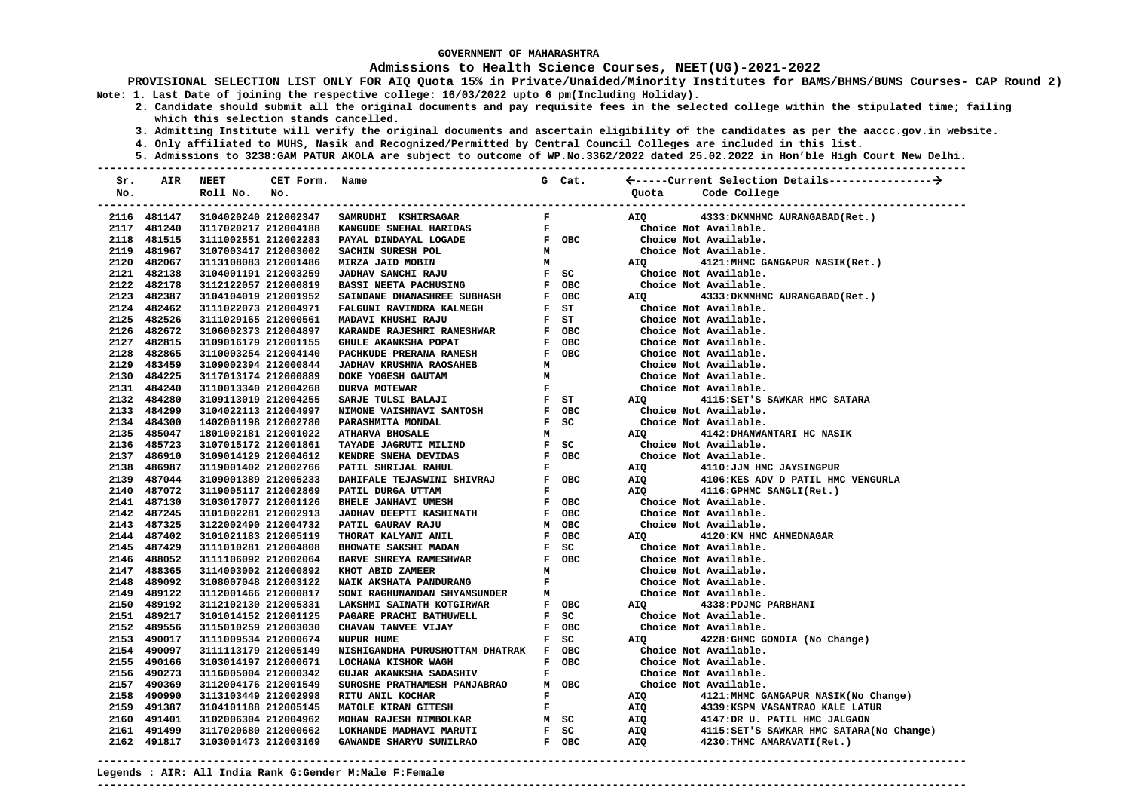#### **Admissions to Health Science Courses, NEET(UG)-2021-2022**

**PROVISIONAL SELECTION LIST ONLY FOR AIQ Quota 15% in Private/Unaided/Minority Institutes for BAMS/BHMS/BUMS Courses- CAP Round 2) Note: 1. Last Date of joining the respective college: 16/03/2022 upto 6 pm(Including Holiday).** 

- **2. Candidate should submit all the original documents and pay requisite fees in the selected college within the stipulated time; failing which this selection stands cancelled.** 
	- **3. Admitting Institute will verify the original documents and ascertain eligibility of the candidates as per the aaccc.gov.in website.**
	- **4. Only affiliated to MUHS, Nasik and Recognized/Permitted by Central Council Colleges are included in this list.**
- **5. Admissions to 3238:GAM PATUR AKOLA are subject to outcome of WP.No.3362/2022 dated 25.02.2022 in Hon'ble High Court New Delhi. ---------------------------------------------------------------------------------------------------------------------------------------**

| Sr. | AIR         | NEET                 | CET Form.            | Name                                                                                                                                                                                                                                     |                               | G Cat.                        |            |                                                                      |
|-----|-------------|----------------------|----------------------|------------------------------------------------------------------------------------------------------------------------------------------------------------------------------------------------------------------------------------------|-------------------------------|-------------------------------|------------|----------------------------------------------------------------------|
| No. |             | Roll No.             | No.                  |                                                                                                                                                                                                                                          |                               |                               | Ouota      | Code College                                                         |
|     |             |                      |                      |                                                                                                                                                                                                                                          |                               |                               |            |                                                                      |
|     | 2116 481147 |                      | 3104020240 212002347 | SAMRUDHI KSHIRSAGAR                                                                                                                                                                                                                      | $\mathbf{F}$ and $\mathbf{F}$ |                               | AIQ        | 4333: DKMMHMC AURANGABAD (Ret.)                                      |
|     | 2117 481240 |                      | 3117020217 212004188 | KANGUDE SNEHAL HARIDAS                                                                                                                                                                                                                   |                               |                               |            | Choice Not Available.                                                |
|     | 2118 481515 | 3111002551 212002283 |                      | PAYAL DINDAYAL LOGADE                                                                                                                                                                                                                    |                               |                               |            | Choice Not Available.                                                |
|     | 2119 481967 | 3107003417 212003002 |                      | SACHIN SURESH POL                                                                                                                                                                                                                        |                               |                               |            | Choice Not Available.                                                |
|     | 2120 482067 | 3113108083 212001486 |                      | MIRZA JAID MOBIN                                                                                                                                                                                                                         |                               |                               |            | AIQ 4121:MHMC GANGAPUR NASIK(Ret.)                                   |
|     | 2121 482138 | 3104001191 212003259 |                      |                                                                                                                                                                                                                                          |                               |                               |            | Choice Not Available.                                                |
|     | 2122 482178 | 3112122057 212000819 |                      |                                                                                                                                                                                                                                          |                               |                               |            | Choice Not Available.                                                |
|     | 2123 482387 | 3104104019 212001952 |                      |                                                                                                                                                                                                                                          |                               |                               | <b>AIQ</b> | 4333:DKMMHMC AURANGABAD(Ret.)                                        |
|     | 2124 482462 | 3111022073 212004971 |                      |                                                                                                                                                                                                                                          |                               |                               |            | Choice Not Available.                                                |
|     | 2125 482526 | 3111029165 212000561 |                      | MADAVI KHUSHI RAJU<br>KARANDE RAJESHRI RAMESHWAR                                                                                                                                                                                         |                               | $F$ ST                        |            | Choice Not Available.                                                |
|     | 2126 482672 | 3106002373 212004897 |                      |                                                                                                                                                                                                                                          |                               | F OBC                         |            | Choice Not Available.                                                |
|     | 2127 482815 | 3109016179 212001155 |                      |                                                                                                                                                                                                                                          |                               |                               |            | Choice Not Available.                                                |
|     | 2128 482865 | 3110003254 212004140 |                      |                                                                                                                                                                                                                                          |                               |                               |            | Choice Not Available.                                                |
|     | 2129 483459 | 3109002394 212000844 |                      | ANARIDE ARANKSHA POPAT (FREEDRAMESH) FOBC<br>FACHULE ARANKSHA POPAT (FREEDRAMESH) FOBC<br>JADHAV KRUSHNA RAOSAHEB M<br>DOKE YOGESH GAUTAM (METALLAT FSARJE TULSI BALAJI FST ST<br>NIMONE VALSHNAVI SANTOSH FOBC<br>NIMONE VALSHNAVI SANT |                               |                               |            | Choice Not Available.                                                |
|     | 2130 484225 | 3117013174 212000889 |                      |                                                                                                                                                                                                                                          |                               |                               |            | Choice Not Available.                                                |
|     | 2131 484240 | 3110013340 212004268 |                      |                                                                                                                                                                                                                                          |                               |                               |            | Choice Not Available.                                                |
|     | 2132 484280 | 3109113019 212004255 |                      |                                                                                                                                                                                                                                          |                               |                               | <b>AIQ</b> | 4115: SET'S SAWKAR HMC SATARA                                        |
|     | 2133 484299 | 3104022113 212004997 |                      |                                                                                                                                                                                                                                          |                               |                               |            | Choice Not Available.                                                |
|     | 2134 484300 | 1402001198 212002780 |                      | PARASHMITA MONDAL                                                                                                                                                                                                                        |                               | $F$ SC                        |            | Choice Not Available.                                                |
|     | 2135 485047 | 1801002181 212001022 |                      | <b>ATHARVA BHOSALE</b>                                                                                                                                                                                                                   |                               | M                             | AIO        | 4142: DHANWANTARI HC NASIK                                           |
|     | 2136 485723 | 3107015172 212001861 |                      |                                                                                                                                                                                                                                          |                               |                               |            | Choice Not Available.                                                |
|     | 2137 486910 | 3109014129 212004612 |                      |                                                                                                                                                                                                                                          |                               |                               |            | Choice Not Available.                                                |
|     | 2138 486987 | 3119001402 212002766 |                      | TAYADE JAGRUTI MILIND F SC<br>KENDRE SNEHA DEVIDAS F OBC<br>PATIL SHRIJAL RAHUL F F                                                                                                                                                      |                               |                               | <b>AIQ</b> | 4110:JJM HMC JAYSINGPUR                                              |
|     | 2139 487044 | 3109001389 212005233 |                      | DAHIFALE TEJASWINI SHIVRAJ F OBC<br>PATIL DURGA UTTAM F                                                                                                                                                                                  |                               |                               |            | AIQ 4106:KES ADV D PATIL HMC VENGURLA<br>AIQ 4116:GPHMC SANGLI(Ret.) |
|     | 2140 487072 | 3119005117 212002869 |                      |                                                                                                                                                                                                                                          |                               |                               |            |                                                                      |
|     | 2141 487130 | 3103017077 212001126 |                      | BHELE JANHAVI UMESH                                                                                                                                                                                                                      |                               | F OBC                         |            | Choice Not Available.                                                |
|     | 2142 487245 | 3101002281 212002913 |                      | <b>JADHAV DEEPTI KASHINATH</b>                                                                                                                                                                                                           |                               | F OBC                         |            | Choice Not Available.                                                |
|     | 2143 487325 | 3122002490 212004732 |                      | PATIL GAURAV RAJU                                                                                                                                                                                                                        |                               |                               |            | Choice Not Available.                                                |
|     | 2144 487402 | 3101021183 212005119 |                      | E UBC<br>M OBC<br>F OBC<br>F SC<br>R F OBC<br><br>THORAT KALYANI ANIL                                                                                                                                                                    |                               |                               | AIQ        | 4120:KM HMC AHMEDNAGAR                                               |
|     | 2145 487429 | 3111010281 212004808 |                      | <b>BHOWATE SAKSHI MADAN</b>                                                                                                                                                                                                              |                               |                               |            | Choice Not Available.                                                |
|     | 2146 488052 | 3111106092 212002064 |                      | <b>BARVE SHREYA RAMESHWAR</b>                                                                                                                                                                                                            |                               |                               |            | Choice Not Available.                                                |
|     | 2147 488365 | 3114003002 212000892 |                      | KHOT ABID ZAMEER                                                                                                                                                                                                                         | M                             |                               |            | Choice Not Available.                                                |
|     | 2148 489092 | 3108007048 212003122 |                      | NAIK AKSHATA PANDURANG                                                                                                                                                                                                                   | $\mathbf{F}$ and $\mathbf{F}$ |                               |            | Choice Not Available.                                                |
|     | 2149 489122 | 3112001466 212000817 |                      | SONI RAGHUNANDAN SHYAMSUNDER                                                                                                                                                                                                             |                               | M <sub>N</sub>                |            | Choice Not Available.                                                |
|     | 2150 489192 | 3112102130 212005331 |                      | LAKSHMI SAINATH KOTGIRWAR                                                                                                                                                                                                                |                               | F OBC                         | <b>AIO</b> | 4338: PDJMC PARBHANI                                                 |
|     | 2151 489217 | 3101014152 212001125 |                      | PAGARE PRACHI BATHUWELL                                                                                                                                                                                                                  |                               | $F$ SC                        |            | Choice Not Available.                                                |
|     | 2152 489556 | 3115010259 212003030 |                      | CHAVAN TANVEE VIJAY                                                                                                                                                                                                                      |                               | F OBC                         |            | Choice Not Available.                                                |
|     | 2153 490017 | 3111009534 212000674 |                      | <b>NUPUR HUME</b>                                                                                                                                                                                                                        |                               | $F$ SC                        |            | AIQ 4228: GHMC GONDIA (No Change)                                    |
|     | 2154 490097 | 3111113179 212005149 |                      | NISHIGANDHA PURUSHOTTAM DHATRAK F OBC                                                                                                                                                                                                    |                               |                               |            | Choice Not Available.                                                |
|     | 2155 490166 | 3103014197 212000671 |                      |                                                                                                                                                                                                                                          |                               | F OBC                         |            | Choice Not Available.                                                |
|     | 2156 490273 | 3116005004 212000342 |                      | LOCHANA KISHOR WAGH<br>GUJAR AKANKSHA SADASHIV                                                                                                                                                                                           |                               | $\mathbf{F}$ and $\mathbf{F}$ |            | Choice Not Available.                                                |
|     | 2157 490369 | 3112004176 212001549 |                      | SUROSHE PRATHAMESH PANJABRAO                                                                                                                                                                                                             |                               | M OBC                         |            | Choice Not Available.                                                |
|     | 2158 490990 | 3113103449 212002998 |                      | RITU ANIL KOCHAR                                                                                                                                                                                                                         |                               | $\mathbf{F}$ and $\mathbf{F}$ |            | AIQ 4121:MHMC GANGAPUR NASIK(No Change)                              |
|     | 2159 491387 | 3104101188 212005145 |                      |                                                                                                                                                                                                                                          |                               |                               | AIQ        | 4339: KSPM VASANTRAO KALE LATUR                                      |
|     | 2160 491401 | 3102006304 212004962 |                      |                                                                                                                                                                                                                                          |                               |                               | <b>AIQ</b> | 4147:DR U. PATIL HMC JALGAON                                         |
|     | 2161 491499 | 3117020680 212000662 |                      | F SC<br>F OBC<br>LOKHANDE MADHAVI MARUTI                                                                                                                                                                                                 |                               |                               | AIQ        | 4115: SET'S SAWKAR HMC SATARA (No Change)                            |
|     | 2162 491817 | 3103001473 212003169 |                      | GAWANDE SHARYU SUNILRAO                                                                                                                                                                                                                  |                               | F OBC                         | AIQ        | 4230: THMC AMARAVATI (Ret.)                                          |
|     |             |                      |                      |                                                                                                                                                                                                                                          |                               |                               |            |                                                                      |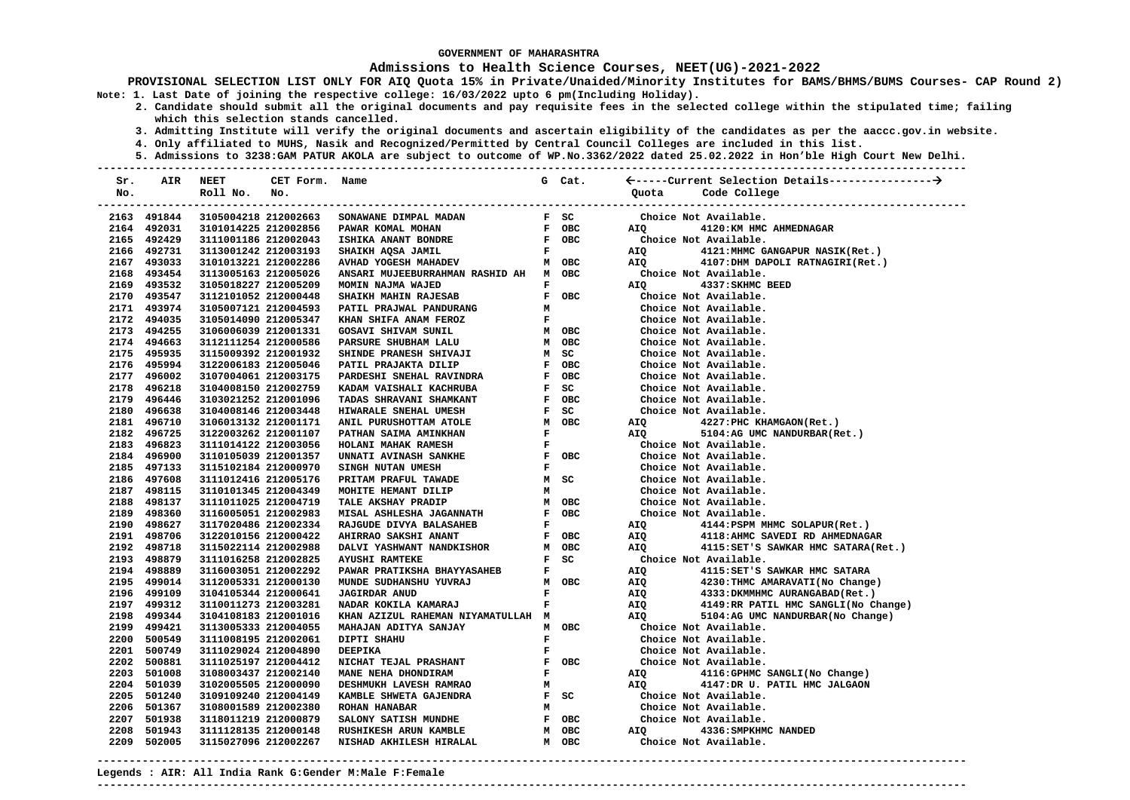### **Admissions to Health Science Courses, NEET(UG)-2021-2022**

**PROVISIONAL SELECTION LIST ONLY FOR AIQ Quota 15% in Private/Unaided/Minority Institutes for BAMS/BHMS/BUMS Courses- CAP Round 2) Note: 1. Last Date of joining the respective college: 16/03/2022 upto 6 pm(Including Holiday).** 

- **2. Candidate should submit all the original documents and pay requisite fees in the selected college within the stipulated time; failing which this selection stands cancelled.** 
	- **3. Admitting Institute will verify the original documents and ascertain eligibility of the candidates as per the aaccc.gov.in website.**
	- **4. Only affiliated to MUHS, Nasik and Recognized/Permitted by Central Council Colleges are included in this list.**
	- **5. Admissions to 3238:GAM PATUR AKOLA are subject to outcome of WP.No.3362/2022 dated 25.02.2022 in Hon'ble High Court New Delhi.**

| Sr. | AIR         | <b>NEET</b>                 | CET Form. Name |                                       |                | G Cat.                        |            |                                     |
|-----|-------------|-----------------------------|----------------|---------------------------------------|----------------|-------------------------------|------------|-------------------------------------|
| No. |             | Roll No.                    | No.            |                                       |                |                               | Ouota      | Code College                        |
|     |             | --------------------------- |                |                                       |                |                               |            | --------------------------          |
|     | 2163 491844 | 3105004218 212002663        |                | SONAWANE DIMPAL MADAN                 |                | $F$ SC                        |            | Choice Not Available.               |
|     | 2164 492031 | 3101014225 212002856        |                | PAWAR KOMAL MOHAN                     |                | F OBC                         | AIO        | 4120: KM HMC AHMEDNAGAR             |
|     | 2165 492429 | 3111001186 212002043        |                | ISHIKA ANANT BONDRE                   |                | F OBC                         |            | Choice Not Available.               |
|     | 2166 492731 | 3113001242 212003193        |                | SHAIKH AQSA JAMIL                     |                | $\mathbf{F}$ and $\mathbf{F}$ | AIQ        | 4121: MHMC GANGAPUR NASIK(Ret.)     |
|     | 2167 493033 | 3101013221 212002286        |                | AVHAD YOGESH MAHADEV                  |                | M OBC                         | AIQ        | 4107:DHM DAPOLI RATNAGIRI(Ret.)     |
|     | 2168 493454 | 3113005163 212005026        |                | ANSARI MUJEEBURRAHMAN RASHID AH M OBC |                |                               |            | Choice Not Available.               |
|     | 2169 493532 | 3105018227 212005209        |                | MOMIN NAJMA WAJED                     | $\mathbf{F}$   |                               | AIO        | 4337: SKHMC BEED                    |
|     | 2170 493547 | 3112101052 212000448        |                | SHAIKH MAHIN RAJESAB                  |                | F OBC                         |            | Choice Not Available.               |
|     | 2171 493974 | 3105007121 212004593        |                | PATIL PRAJWAL PANDURANG               | м              |                               |            | Choice Not Available.               |
|     | 2172 494035 | 3105014090 212005347        |                | KHAN SHIFA ANAM FEROZ                 | F              |                               |            | Choice Not Available.               |
|     | 2173 494255 | 3106006039 212001331        |                | <b>GOSAVI SHIVAM SUNIL</b>            |                | M OBC                         |            | Choice Not Available.               |
|     | 2174 494663 | 3112111254 212000586        |                | PARSURE SHUBHAM LALU                  |                | M OBC                         |            | Choice Not Available.               |
|     | 2175 495935 | 3115009392 212001932        |                | SHINDE PRANESH SHIVAJI                |                | M SC                          |            | Choice Not Available.               |
|     | 2176 495994 | 3122006183 212005046        |                | PATIL PRAJAKTA DILIP                  |                | F OBC                         |            | Choice Not Available.               |
|     | 2177 496002 | 3107004061 212003175        |                | PARDESHI SNEHAL RAVINDRA              |                | F OBC                         |            | Choice Not Available.               |
|     | 2178 496218 | 3104008150 212002759        |                | KADAM VAISHALI KACHRUBA               |                | F SC                          |            | Choice Not Available.               |
|     | 2179 496446 | 3103021252 212001096        |                | TADAS SHRAVANI SHAMKANT               |                | F OBC                         |            | Choice Not Available.               |
|     | 2180 496638 | 3104008146 212003448        |                | HIWARALE SNEHAL UMESH                 |                | F SC                          |            | Choice Not Available.               |
|     | 2181 496710 | 3106013132 212001171        |                | ANIL PURUSHOTTAM ATOLE                |                | M OBC                         | AIQ        | 4227:PHC KHAMGAON(Ret.)             |
|     | 2182 496725 | 3122003262 212001107        |                | PATHAN SAIMA AMINKHAN                 | $\mathbf{F}$ . |                               | AIQ        | 5104:AG UMC NANDURBAR(Ret.)         |
|     | 2183 496823 | 3111014122 212003056        |                | HOLANI MAHAK RAMESH                   | F              |                               |            | Choice Not Available.               |
|     | 2184 496900 | 3110105039 212001357        |                | UNNATI AVINASH SANKHE                 |                | F OBC                         |            | Choice Not Available.               |
|     | 2185 497133 | 3115102184 212000970        |                | SINGH NUTAN UMESH                     | $\mathbf{F}$   |                               |            | Choice Not Available.               |
|     | 2186 497608 | 3111012416 212005176        |                | PRITAM PRAFUL TAWADE                  |                | M SC                          |            | Choice Not Available.               |
|     | 2187 498115 | 3110101345 212004349        |                | MOHITE HEMANT DILIP                   | M              |                               |            | Choice Not Available.               |
|     | 2188 498137 | 3111011025 212004719        |                | TALE AKSHAY PRADIP                    |                | M OBC                         |            | Choice Not Available.               |
|     | 2189 498360 | 3116005051 212002983        |                | MISAL ASHLESHA JAGANNATH              |                | F OBC                         |            | Choice Not Available.               |
|     | 2190 498627 | 3117020486 212002334        |                | RAJGUDE DIVYA BALASAHEB               | $\mathbf{F}$   |                               | AIQ        | 4144: PSPM MHMC SOLAPUR(Ret.)       |
|     | 2191 498706 | 3122010156 212000422        |                | AHIRRAO SAKSHI ANANT                  |                | F OBC                         | AIQ        | 4118: AHMC SAVEDI RD AHMEDNAGAR     |
|     | 2192 498718 | 3115022114 212002988        |                | DALVI YASHWANT NANDKISHOR             |                | M OBC                         | AIQ        | 4115:SET'S SAWKAR HMC SATARA(Ret.)  |
|     | 2193 498879 | 3111016258 212002825        |                | <b>AYUSHI RAMTEKE</b>                 |                | $F$ SC                        |            | Choice Not Available.               |
|     | 2194 498889 | 3116003051 212002292        |                | PAWAR PRATIKSHA BHAYYASAHEB           | F              |                               | AIQ        | 4115: SET'S SAWKAR HMC SATARA       |
|     | 2195 499014 | 3112005331 212000130        |                | MUNDE SUDHANSHU YUVRAJ                |                | M OBC                         | AIQ        | 4230: THMC AMARAVATI (No Change)    |
|     | 2196 499109 | 3104105344 212000641        |                | <b>JAGIRDAR ANUD</b>                  | F              |                               | <b>AIQ</b> | 4333: DKMMHMC AURANGABAD (Ret.)     |
|     | 2197 499312 | 3110011273 212003281        |                | NADAR KOKILA KAMARAJ                  | F              |                               | AIQ<br>AIQ | 4149:RR PATIL HMC SANGLI(No Change) |
|     | 2198 499344 | 3104108183 212001016        |                | KHAN AZIZUL RAHEMAN NIYAMATULLAH M    |                |                               |            | 5104:AG UMC NANDURBAR (No Change)   |
|     | 2199 499421 | 3113005333 212004055        |                | MAHAJAN ADITYA SANJAY                 |                | M OBC                         |            | Choice Not Available.               |
|     | 2200 500549 | 3111008195 212002061        |                | DIPTI SHAHU                           | F              |                               |            | Choice Not Available.               |
|     | 2201 500749 | 3111029024 212004890        |                | <b>DEEPIKA</b>                        | F              |                               |            | Choice Not Available.               |
|     | 2202 500881 | 3111025197 212004412        |                | NICHAT TEJAL PRASHANT                 |                | F OBC                         |            | Choice Not Available.               |
|     | 2203 501008 | 3108003437 212002140        |                | MANE NEHA DHONDIRAM                   |                | $\mathbf{F}$ and $\mathbf{F}$ | AIQ        | 4116:GPHMC SANGLI(No Change)        |
|     | 2204 501039 | 3102005505 212000090        |                | DESHMUKH LAVESH RAMRAO                |                | M                             | AIQ        | 4147:DR U. PATIL HMC JALGAON        |
|     | 2205 501240 | 3109109240 212004149        |                | KAMBLE SHWETA GAJENDRA                |                | F SC                          |            | Choice Not Available.               |
|     | 2206 501367 | 3108001589 212002380        |                | ROHAN HANABAR                         |                | $M$ and $M$                   |            | Choice Not Available.               |
|     | 2207 501938 | 3118011219 212000879        |                | SALONY SATISH MUNDHE                  |                | F OBC                         |            | Choice Not Available.               |
|     | 2208 501943 | 3111128135 212000148        |                | RUSHIKESH ARUN KAMBLE                 |                | M OBC                         | <b>AIO</b> | 4336: SMPKHMC NANDED                |
|     | 2209 502005 | 3115027096 212002267        |                | NISHAD AKHILESH HIRALAL               |                | M OBC                         |            | Choice Not Available.               |
|     |             |                             |                |                                       |                |                               |            |                                     |

**Legends : AIR: All India Rank G:Gender M:Male F:Female ---------------------------------------------------------------------------------------------------------------------------------------**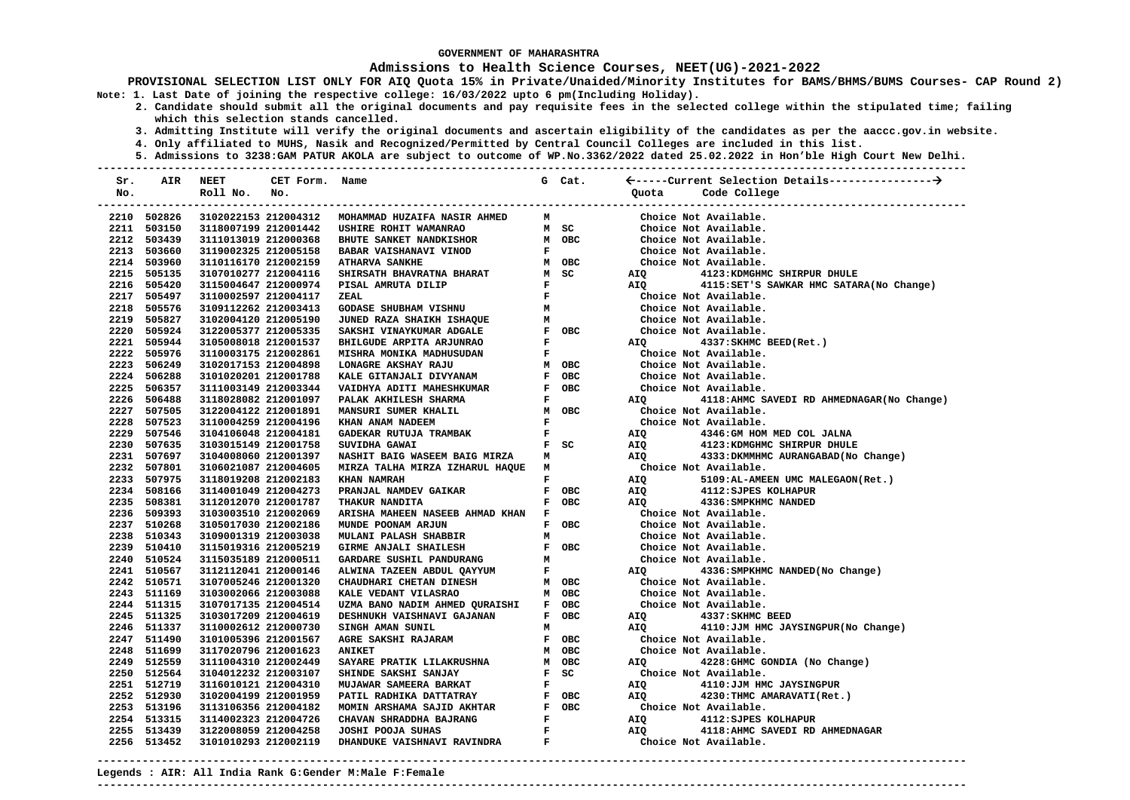### **Admissions to Health Science Courses, NEET(UG)-2021-2022**

- **2. Candidate should submit all the original documents and pay requisite fees in the selected college within the stipulated time; failing which this selection stands cancelled.** 
	- **3. Admitting Institute will verify the original documents and ascertain eligibility of the candidates as per the aaccc.gov.in website.**
	- **4. Only affiliated to MUHS, Nasik and Recognized/Permitted by Central Council Colleges are included in this list.**
- **5. Admissions to 3238:GAM PATUR AKOLA are subject to outcome of WP.No.3362/2022 dated 25.02.2022 in Hon'ble High Court New Delhi. ---------------------------------------------------------------------------------------------------------------------------------------**

| Sr. | AIR         | <b>NEET</b>          | CET Form.            | Name                                                                                                                 |              | G Cat.                                    |                                                |                                             |
|-----|-------------|----------------------|----------------------|----------------------------------------------------------------------------------------------------------------------|--------------|-------------------------------------------|------------------------------------------------|---------------------------------------------|
| No. |             | Roll No.             | No.                  |                                                                                                                      |              |                                           | Ouota                                          | Code College                                |
|     |             |                      |                      |                                                                                                                      |              |                                           |                                                |                                             |
|     | 2210 502826 |                      | 3102022153 212004312 | MOHAMMAD HUZAIFA NASIR AHMED                                                                                         | M            |                                           |                                                | Choice Not Available.                       |
|     | 2211 503150 | 3118007199 212001442 |                      | USHIRE ROHIT WAMANRAO                                                                                                |              | M SC                                      |                                                | Choice Not Available.                       |
|     | 2212 503439 | 3111013019 212000368 |                      | <b>BHUTE SANKET NANDKISHOR</b>                                                                                       |              | M OBC                                     |                                                | Choice Not Available.                       |
|     | 2213 503660 | 3119002325 212005158 |                      | <b>BABAR VAISHANAVI VINOD</b>                                                                                        |              | $\mathbf{F}$ and $\mathbf{F}$             | Choice Not Available.<br>Choice Not Available. |                                             |
|     | 2214 503960 | 3110116170 212002159 |                      | <b>ATHARVA SANKHE</b>                                                                                                |              | M OBC                                     |                                                |                                             |
|     | 2215 505135 | 3107010277 212004116 |                      | SHIRSATH BHAVRATNA BHARAT                                                                                            |              | M SC                                      | <b>AIQ</b>                                     | 4123: KDMGHMC SHIRPUR DHULE                 |
|     | 2216 505420 | 3115004647 212000974 |                      | PISAL AMRUTA DILIP                                                                                                   |              | $\mathbf{F}$ and $\mathbf{F}$             |                                                | AIQ 4115:SET'S SAWKAR HMC SATARA(No Change) |
|     | 2217 505497 | 3110002597 212004117 |                      | ZEAL                                                                                                                 |              | $\mathbf{F}$<br>M $_{\mathbf{M}}$         |                                                | Choice Not Available.                       |
|     | 2218 505576 | 3109112262 212003413 |                      | GODASE SHUBHAM VISHNU                                                                                                |              |                                           |                                                | Choice Not Available.                       |
|     | 2219 505827 | 3102004120 212005190 |                      | <b>JUNED RAZA SHAIKH ISHAQUE</b>                                                                                     |              |                                           |                                                | Choice Not Available.                       |
|     | 2220 505924 | 3122005377 212005335 |                      | SAKSHI VINAYKUMAR ADGALE                                                                                             |              | F OBC                                     | Choice Not Available.                          |                                             |
|     | 2221 505944 | 3105008018 212001537 |                      | BHILGUDE ARPITA ARJUNRAO                                                                                             | $\mathbf{F}$ |                                           |                                                | AIQ 4337: SKHMC BEED (Ret.)                 |
|     | 2222 505976 | 3110003175 212002861 |                      | MISHRA MONIKA MADHUSUDAN                                                                                             |              | $\mathbf{F}$ and $\mathbf{F}$             |                                                | Choice Not Available.                       |
|     | 2223 506249 | 3102017153 212004898 |                      | LONAGRE AKSHAY RAJU                                                                                                  |              | M OBC                                     |                                                | Choice Not Available.                       |
|     | 2224 506288 | 3101020201 212001788 |                      | KALE GITANJALI DIVYANAM<br>VAIDHYA ADITI MAHESHKUMAR                                                                 |              | F OBC                                     | Choice Not Available.<br>Choice Not Available. |                                             |
|     | 2225 506357 | 3111003149 212003344 |                      |                                                                                                                      |              | F OBC                                     |                                                |                                             |
|     | 2226 506488 | 3118028082 212001097 |                      | PALAK AKHILESH SHARMA                                                                                                |              | $\mathbf{F}$ and $\mathbf{F}$             | AIQ Q                                          | 4118:AHMC SAVEDI RD AHMEDNAGAR(No Change)   |
|     | 2227 507505 | 3122004122 212001891 |                      | MANSURI SUMER KHALIL                                                                                                 |              | M OBC                                     |                                                | Choice Not Available.                       |
|     | 2228 507523 | 3110004259 212004196 |                      | KHAN ANAM NADEEM                                                                                                     | $\mathbf{F}$ |                                           |                                                | Choice Not Available.                       |
|     | 2229 507546 | 3104106048 212004181 |                      | $\mathbf{F}$ and $\mathbf{F}$ and $\mathbf{F}$<br>GADEKAR RUTUJA TRAMBAK                                             |              |                                           | <b>AIQ</b>                                     | 4346:GM HOM MED COL JALNA                   |
|     | 2230 507635 | 3103015149 212001758 |                      | SUVIDHA GAWAI                                                                                                        |              | F SC                                      | AIQ                                            | 4123: KDMGHMC SHIRPUR DHULE                 |
|     | 2231 507697 | 3104008060 212001397 |                      | NASHIT BAIG WASEEM BAIG MIRZA                                                                                        | м            |                                           |                                                | AIQ 4333: DKMMHMC AURANGABAD(No Change)     |
|     | 2232 507801 | 3106021087 212004605 |                      | MIRZA TALHA MIRZA IZHARUL HAQUE M                                                                                    |              |                                           |                                                | Choice Not Available.                       |
|     | 2233 507975 | 3118019208 212002183 |                      | KHAN NAMRAH                                                                                                          |              | $\mathbf{F}$ and $\mathbf{F}$             | AIQ                                            | 5109:AL-AMEEN UMC MALEGAON(Ret.)            |
|     | 2234 508166 | 3114001049 212004273 |                      | PRANJAL NAMDEV GAIKAR                                                                                                |              | F OBC                                     | <b>AIQ</b>                                     | 4112: SJPES KOLHAPUR                        |
|     | 2235 508381 | 3112012070 212001787 |                      | THAKUR NANDITA                                                                                                       |              | F OBC                                     | AIO <b>Aio</b>                                 | 4336: SMPKHMC NANDED                        |
|     | 2236 509393 | 3103003510 212002069 |                      | ARISHA MAHEEN NASEEB AHMAD KHAN F                                                                                    |              |                                           |                                                | Choice Not Available.                       |
|     | 2237 510268 | 3105017030 212002186 |                      | MUNDE POONAM ARJUN                                                                                                   |              | F OBC                                     |                                                | Choice Not Available.                       |
|     | 2238 510343 | 3109001319 212003038 |                      | MULANI PALASH SHABBIR                                                                                                | M            |                                           |                                                | Choice Not Available.                       |
|     | 2239 510410 | 3115019316 212005219 |                      | GIRME ANJALI SHAILESH<br>GARDARE SUSHIL PANDURANG                                                                    |              | F OBC                                     |                                                | Choice Not Available.                       |
|     | 2240 510524 | 3115035189 212000511 |                      |                                                                                                                      |              | M                                         |                                                | Choice Not Available.                       |
|     | 2241 510567 | 3112112041 212000146 |                      | <b>ALWINA TAZEEN ABDUL QAYYUM<br/>CHAUDHARI CHETAN DINESH<br/>KALE VEDANT VILASRAO</b>                               |              | $\mathbf{F}$ and $\mathbf{F}$             | <b>AIO</b>                                     | 4336: SMPKHMC NANDED (No Change)            |
|     | 2242 510571 | 3107005246 212001320 |                      |                                                                                                                      |              | M OBC                                     |                                                | Choice Not Available.                       |
|     | 2243 511169 | 3103002066 212003088 |                      | KALE VEDANT VILASRAO                                                                                                 |              | M OBC                                     |                                                | Choice Not Available.                       |
|     | 2244 511315 | 3107017135 212004514 |                      | UZMA BANO NADIM AHMED QURAISHI                                                                                       |              | F OBC                                     |                                                | Choice Not Available.                       |
|     | 2245 511325 | 3103017209 212004619 |                      | DESHNUKH VAISHNAVI GAJANAN                                                                                           |              | F OBC                                     |                                                | AIQ 4337: SKHMC BEED                        |
|     | 2246 511337 | 3110002612 212000730 |                      | SINGH AMAN SUNIL                                                                                                     | м            |                                           |                                                | AIQ 4110: JJM HMC JAYSINGPUR (No Change)    |
|     | 2247 511490 | 3101005396 212001567 |                      | AGRE SAKSHI RAJARAM                                                                                                  |              | F OBC                                     |                                                | Choice Not Available.                       |
|     | 2248 511699 | 3117020796 212001623 |                      | <b>ANIKET</b>                                                                                                        |              | M OBC                                     |                                                | Choice Not Available.                       |
|     | 2249 512559 | 3111004310 212002449 |                      | SAYARE PRATIK LILAKRUSHNA                                                                                            |              | M OBC                                     | AIQ                                            | 4228: GHMC GONDIA (No Change)               |
|     | 2250 512564 | 3104012232 212003107 |                      | SHINDE SAKSHI SANJAY                                                                                                 |              | $F$ SC                                    |                                                | Choice Not Available.                       |
|     | 2251 512719 | 3116010121 212004310 |                      | <b>MUJAWAR SAMEERA BARKAT<br/>PATIL RADHIKA DATTATRAY<br/>MOMIN ARSHAMA SAJID AKHTAR<br/>CHAVAN SHRADDHA BAJRANG</b> | $\mathbf{F}$ |                                           | <b>AIQ</b>                                     | 4110:JJM HMC JAYSINGPUR                     |
|     | 2252 512930 | 3102004199 212001959 |                      |                                                                                                                      |              | F OBC                                     | <b>AIO</b>                                     | 4230: THMC AMARAVATI (Ret.)                 |
|     | 2253 513196 | 3113106356 212004182 |                      |                                                                                                                      |              | F OBC                                     |                                                | Choice Not Available.                       |
|     | 2254 513315 | 3114002323 212004726 |                      |                                                                                                                      |              | $\mathbf{F}$ and $\mathbf{F}$             | <b>AIQ</b>                                     | 4112: SJPES KOLHAPUR                        |
|     | 2255 513439 | 3122008059 212004258 |                      | JOSHI POOJA SUHAS                                                                                                    |              | $\mathbf{F}$ and $\mathbf{F}$             | AIQ                                            | 4118: AHMC SAVEDI RD AHMEDNAGAR             |
|     | 2256 513452 | 3101010293 212002119 |                      | DHANDUKE VAISHNAVI RAVINDRA                                                                                          |              | $\mathbf{F}^{(n)}$ and $\mathbf{F}^{(n)}$ |                                                | Choice Not Available.                       |
|     |             |                      |                      |                                                                                                                      |              |                                           |                                                |                                             |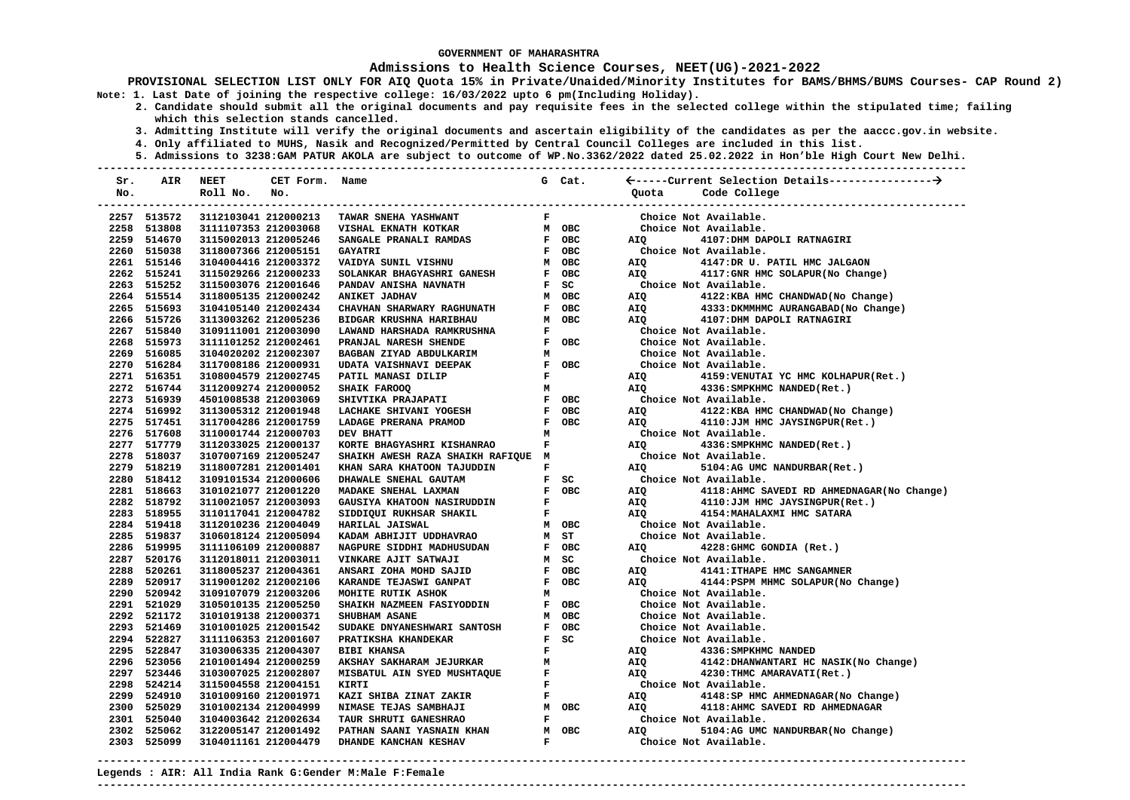### **Admissions to Health Science Courses, NEET(UG)-2021-2022**

- **2. Candidate should submit all the original documents and pay requisite fees in the selected college within the stipulated time; failing which this selection stands cancelled.** 
	- **3. Admitting Institute will verify the original documents and ascertain eligibility of the candidates as per the aaccc.gov.in website.**
	- **4. Only affiliated to MUHS, Nasik and Recognized/Permitted by Central Council Colleges are included in this list.**
	- **5. Admissions to 3238:GAM PATUR AKOLA are subject to outcome of WP.No.3362/2022 dated 25.02.2022 in Hon'ble High Court New Delhi.**

| Sr. | AIR         | <b>NEET</b>          | CET Form. | Name                                  |              | G Cat. |       |                                             |
|-----|-------------|----------------------|-----------|---------------------------------------|--------------|--------|-------|---------------------------------------------|
| No. |             | Roll No.             | No.       |                                       |              |        | Ouota | Code College                                |
|     |             |                      |           | ------------------------------------- |              |        |       | --------------------------                  |
|     | 2257 513572 | 3112103041 212000213 |           | TAWAR SNEHA YASHWANT                  | F            |        |       | Choice Not Available.                       |
|     | 2258 513808 | 3111107353 212003068 |           | VISHAL EKNATH KOTKAR                  |              | M OBC  |       | Choice Not Available.                       |
|     | 2259 514670 | 3115002013 212005246 |           | SANGALE PRANALI RAMDAS                |              | F OBC  | AIO   | 4107: DHM DAPOLI RATNAGIRI                  |
|     | 2260 515038 | 3118007366 212005151 |           | <b>GAYATRI</b>                        |              | F OBC  |       | Choice Not Available.                       |
|     | 2261 515146 | 3104004416 212003372 |           | VAIDYA SUNIL VISHNU                   |              | M OBC  | AIQ   | 4147:DR U. PATIL HMC JALGAON                |
|     | 2262 515241 | 3115029266 212000233 |           | SOLANKAR BHAGYASHRI GANESH            |              | F OBC  | AIO   | 4117:GNR HMC SOLAPUR(No Change)             |
|     | 2263 515252 | 3115003076 212001646 |           | PANDAV ANISHA NAVNATH                 |              | $F$ SC |       | Choice Not Available.                       |
|     | 2264 515514 | 3118005135 212000242 |           | <b>ANIKET JADHAV</b>                  |              | M OBC  | AIQ   | 4122:KBA HMC CHANDWAD (No Change)           |
|     | 2265 515693 | 3104105140 212002434 |           | CHAVHAN SHARWARY RAGHUNATH            | $\mathbf{F}$ | OBC    | AIQ   | 4333: DKMMHMC AURANGABAD (No Change)        |
|     | 2266 515726 | 3113003262 212005236 |           | BIDGAR KRUSHNA HARIBHAU               | M            | OBC    | AIO   | 4107: DHM DAPOLI RATNAGIRI                  |
|     | 2267 515840 | 3109111001 212003090 |           | LAWAND HARSHADA RAMKRUSHNA            | F            |        |       | Choice Not Available.                       |
|     | 2268 515973 | 3111101252 212002461 |           | PRANJAL NARESH SHENDE                 |              | F OBC  |       | Choice Not Available.                       |
|     | 2269 516085 | 3104020202 212002307 |           | BAGBAN ZIYAD ABDULKARIM               | м            |        |       | Choice Not Available.                       |
|     | 2270 516284 | 3117008186 212000931 |           | UDATA VAISHNAVI DEEPAK                |              | F OBC  |       | Choice Not Available.                       |
|     | 2271 516351 | 3108004579 212002745 |           | PATIL MANASI DILIP                    | F            |        | AIQ   | 4159: VENUTAI YC HMC KOLHAPUR (Ret.)        |
|     | 2272 516744 | 3112009274 212000052 |           | SHAIK FAROOQ                          | м            |        | AIQ   | 4336: SMPKHMC NANDED (Ret.)                 |
|     | 2273 516939 | 4501008538 212003069 |           | SHIVTIKA PRAJAPATI                    |              | F OBC  |       | Choice Not Available.                       |
|     | 2274 516992 | 3113005312 212001948 |           | LACHAKE SHIVANI YOGESH                |              | F OBC  | AIQ   | 4122:KBA HMC CHANDWAD (No Change)           |
|     | 2275 517451 | 3117004286 212001759 |           | LADAGE PRERANA PRAMOD                 |              | F OBC  | AIO   | 4110:JJM HMC JAYSINGPUR(Ret.)               |
|     | 2276 517608 | 3110001744 212000703 |           | DEV BHATT                             | м            |        |       | Choice Not Available.                       |
|     | 2277 517779 | 3112033025 212000137 |           | KORTE BHAGYASHRI KISHANRAO            | F            |        | AIQ   | 4336: SMPKHMC NANDED (Ret.)                 |
|     | 2278 518037 | 3107007169 212005247 |           | SHAIKH AWESH RAZA SHAIKH RAFIQUE M    |              |        |       | Choice Not Available.                       |
|     | 2279 518219 | 3118007281 212001401 |           | KHAN SARA KHATOON TAJUDDIN            | $\mathbf F$  |        | AIQ   | 5104:AG UMC NANDURBAR(Ret.)                 |
|     | 2280 518412 | 3109101534 212000606 |           | DHAWALE SNEHAL GAUTAM                 |              | $F$ SC |       | Choice Not Available.                       |
|     | 2281 518663 | 3101021077 212001220 |           | MADAKE SNEHAL LAXMAN                  |              | F OBC  | AIQ   | 4118: AHMC SAVEDI RD AHMEDNAGAR (No Change) |
|     | 2282 518792 | 3110021057 212003093 |           | GAUSIYA KHATOON NASIRUDDIN            | F            |        | AIQ   | 4110:JJM HMC JAYSINGPUR(Ret.)               |
|     | 2283 518955 | 3110117041 212004782 |           | SIDDIQUI RUKHSAR SHAKIL               | F            |        | AIO   | 4154: MAHALAXMI HMC SATARA                  |
|     | 2284 519418 | 3112010236 212004049 |           | HARILAL JAISWAL                       |              | M OBC  |       | Choice Not Available.                       |
|     | 2285 519837 | 3106018124 212005094 |           | KADAM ABHIJIT UDDHAVRAO               |              | M ST   |       | Choice Not Available.                       |
|     | 2286 519995 | 3111106109 212000887 |           | NAGPURE SIDDHI MADHUSUDAN             |              | F OBC  | AIQ   | 4228: GHMC GONDIA (Ret.)                    |
|     | 2287 520176 | 3112018011 212003011 |           | VINKARE AJIT SATWAJI                  |              | M SC   |       | Choice Not Available.                       |
|     | 2288 520261 | 3118005237 212004361 |           | ANSARI ZOHA MOHD SAJID                |              | F OBC  | AIQ   | 4141: ITHAPE HMC SANGAMNER                  |
|     | 2289 520917 | 3119001202 212002106 |           | KARANDE TEJASWI GANPAT                |              | F OBC  | AIQ   | 4144: PSPM MHMC SOLAPUR (No Change)         |
|     | 2290 520942 | 3109107079 212003206 |           | MOHITE RUTIK ASHOK                    | м            |        |       | Choice Not Available.                       |
|     | 2291 521029 | 3105010135 212005250 |           | SHAIKH NAZMEEN FASIYODDIN             |              | F OBC  |       | Choice Not Available.                       |
|     | 2292 521172 | 3101019138 212000371 |           | <b>SHUBHAM ASANE</b>                  |              | M OBC  |       | Choice Not Available.                       |
|     | 2293 521469 | 3101001025 212001542 |           | SUDAKE DNYANESHWARI SANTOSH           |              | F OBC  |       | Choice Not Available.                       |
|     | 2294 522827 | 3111106353 212001607 |           | PRATIKSHA KHANDEKAR                   |              | F SC   |       | Choice Not Available.                       |
|     | 2295 522847 | 3103006335 212004307 |           | <b>BIBI KHANSA</b>                    | F            |        | AIQ   | 4336: SMPKHMC NANDED                        |
|     | 2296 523056 | 2101001494 212000259 |           | AKSHAY SAKHARAM JEJURKAR              | M            |        | AIQ   | 4142: DHANWANTARI HC NASIK (No Change)      |
|     | 2297 523446 | 3103007025 212002807 |           | MISBATUL AIN SYED MUSHTAQUE           | F            |        | AIO   | 4230: THMC AMARAVATI (Ret.)                 |
|     | 2298 524214 | 3115004558 212004151 |           | <b>KIRTI</b>                          | F            |        |       | Choice Not Available.                       |
|     | 2299 524910 | 3101009160 212001971 |           | KAZI SHIBA ZINAT ZAKIR                | F            |        | AIQ   | 4148:SP HMC AHMEDNAGAR(No Change)           |
|     | 2300 525029 | 3101002134 212004999 |           | NIMASE TEJAS SAMBHAJI                 |              | M OBC  | AIO   | 4118: AHMC SAVEDI RD AHMEDNAGAR             |
|     | 2301 525040 | 3104003642 212002634 |           | TAUR SHRUTI GANESHRAO                 | $\mathbf{F}$ |        |       | Choice Not Available.                       |
|     | 2302 525062 | 3122005147 212001492 |           | PATHAN SAANI YASNAIN KHAN             |              | M OBC  | AIO   | 5104:AG UMC NANDURBAR (No Change)           |
|     | 2303 525099 | 3104011161 212004479 |           | DHANDE KANCHAN KESHAV                 | $\mathbf{F}$ |        |       | Choice Not Available.                       |
|     |             |                      |           |                                       |              |        |       |                                             |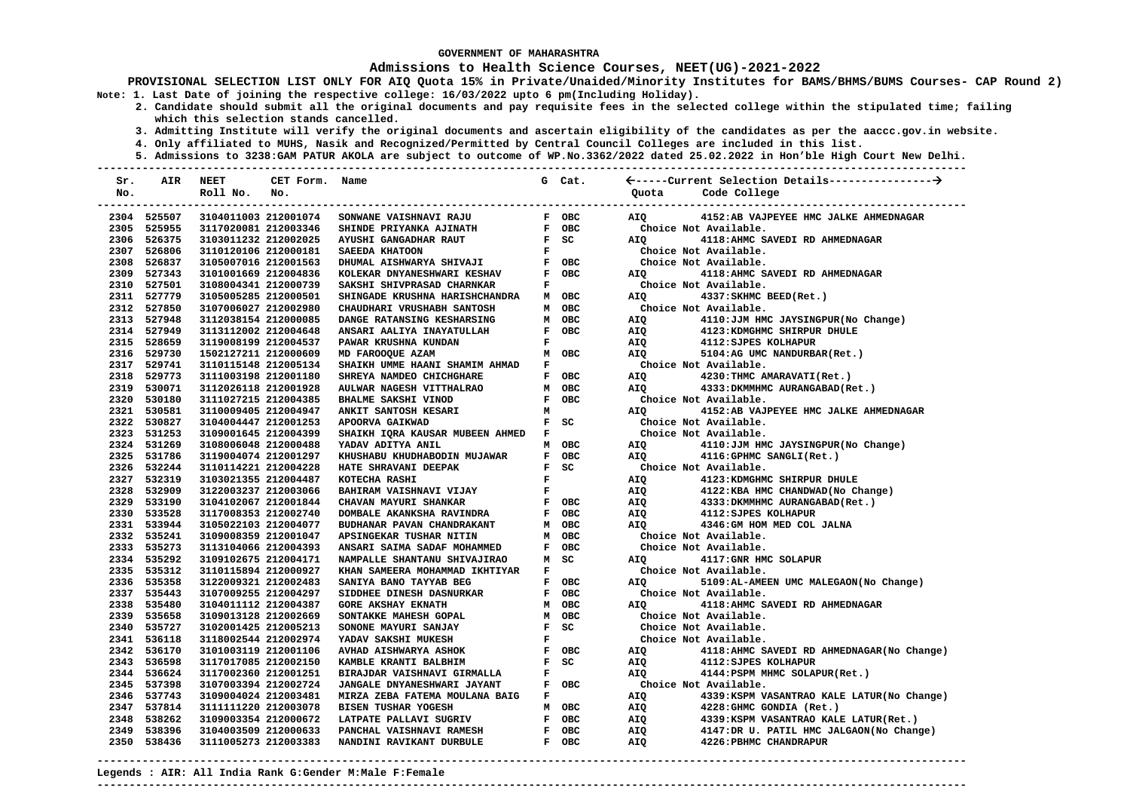### **Admissions to Health Science Courses, NEET(UG)-2021-2022**

- **2. Candidate should submit all the original documents and pay requisite fees in the selected college within the stipulated time; failing which this selection stands cancelled.** 
	- **3. Admitting Institute will verify the original documents and ascertain eligibility of the candidates as per the aaccc.gov.in website.**
	- **4. Only affiliated to MUHS, Nasik and Recognized/Permitted by Central Council Colleges are included in this list.**
- **5. Admissions to 3238:GAM PATUR AKOLA are subject to outcome of WP.No.3362/2022 dated 25.02.2022 in Hon'ble High Court New Delhi. ---------------------------------------------------------------------------------------------------------------------------------------**

| Sr. | AIR                        | <b>NEET</b>                                  | CET Form. Name       |                                                                 |                               | G Cat.                          |                       |                                                                 |
|-----|----------------------------|----------------------------------------------|----------------------|-----------------------------------------------------------------|-------------------------------|---------------------------------|-----------------------|-----------------------------------------------------------------|
| No. |                            | Roll No.                                     | No.                  |                                                                 |                               |                                 |                       | Quota Code College                                              |
|     |                            |                                              |                      |                                                                 |                               |                                 |                       |                                                                 |
|     | 2304 525507                |                                              | 3104011003 212001074 | SONWANE VAISHNAVI RAJU                                          |                               | F OBC                           | AIQ <b>Air</b>        | 4152:AB VAJPEYEE HMC JALKE AHMEDNAGAR                           |
|     | 2305 525955                | 3117020081 212003346                         |                      | SHINDE PRIYANKA AJINATH                                         |                               | F OBC                           |                       | Choice Not Available.                                           |
|     | 2306 526375                | 3103011232 212002025                         |                      | <b>AYUSHI GANGADHAR RAUT</b>                                    |                               | $F$ SC                          | <b>AIO</b>            | 4118: AHMC SAVEDI RD AHMEDNAGAR                                 |
|     | 2307 526806                | 3110120106 212000181                         |                      | SAEEDA KHATOON                                                  |                               | $\mathbf{F}$ and $\mathbf{F}$   |                       | Choice Not Available.                                           |
|     | 2308 526837                | 3105007016 212001563                         |                      |                                                                 |                               |                                 |                       | Choice Not Available.                                           |
|     | 2309 527343                | 3101001669 212004836                         |                      | KOLEKAR DNYANESHWARI KESHAV<br>SAKSHI SHIVPRASAD CHARNKAR       |                               | F OBC                           | <b>AIO</b>            | 4118: AHMC SAVEDI RD AHMEDNAGAR                                 |
|     | 2310 527501                | 3108004341 212000739                         |                      |                                                                 |                               | $\mathbf{F}$ and $\mathbf{F}$   |                       | Choice Not Available.                                           |
|     | 2311 527779                | 3105005285 212000501                         |                      | SHINGADE KRUSHNA HARISHCHANDRA                                  |                               | M OBC                           | AIQ <b>Air</b>        | 4337: SKHMC BEED (Ret.)                                         |
|     | 2312 527850                | 3107006027 212002980                         |                      | CHAUDHARI VRUSHABH SANTOSH                                      |                               | M OBC                           |                       | Choice Not Available.                                           |
|     | 2313 527948                | 3112038154 212000085                         |                      | <b>DANGE RATANSING KESHARSING<br/>ANSARI AALIYA INAYATULLAH</b> |                               | M OBC                           | AIQ                   | 4110:JJM HMC JAYSINGPUR(No Change)                              |
|     | 2314 527949                | 3113112002 212004648                         |                      |                                                                 |                               | F OBC                           | AIQ                   | 4123: KDMGHMC SHIRPUR DHULE                                     |
|     | 2315 528659                | 3119008199 212004537                         |                      | PAWAR KRUSHNA KUNDAN                                            | $\mathbf{F}$                  |                                 | AIQ                   | 4112: SJPES KOLHAPUR                                            |
|     | 2316 529730                | 1502127211 212000609                         |                      | MD FAROOQUE AZAM                                                |                               | M OBC                           | AIQ                   | 5104:AG UMC NANDURBAR(Ret.)                                     |
|     | 2317 529741                | 3110115148 212005134                         |                      | SHAIKH UMME HAANI SHAMIM AHMAD F                                |                               |                                 |                       | Choice Not Available.                                           |
|     | 2318 529773                | 3111003198 212001180                         |                      | SHREYA NAMDEO CHICHGHARE                                        |                               | F OBC                           | <b>AIQ</b>            | 4230: THMC AMARAVATI (Ret.)                                     |
|     | 2319 530071                | 3112026118 212001928                         |                      | AULWAR NAGESH VITTHALRAO                                        |                               | M OBC                           | <b>AIO</b>            | 4333: DKMMHMC AURANGABAD (Ret.)                                 |
|     | 2320 530180                | 3111027215 212004385                         |                      | BHALME SAKSHI VINOD                                             |                               | F OBC                           |                       | Choice Not Available.                                           |
|     | 2321 530581                | 3110009405 212004947                         |                      | ANKIT SANTOSH KESARI                                            |                               | $M$ and $M$                     | <b>AIO</b>            | 4152:AB VAJPEYEE HMC JALKE AHMEDNAGAR                           |
|     | 2322 530827                | 3104004447 212001253                         |                      | APOORVA GAIKWAD                                                 |                               | $F$ SC                          |                       | Choice Not Available.                                           |
|     | 2323 531253                | 3109001645 212004399                         |                      | SHAIKH IQRA KAUSAR MUBEEN AHMED F                               |                               |                                 |                       | Choice Not Available.                                           |
|     | 2324 531269                | 3108006048 212000488                         |                      | YADAV ADITYA ANIL                                               |                               | M OBC                           |                       | AIQ 4110: JJM HMC JAYSINGPUR (No Change)                        |
|     | 2325 531786                | 3119004074 212001297                         |                      | KHUSHABU KHUDHABODIN MUJAWAR                                    |                               | F OBC                           |                       | AIQ 4116:GPHMC SANGLI(Ret.)                                     |
|     | 2326 532244                | 3110114221 212004228                         |                      | HATE SHRAVANI DEEPAK                                            |                               | $F$ SC                          | Choice Not Available. |                                                                 |
|     | 2327 532319                | 3103021355 212004487                         |                      | KOTECHA RASHI                                                   |                               | $\frac{\mathbf{F}}{\mathbf{F}}$ | AIQ                   | 4123: KDMGHMC SHIRPUR DHULE<br>4122:KBA HMC CHANDWAD(No Change) |
|     | 2328 532909                | 3122003237 212003066                         |                      | BAHIRAM VAISHNAVI VIJAY                                         |                               |                                 | AIQ                   |                                                                 |
|     | 2329 533190                | 3104102067 212001844                         |                      | CHAVAN MAYURI SHANKAR<br>DOMBALE AKANKSHA RAVINDRA              |                               | F OBC                           | AIO                   | 4333: DKMMHMC AURANGABAD (Ret.)                                 |
|     | 2330 533528<br>2331 533944 | 3117008353 212002740                         |                      |                                                                 |                               | F OBC                           | AIQ<br>AIO            | 4112: SJPES KOLHAPUR                                            |
|     | 2332 535241                | 3105022103 212004077<br>3109008359 212001047 |                      | BUDHANAR PAVAN CHANDRAKANT<br>APSINGEKAR TUSHAR NITIN           |                               | M OBC<br>M OBC                  |                       | 4346:GM HOM MED COL JALNA                                       |
|     | 2333 535273                |                                              |                      |                                                                 |                               | F OBC                           |                       | Choice Not Available.                                           |
|     | 2334 535292                | 3113104066 212004393<br>3109102675 212004171 |                      | ANSARI SAIMA SADAF MOHAMMED<br>NAMPALLE SHANTANU SHIVAJIRAO     |                               | M SC                            | <b>AIO</b>            | Choice Not Available.<br>4117: GNR HMC SOLAPUR                  |
|     | 2335 535312                | 3110115894 212000927                         |                      | KHAN SAMEERA MOHAMMAD IKHTIYAR                                  | $\mathbf{F}$ and $\mathbf{F}$ |                                 |                       | Choice Not Available.                                           |
|     | 2336 535358                | 3122009321 212002483                         |                      | SANIYA BANO TAYYAB BEG                                          |                               | F OBC                           | AIQ                   | 5109:AL-AMEEN UMC MALEGAON(No Change)                           |
|     | 2337 535443                | 3107009255 212004297                         |                      | SIDDHEE DINESH DASNURKAR                                        |                               | F OBC                           |                       | Choice Not Available.                                           |
|     | 2338 535480                | 3104011112 212004387                         |                      | <b>GORE AKSHAY EKNATH</b>                                       |                               | M OBC                           | AIO                   | 4118: AHMC SAVEDI RD AHMEDNAGAR                                 |
|     | 2339 535658                | 3109013128 212002669                         |                      | SONTAKKE MAHESH GOPAL                                           |                               | M OBC                           |                       | Choice Not Available.                                           |
|     | 2340 535727                | 3102001425 212005213                         |                      | SONONE MAYURI SANJAY                                            |                               | $F$ SC                          |                       | Choice Not Available.                                           |
|     | 2341 536118                | 3118002544 212002974                         |                      | YADAV SAKSHI MUKESH                                             | $\mathbf{F}$                  |                                 |                       | Choice Not Available.                                           |
|     | 2342 536170                | 3101003119 212001106                         |                      |                                                                 |                               | F OBC                           | AIQ                   | 4118:AHMC SAVEDI RD AHMEDNAGAR(No Change)                       |
|     | 2343 536598                | 3117017085 212002150                         |                      | AVHAD AISHWARYA ASHOK<br>KAMBLE KRANTI BALBHIM                  |                               | $F$ SC                          | AIQ                   | 4112: SJPES KOLHAPUR                                            |
|     | 2344 536624                | 3117002360 212001251                         |                      | BIRAJDAR VAISHNAVI GIRMALLA                                     |                               | $\mathbf{F}$ and $\mathbf{F}$   | AIO                   | 4144: PSPM MHMC SOLAPUR(Ret.)                                   |
|     | 2345 537398                | 3107003394 212002724                         |                      | JANGALE DNYANESHWARI JAYANT                                     |                               | F OBC                           | Choice Not Available. |                                                                 |
|     | 2346 537743                | 3109004024 212003481                         |                      | MIRZA ZEBA FATEMA MOULANA BAIG F                                |                               |                                 | <b>AIQ</b>            | 4339: KSPM VASANTRAO KALE LATUR (No Change)                     |
|     | 2347 537814                | 3111111220 212003078                         |                      | <b>BISEN TUSHAR YOGESH</b>                                      |                               | M OBC                           |                       | 4228:GHMC GONDIA (Ret.)                                         |
|     | 2348 538262                | 3109003354 212000672                         |                      | LATPATE PALLAVI SUGRIV                                          |                               | F OBC                           | AIQ<br>AIQ            | 4339: KSPM VASANTRAO KALE LATUR(Ret.)                           |
|     | 2349 538396                | 3104003509 212000633                         |                      | PANCHAL VAISHNAVI RAMESH                                        |                               | F OBC                           | AIQ                   | 4147:DR U. PATIL HMC JALGAON(No Change)                         |
|     | 2350 538436                | 3111005273 212003383                         |                      | NANDINI RAVIKANT DURBULE                                        |                               | F OBC                           | AIQ                   | 4226: PBHMC CHANDRAPUR                                          |
|     |                            |                                              |                      |                                                                 |                               |                                 |                       |                                                                 |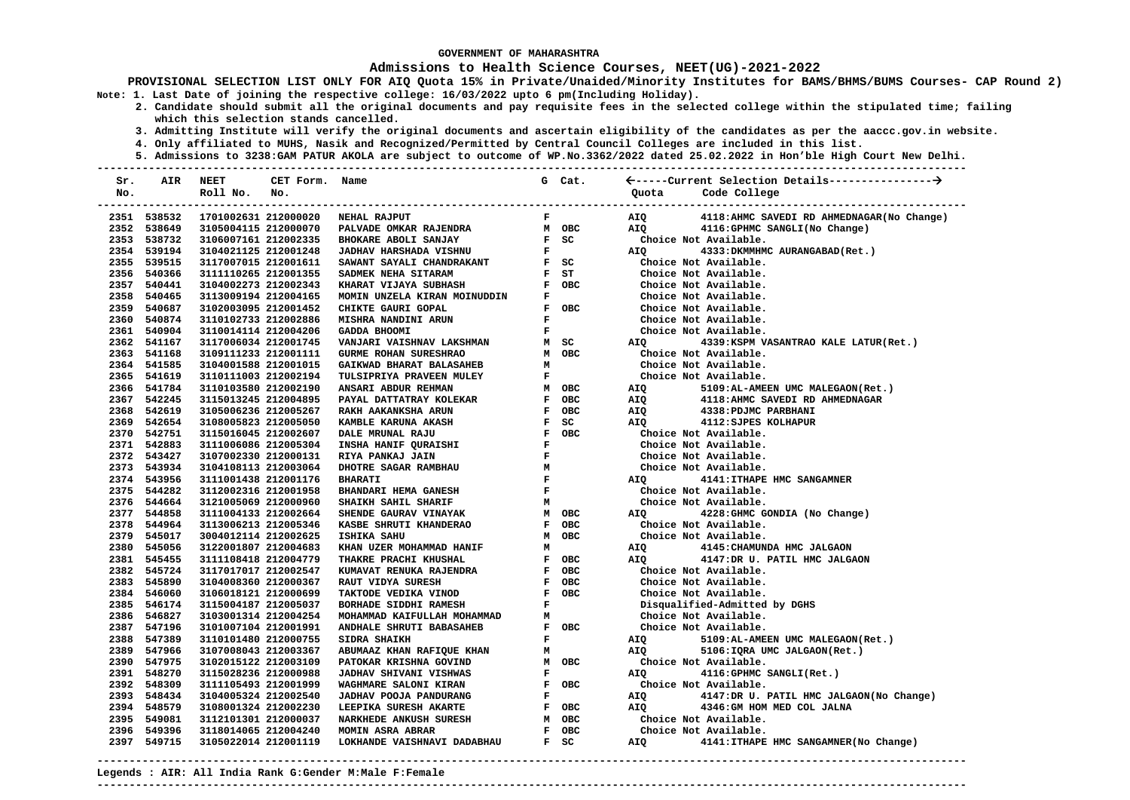### **Admissions to Health Science Courses, NEET(UG)-2021-2022**

- **2. Candidate should submit all the original documents and pay requisite fees in the selected college within the stipulated time; failing which this selection stands cancelled.** 
	- **3. Admitting Institute will verify the original documents and ascertain eligibility of the candidates as per the aaccc.gov.in website.**
	- **4. Only affiliated to MUHS, Nasik and Recognized/Permitted by Central Council Colleges are included in this list.**
- **5. Admissions to 3238:GAM PATUR AKOLA are subject to outcome of WP.No.3362/2022 dated 25.02.2022 in Hon'ble High Court New Delhi. ---------------------------------------------------------------------------------------------------------------------------------------**

| Sr. | AIR         | NEET                 | CET Form. Name       |                                                                                                                                                                                                                                            |              | G Cat.                                                                                         |                              |                                             |
|-----|-------------|----------------------|----------------------|--------------------------------------------------------------------------------------------------------------------------------------------------------------------------------------------------------------------------------------------|--------------|------------------------------------------------------------------------------------------------|------------------------------|---------------------------------------------|
| No. |             | Roll No.             | No.                  |                                                                                                                                                                                                                                            |              |                                                                                                | Quota                        | Code College                                |
|     |             |                      |                      |                                                                                                                                                                                                                                            |              |                                                                                                |                              |                                             |
|     | 2351 538532 |                      | 1701002631 212000020 | NEHAL RAJPUT                                                                                                                                                                                                                               |              | $\mathbf{F}$ and $\mathbf{F}$                                                                  | AIQ                          | 4118: AHMC SAVEDI RD AHMEDNAGAR (No Change) |
|     | 2352 538649 | 3105004115 212000070 |                      | PALIVADE ONKAR RAJENDRA HANDE ORCHANDE ON AN OBC<br>BHOKARE ABOLI SANJAY HE SC<br>JADHAV HARSHADA VISHNU HE SC<br>SAWANT SAYALI CHANDRAKANT HE SC<br>SADMEK NEHA SITARAM HE ST<br>KHARAT VIJAYA SUBHASH HE F OBC<br>KHARAT VIJAYA SUBHA MO |              |                                                                                                | AIO                          | 4116: GPHMC SANGLI (No Change)              |
|     | 2353 538732 | 3106007161 212002335 |                      |                                                                                                                                                                                                                                            |              |                                                                                                |                              | Choice Not Available.                       |
|     | 2354 539194 | 3104021125 212001248 |                      |                                                                                                                                                                                                                                            |              | $\begin{array}{cc}\n\mathbf{F} & \mathbf{S}\mathbf{C} \\ \mathbf{F} & \downarrow\n\end{array}$ | <b>AIQ</b>                   | 4333: DKMMHMC AURANGABAD (Ret.)             |
|     | 2355 539515 | 3117007015 212001611 |                      |                                                                                                                                                                                                                                            |              |                                                                                                |                              | Choice Not Available.                       |
|     | 2356 540366 | 3111110265 212001355 |                      |                                                                                                                                                                                                                                            |              | $F$ ST                                                                                         |                              | Choice Not Available.                       |
|     | 2357 540441 | 3104002273 212002343 |                      |                                                                                                                                                                                                                                            |              |                                                                                                |                              | Choice Not Available.                       |
|     | 2358 540465 | 3113009194 212004165 |                      | MOMIN UNZELA KIRAN MOINUDDIN                                                                                                                                                                                                               | $\mathbf{F}$ |                                                                                                |                              | Choice Not Available.                       |
|     | 2359 540687 | 3102003095 212001452 |                      | CHIKTE GAURI GOPAL                                                                                                                                                                                                                         |              | F OBC                                                                                          |                              | Choice Not Available.                       |
|     | 2360 540874 | 3110102733 212002886 |                      | MISHRA NANDINI ARUN                                                                                                                                                                                                                        | $\mathbf{F}$ |                                                                                                |                              | Choice Not Available.                       |
|     | 2361 540904 | 3110014114 212004206 |                      | <b>GADDA BHOOMI</b>                                                                                                                                                                                                                        | $\mathbf{F}$ |                                                                                                |                              | Choice Not Available.                       |
|     | 2362 541167 | 3117006034 212001745 |                      | VANJARI VAISHNAV LAKSHMAN                                                                                                                                                                                                                  |              | M SC                                                                                           | AIQ                          | 4339: KSPM VASANTRAO KALE LATUR(Ret.)       |
|     | 2363 541168 | 3109111233 212001111 |                      | GURME ROHAN SURESHRAO                                                                                                                                                                                                                      |              | M OBC                                                                                          |                              | Choice Not Available.                       |
|     | 2364 541585 | 3104001588 212001015 |                      | GAIKWAD BHARAT BALASAHEB                                                                                                                                                                                                                   | M            |                                                                                                |                              | Choice Not Available.                       |
|     | 2365 541619 | 3110111003 212002194 |                      | TULSIPRIYA PRAVEEN MULEY                                                                                                                                                                                                                   | $\mathbf{F}$ |                                                                                                |                              | Choice Not Available.                       |
|     | 2366 541784 | 3110103580 212002190 |                      | ANSARI ABDUR REHMAN                                                                                                                                                                                                                        |              | M OBC                                                                                          | AIQ                          | 5109:AL-AMEEN UMC MALEGAON(Ret.)            |
|     | 2367 542245 | 3115013245 212004895 |                      |                                                                                                                                                                                                                                            |              |                                                                                                | AIQ                          | 4118: AHMC SAVEDI RD AHMEDNAGAR             |
|     | 2368 542619 | 3105006236 212005267 |                      |                                                                                                                                                                                                                                            |              |                                                                                                | AIQ                          | 4338: PDJMC PARBHANI                        |
|     | 2369 542654 | 3108005823 212005050 |                      |                                                                                                                                                                                                                                            |              |                                                                                                | AIQ                          | 4112: SJPES KOLHAPUR                        |
|     | 2370 542751 | 3115016045 212002607 |                      |                                                                                                                                                                                                                                            |              |                                                                                                |                              | Choice Not Available.                       |
|     | 2371 542883 | 3111006086 212005304 |                      |                                                                                                                                                                                                                                            |              |                                                                                                |                              | Choice Not Available.                       |
|     | 2372 543427 | 3107002330 212000131 |                      |                                                                                                                                                                                                                                            |              |                                                                                                |                              | Choice Not Available.                       |
|     | 2373 543934 | 3104108113 212003064 |                      |                                                                                                                                                                                                                                            |              |                                                                                                |                              | Choice Not Available.                       |
|     | 2374 543956 | 3111001438 212001176 |                      |                                                                                                                                                                                                                                            |              |                                                                                                | <b>AIO</b>                   | 4141: ITHAPE HMC SANGAMNER                  |
|     | 2375 544282 | 3112002316 212001958 |                      |                                                                                                                                                                                                                                            |              |                                                                                                |                              | Choice Not Available.                       |
|     | 2376 544664 | 3121005069 212000960 |                      | M<br>M OBC<br>SHAIKH SAHIL SHARIF                                                                                                                                                                                                          |              |                                                                                                |                              | Choice Not Available.                       |
|     | 2377 544858 | 3111004133 212002664 |                      | SHENDE GAURAV VINAYAK                                                                                                                                                                                                                      |              | M OBC                                                                                          | AIQ DISPONSITION AND ATTIQUE | 4228: GHMC GONDIA (No Change)               |
|     | 2378 544964 | 3113006213 212005346 |                      | KASBE SHRUTI KHANDERAO                                                                                                                                                                                                                     |              | F OBC                                                                                          |                              | Choice Not Available.                       |
|     | 2379 545017 | 3004012114 212002625 |                      | <b>ISHIKA SAHU</b>                                                                                                                                                                                                                         |              | M OBC                                                                                          |                              | Choice Not Available.                       |
|     | 2380 545056 | 3122001807 212004683 |                      | KHAN UZER MOHAMMAD HANIF                                                                                                                                                                                                                   | M            |                                                                                                | AIQ                          | 4145: CHAMUNDA HMC JALGAON                  |
|     | 2381 545455 | 3111108418 212004779 |                      | THAKRE PRACHI KHUSHAL                                                                                                                                                                                                                      |              | F OBC                                                                                          | AIO                          | 4147:DR U. PATIL HMC JALGAON                |
|     | 2382 545724 | 3117017017 212002547 |                      | KUMAVAT RENUKA RAJENDRA                                                                                                                                                                                                                    |              | F OBC                                                                                          |                              | Choice Not Available.                       |
|     | 2383 545890 | 3104008360 212000367 |                      | RAUT VIDYA SURESH                                                                                                                                                                                                                          |              | F OBC                                                                                          |                              | Choice Not Available.                       |
|     | 2384 546060 | 3106018121 212000699 |                      | TAKTODE VEDIKA VINOD                                                                                                                                                                                                                       |              | F OBC                                                                                          |                              | Choice Not Available.                       |
|     | 2385 546174 | 3115004187 212005037 |                      | BORHADE SIDDHI RAMESH                                                                                                                                                                                                                      | $\mathbf{F}$ |                                                                                                |                              | Disqualified-Admitted by DGHS               |
|     | 2386 546827 | 3103001314 212004254 |                      | MOHAMMAD KAIFULLAH MOHAMMAD<br>ANDHALE SHRUTI BABASAHEB<br>47001 411 7111                                                                                                                                                                  |              | $\mathbf{M}$                                                                                   |                              | Choice Not Available.                       |
|     | 2387 547196 | 3101007104 212001991 |                      |                                                                                                                                                                                                                                            |              | F OBC                                                                                          |                              | Choice Not Available.                       |
|     | 2388 547389 | 3110101480 212000755 |                      | <b>SIDRA SHAIKH</b>                                                                                                                                                                                                                        |              | $\mathbf{F}$ and $\mathbf{F}$                                                                  | AIQ                          | 5109:AL-AMEEN UMC MALEGAON(Ret.)            |
|     | 2389 547966 | 3107008043 212003367 |                      | ABUMAAZ KHAN RAFIQUE KHAN                                                                                                                                                                                                                  | м            |                                                                                                | AIO                          | 5106: IQRA UMC JALGAON(Ret.)                |
|     | 2390 547975 | 3102015122 212003109 |                      | PATOKAR KRISHNA GOVIND                                                                                                                                                                                                                     |              | M OBC                                                                                          |                              | Choice Not Available.                       |
|     | 2391 548270 | 3115028236 212000988 |                      | JADHAV SHIVANI VISHWAS                                                                                                                                                                                                                     | $\mathbf{F}$ |                                                                                                | AIQ Q                        | 4116:GPHMC SANGLI(Ret.)                     |
|     | 2392 548309 | 3111105493 212001999 |                      | WAGHMARE SALONI KIRAN                                                                                                                                                                                                                      |              |                                                                                                |                              | Choice Not Available.                       |
|     | 2393 548434 | 3104005324 212002540 |                      | JADHAV POOJA PANDURANG                                                                                                                                                                                                                     |              |                                                                                                | <b>AIO</b>                   | 4147:DR U. PATIL HMC JALGAON(No Change)     |
|     | 2394 548579 | 3108001324 212002230 |                      | LEEPIKA SURESH AKARTE                                                                                                                                                                                                                      |              |                                                                                                | AIO                          | 4346:GM HOM MED COL JALNA                   |
|     | 2395 549081 | 3112101301 212000037 |                      | F OBC<br>F OBC<br>M OBC<br>F OBC<br><b>NARKHEDE ANKUSH SURESH</b>                                                                                                                                                                          |              |                                                                                                |                              | Choice Not Available.                       |
|     | 2396 549396 | 3118014065 212004240 |                      | MOMIN ASRA ABRAR                                                                                                                                                                                                                           |              |                                                                                                |                              | Choice Not Available.                       |
|     | 2397 549715 | 3105022014 212001119 |                      | LOKHANDE VAISHNAVI DADABHAU                                                                                                                                                                                                                |              | $F$ SC                                                                                         | AIQ                          | 4141: ITHAPE HMC SANGAMNER (No Change)      |
|     |             |                      |                      |                                                                                                                                                                                                                                            |              |                                                                                                |                              |                                             |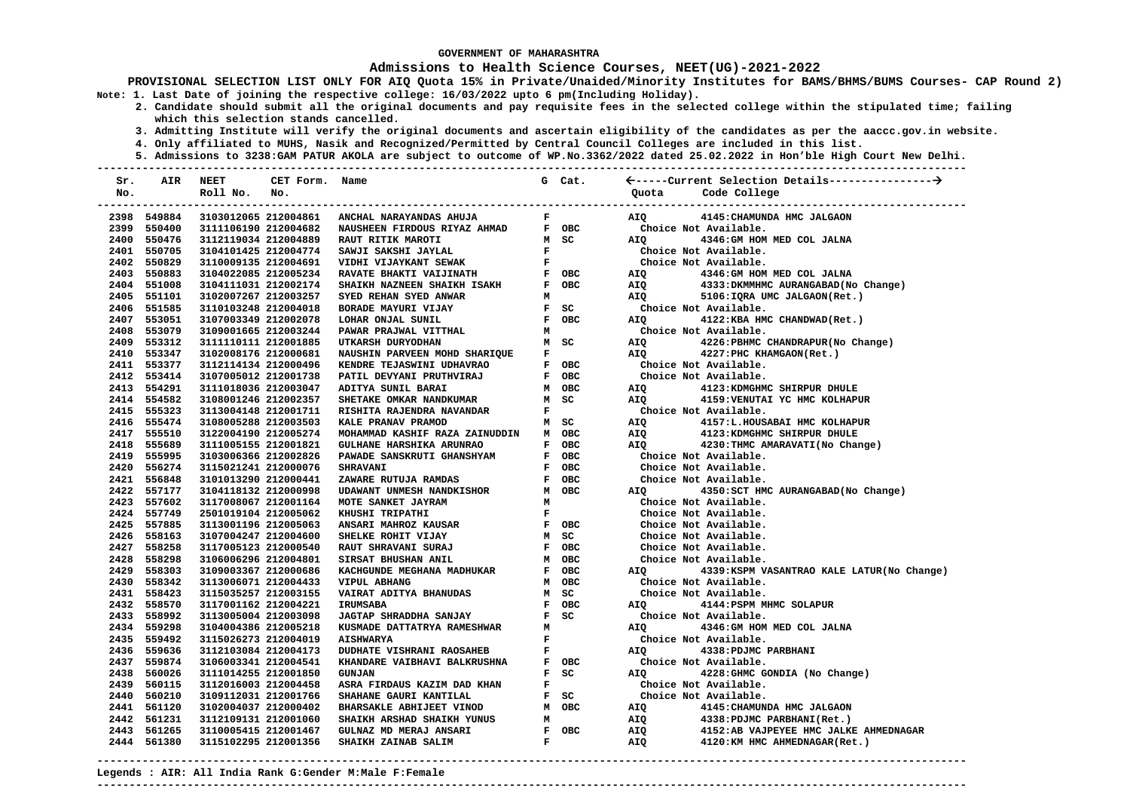### **Admissions to Health Science Courses, NEET(UG)-2021-2022**

**PROVISIONAL SELECTION LIST ONLY FOR AIQ Quota 15% in Private/Unaided/Minority Institutes for BAMS/BHMS/BUMS Courses- CAP Round 2) Note: 1. Last Date of joining the respective college: 16/03/2022 upto 6 pm(Including Holiday).** 

- **2. Candidate should submit all the original documents and pay requisite fees in the selected college within the stipulated time; failing which this selection stands cancelled.** 
	- **3. Admitting Institute will verify the original documents and ascertain eligibility of the candidates as per the aaccc.gov.in website.**
	- **4. Only affiliated to MUHS, Nasik and Recognized/Permitted by Central Council Colleges are included in this list.**
- **5. Admissions to 3238:GAM PATUR AKOLA are subject to outcome of WP.No.3362/2022 dated 25.02.2022 in Hon'ble High Court New Delhi. ---------------------------------------------------------------------------------------------------------------------------------------**

| Sr. | AIR         | NEET                 | CET Form. Name |                                                                                                                   |              | G Cat.                          |                |                                             |
|-----|-------------|----------------------|----------------|-------------------------------------------------------------------------------------------------------------------|--------------|---------------------------------|----------------|---------------------------------------------|
| No. |             | Roll No.             | No.            |                                                                                                                   |              |                                 | Quota          | Code College                                |
|     |             |                      |                |                                                                                                                   |              |                                 |                |                                             |
|     | 2398 549884 |                      |                | 3103012065 212004861 ANCHAL NARAYANDAS AHUJA                                                                      |              | $\mathbf{F}$ and $\mathbf{F}$   | AIQ            | 4145: CHAMUNDA HMC JALGAON                  |
|     | 2399 550400 | 3111106190 212004682 |                | NAUSHEEN FIRDOUS RIYAZ AHMAD                                                                                      |              | F OBC                           |                | Choice Not Available.                       |
|     | 2400 550476 | 3112119034 212004889 |                | RAUT RITIK MAROTI                                                                                                 |              | M SC                            | AIO            | 4346: GM HOM MED COL JALNA                  |
|     | 2401 550705 | 3104101425 212004774 |                | SAWJI SAKSHI JAYLAL                                                                                               |              | $\frac{\mathbf{F}}{\mathbf{F}}$ |                | Choice Not Available.                       |
|     | 2402 550829 | 3110009135 212004691 |                | VIDHI VIJAYKANT SEWAK                                                                                             |              |                                 |                | Choice Not Available.                       |
|     | 2403 550883 | 3104022085 212005234 |                | ${\bf RAVATE} \hspace{2mm} {\bf BHAKTI} \hspace{2mm} {\bf VAIJINATH} \hspace{2cm} {\bf F} \hspace{2mm} {\bf OBC}$ |              |                                 | AIQ            | 4346: GM HOM MED COL JALNA                  |
|     | 2404 551008 | 3104111031 212002174 |                |                                                                                                                   |              |                                 | AIQ            | 4333: DKMMHMC AURANGABAD (No Change)        |
|     | 2405 551101 | 3102007267 212003257 |                |                                                                                                                   |              |                                 | AIQ            | 5106: IQRA UMC JALGAON(Ret.)                |
|     | 2406 551585 | 3110103248 212004018 |                |                                                                                                                   |              | $F$ SC                          |                | Choice Not Available.                       |
|     | 2407 553051 | 3107003349 212002078 |                |                                                                                                                   |              |                                 | <b>AIO</b>     | 4122:KBA HMC CHANDWAD (Ret.)                |
|     | 2408 553079 | 3109001665 212003244 |                | PAWAR PRAJWAL VITTHAL                                                                                             |              | M                               |                | Choice Not Available.                       |
|     | 2409 553312 | 3111110111 212001885 |                | UTKARSH DURYODHAN                                                                                                 |              | M SC                            | AIQ            | 4226: PBHMC CHANDRAPUR (No Change)          |
|     | 2410 553347 | 3102008176 212000681 |                | NAUSHIN PARVEEN MOHD SHARIQUE                                                                                     |              | $\mathbf{F}$ and $\mathbf{F}$   | AIQ <b>AIR</b> | 4227: PHC KHAMGAON (Ret.)                   |
|     | 2411 553377 | 3112114134 212000496 |                | KENDRE TEJASWINI UDHAVRAO                                                                                         |              | F OBC                           |                | Choice Not Available.                       |
|     | 2412 553414 | 3107005012 212001738 |                | PATIL DEVYANI PRUTHVIRAJ                                                                                          |              | F OBC                           |                | Choice Not Available.                       |
|     | 2413 554291 | 3111018036 212003047 |                | ADITYA SUNIL BARAI                                                                                                |              | M OBC                           | AIQ            | 4123: KDMGHMC SHIRPUR DHULE                 |
|     | 2414 554582 | 3108001246 212002357 |                | SHETAKE OMKAR NANDKUMAR                                                                                           |              | M SC                            | AIQ            | 4159: VENUTAI YC HMC KOLHAPUR               |
|     | 2415 555323 | 3113004148 212001711 |                | RISHITA RAJENDRA NAVANDAR                                                                                         | $\mathbf{F}$ |                                 |                | Choice Not Available.                       |
|     | 2416 555474 | 3108005288 212003503 |                | KALE PRANAV PRAMOD                                                                                                |              | M SC                            | AIQ            | 4157:L.HOUSABAI HMC KOLHAPUR                |
|     | 2417 555510 | 3122004190 212005274 |                | MOHAMMAD KASHIF RAZA ZAINUDDIN                                                                                    |              | M OBC                           | AIQ            | 4123: KDMGHMC SHIRPUR DHULE                 |
|     | 2418 555689 | 3111005155 212001821 |                | GULHANE HARSHIKA ARUNRAO                                                                                          |              | F OBC                           | AIQ            | 4230: THMC AMARAVATI (No Change)            |
|     | 2419 555995 | 3103006366 212002826 |                | PAWADE SANSKRUTI GHANSHYAM                                                                                        |              | F OBC                           |                | Choice Not Available.                       |
|     | 2420 556274 | 3115021241 212000076 |                | <b>SHRAVANI</b>                                                                                                   |              | F OBC                           |                | Choice Not Available.                       |
|     | 2421 556848 | 3101013290 212000441 |                | ZAWARE RUTUJA RAMDAS                                                                                              |              | F OBC                           |                | Choice Not Available.                       |
|     | 2422 557177 | 3104118132 212000998 |                | UDAWANT UNMESH NANDKISHOR<br>MOTE SANZEE ILUDAY                                                                   |              | M OBC                           | <b>AIO</b>     | 4350: SCT HMC AURANGABAD (No Change)        |
|     | 2423 557602 | 3117008067 212001164 |                | MOTE SANKET JAYRAM                                                                                                | M            |                                 |                | Choice Not Available.                       |
|     | 2424 557749 | 2501019104 212005062 |                | KHUSHI TRIPATHI<br>ANSARI MAHROZ KAUSAR                                                                           |              | $\mathbf{F}$ and $\mathbf{F}$   |                | Choice Not Available.                       |
|     | 2425 557885 | 3113001196 212005063 |                |                                                                                                                   |              | F OBC                           |                | Choice Not Available.                       |
|     | 2426 558163 | 3107004247 212004600 |                | SHELKE ROHIT VIJAY                                                                                                |              | M SC                            |                | Choice Not Available.                       |
|     | 2427 558258 | 3117005123 212000540 |                | RAUT SHRAVANI SURAJ                                                                                               |              | F OBC                           |                | Choice Not Available.                       |
|     | 2428 558298 | 3106006296 212004801 |                | SIRSAT BHUSHAN ANIL                                                                                               |              | M OBC                           |                | Choice Not Available.                       |
|     | 2429 558303 | 3109003367 212000686 |                | KACHGUNDE MEGHANA MADHUKAR                                                                                        |              | F OBC                           | AIQ            | 4339: KSPM VASANTRAO KALE LATUR (No Change) |
|     | 2430 558342 | 3113006071 212004433 |                | VIPUL ABHANG                                                                                                      |              | M OBC                           |                | Choice Not Available.                       |
|     | 2431 558423 | 3115035257 212003155 |                | VAIRAT ADITYA BHANUDAS                                                                                            |              | M SC                            |                | Choice Not Available.                       |
|     | 2432 558570 | 3117001162 212004221 |                | <b>IRUMSABA</b>                                                                                                   |              | F OBC                           | AIQ Q          | 4144: PSPM MHMC SOLAPUR                     |
|     | 2433 558992 | 3113005004 212003098 |                | <b>JAGTAP SHRADDHA SANJAY</b>                                                                                     |              | $F$ SC                          |                | Choice Not Available.                       |
|     | 2434 559298 | 3104004386 212005218 |                | KUSMADE DATTATRYA RAMESHWAR                                                                                       | M            |                                 | <b>AIO</b>     | 4346: GM HOM MED COL JALNA                  |
|     | 2435 559492 | 3115026273 212004019 |                | <b>AISHWARYA</b>                                                                                                  |              | $\frac{\mathbf{F}}{\mathbf{F}}$ |                | Choice Not Available.                       |
|     | 2436 559636 | 3112103084 212004173 |                | <b>DUDHATE VISHRANI RAOSAHEB</b>                                                                                  |              |                                 | <b>AIQ</b>     | 4338: PDJMC PARBHANI                        |
|     | 2437 559874 | 3106003341 212004541 |                | KHANDARE VAIBHAVI BALKRUSHNA                                                                                      |              | F OBC                           |                | Choice Not Available.                       |
|     | 2438 560026 | 3111014255 212001850 |                | <b>GUNJAN</b>                                                                                                     |              | $F$ SC                          | <b>AIQ</b>     | 4228: GHMC GONDIA (No Change)               |
|     | 2439 560115 | 3112016003 212004458 |                | ASRA FIRDAUS KAZIM DAD KHAN                                                                                       |              | $\mathbf{F}$ and $\mathbf{F}$   |                | Choice Not Available.                       |
|     | 2440 560210 | 3109112031 212001766 |                | SHAHANE GAURI KANTILAL                                                                                            |              | $F$ SC                          |                | Choice Not Available.                       |
|     | 2441 561120 | 3102004037 212000402 |                | BHARSAKLE ABHIJEET VINOD<br>SHAIKH ARSHAD SHAIKH YUNUS                                                            |              | M OBC                           | AIQ            | 4145: CHAMUNDA HMC JALGAON                  |
|     | 2442 561231 | 3112109131 212001060 |                |                                                                                                                   |              | $M$ and $M$                     | AIQ            | 4338: PDJMC PARBHANI (Ret.)                 |
|     | 2443 561265 | 3110005415 212001467 |                | I FOBC<br>F<br><b>GULNAZ MD MERAJ ANSARI</b>                                                                      |              |                                 | AIQ            | 4152:AB VAJPEYEE HMC JALKE AHMEDNAGAR       |
|     | 2444 561380 | 3115102295 212001356 |                | SHAIKH ZAINAB SALIM                                                                                               |              |                                 | AIQ            | 4120:KM HMC AHMEDNAGAR(Ret.)                |

**---------------------------------------------------------------------------------------------------------------------------------------**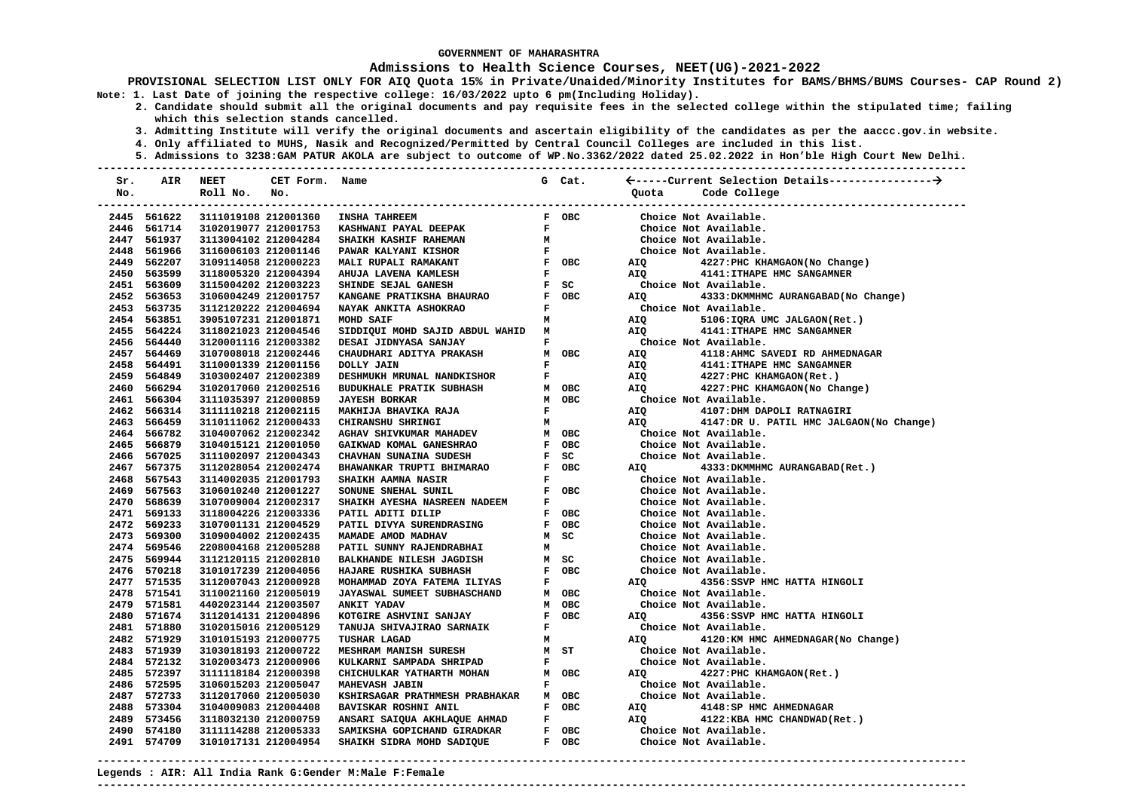### **Admissions to Health Science Courses, NEET(UG)-2021-2022**

- **2. Candidate should submit all the original documents and pay requisite fees in the selected college within the stipulated time; failing which this selection stands cancelled.** 
	- **3. Admitting Institute will verify the original documents and ascertain eligibility of the candidates as per the aaccc.gov.in website.**
	- **4. Only affiliated to MUHS, Nasik and Recognized/Permitted by Central Council Colleges are included in this list.**
- **5. Admissions to 3238:GAM PATUR AKOLA are subject to outcome of WP.No.3362/2022 dated 25.02.2022 in Hon'ble High Court New Delhi. ---------------------------------------------------------------------------------------------------------------------------------------**

| Sr. | AIR                        | NEET                                         | CET Form. Name |                                                                                |              | G Cat.                        |              |                                                |
|-----|----------------------------|----------------------------------------------|----------------|--------------------------------------------------------------------------------|--------------|-------------------------------|--------------|------------------------------------------------|
| No. |                            | Roll No.                                     | No.            |                                                                                |              |                               | Quota        | Code College                                   |
|     |                            |                                              |                |                                                                                |              |                               |              |                                                |
|     | 2445 561622                |                                              |                | 3111019108 212001360 INSHA TAHREEM                                             |              | F OBC                         |              | Choice Not Available.                          |
|     | 2446 561714                |                                              |                | 3102019077 212001753 KASHWANI PAYAL DEEPAK                                     | $\mathbf{F}$ |                               |              | Choice Not Available.                          |
|     | 2447 561937                |                                              |                | 3113004102 212004284 SHAIKH KASHIF RAHEMAN                                     |              |                               |              | Choice Not Available.                          |
|     | 2448 561966                | 3116006103 212001146                         |                | PAWAR KALYANI KISHOR                                                           |              |                               |              | Choice Not Available.                          |
|     | 2449 562207                | 3109114058 212000223                         |                | MALI RUPALI RAMAKANT                                                           |              |                               | <b>AIQ</b>   | 4227: PHC KHAMGAON (No Change)                 |
|     | 2450 563599                | 3118005320 212004394                         |                | AHUJA LAVENA KAMLESH                                                           |              |                               |              | AIQ 4141: ITHAPE HMC SANGAMNER                 |
|     | 2451 563609                | 3115004202 212003223                         |                | SHINDE SEJAL GANESH                                                            |              |                               |              | Choice Not Available.                          |
|     | 2452 563653                | 3106004249 212001757                         |                | KANGANE PRATIKSHA BHAURAO<br>NAYAK ANKITA ASHOKRAO                             |              | F OBC                         | <b>AIQ</b>   | 4333: DKMMHMC AURANGABAD (No Change)           |
|     | 2453 563735                | 3112120222 212004694                         |                |                                                                                |              | $\mathbf{F}$ and $\mathbf{F}$ |              | Choice Not Available.                          |
|     | 2454 563851                | 3905107231 212001871                         |                | MOHD SAIF                                                                      |              | $M$                           | AIQ          | 5106: IQRA UMC JALGAON(Ret.)                   |
|     | 2455 564224                | 3118021023 212004546                         |                | SIDDIQUI MOHD SAJID ABDUL WAHID M                                              |              |                               | AIQ <b>A</b> | 4141: ITHAPE HMC SANGAMNER                     |
|     | 2456 564440                | 3120001116 212003382                         |                | DESAI JIDNYASA SANJAY                                                          |              | $\mathbf{F}$ and $\mathbf{F}$ |              | Choice Not Available.                          |
|     | 2457 564469                | 3107008018 212002446                         |                | CHAUDHARI ADITYA PRAKASH                                                       |              | M OBC                         | AIQ          | 4118: AHMC SAVEDI RD AHMEDNAGAR                |
|     | 2458 564491                | 3110001339 212001156                         |                | DOLLY JAIN                                                                     | $\mathbf{F}$ |                               | AIQ          | 4141: ITHAPE HMC SANGAMNER                     |
|     | 2459 564849                | 3103002407 212002389                         |                | <b>DESHMUKH MRUNAL NANDKISHOR<br/>BUDUKHALE PRATIK SUBHASH</b>                 |              | $\mathbf{F}$ and $\mathbf{F}$ | AIQ          | 4227: PHC KHAMGAON (Ret.)                      |
|     | 2460 566294                | 3102017060 212002516                         |                |                                                                                |              | M OBC                         | AIO          | 4227: PHC KHAMGAON (No Change)                 |
|     | 2461 566304                | 3111035397 212000859                         |                | <b>JAYESH BORKAR</b>                                                           |              | M OBC                         |              | Choice Not Available.                          |
|     | 2462 566314                | 3111110218 212002115                         |                | MAKHIJA BHAVIKA RAJA                                                           |              | $\mathbf{F}$ and $\mathbf{F}$ | <b>AIO</b>   | 4107:DHM DAPOLI RATNAGIRI                      |
|     | 2463 566459                | 3110111062 212000433                         |                | CHIRANSHU SHRINGI                                                              | M            |                               | AIQ          | 4147:DR U. PATIL HMC JALGAON(No Change)        |
|     | 2464 566782                | 3104007062 212002342                         |                | AGHAV SHIVKUMAR MAHADEV                                                        |              | M OBC                         |              | Choice Not Available.                          |
|     | 2465 566879                | 3104015121 212001050                         |                | GAIKWAD KOMAL GANESHRAO<br>CHAVHAN SUNAINA SUDESH<br>BHAWANKAR TRUPTI BHIMARAO |              | F OBC                         |              | Choice Not Available.                          |
|     | 2466 567025                | 3111002097 212004343                         |                |                                                                                |              | $F$ $SC$                      |              | Choice Not Available.                          |
|     | 2467 567375                | 3112028054 212002474                         |                |                                                                                |              | F OBC                         |              | AIQ 4333:DKMMHMC AURANGABAD(Ret.)              |
|     | 2468 567543                | 3114002035 212001793                         |                | <b>SHAIKH AAMNA NASIR</b>                                                      |              | $\mathbf{F}$ and $\mathbf{F}$ |              | Choice Not Available.                          |
|     | 2469 567563                | 3106010240 212001227                         |                | SONUNE SNEHAL SUNIL                                                            |              | F OBC                         |              | Choice Not Available.                          |
|     | 2470 568639                | 3107009004 212002317                         |                | SHAIKH AYESHA NASREEN NADEEM                                                   |              | $\mathbf{F}$ and $\mathbf{F}$ |              | Choice Not Available.                          |
|     | 2471 569133                | 3118004226 212003336                         |                | PATIL ADITI DILIP                                                              |              | F OBC                         |              | Choice Not Available.                          |
|     | 2472 569233<br>2473 569300 | 3107001131 212004529                         |                | PATIL DIVYA SURENDRASING<br>MAMADE AMOD MADHAV                                 |              | F OBC<br>M SC                 |              | Choice Not Available.<br>Choice Not Available. |
|     | 2474 569546                | 3109004002 212002435<br>2208004168 212005288 |                |                                                                                | M            |                               |              | Choice Not Available.                          |
|     | 2475 569944                | 3112120115 212002810                         |                | PATIL SUNNY RAJENDRABHAI<br>BALKHANDE NILESH JAGDISH                           |              | M SC                          |              | Choice Not Available.                          |
|     | 2476 570218                | 3101017239 212004056                         |                | HAJARE RUSHIKA SUBHASH                                                         |              | F OBC                         |              | Choice Not Available.                          |
|     | 2477 571535                | 3112007043 212000928                         |                |                                                                                |              | $\mathbf{F}$ and $\mathbf{F}$ | AIQ          | 4356:SSVP HMC HATTA HINGOLI                    |
|     | 2478 571541                | 3110021160 212005019                         |                | MOHAMMAD ZOYA FATEMA ILIYAS<br>JAYASWAL SUMEET SUBHASCHAND                     |              | M OBC                         |              | Choice Not Available.                          |
|     | 2479 571581                | 4402023144 212003507                         |                | ANKIT YADAV                                                                    |              | M OBC                         |              | Choice Not Available.                          |
|     | 2480 571674                | 3112014131 212004896                         |                | KOTGIRE ASHVINI SANJAY                                                         |              | F OBC                         | <b>AIO</b>   | 4356:SSVP HMC HATTA HINGOLI                    |
|     | 2481 571880                | 3102015016 212005129                         |                | TANUJA SHIVAJIRAO SARNAIK                                                      | $\mathbf{F}$ |                               |              | Choice Not Available.                          |
|     | 2482 571929                | 3101015193 212000775                         |                | <b>TUSHAR LAGAD</b>                                                            |              | M                             | AIQ Q        | 4120:KM HMC AHMEDNAGAR(No Change)              |
|     | 2483 571939                | 3103018193 212000722                         |                | <b>MESHRAM MANISH SURESH</b>                                                   |              | M ST                          |              | Choice Not Available.                          |
|     | 2484 572132                | 3102003473 212000906                         |                | KULKARNI SAMPADA SHRIPAD                                                       |              | $\mathbf{F}$ and $\mathbf{F}$ |              | Choice Not Available.                          |
|     | 2485 572397                | 3111118184 212000398                         |                | CHICHULKAR YATHARTH MOHAN                                                      |              | M OBC                         |              | AIQ 4227: PHC KHAMGAON (Ret.)                  |
|     | 2486 572595                | 3106015203 212005047                         |                | <b>MAHEVASH JABIN</b>                                                          |              | $\mathbf{F}$ and $\mathbf{F}$ |              | Choice Not Available.                          |
|     | 2487 572733                | 3112017060 212005030                         |                | KSHIRSAGAR PRATHMESH PRABHAKAR M OBC                                           |              |                               |              | Choice Not Available.                          |
|     | 2488 573304                | 3104009083 212004408                         |                |                                                                                |              |                               | <b>AIQ</b>   | 4148:SP HMC AHMEDNAGAR                         |
|     | 2489 573456                | 3118032130 212000759                         |                |                                                                                |              |                               |              | AIQ 4122: KBA HMC CHANDWAD (Ret.)              |
|     | 2490 574180                | 3111114288 212005333                         |                |                                                                                |              |                               |              | Choice Not Available.                          |
|     | 2491 574709                | 3101017131 212004954                         |                |                                                                                |              |                               |              | Choice Not Available.                          |
|     |                            |                                              |                |                                                                                |              |                               |              |                                                |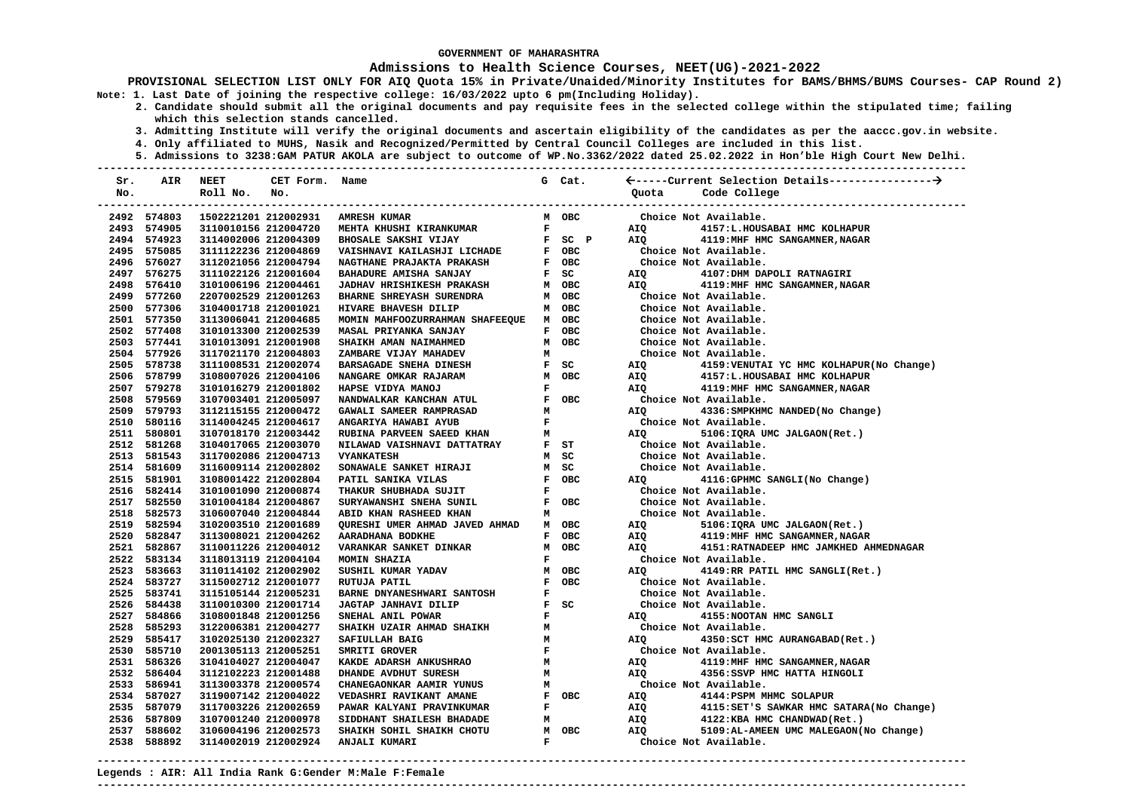### **Admissions to Health Science Courses, NEET(UG)-2021-2022**

**PROVISIONAL SELECTION LIST ONLY FOR AIQ Quota 15% in Private/Unaided/Minority Institutes for BAMS/BHMS/BUMS Courses- CAP Round 2) Note: 1. Last Date of joining the respective college: 16/03/2022 upto 6 pm(Including Holiday).** 

- **2. Candidate should submit all the original documents and pay requisite fees in the selected college within the stipulated time; failing which this selection stands cancelled.** 
	- **3. Admitting Institute will verify the original documents and ascertain eligibility of the candidates as per the aaccc.gov.in website.**
	- **4. Only affiliated to MUHS, Nasik and Recognized/Permitted by Central Council Colleges are included in this list.**
	- **5. Admissions to 3238:GAM PATUR AKOLA are subject to outcome of WP.No.3362/2022 dated 25.02.2022 in Hon'ble High Court New Delhi.**

| Sr.  | AIR         | <b>NEET</b>          | CET Form. Name |                                  |              | G Cat. |            |                                           |
|------|-------------|----------------------|----------------|----------------------------------|--------------|--------|------------|-------------------------------------------|
| No.  |             | Roll No.             | No.            |                                  |              |        | Ouota      | Code College                              |
|      |             |                      |                |                                  |              |        |            |                                           |
|      | 2492 574803 | 1502221201 212002931 |                | <b>AMRESH KUMAR</b>              |              | M OBC  |            | Choice Not Available.                     |
|      | 2493 574905 | 3110010156 212004720 |                | MEHTA KHUSHI KIRANKUMAR          | $\mathbf{F}$ |        | AIQ        | 4157:L.HOUSABAI HMC KOLHAPUR              |
|      | 2494 574923 | 3114002006 212004309 |                | <b>BHOSALE SAKSHI VIJAY</b>      |              | F SC P | <b>AIO</b> | 4119: MHF HMC SANGAMNER, NAGAR            |
|      | 2495 575085 | 3111122236 212004869 |                | VAISHNAVI KAILASHJI LICHADE      |              | F OBC  |            | Choice Not Available.                     |
|      | 2496 576027 | 3112021056 212004794 |                | NAGTHANE PRAJAKTA PRAKASH        |              | F OBC  |            | Choice Not Available.                     |
|      | 2497 576275 | 3111022126 212001604 |                | BAHADURE AMISHA SANJAY           |              | $F$ SC | AIQ        | 4107: DHM DAPOLI RATNAGIRI                |
|      | 2498 576410 | 3101006196 212004461 |                | <b>JADHAV HRISHIKESH PRAKASH</b> |              | M OBC  | <b>AIQ</b> | 4119: MHF HMC SANGAMNER, NAGAR            |
|      | 2499 577260 | 2207002529 212001263 |                | BHARNE SHREYASH SURENDRA         |              | M OBC  |            | Choice Not Available.                     |
|      | 2500 577306 | 3104001718 212001021 |                | HIVARE BHAVESH DILIP             |              | M OBC  |            | Choice Not Available.                     |
|      | 2501 577350 | 3113006041 212004685 |                | MOMIN MAHFOOZURRAHMAN SHAFEEQUE  |              | M OBC  |            | Choice Not Available.                     |
|      | 2502 577408 | 3101013300 212002539 |                | MASAL PRIYANKA SANJAY            |              | F OBC  |            | Choice Not Available.                     |
|      | 2503 577441 | 3101013091 212001908 |                | SHAIKH AMAN NAIMAHMED            |              | M OBC  |            | Choice Not Available.                     |
|      | 2504 577926 | 3117021170 212004803 |                | ZAMBARE VIJAY MAHADEV            | м            |        |            | Choice Not Available.                     |
|      | 2505 578738 | 3111008531 212002074 |                | BARSAGADE SNEHA DINESH           |              | F SC   | AIQ        | 4159: VENUTAI YC HMC KOLHAPUR (No Change) |
|      | 2506 578799 | 3108007026 212004106 |                | NANGARE OMKAR RAJARAM            |              | M OBC  | AIQ        | 4157:L.HOUSABAI HMC KOLHAPUR              |
|      | 2507 579278 | 3101016279 212001802 |                | HAPSE VIDYA MANOJ                | F            |        | AIQ        | 4119: MHF HMC SANGAMNER, NAGAR            |
|      | 2508 579569 | 3107003401 212005097 |                | NANDWALKAR KANCHAN ATUL          |              | F OBC  |            | Choice Not Available.                     |
|      | 2509 579793 | 3112115155 212000472 |                | GAWALI SAMEER RAMPRASAD          | М            |        | AIO        | 4336: SMPKHMC NANDED (No Change)          |
|      | 2510 580116 | 3114004245 212004617 |                | ANGARIYA HAWABI AYUB             | $\mathbf{F}$ |        |            | Choice Not Available.                     |
|      | 2511 580801 | 3107018170 212003442 |                | RUBINA PARVEEN SAEED KHAN        | M            |        | AIQ        | 5106: IQRA UMC JALGAON(Ret.)              |
|      | 2512 581268 | 3104017065 212003070 |                | NILAWAD VAISHNAVI DATTATRAY      |              | F ST   |            | Choice Not Available.                     |
|      | 2513 581543 | 3117002086 212004713 |                | <b>VYANKATESH</b>                |              | M SC   |            | Choice Not Available.                     |
|      | 2514 581609 | 3116009114 212002802 |                | SONAWALE SANKET HIRAJI           |              | M SC   |            | Choice Not Available.                     |
|      | 2515 581901 | 3108001422 212002804 |                | PATIL SANIKA VILAS               |              | F OBC  | AIQ        | 4116: GPHMC SANGLI (No Change)            |
|      | 2516 582414 | 3101001090 212000874 |                | THAKUR SHUBHADA SUJIT            | F            |        |            | Choice Not Available.                     |
|      | 2517 582550 | 3101004184 212004867 |                | SURYAWANSHI SNEHA SUNIL          |              | F OBC  |            | Choice Not Available.                     |
|      | 2518 582573 | 3106007040 212004844 |                | ABID KHAN RASHEED KHAN           | м            |        |            | Choice Not Available.                     |
|      | 2519 582594 | 3102003510 212001689 |                | QURESHI UMER AHMAD JAVED AHMAD   |              | M OBC  | AIQ        | 5106: IQRA UMC JALGAON(Ret.)              |
|      | 2520 582847 | 3113008021 212004262 |                | AARADHANA BODKHE                 |              | F OBC  | AIO        | 4119: MHF HMC SANGAMNER, NAGAR            |
|      | 2521 582867 | 3110011226 212004012 |                | VARANKAR SANKET DINKAR           |              | M OBC  | AIQ        | 4151: RATNADEEP HMC JAMKHED AHMEDNAGAR    |
|      | 2522 583134 | 3118013119 212004104 |                | MOMIN SHAZIA                     | $\mathbf F$  |        |            | Choice Not Available.                     |
|      | 2523 583663 | 3110114102 212002902 |                | SUSHIL KUMAR YADAV               |              | M OBC  | AIQ        | 4149:RR PATIL HMC SANGLI(Ret.)            |
|      | 2524 583727 | 3115002712 212001077 |                | RUTUJA PATIL                     |              | F OBC  |            | Choice Not Available.                     |
|      | 2525 583741 | 3115105144 212005231 |                | BARNE DNYANESHWARI SANTOSH       | F            |        |            | Choice Not Available.                     |
|      | 2526 584438 | 3110010300 212001714 |                | JAGTAP JANHAVI DILIP             |              | F SC   |            | Choice Not Available.                     |
|      | 2527 584866 | 3108001848 212001256 |                | SNEHAL ANIL POWAR                | $\mathbf{F}$ |        | AIQ        | 4155: NOOTAN HMC SANGLI                   |
|      | 2528 585293 | 3122006381 212004277 |                | SHAIKH UZAIR AHMAD SHAIKH        | M            |        |            | Choice Not Available.                     |
|      | 2529 585417 | 3102025130 212002327 |                | SAFIULLAH BAIG                   | М            |        | <b>AIO</b> | 4350: SCT HMC AURANGABAD (Ret.)           |
|      | 2530 585710 | 2001305113 212005251 |                | SMRITI GROVER                    | $\mathbf{F}$ |        |            | Choice Not Available.                     |
|      | 2531 586326 | 3104104027 212004047 |                | KAKDE ADARSH ANKUSHRAO           | M            |        | AIQ        | 4119: MHF HMC SANGAMNER, NAGAR            |
|      | 2532 586404 | 3112102223 212001488 |                | DHANDE AVDHUT SURESH             | M            |        | AIQ        | 4356:SSVP HMC HATTA HINGOLI               |
|      | 2533 586941 | 3113003378 212000574 |                | CHANEGAONKAR AAMIR YUNUS         | М            |        |            | Choice Not Available.                     |
|      | 2534 587027 | 3119007142 212004022 |                | <b>VEDASHRI RAVIKANT AMANE</b>   |              | F OBC  | AIQ        | 4144: PSPM MHMC SOLAPUR                   |
|      | 2535 587079 | 3117003226 212002659 |                | PAWAR KALYANI PRAVINKUMAR        | F            |        | AIQ        | 4115: SET'S SAWKAR HMC SATARA (No Change) |
|      | 2536 587809 | 3107001240 212000978 |                | SIDDHANT SHAILESH BHADADE        | М            |        | AIQ        | 4122:KBA HMC CHANDWAD (Ret.)              |
| 2537 | 588602      | 3106004196 212002573 |                | SHAIKH SOHIL SHAIKH CHOTU        |              | M OBC  | AIQ        | 5109:AL-AMEEN UMC MALEGAON(No Change)     |
|      | 2538 588892 | 3114002019 212002924 |                | ANJALI KUMARI                    | $\mathbf F$  |        |            | Choice Not Available.                     |

**---------------------------------------------------------------------------------------------------------------------------------------**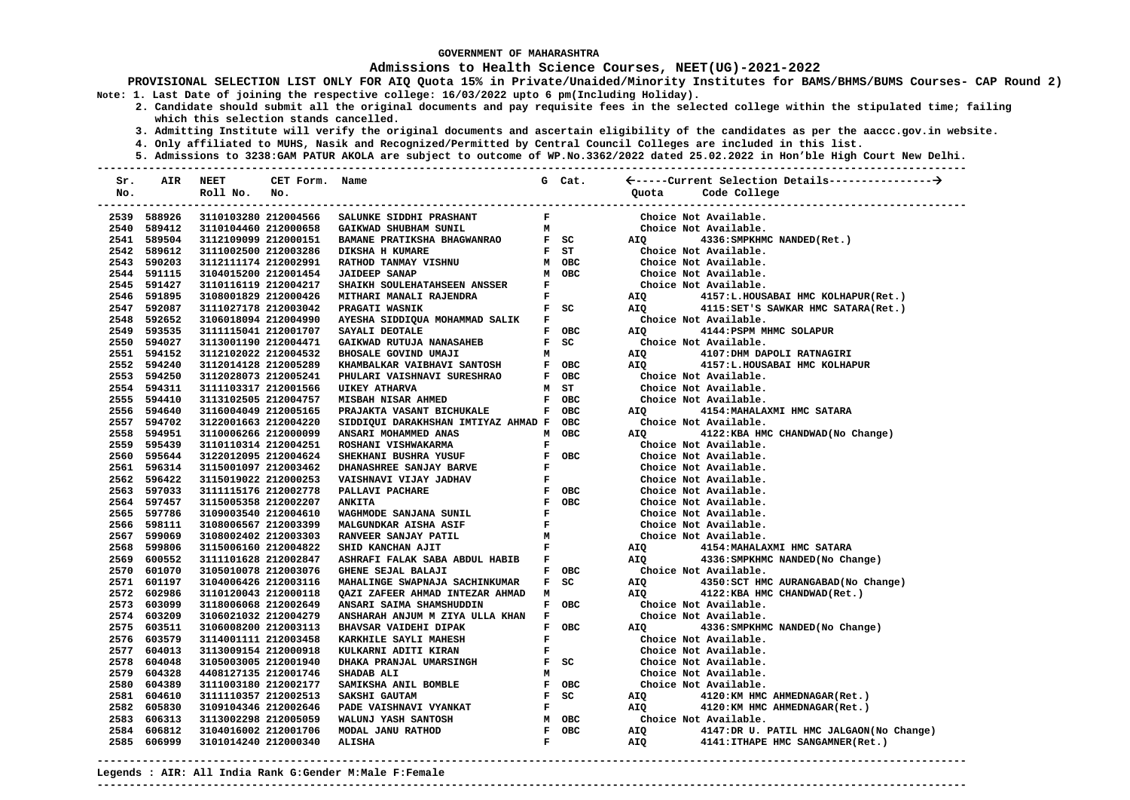#### **Admissions to Health Science Courses, NEET(UG)-2021-2022**

**PROVISIONAL SELECTION LIST ONLY FOR AIQ Quota 15% in Private/Unaided/Minority Institutes for BAMS/BHMS/BUMS Courses- CAP Round 2) Note: 1. Last Date of joining the respective college: 16/03/2022 upto 6 pm(Including Holiday).** 

- **2. Candidate should submit all the original documents and pay requisite fees in the selected college within the stipulated time; failing which this selection stands cancelled.** 
	- **3. Admitting Institute will verify the original documents and ascertain eligibility of the candidates as per the aaccc.gov.in website.**
	- **4. Only affiliated to MUHS, Nasik and Recognized/Permitted by Central Council Colleges are included in this list.**
- **5. Admissions to 3238:GAM PATUR AKOLA are subject to outcome of WP.No.3362/2022 dated 25.02.2022 in Hon'ble High Court New Delhi. ---------------------------------------------------------------------------------------------------------------------------------------**

| Sr.  | AIR         | NEET                 | CET Form.            | Name                                                                 |                               | G Cat.                        |                                                                                                               |                                         |
|------|-------------|----------------------|----------------------|----------------------------------------------------------------------|-------------------------------|-------------------------------|---------------------------------------------------------------------------------------------------------------|-----------------------------------------|
| No.  |             | Roll No.             | No.                  |                                                                      |                               |                               | Quota                                                                                                         | Code College                            |
|      |             |                      |                      |                                                                      |                               |                               |                                                                                                               | -------------------------------         |
|      | 2539 588926 |                      | 3110103280 212004566 | SALUNKE SIDDHI PRASHANT                                              | $\mathbf{F}$ and $\mathbf{F}$ |                               |                                                                                                               | Choice Not Available.                   |
|      | 2540 589412 | 3110104460 212000658 |                      | GAIKWAD SHUBHAM SUNIL                                                |                               | $\mathbf{M}$                  |                                                                                                               | Choice Not Available.                   |
|      | 2541 589504 | 3112109099 212000151 |                      | BAMANE PRATIKSHA BHAGWANRAO F SC                                     |                               |                               | <b>AIO</b>                                                                                                    | 4336: SMPKHMC NANDED (Ret.)             |
|      | 2542 589612 | 3111002500 212003286 |                      | <b>DIKSHA H KUMARE</b>                                               |                               | $F$ ST                        |                                                                                                               | Choice Not Available.                   |
|      | 2543 590203 | 3112111174 212002991 |                      | RATHOD TANMAY VISHNU                                                 |                               | M OBC                         |                                                                                                               | Choice Not Available.                   |
|      | 2544 591115 | 3104015200 212001454 |                      | <b>JAIDEEP SANAP</b>                                                 |                               | M OBC                         |                                                                                                               | Choice Not Available.                   |
|      | 2545 591427 | 3110116119 212004217 |                      | SHAIKH SOULEHATAHSEEN ANSSER                                         | $\mathbf{F}$                  |                               |                                                                                                               | Choice Not Available.                   |
|      | 2546 591895 | 3108001829 212000426 |                      | MITHARI MANALI RAJENDRA                                              |                               | $\mathbf{F}$ and $\mathbf{F}$ | AIQ                                                                                                           | 4157:L.HOUSABAI HMC KOLHAPUR(Ret.)      |
|      | 2547 592087 | 3111027178 212003042 |                      | PRAGATI WASNIK                                                       |                               | $F$ SC                        | <b>AIQ</b>                                                                                                    | 4115: SET'S SAWKAR HMC SATARA (Ret.)    |
|      | 2548 592652 | 3106018094 212004990 |                      | AYESHA SIDDIQUA MOHAMMAD SALIK F                                     |                               |                               |                                                                                                               | Choice Not Available.                   |
|      | 2549 593535 | 3111115041 212001707 |                      | SAYALI DEOTALE                                                       |                               | F OBC                         | AIO DI CONSTITUCIONE ANNO 1999. IN 1999 E DI CONSTITUIO DE LA CONSTITUCIÓN E DE LA CONSTITUCIÓN E DI CONSTITU | 4144: PSPM MHMC SOLAPUR                 |
|      | 2550 594027 | 3113001190 212004471 |                      | GAIKWAD RUTUJA NANASAHEB                                             |                               | $F$ SC                        |                                                                                                               | Choice Not Available.                   |
|      | 2551 594152 | 3112102022 212004532 |                      | BHOSALE GOVIND UMAJI                                                 | м                             |                               | AIQ                                                                                                           | 4107:DHM DAPOLI RATNAGIRI               |
|      | 2552 594240 | 3112014128 212005289 |                      | <b>ELLANDALKAR VAIBHAVI SANTOSH<br/>PHIILARI VAISHNAVI SURESHRAO</b> |                               | F OBC                         | AIQ                                                                                                           | 4157:L.HOUSABAI HMC KOLHAPUR            |
|      | 2553 594250 | 3112028073 212005241 |                      |                                                                      |                               | F OBC                         |                                                                                                               | Choice Not Available.                   |
|      | 2554 594311 | 3111103317 212001566 |                      | <b>UIKEY ATHARVA</b>                                                 |                               | M ST                          |                                                                                                               | Choice Not Available.                   |
|      | 2555 594410 | 3113102505 212004757 |                      | MISBAH NISAR AHMED                                                   |                               | F OBC                         |                                                                                                               | Choice Not Available.                   |
|      | 2556 594640 | 3116004049 212005165 |                      | PRAJAKTA VASANT BICHUKALE                                            |                               | F OBC                         | <b>AIQ</b>                                                                                                    | 4154: MAHALAXMI HMC SATARA              |
|      | 2557 594702 | 3122001663 212004220 |                      | SIDDIQUI DARAKHSHAN IMTIYAZ AHMAD F OBC                              |                               |                               |                                                                                                               | Choice Not Available.                   |
|      | 2558 594951 | 3110006266 212000099 |                      | ANSARI MOHAMMED ANAS                                                 |                               | M OBC                         | AIO                                                                                                           | 4122:KBA HMC CHANDWAD (No Change)       |
|      | 2559 595439 | 3110110314 212004251 |                      | ROSHANI VISHWAKARMA                                                  | $\mathbf{F}$                  |                               |                                                                                                               | Choice Not Available.                   |
|      | 2560 595644 | 3122012095 212004624 |                      | SHEKHANI BUSHRA YUSUF                                                |                               | F OBC                         |                                                                                                               | Choice Not Available.                   |
|      | 2561 596314 | 3115001097 212003462 |                      | DHANASHREE SANJAY BARVE                                              | $\mathbf{F}$ .                |                               |                                                                                                               | Choice Not Available.                   |
|      | 2562 596422 | 3115019022 212000253 |                      | VAISHNAVI VIJAY JADHAV                                               | $\mathbf{F}$                  |                               |                                                                                                               | Choice Not Available.                   |
|      | 2563 597033 | 3111115176 212002778 |                      | PALLAVI PACHARE                                                      |                               | F OBC                         |                                                                                                               | Choice Not Available.                   |
|      | 2564 597457 | 3115005358 212002207 |                      | <b>ANKITA</b>                                                        |                               | F OBC                         |                                                                                                               | Choice Not Available.                   |
|      | 2565 597786 | 3109003540 212004610 |                      | WAGHMODE SANJANA SUNIL                                               | $\mathbf{F}$                  |                               |                                                                                                               | Choice Not Available.                   |
|      | 2566 598111 | 3108006567 212003399 |                      | <b>MALGUNDKAR AISHA ASIF</b>                                         |                               | F<br>F<br>M                   |                                                                                                               | Choice Not Available.                   |
|      | 2567 599069 | 3108002402 212003303 |                      | RANVEER SANJAY PATIL                                                 |                               |                               |                                                                                                               | Choice Not Available.                   |
|      | 2568 599806 | 3115006160 212004822 |                      | SHID KANCHAN AJIT                                                    |                               | $\mathbf{F}$ and $\mathbf{F}$ | AIQ                                                                                                           | 4154: MAHALAXMI HMC SATARA              |
|      | 2569 600552 | 3111101628 212002847 |                      | ASHRAFI FALAK SABA ABDUL HABIB F                                     |                               |                               | AIQ                                                                                                           | 4336: SMPKHMC NANDED (No Change)        |
|      | 2570 601070 | 3105010078 212003076 |                      | GHENE SEJAL BALAJI                                                   |                               | F OBC                         |                                                                                                               | Choice Not Available.                   |
|      | 2571 601197 | 3104006426 212003116 |                      | MAHALINGE SWAPNAJA SACHINKUMAR                                       |                               | $F$ SC                        | AIQ                                                                                                           | 4350: SCT HMC AURANGABAD (No Change)    |
|      | 2572 602986 | 3110120043 212000118 |                      | QAZI ZAFEER AHMAD INTEZAR AHMAD                                      | м                             |                               | AIO                                                                                                           | 4122:KBA HMC CHANDWAD (Ret.)            |
|      | 2573 603099 | 3118006068 212002649 |                      | ANSARI SAIMA SHAMSHUDDIN                                             |                               | F OBC                         |                                                                                                               | Choice Not Available.                   |
|      | 2574 603209 | 3106021032 212004279 |                      | ANSHARAH ANJUM M ZIYA ULLA KHAN                                      | $\mathbf{F}$                  |                               |                                                                                                               | Choice Not Available.                   |
|      | 2575 603511 | 3106008200 212003113 |                      | <b>BHAVSAR VAIDEHI DIPAK</b>                                         |                               | F OBC                         | AIQ                                                                                                           | 4336: SMPKHMC NANDED (No Change)        |
|      | 2576 603579 | 3114001111 212003458 |                      | KARKHILE SAYLI MAHESH                                                | $\mathbf{F}$                  |                               |                                                                                                               | Choice Not Available.                   |
|      | 2577 604013 | 3113009154 212000918 |                      | KULKARNI ADITI KIRAN                                                 |                               | $\mathbf{F}$ and $\mathbf{F}$ |                                                                                                               | Choice Not Available.                   |
|      | 2578 604048 | 3105003005 212001940 |                      | <b>DHAKA PRANJAL UMARSINGH</b>                                       |                               | $F$ SC                        |                                                                                                               | Choice Not Available.                   |
|      | 2579 604328 | 4408127135 212001746 |                      | SHADAB ALI                                                           | M                             |                               |                                                                                                               | Choice Not Available.                   |
|      | 2580 604389 | 3111003180 212002177 |                      | SAMIKSHA ANIL BOMBLE                                                 |                               | F OBC                         |                                                                                                               | Choice Not Available.                   |
|      | 2581 604610 | 3111110357 212002513 |                      | SAKSHI GAUTAM                                                        |                               | $F$ SC                        | AIQ                                                                                                           | 4120:KM HMC AHMEDNAGAR(Ret.)            |
|      | 2582 605830 | 3109104346 212002646 |                      | PADE VAISHNAVI VYANKAT                                               | $\mathbf{F}$                  |                               | AIQ                                                                                                           | 4120:KM HMC AHMEDNAGAR(Ret.)            |
|      | 2583 606313 | 3113002298 212005059 |                      | WALUNJ YASH SANTOSH                                                  |                               | м овс                         |                                                                                                               | Choice Not Available.                   |
| 2584 | 606812      | 3104016002 212001706 |                      | MODAL JANU RATHOD                                                    |                               | F OBC                         | AIQ                                                                                                           | 4147:DR U. PATIL HMC JALGAON(No Change) |
|      | 2585 606999 | 3101014240 212000340 |                      | <b>ALISHA</b>                                                        | $\mathbf{F}$                  |                               | AIQ                                                                                                           | 4141: ITHAPE HMC SANGAMNER (Ret.)       |

**---------------------------------------------------------------------------------------------------------------------------------------**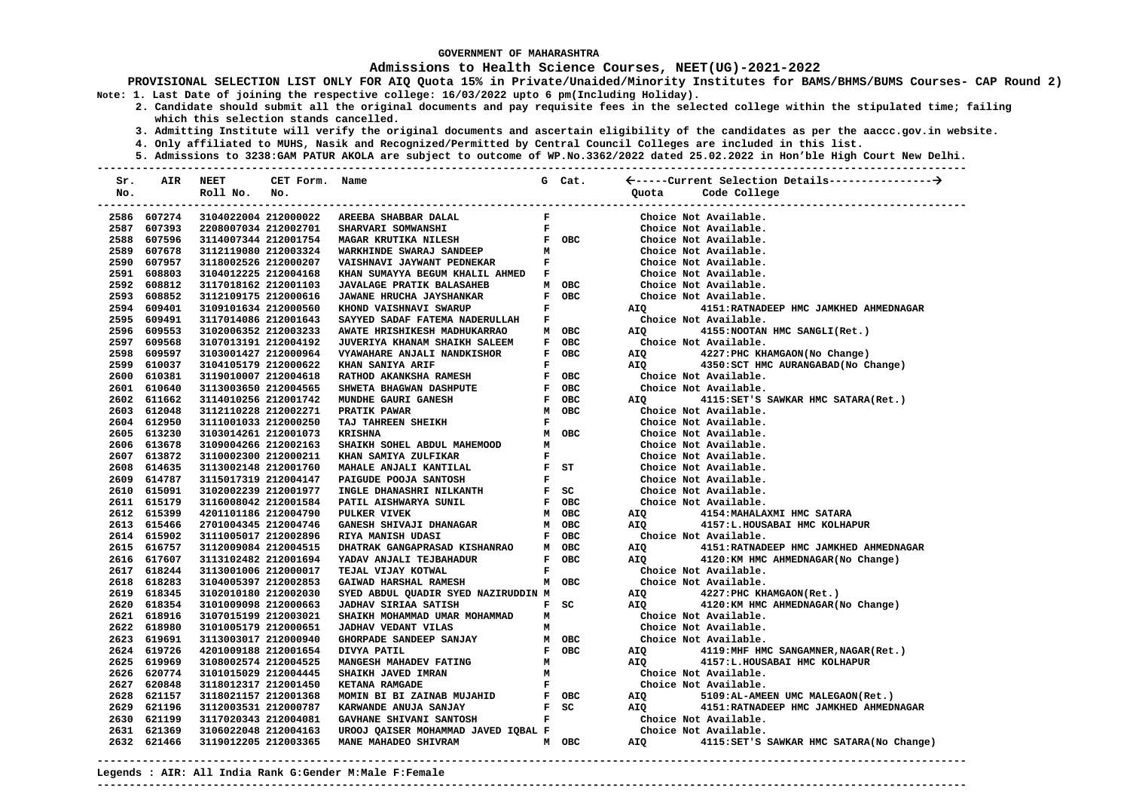### **Admissions to Health Science Courses, NEET(UG)-2021-2022**

**PROVISIONAL SELECTION LIST ONLY FOR AIQ Quota 15% in Private/Unaided/Minority Institutes for BAMS/BHMS/BUMS Courses- CAP Round 2) Note: 1. Last Date of joining the respective college: 16/03/2022 upto 6 pm(Including Holiday).** 

- **2. Candidate should submit all the original documents and pay requisite fees in the selected college within the stipulated time; failing which this selection stands cancelled.** 
	- **3. Admitting Institute will verify the original documents and ascertain eligibility of the candidates as per the aaccc.gov.in website.**
	- **4. Only affiliated to MUHS, Nasik and Recognized/Permitted by Central Council Colleges are included in this list.**
- **5. Admissions to 3238:GAM PATUR AKOLA are subject to outcome of WP.No.3362/2022 dated 25.02.2022 in Hon'ble High Court New Delhi. ---------------------------------------------------------------------------------------------------------------------------------------**

| Sr. | AIR         | NEET                 | CET Form. Name |                                                                                        |              | G Cat.                                                       |                                                                                                                                                                                                                                |                                             |
|-----|-------------|----------------------|----------------|----------------------------------------------------------------------------------------|--------------|--------------------------------------------------------------|--------------------------------------------------------------------------------------------------------------------------------------------------------------------------------------------------------------------------------|---------------------------------------------|
| No. |             | Roll No.             | No.            |                                                                                        |              |                                                              | Quota                                                                                                                                                                                                                          | Code College                                |
|     |             |                      |                |                                                                                        |              |                                                              |                                                                                                                                                                                                                                |                                             |
|     | 2586 607274 |                      |                | 3104022004 212000022 AREEBA SHABBAR DALAL                                              | $\mathbf{F}$ |                                                              |                                                                                                                                                                                                                                | Choice Not Available.                       |
|     | 2587 607393 | 2208007034 212002701 |                | SHARVARI SOMWANSHI                                                                     |              |                                                              |                                                                                                                                                                                                                                | Choice Not Available.                       |
|     | 2588 607596 | 3114007344 212001754 |                | F<br>FOBC<br><b>MAGAR KRUTIKA NILESH</b>                                               |              |                                                              |                                                                                                                                                                                                                                | Choice Not Available.                       |
|     | 2589 607678 | 3112119080 212003324 |                | MAGAR ARUITAR (11------<br>WARKHINDE SWARAJ SANDEEP<br>************* .TAYWANT PEDNEKAR | м            |                                                              |                                                                                                                                                                                                                                | Choice Not Available.                       |
|     | 2590 607957 | 3118002526 212000207 |                | VAISHNAVI JAYWANT PEDNEKAR                                                             |              | $\mathbf{F}$ and $\mathbf{F}$                                |                                                                                                                                                                                                                                | Choice Not Available.                       |
|     | 2591 608803 | 3104012225 212004168 |                | KHAN SUMAYYA BEGUM KHALIL AHMED                                                        | $\mathbf{F}$ |                                                              |                                                                                                                                                                                                                                | Choice Not Available.                       |
|     | 2592 608812 | 3117018162 212001103 |                | <b>JAVALAGE PRATIK BALASAHEB</b>                                                       |              | M OBC                                                        |                                                                                                                                                                                                                                | Choice Not Available.                       |
|     | 2593 608852 | 3112109175 212000616 |                | JAWANE HRUCHA JAYSHANKAR                                                               |              | F OBC                                                        |                                                                                                                                                                                                                                | Choice Not Available.                       |
|     | 2594 609401 | 3109101634 212000560 |                | KHOND VAISHNAVI SWARUP                                                                 |              | $\mathbf{F}$ and $\mathbf{F}$                                | AIQ                                                                                                                                                                                                                            | 4151: RATNADEEP HMC JAMKHED AHMEDNAGAR      |
|     | 2595 609491 | 3117014086 212001643 |                | SAYYED SADAF FATEMA NADERULLAH                                                         | $\mathbf{F}$ |                                                              |                                                                                                                                                                                                                                | Choice Not Available.                       |
|     | 2596 609553 | 3102006352 212003233 |                | AWATE HRISHIKESH MADHUKARRAO                                                           |              | M OBC                                                        | AIQ <b>AIR</b>                                                                                                                                                                                                                 | 4155: NOOTAN HMC SANGLI (Ret.)              |
|     | 2597 609568 | 3107013191 212004192 |                | JUVERIYA KHANAM SHAIKH SALEEM                                                          |              | F OBC                                                        |                                                                                                                                                                                                                                | Choice Not Available.                       |
|     | 2598 609597 | 3103001427 212000964 |                | VYAWAHARE ANJALI NANDKISHOR                                                            |              | F OBC                                                        |                                                                                                                                                                                                                                | AIQ 4227: PHC KHAMGAON (No Change)          |
|     | 2599 610037 | 3104105179 212000622 |                | KHAN SANIYA ARIF                                                                       | $\mathbf{F}$ |                                                              |                                                                                                                                                                                                                                | AIQ 4350: SCT HMC AURANGABAD (No Change)    |
|     | 2600 610381 | 3119010007 212004618 |                | RATHOD AKANKSHA RAMESH                                                                 |              | F OBC                                                        |                                                                                                                                                                                                                                | Choice Not Available.                       |
|     | 2601 610640 | 3113003650 212004565 |                | SHWETA BHAGWAN DASHPUTE                                                                |              | F OBC                                                        |                                                                                                                                                                                                                                | Choice Not Available.                       |
|     | 2602 611662 | 3114010256 212001742 |                | MUNDHE GAURI GANESH                                                                    |              | F OBC                                                        | <b>AIO</b>                                                                                                                                                                                                                     | 4115:SET'S SAWKAR HMC SATARA(Ret.)          |
|     | 2603 612048 | 3112110228 212002271 |                | PRATIK PAWAR                                                                           |              | M OBC                                                        |                                                                                                                                                                                                                                | Choice Not Available.                       |
|     | 2604 612950 | 3111001033 212000250 |                | TAJ TAHREEN SHEIKH                                                                     | $\mathbf{F}$ |                                                              |                                                                                                                                                                                                                                | Choice Not Available.                       |
|     | 2605 613230 | 3103014261 212001073 |                | <b>KRISHNA</b>                                                                         |              | M OBC                                                        |                                                                                                                                                                                                                                | Choice Not Available.                       |
|     | 2606 613678 | 3109004266 212002163 |                | SHAIKH SOHEL ABDUL MAHEMOOD                                                            | M            |                                                              |                                                                                                                                                                                                                                | Choice Not Available.                       |
|     | 2607 613872 | 3110002300 212000211 |                | KHAN SAMIYA ZULFIKAR                                                                   |              | $\mathbf{F}$ and $\mathbf{F}$                                |                                                                                                                                                                                                                                | Choice Not Available.                       |
|     | 2608 614635 | 3113002148 212001760 |                | MAHALE ANJALI KANTILAL                                                                 |              | $F$ ST                                                       |                                                                                                                                                                                                                                | Choice Not Available.                       |
|     | 2609 614787 | 3115017319 212004147 |                | PAIGUDE POOJA SANTOSH                                                                  |              | $\mathbf{F}$ and $\mathbf{F}$                                |                                                                                                                                                                                                                                | Choice Not Available.                       |
|     | 2610 615091 | 3102002239 212001977 |                | INGLE DHANASHRI NILKANTH                                                               |              | $F$ SC                                                       |                                                                                                                                                                                                                                | Choice Not Available.                       |
|     | 2611 615179 | 3116008042 212001584 |                | PATIL AISHWARYA SUNIL                                                                  |              | F OBC                                                        |                                                                                                                                                                                                                                | Choice Not Available.                       |
|     | 2612 615399 | 4201101186 212004790 |                | PULKER VIVEK                                                                           |              | M OBC                                                        | AIQ                                                                                                                                                                                                                            | 4154: MAHALAXMI HMC SATARA                  |
|     | 2613 615466 | 2701004345 212004746 |                | <b>GANESH SHIVAJI DHANAGAR</b>                                                         |              | M OBC                                                        | AIQ                                                                                                                                                                                                                            | 4157:L.HOUSABAI HMC KOLHAPUR                |
|     | 2614 615902 | 3111005017 212002896 |                | <b>AGAR</b><br><b>RIYA MANISH UDASI</b>                                                |              | F OBC                                                        |                                                                                                                                                                                                                                | Choice Not Available.                       |
|     | 2615 616757 | 3112009084 212004515 |                | <b>DHATRAK GANGAPRASAD KISHANRAO</b>                                                   |              | M OBC                                                        | AIQ <b>AIR</b>                                                                                                                                                                                                                 | 4151: RATNADEEP HMC JAMKHED AHMEDNAGAR      |
|     | 2616 617607 | 3113102482 212001694 |                | YADAV ANJALI TEJBAHADUR                                                                |              | F OBC                                                        | AIO <b>Aio</b>                                                                                                                                                                                                                 | 4120: KM HMC AHMEDNAGAR (No Change)         |
|     | 2617 618244 | 3113001006 212000017 |                | TEJAL VIJAY KOTWAL                                                                     | $\mathbf{F}$ |                                                              |                                                                                                                                                                                                                                | Choice Not Available.                       |
|     | 2618 618283 | 3104005397 212002853 |                | GAIWAD HARSHAL RAMESH                                                                  |              | M OBC                                                        |                                                                                                                                                                                                                                | Choice Not Available.                       |
|     | 2619 618345 | 3102010180 212002030 |                | SYED ABDUL QUADIR SYED NAZIRUDDIN M                                                    |              |                                                              |                                                                                                                                                                                                                                | AIQ 4227: PHC KHAMGAON (Ret.)               |
|     | 2620 618354 | 3101009098 212000663 |                | <b>JADHAV SIRIAA SATISH</b>                                                            |              | $F$ SC                                                       | AIO                                                                                                                                                                                                                            | 4120:KM HMC AHMEDNAGAR(No Change)           |
|     | 2621 618916 | 3107015199 212003021 |                | SHAIKH MOHAMMAD UMAR MOHAMMAD                                                          |              |                                                              |                                                                                                                                                                                                                                | Choice Not Available.                       |
|     | 2622 618980 | 3101005179 212000651 |                | <b>JADHAV VEDANT VILAS</b>                                                             |              | $\begin{array}{ll} \mathbf{M} & \\ \mathbf{M} & \end{array}$ |                                                                                                                                                                                                                                | Choice Not Available.                       |
|     | 2623 619691 | 3113003017 212000940 |                | GHORPADE SANDEEP SANJAY                                                                |              | M OBC                                                        |                                                                                                                                                                                                                                | Choice Not Available.                       |
|     | 2624 619726 | 4201009188 212001654 |                | DIVYA PATIL                                                                            |              | F OBC                                                        |                                                                                                                                                                                                                                | AIQ 4119: MHF HMC SANGAMNER, NAGAR(Ret.)    |
|     | 2625 619969 | 3108002574 212004525 |                | <b>MANGESH MAHADEV FATING</b>                                                          | M            |                                                              |                                                                                                                                                                                                                                | AIQ 4157:L.HOUSABAI HMC KOLHAPUR            |
|     | 2626 620774 | 3101015029 212004445 |                | SHAIKH JAVED IMRAN                                                                     | M            |                                                              |                                                                                                                                                                                                                                | Choice Not Available.                       |
|     | 2627 620848 | 3118012317 212001450 |                |                                                                                        |              | $\mathbf{F}$ and $\mathbf{F}$                                |                                                                                                                                                                                                                                | Choice Not Available.                       |
|     | 2628 621157 | 3118021157 212001368 |                |                                                                                        |              |                                                              | AIQ DESCRIPTION OF THE STATE OF THE STATE OF THE STATE OF THE STATE OF THE STATE OF THE STATE OF THE STATE OF THE STATE OF THE STATE OF THE STATE OF THE STATE OF THE STATE OF THE STATE OF THE STATE OF THE STATE OF THE STAT | 5109:AL-AMEEN UMC MALEGAON(Ret.)            |
|     | 2629 621196 | 3112003531 212000787 |                |                                                                                        |              |                                                              |                                                                                                                                                                                                                                | AIQ 4151: RATNADEEP HMC JAMKHED AHMEDNAGAR  |
|     | 2630 621199 | 3117020343 212004081 |                |                                                                                        |              |                                                              |                                                                                                                                                                                                                                | Choice Not Available.                       |
|     | 2631 621369 | 3106022048 212004163 |                | UROOJ QAISER MOHAMMAD JAVED IQBAL F                                                    |              |                                                              |                                                                                                                                                                                                                                | Choice Not Available.                       |
|     | 2632 621466 | 3119012205 212003365 |                | MANE MAHADEO SHIVRAM                                                                   |              | M OBC                                                        |                                                                                                                                                                                                                                | AIQ 4115:SET'S SAWKAR HMC SATARA(No Change) |
|     |             |                      |                |                                                                                        |              |                                                              |                                                                                                                                                                                                                                |                                             |

**Legends : AIR: All India Rank G:Gender M:Male F:Female ---------------------------------------------------------------------------------------------------------------------------------------**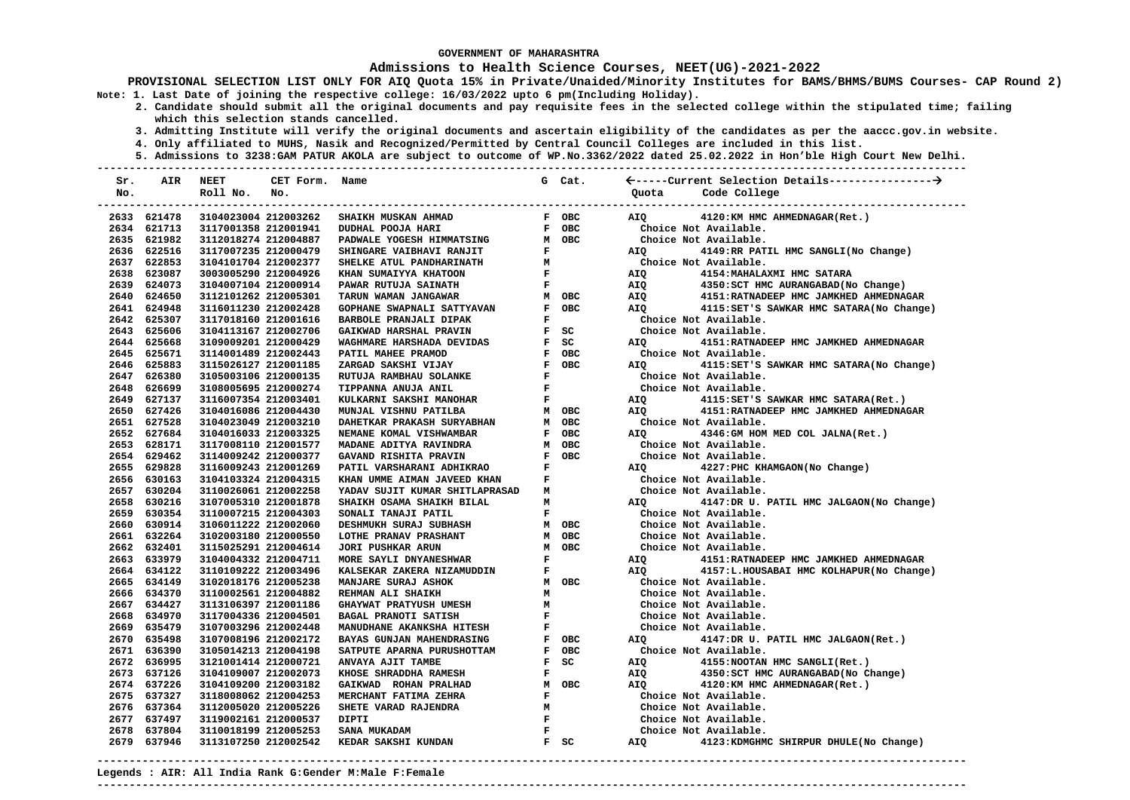### **Admissions to Health Science Courses, NEET(UG)-2021-2022**

**PROVISIONAL SELECTION LIST ONLY FOR AIQ Quota 15% in Private/Unaided/Minority Institutes for BAMS/BHMS/BUMS Courses- CAP Round 2) Note: 1. Last Date of joining the respective college: 16/03/2022 upto 6 pm(Including Holiday).** 

- **2. Candidate should submit all the original documents and pay requisite fees in the selected college within the stipulated time; failing which this selection stands cancelled.** 
	- **3. Admitting Institute will verify the original documents and ascertain eligibility of the candidates as per the aaccc.gov.in website.**
	- **4. Only affiliated to MUHS, Nasik and Recognized/Permitted by Central Council Colleges are included in this list.**
	- **5. Admissions to 3238:GAM PATUR AKOLA are subject to outcome of WP.No.3362/2022 dated 25.02.2022 in Hon'ble High Court New Delhi.**

| Sr. | AIR         | <b>NEET</b>          | CET Form. Name |                                        |                | G Cat. |       |                                           |
|-----|-------------|----------------------|----------------|----------------------------------------|----------------|--------|-------|-------------------------------------------|
| No. |             | Roll No.             | No.            |                                        |                |        | Ouota | Code College                              |
|     |             |                      |                | -------------------------------------- |                |        |       |                                           |
|     | 2633 621478 | 3104023004 212003262 |                | SHAIKH MUSKAN AHMAD                    |                | F OBC  | AIQ   | 4120:KM HMC AHMEDNAGAR(Ret.)              |
|     | 2634 621713 | 3117001358 212001941 |                | DUDHAL POOJA HARI                      |                | F OBC  |       | Choice Not Available.                     |
|     | 2635 621982 | 3112018274 212004887 |                | PADWALE YOGESH HIMMATSING              |                | M OBC  |       | Choice Not Available.                     |
|     | 2636 622516 | 3117007235 212000479 |                | SHINGARE VAIBHAVI RANJIT               | F              |        | AIQ   | 4149:RR PATIL HMC SANGLI(No Change)       |
|     | 2637 622853 | 3104101704 212002377 |                | SHELKE ATUL PANDHARINATH               | м              |        |       | Choice Not Available.                     |
|     | 2638 623087 | 3003005290 212004926 |                | KHAN SUMAIYYA KHATOON                  | $\mathbf F$    |        | AIQ   | 4154: MAHALAXMI HMC SATARA                |
|     | 2639 624073 | 3104007104 212000914 |                | PAWAR RUTUJA SAINATH                   | $\mathbf{F}$   |        | AIQ   | 4350: SCT HMC AURANGABAD (No Change)      |
|     | 2640 624650 | 3112101262 212005301 |                | TARUN WAMAN JANGAWAR                   |                | M OBC  | AIQ   | 4151: RATNADEEP HMC JAMKHED AHMEDNAGAR    |
|     | 2641 624948 | 3116011230 212002428 |                | GOPHANE SWAPNALI SATTYAVAN             |                | F OBC  | AIO   | 4115: SET'S SAWKAR HMC SATARA (No Change) |
|     | 2642 625307 | 3117018160 212001616 |                | BARBOLE PRANJALI DIPAK                 | F              |        |       | Choice Not Available.                     |
|     | 2643 625606 | 3104113167 212002706 |                | GAIKWAD HARSHAL PRAVIN                 |                | F SC   |       | Choice Not Available.                     |
|     | 2644 625668 | 3109009201 212000429 |                | WAGHMARE HARSHADA DEVIDAS              |                | F SC   | AIO   | 4151: RATNADEEP HMC JAMKHED AHMEDNAGAR    |
|     | 2645 625671 | 3114001489 212002443 |                | PATIL MAHEE PRAMOD                     |                | F OBC  |       | Choice Not Available.                     |
|     | 2646 625883 | 3115026127 212001185 |                | ZARGAD SAKSHI VIJAY                    |                | F OBC  | AIO   | 4115: SET'S SAWKAR HMC SATARA (No Change) |
|     | 2647 626380 | 3105003106 212000135 |                | RUTUJA RAMBHAU SOLANKE                 | $\mathbf{F}$   |        |       | Choice Not Available.                     |
|     | 2648 626699 | 3108005695 212000274 |                | TIPPANNA ANUJA ANIL                    | $\mathbf F$    |        |       | Choice Not Available.                     |
|     | 2649 627137 | 3116007354 212003401 |                | KULKARNI SAKSHI MANOHAR                | $\mathbf F$    |        | AIQ   | 4115:SET'S SAWKAR HMC SATARA(Ret.)        |
|     | 2650 627426 | 3104016086 212004430 |                | MUNJAL VISHNU PATILBA                  |                | M OBC  | AIO   | 4151: RATNADEEP HMC JAMKHED AHMEDNAGAR    |
|     | 2651 627528 | 3104023049 212003210 |                | DAHETKAR PRAKASH SURYABHAN             |                | M OBC  |       | Choice Not Available.                     |
|     | 2652 627684 | 3104016033 212003325 |                | NEMANE KOMAL VISHWAMBAR                |                | F OBC  | AIO   | 4346: GM HOM MED COL JALNA (Ret.)         |
|     | 2653 628171 | 3117008110 212001577 |                | MADANE ADITYA RAVINDRA                 |                | M OBC  |       | Choice Not Available.                     |
|     | 2654 629462 | 3114009242 212000377 |                | GAVAND RISHITA PRAVIN                  |                | F OBC  |       | Choice Not Available.                     |
|     | 2655 629828 | 3116009243 212001269 |                | PATIL VARSHARANI ADHIKRAO              | $\mathbf{F}$   |        | AIQ   | 4227: PHC KHAMGAON (No Change)            |
|     | 2656 630163 | 3104103324 212004315 |                | KHAN UMME AIMAN JAVEED KHAN            | $\mathbf{F}$   |        |       | Choice Not Available.                     |
|     | 2657 630204 | 3110026061 212002258 |                | YADAV SUJIT KUMAR SHITLAPRASAD         | M              |        |       | Choice Not Available.                     |
|     | 2658 630216 | 3107005310 212001878 |                | SHAIKH OSAMA SHAIKH BILAL              | M              |        | AIQ   | 4147:DR U. PATIL HMC JALGAON(No Change)   |
|     | 2659 630354 | 3110007215 212004303 |                | SONALI TANAJI PATIL                    | F              |        |       | Choice Not Available.                     |
|     | 2660 630914 | 3106011222 212002060 |                | DESHMUKH SURAJ SUBHASH                 |                | M OBC  |       | Choice Not Available.                     |
|     | 2661 632264 | 3102003180 212000550 |                | LOTHE PRANAV PRASHANT                  |                | M OBC  |       | Choice Not Available.                     |
|     | 2662 632401 | 3115025291 212004614 |                | JORI PUSHKAR ARUN                      |                | M OBC  |       | Choice Not Available.                     |
|     | 2663 633979 | 3104004332 212004711 |                | MORE SAYLI DNYANESHWAR                 | $\mathbf F$    |        | AIQ   | 4151: RATNADEEP HMC JAMKHED AHMEDNAGAR    |
|     | 2664 634122 | 3110109222 212003496 |                | KALSEKAR ZAKERA NIZAMUDDIN             | $\mathbf F$    |        | AIQ   | 4157:L.HOUSABAI HMC KOLHAPUR(No Change)   |
|     | 2665 634149 | 3102018176 212005238 |                | MANJARE SURAJ ASHOK                    |                | M OBC  |       | Choice Not Available.                     |
|     | 2666 634370 | 3110002561 212004882 |                | REHMAN ALI SHAIKH                      | м              |        |       | Choice Not Available.                     |
|     | 2667 634427 | 3113106397 212001186 |                | <b>GHAYWAT PRATYUSH UMESH</b>          | M              |        |       | Choice Not Available.                     |
|     | 2668 634970 | 3117004336 212004501 |                | <b>BAGAL PRANOTI SATISH</b>            | F              |        |       | Choice Not Available.                     |
|     | 2669 635479 | 3107003296 212002448 |                | MANUDHANE AKANKSHA HITESH              | F              |        |       | Choice Not Available.                     |
|     | 2670 635498 | 3107008196 212002172 |                | BAYAS GUNJAN MAHENDRASING              |                | F OBC  | AIQ   | 4147:DR U. PATIL HMC JALGAON(Ret.)        |
|     | 2671 636390 | 3105014213 212004198 |                | SATPUTE APARNA PURUSHOTTAM             |                | F OBC  |       | Choice Not Available.                     |
|     | 2672 636995 | 3121001414 212000721 |                | ANVAYA AJIT TAMBE                      |                | F SC   | AIQ   | 4155: NOOTAN HMC SANGLI(Ret.)             |
|     | 2673 637126 | 3104109007 212002073 |                | KHOSE SHRADDHA RAMESH                  | F              |        | AIQ   | 4350: SCT HMC AURANGABAD (No Change)      |
|     | 2674 637226 | 3104109200 212003182 |                | GAIKWAD ROHAN PRALHAD                  |                | M OBC  | AIO   | 4120:KM HMC AHMEDNAGAR(Ret.)              |
|     | 2675 637327 | 3118008062 212004253 |                | MERCHANT FATIMA ZEHRA                  | F              |        |       | Choice Not Available.                     |
|     | 2676 637364 | 3112005020 212005226 |                | SHETE VARAD RAJENDRA                   | M              |        |       | Choice Not Available.                     |
|     | 2677 637497 | 3119002161 212000537 |                | <b>DIPTI</b>                           | $\mathbf{F}$   |        |       | Choice Not Available.                     |
|     | 2678 637804 | 3110018199 212005253 |                | SANA MUKADAM                           | $\mathbf{F}$ . |        |       | Choice Not Available.                     |
|     | 2679 637946 | 3113107250 212002542 |                | KEDAR SAKSHI KUNDAN                    |                | F SC   | AIQ   | 4123: KDMGHMC SHIRPUR DHULE (No Change)   |
|     |             |                      |                |                                        |                |        |       |                                           |

**Legends : AIR: All India Rank G:Gender M:Male F:Female ---------------------------------------------------------------------------------------------------------------------------------------**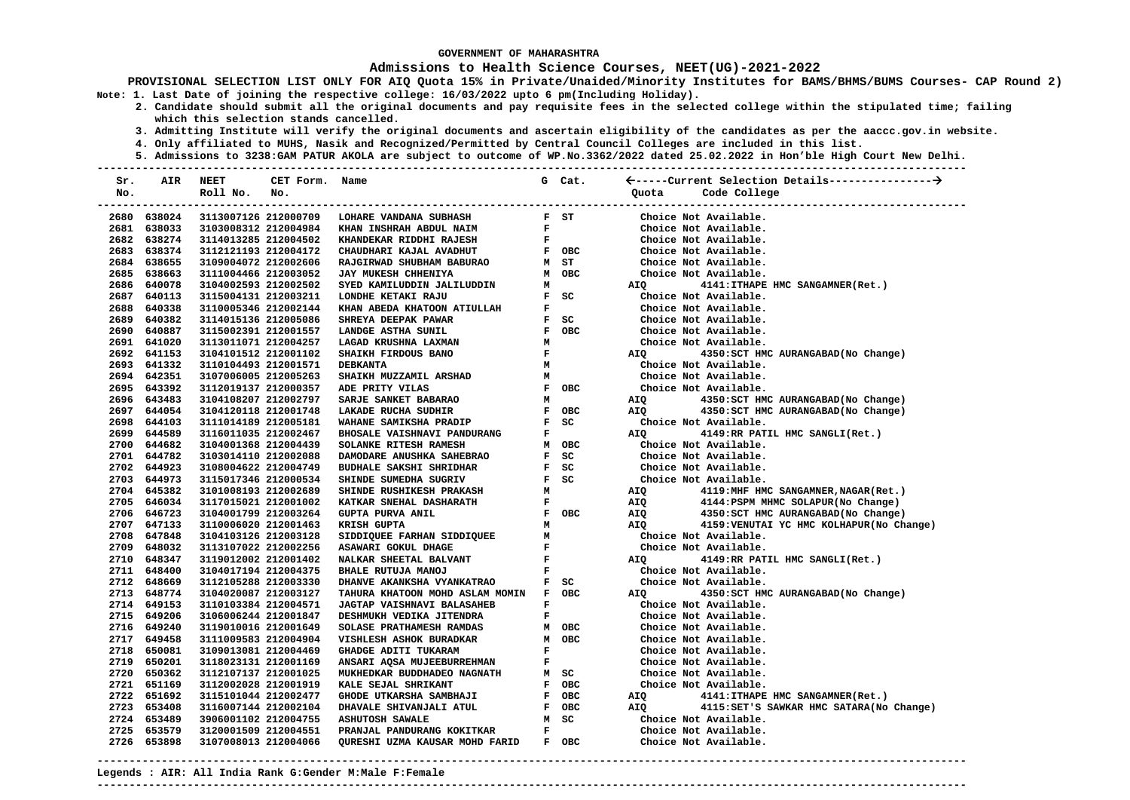### **Admissions to Health Science Courses, NEET(UG)-2021-2022**

**PROVISIONAL SELECTION LIST ONLY FOR AIQ Quota 15% in Private/Unaided/Minority Institutes for BAMS/BHMS/BUMS Courses- CAP Round 2) Note: 1. Last Date of joining the respective college: 16/03/2022 upto 6 pm(Including Holiday).** 

- **2. Candidate should submit all the original documents and pay requisite fees in the selected college within the stipulated time; failing which this selection stands cancelled.** 
	- **3. Admitting Institute will verify the original documents and ascertain eligibility of the candidates as per the aaccc.gov.in website.**
	- **4. Only affiliated to MUHS, Nasik and Recognized/Permitted by Central Council Colleges are included in this list.**
	- **5. Admissions to 3238:GAM PATUR AKOLA are subject to outcome of WP.No.3362/2022 dated 25.02.2022 in Hon'ble High Court New Delhi.**

| Sr.  | AIR         | <b>NEET</b>            | CET Form. Name |                                   |              | G Cat.                        |       |                                           |
|------|-------------|------------------------|----------------|-----------------------------------|--------------|-------------------------------|-------|-------------------------------------------|
| No.  |             | Roll No.               | No.            |                                   |              |                               | Quota | Code College                              |
|      |             | ---------------------- |                | --------------------------------- |              |                               |       | ------------------------                  |
|      | 2680 638024 | 3113007126 212000709   |                | LOHARE VANDANA SUBHASH            |              | F ST                          |       | Choice Not Available.                     |
|      | 2681 638033 | 3103008312 212004984   |                | KHAN INSHRAH ABDUL NAIM           | F            |                               |       | Choice Not Available.                     |
|      | 2682 638274 | 3114013285 212004502   |                | KHANDEKAR RIDDHI RAJESH           | F            |                               |       | Choice Not Available.                     |
|      | 2683 638374 | 3112121193 212004172   |                | CHAUDHARI KAJAL AVADHUT           |              | F OBC                         |       | Choice Not Available.                     |
|      | 2684 638655 | 3109004072 212002606   |                | RAJGIRWAD SHUBHAM BABURAO         |              | M ST                          |       | Choice Not Available.                     |
|      | 2685 638663 | 3111004466 212003052   |                | JAY MUKESH CHHENIYA               |              | M OBC                         |       | Choice Not Available.                     |
|      | 2686 640078 | 3104002593 212002502   |                | SYED KAMILUDDIN JALILUDDIN        | м            |                               | AIQ   | 4141: ITHAPE HMC SANGAMNER (Ret.)         |
|      | 2687 640113 | 3115004131 212003211   |                | LONDHE KETAKI RAJU                |              | $F$ SC                        |       | Choice Not Available.                     |
|      | 2688 640338 | 3110005346 212002144   |                | KHAN ABEDA KHATOON ATIULLAH       | F            |                               |       | Choice Not Available.                     |
| 2689 | 640382      | 3114015136 212005086   |                | SHREYA DEEPAK PAWAR               |              | F SC                          |       | Choice Not Available.                     |
|      | 2690 640887 | 3115002391 212001557   |                | LANDGE ASTHA SUNIL                |              | F OBC                         |       | Choice Not Available.                     |
|      | 2691 641020 | 3113011071 212004257   |                | LAGAD KRUSHNA LAXMAN              | м            |                               |       | Choice Not Available.                     |
|      | 2692 641153 | 3104101512 212001102   |                | SHAIKH FIRDOUS BANO               | $\mathbf F$  |                               | AIQ   | 4350: SCT HMC AURANGABAD (No Change)      |
|      | 2693 641332 | 3110104493 212001571   |                | <b>DEBKANTA</b>                   | м            |                               |       | Choice Not Available.                     |
|      | 2694 642351 | 3107006005 212005263   |                | SHAIKH MUZZAMIL ARSHAD            | м            |                               |       | Choice Not Available.                     |
|      | 2695 643392 | 3112019137 212000357   |                | ADE PRITY VILAS                   |              | F OBC                         |       | Choice Not Available.                     |
|      | 2696 643483 | 3104108207 212002797   |                | SARJE SANKET BABARAO              | М            |                               | AIQ   | 4350: SCT HMC AURANGABAD (No Change)      |
|      | 2697 644054 | 3104120118 212001748   |                | LAKADE RUCHA SUDHIR               |              | F OBC                         | AIO   | 4350: SCT HMC AURANGABAD (No Change)      |
|      | 2698 644103 | 3111014189 212005181   |                | WAHANE SAMIKSHA PRADIP            |              | F SC                          |       | Choice Not Available.                     |
| 2699 | 644589      | 3116011035 212002467   |                | BHOSALE VAISHNAVI PANDURANG       | F            |                               | AIQ   | 4149:RR PATIL HMC SANGLI(Ret.)            |
|      | 2700 644682 | 3104001368 212004439   |                | SOLANKE RITESH RAMESH             |              | M OBC                         |       | Choice Not Available.                     |
|      | 2701 644782 | 3103014110 212002088   |                | DAMODARE ANUSHKA SAHEBRAO         |              | F SC                          |       | Choice Not Available.                     |
|      | 2702 644923 | 3108004622 212004749   |                | <b>BUDHALE SAKSHI SHRIDHAR</b>    |              | F SC                          |       | Choice Not Available.                     |
|      | 2703 644973 | 3115017346 212000534   |                | SHINDE SUMEDHA SUGRIV             |              | F SC                          |       | Choice Not Available.                     |
|      | 2704 645382 | 3101008193 212002689   |                | SHINDE RUSHIKESH PRAKASH          | м            |                               | AIQ   | 4119:MHF HMC SANGAMNER, NAGAR(Ret.)       |
|      | 2705 646034 | 3117015021 212001002   |                | KATKAR SNEHAL DASHARATH           | F            |                               | AIQ   | 4144: PSPM MHMC SOLAPUR (No Change)       |
|      | 2706 646723 | 3104001799 212003264   |                | <b>GUPTA PURVA ANIL</b>           |              | F OBC                         | AIQ   | 4350: SCT HMC AURANGABAD (No Change)      |
|      | 2707 647133 | 3110006020 212001463   |                | KRISH GUPTA                       | м            |                               | AIO   | 4159: VENUTAI YC HMC KOLHAPUR (No Change) |
|      | 2708 647848 | 3104103126 212003128   |                | SIDDIQUEE FARHAN SIDDIQUEE        | M            |                               |       | Choice Not Available.                     |
|      | 2709 648032 | 3113107022 212002256   |                | ASAWARI GOKUL DHAGE               | $\mathbf{F}$ |                               |       | Choice Not Available.                     |
|      | 2710 648347 | 3119012002 212001402   |                | NALKAR SHEETAL BALVANT            |              | $\mathbf{F}$ and $\mathbf{F}$ | AIQ   | 4149:RR PATIL HMC SANGLI(Ret.)            |
|      | 2711 648400 | 3104017194 212004375   |                | BHALE RUTUJA MANOJ                | F            |                               |       | Choice Not Available.                     |
|      | 2712 648669 | 3112105288 212003330   |                | DHANVE AKANKSHA VYANKATRAO        |              | F SC                          |       | Choice Not Available.                     |
|      | 2713 648774 | 3104020087 212003127   |                | TAHURA KHATOON MOHD ASLAM MOMIN   |              | F OBC                         | AIQ   | 4350: SCT HMC AURANGABAD (No Change)      |
|      | 2714 649153 | 3110103384 212004571   |                | JAGTAP VAISHNAVI BALASAHEB        | F            |                               |       | Choice Not Available.                     |
|      | 2715 649206 | 3106006244 212001847   |                | DESHMUKH VEDIKA JITENDRA          | F            |                               |       | Choice Not Available.                     |
|      | 2716 649240 | 3119010016 212001649   |                | SOLASE PRATHAMESH RAMDAS          |              | M OBC                         |       | Choice Not Available.                     |
|      | 2717 649458 | 3111009583 212004904   |                | VISHLESH ASHOK BURADKAR           |              | M OBC                         |       | Choice Not Available.                     |
|      | 2718 650081 | 3109013081 212004469   |                | <b>GHADGE ADITI TUKARAM</b>       | F            |                               |       | Choice Not Available.                     |
|      | 2719 650201 | 3118023131 212001169   |                | ANSARI AQSA MUJEEBURREHMAN        | F            |                               |       | Choice Not Available.                     |
|      | 2720 650362 | 3112107137 212001025   |                | MUKHEDKAR BUDDHADEO NAGNATH       |              | M SC                          |       | Choice Not Available.                     |
|      | 2721 651169 | 3112002028 212001919   |                | KALE SEJAL SHRIKANT               | F            | овс                           |       | Choice Not Available.                     |
|      | 2722 651692 | 3115101044 212002477   |                | GHODE UTKARSHA SAMBHAJI           |              | F OBC                         | AIQ   | 4141: ITHAPE HMC SANGAMNER (Ret.)         |
|      | 2723 653408 | 3116007144 212002104   |                | DHAVALE SHIVANJALI ATUL           |              | F OBC                         | AIQ   | 4115: SET'S SAWKAR HMC SATARA (No Change) |
|      | 2724 653489 | 3906001102 212004755   |                | <b>ASHUTOSH SAWALE</b>            |              | M SC                          |       | Choice Not Available.                     |
| 2725 | 653579      | 3120001509 212004551   |                | PRANJAL PANDURANG KOKITKAR        | F            |                               |       | Choice Not Available.                     |
|      | 2726 653898 | 3107008013 212004066   |                | QURESHI UZMA KAUSAR MOHD FARID    |              | F OBC                         |       | Choice Not Available.                     |

**---------------------------------------------------------------------------------------------------------------------------------------**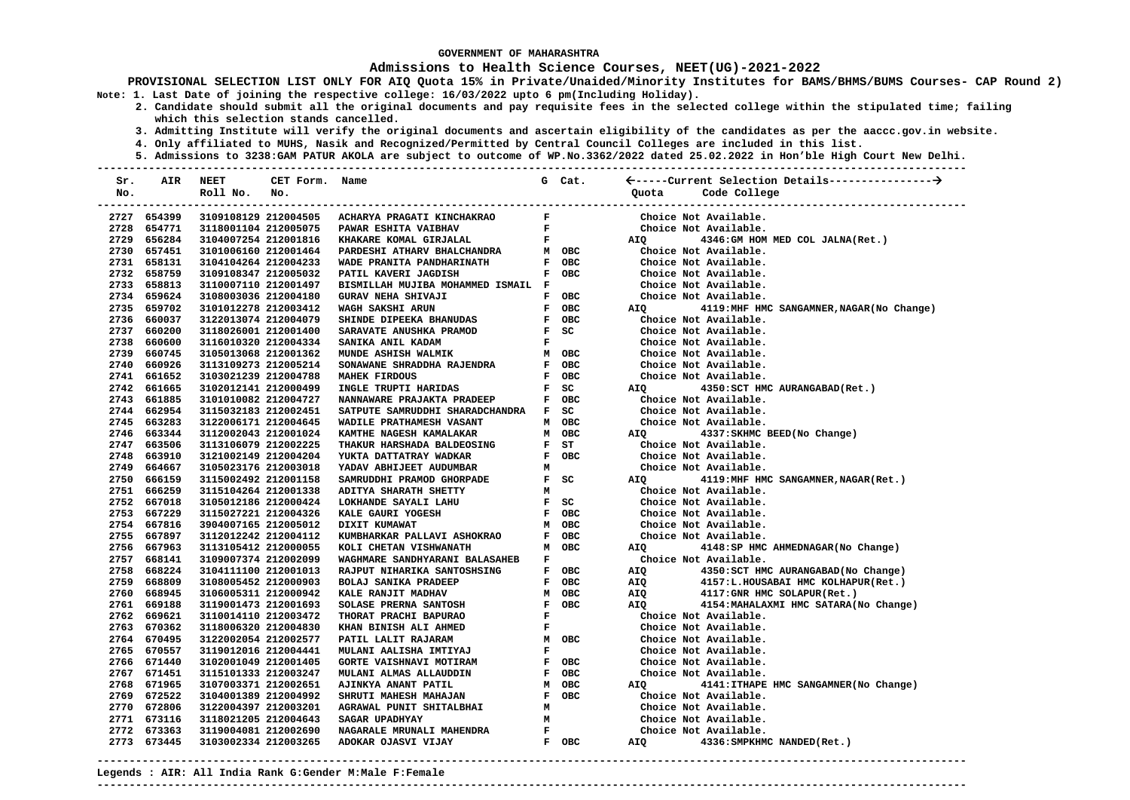#### **Admissions to Health Science Courses, NEET(UG)-2021-2022**

**PROVISIONAL SELECTION LIST ONLY FOR AIQ Quota 15% in Private/Unaided/Minority Institutes for BAMS/BHMS/BUMS Courses- CAP Round 2) Note: 1. Last Date of joining the respective college: 16/03/2022 upto 6 pm(Including Holiday).** 

- **2. Candidate should submit all the original documents and pay requisite fees in the selected college within the stipulated time; failing which this selection stands cancelled.** 
	- **3. Admitting Institute will verify the original documents and ascertain eligibility of the candidates as per the aaccc.gov.in website.**
	- **4. Only affiliated to MUHS, Nasik and Recognized/Permitted by Central Council Colleges are included in this list.**
- **5. Admissions to 3238:GAM PATUR AKOLA are subject to outcome of WP.No.3362/2022 dated 25.02.2022 in Hon'ble High Court New Delhi. ---------------------------------------------------------------------------------------------------------------------------------------**

| Sr. | AIR         | <b>NEET</b>                   | CET Form. Name |                                      |              | G Cat.   |            |                                            |
|-----|-------------|-------------------------------|----------------|--------------------------------------|--------------|----------|------------|--------------------------------------------|
| No. |             | Roll No.                      | No.            |                                      |              |          | Ouota      | Code College                               |
|     |             | ----------------------------- |                |                                      |              |          |            | --------------------------                 |
|     | 2727 654399 | 3109108129 212004505          |                | ACHARYA PRAGATI KINCHAKRAO           | F            |          |            | Choice Not Available.                      |
|     | 2728 654771 | 3118001104 212005075          |                | PAWAR ESHITA VAIBHAV                 | $\mathbf F$  |          |            | Choice Not Available.                      |
|     | 2729 656284 | 3104007254 212001816          |                | KHAKARE KOMAL GIRJALAL               | $\mathbf F$  |          | AIQ        | 4346: GM HOM MED COL JALNA (Ret.)          |
|     | 2730 657451 | 3101006160 212001464          |                | PARDESHI ATHARV BHALCHANDRA          |              | M OBC    |            | Choice Not Available.                      |
|     | 2731 658131 | 3104104264 212004233          |                | WADE PRANITA PANDHARINATH            |              | F OBC    |            | Choice Not Available.                      |
|     | 2732 658759 | 3109108347 212005032          |                | PATIL KAVERI JAGDISH                 |              | F OBC    |            | Choice Not Available.                      |
|     | 2733 658813 | 3110007110 212001497          |                | BISMILLAH MUJIBA MOHAMMED ISMAIL F   |              |          |            | Choice Not Available.                      |
|     | 2734 659624 | 3108003036 212004180          |                | <b>GURAV NEHA SHIVAJI</b>            |              | F OBC    |            | Choice Not Available.                      |
|     | 2735 659702 | 3101012278 212003412          |                | WAGH SAKSHI ARUN                     |              | F OBC    | AIQ        | 4119: MHF HMC SANGAMNER, NAGAR (No Change) |
|     | 2736 660037 | 3122013074 212004079          |                | SHINDE DIPEEKA BHANUDAS              |              | F OBC    |            | Choice Not Available.                      |
|     | 2737 660200 | 3118026001 212001400          |                | SARAVATE ANUSHKA PRAMOD              |              | F SC     |            | Choice Not Available.                      |
|     | 2738 660600 | 3116010320 212004334          |                | SANIKA ANIL KADAM                    | F            |          |            | Choice Not Available.                      |
|     | 2739 660745 | 3105013068 212001362          |                | MUNDE ASHISH WALMIK                  |              | M OBC    |            | Choice Not Available.                      |
|     | 2740 660926 | 3113109273 212005214          |                | SONAWANE SHRADDHA RAJENDRA           |              | F OBC    |            | Choice Not Available.                      |
|     | 2741 661652 | 3103021239 212004788          |                | <b>MAHEK FIRDOUS</b>                 |              | F OBC    |            | Choice Not Available.                      |
|     | 2742 661665 | 3102012141 212000499          |                | INGLE TRUPTI HARIDAS                 |              | F SC     | AIQ        | 4350: SCT HMC AURANGABAD (Ret.)            |
|     | 2743 661885 | 3101010082 212004727          |                | NANNAWARE PRAJAKTA PRADEEP           |              | F OBC    |            | Choice Not Available.                      |
|     | 2744 662954 | 3115032183 212002451          |                | SATPUTE SAMRUDDHI SHARADCHANDRA F SC |              |          |            | Choice Not Available.                      |
|     | 2745 663283 | 3122006171 212004645          |                | WADILE PRATHAMESH VASANT             |              | M OBC    |            | Choice Not Available.                      |
|     | 2746 663344 | 3112002043 212001024          |                | KAMTHE NAGESH KAMALAKAR              |              | M OBC    | AIQ        | 4337: SKHMC BEED (No Change)               |
|     | 2747 663506 | 3113106079 212002225          |                | THAKUR HARSHADA BALDEOSING           |              | $F$ $ST$ |            | Choice Not Available.                      |
|     | 2748 663910 | 3121002149 212004204          |                | YUKTA DATTATRAY WADKAR               |              | F OBC    |            | Choice Not Available.                      |
|     | 2749 664667 | 3105023176 212003018          |                | YADAV ABHIJEET AUDUMBAR              | М            |          |            | Choice Not Available.                      |
|     | 2750 666159 | 3115002492 212001158          |                | SAMRUDDHI PRAMOD GHORPADE            |              | $F$ SC   | AIQ        | 4119:MHF HMC SANGAMNER, NAGAR(Ret.)        |
|     | 2751 666259 | 3115104264 212001338          |                | ADITYA SHARATH SHETTY                | М            |          |            | Choice Not Available.                      |
|     | 2752 667018 | 3105012186 212000424          |                | LOKHANDE SAYALI LAHU                 |              | $F$ SC   |            | Choice Not Available.                      |
|     | 2753 667229 | 3115027221 212004326          |                | KALE GAURI YOGESH                    |              | F OBC    |            | Choice Not Available.                      |
|     | 2754 667816 | 3904007165 212005012          |                | DIXIT KUMAWAT                        |              | M OBC    |            | Choice Not Available.                      |
|     | 2755 667897 | 3112012242 212004112          |                | KUMBHARKAR PALLAVI ASHOKRAO          |              | F OBC    |            | Choice Not Available.                      |
|     | 2756 667963 | 3113105412 212000055          |                | KOLI CHETAN VISHWANATH               |              | M OBC    | AIQ        | 4148:SP HMC AHMEDNAGAR(No Change)          |
|     | 2757 668141 | 3109007374 212002099          |                | WAGHMARE SANDHYARANI BALASAHEB       | F            |          |            | Choice Not Available.                      |
|     | 2758 668224 | 3104111100 212001013          |                | RAJPUT NIHARIKA SANTOSHSING          |              | F OBC    | AIQ        | 4350: SCT HMC AURANGABAD (No Change)       |
|     | 2759 668809 | 3108005452 212000903          |                | <b>BOLAJ SANIKA PRADEEP</b>          | F            | OBC      | AIQ        | 4157:L.HOUSABAI HMC KOLHAPUR(Ret.)         |
|     | 2760 668945 | 3106005311 212000942          |                | KALE RANJIT MADHAV                   |              | M OBC    | AIQ        | 4117: GNR HMC SOLAPUR (Ret.)               |
|     | 2761 669188 | 3119001473 212001693          |                | SOLASE PRERNA SANTOSH                |              | F OBC    | <b>AIO</b> | 4154: MAHALAXMI HMC SATARA (No Change)     |
|     | 2762 669621 | 3110014110 212003472          |                | THORAT PRACHI BAPURAO                | $\mathbf{F}$ |          |            | Choice Not Available.                      |
|     | 2763 670362 | 3118006320 212004830          |                | KHAN BINISH ALI AHMED                | F            |          |            | Choice Not Available.                      |
|     | 2764 670495 | 3122002054 212002577          |                | PATIL LALIT RAJARAM                  |              | M OBC    |            | Choice Not Available.                      |
|     | 2765 670557 | 3119012016 212004441          |                | MULANI AALISHA IMTIYAJ               | $\mathbf F$  |          |            | Choice Not Available.                      |
|     | 2766 671440 | 3102001049 212001405          |                | <b>GORTE VAISHNAVI MOTIRAM</b>       |              | F OBC    |            | Choice Not Available.                      |
|     | 2767 671451 | 3115101333 212003247          |                | MULANI ALMAS ALLAUDDIN               | F            | OBC      |            | Choice Not Available.                      |
|     | 2768 671965 | 3107003371 212002651          |                | AJINKYA ANANT PATIL                  | м            | OBC      | AIO        | 4141: ITHAPE HMC SANGAMNER (No Change)     |
|     | 2769 672522 | 3104001389 212004992          |                | SHRUTI MAHESH MAHAJAN                |              | F OBC    |            | Choice Not Available.                      |
|     | 2770 672806 | 3122004397 212003201          |                | AGRAWAL PUNIT SHITALBHAI             | М            |          |            | Choice Not Available.                      |
|     | 2771 673116 | 3118021205 212004643          |                | SAGAR UPADHYAY                       | М            |          |            | Choice Not Available.                      |
|     | 2772 673363 | 3119004081 212002690          |                | NAGARALE MRUNALI MAHENDRA            | F            |          |            | Choice Not Available.                      |
|     | 2773 673445 | 3103002334 212003265          |                | ADOKAR OJASVI VIJAY                  |              | F OBC    | AIQ        | 4336: SMPKHMC NANDED (Ret.)                |

**---------------------------------------------------------------------------------------------------------------------------------------**

**---------------------------------------------------------------------------------------------------------------------------------------** 

**Legends : AIR: All India Rank G:Gender M:Male F:Female**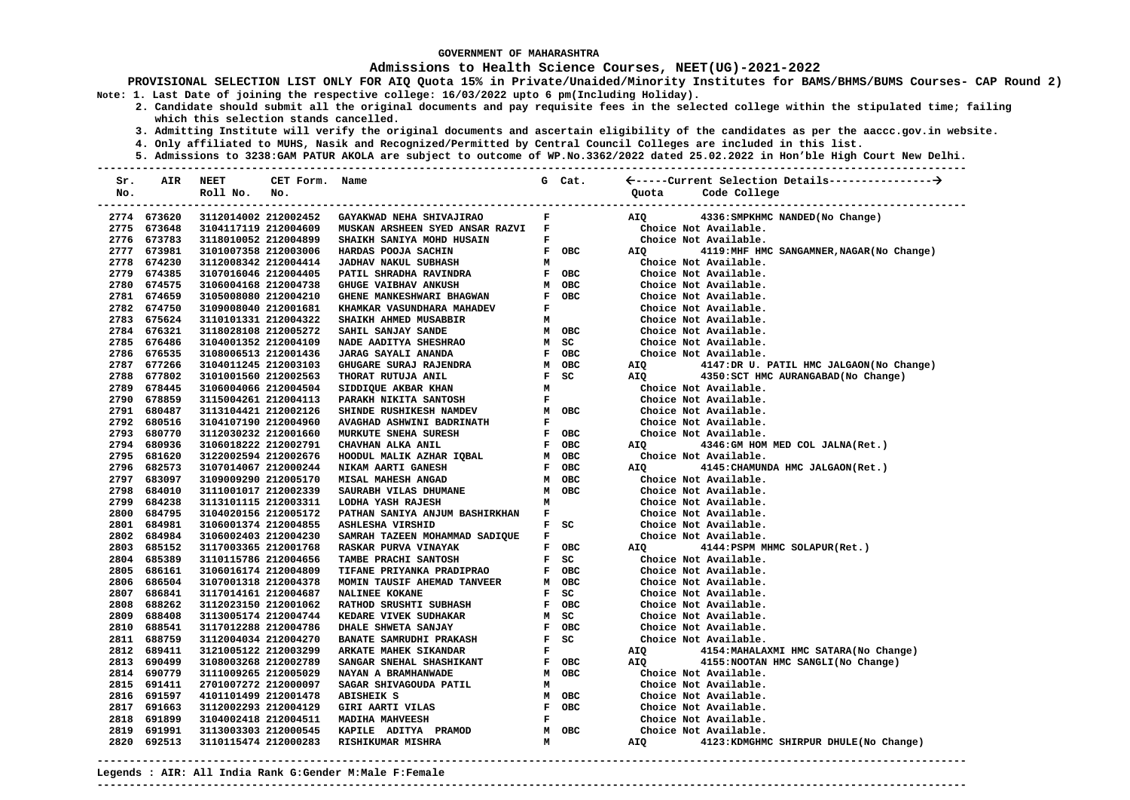### **Admissions to Health Science Courses, NEET(UG)-2021-2022**

**PROVISIONAL SELECTION LIST ONLY FOR AIQ Quota 15% in Private/Unaided/Minority Institutes for BAMS/BHMS/BUMS Courses- CAP Round 2) Note: 1. Last Date of joining the respective college: 16/03/2022 upto 6 pm(Including Holiday).** 

- **2. Candidate should submit all the original documents and pay requisite fees in the selected college within the stipulated time; failing which this selection stands cancelled.** 
	- **3. Admitting Institute will verify the original documents and ascertain eligibility of the candidates as per the aaccc.gov.in website.**
	- **4. Only affiliated to MUHS, Nasik and Recognized/Permitted by Central Council Colleges are included in this list.**
- **5. Admissions to 3238:GAM PATUR AKOLA are subject to outcome of WP.No.3362/2022 dated 25.02.2022 in Hon'ble High Court New Delhi. ---------------------------------------------------------------------------------------------------------------------------------------**

| Sr.  | AIR         | <b>NEET</b>          | CET Form. | Name                                                                                                                                                |                               | G Cat.                                    |       |                                            |
|------|-------------|----------------------|-----------|-----------------------------------------------------------------------------------------------------------------------------------------------------|-------------------------------|-------------------------------------------|-------|--------------------------------------------|
| No.  |             | Roll No.             | No.       |                                                                                                                                                     |                               |                                           | Ouota | Code College                               |
|      |             |                      |           |                                                                                                                                                     |                               |                                           |       |                                            |
|      | 2774 673620 | 3112014002 212002452 |           | GAYAKWAD NEHA SHIVAJIRAO                                                                                                                            | $\mathbf{F}$                  |                                           | AIQ   | 4336: SMPKHMC NANDED (No Change)           |
|      | 2775 673648 | 3104117119 212004609 |           | MUSKAN ARSHEEN SYED ANSAR RAZVI F                                                                                                                   |                               |                                           |       | Choice Not Available.                      |
|      | 2776 673783 | 3118010052 212004899 |           | SHAIKH SANIYA MOHD HUSAIN                                                                                                                           | $\mathbf{F}$ and $\mathbf{F}$ |                                           |       | Choice Not Available.                      |
|      | 2777 673981 | 3101007358 212003006 |           | HARDAS POOJA SACHIN                                                                                                                                 |                               | F OBC                                     | AIQ   | 4119: MHF HMC SANGAMNER, NAGAR (No Change) |
|      | 2778 674230 | 3112008342 212004414 |           | <b>JADHAV NAKUL SUBHASH</b>                                                                                                                         | M                             |                                           |       | Choice Not Available.                      |
|      | 2779 674385 | 3107016046 212004405 |           |                                                                                                                                                     |                               | F OBC                                     |       | Choice Not Available.                      |
|      | 2780 674575 | 3106004168 212004738 |           | PATIL SHRADHA RAVINDRA<br>GHUGE VAIBHAV ANKUSH                                                                                                      |                               | M OBC                                     |       | Choice Not Available.                      |
|      | 2781 674659 | 3105008080 212004210 |           | GHENE MANKESHWARI BHAGWAN<br>KHAMKAR VASUNDHARA MAHADEV                                                                                             |                               | F OBC                                     |       | Choice Not Available.                      |
|      | 2782 674750 | 3109008040 212001681 |           |                                                                                                                                                     | $\mathbf{F}$                  |                                           |       | Choice Not Available.                      |
|      | 2783 675624 | 3110101331 212004322 |           | SHAIKH AHMED MUSABBIR                                                                                                                               | м                             |                                           |       | Choice Not Available.                      |
|      | 2784 676321 | 3118028108 212005272 |           | SAHIL SANJAY SANDE                                                                                                                                  |                               | M OBC                                     |       | Choice Not Available.                      |
|      | 2785 676486 | 3104001352 212004109 |           | NADE AADITYA SHESHRAO                                                                                                                               |                               | M SC                                      |       | Choice Not Available.                      |
|      | 2786 676535 | 3108006513 212001436 |           | <b>JARAG SAYALI ANANDA</b>                                                                                                                          |                               | F OBC                                     |       | Choice Not Available.                      |
|      | 2787 677266 | 3104011245 212003103 |           | GHUGARE SURAJ RAJENDRA                                                                                                                              |                               | M OBC                                     | AIQ   | 4147:DR U. PATIL HMC JALGAON(No Change)    |
|      | 2788 677802 | 3101001560 212002563 |           | THORAT RUTUJA ANIL THORAT RUTUJA ANIL FECHENAL METHODOL ANIL FECHENARI MARAKH NIKITA SANTOSH FECHENARI MAMDEV MODE                                  |                               |                                           | AIQ   | 4350:SCT HMC AURANGABAD(No Change)         |
|      | 2789 678445 | 3106004066 212004504 |           |                                                                                                                                                     |                               |                                           |       | Choice Not Available.                      |
|      | 2790 678859 | 3115004261 212004113 |           |                                                                                                                                                     |                               |                                           |       | Choice Not Available.                      |
|      | 2791 680487 | 3113104421 212002126 |           |                                                                                                                                                     |                               | M OBC                                     |       | Choice Not Available.                      |
|      | 2792 680516 | 3104107190 212004960 |           |                                                                                                                                                     | $\mathbf{F}$                  |                                           |       | Choice Not Available.                      |
|      | 2793 680770 | 3112030232 212001660 |           |                                                                                                                                                     |                               | F OBC                                     |       | Choice Not Available.                      |
|      | 2794 680936 | 3106018222 212002791 |           |                                                                                                                                                     |                               | F OBC                                     | AIQ Q | 4346: GM HOM MED COL JALNA (Ret.)          |
|      | 2795 681620 | 3122002594 212002676 |           |                                                                                                                                                     |                               | M OBC                                     |       | Choice Not Available.                      |
|      | 2796 682573 | 3107014067 212000244 |           | SHINDE RUSHIKESH NAMLEV<br>AVAGHAD ASHWINI BADRINATH<br>MURKUTE SNEHA SURESH<br>CHAVHAN ALKA ANIL<br>HOODUL MALIK AZHAR IQBAL<br>NIKAM AARTI GANESH |                               | F OBC                                     | AIQ   | 4145: CHAMUNDA HMC JALGAON (Ret.)          |
|      | 2797 683097 | 3109009290 212005170 |           | MISAL MAHESH ANGAD                                                                                                                                  |                               | M OBC                                     |       | Choice Not Available.                      |
|      | 2798 684010 | 3111001017 212002339 |           | SAURABH VILAS DHUMANE                                                                                                                               |                               | M OBC                                     |       | Choice Not Available.                      |
|      | 2799 684238 | 3113101115 212003311 |           | LODHA YASH RAJESH                                                                                                                                   | M                             |                                           |       | Choice Not Available.                      |
|      | 2800 684795 | 3104020156 212005172 |           | PATHAN SANIYA ANJUM BASHIRKHAN                                                                                                                      |                               | $\mathbf{F}^{(n)}$ and $\mathbf{F}^{(n)}$ |       | Choice Not Available.                      |
|      | 2801 684981 | 3106001374 212004855 |           | <b>ASHLESHA VIRSHID</b>                                                                                                                             |                               | $F$ SC                                    |       | Choice Not Available.                      |
|      | 2802 684984 | 3106002403 212004230 |           | SAMRAH TAZEEN MOHAMMAD SADIQUE                                                                                                                      |                               | $\mathbf{F}$ and $\mathbf{F}$             |       | Choice Not Available.                      |
|      | 2803 685152 | 3117003365 212001768 |           | RASKAR PURVA VINAYAK                                                                                                                                |                               | F OBC                                     | AIQ   | 4144: PSPM MHMC SOLAPUR (Ret.)             |
|      | 2804 685389 | 3110115786 212004656 |           | TAMBE PRACHI SANTOSH                                                                                                                                |                               | $F$ SC                                    |       | Choice Not Available.                      |
|      | 2805 686161 | 3106016174 212004809 |           | TIFANE PRIYANKA PRADIPRAO                                                                                                                           |                               | F OBC                                     |       | Choice Not Available.                      |
|      | 2806 686504 | 3107001318 212004378 |           | MOMIN TAUSIF AHEMAD TANVEER                                                                                                                         |                               | M OBC                                     |       | Choice Not Available.                      |
|      | 2807 686841 | 3117014161 212004687 |           | <b>NALINEE KOKANE</b>                                                                                                                               |                               | F SC                                      |       | Choice Not Available.                      |
|      | 2808 688262 | 3112023150 212001062 |           | <b>RATHOD SRUSHTI SUBHASH</b>                                                                                                                       |                               | F OBC                                     |       | Choice Not Available.                      |
|      | 2809 688408 | 3113005174 212004744 |           | KEDARE VIVEK SUDHAKAR                                                                                                                               |                               | M SC                                      |       | Choice Not Available.                      |
|      | 2810 688541 | 3117012288 212004786 |           | DHALE SHWETA SANJAY                                                                                                                                 |                               | F OBC                                     |       | Choice Not Available.                      |
|      | 2811 688759 | 3112004034 212004270 |           | <b>BANATE SAMRUDHI PRAKASH</b>                                                                                                                      |                               | $F$ SC                                    |       | Choice Not Available.                      |
|      | 2812 689411 | 3121005122 212003299 |           | ARKATE MAHEK SIKANDAR<br>SANGAR SNEHAL SHASHIKANT<br>NAYAN A BRAMHANWADE                                                                            | $\mathbf{F}$                  |                                           | AIQ   | 4154: MAHALAXMI HMC SATARA (No Change)     |
| 2813 | 690499      | 3108003268 212002789 |           |                                                                                                                                                     |                               | F OBC                                     | AIQ   | 4155: NOOTAN HMC SANGLI (No Change)        |
|      | 2814 690779 | 3111009265 212005029 |           |                                                                                                                                                     |                               | M OBC                                     |       | Choice Not Available.                      |
|      | 2815 691411 | 2701007272 212000097 |           | SAGAR SHIVAGOUDA PATIL                                                                                                                              | M                             |                                           |       | Choice Not Available.                      |
|      | 2816 691597 | 4101101499 212001478 |           | <b>ABISHEIK S</b>                                                                                                                                   |                               | M OBC                                     |       | Choice Not Available.                      |
|      | 2817 691663 | 3112002293 212004129 |           | GIRI AARTI VILAS                                                                                                                                    |                               | F OBC                                     |       | Choice Not Available.                      |
|      | 2818 691899 | 3104002418 212004511 |           | MADIHA MAHVEESH                                                                                                                                     | $\mathbf{F}$                  |                                           |       | Choice Not Available.                      |
|      | 2819 691991 | 3113003303 212000545 |           | KAPILE ADITYA PRAMOD<br>RISHIKUMAR MISHRA                                                                                                           |                               | M OBC                                     |       | Choice Not Available.                      |
|      | 2820 692513 | 3110115474 212000283 |           | RISHIKUMAR MISHRA                                                                                                                                   | M                             |                                           | AIQ   | 4123: KDMGHMC SHIRPUR DHULE (No Change)    |
|      |             |                      |           |                                                                                                                                                     |                               |                                           |       |                                            |

**---------------------------------------------------------------------------------------------------------------------------------------**

**Legends : AIR: All India Rank G:Gender M:Male F:Female**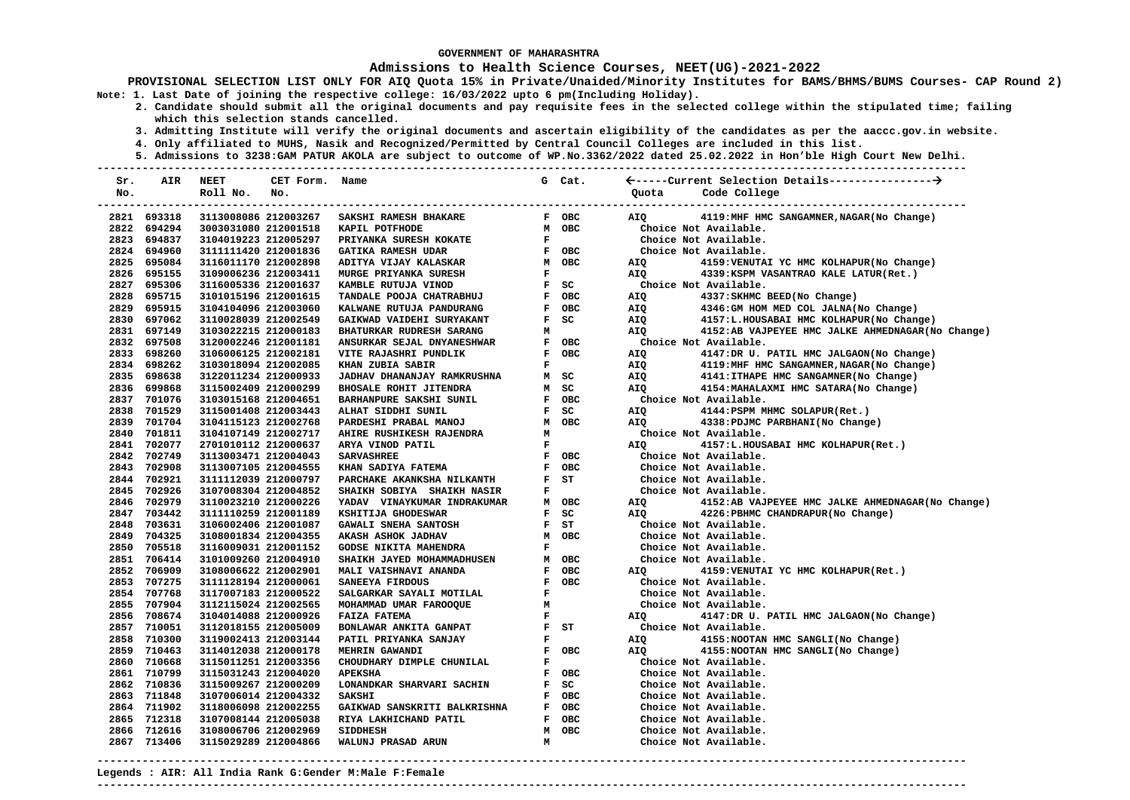### **Admissions to Health Science Courses, NEET(UG)-2021-2022**

**PROVISIONAL SELECTION LIST ONLY FOR AIQ Quota 15% in Private/Unaided/Minority Institutes for BAMS/BHMS/BUMS Courses- CAP Round 2) Note: 1. Last Date of joining the respective college: 16/03/2022 upto 6 pm(Including Holiday).** 

- **2. Candidate should submit all the original documents and pay requisite fees in the selected college within the stipulated time; failing which this selection stands cancelled.** 
	- **3. Admitting Institute will verify the original documents and ascertain eligibility of the candidates as per the aaccc.gov.in website.**
	- **4. Only affiliated to MUHS, Nasik and Recognized/Permitted by Central Council Colleges are included in this list.**
	- **5. Admissions to 3238:GAM PATUR AKOLA are subject to outcome of WP.No.3362/2022 dated 25.02.2022 in Hon'ble High Court New Delhi.**

| Sr.  | AIR         | <b>NEET</b>          | CET Form. Name |                                                   |                | G Cat.     |                                                          |
|------|-------------|----------------------|----------------|---------------------------------------------------|----------------|------------|----------------------------------------------------------|
| No.  |             | Roll No.             | No.            |                                                   |                |            | Code College<br>Ouota                                    |
|      |             |                      |                |                                                   |                |            |                                                          |
|      | 2821 693318 | 3113008086 212003267 |                | <b>SAKSHI RAMESH BHAKARE</b>                      |                | F OBC      | 4119:MHF HMC SANGAMNER, NAGAR (No Change)<br>AIQ         |
| 2822 | 694294      | 3003031080 212001518 |                | KAPIL POTFHODE                                    |                | M OBC      | Choice Not Available.                                    |
| 2823 | 694837      | 3104019223 212005297 |                | PRIYANKA SURESH KOKATE                            | $\mathbf{F}$   |            | Choice Not Available.                                    |
|      | 2824 694960 | 3111111420 212001836 |                | <b>GATIKA RAMESH UDAR</b>                         |                | F OBC      | Choice Not Available.                                    |
|      | 2825 695084 | 3116011170 212002898 |                | ADITYA VIJAY KALASKAR                             |                | M OBC      | 4159: VENUTAI YC HMC KOLHAPUR (No Change)<br>AIQ         |
|      | 2826 695155 | 3109006236 212003411 |                | <b>MURGE PRIYANKA SURESH</b>                      | $\mathbf F$    |            | AIQ<br>4339: KSPM VASANTRAO KALE LATUR(Ret.)             |
|      | 2827 695306 | 3116005336 212001637 |                | KAMBLE RUTUJA VINOD                               |                | $F$ SC     | Choice Not Available.                                    |
|      | 2828 695715 | 3101015196 212001615 |                | TANDALE POOJA CHATRABHUJ                          |                | F OBC      | 4337: SKHMC BEED (No Change)<br>AIQ                      |
|      | 2829 695915 | 3104104096 212003060 |                | KALWANE RUTUJA PANDURANG                          | $\mathbf{F}$   | <b>OBC</b> | AIO<br>4346: GM HOM MED COL JALNA (No Change)            |
|      | 2830 697062 | 3110028039 212002549 |                | GAIKWAD VAIDEHI SURYAKANT                         | F              | SC         | 4157:L.HOUSABAI HMC KOLHAPUR(No Change)<br>AIQ           |
|      | 2831 697149 | 3103022215 212000183 |                | <b>BHATURKAR RUDRESH SARANG</b>                   | М              |            | 4152:AB VAJPEYEE HMC JALKE AHMEDNAGAR (No Change)<br>AIQ |
|      | 2832 697508 | 3120002246 212001181 |                | ANSURKAR SEJAL DNYANESHWAR                        | $\mathbf{F}$   | OBC        | Choice Not Available.                                    |
|      | 2833 698260 | 3106006125 212002181 |                | VITE RAJASHRI PUNDLIK                             | $\mathbf{F}$   | OBC        | 4147:DR U. PATIL HMC JALGAON(No Change)<br>AIQ           |
|      | 2834 698262 | 3103018094 212002085 |                | KHAN ZUBIA SABIR                                  | $\mathbf F$    |            | 4119:MHF HMC SANGAMNER, NAGAR (No Change)<br>AIO         |
|      | 2835 698638 | 3122011234 212000933 |                | JADHAV DHANANJAY RAMKRUSHNA                       | M              | SC         | <b>AIO</b><br>4141: ITHAPE HMC SANGAMNER (No Change)     |
|      | 2836 699868 | 3115002409 212000299 |                | <b>BHOSALE ROHIT JITENDRA</b>                     | M              | SC         | 4154: MAHALAXMI HMC SATARA (No Change)<br>AIQ            |
|      | 2837 701076 | 3103015168 212004651 |                | BARHANPURE SAKSHI SUNIL                           |                | F OBC      | Choice Not Available.                                    |
|      | 2838 701529 | 3115001408 212003443 |                | ALHAT SIDDHI SUNIL                                | $\mathbf{F}$   | SC         | AIQ<br>4144: PSPM MHMC SOLAPUR(Ret.)                     |
|      | 2839 701704 | 3104115123 212002768 |                | PARDESHI PRABAL MANOJ<br>AHIRE RUSHIKESH RAJENDRA | M              | <b>OBC</b> | <b>AIO</b><br>4338: PDJMC PARBHANI (No Change)           |
|      | 2840 701811 | 3104107149 212002717 |                | AHIRE RUSHIKESH RAJENDRA                          | М              |            | Choice Not Available.                                    |
|      | 2841 702077 | 2701010112 212000637 |                | ARYA VINOD PATIL                                  | F              |            | 4157:L.HOUSABAI HMC KOLHAPUR(Ret.)<br>AIQ                |
|      | 2842 702749 | 3113003471 212004043 |                | <b>SARVASHREE</b>                                 | $\mathbf{F}$   | <b>OBC</b> | Choice Not Available.                                    |
|      | 2843 702908 | 3113007105 212004555 |                | KHAN SADIYA FATEMA                                | ${\bf F}$      | <b>OBC</b> | Choice Not Available.                                    |
|      | 2844 702921 | 3111112039 212000797 |                | PARCHAKE AKANKSHA NILKANTH                        | $\mathbf{F}$   | ST         | Choice Not Available.                                    |
|      | 2845 702926 | 3107008304 212004852 |                | SHAIKH SOBIYA SHAIKH NASIR                        | F              |            | Choice Not Available.                                    |
|      | 2846 702979 | 3110023210 212000226 |                | YADAV VINAYKUMAR INDRAKUMAR                       | М              | OBC        | AIQ<br>4152:AB VAJPEYEE HMC JALKE AHMEDNAGAR(No Change)  |
|      | 2847 703442 | 3111110259 212001189 |                | KSHITIJA GHODESWAR                                | $\mathbf{F}$   | SC         | <b>AIO</b><br>4226: PBHMC CHANDRAPUR (No Change)         |
|      | 2848 703631 | 3106002406 212001087 |                | <b>GAWALI SNEHA SANTOSH</b>                       | $\mathbf{F}$ . | ST         | Choice Not Available.                                    |
|      | 2849 704325 | 3108001834 212004355 |                | AKASH ASHOK JADHAV                                | M              | <b>OBC</b> | Choice Not Available.                                    |
|      | 2850 705518 | 3116009031 212001152 |                | <b>GODSE NIKITA MAHENDRA</b>                      | $\mathbf{F}$   |            | Choice Not Available.                                    |
|      | 2851 706414 | 3101009260 212004910 |                | SHAIKH JAYED MOHAMMADHUSEN                        | M              | OBC        | Choice Not Available.                                    |
|      | 2852 706909 | 3108006622 212002901 |                | MALI VAISHNAVI ANANDA                             | ${\bf F}$      | OBC        | 4159: VENUTAI YC HMC KOLHAPUR (Ret.)<br>AIQ              |
|      | 2853 707275 | 3111128194 212000061 |                | SANEEYA FIRDOUS                                   | $\mathbf{F}$   | OBC        | Choice Not Available.                                    |
|      | 2854 707768 | 3117007183 212000522 |                | SALGARKAR SAYALI MOTILAL                          | F              |            | Choice Not Available.                                    |
|      | 2855 707904 | 3112115024 212002565 |                | MOHAMMAD UMAR FAROOQUE                            | M              |            | Choice Not Available.                                    |
|      | 2856 708674 | 3104014088 212000926 |                | <b>FAIZA FATEMA</b>                               | $\mathbf{F}$   |            | 4147:DR U. PATIL HMC JALGAON(No Change)<br>AIO           |
|      | 2857 710051 | 3112018155 212005009 |                | BONLAWAR ANKITA GANPAT                            |                | $F$ $ST$   | Choice Not Available.                                    |
|      | 2858 710300 | 3119002413 212003144 |                | PATIL PRIYANKA SANJAY                             | F              |            | AIQ<br>4155: NOOTAN HMC SANGLI (No Change)               |
|      | 2859 710463 | 3114012038 212000178 |                | MEHRIN GAWANDI                                    | $\mathbf{F}$   | OBC        | AIO<br>4155: NOOTAN HMC SANGLI (No Change)               |
|      | 2860 710668 | 3115011251 212003356 |                | CHOUDHARY DIMPLE CHUNILAL                         | ${\bf F}$      |            | Choice Not Available.                                    |
|      | 2861 710799 | 3115031243 212004020 |                | <b>APEKSHA</b>                                    | $\mathbf{F}$   | <b>OBC</b> | Choice Not Available.                                    |
|      | 2862 710836 | 3115009267 212000209 |                | LONANDKAR SHARVARI SACHIN                         | $\mathbf{F}$   | SC         | Choice Not Available.                                    |
|      | 2863 711848 | 3107006014 212004332 |                | <b>SAKSHI</b>                                     |                | F OBC      | Choice Not Available.                                    |
|      | 2864 711902 | 3118006098 212002255 |                | GAIKWAD SANSKRITI BALKRISHNA F OBC                |                |            | Choice Not Available.                                    |
|      | 2865 712318 | 3107008144 212005038 |                | RIYA LAKHICHAND PATIL                             |                | F OBC      | Choice Not Available.                                    |
|      | 2866 712616 | 3108006706 212002969 |                | <b>SIDDHESH</b>                                   | M              | <b>OBC</b> | Choice Not Available.                                    |
|      | 2867 713406 | 3115029289 212004866 |                | WALUNJ PRASAD ARUN                                | M              |            | Choice Not Available.                                    |
|      |             |                      |                |                                                   |                |            |                                                          |

**Legends : AIR: All India Rank G:Gender M:Male F:Female ---------------------------------------------------------------------------------------------------------------------------------------**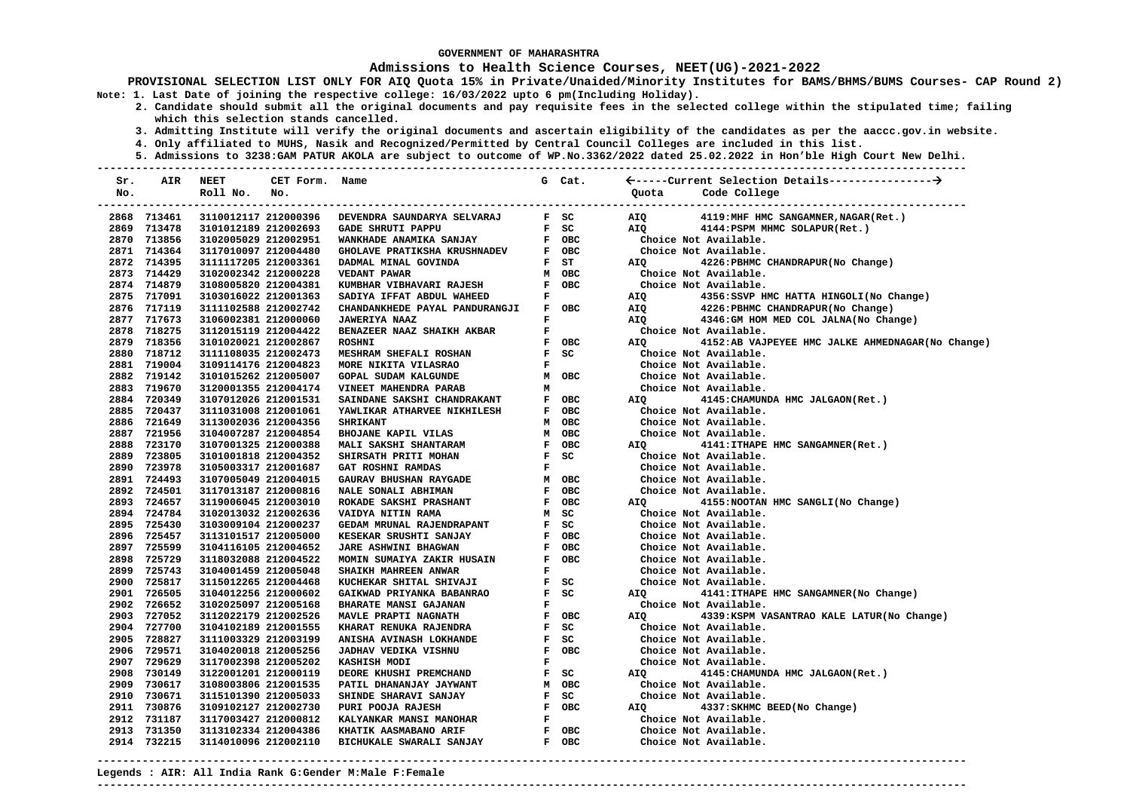#### **Admissions to Health Science Courses, NEET(UG)-2021-2022**

- **2. Candidate should submit all the original documents and pay requisite fees in the selected college within the stipulated time; failing which this selection stands cancelled.** 
	- **3. Admitting Institute will verify the original documents and ascertain eligibility of the candidates as per the aaccc.gov.in website.**
	- **4. Only affiliated to MUHS, Nasik and Recognized/Permitted by Central Council Colleges are included in this list.**
- **5. Admissions to 3238:GAM PATUR AKOLA are subject to outcome of WP.No.3362/2022 dated 25.02.2022 in Hon'ble High Court New Delhi. ---------------------------------------------------------------------------------------------------------------------------------------**

| Sr. | AIR                        | <b>NEET</b>                                  | CET Form. Name |                                                    |                                | G Cat.      |                                                           |
|-----|----------------------------|----------------------------------------------|----------------|----------------------------------------------------|--------------------------------|-------------|-----------------------------------------------------------|
| No. |                            | Roll No.                                     | No.            |                                                    |                                |             | Code College<br>Ouota                                     |
|     |                            |                                              |                |                                                    |                                |             |                                                           |
|     | 2868 713461                | 3110012117 212000396                         |                | DEVENDRA SAUNDARYA SELVARAJ                        |                                | F SC        | AIQ<br>4119:MHF HMC SANGAMNER, NAGAR(Ret.)                |
|     | 2869 713478                | 3101012189 212002693                         |                | <b>GADE SHRUTI PAPPU</b>                           | $\mathbf{F}$                   | SC          | <b>AIO</b><br>4144: PSPM MHMC SOLAPUR (Ret.)              |
|     | 2870 713856                | 3102005029 212002951                         |                | WANKHADE ANAMIKA SANJAY                            |                                | F OBC       | Choice Not Available.                                     |
|     | 2871 714364                | 3117010097 212004480                         |                | GHOLAVE PRATIKSHA KRUSHNADEV                       |                                | F OBC       | Choice Not Available.                                     |
|     | 2872 714395                | 3111117205 212003361                         |                | DADMAL MINAL GOVINDA                               |                                | F ST        | AIQ<br>4226: PBHMC CHANDRAPUR (No Change)                 |
|     | 2873 714429                | 3102002342 212000228                         |                | VEDANT PAWAR                                       |                                | M OBC       | Choice Not Available.                                     |
|     | 2874 714879                | 3108005820 212004381                         |                | KUMBHAR VIBHAVARI RAJESH                           | $\mathbf{F}$                   | OBC         | Choice Not Available.                                     |
|     | 2875 717091                | 3103016022 212001363                         |                | SADIYA IFFAT ABDUL WAHEED                          | F                              |             | 4356: SSVP HMC HATTA HINGOLI (No Change)<br>AIQ           |
|     | 2876 717119                | 3111102588 212002742                         |                | CHANDANKHEDE PAYAL PANDURANGJI                     | $\mathbf{F}$                   | <b>OBC</b>  | AIQ<br>4226: PBHMC CHANDRAPUR (No Change)                 |
|     | 2877 717673                | 3106002381 212000060                         |                | <b>JAWERIYA NAAZ</b>                               | F                              |             | AIO<br>4346: GM HOM MED COL JALNA (No Change)             |
|     | 2878 718275                | 3112015119 212004422                         |                | BENAZEER NAAZ SHAIKH AKBAR                         | $\mathbf F$                    |             | Choice Not Available.                                     |
|     | 2879 718356                | 3101020021 212002867                         |                | <b>ROSHNI</b>                                      | $\mathbf{F}$                   | OBC         | 4152:AB VAJPEYEE HMC JALKE AHMEDNAGAR (No Change)<br>AIO  |
|     | 2880 718712                | 3111108035 212002473                         |                | MESHRAM SHEFALI ROSHAN                             | $\mathbf{F}$                   | SC          | Choice Not Available.                                     |
|     | 2881 719004                | 3109114176 212004823                         |                | MORE NIKITA VILASRAO                               | F                              |             | Choice Not Available.                                     |
|     | 2882 719142                | 3101015262 212005007                         |                | <b>GOPAL SUDAM KALGUNDE</b>                        |                                | M OBC       | Choice Not Available.                                     |
|     | 2883 719670                | 3120001355 212004174                         |                | VINEET MAHENDRA PARAB                              | м                              |             | Choice Not Available.                                     |
|     | 2884 720349                | 3107012026 212001531                         |                | SAINDANE SAKSHI CHANDRAKANT                        |                                | F OBC       | 4145: CHAMUNDA HMC JALGAON (Ret.)<br>AIQ                  |
|     | 2885 720437                | 3111031008 212001061                         |                | YAWLIKAR ATHARVEE NIKHILESH                        | $\mathbf{F}$ .                 | OBC         | Choice Not Available.                                     |
|     | 2886 721649                | 3113002036 212004356                         |                | <b>SHRIKANT</b>                                    | M                              | OBC         | Choice Not Available.                                     |
|     | 2887 721956                | 3104007287 212004854                         |                | <b>BHOJANE KAPIL VILAS</b>                         | M                              | OBC         | Choice Not Available.                                     |
|     | 2888 723170                | 3107001325 212000388                         |                | MALI SAKSHI SHANTARAM                              |                                | F OBC       | 4141: ITHAPE HMC SANGAMNER (Ret.)<br>AIQ                  |
|     | 2889 723805                | 3101001818 212004352                         |                | <b>SHIRSATH PRITI MOHAN</b>                        |                                | F SC        | Choice Not Available.                                     |
|     | 2890 723978                | 3105003317 212001687                         |                | GAT ROSHNI RAMDAS                                  | $\mathbf F$                    |             | Choice Not Available.                                     |
|     | 2891 724493                | 3107005049 212004015                         |                | GAURAV BHUSHAN RAYGADE                             |                                | M OBC       | Choice Not Available.                                     |
|     | 2892 724501                | 3117013187 212000816                         |                | NALE SONALI ABHIMAN                                |                                | F OBC       | Choice Not Available.                                     |
|     | 2893 724657                | 3119006045 212003010                         |                | ROKADE SAKSHI PRASHANT                             |                                | F OBC       | 4155: NOOTAN HMC SANGLI (No Change)<br>AIQ                |
|     | 2894 724784                | 3102013032 212002636                         |                | VAIDYA NITIN RAMA                                  | M                              | SC          | Choice Not Available.                                     |
|     | 2895 725430                | 3103009104 212000237                         |                | GEDAM MRUNAL RAJENDRAPANT                          | $\mathbf{F}$                   | SC<br>F OBC | Choice Not Available.                                     |
|     | 2896 725457                | 3113101517 212005000                         |                | KESEKAR SRUSHTI SANJAY                             |                                |             | Choice Not Available.                                     |
|     | 2897 725599<br>2898 725729 | 3104116105 212004652                         |                | JARE ASHWINI BHAGWAN                               | $\mathbf{F}$<br>$\mathbf{F}$ . | OBC<br>OBC  | Choice Not Available.<br>Choice Not Available.            |
|     | 2899 725743                | 3118032088 212004522<br>3104001459 212005048 |                | MOMIN SUMAIYA ZAKIR HUSAIN<br>SHAIKH MAHREEN ANWAR | $\mathbf{F}$                   |             | Choice Not Available.                                     |
|     | 2900 725817                | 3115012265 212004468                         |                | KUCHEKAR SHITAL SHIVAJI                            | $\mathbf{F}$                   | SC          | Choice Not Available.                                     |
|     | 2901 726505                | 3104012256 212000602                         |                | GAIKWAD PRIYANKA BABANRAO                          | $\mathbf{F}$                   | SC          | 4141: ITHAPE HMC SANGAMNER (No Change)<br>AIQ             |
|     | 2902 726652                | 3102025097 212005168                         |                | <b>BHARATE MANSI GAJANAN</b>                       | $\mathbf F$                    |             | Choice Not Available.                                     |
|     | 2903 727052                | 3112022179 212002526                         |                | MAVLE PRAPTI NAGNATH                               | $\mathbf{F}$                   | OBC         | <b>AIO</b><br>4339: KSPM VASANTRAO KALE LATUR (No Change) |
|     | 2904 727700                | 3104102189 212001555                         |                | KHARAT RENUKA RAJENDRA                             | $\mathbf{F}$                   | SC          | Choice Not Available.                                     |
|     | 2905 728827                | 3111003329 212003199                         |                | ANISHA AVINASH LOKHANDE                            |                                | $F$ SC      | Choice Not Available.                                     |
|     | 2906 729571                | 3104020018 212005256                         |                | JADHAV VEDIKA VISHNU                               | $\mathbf{F}$                   | <b>OBC</b>  | Choice Not Available.                                     |
|     | 2907 729629                | 3117002398 212005202                         |                | KASHISH MODI                                       | ${\bf F}$                      |             | Choice Not Available.                                     |
|     | 2908 730149                | 3122001201 212000119                         |                | DEORE KHUSHI PREMCHAND                             | $\mathbf{F}$ .                 | SC          | 4145: CHAMUNDA HMC JALGAON (Ret.)<br>AIQ                  |
|     | 2909 730617                | 3108003806 212001535                         |                | PATIL DHANANJAY JAYWANT                            |                                | M OBC       | Choice Not Available.                                     |
|     | 2910 730671                | 3115101390 212005033                         |                | SHINDE SHARAVI SANJAY                              |                                | F SC        | Choice Not Available.                                     |
|     | 2911 730876                | 3109102127 212002730                         |                | <b>PURI POOJA RAJESH</b>                           |                                | F OBC       | AIQ<br>4337: SKHMC BEED (No Change)                       |
|     | 2912 731187                | 3117003427 212000812                         |                | KALYANKAR MANSI MANOHAR                            | $\mathbf{F}$                   |             | Choice Not Available.                                     |
|     | 2913 731350                | 3113102334 212004386                         |                | KHATIK AASMABANO ARIF                              |                                | F OBC       | Choice Not Available.                                     |
|     | 2914 732215                | 3114010096 212002110                         |                | BICHUKALE SWARALI SANJAY                           |                                | F OBC       | Choice Not Available.                                     |
|     |                            |                                              |                |                                                    |                                |             |                                                           |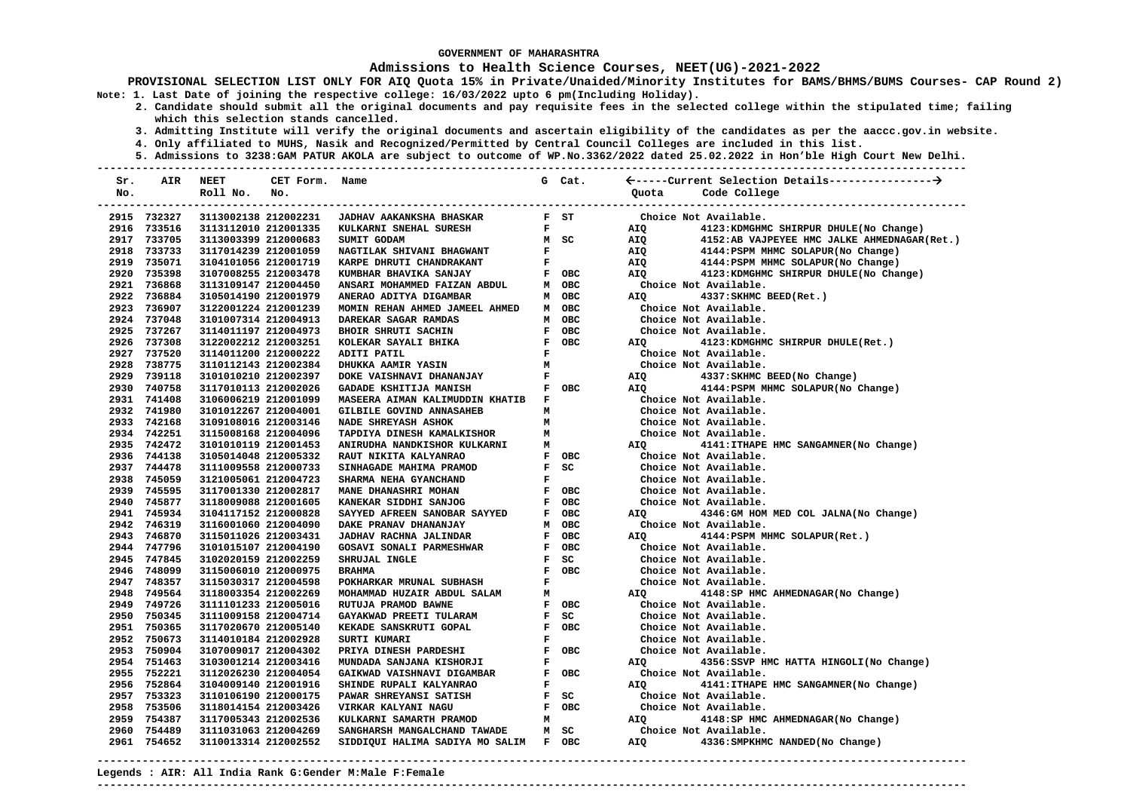#### **Admissions to Health Science Courses, NEET(UG)-2021-2022**

**PROVISIONAL SELECTION LIST ONLY FOR AIQ Quota 15% in Private/Unaided/Minority Institutes for BAMS/BHMS/BUMS Courses- CAP Round 2) Note: 1. Last Date of joining the respective college: 16/03/2022 upto 6 pm(Including Holiday).** 

- **2. Candidate should submit all the original documents and pay requisite fees in the selected college within the stipulated time; failing which this selection stands cancelled.** 
	- **3. Admitting Institute will verify the original documents and ascertain eligibility of the candidates as per the aaccc.gov.in website.**
	- **4. Only affiliated to MUHS, Nasik and Recognized/Permitted by Central Council Colleges are included in this list.**
- **5. Admissions to 3238:GAM PATUR AKOLA are subject to outcome of WP.No.3362/2022 dated 25.02.2022 in Hon'ble High Court New Delhi. ---------------------------------------------------------------------------------------------------------------------------------------**

| Sr. | AIR                        | NEET                                         | CET Form. | Name                                                      |              | G Cat.                          |            |                                                         |
|-----|----------------------------|----------------------------------------------|-----------|-----------------------------------------------------------|--------------|---------------------------------|------------|---------------------------------------------------------|
| No. |                            | Roll No.                                     | No.       |                                                           |              |                                 | Ouota      | Code College                                            |
|     |                            |                                              |           |                                                           |              |                                 |            | ---------------------------------                       |
|     | 2915 732327                | 3113002138 212002231                         |           | <b>JADHAV AAKANKSHA BHASKAR</b>                           |              | $F$ ST                          |            | Choice Not Available.                                   |
|     | 2916 733516                | 3113112010 212001335                         |           | KULKARNI SNEHAL SURESH                                    |              | $\mathbf{F}$ and $\mathbf{F}$   | AIQ        | 4123: KDMGHMC SHIRPUR DHULE (No Change)                 |
|     | 2917 733705                | 3113003399 212000683                         |           | SUMIT GODAM                                               |              | M SC                            | AIQ        | 4152:AB VAJPEYEE HMC JALKE AHMEDNAGAR(Ret.)             |
|     | 2918 733733                | 3117014239 212001059                         |           | NAGTILAK SHIVANI BHAGWANT                                 |              | $\frac{\mathbf{F}}{\mathbf{F}}$ | AIQ        | 4144: PSPM MHMC SOLAPUR (No Change)                     |
|     | 2919 735071                | 3104101056 212001719                         |           | KARPE DHRUTI CHANDRAKANT                                  |              |                                 | AIQ        | 4144: PSPM MHMC SOLAPUR (No Change)                     |
|     | 2920 735398                | 3107008255 212003478                         |           | KUMBHAR BHAVIKA SANJAY                                    |              | F OBC                           | AIO        | 4123: KDMGHMC SHIRPUR DHULE(No Change)                  |
|     | 2921 736868                | 3113109147 212004450                         |           | ANSARI MOHAMMED FAIZAN ABDUL                              |              | M OBC                           |            | Choice Not Available.                                   |
|     | 2922 736884                | 3105014190 212001979                         |           | ANERAO ADITYA DIGAMBAR                                    |              | M OBC                           | AIQ        | 4337: SKHMC BEED (Ret.)                                 |
|     | 2923 736907                | 3122001224 212001239                         |           | MOMIN REHAN AHMED JAMEEL AHMED                            |              | M OBC                           |            | Choice Not Available.                                   |
|     | 2924 737048                | 3101007314 212004913                         |           | DAREKAR SAGAR RAMDAS                                      |              | M OBC                           |            | Choice Not Available.                                   |
|     | 2925 737267                | 3114011197 212004973                         |           | <b>BHOIR SHRUTI SACHIN</b>                                |              | F OBC                           |            | Choice Not Available.                                   |
|     | 2926 737308                | 3122002212 212003251                         |           | KOLEKAR SAYALI BHIKA                                      |              | F OBC                           | AIQ        | 4123: KDMGHMC SHIRPUR DHULE(Ret.)                       |
|     | 2927 737520                | 3114011200 212000222                         |           | ADITI PATIL                                               | $\mathbf{F}$ |                                 |            | Choice Not Available.                                   |
|     | 2928 738775                | 3110112143 212002384                         |           | <b>DHUKKA AAMIR YASIN</b>                                 | M            |                                 |            | Choice Not Available.                                   |
|     | 2929 739118                | 3101010210 212002397                         |           | DOKE VAISHNAVI DHANANJAY                                  | $\mathbf{F}$ |                                 | AIQ        | 4337:SKHMC BEED(No Change)                              |
|     | 2930 740758                | 3117010113 212002026                         |           | GADADE KSHITIJA MANISH                                    |              | F OBC                           | AIQ        | 4144: PSPM MHMC SOLAPUR (No Change)                     |
|     | 2931 741408                | 3106006219 212001099                         |           | MASEERA AIMAN KALIMUDDIN KHATIB                           | $\mathbf{F}$ |                                 |            | Choice Not Available.                                   |
|     | 2932 741980                | 3101012267 212004001                         |           | GILBILE GOVIND ANNASAHEB                                  | м            |                                 |            | Choice Not Available.                                   |
|     | 2933 742168                | 3109108016 212003146                         |           | NADE SHREYASH ASHOK                                       | м            |                                 |            | Choice Not Available.                                   |
|     | 2934 742251                | 3115008168 212004096                         |           | TAPDIYA DINESH KAMALKISHOR                                | M            |                                 |            | Choice Not Available.                                   |
|     | 2935 742472                | 3101010119 212001453                         |           | ANIRUDHA NANDKISHOR KULKARNI                              | M            |                                 | AIO        | 4141: ITHAPE HMC SANGAMNER (No Change)                  |
|     | 2936 744138                | 3105014048 212005332                         |           | RAUT NIKITA KALYANRAO                                     |              | F OBC                           |            | Choice Not Available.                                   |
|     | 2937 744478                | 3111009558 212000733                         |           | SINHAGADE MAHIMA PRAMOD                                   |              | F SC                            |            | Choice Not Available.                                   |
|     | 2938 745059                | 3121005061 212004723                         |           | SHARMA NEHA GYANCHAND                                     | $\mathbf{F}$ |                                 |            | Choice Not Available.                                   |
|     | 2939 745595                | 3117001330 212002817                         |           | MANE DHANASHRI MOHAN                                      |              | F OBC                           |            | Choice Not Available.                                   |
|     | 2940 745877                | 3118009088 212001605                         |           | KANEKAR SIDDHI SANJOG                                     |              | F OBC                           |            | Choice Not Available.                                   |
|     | 2941 745934<br>2942 746319 | 3104117152 212000828                         |           | SAYYED AFREEN SANOBAR SAYYED                              |              | F OBC                           | <b>AIO</b> | 4346: GM HOM MED COL JALNA (No Change)                  |
|     |                            | 3116001060 212004090                         |           | DAKE PRANAV DHANANJAY                                     | M            | OBC<br><b>OBC</b>               |            | Choice Not Available.                                   |
|     | 2943 746870<br>2944 747796 | 3115011026 212003431                         |           | <b>JADHAV RACHNA JALINDAR</b><br>GOSAVI SONALI PARMESHWAR | $\mathbf{F}$ | F OBC                           | AIO        | 4144: PSPM MHMC SOLAPUR (Ret.)<br>Choice Not Available. |
|     | 2945 747845                | 3101015107 212004190<br>3102020159 212002259 |           | SHRUJAL INGLE                                             |              | $F$ SC                          |            | Choice Not Available.                                   |
|     | 2946 748099                | 3115006010 212000975                         |           | <b>BRAHMA</b>                                             |              | F OBC                           |            | Choice Not Available.                                   |
|     | 2947 748357                | 3115030317 212004598                         |           | POKHARKAR MRUNAL SUBHASH                                  | F            |                                 |            | Choice Not Available.                                   |
|     | 2948 749564                | 3118003354 212002269                         |           | MOHAMMAD HUZAIR ABDUL SALAM                               | м            |                                 | AIQ        | 4148: SP HMC AHMEDNAGAR (No Change)                     |
|     | 2949 749726                | 3111101233 212005016                         |           | RUTUJA PRAMOD BAWNE                                       |              | F OBC                           |            | Choice Not Available.                                   |
|     | 2950 750345                | 3111009158 212004714                         |           | GAYAKWAD PREETI TULARAM                                   |              | $F$ SC                          |            | Choice Not Available.                                   |
|     | 2951 750365                | 3117020670 212005140                         |           | KEKADE SANSKRUTI GOPAL                                    |              | F OBC                           |            | Choice Not Available.                                   |
|     | 2952 750673                | 3114010184 212002928                         |           | SURTI KUMARI                                              | F            |                                 |            | Choice Not Available.                                   |
|     | 2953 750904                | 3107009017 212004302                         |           | PRIYA DINESH PARDESHI                                     |              | F OBC                           |            | Choice Not Available.                                   |
|     | 2954 751463                | 3103001214 212003416                         |           | MUNDADA SANJANA KISHORJI                                  | F            |                                 | AIQ        | 4356: SSVP HMC HATTA HINGOLI (No Change)                |
|     | 2955 752221                | 3112026230 212004054                         |           | GAIKWAD VAISHNAVI DIGAMBAR                                |              | F OBC                           |            | Choice Not Available.                                   |
|     | 2956 752864                | 3104009140 212001916                         |           | SHINDE RUPALI KALYANRAO                                   | F            |                                 | AIQ        | 4141: ITHAPE HMC SANGAMNER (No Change)                  |
|     | 2957 753323                | 3110106190 212000175                         |           | PAWAR SHREYANSI SATISH                                    |              | $F$ SC                          |            | Choice Not Available.                                   |
|     | 2958 753506                | 3118014154 212003426                         |           | VIRKAR KALYANI NAGU                                       |              | F OBC                           |            | Choice Not Available.                                   |
|     | 2959 754387                | 3117005343 212002536                         |           | KULKARNI SAMARTH PRAMOD                                   | M            |                                 | AIO        | 4148:SP HMC AHMEDNAGAR(No Change)                       |
|     | 2960 754489                | 3111031063 212004269                         |           | SANGHARSH MANGALCHAND TAWADE                              |              | M SC                            |            | Choice Not Available.                                   |
|     | 2961 754652                | 3110013314 212002552                         |           | SIDDIQUI HALIMA SADIYA MO SALIM F OBC                     |              |                                 | AIO        | 4336: SMPKHMC NANDED (No Change)                        |
|     |                            |                                              |           |                                                           |              |                                 |            |                                                         |

**---------------------------------------------------------------------------------------------------------------------------------------**

**Legends : AIR: All India Rank G:Gender M:Male F:Female**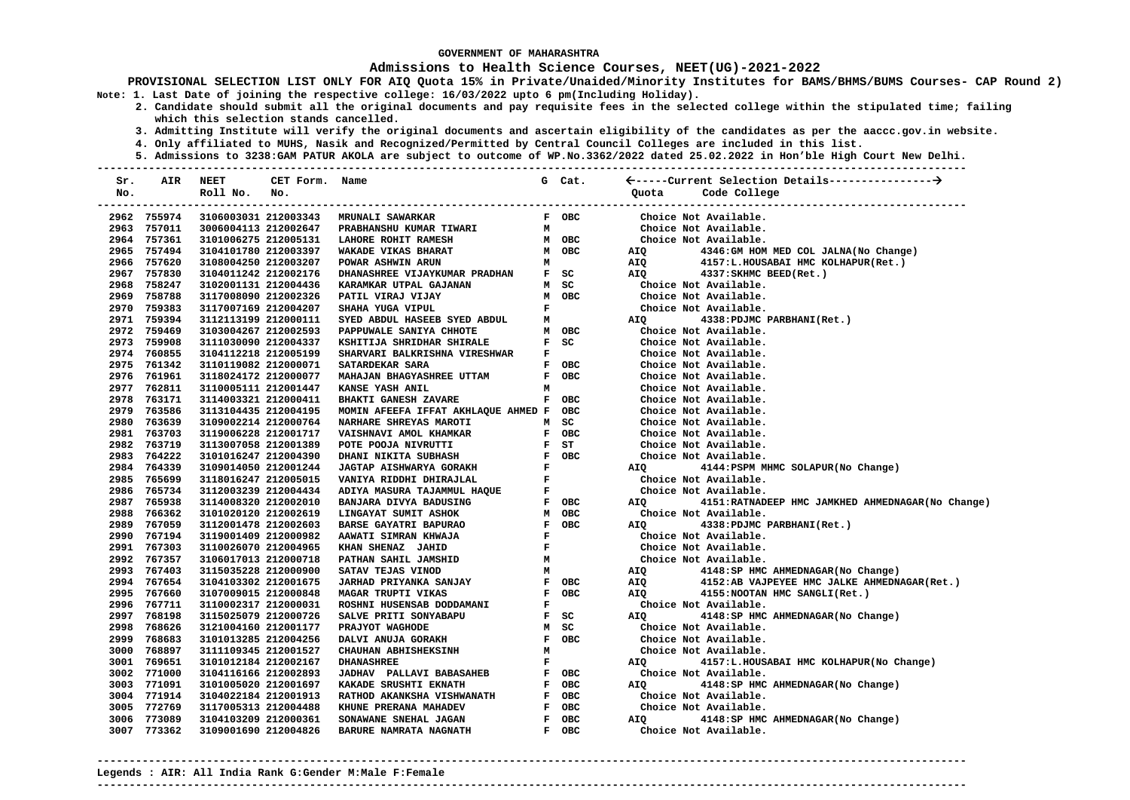### **Admissions to Health Science Courses, NEET(UG)-2021-2022**

**PROVISIONAL SELECTION LIST ONLY FOR AIQ Quota 15% in Private/Unaided/Minority Institutes for BAMS/BHMS/BUMS Courses- CAP Round 2) Note: 1. Last Date of joining the respective college: 16/03/2022 upto 6 pm(Including Holiday).** 

- **2. Candidate should submit all the original documents and pay requisite fees in the selected college within the stipulated time; failing which this selection stands cancelled.** 
	- **3. Admitting Institute will verify the original documents and ascertain eligibility of the candidates as per the aaccc.gov.in website.**
	- **4. Only affiliated to MUHS, Nasik and Recognized/Permitted by Central Council Colleges are included in this list.**
	- **5. Admissions to 3238:GAM PATUR AKOLA are subject to outcome of WP.No.3362/2022 dated 25.02.2022 in Hon'ble High Court New Delhi.**

| Sr.  | AIR         | <b>NEET</b>          | CET Form. Name |                                     |              | G Cat.     |            |                                                    |
|------|-------------|----------------------|----------------|-------------------------------------|--------------|------------|------------|----------------------------------------------------|
| No.  |             | Roll No.             | No.            |                                     |              |            | Quota      | Code College                                       |
|      |             |                      |                |                                     |              |            |            | ------------------------------                     |
|      | 2962 755974 | 3106003031 212003343 |                | <b>MRUNALI SAWARKAR</b>             |              | F OBC      |            | Choice Not Available.                              |
| 2963 | 757011      | 3006004113 212002647 |                | PRABHANSHU KUMAR TIWARI             | м            |            |            | Choice Not Available.                              |
| 2964 | 757361      | 3101006275 212005131 |                | LAHORE ROHIT RAMESH                 |              | M OBC      |            | Choice Not Available.                              |
| 2965 | 757494      | 3104101780 212003397 |                | WAKADE VIKAS BHARAT                 | м            | OBC        | AIQ        | 4346:GM HOM MED COL JALNA (No Change)              |
| 2966 | 757620      | 3108004250 212003207 |                | POWAR ASHWIN ARUN                   | M            |            | AIQ        | 4157:L.HOUSABAI HMC KOLHAPUR(Ret.)                 |
| 2967 | 757830      | 3104011242 212002176 |                | DHANASHREE VIJAYKUMAR PRADHAN       | $\mathbf{F}$ | SC         | <b>AIO</b> | 4337: SKHMC BEED (Ret.)                            |
| 2968 | 758247      | 3102001131 212004436 |                | KARAMKAR UTPAL GAJANAN              | M            | SC         |            | Choice Not Available.                              |
| 2969 | 758788      | 3117008090 212002326 |                | PATIL VIRAJ VIJAY                   |              | M OBC      |            | Choice Not Available.                              |
|      | 2970 759383 | 3117007169 212004207 |                | SHAHA YUGA VIPUL                    | F            |            |            | Choice Not Available.                              |
|      | 2971 759394 | 3112113199 212000111 |                | SYED ABDUL HASEEB SYED ABDUL        | М            |            | AIQ        | 4338: PDJMC PARBHANI (Ret.)                        |
|      | 2972 759469 | 3103004267 212002593 |                | PAPPUWALE SANIYA CHHOTE             | М            | OBC        |            | Choice Not Available.                              |
|      | 2973 759908 | 3111030090 212004337 |                | KSHITIJA SHRIDHAR SHIRALE           | $\mathbf{F}$ | SC         |            | Choice Not Available.                              |
|      | 2974 760855 | 3104112218 212005199 |                | SHARVARI BALKRISHNA VIRESHWAR       | F            |            |            | Choice Not Available.                              |
| 2975 | 761342      | 3110119082 212000071 |                | SATARDEKAR SARA                     |              | F OBC      |            | Choice Not Available.                              |
| 2976 | 761961      | 3118024172 212000077 |                | MAHAJAN BHAGYASHREE UTTAM           |              | F OBC      |            | Choice Not Available.                              |
|      | 2977 762811 | 3110005111 212001447 |                | <b>KANSE YASH ANIL</b>              | м            |            |            | Choice Not Available.                              |
|      | 2978 763171 | 3114003321 212000411 |                | <b>BHAKTI GANESH ZAVARE</b>         | $\mathbf{F}$ | OBC        |            | Choice Not Available.                              |
| 2979 | 763586      | 3113104435 212004195 |                | MOMIN AFEEFA IFFAT AKHLAQUE AHMED F |              | OBC        |            | Choice Not Available.                              |
| 2980 | 763639      | 3109002214 212000764 |                | NARHARE SHREYAS MAROTI              | М            | SC         |            | Choice Not Available.                              |
| 2981 | 763703      | 3119006228 212001717 |                | VAISHNAVI AMOL KHAMKAR              | F            | OBC        |            | Choice Not Available.                              |
|      | 2982 763719 | 3113007058 212001389 |                | POTE POOJA NIVRUTTI                 | F            | ST         |            | Choice Not Available.                              |
| 2983 | 764222      | 3101016247 212004390 |                | DHANI NIKITA SUBHASH                | $\mathbf{F}$ | <b>OBC</b> |            | Choice Not Available.                              |
| 2984 | 764339      | 3109014050 212001244 |                | <b>JAGTAP AISHWARYA GORAKH</b>      | $\mathbf{F}$ |            | <b>AIQ</b> | 4144: PSPM MHMC SOLAPUR (No Change)                |
| 2985 | 765699      | 3118016247 212005015 |                | VANIYA RIDDHI DHIRAJLAL             | $\mathbf{F}$ |            |            | Choice Not Available.                              |
| 2986 | 765734      | 3112003239 212004434 |                | ADIYA MASURA TAJAMMUL HAQUE         | $\mathbf F$  |            |            | Choice Not Available.                              |
|      | 2987 765938 | 3114008320 212002010 |                | BANJARA DIVYA BADUSING              | $\mathbf{F}$ | <b>OBC</b> | <b>AIO</b> | 4151: RATNADEEP HMC JAMKHED AHMEDNAGAR (No Change) |
| 2988 | 766362      | 3101020120 212002619 |                | LINGAYAT SUMIT ASHOK                | М            | <b>OBC</b> |            | Choice Not Available.                              |
| 2989 | 767059      | 3112001478 212002603 |                | <b>BARSE GAYATRI BAPURAO</b>        | $\mathbf{F}$ | <b>OBC</b> | <b>AIO</b> | 4338: PDJMC PARBHANI (Ret.)                        |
|      | 2990 767194 | 3119001409 212000982 |                | AAWATI SIMRAN KHWAJA                | $\mathbf F$  |            |            | Choice Not Available.                              |
| 2991 | 767303      | 3110026070 212004965 |                | KHAN SHENAZ JAHID                   | $\mathbf F$  |            |            | Choice Not Available.                              |
|      | 2992 767357 | 3106017013 212000718 |                | PATHAN SAHIL JAMSHID                | М            |            |            | Choice Not Available.                              |
| 2993 | 767403      | 3115035228 212000900 |                | SATAV TEJAS VINOD                   | м            |            | AIQ        | 4148: SP HMC AHMEDNAGAR (No Change)                |
|      | 2994 767654 | 3104103302 212001675 |                | JARHAD PRIYANKA SANJAY              | $\mathbf{F}$ | OBC        | AIQ        | 4152:AB VAJPEYEE HMC JALKE AHMEDNAGAR (Ret.)       |
| 2995 | 767660      | 3107009015 212000848 |                | MAGAR TRUPTI VIKAS                  | $\mathbf{F}$ | <b>OBC</b> | <b>AIO</b> | 4155: NOOTAN HMC SANGLI (Ret.)                     |
| 2996 | 767711      | 3110002317 212000031 |                | ROSHNI HUSENSAB DODDAMANI           | F            |            |            | Choice Not Available.                              |
| 2997 | 768198      | 3115025079 212000726 |                | SALVE PRITI SONYABAPU               | $\mathbf{F}$ | SC         | AIQ        | 4148:SP HMC AHMEDNAGAR(No Change)                  |
| 2998 | 768626      | 3121004160 212001177 |                | PRAJYOT WAGHODE                     | M            | SC         |            | Choice Not Available.                              |
| 2999 | 768683      | 3101013285 212004256 |                | DALVI ANUJA GORAKH                  | $\mathbf{F}$ | OBC        |            | Choice Not Available.                              |
| 3000 | 768897      | 3111109345 212001527 |                | <b>CHAUHAN ABHISHEKSINH</b>         | M            |            |            | Choice Not Available.                              |
| 3001 | 769651      | 3101012184 212002167 |                | <b>DHANASHREE</b>                   | F            |            | AIQ        | 4157:L.HOUSABAI HMC KOLHAPUR(No Change)            |
| 3002 | 771000      | 3104116166 212002893 |                | <b>JADHAV PALLAVI BABASAHEB</b>     |              | F OBC      |            | Choice Not Available.                              |
| 3003 | 771091      | 3101005020 212001697 |                | KAKADE SRUSHTI EKNATH               |              | F OBC      | <b>AIO</b> | 4148:SP HMC AHMEDNAGAR(No Change)                  |
| 3004 | 771914      | 3104022184 212001913 |                | RATHOD AKANKSHA VISHWANATH          |              | F OBC      |            | Choice Not Available.                              |
| 3005 | 772769      | 3117005313 212004488 |                | KHUNE PRERANA MAHADEV               |              | F OBC      |            | Choice Not Available.                              |
| 3006 | 773089      | 3104103209 212000361 |                | SONAWANE SNEHAL JAGAN               | $\mathbf{F}$ | <b>OBC</b> | <b>AIO</b> | 4148: SP HMC AHMEDNAGAR (No Change)                |
|      | 3007 773362 | 3109001690 212004826 |                | BARURE NAMRATA NAGNATH              |              | F OBC      |            | Choice Not Available.                              |

**---------------------------------------------------------------------------------------------------------------------------------------**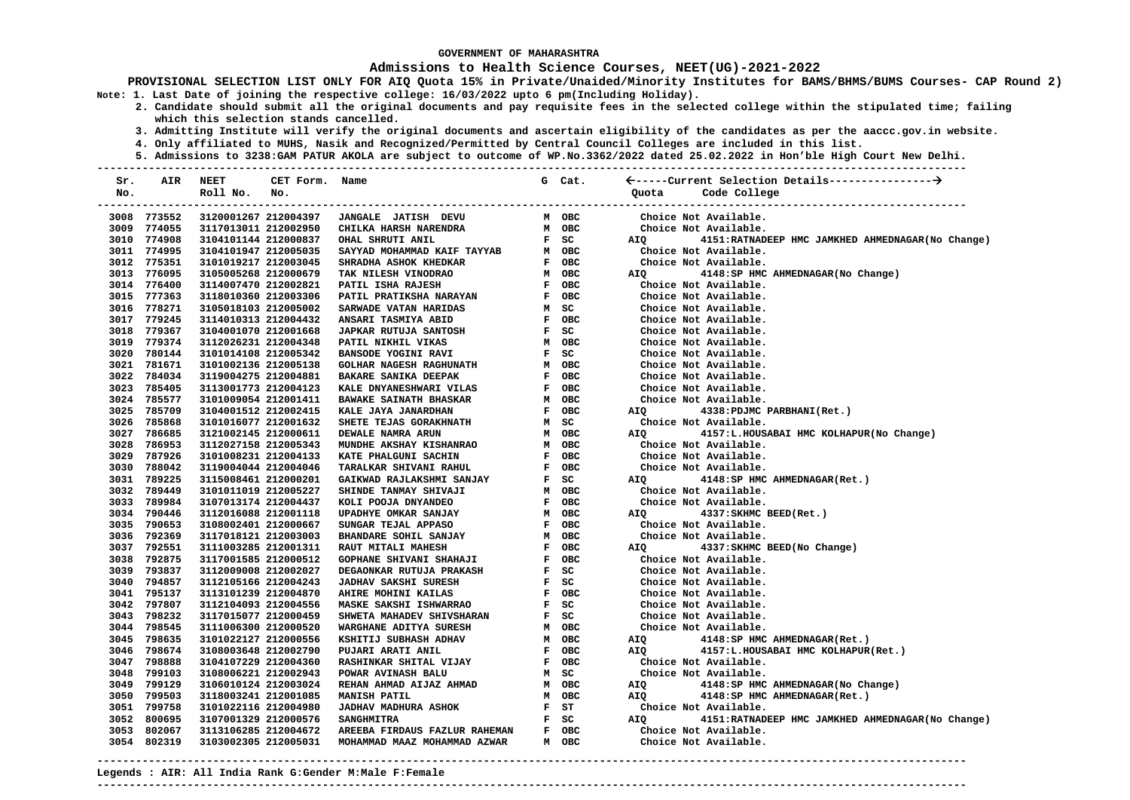### **Admissions to Health Science Courses, NEET(UG)-2021-2022**

**PROVISIONAL SELECTION LIST ONLY FOR AIQ Quota 15% in Private/Unaided/Minority Institutes for BAMS/BHMS/BUMS Courses- CAP Round 2) Note: 1. Last Date of joining the respective college: 16/03/2022 upto 6 pm(Including Holiday).** 

- **2. Candidate should submit all the original documents and pay requisite fees in the selected college within the stipulated time; failing which this selection stands cancelled.** 
	- **3. Admitting Institute will verify the original documents and ascertain eligibility of the candidates as per the aaccc.gov.in website.**
	- **4. Only affiliated to MUHS, Nasik and Recognized/Permitted by Central Council Colleges are included in this list.**
	- **5. Admissions to 3238:GAM PATUR AKOLA are subject to outcome of WP.No.3362/2022 dated 25.02.2022 in Hon'ble High Court New Delhi.**

| Sr.  | AIR         | <b>NEET</b>          | CET Form. Name |                               |                | G Cat.     |                                                                  |
|------|-------------|----------------------|----------------|-------------------------------|----------------|------------|------------------------------------------------------------------|
| No.  |             | Roll No.             | No.            |                               |                |            | Code College<br>Quota                                            |
|      |             |                      |                |                               |                |            |                                                                  |
|      | 3008 773552 | 3120001267 212004397 |                | JANGALE JATISH DEVU           |                | M OBC      | Choice Not Available.                                            |
| 3009 | 774055      | 3117013011 212002950 |                | CHILKA HARSH NARENDRA         | M              | <b>OBC</b> | Choice Not Available.                                            |
|      | 3010 774908 | 3104101144 212000837 |                | OHAL SHRUTI ANIL              |                | $F$ SC     | 4151: RATNADEEP HMC JAMKHED AHMEDNAGAR (No Change)<br>AIQ        |
|      | 3011 774995 | 3104101947 212005035 |                | SAYYAD MOHAMMAD KAIF TAYYAB   |                | M OBC      | Choice Not Available.                                            |
|      | 3012 775351 | 3101019217 212003045 |                | SHRADHA ASHOK KHEDKAR         |                | F OBC      | Choice Not Available.                                            |
|      | 3013 776095 | 3105005268 212000679 |                | TAK NILESH VINODRAO           |                | M OBC      | 4148:SP HMC AHMEDNAGAR(No Change)<br><b>AIO</b>                  |
|      | 3014 776400 | 3114007470 212002821 |                | PATIL ISHA RAJESH             |                | F OBC      | Choice Not Available.                                            |
|      | 3015 777363 | 3118010360 212003306 |                | PATIL PRATIKSHA NARAYAN       |                | F OBC      | Choice Not Available.                                            |
|      | 3016 778271 | 3105018103 212005002 |                | SARWADE VATAN HARIDAS         | M              | SC         | Choice Not Available.                                            |
|      | 3017 779245 | 3114010313 212004432 |                | ANSARI TASMIYA ABID           |                | F OBC      | Choice Not Available.                                            |
|      | 3018 779367 | 3104001070 212001668 |                | JAPKAR RUTUJA SANTOSH         |                | $F$ SC     | Choice Not Available.                                            |
|      | 3019 779374 | 3112026231 212004348 |                | PATIL NIKHIL VIKAS            |                | M OBC      | Choice Not Available.                                            |
|      | 3020 780144 | 3101014108 212005342 |                | BANSODE YOGINI RAVI           |                | $F$ SC     | Choice Not Available.                                            |
|      | 3021 781671 | 3101002136 212005138 |                | GOLHAR NAGESH RAGHUNATH       |                | M OBC      | Choice Not Available.                                            |
|      | 3022 784034 | 3119004275 212004881 |                | <b>BAKARE SANIKA DEEPAK</b>   | $\mathbf{F}$   | OBC        | Choice Not Available.                                            |
|      | 3023 785405 | 3113001773 212004123 |                | KALE DNYANESHWARI VILAS       |                | F OBC      | Choice Not Available.                                            |
|      | 3024 785577 | 3101009054 212001411 |                | <b>BAWAKE SAINATH BHASKAR</b> | м              | OBC        | Choice Not Available.                                            |
|      | 3025 785709 | 3104001512 212002415 |                | KALE JAYA JANARDHAN           |                | F OBC      | AIQ<br>4338: PDJMC PARBHANI (Ret.)                               |
|      | 3026 785868 | 3101016077 212001632 |                | SHETE TEJAS GORAKHNATH        |                | M SC       | Choice Not Available.                                            |
|      | 3027 786685 | 3121002145 212000611 |                | DEWALE NAMRA ARUN             |                | M OBC      | AIQ<br>4157:L.HOUSABAI HMC KOLHAPUR(No Change)                   |
|      | 3028 786953 | 3112027158 212005343 |                | MUNDHE AKSHAY KISHANRAO       |                | M OBC      | Choice Not Available.                                            |
|      | 3029 787926 | 3101008231 212004133 |                | KATE PHALGUNI SACHIN          | F              | OBC        | Choice Not Available.                                            |
|      | 3030 788042 | 3119004044 212004046 |                | TARALKAR SHIVANI RAHUL        | $\mathbf{F}$   | <b>OBC</b> | Choice Not Available.                                            |
|      | 3031 789225 | 3115008461 212000201 |                | GAIKWAD RAJLAKSHMI SANJAY     | $\mathbf{F}$   | SC         | 4148:SP HMC AHMEDNAGAR(Ret.)<br>AIO                              |
|      | 3032 789449 | 3101011019 212005227 |                | SHINDE TANMAY SHIVAJI         |                | M OBC      | Choice Not Available.                                            |
|      | 3033 789984 | 3107013174 212004437 |                | KOLI POOJA DNYANDEO           |                | F OBC      | Choice Not Available.                                            |
|      | 3034 790446 | 3112016088 212001118 |                | UPADHYE OMKAR SANJAY          |                | M OBC      | 4337: SKHMC BEED (Ret.)<br>AIO                                   |
|      | 3035 790653 | 3108002401 212000667 |                | SUNGAR TEJAL APPASO           |                | F OBC      | Choice Not Available.                                            |
|      | 3036 792369 | 3117018121 212003003 |                | BHANDARE SOHIL SANJAY         |                | M OBC      | Choice Not Available.                                            |
|      | 3037 792551 | 3111003285 212001311 |                | RAUT MITALI MAHESH            |                | F OBC      | AIQ<br>4337: SKHMC BEED (No Change)                              |
|      | 3038 792875 | 3117001585 212000512 |                | GOPHANE SHIVANI SHAHAJI       |                | F OBC      | Choice Not Available.                                            |
|      | 3039 793837 | 3112009008 212002027 |                | DEGAONKAR RUTUJA PRAKASH      | $\mathbf{F}$   | SC         | Choice Not Available.                                            |
|      | 3040 794857 | 3112105166 212004243 |                | <b>JADHAV SAKSHI SURESH</b>   | $\mathbf{F}$ . | SC         | Choice Not Available.                                            |
|      | 3041 795137 | 3113101239 212004870 |                | AHIRE MOHINI KAILAS           | F              | OBC        | Choice Not Available.                                            |
|      | 3042 797807 | 3112104093 212004556 |                | MASKE SAKSHI ISHWARRAO        | $\mathbf{F}$   | SC         | Choice Not Available.                                            |
|      | 3043 798232 | 3117015077 212000459 |                | SHWETA MAHADEV SHIVSHARAN     | $\mathbf{F}$ . | SC         | Choice Not Available.                                            |
|      | 3044 798545 | 3111006300 212000520 |                | WARGHANE ADITYA SURESH        | м              | OBC        | Choice Not Available.                                            |
|      | 3045 798635 | 3101022127 212000556 |                | KSHITIJ SUBHASH ADHAV         |                | м овс      | AIQ<br>4148:SP HMC AHMEDNAGAR(Ret.)                              |
|      | 3046 798674 | 3108003648 212002790 |                | PUJARI ARATI ANIL             |                | F OBC      | 4157:L.HOUSABAI HMC KOLHAPUR(Ret.)<br>AIO                        |
|      | 3047 798888 | 3104107229 212004360 |                | RASHINKAR SHITAL VIJAY        |                | F OBC      | Choice Not Available.                                            |
|      | 3048 799103 | 3108006221 212002943 |                | POWAR AVINASH BALU            |                | M SC       | Choice Not Available.                                            |
|      | 3049 799129 | 3106010124 212003024 |                | REHAN AHMAD AIJAZ AHMAD       | M OBC          |            | 4148:SP HMC AHMEDNAGAR(No Change)<br>AIQ                         |
|      | 3050 799503 | 3118003241 212001085 |                | <b>MANISH PATIL</b>           |                | M OBC      | 4148:SP HMC AHMEDNAGAR(Ret.)<br>AIO                              |
|      | 3051 799758 | 3101022116 212004980 |                | JADHAV MADHURA ASHOK          | $\mathbf{F}$   | ST         | Choice Not Available.                                            |
|      | 3052 800695 | 3107001329 212000576 |                | <b>SANGHMITRA</b>             |                | F SC       | <b>AIQ</b><br>4151: RATNADEEP HMC JAMKHED AHMEDNAGAR (No Change) |
|      | 3053 802067 | 3113106285 212004672 |                | AREEBA FIRDAUS FAZLUR RAHEMAN |                | F OBC      | Choice Not Available.                                            |
|      |             |                      |                |                               |                |            |                                                                  |
|      | 3054 802319 | 3103002305 212005031 |                | MOHAMMAD MAAZ MOHAMMAD AZWAR  |                | M OBC      | Choice Not Available.                                            |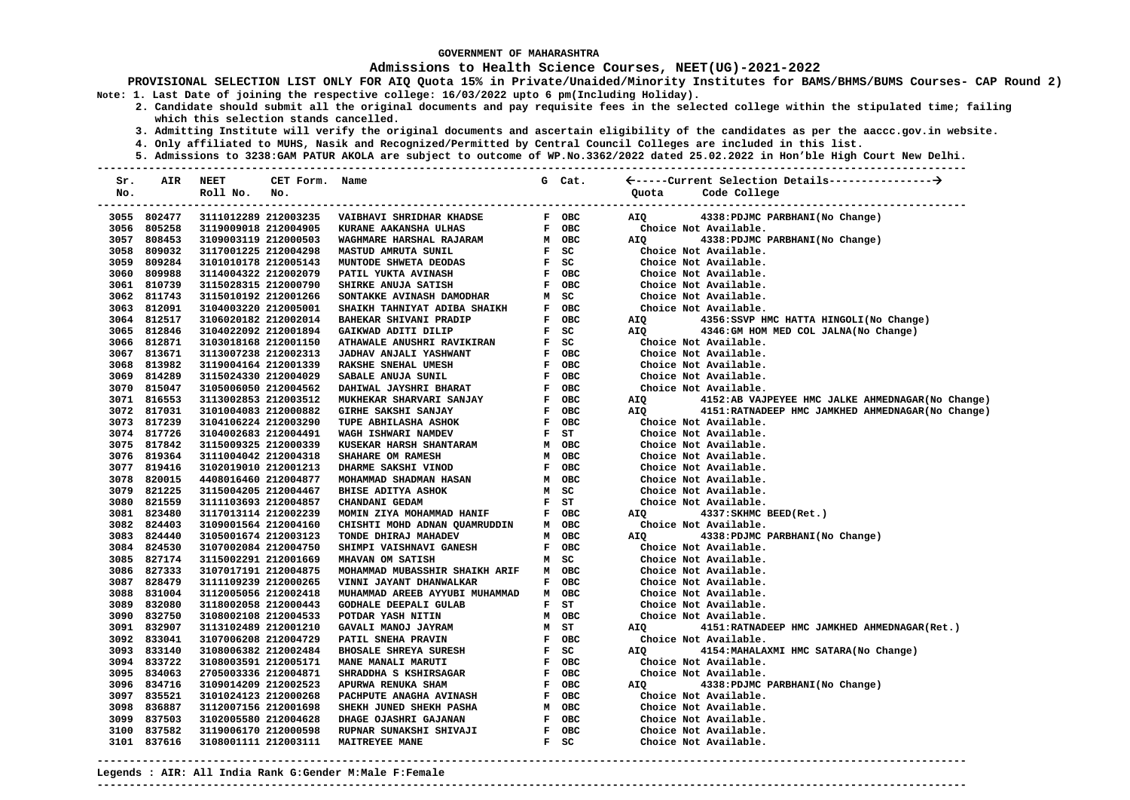### **Admissions to Health Science Courses, NEET(UG)-2021-2022**

**PROVISIONAL SELECTION LIST ONLY FOR AIQ Quota 15% in Private/Unaided/Minority Institutes for BAMS/BHMS/BUMS Courses- CAP Round 2) Note: 1. Last Date of joining the respective college: 16/03/2022 upto 6 pm(Including Holiday).** 

- **2. Candidate should submit all the original documents and pay requisite fees in the selected college within the stipulated time; failing which this selection stands cancelled.** 
	- **3. Admitting Institute will verify the original documents and ascertain eligibility of the candidates as per the aaccc.gov.in website.**
	- **4. Only affiliated to MUHS, Nasik and Recognized/Permitted by Central Council Colleges are included in this list.**
- **5. Admissions to 3238:GAM PATUR AKOLA are subject to outcome of WP.No.3362/2022 dated 25.02.2022 in Hon'ble High Court New Delhi. ---------------------------------------------------------------------------------------------------------------------------------------**

| Sr. | AIR         | NEET                 | CET Form. Name |                                          |              | G Cat.         |                                                           |
|-----|-------------|----------------------|----------------|------------------------------------------|--------------|----------------|-----------------------------------------------------------|
| No. |             | Roll No.             | No.            |                                          |              |                | Code College<br>Ouota                                     |
|     |             |                      |                |                                          |              |                |                                                           |
|     | 3055 802477 | 3111012289 212003235 |                | VAIBHAVI SHRIDHAR KHADSE                 |              | F OBC          | 4338: PDJMC PARBHANI (No Change)<br>AIO                   |
|     | 3056 805258 | 3119009018 212004905 |                | KURANE AAKANSHA ULHAS                    |              | F OBC          | Choice Not Available.                                     |
|     | 3057 808453 | 3109003119 212000503 |                | WAGHMARE HARSHAL RAJARAM                 |              | M OBC          | AIO<br>4338: PDJMC PARBHANI (No Change)                   |
|     | 3058 809032 | 3117001225 212004298 |                | F SC<br>F SC<br>MASTUD AMRUTA SUNIL      |              |                | Choice Not Available.                                     |
|     | 3059 809284 | 3101010178 212005143 |                | MUNTODE SHWETA DEODAS                    |              |                | Choice Not Available.                                     |
|     | 3060 809988 | 3114004322 212002079 |                | PATIL YUKTA AVINASH                      |              | F OBC          | Choice Not Available.                                     |
|     | 3061 810739 | 3115028315 212000790 |                | SHIRKE ANUJA SATISH                      |              | F OBC          | Choice Not Available.                                     |
|     | 3062 811743 | 3115010192 212001266 |                | SONTAKKE AVINASH DAMODHAR                | M            | SC             | Choice Not Available.                                     |
|     | 3063 812091 | 3104003220 212005001 |                | SHAIKH TAHNIYAT ADIBA SHAIKH             | $\mathbf{F}$ | OBC            | Choice Not Available.                                     |
|     | 3064 812517 | 3106020182 212002014 |                | BAHEKAR SHIVANI PRADIP                   | $\mathbf{F}$ | OBC            | 4356:SSVP HMC HATTA HINGOLI(No Change)<br>AIQ             |
|     | 3065 812846 | 3104022092 212001894 |                | GAIKWAD ADITI DILIP                      |              | $F$ SC         | 4346:GM HOM MED COL JALNA(No Change)<br>AIO               |
|     | 3066 812871 | 3103018168 212001150 |                | ATHAWALE ANUSHRI RAVIKIRAN               |              | F SC<br>F OBC  | Choice Not Available.                                     |
|     | 3067 813671 | 3113007238 212002313 |                | <b>JADHAV ANJALI YASHWANT</b>            |              |                | Choice Not Available.                                     |
|     | 3068 813982 | 3119004164 212001339 |                | RAKSHE SNEHAL UMESH                      |              | F OBC          | Choice Not Available.                                     |
|     | 3069 814289 | 3115024330 212004029 |                | SABALE ANUJA SUNIL                       |              | F OBC<br>F OBC | Choice Not Available.                                     |
|     | 3070 815047 | 3105006050 212004562 |                | DAHIWAL JAYSHRI BHARAT                   |              |                | Choice Not Available.                                     |
|     | 3071 816553 | 3113002853 212003512 |                | MUKHEKAR SHARVARI SANJAY                 |              | F OBC<br>F OBC | 4152:AB VAJPEYEE HMC JALKE AHMEDNAGAR(No Change)<br>AIQ   |
|     | 3072 817031 | 3101004083 212000882 |                | GIRHE SAKSHI SANJAY                      |              |                | 4151: RATNADEEP HMC JAMKHED AHMEDNAGAR (No Change)<br>AIQ |
|     | 3073 817239 | 3104106224 212003290 |                | TUPE ABHILASHA ASHOK                     |              | F OBC<br>F ST  | Choice Not Available.                                     |
|     | 3074 817726 | 3104002683 212004491 |                | WAGH ISHWARI NAMDEV                      |              |                | Choice Not Available.                                     |
|     | 3075 817842 | 3115009325 212000339 |                | KUSEKAR HARSH SHANTARAM                  |              | M OBC          | Choice Not Available.                                     |
|     | 3076 819364 | 3111004042 212004318 |                | SHAHARE OM RAMESH                        |              | M OBC          | Choice Not Available.                                     |
|     | 3077 819416 | 3102019010 212001213 |                | DHARME SAKSHI VINOD                      |              | F OBC          | Choice Not Available.                                     |
|     | 3078 820015 | 4408016460 212004877 |                | MOHAMMAD SHADMAN HASAN                   |              | M OBC          | Choice Not Available.                                     |
|     | 3079 821225 | 3115004205 212004467 |                | <b>BHISE ADITYA ASHOK</b>                | $\mathbf{M}$ | SC             | Choice Not Available.                                     |
|     | 3080 821559 | 3111103693 212004857 |                | CHANDANI GEDAM                           | F ST         |                | Choice Not Available.                                     |
|     | 3081 823480 | 3117013114 212002239 |                | F OBC<br>MOMIN ZIYA MOHAMMAD HANIF       |              |                | 4337: SKHMC BEED (Ret.)<br>AIO                            |
|     | 3082 824403 | 3109001564 212004160 |                | CHISHTI MOHD ADNAN QUAMRUDDIN            |              | M OBC          | Choice Not Available.                                     |
|     | 3083 824440 | 3105001674 212003123 |                | TONDE DHIRAJ MAHADEV                     |              | M OBC          | AIO<br>4338: PDJMC PARBHANI (No Change)                   |
|     | 3084 824530 | 3107002084 212004750 |                | SHIMPI VAISHNAVI GANESH                  | $\mathbf{F}$ | OBC            | Choice Not Available.                                     |
|     | 3085 827174 | 3115002291 212001669 |                | <b>MHAVAN OM SATISH</b>                  |              | M SC           | Choice Not Available.                                     |
|     | 3086 827333 | 3107017191 212004875 |                | MOHAMMAD MUBASSHIR SHAIKH ARIF M OBC     |              |                | Choice Not Available.                                     |
|     | 3087 828479 | 3111109239 212000265 |                | VINNI JAYANT DHANWALKAR                  |              | F OBC          | Choice Not Available.                                     |
|     | 3088 831004 | 3112005056 212002418 |                | MUHAMMAD AREEB AYYUBI MUHAMMAD           |              | M OBC          | Choice Not Available.                                     |
|     | 3089 832080 | 3118002058 212000443 |                | <b>GODHALE DEEPALI GULAB</b>             | $\mathbf{F}$ | ST             | Choice Not Available.                                     |
|     | 3090 832750 | 3108002108 212004533 |                | POTDAR YASH NITIN                        |              | M OBC          | Choice Not Available.                                     |
|     | 3091 832907 | 3113102489 212001210 |                | GAVALI MANOJ JAYRAM                      |              | M ST           | 4151: RATNADEEP HMC JAMKHED AHMEDNAGAR (Ret.)<br>AIQ      |
|     | 3092 833041 | 3107006208 212004729 |                | PATIL SNEHA PRAVIN                       |              | F OBC          | Choice Not Available.                                     |
|     | 3093 833140 | 3108006382 212002484 |                | <b>BHOSALE SHREYA SURESH</b>             |              | $F$ SC         | 4154: MAHALAXMI HMC SATARA (No Change)<br><b>AIO</b>      |
|     | 3094 833722 | 3108003591 212005171 |                | MANE MANALI MARUTI                       |              | F OBC          | Choice Not Available.                                     |
|     | 3095 834063 | 2705003336 212004871 |                | SHRADDHA S KSHIRSAGAR                    |              | F OBC          | Choice Not Available.                                     |
|     | 3096 834716 | 3109014209 212002523 |                | APURWA RENUKA SHAM                       |              | F OBC          | 4338: PDJMC PARBHANI (No Change)<br>AIQ                   |
|     | 3097 835521 | 3101024123 212000268 |                | PACHPUTE ANAGHA AVINASH                  |              | F OBC          | Choice Not Available.                                     |
|     | 3098 836887 | 3112007156 212001698 |                | SHEKH JUNED SHEKH PASHA                  |              | M OBC          | Choice Not Available.                                     |
|     | 3099 837503 | 3102005580 212004628 |                | DHAGE OJASHRI GAJANAN                    |              | F OBC          | Choice Not Available.                                     |
|     | 3100 837582 | 3119006170 212000598 |                | F OBC<br>F SC<br>RUPNAR SUNAKSHI SHIVAJI |              |                | Choice Not Available.                                     |
|     | 3101 837616 | 3108001111 212003111 |                | MAITREYEE MANE                           |              |                | Choice Not Available.                                     |
|     |             |                      |                |                                          |              |                |                                                           |

**---------------------------------------------------------------------------------------------------------------------------------------**

**Legends : AIR: All India Rank G:Gender M:Male F:Female**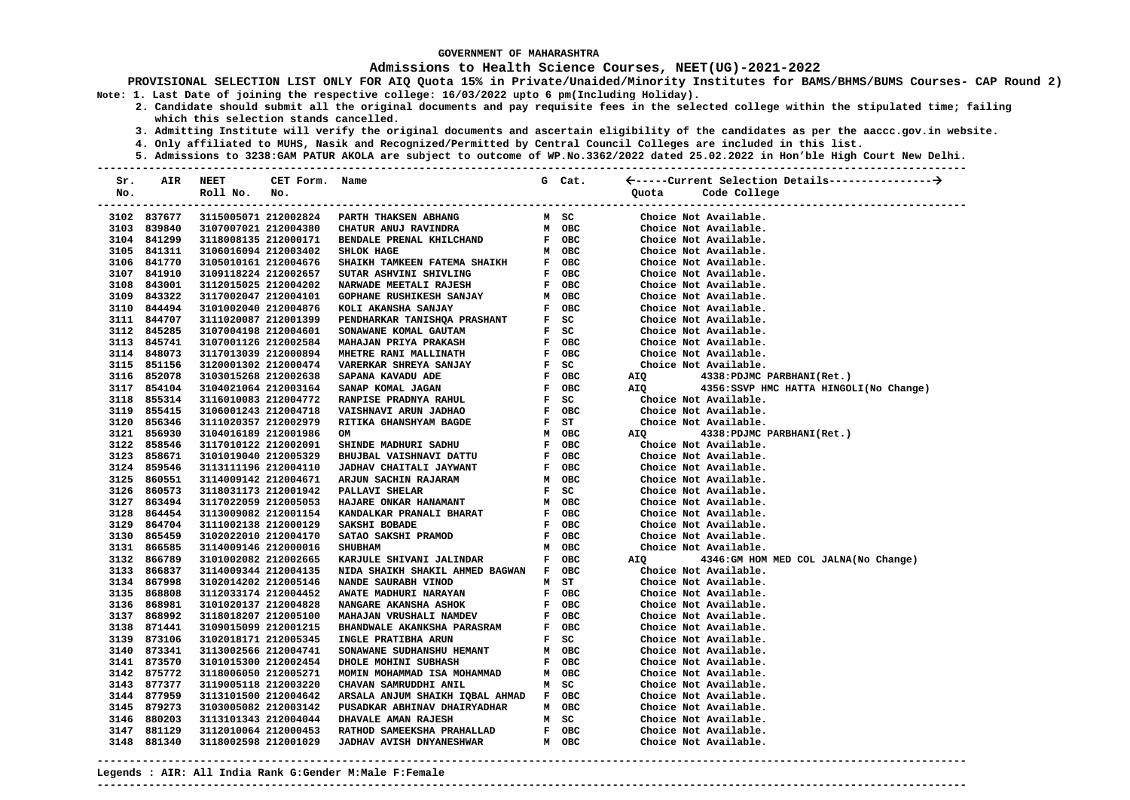### **Admissions to Health Science Courses, NEET(UG)-2021-2022**

**PROVISIONAL SELECTION LIST ONLY FOR AIQ Quota 15% in Private/Unaided/Minority Institutes for BAMS/BHMS/BUMS Courses- CAP Round 2) Note: 1. Last Date of joining the respective college: 16/03/2022 upto 6 pm(Including Holiday).** 

- **2. Candidate should submit all the original documents and pay requisite fees in the selected college within the stipulated time; failing which this selection stands cancelled.** 
	- **3. Admitting Institute will verify the original documents and ascertain eligibility of the candidates as per the aaccc.gov.in website.**
	- **4. Only affiliated to MUHS, Nasik and Recognized/Permitted by Central Council Colleges are included in this list.**
- **5. Admissions to 3238:GAM PATUR AKOLA are subject to outcome of WP.No.3362/2022 dated 25.02.2022 in Hon'ble High Court New Delhi. ---------------------------------------------------------------------------------------------------------------------------------------**

| Sr. | AIR         | <b>NEET</b>          | CET Form. Name |                                                                                                                                                                                                                                                | G Cat. |       |                             |                                          |  |
|-----|-------------|----------------------|----------------|------------------------------------------------------------------------------------------------------------------------------------------------------------------------------------------------------------------------------------------------|--------|-------|-----------------------------|------------------------------------------|--|
| No. |             | Roll No.             | No.            |                                                                                                                                                                                                                                                |        | Quota | Code College                |                                          |  |
|     |             |                      |                |                                                                                                                                                                                                                                                |        |       |                             | ----------------------------             |  |
|     | 3102 837677 | 3115005071 212002824 |                | PARTH THAKSEN ABHANG                                                                                                                                                                                                                           | M SC   |       | Choice Not Available.       |                                          |  |
|     | 3103 839840 | 3107007021 212004380 |                | CHATUR ANUJ RAVINDRA                                                                                                                                                                                                                           | M OBC  |       | Choice Not Available.       |                                          |  |
|     | 3104 841299 | 3118008135 212000171 |                | BENDALE PRENAL KHILCHAND                                                                                                                                                                                                                       | F OBC  |       | Choice Not Available.       |                                          |  |
|     | 3105 841311 | 3106016094 212003402 |                | SHLOK HAGE                                                                                                                                                                                                                                     | M OBC  |       | Choice Not Available.       |                                          |  |
|     | 3106 841770 | 3105010161 212004676 |                | SHAIKH TAMKEEN FATEMA SHAIKH                                                                                                                                                                                                                   | F OBC  |       | Choice Not Available.       |                                          |  |
|     | 3107 841910 | 3109118224 212002657 |                | SUTAR ASHVINI SHIVLING                                                                                                                                                                                                                         | F OBC  |       | Choice Not Available.       |                                          |  |
|     | 3108 843001 | 3112015025 212004202 |                | NARWADE MEETALI RAJESH                                                                                                                                                                                                                         | F OBC  |       | Choice Not Available.       |                                          |  |
|     | 3109 843322 | 3117002047 212004101 |                | <b>GOPHANE RUSHIKESH SANJAY</b>                                                                                                                                                                                                                | M OBC  |       | Choice Not Available.       |                                          |  |
|     | 3110 844494 | 3101002040 212004876 |                | KOLI AKANSHA SANJAY                                                                                                                                                                                                                            | F OBC  |       | Choice Not Available.       |                                          |  |
|     | 3111 844707 | 3111020087 212001399 |                | F OBC<br>PENDHARKAR TANISHQA PRASHANT F SC<br>SONAWANE KOMAL GAUTAM F SC<br>MAHAJAN PRIYA PRAKASH F OBC<br>MHETRE RANI MALLINATH F OBC<br>VARERKAR SHREYA SANJAY F SC<br>SAPANA KAVADU ADE F OBC<br>SANAP KOMAL JAGAN F OBC<br>RANPISE PRADNYA |        |       | Choice Not Available.       |                                          |  |
|     | 3112 845285 | 3107004198 212004601 |                |                                                                                                                                                                                                                                                |        |       | Choice Not Available.       |                                          |  |
|     | 3113 845741 | 3107001126 212002584 |                |                                                                                                                                                                                                                                                | F OBC  |       | Choice Not Available.       |                                          |  |
|     | 3114 848073 | 3117013039 212000894 |                |                                                                                                                                                                                                                                                | F OBC  |       | Choice Not Available.       |                                          |  |
|     | 3115 851156 | 3120001302 212000474 |                |                                                                                                                                                                                                                                                |        |       | Choice Not Available.       |                                          |  |
|     | 3116 852078 | 3103015268 212002638 |                |                                                                                                                                                                                                                                                | F OBC  | AIQ   | 4338: PDJMC PARBHANI (Ret.) |                                          |  |
|     | 3117 854104 | 3104021064 212003164 |                |                                                                                                                                                                                                                                                | F OBC  | AIQ   |                             | 4356: SSVP HMC HATTA HINGOLI (No Change) |  |
|     | 3118 855314 | 3116010083 212004772 |                |                                                                                                                                                                                                                                                |        |       | Choice Not Available.       |                                          |  |
|     | 3119 855415 | 3106001243 212004718 |                | VAISHNAVI ARUN JADHAO                                                                                                                                                                                                                          | F OBC  |       | Choice Not Available.       |                                          |  |
|     | 3120 856346 | 3111020357 212002979 |                | RITIKA GHANSHYAM BAGDE                                                                                                                                                                                                                         | $F$ ST |       | Choice Not Available.       |                                          |  |
|     | 3121 856930 | 3104016189 212001986 |                | OM                                                                                                                                                                                                                                             | M OBC  | AIQ   | 4338: PDJMC PARBHANI (Ret.) |                                          |  |
|     | 3122 858546 | 3117010122 212002091 |                | SHINDE MADHURI SADHU                                                                                                                                                                                                                           | F OBC  |       | Choice Not Available.       |                                          |  |
|     | 3123 858671 | 3101019040 212005329 |                | <b>BHUJBAL VAISHNAVI DATTU</b>                                                                                                                                                                                                                 | F OBC  |       | Choice Not Available.       |                                          |  |
|     | 3124 859546 | 3113111196 212004110 |                | JADHAV CHAITALI JAYWANT                                                                                                                                                                                                                        | F OBC  |       | Choice Not Available.       |                                          |  |
|     | 3125 860551 | 3114009142 212004671 |                | ARJUN SACHIN RAJARAM                                                                                                                                                                                                                           | M OBC  |       | Choice Not Available.       |                                          |  |
|     | 3126 860573 | 3118031173 212001942 |                | PALLAVI SHELAR                                                                                                                                                                                                                                 | F SC   |       | Choice Not Available.       |                                          |  |
|     | 3127 863494 | 3117022059 212005053 |                | <b>HAJARE ONKAR HANAMANT</b>                                                                                                                                                                                                                   | м овс  |       | Choice Not Available.       |                                          |  |
|     | 3128 864454 | 3113009082 212001154 |                | KANDALKAR PRANALI BHARAT                                                                                                                                                                                                                       | F OBC  |       | Choice Not Available.       |                                          |  |
|     | 3129 864704 | 3111002138 212000129 |                | SAKSHI BOBADE                                                                                                                                                                                                                                  | F OBC  |       | Choice Not Available.       |                                          |  |
|     | 3130 865459 | 3102022010 212004170 |                | SATAO SAKSHI PRAMOD                                                                                                                                                                                                                            | F OBC  |       | Choice Not Available.       |                                          |  |
|     | 3131 866585 | 3114009146 212000016 |                | <b>SHUBHAM</b>                                                                                                                                                                                                                                 | M OBC  |       | Choice Not Available.       |                                          |  |
|     | 3132 866789 | 3101002082 212002665 |                | KARJULE SHIVANI JALINDAR                                                                                                                                                                                                                       | F OBC  | AIQ   |                             | 4346:GM HOM MED COL JALNA(No Change)     |  |
|     | 3133 866837 | 3114009344 212004135 |                | NIDA SHAIKH SHAKIL AHMED BAGWAN F OBC                                                                                                                                                                                                          |        |       | Choice Not Available.       |                                          |  |
|     | 3134 867998 | 3102014202 212005146 |                | NANDE SAURABH VINOD                                                                                                                                                                                                                            | M ST   |       | Choice Not Available.       |                                          |  |
|     | 3135 868808 | 3112033174 212004452 |                | AWATE MADHURI NARAYAN                                                                                                                                                                                                                          | F OBC  |       | Choice Not Available.       |                                          |  |
|     | 3136 868981 | 3101020137 212004828 |                | NANGARE AKANSHA ASHOK                                                                                                                                                                                                                          | F OBC  |       | Choice Not Available.       |                                          |  |
|     | 3137 868992 | 3118018207 212005100 |                | MAHAJAN VRUSHALI NAMDEV                                                                                                                                                                                                                        | F OBC  |       | Choice Not Available.       |                                          |  |
|     | 3138 871441 | 3109015099 212001215 |                | BHANDWALE AKANKSHA PARASRAM                                                                                                                                                                                                                    | F OBC  |       | Choice Not Available.       |                                          |  |
|     | 3139 873106 | 3102018171 212005345 |                | INGLE PRATIBHA ARUN                                                                                                                                                                                                                            | F SC   |       | Choice Not Available.       |                                          |  |
|     | 3140 873341 | 3113002566 212004741 |                | SONAWANE SUDHANSHU HEMANT                                                                                                                                                                                                                      | м овс  |       | Choice Not Available.       |                                          |  |
|     | 3141 873570 | 3101015300 212002454 |                | DHOLE MOHINI SUBHASH                                                                                                                                                                                                                           | F OBC  |       | Choice Not Available.       |                                          |  |
|     | 3142 875772 | 3118006050 212005271 |                | MOMIN MOHAMMAD ISA MOHAMMAD                                                                                                                                                                                                                    | M OBC  |       | Choice Not Available.       |                                          |  |
|     | 3143 877377 | 3119005118 212003220 |                | CHAVAN SAMRUDDHI ANIL                                                                                                                                                                                                                          | M SC   |       | Choice Not Available.       |                                          |  |
|     | 3144 877959 | 3113101500 212004642 |                | ARSALA ANJUM SHAIKH IQBAL AHMAD F OBC                                                                                                                                                                                                          |        |       | Choice Not Available.       |                                          |  |
|     | 3145 879273 | 3103005082 212003142 |                | PUSADKAR ABHINAV DHAIRYADHAR                                                                                                                                                                                                                   | M OBC  |       | Choice Not Available.       |                                          |  |
|     | 3146 880203 | 3113101343 212004044 |                | DHAVALE AMAN RAJESH                                                                                                                                                                                                                            | M SC   |       | Choice Not Available.       |                                          |  |
|     | 3147 881129 | 3112010064 212000453 |                | RATHOD SAMEEKSHA PRAHALLAD                                                                                                                                                                                                                     | F OBC  |       | Choice Not Available.       |                                          |  |
|     | 3148 881340 | 3118002598 212001029 |                | <b>JADHAV AVISH DNYANESHWAR</b>                                                                                                                                                                                                                | м овс  |       | Choice Not Available.       |                                          |  |

**---------------------------------------------------------------------------------------------------------------------------------------**